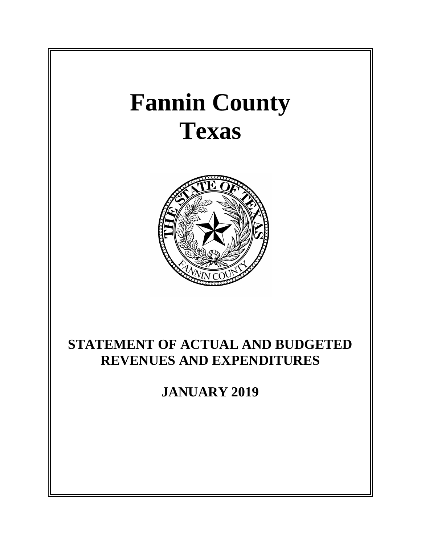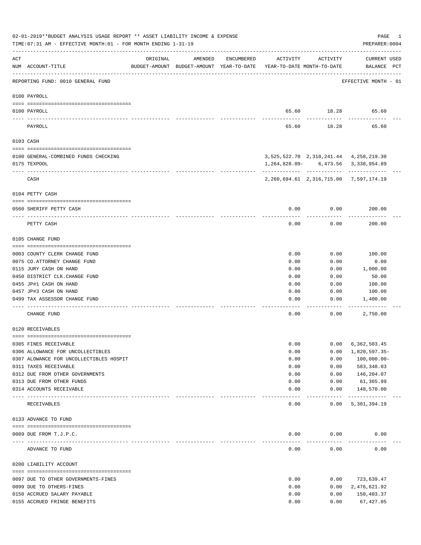|     | 02-01-2019**BUDGET ANALYSIS USAGE REPORT ** ASSET LIABILITY INCOME & EXPENSE<br>TIME: 07:31 AM - EFFECTIVE MONTH: 01 - FOR MONTH ENDING 1-31-19 |                             |                                                                                |            |          |                     | PAGE<br>PREPARER: 0004                       | 1 |
|-----|-------------------------------------------------------------------------------------------------------------------------------------------------|-----------------------------|--------------------------------------------------------------------------------|------------|----------|---------------------|----------------------------------------------|---|
| ACT | NUM ACCOUNT-TITLE                                                                                                                               | ORIGINAL                    | AMENDED<br>BUDGET-AMOUNT BUDGET-AMOUNT YEAR-TO-DATE YEAR-TO-DATE MONTH-TO-DATE | ENCUMBERED | ACTIVITY | ACTIVITY            | CURRENT USED<br>BALANCE PCT                  |   |
|     | REPORTING FUND: 0010 GENERAL FUND                                                                                                               |                             |                                                                                |            |          |                     | EFFECTIVE MONTH - 01                         |   |
|     | 0100 PAYROLL                                                                                                                                    |                             |                                                                                |            |          |                     |                                              |   |
|     | 0100 PAYROLL                                                                                                                                    |                             |                                                                                |            |          |                     | 65.60 18.28 65.60                            |   |
|     | ---- -----<br>PAYROLL                                                                                                                           |                             |                                                                                |            | 65.60    | 18.28               | 65.60                                        |   |
|     | 0103 CASH                                                                                                                                       |                             |                                                                                |            |          |                     |                                              |   |
|     | 0100 GENERAL-COMBINED FUNDS CHECKING                                                                                                            |                             |                                                                                |            |          |                     | 3,525,522.70 2,310,241.44 4,258,219.30       |   |
|     | 0175 TEXPOOL                                                                                                                                    |                             |                                                                                |            |          |                     | 1,264,828.09- 6,473.56 3,338,954.89          |   |
|     | CASH                                                                                                                                            |                             |                                                                                |            |          |                     | 2, 260, 694.61 2, 316, 715.00 7, 597, 174.19 |   |
|     | 0104 PETTY CASH                                                                                                                                 |                             |                                                                                |            |          |                     |                                              |   |
|     | 0560 SHERIFF PETTY CASH                                                                                                                         |                             |                                                                                |            | 0.00     | 0.00                | 200.00                                       |   |
|     |                                                                                                                                                 |                             |                                                                                |            |          |                     |                                              |   |
|     | PETTY CASH                                                                                                                                      |                             |                                                                                |            | 0.00     | 0.00                | 200.00                                       |   |
|     | 0105 CHANGE FUND                                                                                                                                |                             |                                                                                |            |          |                     |                                              |   |
|     | 0003 COUNTY CLERK CHANGE FUND                                                                                                                   |                             |                                                                                |            | 0.00     | 0.00                | 100.00                                       |   |
|     | 0075 CO.ATTORNEY CHANGE FUND                                                                                                                    |                             |                                                                                |            | 0.00     | 0.00                | 0.00                                         |   |
|     | 0115 JURY CASH ON HAND                                                                                                                          |                             |                                                                                |            | 0.00     | 0.00                | 1,000.00                                     |   |
|     | 0450 DISTRICT CLK. CHANGE FUND                                                                                                                  |                             |                                                                                |            | 0.00     | 0.00                | 50.00                                        |   |
|     | 0455 JP#1 CASH ON HAND                                                                                                                          |                             |                                                                                |            | 0.00     | 0.00                | 100.00                                       |   |
|     | 0457 JP#3 CASH ON HAND                                                                                                                          |                             |                                                                                |            | 0.00     | 0.00                | 100.00                                       |   |
|     | 0499 TAX ASSESSOR CHANGE FUND                                                                                                                   |                             |                                                                                |            | 0.00     | 0.00                | 1,400.00                                     |   |
|     | CHANGE FUND                                                                                                                                     |                             |                                                                                |            | 0.00     | 0.00                | 2,750.00                                     |   |
|     | 0120 RECEIVABLES                                                                                                                                |                             |                                                                                |            |          |                     |                                              |   |
|     | 0305 FINES RECEIVABLE                                                                                                                           |                             |                                                                                |            | 0.00     | 0.00                | 6,362,503.45                                 |   |
|     | 0306 ALLOWANCE FOR UNCOLLECTIBLES                                                                                                               |                             |                                                                                |            | 0.00     | 0.00                | 1,820,597.35-                                |   |
|     | 0307 ALOWANCE FOR UNCOLLECTIBLES HOSPIT                                                                                                         |                             |                                                                                |            | 0.00     | 0.00                | $100,000.00 -$                               |   |
|     | 0311 TAXES RECEIVABLE                                                                                                                           |                             |                                                                                |            | 0.00     | 0.00                | 583, 348.03                                  |   |
|     | 0312 DUE FROM OTHER GOVERNMENTS                                                                                                                 |                             |                                                                                |            | 0.00     | 0.00                | 146,204.07                                   |   |
|     | 0313 DUE FROM OTHER FUNDS                                                                                                                       |                             |                                                                                |            | 0.00     | 0.00                | 61,365.99                                    |   |
|     | 0314 ACCOUNTS RECEIVABLE                                                                                                                        |                             |                                                                                |            | 0.00     | 0.00                | 148,570.00                                   |   |
|     | RECEIVABLES                                                                                                                                     | ------------- ------------- |                                                                                |            | 0.00     | $- - - - -$<br>0.00 | -------------<br>5,381,394.19                |   |
|     | 0133 ADVANCE TO FUND                                                                                                                            |                             |                                                                                |            |          |                     |                                              |   |
|     |                                                                                                                                                 |                             |                                                                                |            |          |                     |                                              |   |
|     | 0089 DUE FROM T.J.P.C.<br>---------------------- ------------                                                                                   |                             |                                                                                |            | 0.00     | 0.00                | 0.00                                         |   |
|     | ADVANCE TO FUND                                                                                                                                 |                             |                                                                                |            | 0.00     | 0.00                | 0.00                                         |   |
|     | 0200 LIABILITY ACCOUNT                                                                                                                          |                             |                                                                                |            |          |                     |                                              |   |
|     | 0097 DUE TO OTHER GOVERNMENTS-FINES                                                                                                             |                             |                                                                                |            | 0.00     | 0.00                | 723,639.47                                   |   |
|     | 0099 DUE TO OTHERS-FINES                                                                                                                        |                             |                                                                                |            | 0.00     | 0.00                | 2,476,621.92                                 |   |
|     | 0150 ACCRUED SALARY PAYABLE                                                                                                                     |                             |                                                                                |            | 0.00     | 0.00                | 150,403.37                                   |   |
|     | 0155 ACCRUED FRINGE BENEFITS                                                                                                                    |                             |                                                                                |            | 0.00     | 0.00                | 67, 427.05                                   |   |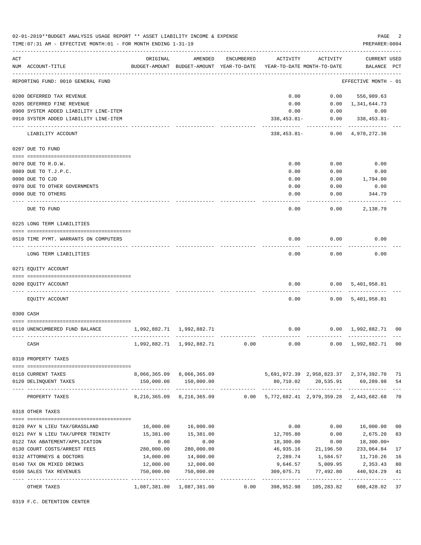|     | 02-01-2019**BUDGET ANALYSIS USAGE REPORT ** ASSET LIABILITY INCOME & EXPENSE<br>TIME: 07:31 AM - EFFECTIVE MONTH: 01 - FOR MONTH ENDING 1-31-19 |                           |                                                                                |            |            |                         | PAGE<br>PREPARER: 0004                                                | 2              |
|-----|-------------------------------------------------------------------------------------------------------------------------------------------------|---------------------------|--------------------------------------------------------------------------------|------------|------------|-------------------------|-----------------------------------------------------------------------|----------------|
|     |                                                                                                                                                 |                           |                                                                                |            |            |                         |                                                                       |                |
| ACT | NUM ACCOUNT-TITLE                                                                                                                               | ORIGINAL                  | AMENDED<br>BUDGET-AMOUNT BUDGET-AMOUNT YEAR-TO-DATE YEAR-TO-DATE MONTH-TO-DATE | ENCUMBERED | ACTIVITY   | ACTIVITY                | <b>CURRENT USED</b><br>BALANCE PCT                                    |                |
|     | REPORTING FUND: 0010 GENERAL FUND                                                                                                               |                           |                                                                                |            |            |                         | EFFECTIVE MONTH - 01                                                  |                |
|     | 0200 DEFERRED TAX REVENUE                                                                                                                       |                           |                                                                                |            | 0.00       |                         | $0.00$ 556,989.63                                                     |                |
|     | 0205 DEFERRED FINE REVENUE                                                                                                                      |                           |                                                                                |            | 0.00       |                         | $0.00 \quad 1,341,644.73$                                             |                |
|     | 0900 SYSTEM ADDED LIABILITY LINE-ITEM                                                                                                           |                           |                                                                                |            | 0.00       |                         | $0.00$ 0.00                                                           |                |
|     | 0910 SYSTEM ADDED LIABILITY LINE-ITEM                                                                                                           |                           |                                                                                |            |            |                         | $338,453.81 - 0.00$ $338,453.81 -$                                    |                |
|     | LIABILITY ACCOUNT                                                                                                                               |                           |                                                                                |            |            | ---------- ------------ | 338, 453.81 - 0.00 4, 978, 272.36                                     |                |
|     | 0207 DUE TO FUND                                                                                                                                |                           |                                                                                |            |            |                         |                                                                       |                |
|     | 0070 DUE TO R.O.W.                                                                                                                              |                           |                                                                                |            | 0.00       | 0.00                    | 0.00                                                                  |                |
|     | 0089 DUE TO T.J.P.C.                                                                                                                            |                           |                                                                                |            | 0.00       | 0.00                    | 0.00                                                                  |                |
|     | 0090 DUE TO CJD                                                                                                                                 |                           |                                                                                |            | 0.00       | 0.00                    | 1,794.00                                                              |                |
|     | 0970 DUE TO OTHER GOVERNMENTS                                                                                                                   |                           |                                                                                |            | 0.00       | 0.00                    | 0.00                                                                  |                |
|     | 0990 DUE TO OTHERS                                                                                                                              |                           |                                                                                |            | 0.00       | 0.00                    | 344.79                                                                |                |
|     | DUE TO FUND                                                                                                                                     |                           |                                                                                |            | 0.00       | 0.00                    | 2,138.79                                                              |                |
|     | 0225 LONG TERM LIABILITIES                                                                                                                      |                           |                                                                                |            |            |                         |                                                                       |                |
|     |                                                                                                                                                 |                           |                                                                                |            |            |                         |                                                                       |                |
|     | 0510 TIME PYMT. WARRANTS ON COMPUTERS                                                                                                           |                           |                                                                                |            | 0.00       | 0.00                    | 0.00                                                                  |                |
|     | LONG TERM LIABILITIES                                                                                                                           |                           |                                                                                |            | 0.00       | 0.00                    | 0.00                                                                  |                |
|     | 0271 EQUITY ACCOUNT                                                                                                                             |                           |                                                                                |            |            |                         |                                                                       |                |
|     |                                                                                                                                                 |                           |                                                                                |            |            |                         |                                                                       |                |
|     | 0200 EQUITY ACCOUNT                                                                                                                             |                           |                                                                                |            | 0.00       |                         | 0.00 5,401,958.81                                                     |                |
|     | EQUITY ACCOUNT                                                                                                                                  |                           |                                                                                |            | 0.00       |                         | 0.00 5,401,958.81                                                     |                |
|     | 0300 CASH                                                                                                                                       |                           |                                                                                |            |            |                         |                                                                       |                |
|     | 0110 UNENCUMBERED FUND BALANCE                                                                                                                  | 1,992,882.71 1,992,882.71 |                                                                                |            | 0.00       |                         | $0.00 \quad 1,992,882.71 \quad 00$                                    |                |
|     |                                                                                                                                                 |                           |                                                                                |            |            |                         |                                                                       |                |
|     | CASH                                                                                                                                            |                           | 1,992,882.71 1,992,882.71                                                      | 0.00       | 0.00       |                         | 0.00 1,992,882.71 00                                                  |                |
|     | 0310 PROPERTY TAXES                                                                                                                             |                           |                                                                                |            |            |                         |                                                                       |                |
|     | 0110 CURRENT TAXES                                                                                                                              |                           |                                                                                |            |            |                         | 8,066,365.09 8,066,365.09 5,691,972.39 2,958,823.37 2,374,392.70      | 71             |
|     | 0120 DELINQUENT TAXES                                                                                                                           |                           | 150,000.00 150,000.00                                                          |            |            |                         | 80,710.02 20,535.91 69,289.98                                         | 54             |
|     | PROPERTY TAXES                                                                                                                                  |                           |                                                                                |            |            |                         | 8,216,365.09 8,216,365.09 0.00 5,772,682.41 2,979,359.28 2,443,682.68 | 70             |
|     | 0318 OTHER TAXES                                                                                                                                |                           |                                                                                |            |            |                         |                                                                       |                |
|     | 0120 PAY N LIEU TAX/GRASSLAND                                                                                                                   |                           | 16,000.00    16,000.00                                                         |            | 0.00       | 0.00                    | 16,000.00                                                             | 0 <sub>0</sub> |
|     | 0121 PAY N LIEU TAX/UPPER TRINITY                                                                                                               | 15,381.00                 | 15,381.00                                                                      |            | 12,705.80  | 0.00                    | 2,675.20                                                              | 83             |
|     | 0122 TAX ABATEMENT/APPLICATION                                                                                                                  | 0.00                      | 0.00                                                                           |            | 18,300.00  | 0.00                    | 18,300.00+                                                            |                |
|     | 0130 COURT COSTS/ARREST FEES                                                                                                                    | 280,000.00                | 280,000.00                                                                     |            |            | 46,935.16 21,196.50     | 233,064.84                                                            | 17             |
|     | 0132 ATTORNEYS & DOCTORS                                                                                                                        | 14,000.00                 | 14,000.00                                                                      |            | 2,289.74   | 1,584.57                | 11,710.26                                                             | 16             |
|     | 0140 TAX ON MIXED DRINKS                                                                                                                        | 12,000.00                 | 12,000.00                                                                      |            | 9,646.57   | 5,009.95                | 2,353.43                                                              | 80             |
|     | 0160 SALES TAX REVENUES                                                                                                                         | 750,000.00                | 750,000.00                                                                     |            | 309,075.71 | 77,492.80               | 440,924.29                                                            | 41             |
|     |                                                                                                                                                 |                           |                                                                                |            |            |                         |                                                                       | $---$          |
|     | OTHER TAXES                                                                                                                                     |                           | 1,087,381.00 1,087,381.00                                                      | 0.00       |            | 398,952.98 105,283.82   | 688,428.02                                                            | 37             |

0319 F.C. DETENTION CENTER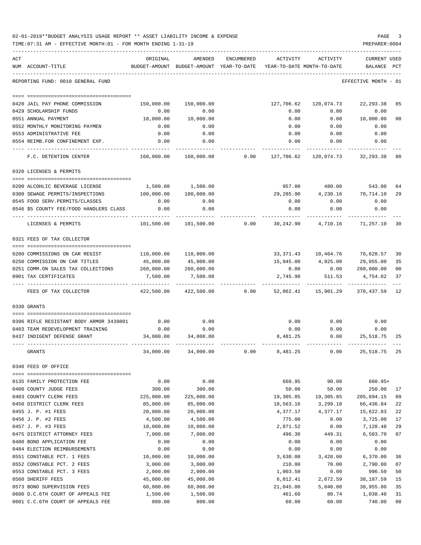|     | 02-01-2019**BUDGET ANALYSIS USAGE REPORT ** ASSET LIABILITY INCOME & EXPENSE<br>TIME: 07:31 AM - EFFECTIVE MONTH: 01 - FOR MONTH ENDING 1-31-19 |                         |                                                                                |                 |                        |                                           | PAGE<br>PREPARER: 0004             | 3        |
|-----|-------------------------------------------------------------------------------------------------------------------------------------------------|-------------------------|--------------------------------------------------------------------------------|-----------------|------------------------|-------------------------------------------|------------------------------------|----------|
| ACT | NUM ACCOUNT-TITLE                                                                                                                               | ORIGINAL                | AMENDED<br>BUDGET-AMOUNT BUDGET-AMOUNT YEAR-TO-DATE YEAR-TO-DATE MONTH-TO-DATE | ENCUMBERED      | ACTIVITY               | ACTIVITY                                  | <b>CURRENT USED</b><br>BALANCE PCT |          |
|     | REPORTING FUND: 0010 GENERAL FUND                                                                                                               |                         |                                                                                |                 |                        |                                           | EFFECTIVE MONTH - 01               |          |
|     |                                                                                                                                                 |                         |                                                                                |                 |                        |                                           |                                    |          |
|     | 0420 JAIL PAY PHONE COMMISSION                                                                                                                  | 150,000.00              | 150,000.00                                                                     |                 | 127,706.62             | 120,074.73                                | 22,293.38                          | 85       |
|     | 0429 SCHOLARSHIP FUNDS                                                                                                                          | 0.00                    | 0.00                                                                           |                 | 0.00                   | 0.00                                      | 0.00                               |          |
|     | 0551 ANNUAL PAYMENT                                                                                                                             | 10,000.00               | 10,000.00                                                                      |                 | 0.00                   |                                           | 0.00 10,000.00                     | 00       |
|     | 0552 MONTHLY MONITORING PAYMEN                                                                                                                  | 0.00                    | 0.00                                                                           |                 | 0.00                   | 0.00                                      | 0.00                               |          |
|     | 0553 ADMINISTRATIVE FEE<br>0554 REIMB.FOR CONFINEMENT EXP.                                                                                      | 0.00<br>0.00            | 0.00<br>0.00                                                                   |                 | 0.00<br>0.00           | 0.00<br>0.00                              | 0.00<br>0.00                       |          |
|     |                                                                                                                                                 |                         |                                                                                |                 |                        |                                           |                                    |          |
|     | F.C. DETENTION CENTER                                                                                                                           | 160,000.00              |                                                                                | 160,000.00 0.00 | 127,706.62             |                                           | 120,074.73 32,293.38               | 80       |
|     | 0320 LICENSES & PERMITS                                                                                                                         |                         |                                                                                |                 |                        |                                           |                                    |          |
|     | 0200 ALCOHLIC BEVERAGE LICENSE                                                                                                                  |                         | 1,500.00 1,500.00                                                              |                 |                        | 957.00 480.00 543.00                      |                                    | 64       |
|     | 0300 SEWAGE PERMITS/INSPECTIONS                                                                                                                 | 100,000.00              | 100,000.00                                                                     |                 |                        | 29,285.90  4,230.16  70,714.10            |                                    | 29       |
|     | 0545 FOOD SERV. PERMITS/CLASSES                                                                                                                 | 0.00                    | 0.00                                                                           |                 | 0.00                   | 0.00                                      | 0.00                               |          |
|     | 0546 \$5 COUNTY FEE/FOOD HANDLERS CLASS                                                                                                         | 0.00                    | 0.00                                                                           |                 | 0.00                   | 0.00                                      | 0.00                               |          |
|     | LICENSES & PERMITS                                                                                                                              | 101,500.00              | 101,500.00                                                                     |                 | $0.00$ 30,242.90       | 4,710.16                                  | 71,257.10 30                       |          |
|     | 0321 FEES OF TAX COLLECTOR                                                                                                                      |                         |                                                                                |                 |                        |                                           |                                    |          |
|     |                                                                                                                                                 |                         |                                                                                |                 |                        |                                           |                                    |          |
|     | 0200 COMMISSIONS ON CAR REGIST                                                                                                                  |                         | 110,000.00 110,000.00                                                          |                 |                        | 33, 371.43   10, 464.76   76, 628.57   30 |                                    |          |
|     | 0250 COMMISSION ON CAR TITLES                                                                                                                   | 45,000.00               | 45,000.00                                                                      |                 | 15,945.00              | 4,925.00                                  | 29,055.00                          | 35       |
|     | 0251 COMM.ON SALES TAX COLLECTIONS                                                                                                              | 260,000.00              | 260,000.00                                                                     |                 | 0.00                   | 0.00                                      | 260,000.00                         | 00       |
|     | 0901 TAX CERTIFICATES                                                                                                                           | 7,500.00                | 7,500.00                                                                       |                 |                        | 2,745.98 511.53                           | 4,754.02                           | 37       |
|     | FEES OF TAX COLLECTOR                                                                                                                           | 422,500.00              | 422,500.00                                                                     |                 |                        | $0.00$ 52,062.41 15,901.29                | 370,437.59 12                      |          |
|     | 0330 GRANTS                                                                                                                                     |                         |                                                                                |                 |                        |                                           |                                    |          |
|     | 0.00 0396 RIFLE RESISTANT BODY ARMOR 3439801                                                                                                    |                         | 0.00                                                                           |                 | 0.00                   |                                           | $0.00$ 0.00                        |          |
|     | 0403 TEAM REDEVELOPMENT TRAINING                                                                                                                | 0.00                    | 0.00                                                                           |                 | 0.00                   | 0.00                                      | 0.00                               |          |
|     | 0437 INDIGENT DEFENSE GRANT                                                                                                                     | 34,000.00               | 34,000.00                                                                      |                 | 8,481.25               | 0.00                                      | 25,518.75                          | 25       |
|     |                                                                                                                                                 | 34,000.00               |                                                                                |                 |                        |                                           |                                    |          |
|     | GRANTS                                                                                                                                          |                         | 34,000.00                                                                      | 0.00            | 8,481.25               | 0.00                                      | 25,518.75                          | 25       |
|     | 0340 FEES OF OFFICE                                                                                                                             |                         |                                                                                |                 |                        |                                           |                                    |          |
|     | -------------------------------------                                                                                                           |                         |                                                                                |                 |                        |                                           |                                    |          |
|     | 0135 FAMILY PROTECTION FEE                                                                                                                      | 0.00                    | 0.00                                                                           |                 | 660.95                 | 90.00                                     | 660.95+                            |          |
|     | 0400 COUNTY JUDGE FEES                                                                                                                          | 300.00                  | 300.00                                                                         |                 | 50.00                  | 50.00                                     | 250.00                             | 17       |
|     | 0403 COUNTY CLERK FEES<br>0450 DISTRICT CLERK FEES                                                                                              | 225,000.00<br>85,000.00 | 225,000.00<br>85,000.00                                                        |                 | 19,305.85<br>18,563.16 | 19,305.85<br>3,299.10                     | 205,694.15<br>66,436.84            | 09<br>22 |
|     | 0455 J. P. #1 FEES                                                                                                                              | 20,000.00               | 20,000.00                                                                      |                 | 4,377.17               | 4,377.17                                  | 15,622.83                          | 22       |
|     | 0456 J. P. #2 FEES                                                                                                                              | 4,500.00                | 4,500.00                                                                       |                 | 775.00                 | 0.00                                      | 3,725.00                           | 17       |
|     | 0457 J. P. #3 FEES                                                                                                                              | 10,000.00               | 10,000.00                                                                      |                 | 2,871.52               | 0.00                                      | 7,128.48                           | 29       |
|     | 0475 DISTRICT ATTORNEY FEES                                                                                                                     | 7,000.00                | 7,000.00                                                                       |                 | 496.30                 | 449.31                                    | 6,503.70                           | 07       |
|     | 0480 BOND APPLICATION FEE                                                                                                                       | 0.00                    | 0.00                                                                           |                 | 0.00                   | 0.00                                      | 0.00                               |          |
|     | 0484 ELECTION REIMBURSEMENTS                                                                                                                    | 0.00                    | 0.00                                                                           |                 | 0.00                   | 0.00                                      | 0.00                               |          |
|     | 0551 CONSTABLE PCT. 1 FEES                                                                                                                      | 10,000.00               | 10,000.00                                                                      |                 | 3,630.00               | 3,420.00                                  | 6,370.00                           | 36       |
|     | 0552 CONSTABLE PCT. 2 FEES                                                                                                                      | 3,000.00                | 3,000.00                                                                       |                 | 210.00                 | 70.00                                     | 2,790.00                           | 07       |
|     | 0553 CONSTABLE PCT. 3 FEES                                                                                                                      | 2,000.00                | 2,000.00                                                                       |                 | 1,003.50               | 0.00                                      | 996.50                             | 50       |
|     | 0560 SHERIFF FEES                                                                                                                               | 45,000.00               | 45,000.00                                                                      |                 | 6,812.41               | 2,672.59                                  | 38,187.59                          | 15       |
|     | 0573 BOND SUPERVISION FEES                                                                                                                      | 60,000.00               | 60,000.00                                                                      |                 | 21,045.00              | 5,040.00                                  | 38,955.00                          | 35       |
|     | 0600 D.C.6TH COURT OF APPEALS FEE                                                                                                               | 1,500.00                | 1,500.00                                                                       |                 | 461.60                 | 80.74                                     | 1,038.40                           | 31       |
|     | 0601 C.C.6TH COURT OF APPEALS FEE                                                                                                               | 800.00                  | 800.00                                                                         |                 | 60.00                  | 60.00                                     | 740.00                             | 08       |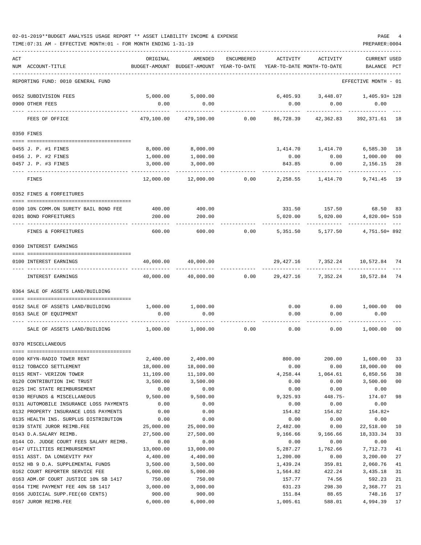| 02-01-2019**BUDGET ANALYSIS USAGE REPORT ** ASSET LIABILITY INCOME & EXPENSE | PAGE           |  |
|------------------------------------------------------------------------------|----------------|--|
| TIME: 07:31 AM - EFFECTIVE MONTH: 01 - FOR MONTH ENDING 1-31-19              | PREPARER: 0004 |  |

| ACT<br>NUM ACCOUNT-TITLE                                    | ORIGINAL               | AMENDED<br>BUDGET-AMOUNT BUDGET-AMOUNT YEAR-TO-DATE YEAR-TO-DATE MONTH-TO-DATE | ENCUMBERED | ACTIVITY             | ACTIVITY                                 | <b>CURRENT USED</b><br>BALANCE PCT |                      |
|-------------------------------------------------------------|------------------------|--------------------------------------------------------------------------------|------------|----------------------|------------------------------------------|------------------------------------|----------------------|
|                                                             |                        |                                                                                |            |                      |                                          |                                    |                      |
| REPORTING FUND: 0010 GENERAL FUND                           |                        |                                                                                |            |                      |                                          | EFFECTIVE MONTH - 01               |                      |
| 0652 SUBDIVISION FEES                                       |                        | 5,000.00 5,000.00                                                              |            |                      | $6,405.93$ $3,448.07$ $1,405.93+128$     |                                    |                      |
| 0900 OTHER FEES                                             | 0.00                   | 0.00                                                                           |            | 0.00                 | 0.00<br>----------                       | 0.00<br>----------                 |                      |
| FEES OF OFFICE                                              | 479,100.00             | 479,100.00                                                                     | 0.00       | 86,728.39            | 42,362.83                                | 392,371.61 18                      |                      |
| 0350 FINES                                                  |                        |                                                                                |            |                      |                                          |                                    |                      |
| 0455 J. P. #1 FINES                                         | 8,000.00               | 8,000.00                                                                       |            |                      |                                          | 6,585.30 18                        |                      |
| 0456 J. P. #2 FINES                                         | 1,000.00               | 1,000.00                                                                       |            | 0.00                 | 0.00                                     | 1,000.00                           | 00                   |
| 0457 J. P. #3 FINES                                         | 3,000.00               | 3,000.00                                                                       |            | 843.85               | 0.00                                     | 2,156.15                           | 28                   |
| FINES                                                       |                        | $12,000.00$ $12,000.00$ 0.00                                                   |            |                      | 2,258.55 1,414.70                        | 9,741.45 19                        |                      |
| 0352 FINES & FORFEITURES                                    |                        |                                                                                |            |                      |                                          |                                    |                      |
| 0100 10% COMM.ON SURETY BAIL BOND FEE                       |                        | 400.00 400.00                                                                  |            |                      | 331.50 157.50 68.50 83                   |                                    |                      |
| 0201 BOND FORFEITURES                                       | 200.00                 | 200.00                                                                         |            | 5,020.00             | 5,020.00                                 | 4,820.00+ 510                      |                      |
| --- --------------<br>FINES & FORFEITURES                   | 600.00                 | 600.00                                                                         | 0.00       | 5,351.50             | 5,177.50                                 | 4,751.50+ 892                      |                      |
| 0360 INTEREST EARNINGS                                      |                        |                                                                                |            |                      |                                          |                                    |                      |
| 0100 INTEREST EARNINGS                                      |                        | 40,000.00 40,000.00                                                            |            |                      | 29,427.16 7,352.24 10,572.84 74          |                                    |                      |
| INTEREST EARNINGS                                           | 40,000.00              | 40,000.00                                                                      |            |                      | 0.00  29,427.16  7,352.24  10,572.84  74 |                                    |                      |
| 0364 SALE OF ASSETS LAND/BUILDING                           |                        |                                                                                |            |                      |                                          |                                    |                      |
| 0162 SALE OF ASSETS LAND/BUILDING                           |                        | 1,000.00 1,000.00                                                              |            |                      | $0.00$ $0.00$ $1,000.00$                 |                                    | 00                   |
| 0163 SALE OF EOUIPMENT                                      | 0.00                   | 0.00                                                                           |            | 0.00                 | 0.00                                     | 0.00                               |                      |
| SALE OF ASSETS LAND/BUILDING                                | 1,000.00               | 1,000.00                                                                       |            | $0.00$ 0.00          | 0.00                                     | 1,000.00 00                        |                      |
| 0370 MISCELLANEOUS                                          |                        |                                                                                |            |                      |                                          |                                    |                      |
|                                                             |                        |                                                                                |            |                      |                                          |                                    |                      |
| 0100 KFYN-RADIO TOWER RENT                                  | 2,400.00               | 2,400.00                                                                       |            | 800.00               | 200.00                                   | 1,600.00                           | 33                   |
| 0112 TOBACCO SETTLEMENT<br>0115 RENT- VERIZON TOWER         | 18,000.00<br>11,109.00 | 18,000.00<br>11,109.00                                                         |            | 0.00<br>4,258.44     | 0.00<br>1,064.61                         | 18,000.00<br>6,850.56              | 0 <sub>0</sub><br>38 |
| 0120 CONTRIBUTION IHC TRUST                                 | 3,500.00               | 3,500.00                                                                       |            | 0.00                 | 0.00                                     | 3,500.00                           | 0 <sub>0</sub>       |
| 0125 IHC STATE REIMBURSEMENT                                | 0.00                   | 0.00                                                                           |            | 0.00                 | 0.00                                     | 0.00                               |                      |
| 0130 REFUNDS & MISCELLANEOUS                                | 9,500.00               | 9,500.00                                                                       |            | 9,325.93             | 448.75-                                  | 174.07                             | 98                   |
| 0131 AUTOMOBILE INSURANCE LOSS PAYMENTS                     | 0.00                   | 0.00                                                                           |            | 0.00                 | 0.00                                     | 0.00                               |                      |
| 0132 PROPERTY INSURANCE LOSS PAYMENTS                       | 0.00                   | 0.00                                                                           |            | 154.82               | 154.82                                   | $154.82+$                          |                      |
| 0135 HEALTH INS. SURPLUS DISTRIBUTION                       | 0.00                   | 0.00                                                                           |            | 0.00                 | 0.00                                     | 0.00                               |                      |
| 0139 STATE JUROR REIMB.FEE                                  | 25,000.00              | 25,000.00                                                                      |            | 2,482.00             | 0.00                                     | 22,518.00                          | 10                   |
| 0143 D.A.SALARY REIMB.                                      | 27,500.00              | 27,500.00                                                                      |            | 9,166.66             | 9,166.66                                 | 18,333.34                          | 33                   |
| 0144 CO. JUDGE COURT FEES SALARY REIMB.                     | 0.00                   | 0.00                                                                           |            | 0.00                 | 0.00                                     | 0.00                               |                      |
| 0147 UTILITIES REIMBURSEMENT<br>0151 ASST. DA LONGEVITY PAY | 13,000.00<br>4,400.00  | 13,000.00<br>4,400.00                                                          |            | 5,287.27<br>1,200.00 | 1,762.66<br>0.00                         | 7,712.73<br>3,200.00               | 41<br>27             |
| 0152 HB 9 D.A. SUPPLEMENTAL FUNDS                           | 3,500.00               | 3,500.00                                                                       |            | 1,439.24             | 359.81                                   | 2,060.76                           | 41                   |
| 0162 COURT REPORTER SERVICE FEE                             | 5,000.00               | 5,000.00                                                                       |            | 1,564.82             | 422.24                                   | 3,435.18                           | 31                   |
| 0163 ADM.OF COURT JUSTICE 10% SB 1417                       | 750.00                 | 750.00                                                                         |            | 157.77               | 74.56                                    | 592.23                             | 21                   |
| 0164 TIME PAYMENT FEE 40% SB 1417                           | 3,000.00               | 3,000.00                                                                       |            | 631.23               | 298.30                                   | 2,368.77                           | 21                   |
| 0166 JUDICIAL SUPP.FEE(60 CENTS)                            | 900.00                 | 900.00                                                                         |            | 151.84               | 88.65                                    | 748.16                             | 17                   |

0167 JUROR REIMB.FEE 6,000.00 6,000.00 1,005.61 588.01 4,994.39 17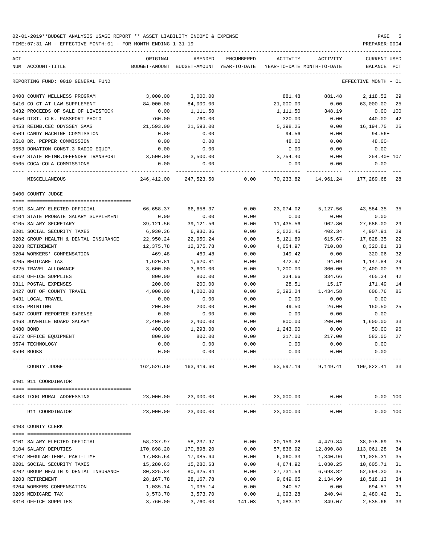| ACT                                  | ORIGINAL      | AMENDED                                                     | ENCUMBERED | ACTIVITY                   | ACTIVITY                  | <b>CURRENT USED</b>  |     |
|--------------------------------------|---------------|-------------------------------------------------------------|------------|----------------------------|---------------------------|----------------------|-----|
| NUM ACCOUNT-TITLE                    | BUDGET-AMOUNT | BUDGET-AMOUNT YEAR-TO-DATE                                  |            | YEAR-TO-DATE MONTH-TO-DATE |                           | BALANCE              | PCT |
| REPORTING FUND: 0010 GENERAL FUND    |               |                                                             |            |                            |                           | EFFECTIVE MONTH - 01 |     |
| 0408 COUNTY WELLNESS PROGRAM         | 3,000.00      | 3,000.00                                                    |            | 881.48                     | 881.48                    | 2,118.52             | 29  |
| 0410 CO CT AT LAW SUPPLEMENT         | 84,000.00     | 84,000.00                                                   |            | 21,000.00                  | 0.00                      | 63,000.00            | 25  |
| 0432 PROCEEDS OF SALE OF LIVESTOCK   | 0.00          | 1,111.50                                                    |            | 1,111.50                   | 348.19                    | $0.00$ 100           |     |
| 0450 DIST. CLK. PASSPORT PHOTO       | 760.00        | 760.00                                                      |            | 320.00                     | 0.00                      | 440.00               | 42  |
| 0453 REIMB.CEC ODYSSEY SAAS          | 21,593.00     | 21,593.00                                                   |            | 5,398.25                   | 0.00                      | 16,194.75            | 25  |
| 0509 CANDY MACHINE COMMISSION        | 0.00          | 0.00                                                        |            | 94.56                      | 0.00                      | $94.56+$             |     |
| 0510 DR. PEPPER COMMISSION           | 0.00          | 0.00                                                        |            | 48.00                      | 0.00                      | $48.00+$             |     |
| 0553 DONATION CONST.3 RADIO EQUIP.   | 0.00          | 0.00                                                        |            | 0.00                       | 0.00                      | 0.00                 |     |
| 0562 STATE REIMB.OFFENDER TRANSPORT  | 3,500.00      | 3,500.00                                                    |            | 3,754.40                   | 0.00                      | 254.40+ 107          |     |
| 0565 COCA-COLA COMMISSIONS           | 0.00          | 0.00                                                        |            | 0.00                       | 0.00                      | 0.00                 |     |
| MISCELLANEOUS                        | 246,412.00    | 247,523.50                                                  | 0.00       | 70,233.82                  | 14,961.24                 | 177,289.68           | 28  |
| 0400 COUNTY JUDGE                    |               |                                                             |            |                            |                           |                      |     |
|                                      |               |                                                             |            |                            |                           |                      |     |
| 0101 SALARY ELECTED OFFICIAL         | 66,658.37     | 66,658.37                                                   | 0.00       | 23,074.02                  | 5,127.56                  | 43,584.35            | 35  |
| 0104 STATE PROBATE SALARY SUPPLEMENT | 0.00          | 0.00                                                        | 0.00       | 0.00                       | 0.00                      | 0.00                 |     |
| 0105 SALARY SECRETARY                | 39, 121, 56   | 39, 121.56                                                  | 0.00       | 11,435.56                  | 902.80                    | 27,686.00            | 29  |
| 0201 SOCIAL SECURITY TAXES           | 6,930.36      | 6,930.36                                                    | 0.00       | 2,022.45                   | 402.34                    | 4,907.91             | 29  |
| 0202 GROUP HEALTH & DENTAL INSURANCE | 22,950.24     | 22,950.24                                                   | 0.00       | 5,121.89                   | $615.67-$                 | 17,828.35            | 22  |
| 0203 RETIREMENT                      | 12,375.78     | 12,375.78                                                   | 0.00       | 4,054.97                   | 710.88                    | 8,320.81             | 33  |
| 0204 WORKERS' COMPENSATION           | 469.48        | 469.48                                                      | 0.00       | 149.42                     | 0.00                      | 320.06               | 32  |
| 0205 MEDICARE TAX                    | 1,620.81      | 1,620.81                                                    | 0.00       | 472.97                     | 94.09                     | 1,147.84             | 29  |
| 0225 TRAVEL ALLOWANCE                | 3,600.00      | 3,600.00                                                    | 0.00       | 1,200.00                   | 300.00                    | 2,400.00             | 33  |
| 0310 OFFICE SUPPLIES                 | 800.00        | 800.00                                                      | 0.00       | 334.66                     | 334.66                    | 465.34               | 42  |
| 0311 POSTAL EXPENSES                 | 200.00        | 200.00                                                      | 0.00       | 28.51                      | 15.17                     | 171.49               | 14  |
| 0427 OUT OF COUNTY TRAVEL            | 4,000.00      | 4,000.00                                                    | 0.00       | 3,393.24                   | 1,434.58                  | 606.76               | 85  |
| 0431 LOCAL TRAVEL                    | 0.00          | 0.00                                                        | 0.00       | 0.00                       | 0.00                      | 0.00                 |     |
| 0435 PRINTING                        | 200.00        | 200.00                                                      | 0.00       | 49.50                      | 26.00                     | 150.50               | 25  |
| 0437 COURT REPORTER EXPENSE          | 0.00          | 0.00                                                        | 0.00       | 0.00                       | 0.00                      | 0.00                 |     |
| 0468 JUVENILE BOARD SALARY           | 2,400.00      | 2,400.00                                                    | 0.00       | 800.00                     | 200.00                    | 1,600.00             | 33  |
| 0480 BOND                            | 400.00        | 1,293.00                                                    | 0.00       | 1,243.00                   | 0.00                      | 50.00                | 96  |
| 0572 OFFICE EQUIPMENT                | 800.00        | 800.00                                                      | 0.00       | 217.00                     | 217.00                    | 583.00               | 27  |
| 0574 TECHNOLOGY                      | 0.00          | 0.00                                                        | 0.00       | 0.00                       | 0.00                      | 0.00                 |     |
| 0590 BOOKS                           | 0.00          | 0.00                                                        | 0.00       | 0.00                       | 0.00                      | 0.00                 |     |
| COUNTY JUDGE                         |               | 162,526.60 163,419.60 0.00 53,597.19 9,149.41 109,822.41 33 |            |                            |                           |                      |     |
| 0401 911 COORDINATOR                 |               |                                                             |            |                            |                           |                      |     |
| 0403 TCOG RURAL ADDRESSING           |               | 23,000.00 23,000.00                                         |            |                            | $0.00$ $23,000.00$ $0.00$ | 0.00 100             |     |
| 911 COORDINATOR                      | 23,000.00     | 23,000.00                                                   | 0.00       | 23,000.00                  | 0.00                      | 0.00 100             |     |
|                                      |               |                                                             |            |                            |                           |                      |     |
| 0403 COUNTY CLERK                    |               |                                                             |            |                            |                           |                      |     |
| 0101 SALARY ELECTED OFFICIAL         | 58,237.97     | 58,237.97                                                   | 0.00       | 20,159.28                  | 4,479.84                  | 38,078.69            | 35  |
| 0104 SALARY DEPUTIES                 | 170,898.20    | 170,898.20                                                  | 0.00       | 57,836.92                  | 12,890.88                 | 113,061.28           | 34  |
| 0107 REGULAR-TEMP. PART-TIME         | 17,085.64     | 17,085.64                                                   | 0.00       | 6,060.33                   | 1,340.96                  | 11,025.31            | 35  |
| 0201 SOCIAL SECURITY TAXES           | 15,280.63     | 15,280.63                                                   | 0.00       | 4,674.92                   | 1,030.25                  | 10,605.71            | 31  |
| 0202 GROUP HEALTH & DENTAL INSURANCE | 80,325.84     | 80,325.84                                                   | 0.00       | 27,731.54                  | 6,693.82                  | 52,594.30            | 35  |
| 0203 RETIREMENT                      | 28,167.78     | 28,167.78                                                   | 0.00       | 9,649.65                   | 2,134.99                  | 18,518.13            | 34  |
| 0204 WORKERS COMPENSATION            | 1,035.14      | 1,035.14                                                    | 0.00       | 340.57                     | 0.00                      | 694.57               | 33  |
| 0205 MEDICARE TAX                    | 3,573.70      | 3,573.70                                                    | 0.00       | 1,093.28                   | 240.94                    | 2,480.42             | 31  |
| 0310 OFFICE SUPPLIES                 | 3,760.00      | 3,760.00                                                    | 141.03     | 1,083.31                   | 349.07                    | 2,535.66             | 33  |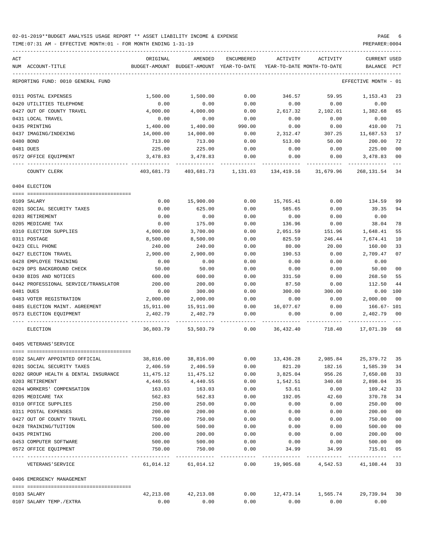| ACT                                  | ORIGINAL   | AMENDED                                                | ENCUMBERED    | ACTIVITY                                       | ACTIVITY           | CURRENT USED         |                |
|--------------------------------------|------------|--------------------------------------------------------|---------------|------------------------------------------------|--------------------|----------------------|----------------|
| NUM ACCOUNT-TITLE                    |            | BUDGET-AMOUNT BUDGET-AMOUNT YEAR-TO-DATE               |               | YEAR-TO-DATE MONTH-TO-DATE                     |                    | BALANCE              | PCT            |
| REPORTING FUND: 0010 GENERAL FUND    |            |                                                        |               |                                                |                    | EFFECTIVE MONTH - 01 |                |
| 0311 POSTAL EXPENSES                 | 1,500.00   | 1,500.00                                               | 0.00          | 346.57                                         | 59.95              | 1,153.43             | 23             |
| 0420 UTILITIES TELEPHONE             | 0.00       | 0.00                                                   | 0.00          | 0.00                                           | 0.00               | 0.00                 |                |
| 0427 OUT OF COUNTY TRAVEL            | 4,000.00   | 4,000.00                                               | 0.00          | 2,617.32                                       | 2,102.01           | 1,382.68             | 65             |
| 0431 LOCAL TRAVEL                    | 0.00       | 0.00                                                   | 0.00          | 0.00                                           | 0.00               | 0.00                 |                |
| 0435 PRINTING                        | 1,400.00   | 1,400.00                                               | 990.00        | 0.00                                           | 0.00               | 410.00               | 71             |
| 0437 IMAGING/INDEXING                | 14,000.00  | 14,000.00                                              | 0.00          | 2,312.47                                       | 307.25             | 11,687.53            | 17             |
| 0480 BOND                            | 713.00     | 713.00                                                 | 0.00          | 513.00                                         | 50.00              | 200.00               | 72             |
| 0481 DUES                            | 225.00     | 225.00                                                 | 0.00          | 0.00                                           | 0.00               | 225.00               | 0 <sub>0</sub> |
| 0572 OFFICE EQUIPMENT                | 3,478.83   | 3,478.83                                               | 0.00          | 0.00                                           | 0.00               | 3,478.83             | 00             |
| COUNTY CLERK                         | 403,681.73 |                                                        |               | 403,681.73   1,131.03   134,419.16   31,679.96 |                    | 268, 131. 54 34      |                |
| 0404 ELECTION                        |            |                                                        |               |                                                |                    |                      |                |
|                                      |            |                                                        |               |                                                |                    |                      |                |
| 0109 SALARY                          | 0.00       | 15,900.00                                              | 0.00          | 15,765.41                                      | 0.00               | 134.59 99            |                |
| 0201 SOCIAL SECURITY TAXES           | 0.00       | 625.00                                                 | 0.00          | 585.65                                         | 0.00               | 39.35                | 94             |
| 0203 RETIREMENT                      | 0.00       | 0.00                                                   | 0.00          | 0.00                                           | 0.00               | 0.00                 |                |
| 0205 MEDICARE TAX                    | 0.00       | 175.00                                                 | 0.00          | 136.96                                         | 0.00               | 38.04                | 78             |
| 0310 ELECTION SUPPLIES               | 4,000.00   | 3,700.00                                               | 0.00          | 2,051.59                                       | 151.96             | 1,648.41             | 55             |
| 0311 POSTAGE                         | 8,500.00   | 8,500.00                                               | 0.00          | 825.59                                         | 246.44             | 7,674.41             | 10             |
| 0423 CELL PHONE                      | 240.00     | 240.00                                                 | 0.00          | 80.00                                          | 20.00              | 160.00               | 33             |
| 0427 ELECTION TRAVEL                 | 2,900.00   | 2,900.00                                               | 0.00          | 190.53                                         | 0.00               | 2,709.47             | 07             |
| 0428 EMPLOYEE TRAINING               | 0.00       | 0.00                                                   | 0.00          | 0.00                                           | 0.00               | 0.00                 |                |
| 0429 DPS BACKGROUND CHECK            | 50.00      | 50.00                                                  | 0.00          | 0.00                                           | 0.00               | 50.00                | 00             |
| 0430 BIDS AND NOTICES                | 600.00     | 600.00                                                 | 0.00          | 331.50                                         | 0.00               | 268.50               | 55             |
| 0442 PROFESSIONAL SERVICE/TRANSLATOR | 200.00     | 200.00                                                 | 0.00          | 87.50                                          | 0.00               | 112.50               | 44             |
| 0481 DUES                            | 0.00       | 300.00                                                 | 0.00          | 300.00                                         | 300.00             | 0.00 100             |                |
| 0483 VOTER REGISTRATION              | 2,000.00   | 2,000.00                                               | 0.00          | 0.00                                           | 0.00               | 2,000.00             | 00             |
| 0485 ELECTION MAINT. AGREEMENT       | 15,911.00  | 15,911.00                                              | 0.00          | 16,077.67                                      | 0.00               | 166.67- 101          |                |
| 0573 ELECTION EQUIPMENT              | 2,402.79   | 2,402.79                                               | 0.00          | 0.00                                           | 0.00               | 2,402.79 00          |                |
| ELECTION                             |            | 36,803.79 53,503.79 0.00 36,432.40 718.40 17,071.39 68 |               |                                                |                    |                      |                |
| 0405 VETERANS'SERVICE                |            |                                                        |               |                                                |                    |                      |                |
| 0102 SALARY APPOINTED OFFICIAL       | 38,816.00  | 38,816.00                                              | 0.00          | 13,436.28                                      | 2,985.84           | 25,379.72            | 35             |
| 0201 SOCIAL SECURITY TAXES           | 2,406.59   | 2,406.59                                               | 0.00          | 821.20                                         | 182.16             | 1,585.39             | -34            |
| 0202 GROUP HEALTH & DENTAL INSURANCE | 11,475.12  | 11,475.12                                              | 0.00          | 3,825.04                                       | 956.26             | 7,650.08             | 33             |
| 0203 RETIREMENT                      | 4,440.55   | 4,440.55                                               | 0.00          | 1,542.51                                       | 340.68             | 2,898.04             | 35             |
| 0204 WORKERS' COMPENSATION           | 163.03     | 163.03                                                 | 0.00          | 53.61                                          | 0.00               | 109.42               | 33             |
| 0205 MEDICARE TAX                    | 562.83     | 562.83                                                 | 0.00          | 192.05                                         | 42.60              | 370.78               | 34             |
| 0310 OFFICE SUPPLIES                 | 250.00     | 250.00                                                 | 0.00          | 0.00                                           | 0.00               | 250.00               | 00             |
| 0311 POSTAL EXPENSES                 | 200.00     | 200.00                                                 | 0.00          | 0.00                                           | 0.00               | 200.00               | 00             |
| 0427 OUT OF COUNTY TRAVEL            | 750.00     | 750.00                                                 | 0.00          | 0.00                                           | 0.00               | 750.00               | 0 <sub>0</sub> |
| 0428 TRAINING/TUITION                | 500.00     | 500.00                                                 | 0.00          | 0.00                                           | 0.00               | 500.00               | 0 <sub>0</sub> |
| 0435 PRINTING                        | 200.00     | 200.00                                                 | 0.00          | 0.00                                           | 0.00               | 200.00               | 0 <sub>0</sub> |
| 0453 COMPUTER SOFTWARE               | 500.00     | 500.00                                                 | 0.00          | 0.00                                           | 0.00               | 500.00               | 00             |
| 0572 OFFICE EQUIPMENT                | 750.00     | 750.00<br>-------------                                | 0.00<br>----- | 34.99                                          | 34.99              | 715.01               | 05<br>$- - -$  |
| VETERANS ' SERVICE                   | 61,014.12  | 61,014.12                                              | 0.00          |                                                | 19,905.68 4,542.53 | 41, 108. 44 33       |                |
| 0406 EMERGENCY MANAGEMENT            |            |                                                        |               |                                                |                    |                      |                |
| 0103 SALARY                          | 42,213.08  | 42, 213.08                                             | 0.00          | 12,473.14                                      | 1,565.74           | 29,739.94 30         |                |
| 0107 SALARY TEMP./EXTRA              | 0.00       | 0.00                                                   | 0.00          | 0.00                                           | 0.00               | 0.00                 |                |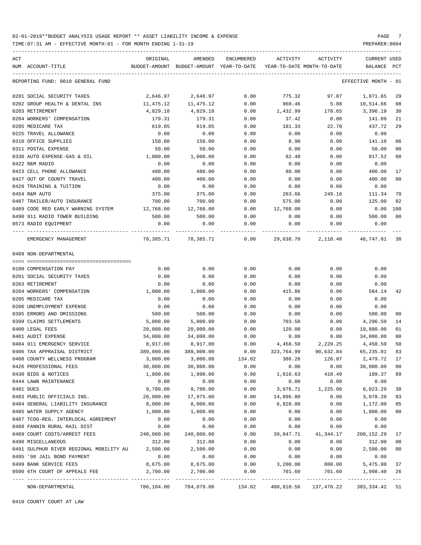TIME:07:31 AM - EFFECTIVE MONTH:01 - FOR MONTH ENDING 1-31-19 PREPARER:0004

| ACT                                     | ORIGINAL   | AMENDED                                       | ENCUMBERED   | ACTIVITY                   | ACTIVITY                              | CURRENT USED                     |        |
|-----------------------------------------|------------|-----------------------------------------------|--------------|----------------------------|---------------------------------------|----------------------------------|--------|
| NUM ACCOUNT-TITLE                       |            | BUDGET-AMOUNT BUDGET-AMOUNT YEAR-TO-DATE      |              | YEAR-TO-DATE MONTH-TO-DATE |                                       | BALANCE                          | PCT    |
| REPORTING FUND: 0010 GENERAL FUND       |            |                                               |              |                            |                                       | EFFECTIVE MONTH - 01             |        |
| 0201 SOCIAL SECURITY TAXES              | 2,646.97   | 2,646.97                                      | 0.00         | 775.32                     | 97.07                                 | 1,871.65                         | 29     |
| 0202 GROUP HEALTH & DENTAL INS          | 11,475.12  | 11,475.12                                     | 0.00         | 960.46                     | 5.08                                  | 10,514.66                        | 08     |
| 0203 RETIREMENT                         | 4,829.18   | 4,829.18                                      | 0.00         | 1,432.99                   | 178.65                                | 3,396.19                         | 30     |
| 0204 WORKERS' COMPENSATION              | 179.31     | 179.31                                        | 0.00         | 37.42                      | 0.00                                  | 141.89                           | 21     |
| 0205 MEDICARE TAX                       | 619.05     | 619.05                                        | 0.00         | 181.33                     | 22.70                                 | 437.72                           | 29     |
| 0225 TRAVEL ALLOWANCE                   | 0.00       | 0.00                                          | 0.00         | 0.00                       | 0.00                                  | 0.00                             |        |
| 0310 OFFICE SUPPLIES                    | 150.00     | 150.00                                        | 0.00         | 8.90                       | 0.00                                  | 141.10                           | 06     |
| 0311 POSTAL EXPENSE                     | 50.00      | 50.00                                         | 0.00         | 0.00                       | 0.00                                  | 50.00                            | 00     |
| 0330 AUTO EXPENSE-GAS & OIL             | 1,000.00   | 1,000.00                                      | 0.00         | 82.48                      | 0.00                                  | 917.52                           | 08     |
| 0422 R&M RADIO                          | 0.00       | 0.00                                          | 0.00         | 0.00                       | 0.00                                  | 0.00                             |        |
| 0423 CELL PHONE ALLOWANCE               | 480.00     | 480.00                                        | 0.00         | 80.00                      | 0.00                                  | 400.00                           | 17     |
| 0427 OUT OF COUNTY TRAVEL               | 400.00     | 400.00                                        | 0.00         | 0.00                       | 0.00                                  | 400.00                           | 00     |
| 0428 TRAINING & TUITION                 | 0.00       | 0.00                                          | 0.00         | 0.00                       | 0.00                                  | 0.00                             |        |
| 0454 R&M AUTO                           | 375.00     | 375.00                                        | 0.00         | 263.66                     | 249.16                                | 111.34                           | 70     |
| 0487 TRAILER/AUTO INSURANCE             | 700.00     | 700.00                                        | 0.00         | 575.00                     | 0.00                                  | 125.00                           | 82     |
| 0489 CODE RED EARLY WARNING SYSTEM      | 12,768.00  | 12,768.00                                     | 0.00         | 12,768.00                  |                                       | 0.00                             | 100    |
| 0490 911 RADIO TOWER BUILDING           | 500.00     | 500.00                                        |              |                            | 0.00                                  | 500.00                           | 00     |
| 0573 RADIO EQUIPMENT                    | 0.00       | 0.00                                          | 0.00<br>0.00 | 0.00<br>0.00               | 0.00<br>0.00                          | 0.00                             |        |
|                                         |            |                                               |              |                            |                                       |                                  |        |
| EMERGENCY MANAGEMENT                    |            | 78,385.71 78,385.71 0.00                      |              | 29,638.70                  |                                       | 2, 118.40 48, 747.01 38          |        |
| 0409 NON-DEPARTMENTAL                   |            |                                               |              |                            |                                       |                                  |        |
| 0100 COMPENSATION PAY                   | 0.00       | 0.00                                          | 0.00         | 0.00                       | 0.00                                  | 0.00                             |        |
| 0201 SOCIAL SECURITY TAXES              | 0.00       | 0.00                                          | 0.00         | 0.00                       | 0.00                                  | 0.00                             |        |
| 0203 RETIREMENT                         | 0.00       | 0.00                                          | 0.00         | 0.00                       | 0.00                                  | 0.00                             |        |
| 0204 WORKERS' COMPENSATION              | 1,000.00   | 1,000.00                                      | 0.00         | 415.86                     | 0.00                                  | 584.14                           | 42     |
| 0205 MEDICARE TAX                       | 0.00       | 0.00                                          | 0.00         | 0.00                       | 0.00                                  | 0.00                             |        |
| 0206 UNEMPLOYMENT EXPENSE               | 0.00       | 0.00                                          | 0.00         | 0.00                       | 0.00                                  | 0.00                             |        |
| 0395 ERRORS AND OMISSIONS               | 500.00     | 500.00                                        | 0.00         | 0.00                       | 0.00                                  | 500.00                           | 00     |
| 0399 CLAIMS SETTLEMENTS                 | 5,000.00   | 5,000.00                                      | 0.00         | 703.50                     | 0.00                                  | 4,296.50                         | 14     |
| 0400 LEGAL FEES                         | 20,000.00  |                                               |              | 120.00                     |                                       | 19,880.00                        |        |
| 0401 AUDIT EXPENSE                      |            | 20,000.00                                     | 0.00         |                            | 0.00                                  | 34,000.00                        | 01     |
|                                         | 34,000.00  | 34,000.00                                     | 0.00         | 0.00                       | 0.00                                  |                                  | 00     |
| 0404 911 EMERGENCY SERVICE              | 8,917.00   | 8,917.00                                      | 0.00         | 4,458.50 2,229.25          |                                       | 4,458.50                         | 50     |
| 0406 TAX APPRAISAL DISTRICT             | 389,000.00 | 389,000.00                                    | 0.00         | 323,764.99                 | 90,632.84                             | 65,235.01<br>2,479.72 17         | 83     |
| 0408 COUNTY WELLNESS PROGRAM            | 3,000.00   | 3,000.00                                      | 134.02       | 386.26                     | 126.87                                |                                  |        |
| 0426 PROFESSIONAL FEES                  | 30,000.00  | 30,000.00                                     | 0.00         | 0.00                       | 0.00                                  | 30,000.00                        | 00     |
| 0430 BIDS & NOTICES                     | 1,800.00   | 1,800.00                                      | 0.00         | 1,610.63                   | 418.49                                | 189.37                           | 89     |
| 0444 LAWN MAINTENANCE                   | 0.00       | 0.00                                          | 0.00         | 0.00                       | 0.00                                  | 0.00                             |        |
| 0481 DUES                               | 9,700.00   | 9,700.00                                      | 0.00         | 3,676.71                   | 1,225.00                              | 6,023.29                         | 38     |
| 0483 PUBLIC OFFICIALS INS.              | 20,000.00  | 17,975.00                                     | 0.00         | 14,896.80                  | 0.00                                  | 3,078.20                         | 83     |
| 0484 GENERAL LIABILITY INSURANCE        | 8,000.00   | 8,000.00                                      | 0.00         | 6,828.00                   | 0.00                                  | 1,172.00                         | 85     |
| 0485 WATER SUPPLY AGENCY                | 1,000.00   | 1,000.00                                      | 0.00         | 0.00                       | 0.00                                  | 1,000.00                         | $00\,$ |
| 0487 TCOG-REG. INTERLOCAL AGREEMENT     | 0.00       | 0.00                                          | 0.00         | 0.00                       | 0.00                                  | 0.00                             |        |
| 0488 FANNIN RURAL RAIL DIST             | 0.00       | 0.00                                          | 0.00         | 0.00                       | 0.00                                  | 0.00                             |        |
| 0489 COURT COSTS/ARREST FEES            | 240,000.00 | 240,000.00                                    | 0.00         | 39,847.71                  | 41,344.17                             | 200,152.29                       | 17     |
| 0490 MISCELLANEOUS                      | 312.00     | 312.00                                        | 0.00         | 0.00                       | 0.00                                  | 312.00                           | 00     |
| 0491 SULPHUR RIVER REGIONAL MOBILITY AU | 2,500.00   | 2,500.00                                      | 0.00         | 0.00                       | 0.00                                  | 2,500.00                         | 00     |
| 0495 '98 JAIL BOND PAYMENT              | 0.00       | 0.00                                          | 0.00         | 0.00                       | 0.00                                  | 0.00                             |        |
| 0499 BANK SERVICE FEES                  | 8,675.00   | 8,675.00                                      | 0.00         | 3,200.00                   | 800.00                                | 5,475.00                         | 37     |
| 0500 6TH COURT OF APPEALS FEE           | 2,700.00   | 2,700.00                                      | 0.00         | 701.60                     | 701.60                                | 1,998.40                         | 26     |
| NON-DEPARTMENTAL                        |            | -------------<br>786,104.00 784,079.00 134.02 | ------------ | -------------              | ------------<br>400,610.56 137,478.22 | -------------<br>383, 334. 42 51 |        |

0410 COUNTY COURT AT LAW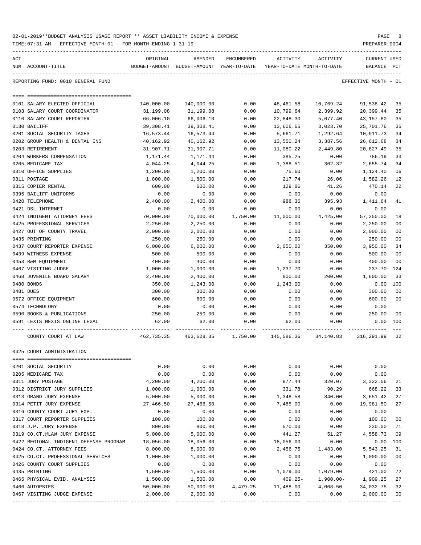|     | TIME:07:31 AM - EFFECTIVE MONTH:01 - FOR MONTH ENDING I-31-19 |            |                                                     |            |            |                                        | PREPARER: 0004                     |                |
|-----|---------------------------------------------------------------|------------|-----------------------------------------------------|------------|------------|----------------------------------------|------------------------------------|----------------|
| ACT | NUM ACCOUNT-TITLE                                             | ORIGINAL   | AMENDED<br>BUDGET-AMOUNT BUDGET-AMOUNT YEAR-TO-DATE | ENCUMBERED | ACTIVITY   | ACTIVITY<br>YEAR-TO-DATE MONTH-TO-DATE | <b>CURRENT USED</b><br>BALANCE PCT |                |
|     | REPORTING FUND: 0010 GENERAL FUND                             |            |                                                     |            |            |                                        | EFFECTIVE MONTH - 01               |                |
|     |                                                               |            |                                                     |            |            |                                        |                                    |                |
|     | 0101 SALARY ELECTED OFFICIAL                                  | 140,000.00 | 140,000.00                                          | 0.00       | 48,461.58  | 10,769.24                              | 91,538.42                          | 35             |
|     | 0103 SALARY COURT COORDINATOR                                 | 31,199.08  | 31,199.08                                           | 0.00       | 10,799.64  | 2,399.92                               | 20,399.44                          | 35             |
|     | 0110 SALARY COURT REPORTER                                    | 66,006.10  | 66,006.10                                           | 0.00       | 22,848.30  | 5,077.40                               | 43,157.80                          | 35             |
|     | 0130 BAILIFF                                                  | 39,308.41  | 39,308.41                                           | 0.00       | 13,606.65  | 3,023.70                               | 25,701.76                          | 35             |
|     | 0201 SOCIAL SECURITY TAXES                                    | 16,573.44  | 16,573.44                                           | 0.00       | 5,661.71   | 1,292.64                               | 10,911.73                          | 34             |
|     | 0202 GROUP HEALTH & DENTAL INS                                | 40,162.92  | 40,162.92                                           | 0.00       | 13,550.24  | 3,387.56                               | 26,612.68                          | 34             |
|     | 0203 RETIREMENT                                               | 31,907.71  | 31,907.71                                           | 0.00       | 11,080.22  | 2,449.80                               | 20,827.49                          | 35             |
|     | 0204 WORKERS COMPENSATION                                     | 1,171.44   | 1,171.44                                            | 0.00       | 385.25     | 0.00                                   | 786.19                             | 33             |
|     | 0205 MEDICARE TAX                                             | 4,044.25   | 4,044.25                                            | 0.00       | 1,388.51   | 302.32                                 | 2,655.74                           | 34             |
|     | 0310 OFFICE SUPPLIES                                          | 1,200.00   | 1,200.00                                            | 0.00       | 75.60      | 0.00                                   | 1,124.40                           | 06             |
|     | 0311 POSTAGE                                                  | 1,800.00   | 1,800.00                                            | 0.00       | 217.74     | 26.06                                  | 1,582.26                           | 12             |
|     | 0315 COPIER RENTAL                                            | 600.00     | 600.00                                              | 0.00       | 129.86     | 41.26                                  | 470.14                             | 22             |
|     | 0395 BAILIFF UNIFORMS                                         | 0.00       | 0.00                                                | 0.00       | 0.00       | 0.00                                   | 0.00                               |                |
|     | 0420 TELEPHONE                                                | 2,400.00   | 2,400.00                                            | 0.00       | 988.36     | 395.93                                 | 1,411.64                           | 41             |
|     | 0421 DSL INTERNET                                             | 0.00       | 0.00                                                | 0.00       | 0.00       | 0.00                                   | 0.00                               |                |
|     | 0424 INDIGENT ATTORNEY FEES                                   | 70,000.00  | 70,000.00                                           | 1,750.00   | 11,000.00  | 4,425.00                               | 57,250.00                          | 18             |
|     | 0425 PROFESSIONAL SERVICES                                    | 2,250.00   | 2,250.00                                            | 0.00       | 0.00       | 0.00                                   | 2,250.00                           | 0 <sub>0</sub> |
|     | 0427 OUT OF COUNTY TRAVEL                                     | 2,000.00   | 2,000.00                                            | 0.00       | 0.00       | 0.00                                   | 2,000.00                           | 0 <sub>0</sub> |
|     | 0435 PRINTING                                                 | 250.00     | 250.00                                              | 0.00       | 0.00       | 0.00                                   | 250.00                             | 0 <sub>0</sub> |
|     | 0437 COURT REPORTER EXPENSE                                   | 6,000.00   | 6,000.00                                            | 0.00       | 2,050.00   | 350.00                                 | 3,950.00                           | 34             |
|     | 0439 WITNESS EXPENSE                                          | 500.00     | 500.00                                              | 0.00       | 0.00       | 0.00                                   | 500.00                             | 0 <sub>0</sub> |
|     | 0453 R&M EQUIPMENT                                            | 400.00     | 400.00                                              | 0.00       | 0.00       | 0.00                                   | 400.00                             | 0 <sub>0</sub> |
|     | 0467 VISITING JUDGE                                           | 1,000.00   | 1,000.00                                            | 0.00       | 1,237.70   | 0.00                                   | 237.70- 124                        |                |
|     | 0468 JUVENILE BOARD SALARY                                    | 2,400.00   | 2,400.00                                            | 0.00       | 800.00     | 200.00                                 | 1,600.00                           | 33             |
|     | 0480 BONDS                                                    | 350.00     | 1,243.00                                            | 0.00       | 1,243.00   | 0.00                                   | 0.00                               | 100            |
|     | 0481 DUES                                                     | 300.00     | 300.00                                              | 0.00       | 0.00       | 0.00                                   | 300.00                             | 0 <sub>0</sub> |
|     | 0572 OFFICE EQUIPMENT                                         | 600.00     | 600.00                                              | 0.00       | 0.00       | 0.00                                   | 600.00                             | 0 <sub>0</sub> |
|     | 0574 TECHNOLOGY                                               | 0.00       | 0.00                                                | 0.00       | 0.00       | 0.00                                   | 0.00                               |                |
|     | 0590 BOOKS & PUBLICATIONS                                     | 250.00     | 250.00                                              | 0.00       | 0.00       | 0.00                                   | 250.00                             | 0 <sub>0</sub> |
|     | 0591 LEXIS NEXIS ONLINE LEGAL                                 | 62.00      | 62.00                                               | 0.00       | 62.00      | 0.00                                   | 0.00                               | 100            |
|     | COUNTY COURT AT LAW                                           | 462,735.35 | 463,628.35                                          | 1,750.00   | 145,586.36 | 34,140.83                              | 316,291.99                         | 32             |
|     | 0425 COURT ADMINISTRATION                                     |            |                                                     |            |            |                                        |                                    |                |
|     |                                                               |            |                                                     |            |            |                                        |                                    |                |
|     | 0201 SOCIAL SECURITY                                          | 0.00       | 0.00                                                | 0.00       | 0.00       | 0.00                                   | 0.00                               |                |
|     | 0205 MEDICARE TAX                                             | 0.00       | 0.00                                                | 0.00       | 0.00       | 0.00                                   | 0.00                               |                |
|     | 0311 JURY POSTAGE                                             | 4,200.00   | 4,200.00                                            | 0.00       | 877.44     | 320.07                                 | 3,322.56                           | 21             |
|     | 0312 DISTRICT JURY SUPPLIES                                   | 1,000.00   | 1,000.00                                            | 0.00       | 331.78     | 90.29                                  | 668.22                             | 33             |
|     | 0313 GRAND JURY EXPENSE                                       | 5,000.00   | 5,000.00                                            | 0.00       | 1,348.58   | 840.00                                 | 3,651.42                           | 27             |
|     | 0314 PETIT JURY EXPENSE                                       | 27,466.50  | 27,466.50                                           | 0.00       | 7,485.00   | 0.00                                   | 19,981.50                          | 27             |
|     | 0316 COUNTY COURT JURY EXP.                                   | 0.00       | 0.00                                                | 0.00       | 0.00       | 0.00                                   | 0.00                               |                |
|     | 0317 COURT REPORTER SUPPLIES                                  | 100.00     | 100.00                                              | 0.00       | 0.00       | 0.00                                   | 100.00                             | 0 <sub>0</sub> |
|     | 0318 J.P. JURY EXPENSE                                        | 800.00     | 800.00                                              | 0.00       | 570.00     | 0.00                                   | 230.00                             | 71             |
|     | 0319 CO.CT.@LAW JURY EXPENSE                                  | 5,000.00   | 5,000.00                                            | 0.00       | 441.27     | 51.27                                  | 4,558.73                           | 09             |
|     | 0422 REGIONAL INDIGENT DEFENSE PROGRAM                        | 18,056.00  | 18,056.00                                           | 0.00       | 18,056.00  | 0.00                                   | 0.00                               | 100            |
|     | 0424 CO.CT. ATTORNEY FEES                                     | 8,000.00   | 8,000.00                                            | 0.00       | 2,456.75   | 1,483.00                               | 5,543.25                           | 31             |
|     | 0425 CO.CT. PROFESSIONAL SERVICES                             | 1,000.00   | 1,000.00                                            | 0.00       | 0.00       | 0.00                                   | 1,000.00                           | 0 <sub>0</sub> |
|     | 0426 COUNTY COURT SUPPLIES                                    | 0.00       | 0.00                                                | 0.00       | 0.00       | 0.00                                   | 0.00                               |                |
|     | 0435 PRINTING                                                 | 1,500.00   | 1,500.00                                            | 0.00       | 1,079.00   | 1,079.00                               | 421.00                             | 72             |
|     | 0465 PHYSICAL EVID. ANALYSES                                  | 1,500.00   | 1,500.00                                            | 0.00       | $409.25 -$ | $1,900.00-$                            | 1,909.25                           | 27             |
|     | 0466 AUTOPSIES                                                | 50,000.00  | 50,000.00                                           | 4,479.25   | 11,488.00  | 4,008.50                               | 34,032.75                          | 32             |
|     | 0467 VISITING JUDGE EXPENSE                                   | 2,000.00   | 2,000.00                                            | 0.00       | 0.00       | 0.00                                   | 2,000.00                           | 0 <sub>0</sub> |

---- ---------------------------------- ------------- ------------- ------------ ------------- ------------ ------------- ---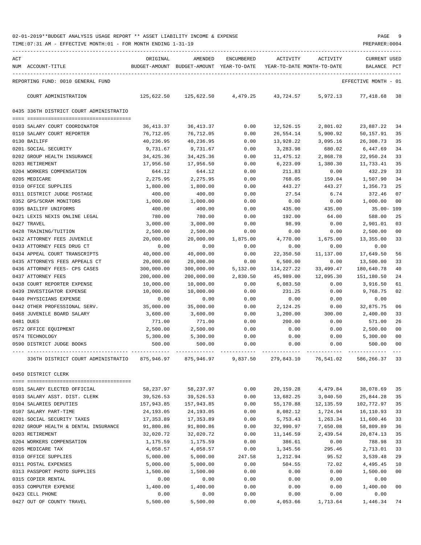TIME:07:31 AM - EFFECTIVE MONTH:01 - FOR MONTH ENDING 1-31-19 PREPARER:0004

| ACT |                                         | ORIGINAL              | AMENDED                    | <b>ENCUMBERED</b> | ACTIVITY              | ACTIVITY                   | <b>CURRENT USED</b>   |          |
|-----|-----------------------------------------|-----------------------|----------------------------|-------------------|-----------------------|----------------------------|-----------------------|----------|
|     | NUM ACCOUNT-TITLE                       | BUDGET-AMOUNT         | BUDGET-AMOUNT YEAR-TO-DATE |                   |                       | YEAR-TO-DATE MONTH-TO-DATE | <b>BALANCE</b>        | PCT      |
|     |                                         |                       |                            |                   |                       |                            |                       |          |
|     | REPORTING FUND: 0010 GENERAL FUND       |                       |                            |                   |                       |                            | EFFECTIVE MONTH - 01  |          |
|     | COURT ADMINISTRATION                    | 125,622.50            | 125,622.50                 | 4,479.25          | 43,724.57             | 5,972.13                   | 77,418.68             | 38       |
|     | 0435 336TH DISTRICT COURT ADMINISTRATIO |                       |                            |                   |                       |                            |                       |          |
|     |                                         |                       |                            |                   |                       |                            |                       |          |
|     | 0103 SALARY COURT COORDINATOR           | 36, 413.37            | 36, 413.37                 | 0.00              | 12,526.15             | 2,801.02                   | 23,887.22             | 34       |
|     | 0110 SALARY COURT REPORTER              | 76,712.05             | 76,712.05                  | 0.00              | 26,554.14             | 5,900.92                   | 50,157.91             | 35       |
|     | 0130 BAILIFF<br>0201 SOCIAL SECURITY    | 40,236.95<br>9,731.67 | 40,236.95<br>9,731.67      | 0.00<br>0.00      | 13,928.22<br>3,283.98 | 3,095.16<br>680.02         | 26,308.73<br>6,447.69 | 35<br>34 |
|     | 0202 GROUP HEALTH INSURANCE             | 34,425.36             | 34, 425.36                 | 0.00              | 11,475.12             | 2,868.78                   | 22,950.24             | 33       |
|     | 0203 RETIREMENT                         | 17,956.50             | 17,956.50                  | 0.00              | 6,223.09              | 1,380.30                   | 11,733.41             | 35       |
|     | 0204 WORKERS COMPENSATION               | 644.12                | 644.12                     | 0.00              | 211.83                | 0.00                       | 432.29                | 33       |
|     | 0205 MEDICARE                           | 2,275.95              | 2,275.95                   | 0.00              | 768.05                | 159.04                     | 1,507.90              | 34       |
|     | 0310 OFFICE SUPPLIES                    | 1,800.00              | 1,800.00                   | 0.00              | 443.27                | 443.27                     | 1,356.73              | 25       |
|     | 0311 DISTRICT JUDGE POSTAGE             | 400.00                | 400.00                     | 0.00              | 27.54                 | 6.74                       | 372.46                | 07       |
|     | 0352 GPS/SCRAM MONITORS                 | 1,000.00              | 1,000.00                   | 0.00              | 0.00                  | 0.00                       | 1,000.00              | 00       |
|     | 0395 BAILIFF UNIFORMS                   | 400.00                | 400.00                     | 0.00              | 435.00                | 435.00                     | $35.00 - 109$         |          |
|     | 0421 LEXIS NEXIS ONLINE LEGAL           | 780.00                | 780.00                     | 0.00              | 192.00                | 64.00                      | 588.00                | 25       |
|     | 0427 TRAVEL                             | 3,000.00              | 3,000.00                   | 0.00              | 98.99                 | 0.00                       | 2,901.01              | 03       |
|     | 0428 TRAINING/TUITION                   | 2,500.00              | 2,500.00                   | 0.00              | 0.00                  | 0.00                       | 2,500.00              | 00       |
|     | 0432 ATTORNEY FEES JUVENILE             | 20,000.00             | 20,000.00                  | 1,875.00          | 4,770.00              | 1,675.00                   | 13,355.00             | 33       |
|     | 0433 ATTORNEY FEES DRUG CT              | 0.00                  | 0.00                       | 0.00              | 0.00                  | 0.00                       | 0.00                  |          |
|     | 0434 APPEAL COURT TRANSCRIPTS           | 40,000.00             | 40,000.00                  | 0.00              | 22,350.50             | 11,137.00                  | 17,649.50             | 56       |
|     | 0435 ATTORNEYS FEES APPEALS CT          | 20,000.00             | 20,000.00                  | 0.00              | 6,500.00              | 0.00                       | 13,500.00             | 33       |
|     | 0436 ATTORNEY FEES- CPS CASES           | 300,000.00            | 300,000.00                 | 5,132.00          | 114,227.22            | 33,499.47                  | 180,640.78            | 40       |
|     | 0437 ATTORNEY FEES                      | 200,000.00            | 200,000.00                 | 2,830.50          | 45,989.00             | 12,095.30                  | 151,180.50            | 24       |
|     | 0438 COURT REPORTER EXPENSE             | 10,000.00             | 10,000.00                  | 0.00              | 6,083.50              | 0.00                       | 3,916.50              | 61       |
|     | 0439 INVESTIGATOR EXPENSE               | 10,000.00             | 10,000.00                  | 0.00              | 231.25                | 0.00                       | 9,768.75              | 02       |
|     | 0440 PHYSICIANS EXPENSE                 | 0.00                  | 0.00                       | 0.00              | 0.00                  | 0.00                       | 0.00                  |          |
|     | 0442 OTHER PROFESSIONAL SERV.           | 35,000.00             | 35,000.00                  | 0.00              | 2,124.25              | 0.00                       | 32,875.75             | 06       |
|     | 0468 JUVENILE BOARD SALARY              | 3,600.00              | 3,600.00                   | 0.00              | 1,200.00              | 300.00                     | 2,400.00              | 33       |
|     | 0481 DUES                               | 771.00                | 771.00                     | 0.00              | 200.00                | 0.00                       | 571.00                | 26       |
|     | 0572 OFFICE EQUIPMENT                   | 2,500.00              | 2,500.00                   | 0.00              | 0.00                  | 0.00                       | 2,500.00              | 00       |
|     | 0574 TECHNOLOGY                         | 5,300.00              | 5,300.00                   | 0.00              | 0.00                  | 0.00                       | 5,300.00              | 00       |
|     | 0590 DISTRICT JUDGE BOOKS               | 500.00                | 500.00                     | 0.00              | 0.00                  | 0.00                       | 500.00                | 00       |
|     | 336TH DISTRICT COURT ADMINISTRATIO      | 875,946.97            | 875,946.97                 | 9,837.50          | 279,843.10            | 76,541.02                  | 586,266.37 33         |          |
|     | 0450 DISTRICT CLERK                     |                       |                            |                   |                       |                            |                       |          |
|     |                                         |                       |                            |                   |                       |                            |                       |          |
|     | 0101 SALARY ELECTED OFFICIAL            | 58,237.97             | 58,237.97                  | 0.00              | 20,159.28             | 4,479.84                   | 38,078.69             | 35       |
|     | 0103 SALARY ASST. DIST. CLERK           | 39,526.53             | 39,526.53                  | 0.00              | 13,682.25             | 3,040.50                   | 25,844.28             | 35       |
|     | 0104 SALARIES DEPUTIES                  | 157,943.85            | 157,943.85                 | 0.00              | 55,170.88             | 12, 135.59                 | 102,772.97            | 35       |
|     | 0107 SALARY PART-TIME                   | 24,193.05             | 24, 193.05                 | 0.00              | 8,082.12              | 1,724.94                   | 16,110.93             | 33       |
|     | 0201 SOCIAL SECURITY TAXES              | 17,353.89             | 17,353.89                  | 0.00              | 5,753.43              | 1,263.34                   | 11,600.46             | 33       |
|     | 0202 GROUP HEALTH & DENTAL INSURANCE    | 91,800.86             | 91,800.86                  | 0.00              | 32,990.97             | 7,650.08                   | 58,809.89             | 36       |
|     | 0203 RETIREMENT                         | 32,020.72             | 32,020.72                  | 0.00              | 11,146.59             | 2,439.54                   | 20,874.13             | 35       |
|     | 0204 WORKERS COMPENSATION               | 1,175.59              | 1,175.59                   | 0.00              | 386.61                | 0.00                       | 788.98                | 33       |
|     | 0205 MEDICARE TAX                       | 4,058.57              | 4,058.57                   | 0.00              | 1,345.56              | 295.46                     | 2,713.01              | 33       |
|     | 0310 OFFICE SUPPLIES                    | 5,000.00              | 5,000.00                   | 247.58            | 1,212.94              | 95.52                      | 3,539.48              | 29       |
|     | 0311 POSTAL EXPENSES                    | 5,000.00              | 5,000.00                   | 0.00              | 504.55                | 72.02                      | 4,495.45              | 10       |
|     | 0313 PASSPORT PHOTO SUPPLIES            | 1,500.00              | 1,500.00                   | 0.00              | 0.00                  | 0.00                       | 1,500.00              | 00       |
|     | 0315 COPIER RENTAL                      | 0.00                  | 0.00                       | 0.00              | 0.00                  | 0.00                       | 0.00                  |          |
|     | 0353 COMPUTER EXPENSE                   | 1,400.00              | 1,400.00                   | 0.00              | 0.00                  | 0.00                       | 1,400.00              | 00       |
|     | 0423 CELL PHONE                         | 0.00                  | 0.00                       | 0.00              | 0.00                  | 0.00                       | 0.00                  |          |

0427 OUT OF COUNTY TRAVEL 6,500.00 5,500.00 0.00 4,053.66 1,713.64 1,446.34 74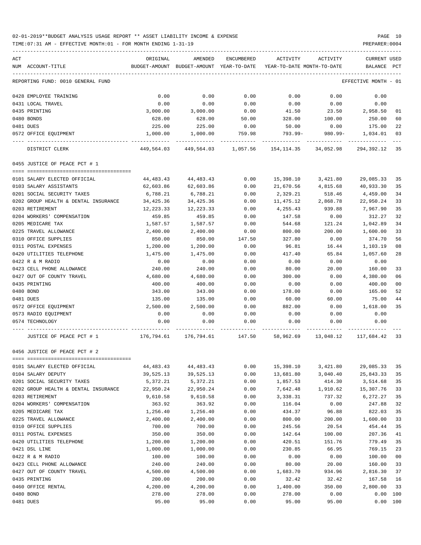TIME:07:31 AM - EFFECTIVE MONTH:01 - FOR MONTH ENDING 1-31-19 PREPARER:0004

| ACT | NUM ACCOUNT-TITLE                    | ORIGINAL    | AMENDED<br>BUDGET-AMOUNT BUDGET-AMOUNT YEAR-TO-DATE | ENCUMBERED | ACTIVITY<br>YEAR-TO-DATE MONTH-TO-DATE | ACTIVITY                                                          | <b>CURRENT USED</b><br>BALANCE | PCT            |
|-----|--------------------------------------|-------------|-----------------------------------------------------|------------|----------------------------------------|-------------------------------------------------------------------|--------------------------------|----------------|
|     |                                      |             |                                                     |            |                                        |                                                                   |                                |                |
|     | REPORTING FUND: 0010 GENERAL FUND    |             |                                                     |            |                                        |                                                                   | EFFECTIVE MONTH - 01           |                |
|     | 0428 EMPLOYEE TRAINING               | 0.00        | 0.00                                                | 0.00       | 0.00                                   | 0.00                                                              | 0.00                           |                |
|     | 0431 LOCAL TRAVEL                    | 0.00        | 0.00                                                | 0.00       | 0.00                                   | 0.00                                                              | 0.00                           |                |
|     | 0435 PRINTING                        | 3,000.00    | 3,000.00                                            | 0.00       | 41.50                                  | 23.50                                                             | 2,958.50                       | 01             |
|     | 0480 BONDS                           | 628.00      | 628.00                                              | 50.00      | 328.00                                 | 100.00                                                            | 250.00                         | 60             |
|     | 0481 DUES                            | 225.00      | 225.00                                              | 0.00       | 50.00                                  | 0.00                                                              | 175.00                         | 22             |
|     | 0572 OFFICE EQUIPMENT                | 1,000.00    | 1,000.00                                            | 759.98     |                                        | 793.99- 980.99- 1,034.01                                          |                                | 03             |
|     | DISTRICT CLERK                       |             |                                                     |            |                                        | 449,564.03 449,564.03 1,057.56 154,114.35 34,052.98 294,392.12 35 |                                |                |
|     | 0455 JUSTICE OF PEACE PCT # 1        |             |                                                     |            |                                        |                                                                   |                                |                |
|     | 0101 SALARY ELECTED OFFICIAL         | 44,483.43   | 44,483.43                                           | 0.00       |                                        | 15,398.10 3,421.80                                                | 29,085.33                      | 35             |
|     | 0103 SALARY ASSISTANTS               | 62,603.86   | 62,603.86                                           | 0.00       | 21,670.56                              | 4,815.68                                                          | 40,933.30                      | 35             |
|     | 0201 SOCIAL SECURITY TAXES           | 6,788.21    | 6,788.21                                            | 0.00       | 2,329.21                               | 518.46                                                            | 4,459.00                       | 34             |
|     | 0202 GROUP HEALTH & DENTAL INSURANCE | 34,425.36   | 34,425.36                                           | 0.00       | 11,475.12                              | 2,868.78                                                          | 22,950.24                      | 33             |
|     | 0203 RETIREMENT                      | 12,223.33   | 12,223.33                                           | 0.00       | 4,255.43                               | 939.88                                                            | 7,967.90                       | 35             |
|     | 0204 WORKERS' COMPENSATION           | 459.85      | 459.85                                              | 0.00       | 147.58                                 | 0.00                                                              | 312.27                         | 32             |
|     | 0205 MEDICARE TAX                    | 1,587.57    | 1,587.57                                            | 0.00       | 544.68                                 | 121.24                                                            | 1,042.89                       | 34             |
|     | 0225 TRAVEL ALLOWANCE                | 2,400.00    | 2,400.00                                            | 0.00       | 800.00                                 | 200.00                                                            | 1,600.00                       | 33             |
|     | 0310 OFFICE SUPPLIES                 | 850.00      | 850.00                                              | 147.50     | 327.80                                 | 0.00                                                              | 374.70                         | 56             |
|     | 0311 POSTAL EXPENSES                 | 1,200.00    |                                                     |            |                                        |                                                                   |                                | 08             |
|     |                                      |             | 1,200.00                                            | 0.00       | 96.81                                  | 16.44                                                             | 1,103.19                       |                |
|     | 0420 UTILITIES TELEPHONE             | 1,475.00    | 1,475.00                                            | 0.00       | 417.40                                 | 65.84                                                             | 1,057.60                       | 28             |
|     | 0422 R & M RADIO                     | 0.00        | 0.00                                                | 0.00       | 0.00                                   | 0.00                                                              | 0.00                           |                |
|     | 0423 CELL PHONE ALLOWANCE            | 240.00      | 240.00                                              | 0.00       | 80.00                                  | 20.00                                                             | 160.00                         | 33             |
|     | 0427 OUT OF COUNTY TRAVEL            | 4,680.00    | 4,680.00                                            | 0.00       | 300.00                                 | 0.00                                                              | 4,380.00                       | 06             |
|     | 0435 PRINTING                        | 400.00      | 400.00                                              | 0.00       | 0.00                                   | 0.00                                                              | 400.00                         | 00             |
|     | 0480 BOND                            | 343.00      | 343.00                                              | 0.00       | 178.00                                 | 0.00                                                              | 165.00                         | 52             |
|     | 0481 DUES                            | 135.00      | 135.00                                              | 0.00       | 60.00                                  | 60.00                                                             | 75.00                          | 44             |
|     | 0572 OFFICE EQUIPMENT                | 2,500.00    | 2,500.00                                            | 0.00       | 882.00                                 | 0.00                                                              | 1,618.00                       | 35             |
|     | 0573 RADIO EQUIPMENT                 | 0.00        | 0.00                                                | 0.00       | 0.00                                   | 0.00                                                              | 0.00                           |                |
|     | 0574 TECHNOLOGY                      | 0.00        | 0.00                                                | 0.00       | 0.00                                   | 0.00                                                              | 0.00                           |                |
|     | JUSTICE OF PEACE PCT # 1             |             |                                                     |            |                                        | 176,794.61 176,794.61 147.50 58,962.69 13,048.12 117,684.42 33    |                                |                |
|     | 0456 JUSTICE OF PEACE PCT # 2        |             |                                                     |            |                                        |                                                                   |                                |                |
|     | 0101 SALARY ELECTED OFFICIAL         | 44, 483. 43 | 44, 483. 43                                         | 0.00       | 15,398.10                              | 3,421.80                                                          | 29,085.33                      | 35             |
|     | 0104 SALARY DEPUTY                   | 39,525.13   | 39,525.13                                           | 0.00       | 13,681.80                              | 3,040.40                                                          | 25,843.33                      | 35             |
|     | 0201 SOCIAL SECURITY TAXES           | 5,372.21    | 5,372.21                                            | 0.00       | 1,857.53                               | 414.30                                                            | 3,514.68                       | 35             |
|     | 0202 GROUP HEALTH & DENTAL INSURANCE | 22,950.24   | 22,950.24                                           | 0.00       | 7,642.48                               | 1,910.62                                                          | 15,307.76                      | 33             |
|     | 0203 RETIREMENT                      | 9,610.58    | 9,610.58                                            | 0.00       | 3,338.31                               | 737.32                                                            | 6,272.27                       | 35             |
|     | 0204 WORKERS' COMPENSATION           | 363.92      | 363.92                                              | 0.00       | 116.04                                 | 0.00                                                              | 247.88                         | 32             |
|     | 0205 MEDICARE TAX                    | 1,256.40    | 1,256.40                                            | 0.00       | 434.37                                 | 96.88                                                             | 822.03                         | 35             |
|     | 0225 TRAVEL ALLOWANCE                | 2,400.00    | 2,400.00                                            | 0.00       | 800.00                                 | 200.00                                                            | 1,600.00                       | 33             |
|     | 0310 OFFICE SUPPLIES                 | 700.00      | 700.00                                              | 0.00       | 245.56                                 | 20.54                                                             | 454.44                         | 35             |
|     | 0311 POSTAL EXPENSES                 | 350.00      | 350.00                                              | 0.00       | 142.64                                 | 100.00                                                            | 207.36                         | 41             |
|     | 0420 UTILITIES TELEPHONE             | 1,200.00    | 1,200.00                                            | 0.00       | 420.51                                 | 151.76                                                            | 779.49                         | 35             |
|     | 0421 DSL LINE                        | 1,000.00    | 1,000.00                                            | 0.00       | 230.85                                 | 66.95                                                             | 769.15                         | 23             |
|     | 0422 R & M RADIO                     | 100.00      | 100.00                                              | 0.00       | 0.00                                   | 0.00                                                              | 100.00                         | 0 <sub>0</sub> |
|     | 0423 CELL PHONE ALLOWANCE            | 240.00      | 240.00                                              | 0.00       | 80.00                                  | 20.00                                                             | 160.00                         | 33             |
|     | 0427 OUT OF COUNTY TRAVEL            | 4,500.00    | 4,500.00                                            | 0.00       | 1,683.70                               | 934.96                                                            | 2,816.30                       | 37             |
|     | 0435 PRINTING                        | 200.00      | 200.00                                              | 0.00       | 32.42                                  | 32.42                                                             | 167.58                         | 16             |
|     | 0460 OFFICE RENTAL                   | 4,200.00    | 4,200.00                                            | 0.00       | 1,400.00                               | 350.00                                                            | 2,800.00                       | 33             |
|     | 0480 BOND                            | 278.00      | 278.00                                              | 0.00       | 278.00                                 | 0.00                                                              | 0.00 100                       |                |
|     |                                      |             |                                                     |            |                                        |                                                                   |                                |                |

0481 DUES 95.00 95.00 0.00 95.00 95.00 0.00 100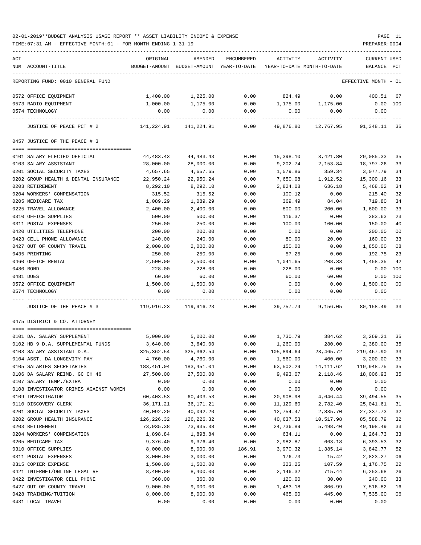| ACT |                                        | ORIGINAL              | AMENDED                                                             | ENCUMBERED          | ACTIVITY          | ACTIVITY                            | <b>CURRENT USED</b>  |                |
|-----|----------------------------------------|-----------------------|---------------------------------------------------------------------|---------------------|-------------------|-------------------------------------|----------------------|----------------|
|     | NUM ACCOUNT-TITLE                      |                       | BUDGET-AMOUNT BUDGET-AMOUNT YEAR-TO-DATE YEAR-TO-DATE MONTH-TO-DATE |                     |                   |                                     | BALANCE PCT          |                |
|     | REPORTING FUND: 0010 GENERAL FUND      |                       |                                                                     |                     |                   |                                     | EFFECTIVE MONTH - 01 |                |
|     | 0572 OFFICE EQUIPMENT                  | 1,400.00              | 1,225.00                                                            | 0.00                | 824.49            | 0.00                                | 400.51               | 67             |
|     | 0573 RADIO EQUIPMENT                   | 1,000.00              | 1,175.00                                                            | 0.00                | 1,175.00 1,175.00 |                                     | $0.00$ 100           |                |
|     | 0574 TECHNOLOGY                        | 0.00                  | 0.00                                                                | 0.00<br>___________ | 0.00              | 0.00                                | 0.00                 |                |
|     | JUSTICE OF PEACE PCT # 2               |                       |                                                                     | 0.00                |                   | 49,876.80  12,767.95  91,348.11  35 |                      |                |
|     | 0457 JUSTICE OF THE PEACE # 3          |                       |                                                                     |                     |                   |                                     |                      |                |
|     | 0101 SALARY ELECTED OFFICIAL           | 44,483.43             | 44,483.43                                                           | 0.00                | 15,398.10         | 3,421.80                            | 29,085.33            | 35             |
|     | 0103 SALARY ASSISTANT                  | 28,000.00             | 28,000.00                                                           | 0.00                | 9,202.74          | 2,153.84                            | 18,797.26            | 33             |
|     | 0201 SOCIAL SECURITY TAXES             | 4,657.65              | 4,657.65                                                            | 0.00                | 1,579.86          | 359.34                              | 3,077.79             | 34             |
|     | 0202 GROUP HEALTH & DENTAL INSURANCE   | 22,950.24             | 22,950.24                                                           | 0.00                | 7,650.08          | 1,912.52                            | 15,300.16            | 33             |
|     | 0203 RETIREMENT                        | 8,292.10              | 8,292.10                                                            | 0.00                | 2,824.08          | 636.18                              | 5,468.02             | 34             |
|     | 0204 WORKERS' COMPENSATION             | 315.52                | 315.52                                                              | 0.00                | 100.12            | 0.00                                | 215.40               | 32             |
|     | 0205 MEDICARE TAX                      | 1,089.29              | 1,089.29                                                            | 0.00                | 369.49            | 84.04                               | 719.80               | 34             |
|     | 0225 TRAVEL ALLOWANCE                  | 2,400.00              | 2,400.00                                                            | 0.00                | 800.00            | 200.00                              | 1,600.00             | 33             |
|     | 0310 OFFICE SUPPLIES                   | 500.00                | 500.00                                                              | 0.00                | 116.37            | 0.00                                | 383.63               | 23             |
|     | 0311 POSTAL EXPENSES                   | 250.00                | 250.00                                                              | 0.00                | 100.00            | 100.00                              | 150.00               | 40             |
|     | 0420 UTILITIES TELEPHONE               | 200.00                | 200.00                                                              | 0.00                | 0.00              | 0.00                                | 200.00               | 0 <sub>0</sub> |
|     | 0423 CELL PHONE ALLOWANCE              | 240.00                | 240.00                                                              | 0.00                | 80.00             | 20.00                               | 160.00               | 33             |
|     | 0427 OUT OF COUNTY TRAVEL              | 2,000.00              | 2,000.00                                                            | 0.00                | 150.00            | 0.00                                | 1,850.00             | 08             |
|     | 0435 PRINTING                          | 250.00                | 250.00                                                              | 0.00                | 57.25             | 0.00                                | 192.75               | 23             |
|     | 0460 OFFICE RENTAL                     | 2,500.00              | 2,500.00                                                            | 0.00                | 1,041.65          | 208.33                              | 1,458.35             | 42             |
|     | 0480 BOND                              | 228.00                | 228.00                                                              | 0.00                | 228.00            | 0.00                                | 0.00                 | 100            |
|     | 0481 DUES                              | 60.00                 | 60.00                                                               | 0.00                | 60.00             | 60.00                               | 0.00                 | 100            |
|     | 0572 OFFICE EQUIPMENT                  | 1,500.00              | 1,500.00                                                            | 0.00                | 0.00              | 0.00                                | 1,500.00             | 0 <sub>0</sub> |
|     | 0574 TECHNOLOGY                        | 0.00                  | 0.00                                                                | 0.00                | 0.00              | 0.00                                | 0.00                 |                |
|     | JUSTICE OF THE PEACE # 3               | 119,916.23 119,916.23 |                                                                     | 0.00                | 39,757.74         | 9,156.05                            | 80,158.49            | 33             |
|     | 0475 DISTRICT & CO. ATTORNEY           |                       |                                                                     |                     |                   |                                     |                      |                |
|     |                                        |                       |                                                                     |                     |                   |                                     |                      |                |
|     | 0101 DA. SALARY SUPPLEMENT             | 5,000.00              | 5,000.00                                                            | 0.00                | 1,730.79          | 384.62                              | 3,269.21             | 35             |
|     | 0102 HB 9 D.A. SUPPLEMENTAL FUNDS      | 3,640.00              | 3,640.00                                                            | 0.00                | 1,260.00          |                                     | 280.00 2,380.00      | 35             |
|     | 0103 SALARY ASSISTANT D.A.             | 325,362.54            | 325,362.54                                                          | 0.00                |                   | 105,894.64 23,465.72                | 219,467.90           | 33             |
|     | 0104 ASST. DA LONGEVITY PAY            | 4,760.00              | 4,760.00                                                            | 0.00                | 1,560.00          | 400.00                              | 3,200.00             | 33             |
|     | 0105 SALARIES SECRETARIES              | 183,451.04            | 183,451.04                                                          | 0.00                | 63,502.29         | 14, 111.62                          | 119,948.75           | 35             |
|     | 0106 DA SALARY REIMB. GC CH 46         | 27,500.00             | 27,500.00                                                           | 0.00                | 9,493.07          | 2,118.46                            | 18,006.93            | 35             |
|     | 0107 SALARY TEMP./EXTRA                | 0.00                  | 0.00                                                                | 0.00                | 0.00              | 0.00                                | 0.00                 |                |
|     | 0108 INVESTIGATOR CRIMES AGAINST WOMEN | 0.00                  | 0.00                                                                | 0.00                | 0.00              | 0.00                                | 0.00                 |                |
|     | 0109 INVESTIGATOR                      | 60,403.53             | 60,403.53                                                           | 0.00                | 20,908.98         | 4,646.44                            | 39, 494.55           | 35             |
|     | 0110 DISCOVERY CLERK                   | 36,171.21             | 36,171.21                                                           | 0.00                | 11,129.60         | 2,782.40                            | 25,041.61            | 31             |
|     | 0201 SOCIAL SECURITY TAXES             | 40,092.20             | 40,092.20                                                           | 0.00                | 12,754.47         | 2,835.70                            | 27, 337.73           | 32             |
|     | 0202 GROUP HEALTH INSURANCE            | 126,226.32            | 126,226.32                                                          | 0.00                | 40,637.53         | 10,517.98                           | 85,588.79            | 32             |
|     | 0203 RETIREMENT                        | 73,935.38             | 73,935.38                                                           | 0.00                | 24,736.89         | 5,498.40                            | 49,198.49            | 33             |
|     | 0204 WORKERS' COMPENSATION             | 1,898.84              | 1,898.84                                                            | 0.00                | 634.11            | 0.00                                | 1,264.73             | 33             |
|     | 0205 MEDICARE TAX                      | 9,376.40              | 9,376.40                                                            | 0.00                | 2,982.87          | 663.18                              | 6,393.53             | 32             |
|     | 0310 OFFICE SUPPLIES                   | 8,000.00              | 8,000.00                                                            | 186.91              | 3,970.32          | 1,385.14                            | 3,842.77             | 52             |
|     | 0311 POSTAL EXPENSES                   | 3,000.00              | 3,000.00                                                            | 0.00                | 176.73            | 15.42                               | 2,823.27             | 06             |
|     | 0315 COPIER EXPENSE                    | 1,500.00              | 1,500.00                                                            | 0.00                | 323.25            | 107.59                              | 1,176.75             | 22             |
|     | 0421 INTERNET/ONLINE LEGAL RE          | 8,400.00              | 8,400.00                                                            | 0.00                | 2,146.32          | 715.44                              | 6,253.68             | 26             |
|     | 0422 INVESTIGATOR CELL PHONE           | 360.00                | 360.00                                                              | 0.00                | 120.00            | 30.00                               | 240.00               | 33             |
|     | 0427 OUT OF COUNTY TRAVEL              | 9,000.00              | 9,000.00                                                            | 0.00                | 1,483.18          | 806.99                              | 7,516.82             | 16             |
|     | 0428 TRAINING/TUITION                  | 8,000.00              | 8,000.00                                                            | 0.00                | 465.00            | 445.00                              | 7,535.00             | 06             |
|     | 0431 LOCAL TRAVEL                      | 0.00                  | 0.00                                                                | 0.00                | 0.00              | 0.00                                | 0.00                 |                |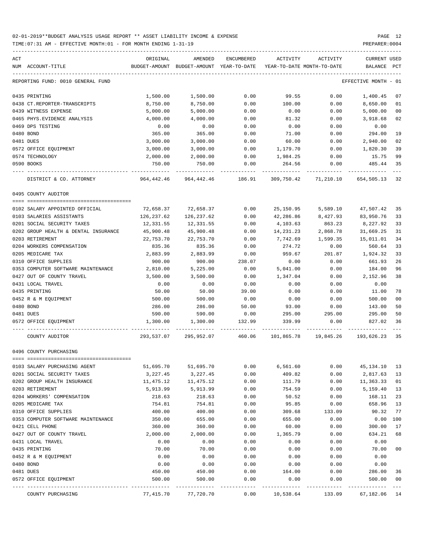| ACT<br>NUM ACCOUNT-TITLE             | ORIGINAL<br>BUDGET-AMOUNT | AMENDED<br>BUDGET-AMOUNT YEAR-TO-DATE | ENCUMBERED   | ACTIVITY<br>YEAR-TO-DATE MONTH-TO-DATE | ACTIVITY     | CURRENT USED<br>BALANCE | PCT      |
|--------------------------------------|---------------------------|---------------------------------------|--------------|----------------------------------------|--------------|-------------------------|----------|
| REPORTING FUND: 0010 GENERAL FUND    |                           |                                       |              |                                        |              | EFFECTIVE MONTH         | - 01     |
| 0435 PRINTING                        | 1,500.00                  | 1,500.00                              | 0.00         | 99.55                                  | 0.00         | 1,400.45                | 07       |
| 0438 CT.REPORTER-TRANSCRIPTS         | 8,750.00                  | 8,750.00                              | 0.00         | 100.00                                 | 0.00         | 8,650.00                | 01       |
| 0439 WITNESS EXPENSE                 | 5,000.00                  | 5,000.00                              | 0.00         | 0.00                                   | 0.00         | 5,000.00                | 00       |
| 0465 PHYS. EVIDENCE ANALYSIS         | 4,000.00                  | 4,000.00                              | 0.00         | 81.32                                  | 0.00         | 3,918.68                | 02       |
| 0469 DPS TESTING                     | 0.00                      | 0.00                                  | 0.00         | 0.00                                   | 0.00         | 0.00                    |          |
| 0480 BOND                            | 365.00                    | 365.00                                | 0.00         | 71.00                                  | 0.00         | 294.00                  | 19       |
| 0481 DUES                            | 3,000.00                  | 3,000.00                              | 0.00         | 60.00                                  | 0.00         | 2,940.00                | 02       |
| 0572 OFFICE EQUIPMENT                | 3,000.00                  | 3,000.00                              | 0.00         | 1,179.70                               | 0.00         | 1,820.30                | 39       |
| 0574 TECHNOLOGY                      | 2,000.00                  | 2,000.00                              | 0.00         | 1,984.25                               | 0.00         | 15.75                   | 99       |
| 0590 BOOKS                           | 750.00                    | 750.00                                | 0.00         | 264.56                                 | 0.00         | 485.44                  | 35       |
| DISTRICT & CO. ATTORNEY              | 964,442.46                | 964,442.46                            | 186.91       | 309,750.42                             | 71,210.10    | 654,505.13              | 32       |
| 0495 COUNTY AUDITOR                  |                           |                                       |              |                                        |              |                         |          |
|                                      |                           |                                       |              |                                        |              |                         |          |
| 0102 SALARY APPOINTED OFFICIAL       | 72,658.37                 | 72,658.37                             | 0.00         | 25,150.95                              | 5,589.10     | 47,507.42               | 35       |
| 0103 SALARIES ASSISTANTS             | 126,237.62                | 126,237.62                            | 0.00         | 42,286.86                              | 8,427.93     | 83,950.76               | 33       |
| 0201 SOCIAL SECURITY TAXES           | 12,331.55                 | 12,331.55                             | 0.00         | 4,103.63                               | 863.23       | 8,227.92                | 33       |
| 0202 GROUP HEALTH & DENTAL INSURANCE | 45,900.48                 | 45,900.48                             | 0.00         | 14,231.23                              | 2,868.78     | 31,669.25               | 31       |
| 0203 RETIREMENT                      | 22,753.70                 | 22,753.70                             | 0.00         | 7,742.69                               | 1,599.35     | 15,011.01               | 34       |
| 0204 WORKERS COMPENSATION            | 835.36                    | 835.36                                | 0.00         | 274.72                                 | 0.00         | 560.64                  | 33       |
| 0205 MEDICARE TAX                    | 2,883.99                  | 2,883.99                              | 0.00         | 959.67                                 | 201.87       | 1,924.32                | 33       |
| 0310 OFFICE SUPPLIES                 | 900.00                    | 900.00                                | 238.07       | 0.00                                   | 0.00         | 661.93                  | 26       |
| 0353 COMPUTER SOFTWARE MAINTENANCE   | 2,810.00                  | 5,225.00                              | 0.00         | 5,041.00                               | 0.00         | 184.00                  | 96       |
| 0427 OUT OF COUNTY TRAVEL            | 3,500.00                  | 3,500.00                              | 0.00         | 1,347.04                               | 0.00         | 2,152.96                | 38       |
| 0431 LOCAL TRAVEL                    | 0.00                      | 0.00                                  | 0.00         | 0.00                                   | 0.00         | 0.00                    |          |
| 0435 PRINTING                        | 50.00                     | 50.00                                 | 39.00        | 0.00                                   | 0.00         | 11.00                   | 78       |
| 0452 R & M EQUIPMENT                 | 500.00                    | 500.00                                | 0.00         | 0.00                                   | 0.00         | 500.00                  | 00       |
| 0480 BOND                            | 286.00                    | 286.00                                | 50.00        | 93.00                                  | 0.00         | 143.00                  | 50       |
| 0481 DUES                            | 590.00                    | 590.00                                | 0.00         | 295.00                                 | 295.00       | 295.00                  | 50       |
| 0572 OFFICE EQUIPMENT                | 1,300.00                  | 1,300.00                              | 132.99       | 339.99                                 | 0.00         | 827.02                  | 36       |
| COUNTY AUDITOR                       | 293,537.07                | 295,952.07                            | 460.06       | 101,865.78                             | 19,845.26    | 193,626.23              | 35       |
| 0496 COUNTY PURCHASING               |                           |                                       |              |                                        |              |                         |          |
| 0103 SALARY PURCHASING AGENT         | 51,695.70                 | 51,695.70                             | 0.00         | 6,561.60                               | 0.00         | 45,134.10               | 13       |
| 0201 SOCIAL SECURITY TAXES           | 3,227.45                  | 3,227.45                              | 0.00         | 409.82                                 | 0.00         | 2,817.63                | 13       |
| 0202 GROUP HEALTH INSURANCE          | 11,475.12                 | 11,475.12                             | 0.00         | 111.79                                 | 0.00         | 11,363.33               | 01       |
| 0203 RETIREMENT                      | 5,913.99                  | 5,913.99                              | 0.00         | 754.59                                 | 0.00         | 5,159.40                | 13       |
| 0204 WORKERS' COMPENSATION           | 218.63                    | 218.63                                | 0.00         | 50.52                                  | 0.00         | 168.11                  | 23       |
| 0205 MEDICARE TAX                    | 754.81                    | 754.81                                | 0.00         | 95.85                                  | 0.00         | 658.96                  | 13       |
| 0310 OFFICE SUPPLIES                 | 400.00                    | 400.00                                | 0.00         | 309.68                                 | 133.09       | 90.32                   | 77       |
| 0353 COMPUTER SOFTWARE MAINTENANCE   | 350.00                    | 655.00                                | 0.00         | 655.00                                 | 0.00         | 0.00                    | 100      |
| 0421 CELL PHONE                      | 360.00                    | 360.00                                | 0.00         | 60.00                                  | 0.00         | 300.00                  | 17       |
| 0427 OUT OF COUNTY TRAVEL            | 2,000.00                  | 2,000.00                              | 0.00         | 1,365.79                               | 0.00         | 634.21                  | 68       |
| 0431 LOCAL TRAVEL                    | 0.00                      | 0.00                                  | 0.00         | 0.00                                   | 0.00         | 0.00                    |          |
| 0435 PRINTING                        | 70.00                     | 70.00                                 | 0.00         | 0.00                                   | 0.00         | 70.00                   | 00       |
| 0452 R & M EQUIPMENT                 |                           |                                       |              |                                        | 0.00         | 0.00                    |          |
|                                      |                           |                                       |              |                                        |              |                         |          |
|                                      | 0.00                      | 0.00                                  | 0.00         | 0.00                                   |              |                         |          |
| 0480 BOND                            | 0.00                      | 0.00                                  | 0.00         | 0.00                                   | 0.00         | 0.00                    |          |
| 0481 DUES<br>0572 OFFICE EQUIPMENT   | 450.00<br>500.00          | 450.00<br>500.00                      | 0.00<br>0.00 | 164.00<br>0.00                         | 0.00<br>0.00 | 286.00<br>500.00        | 36<br>00 |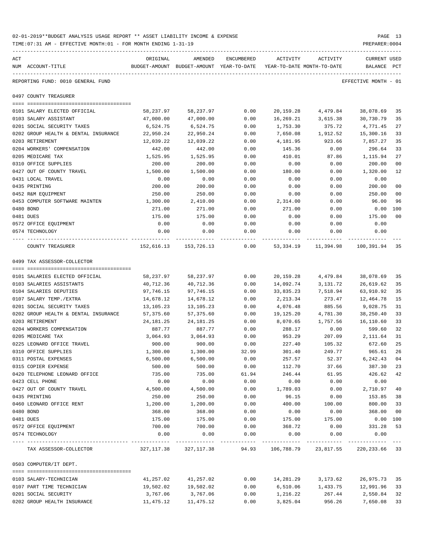| 02-01-2019**BUDGET ANALYSIS USAGE REPORT ** ASSET LIABILITY INCOME & EXPENSE | PAGE           |  |
|------------------------------------------------------------------------------|----------------|--|
| TIME: 07:31 AM - EFFECTIVE MONTH: 01 - FOR MONTH ENDING 1-31-19              | PREPARER: 0004 |  |

| ACT |                                      | ORIGINAL    | AMENDED                                  | ENCUMBERED     | ACTIVITY                   | ACTIVITY              | CURRENT USED         |              |
|-----|--------------------------------------|-------------|------------------------------------------|----------------|----------------------------|-----------------------|----------------------|--------------|
|     | NUM ACCOUNT-TITLE                    |             | BUDGET-AMOUNT BUDGET-AMOUNT YEAR-TO-DATE |                | YEAR-TO-DATE MONTH-TO-DATE |                       | BALANCE              | $_{\rm PCT}$ |
|     | REPORTING FUND: 0010 GENERAL FUND    |             |                                          |                |                            |                       | EFFECTIVE MONTH - 01 |              |
|     | 0497 COUNTY TREASURER                |             |                                          |                |                            |                       |                      |              |
|     | 0101 SALARY ELECTED OFFICIAL         | 58,237.97   | 58,237.97                                | 0.00           | 20,159.28                  | 4,479.84              | 38,078.69            | 35           |
|     | 0103 SALARY ASSISTANT                | 47,000.00   | 47,000.00                                | 0.00           | 16,269.21                  | 3,615.38              | 30,730.79            | 35           |
|     | 0201 SOCIAL SECURITY TAXES           | 6,524.75    | 6,524.75                                 | 0.00           | 1,753.30                   | 375.72                | 4,771.45             | 27           |
|     | 0202 GROUP HEALTH & DENTAL INSURANCE | 22,950.24   | 22,950.24                                | 0.00           | 7,650.08                   | 1,912.52              | 15,300.16            | 33           |
|     | 0203 RETIREMENT                      | 12,039.22   | 12,039.22                                | 0.00           | 4,181.95                   | 923.66                | 7,857.27             | 35           |
|     | 0204 WORKERS' COMPENSATION           | 442.00      | 442.00                                   | 0.00           | 145.36                     | 0.00                  | 296.64               | 33           |
|     | 0205 MEDICARE TAX                    | 1,525.95    | 1,525.95                                 | 0.00           | 410.01                     | 87.86                 | 1,115.94             | 27           |
|     | 0310 OFFICE SUPPLIES                 | 200.00      | 200.00                                   | 0.00           | 0.00                       | 0.00                  | 200.00               | 00           |
|     | 0427 OUT OF COUNTY TRAVEL            | 1,500.00    | 1,500.00                                 | 0.00           | 180.00                     | 0.00                  | 1,320.00             | 12           |
|     | 0431 LOCAL TRAVEL                    | 0.00        | 0.00                                     | 0.00           | 0.00                       | 0.00                  | 0.00                 |              |
|     | 0435 PRINTING                        | 200.00      | 200.00                                   | 0.00           | 0.00                       | 0.00                  | 200.00               | 00           |
|     | 0452 R&M EQUIPMENT                   | 250.00      | 250.00                                   | 0.00           | 0.00                       | 0.00                  | 250.00               | 00           |
|     | 0453 COMPUTER SOFTWARE MAINTEN       | 1,300.00    | 2,410.00                                 | 0.00           | 2,314.00                   | 0.00                  | 96.00                | 96           |
|     | 0480 BOND                            | 271.00      | 271.00                                   | 0.00           | 271.00                     | 0.00                  | 0.00                 | 100          |
|     | 0481 DUES                            | 175.00      | 175.00                                   | 0.00           | 0.00                       | 0.00                  | 175.00               | 00           |
|     | 0572 OFFICE EQUIPMENT                | 0.00        | 0.00                                     | 0.00           | 0.00                       | 0.00                  | 0.00                 |              |
|     | 0574 TECHNOLOGY                      | 0.00        | 0.00                                     | 0.00           | 0.00                       | 0.00                  | 0.00                 |              |
|     | COUNTY TREASURER                     | 152,616.13  | 153,726.13                               | 0.00           | 53,334.19                  | 11,394.98             | 100,391.94 35        |              |
|     | 0499 TAX ASSESSOR-COLLECTOR          |             |                                          |                |                            |                       |                      |              |
|     |                                      |             |                                          |                |                            |                       |                      |              |
|     | 0101 SALARIES ELECTED OFFICIAL       | 58,237.97   | 58,237.97                                | 0.00           | 20,159.28                  | 4,479.84              | 38,078.69            | 35           |
|     | 0103 SALARIES ASSISTANTS             | 40,712.36   | 40,712.36                                | 0.00           | 14,092.74                  | 3,131.72              | 26,619.62            | 35           |
|     | 0104 SALARIES DEPUTIES               | 97,746.15   | 97,746.15                                | 0.00           | 33,835.23                  | 7,518.94              | 63,910.92            | 35           |
|     | 0107 SALARY TEMP./EXTRA              | 14,678.12   | 14,678.12                                | 0.00           | 2,213.34                   | 273.47                | 12,464.78            | 15           |
|     | 0201 SOCIAL SECURITY TAXES           | 13,105.23   | 13,105.23                                | 0.00           | 4,076.48                   | 885.56                | 9,028.75             | 31           |
|     | 0202 GROUP HEALTH & DENTAL INSURANCE | 57,375.60   | 57,375.60                                | 0.00           | 19,125.20                  | 4,781.30              | 38,250.40            | 33           |
|     | 0203 RETIREMENT                      | 24, 181. 25 | 24, 181. 25                              | 0.00           | 8,070.65                   | 1,757.56              | 16,110.60            | 33           |
|     | 0204 WORKERS COMPENSATION            | 887.77      | 887.77                                   | 0.00           | 288.17                     | 0.00                  | 599.60               | 32           |
|     | 0205 MEDICARE TAX                    | 3,064.93    | 3,064.93                                 | 0.00           | 953.29                     | 207.09                | 2,111.64             | 31           |
|     | 0225 LEONARD OFFICE TRAVEL           | 900.00      | 900.00                                   | 0.00           | 227.40                     | 105.32                | 672.60               | 25           |
|     | 0310 OFFICE SUPPLIES                 | 1,300.00    | 1,300.00                                 | 32.99          | 301.40                     | 249.77                | 965.61               | 26           |
|     | 0311 POSTAL EXPENSES                 | 6,500.00    | 6,500.00                                 | 0.00           | 257.57                     | 52.37                 | 6, 242.43 04         |              |
|     | 0315 COPIER EXPENSE                  | 500.00      | 500.00                                   | 0.00           | 112.70                     | 37.66                 | 387.30               | 23           |
|     | 0420 TELEPHONE LEONARD OFFICE        | 735.00      | 735.00                                   | 61.94          | 246.44                     | 61.95                 | 426.62               | 42           |
|     | 0423 CELL PHONE                      | 0.00        | 0.00                                     | 0.00           | 0.00                       | 0.00                  | 0.00                 |              |
|     | 0427 OUT OF COUNTY TRAVEL            | 4,500.00    | 4,500.00                                 | 0.00           | 1,789.03                   | 0.00                  | 2,710.97             | 40           |
|     | 0435 PRINTING                        | 250.00      | 250.00                                   | 0.00           | 96.15                      | 0.00                  | 153.85               | 38           |
|     | 0460 LEONARD OFFICE RENT             | 1,200.00    | 1,200.00                                 | 0.00           | 400.00                     | 100.00                | 800.00               | 33           |
|     | 0480 BOND                            | 368.00      | 368.00                                   | 0.00           | 0.00                       | 0.00                  | 368.00               | 00           |
|     | 0481 DUES                            | 175.00      | 175.00                                   | 0.00           | 175.00                     | 175.00                | $0.00$ 100           |              |
|     | 0572 OFFICE EQUIPMENT                | 700.00      | 700.00                                   | 0.00           | 368.72                     | 0.00                  | 331.28               | 53           |
|     | 0574 TECHNOLOGY                      | 0.00        | 0.00<br>-----------                      | 0.00<br>------ | 0.00                       | 0.00<br>------------- | 0.00<br>-----------  |              |
|     | TAX ASSESSOR-COLLECTOR               |             | 327, 117.38 327, 117.38                  | 94.93          | 106,788.79                 | 23,817.55             | 220, 233.66 33       |              |
|     | 0503 COMPUTER/IT DEPT.               |             |                                          |                |                            |                       |                      |              |
|     | 0103 SALARY-TECHNICIAN               | 41,257.02   | 41,257.02                                | 0.00           | 14,281.29                  | 3,173.62              | 26,975.73 35         |              |
|     | 0107 PART TIME TECHNICIAN            | 19,502.02   | 19,502.02                                | 0.00           | 6,510.06                   | 1,433.75              | 12,991.96 33         |              |
|     | 0201 SOCIAL SECURITY                 | 3,767.06    | 3,767.06                                 | 0.00           | 1,216.22                   | 267.44                | 2,550.84             | 32           |
|     |                                      |             |                                          |                |                            |                       |                      |              |

0201 SOCIAL SECURITY 3,767.06 3,767.06 0.00 1,216.22 267.44 2,550.84 32 0202 GROUP HEALTH INSURANCE 11,475.12 11,475.12 0.00 3,825.04 956.26 7,650.08 33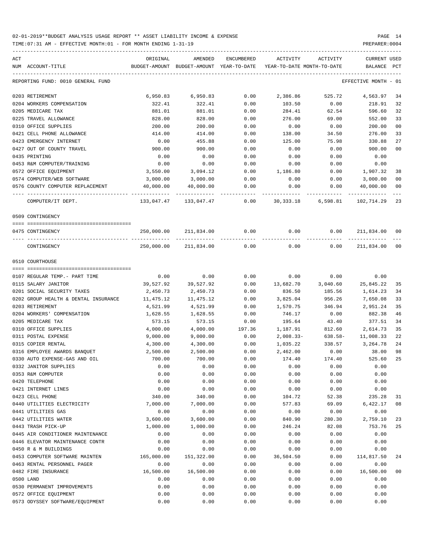| ACT | NUM ACCOUNT-TITLE                      | ORIGINAL   | AMENDED<br>BUDGET-AMOUNT BUDGET-AMOUNT YEAR-TO-DATE | ENCUMBERED |              | ACTIVITY ACTIVITY<br>YEAR-TO-DATE MONTH-TO-DATE | CURRENT USED<br>BALANCE PCT |                |
|-----|----------------------------------------|------------|-----------------------------------------------------|------------|--------------|-------------------------------------------------|-----------------------------|----------------|
|     | REPORTING FUND: 0010 GENERAL FUND      |            |                                                     |            |              |                                                 | EFFECTIVE MONTH - 01        |                |
|     | 0203 RETIREMENT                        | 6,950.83   | 6,950.83                                            | 0.00       | 2,386.86     | 525.72                                          | 4,563.97                    | 34             |
|     | 0204 WORKERS COMPENSATION              | 322.41     | 322.41                                              | 0.00       | 103.50       | 0.00                                            | 218.91                      | 32             |
|     | 0205 MEDICARE TAX                      | 881.01     | 881.01                                              | 0.00       | 284.41       | 62.54                                           | 596.60                      | 32             |
|     | 0225 TRAVEL ALLOWANCE                  | 828.00     | 828.00                                              | 0.00       | 276.00       | 69.00                                           | 552.00                      | 33             |
|     | 0310 OFFICE SUPPLIES                   | 200.00     | 200.00                                              | 0.00       | 0.00         | 0.00                                            | 200.00                      | 0 <sub>0</sub> |
|     | 0421 CELL PHONE ALLOWANCE              | 414.00     | 414.00                                              | 0.00       | 138.00       | 34.50                                           | 276.00                      | 33             |
|     | 0423 EMERGENCY INTERNET                | 0.00       | 455.88                                              | 0.00       | 125.00       | 75.98                                           | 330.88                      | 27             |
|     | 0427 OUT OF COUNTY TRAVEL              | 900.00     | 900.00                                              | 0.00       | 0.00         | 0.00                                            | 900.00                      | 0 <sub>0</sub> |
|     | 0435 PRINTING                          | 0.00       | 0.00                                                | 0.00       | 0.00         | 0.00                                            | 0.00                        |                |
|     | 0453 R&M COMPUTER/TRAINING             | 0.00       | 0.00                                                | 0.00       | 0.00         | 0.00                                            | 0.00                        |                |
|     | 0572 OFFICE EQUIPMENT                  | 3,550.00   | 3,094.12                                            | 0.00       | 1,186.80     | 0.00                                            | 1,907.32                    | 38             |
|     | 0574 COMPUTER/WEB SOFTWARE             | 3,000.00   | 3,000.00                                            | 0.00       | 0.00         | 0.00                                            | 3,000.00                    | 0 <sub>0</sub> |
|     | 0576 COUNTY COMPUTER REPLACEMENT       | 40,000.00  | 40,000.00                                           | 0.00       | 0.00         | 0.00                                            | 40,000.00                   | 0 <sub>0</sub> |
|     |                                        |            |                                                     |            |              |                                                 |                             |                |
|     | COMPUTER/IT DEPT.                      |            | 133,047.47 133,047.47                               | 0.00       |              | 30,333.18 6,598.81                              | 102,714.29                  | 23             |
|     | 0509 CONTINGENCY                       |            |                                                     |            |              |                                                 |                             |                |
|     | 0475 CONTINGENCY                       |            | 250,000.00 211,834.00                               | 0.00       | 0.00         | 0.00                                            | 211,834.00                  | 00             |
|     | CONTINGENCY                            |            | 250,000.00 211,834.00                               | 0.00       | 0.00         | 0.00                                            | 211,834.00                  | 0 <sub>0</sub> |
|     | 0510 COURTHOUSE                        |            |                                                     |            |              |                                                 |                             |                |
|     | 0107 REGULAR TEMP.- PART TIME          | 0.00       | 0.00                                                | 0.00       | 0.00         | 0.00                                            | 0.00                        |                |
|     | 0115 SALARY JANITOR                    | 39,527.92  | 39,527.92                                           | 0.00       | 13,682.70    | 3,040.60                                        | 25,845.22                   | 35             |
|     | 0201 SOCIAL SECURITY TAXES             | 2,450.73   | 2,450.73                                            | 0.00       | 836.50       | 185.56                                          | 1,614.23                    | 34             |
|     | 0202 GROUP HEALTH & DENTAL INSURANCE   | 11,475.12  | 11,475.12                                           | 0.00       | 3,825.04     | 956.26                                          | 7,650.08                    | 33             |
|     | 0203 RETIREMENT                        | 4,521.99   | 4,521.99                                            | 0.00       | 1,570.75     | 346.94                                          | 2,951.24                    | 35             |
|     | 0204 WORKERS' COMPENSATION             | 1,628.55   | 1,628.55                                            | 0.00       | 746.17       | 0.00                                            | 882.38                      | 46             |
|     | 0205 MEDICARE TAX                      | 573.15     | 573.15                                              | 0.00       | 195.64       | 43.40                                           | 377.51                      | 34             |
|     | 0310 OFFICE SUPPLIES                   | 4,000.00   | 4,000.00                                            | 197.36     | 1,187.91     | 812.60                                          | 2,614.73                    | 35             |
|     | 0311 POSTAL EXPENSE                    | 9,000.00   | 9,000.00                                            | 0.00       | $2,008.33 -$ | 638.58-                                         | 11,008.33                   | 22             |
|     | 0315 COPIER RENTAL                     | 4,300.00   | 4,300.00                                            | 0.00       | 1,035.22     | 338.57                                          | 3,264.78                    | 24             |
|     | 0316 EMPLOYEE AWARDS BANQUET           | 2,500.00   | 2,500.00                                            | 0.00       | 2,462.00     | 0.00                                            | 38.00                       | 98             |
|     | 0330 AUTO EXPENSE-GAS AND OIL          | 700.00     | 700.00                                              | 0.00       | 174.40       | 174.40                                          | 525.60                      | 25             |
|     | 0332 JANITOR SUPPLIES                  | 0.00       | 0.00                                                | 0.00       | 0.00         | 0.00                                            | 0.00                        |                |
|     | 0353 R&M COMPUTER                      | 0.00       | 0.00                                                | 0.00       | 0.00         | 0.00                                            | 0.00                        |                |
|     | 0420 TELEPHONE                         | 0.00       | 0.00                                                | 0.00       | 0.00         | 0.00                                            | 0.00                        |                |
|     |                                        | 0.00       | 0.00                                                | 0.00       | 0.00         | 0.00                                            | 0.00                        |                |
|     | 0421 INTERNET LINES<br>0423 CELL PHONE | 340.00     | 340.00                                              | 0.00       | 104.72       | 52.38                                           |                             |                |
|     |                                        |            |                                                     |            |              |                                                 | 235.28                      | 31             |
|     | 0440 UTILITIES ELECTRICITY             | 7,000.00   | 7,000.00                                            | 0.00       | 577.83       | 69.09                                           | 6,422.17                    | 08             |
|     | 0441 UTILITIES GAS                     | 0.00       | 0.00                                                | 0.00       | 0.00         | 0.00                                            | 0.00                        |                |
|     | 0442 UTILITIES WATER                   | 3,600.00   | 3,600.00                                            | 0.00       | 840.90       | 280.30                                          | 2,759.10                    | 23             |
|     | 0443 TRASH PICK-UP                     | 1,000.00   | 1,000.00                                            | 0.00       | 246.24       | 82.08                                           | 753.76                      | 25             |
|     | 0445 AIR CONDITIONER MAINTENANCE       | 0.00       | 0.00                                                | 0.00       | 0.00         | 0.00                                            | 0.00                        |                |
|     | 0446 ELEVATOR MAINTENANCE CONTR        | 0.00       | 0.00                                                | 0.00       | 0.00         | 0.00                                            | 0.00                        |                |
|     | 0450 R & M BUILDINGS                   | 0.00       | 0.00                                                | 0.00       | 0.00         | 0.00                                            | 0.00                        |                |
|     | 0453 COMPUTER SOFTWARE MAINTEN         | 165,000.00 | 151,322.00                                          | 0.00       | 36,504.50    | 0.00                                            | 114,817.50                  | 24             |
|     | 0463 RENTAL PERSONNEL PAGER            | 0.00       | 0.00                                                | 0.00       | 0.00         | 0.00                                            | 0.00                        |                |
|     | 0482 FIRE INSURANCE                    | 16,500.00  | 16,500.00                                           | 0.00       | 0.00         | 0.00                                            | 16,500.00                   | 00             |
|     | 0500 LAND                              | 0.00       | 0.00                                                | 0.00       | 0.00         | 0.00                                            | 0.00                        |                |
|     | 0530 PERMANENT IMPROVEMENTS            | 0.00       | 0.00                                                | 0.00       | 0.00         | 0.00                                            | 0.00                        |                |
|     | 0572 OFFICE EQUIPMENT                  | 0.00       | 0.00                                                | 0.00       | 0.00         | 0.00                                            | 0.00                        |                |
|     | 0573 ODYSSEY SOFTWARE/EQUIPMENT        | 0.00       | 0.00                                                | 0.00       | 0.00         | 0.00                                            | 0.00                        |                |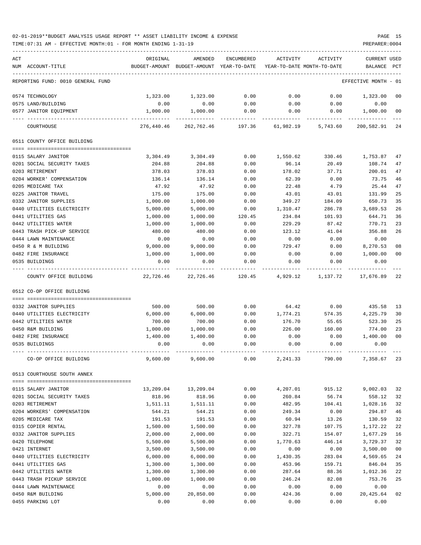TIME:07:31 AM - EFFECTIVE MONTH:01 - FOR MONTH ENDING 1-31-19 PREPARER:0004

| ACT                               | ORIGINAL   | AMENDED                                                             | ENCUMBERED | ACTIVITY  | ACTIVITY | <b>CURRENT USED</b>  |                |
|-----------------------------------|------------|---------------------------------------------------------------------|------------|-----------|----------|----------------------|----------------|
| NUM ACCOUNT-TITLE                 |            | BUDGET-AMOUNT BUDGET-AMOUNT YEAR-TO-DATE YEAR-TO-DATE MONTH-TO-DATE |            |           |          | BALANCE PCT          |                |
| REPORTING FUND: 0010 GENERAL FUND |            |                                                                     |            |           |          | EFFECTIVE MONTH - 01 |                |
| 0574 TECHNOLOGY                   | 1,323.00   | 1,323.00                                                            | 0.00       | 0.00      | 0.00     | 1,323.00             | 00             |
| 0575 LAND/BUILDING                | 0.00       | 0.00                                                                | 0.00       | 0.00      | 0.00     | 0.00                 |                |
| 0577 JANITOR EQUIPMENT            | 1,000.00   | 1,000.00                                                            | 0.00       | 0.00      | 0.00     | 1,000.00             | 0 <sub>0</sub> |
| COURTHOUSE                        | 276,440.46 | 262,762.46                                                          | 197.36     | 61,982.19 | 5,743.60 | 200,582.91           | 24             |
| 0511 COUNTY OFFICE BUILDING       |            |                                                                     |            |           |          |                      |                |
| 0115 SALARY JANITOR               | 3,304.49   | 3,304.49                                                            | 0.00       | 1,550.62  | 330.46   | 1,753.87             | 47             |
| 0201 SOCIAL SECURITY TAXES        | 204.88     | 204.88                                                              | 0.00       | 96.14     | 20.49    | 108.74               | 47             |
| 0203 RETIREMENT                   | 378.03     | 378.03                                                              | 0.00       | 178.02    | 37.71    | 200.01               | 47             |
| 0204 WORKER' COMPENSATION         | 136.14     | 136.14                                                              | 0.00       | 62.39     | 0.00     | 73.75                | 46             |
| 0205 MEDICARE TAX                 | 47.92      | 47.92                                                               | 0.00       | 22.48     | 4.79     | 25.44                | 47             |
| 0225 JANITOR TRAVEL               | 175.00     | 175.00                                                              | 0.00       | 43.01     | 43.01    | 131.99               | 25             |
| 0332 JANITOR SUPPLIES             | 1,000.00   | 1,000.00                                                            | 0.00       | 349.27    | 184.09   | 650.73               | 35             |
| 0440 UTILITIES ELECTRICITY        | 5,000.00   | 5,000.00                                                            | 0.00       | 1,310.47  | 286.78   | 3,689.53             | 26             |
| 0441 UTILITIES GAS                | 1,000.00   | 1,000.00                                                            | 120.45     | 234.84    | 101.93   | 644.71               | 36             |
| 0442 UTILITIES WATER              | 1,000.00   | 1,000.00                                                            | 0.00       | 229.29    | 87.42    | 770.71               | 23             |
| 0443 TRASH PICK-UP SERVICE        | 480.00     | 480.00                                                              | 0.00       | 123.12    | 41.04    | 356.88               | 26             |
| 0444 LAWN MAINTENANCE             | 0.00       | 0.00                                                                | 0.00       | 0.00      | 0.00     | 0.00                 |                |
| 0450 R & M BUILDING               | 9,000.00   | 9,000.00                                                            | 0.00       | 729.47    | 0.00     | 8,270.53             | 08             |
| 0482 FIRE INSURANCE               | 1,000.00   | 1,000.00                                                            | 0.00       | 0.00      | 0.00     | 1,000.00             | 0 <sub>0</sub> |
| 0535 BUILDINGS                    | 0.00       | 0.00                                                                | 0.00       | 0.00      | 0.00     | 0.00                 |                |
| COUNTY OFFICE BUILDING            | 22,726.46  | 22,726.46                                                           | 120.45     | 4,929.12  | 1,137.72 | 17,676.89            | 22             |
| 0512 CO-OP OFFICE BUILDING        |            |                                                                     |            |           |          |                      |                |
| 0332 JANITOR SUPPLIES             | 500.00     | 500.00                                                              | 0.00       | 64.42     | 0.00     | 435.58               | 13             |
| 0440 UTILITIES ELECTRICITY        | 6,000.00   | 6,000.00                                                            | 0.00       | 1,774.21  | 574.35   | 4,225.79             | 30             |
| 0442 UTILITIES WATER              | 700.00     | 700.00                                                              | 0.00       | 176.70    | 55.65    | 523.30               | 25             |
| 0450 R&M BUILDING                 | 1,000.00   | 1,000.00                                                            | 0.00       | 226.00    | 160.00   | 774.00               | 23             |
| 0482 FIRE INSURANCE               | 1,400.00   | 1,400.00                                                            | 0.00       | 0.00      | 0.00     | 1,400.00             | 0 <sub>0</sub> |
| 0535 BUILDINGS                    | 0.00       | 0.00                                                                | 0.00       | 0.00      | 0.00     | 0.00                 |                |
|                                   |            |                                                                     |            |           |          |                      |                |
| CO-OP OFFICE BUILDING             | 9,600.00   | 9,600.00                                                            | 0.00       | 2,241.33  | 790.00   | 7,358.67             | 23             |
| 0513 COURTHOUSE SOUTH ANNEX       |            |                                                                     |            |           |          |                      |                |
| 0115 SALARY JANITOR               | 13,209.04  | 13,209.04                                                           | 0.00       | 4,207.01  | 915.12   | 9,002.03             | 32             |
| 0201 SOCIAL SECURITY TAXES        | 818.96     | 818.96                                                              | 0.00       | 260.84    | 56.74    | 558.12               | 32             |
| 0203 RETIREMENT                   | 1,511.11   | 1,511.11                                                            | 0.00       | 482.95    | 104.41   | 1,028.16             | 32             |
| 0204 WORKERS' COMPENSATION        | 544.21     | 544.21                                                              | 0.00       | 249.34    | 0.00     | 294.87               | 46             |
| 0205 MEDICARE TAX                 | 191.53     | 191.53                                                              | 0.00       | 60.94     | 13.26    | 130.59               | 32             |
| 0315 COPIER RENTAL                | 1,500.00   | 1,500.00                                                            | 0.00       | 327.78    | 107.75   | 1,172.22             | 22             |
| 0332 JANITOR SUPPLIES             | 2,000.00   | 2,000.00                                                            | 0.00       | 322.71    | 154.07   | 1,677.29             | 16             |
| 0420 TELEPHONE                    | 5,500.00   | 5,500.00                                                            | 0.00       | 1,770.63  | 446.14   | 3,729.37             | 32             |
| 0421 INTERNET                     | 3,500.00   | 3,500.00                                                            | 0.00       | 0.00      | 0.00     | 3,500.00             | 00             |
| 0440 UTILITIES ELECTRICITY        | 6,000.00   | 6,000.00                                                            | 0.00       | 1,430.35  | 283.04   | 4,569.65             | 24             |
| 0441 UTILITIES GAS                | 1,300.00   | 1,300.00                                                            | 0.00       | 453.96    | 159.71   | 846.04               | 35             |
| 0442 UTILITIES WATER              | 1,300.00   | 1,300.00                                                            | 0.00       | 287.64    | 88.36    | 1,012.36             | 22             |
| 0443 TRASH PICKUP SERVICE         | 1,000.00   | 1,000.00                                                            | 0.00       | 246.24    | 82.08    | 753.76               | 25             |
| 0444 LAWN MAINTENANCE             | 0.00       | 0.00                                                                | 0.00       | 0.00      | 0.00     | 0.00                 |                |
| 0450 R&M BUILDING                 | 5,000.00   | 20,850.00                                                           | 0.00       | 424.36    | 0.00     | 20,425.64            | 02             |
|                                   |            |                                                                     |            |           |          |                      |                |

0455 PARKING LOT 0.00 0.00 0.00 0.00 0.00 0.00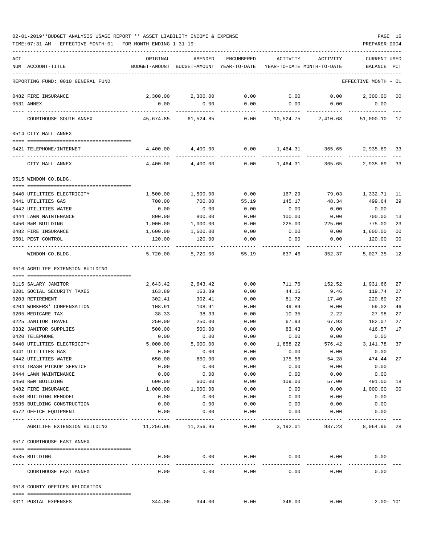| 02-01-2019**BUDGET ANALYSIS USAGE REPORT ** ASSET LIABILITY INCOME & EXPENSE |  |  |  | PAGE |  |
|------------------------------------------------------------------------------|--|--|--|------|--|
|                                                                              |  |  |  |      |  |

| ACT |                                                  | ORIGINAL           | AMENDED                                  | ENCUMBERED          | ACTIVITY                   | ACTIVITY       | <b>CURRENT USED</b>  |              |
|-----|--------------------------------------------------|--------------------|------------------------------------------|---------------------|----------------------------|----------------|----------------------|--------------|
|     | NUM ACCOUNT-TITLE                                |                    | BUDGET-AMOUNT BUDGET-AMOUNT YEAR-TO-DATE |                     | YEAR-TO-DATE MONTH-TO-DATE |                | BALANCE              | PCT          |
|     |                                                  |                    |                                          |                     |                            |                |                      |              |
|     | REPORTING FUND: 0010 GENERAL FUND                |                    |                                          |                     |                            |                | EFFECTIVE MONTH - 01 |              |
|     | 0482 FIRE INSURANCE                              | 2,300.00           | 2,300.00                                 | 0.00                | 0.00                       | 0.00           | 2,300.00             | 00           |
|     | 0531 ANNEX                                       | 0.00               | 0.00                                     | 0.00                | 0.00                       | 0.00           | 0.00                 |              |
|     |                                                  |                    |                                          |                     |                            |                |                      |              |
|     | COURTHOUSE SOUTH ANNEX                           | 45,674.85          | 61,524.85                                | 0.00                | 10,524.75                  | 2,410.68       | 51,000.10 17         |              |
|     | 0514 CITY HALL ANNEX                             |                    |                                          |                     |                            |                |                      |              |
|     | 0421 TELEPHONE/INTERNET                          | 4,400.00           | 4,400.00                                 |                     | $0.00$ 1,464.31 365.65     |                | 2,935.69 33          |              |
|     | CITY HALL ANNEX                                  | 4,400.00           | 4,400.00                                 |                     | $0.00$ 1,464.31            | 365.65         | 2,935.69 33          |              |
|     | 0515 WINDOM CO.BLDG.                             |                    |                                          |                     |                            |                |                      |              |
|     |                                                  |                    |                                          |                     |                            |                | 1,332.71             |              |
|     | 0440 UTILITIES ELECTRICITY<br>0441 UTILITIES GAS | 1,500.00<br>700.00 | 1,500.00<br>700.00                       | 0.00<br>55.19       | 167.29<br>145.17           | 79.03<br>48.34 | 499.64               | 11<br>29     |
|     |                                                  | 0.00               |                                          |                     | 0.00                       |                |                      |              |
|     | 0442 UTILITIES WATER<br>0444 LAWN MAINTENANCE    | 800.00             | 0.00<br>800.00                           | 0.00<br>0.00        |                            | 0.00<br>0.00   | 0.00<br>700.00       | 13           |
|     | 0450 R&M BUILDING                                |                    | 1,000.00                                 |                     | 100.00                     | 225.00         | 775.00               | 23           |
|     |                                                  | 1,000.00           |                                          | 0.00                | 225.00                     |                |                      |              |
|     | 0482 FIRE INSURANCE                              | 1,600.00           | 1,600.00                                 | 0.00                | 0.00                       | 0.00           | 1,600.00             | 00           |
|     | 0501 PEST CONTROL                                | 120.00             | 120.00                                   | 0.00                | 0.00                       | 0.00           | 120.00               | 00           |
|     | WINDOM CO.BLDG.                                  | 5,720.00           | 5,720.00                                 | 55.19               | 637.46                     | 352.37         | 5,027.35             | 12           |
|     | 0516 AGRILIFE EXTENSION BUILDING                 |                    |                                          |                     |                            |                |                      |              |
|     |                                                  |                    |                                          |                     |                            |                |                      |              |
|     | 0115 SALARY JANITOR                              | 2,643.42           | 2,643.42                                 | 0.00                | 711.76                     | 152.52         | 1,931.66             | 27           |
|     | 0201 SOCIAL SECURITY TAXES                       | 163.89             | 163.89                                   | 0.00                | 44.15                      | 9.46           | 119.74               | 27           |
|     | 0203 RETIREMENT                                  | 302.41             | 302.41                                   | 0.00                | 81.72                      | 17.40          | 220.69               | 27           |
|     | 0204 WORKERS' COMPENSATION                       | 108.91             | 108.91                                   | 0.00                | 49.89                      | 0.00           | 59.02                | 46           |
|     | 0205 MEDICARE TAX                                | 38.33              | 38.33                                    | 0.00                | 10.35                      | 2.22           | 27.98                | 27           |
|     | 0225 JANITOR TRAVEL                              | 250.00             | 250.00                                   | 0.00                | 67.93                      | 67.93          | 182.07               | 27           |
|     | 0332 JANITOR SUPPLIES                            | 500.00             | 500.00                                   | 0.00                | 83.43                      | 0.00           | 416.57               | 17           |
|     | 0420 TELEPHONE                                   | 0.00               | 0.00                                     | 0.00                | 0.00                       | 0.00           | 0.00                 |              |
|     | 0440 UTILITIES ELECTRICITY                       | 5,000.00           | 5,000.00                                 | 0.00                | 1,858.22                   | 576.42         | 3, 141.78            | 37           |
|     | 0441 UTILITIES GAS                               | 0.00               | 0.00                                     | 0.00                | 0.00                       | 0.00           | 0.00                 |              |
|     | 0442 UTILITIES WATER                             | 650.00             | 650.00                                   | 0.00                | 175.56                     | 54.28          | 474.44               | 27           |
|     | 0443 TRASH PICKUP SERVICE                        | 0.00               | 0.00                                     | 0.00                | 0.00                       | 0.00           | 0.00                 |              |
|     | 0444 LAWN MAINTENANCE                            | 0.00               | 0.00                                     | 0.00                | 0.00                       | 0.00           | 0.00                 |              |
|     | 0450 R&M BUILDING                                | 600.00             | 600.00                                   | 0.00                | 109.00                     | 57.00          | 491.00               | 18           |
|     | 0482 FIRE INSURANCE                              | 1,000.00           | 1,000.00                                 | 0.00                | 0.00                       | 0.00           | 1,000.00             | 00           |
|     | 0530 BUILDING REMODEL                            | 0.00               | 0.00                                     | 0.00                | 0.00                       | 0.00           | 0.00                 |              |
|     | 0535 BUILDING CONSTRUCTION                       | 0.00               | 0.00                                     | 0.00                | 0.00                       | 0.00           | 0.00                 |              |
|     | 0572 OFFICE EQUIPMENT                            | 0.00               | 0.00                                     | 0.00                | 0.00                       | 0.00           | 0.00                 |              |
|     | AGRILIFE EXTENSION BUILDING 11,256.96 11,256.96  |                    |                                          | -----------<br>0.00 | 3,192.01                   | 937.23         | 8,064.95 28          |              |
|     | 0517 COURTHOUSE EAST ANNEX                       |                    |                                          |                     |                            |                |                      |              |
|     | 0535 BUILDING                                    | 0.00               |                                          | $0.00$ 0.00         | 0.00                       |                | 0.00<br>0.00         |              |
|     |                                                  |                    |                                          |                     | ------------               |                |                      |              |
|     | COURTHOUSE EAST ANNEX                            | 0.00               | 0.00                                     | 0.00                | 0.00                       | 0.00           | 0.00                 |              |
|     | 0518 COUNTY OFFICES RELOCATION                   |                    |                                          |                     |                            |                |                      |              |
|     |                                                  |                    |                                          |                     |                            |                |                      |              |
|     | 0311 POSTAL EXPENSES                             | 344.00             | 344.00                                   | 0.00                | 346.00                     | 0.00           |                      | $2.00 - 101$ |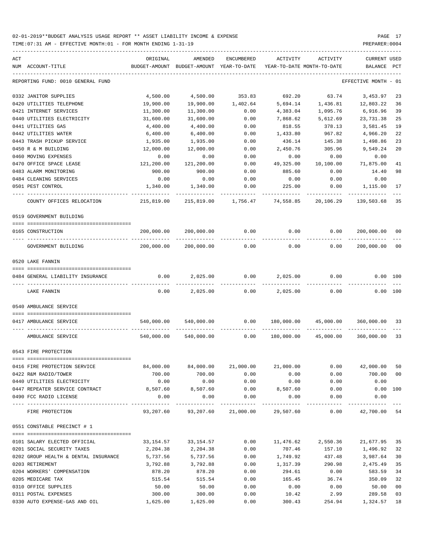| ACT | NUM ACCOUNT-TITLE                    | ORIGINAL<br>BUDGET-AMOUNT | AMENDED<br>BUDGET-AMOUNT YEAR-TO-DATE | ENCUMBERED          | ACTIVITY  | ACTIVITY<br>YEAR-TO-DATE MONTH-TO-DATE                          | <b>CURRENT USED</b><br>BALANCE | PCT |
|-----|--------------------------------------|---------------------------|---------------------------------------|---------------------|-----------|-----------------------------------------------------------------|--------------------------------|-----|
|     |                                      |                           |                                       |                     |           |                                                                 |                                |     |
|     | REPORTING FUND: 0010 GENERAL FUND    |                           |                                       |                     |           |                                                                 | EFFECTIVE MONTH - 01           |     |
|     | 0332 JANITOR SUPPLIES                | 4,500.00                  | 4,500.00                              | 353.83              | 692.20    | 63.74                                                           | 3,453.97                       | 23  |
|     | 0420 UTILITIES TELEPHONE             | 19,900.00                 | 19,900.00                             | 1,402.64            | 5,694.14  | 1,436.81                                                        | 12,803.22                      | 36  |
|     | 0421 INTERNET SERVICES               | 11,300.00                 | 11,300.00                             | 0.00                | 4,383.04  | 1,095.76                                                        | 6,916.96                       | 39  |
|     | 0440 UTILITIES ELECTRICITY           | 31,600.00                 | 31,600.00                             | 0.00                | 7,868.62  | 5,612.69                                                        | 23,731.38                      | 25  |
|     | 0441 UTILITIES GAS                   | 4,400.00                  | 4,400.00                              | 0.00                | 818.55    | 378.13                                                          | 3,581.45                       | 19  |
|     | 0442 UTILITIES WATER                 | 6,400.00                  | 6,400.00                              | 0.00                | 1,433.80  | 967.82                                                          | 4,966.20                       | 22  |
|     | 0443 TRASH PICKUP SERVICE            | 1,935.00                  | 1,935.00                              | 0.00                | 436.14    | 145.38                                                          | 1,498.86                       | 23  |
|     | 0450 R & M BUILDING                  | 12,000.00                 | 12,000.00                             | 0.00                | 2,450.76  | 305.96                                                          | 9,549.24                       | 20  |
|     | 0460 MOVING EXPENSES                 | 0.00                      | 0.00                                  | 0.00                | 0.00      | 0.00                                                            | 0.00                           |     |
|     | 0470 OFFICE SPACE LEASE              | 121,200.00                | 121,200.00                            | 0.00                | 49,325.00 | 10,100.00                                                       | 71,875.00                      | 41  |
|     | 0483 ALARM MONITORING                | 900.00                    | 900.00                                | 0.00                | 885.60    | 0.00                                                            | 14.40                          | 98  |
|     | 0484 CLEANING SERVICES               | 0.00                      | 0.00                                  | 0.00                | 0.00      | 0.00                                                            | 0.00                           |     |
|     | 0501 PEST CONTROL                    | 1,340.00<br>-----------   | 1,340.00                              | 0.00                | 225.00    | 0.00                                                            | 1,115.00                       | 17  |
|     | COUNTY OFFICES RELOCATION            | 215,819.00                |                                       | 215,819.00 1,756.47 | 74,558.85 | 20,106.29                                                       | 139,503.68                     | 35  |
|     | 0519 GOVERNMENT BUILDING             |                           |                                       |                     |           |                                                                 |                                |     |
|     | 0165 CONSTRUCTION                    | 200,000.00                | 200,000.00                            | 0.00                | 0.00      | 0.00                                                            | 200,000.00                     | 00  |
|     | GOVERNMENT BUILDING                  | 200,000.00                | 200,000.00                            | 0.00                | 0.00      | 0.00                                                            | 200,000.00                     | 00  |
|     | 0520 LAKE FANNIN                     |                           |                                       |                     |           |                                                                 |                                |     |
|     |                                      |                           |                                       |                     |           |                                                                 |                                |     |
|     | 0484 GENERAL LIABILITY INSURANCE     | 0.00                      | 2,025.00                              | 0.00                | 2,025.00  | 0.00                                                            | $0.00$ 100                     |     |
|     | LAKE FANNIN                          | 0.00                      | 2,025.00                              | 0.00                | 2,025.00  | 0.00                                                            | 0.00 100                       |     |
|     | 0540 AMBULANCE SERVICE               |                           |                                       |                     |           |                                                                 |                                |     |
|     | 0417 AMBULANCE SERVICE               | 540,000.00                | 540,000.00                            | 0.00                |           | 180,000.00 45,000.00                                            | 360,000.00 33                  |     |
|     | AMBULANCE SERVICE                    | 540,000.00                | 540,000.00                            | 0.00                |           | 180,000.00 45,000.00                                            | 360,000.00 33                  |     |
|     | 0543 FIRE PROTECTION                 |                           |                                       |                     |           |                                                                 |                                |     |
|     | 0416 FIRE PROTECTION SERVICE         | 84,000.00                 |                                       | 84,000.00 21,000.00 | 21,000.00 | 0.00                                                            | 42,000.00                      | 50  |
|     | 0422 R&M RADIO/TOWER                 | 700.00                    | 700.00                                | 0.00                | 0.00      | 0.00                                                            | 700.00                         | 00  |
|     | 0440 UTILITIES ELECTRICITY           | 0.00                      | 0.00                                  | 0.00                | 0.00      | 0.00                                                            | 0.00                           |     |
|     | 0447 REPEATER SERVICE CONTRACT       | 8,507.60                  | 8,507.60                              | 0.00                | 8,507.60  | 0.00                                                            | $0.00$ 100                     |     |
|     | 0490 FCC RADIO LICENSE               | 0.00                      | 0.00                                  | 0.00                | 0.00      | 0.00                                                            | 0.00                           |     |
|     | FIRE PROTECTION                      |                           | -------------                         | -------------       |           | 93,207.60  93,207.60  21,000.00  29,507.60  0.00  42,700.00  54 |                                |     |
|     | 0551 CONSTABLE PRECINCT # 1          |                           |                                       |                     |           |                                                                 |                                |     |
|     |                                      |                           |                                       |                     |           |                                                                 |                                |     |
|     | 0101 SALARY ELECTED OFFICIAL         | 33,154.57                 | 33,154.57                             | 0.00                |           | 11,476.62 2,550.36                                              | 21,677.95                      | 35  |
|     | 0201 SOCIAL SECURITY TAXES           | 2,204.38                  | 2,204.38                              | 0.00                | 707.46    | 157.10                                                          | 1,496.92                       | 32  |
|     | 0202 GROUP HEALTH & DENTAL INSURANCE | 5,737.56                  | 5,737.56                              | 0.00                | 1,749.92  | 437.48                                                          | 3,987.64                       | 30  |
|     | 0203 RETIREMENT                      | 3,792.88                  | 3,792.88                              | 0.00                | 1,317.39  | 290.98                                                          | 2,475.49                       | 35  |
|     | 0204 WORKERS' COMPENSATION           | 878.20                    | 878.20                                | 0.00                | 294.61    | 0.00                                                            | 583.59                         | 34  |
|     | 0205 MEDICARE TAX                    | 515.54                    | 515.54                                | 0.00                | 165.45    | 36.74                                                           | 350.09                         | 32  |
|     | 0310 OFFICE SUPPLIES                 | 50.00                     | 50.00                                 | 0.00                | 0.00      | 0.00                                                            | 50.00                          | 00  |
|     | 0311 POSTAL EXPENSES                 | 300.00                    | 300.00                                | 0.00                | 10.42     | 2.99                                                            | 289.58                         | 03  |
|     | 0330 AUTO EXPENSE-GAS AND OIL        | 1,625.00                  | 1,625.00                              | 0.00                | 300.43    | 254.94                                                          | 1,324.57                       | 18  |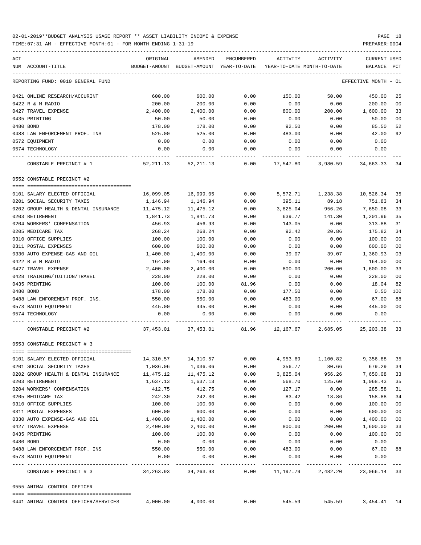TIME:07:31 AM - EFFECTIVE MONTH:01 - FOR MONTH ENDING 1-31-19 PREPARER:0004

| ACT                                  | ORIGINAL                | AMENDED                                  | ENCUMBERED | ACTIVITY  | ACTIVITY                   | <b>CURRENT USED</b>                 |                |
|--------------------------------------|-------------------------|------------------------------------------|------------|-----------|----------------------------|-------------------------------------|----------------|
| NUM ACCOUNT-TITLE                    |                         | BUDGET-AMOUNT BUDGET-AMOUNT YEAR-TO-DATE |            |           | YEAR-TO-DATE MONTH-TO-DATE | BALANCE PCT                         |                |
| REPORTING FUND: 0010 GENERAL FUND    |                         |                                          |            |           |                            | EFFECTIVE MONTH - 01                |                |
| 0421 ONLINE RESEARCH/ACCURINT        | 600.00                  | 600.00                                   | 0.00       | 150.00    | 50.00                      | 450.00                              | 25             |
| 0422 R & M RADIO                     | 200.00                  | 200.00                                   | 0.00       | 0.00      | 0.00                       | 200.00                              | 0 <sub>0</sub> |
| 0427 TRAVEL EXPENSE                  | 2,400.00                | 2,400.00                                 | 0.00       | 800.00    | 200.00                     | 1,600.00                            | 33             |
| 0435 PRINTING                        | 50.00                   | 50.00                                    | 0.00       | 0.00      | 0.00                       | 50.00                               | 0 <sub>0</sub> |
| 0480 BOND                            | 178.00                  | 178.00                                   | 0.00       | 92.50     | 0.00                       | 85.50                               | 52             |
| 0488 LAW ENFORCEMENT PROF. INS       | 525.00                  | 525.00                                   | 0.00       | 483.00    | 0.00                       | 42.00                               | 92             |
| 0572 EOUIPMENT                       | 0.00                    | 0.00                                     | 0.00       | 0.00      | 0.00                       | 0.00                                |                |
| 0574 TECHNOLOGY                      | 0.00                    | 0.00                                     | 0.00       | 0.00      | 0.00                       | 0.00                                |                |
| CONSTABLE PRECINCT # 1               |                         | 52, 211.13 52, 211.13                    | 0.00       | 17,547.80 | 3,980.59                   | 34,663.33                           | 34             |
| 0552 CONSTABLE PRECINCT #2           |                         |                                          |            |           |                            |                                     |                |
| 0101 SALARY ELECTED OFFICIAL         | 16,099.05               | 16,099.05                                | 0.00       | 5,572.71  | 1,238.38                   | 10,526.34                           | 35             |
| 0201 SOCIAL SECURITY TAXES           | 1,146.94                | 1,146.94                                 | 0.00       | 395.11    | 89.18                      | 751.83                              | 34             |
| 0202 GROUP HEALTH & DENTAL INSURANCE | 11,475.12               | 11,475.12                                | 0.00       | 3,825.04  | 956.26                     | 7,650.08                            | 33             |
| 0203 RETIREMENT                      | 1,841.73                | 1,841.73                                 | 0.00       | 639.77    | 141.30                     | 1,201.96                            | 35             |
| 0204 WORKERS' COMPENSATION           | 456.93                  | 456.93                                   | 0.00       | 143.05    | 0.00                       | 313.88                              | 31             |
| 0205 MEDICARE TAX                    | 268.24                  | 268.24                                   | 0.00       | 92.42     | 20.86                      | 175.82                              | 34             |
| 0310 OFFICE SUPPLIES                 | 100.00                  | 100.00                                   | 0.00       | 0.00      | 0.00                       | 100.00                              | 0 <sub>0</sub> |
| 0311 POSTAL EXPENSES                 | 600.00                  | 600.00                                   | 0.00       | 0.00      | 0.00                       | 600.00                              | 0 <sub>0</sub> |
| 0330 AUTO EXPENSE-GAS AND OIL        | 1,400.00                | 1,400.00                                 | 0.00       | 39.07     | 39.07                      | 1,360.93                            | 03             |
| 0422 R & M RADIO                     | 164.00                  | 164.00                                   | 0.00       | 0.00      | 0.00                       | 164.00                              | 0 <sub>0</sub> |
| 0427 TRAVEL EXPENSE                  | 2,400.00                | 2,400.00                                 | 0.00       | 800.00    | 200.00                     | 1,600.00                            | 33             |
| 0428 TRAINING/TUITION/TRAVEL         | 228.00                  | 228.00                                   | 0.00       | 0.00      | 0.00                       | 228.00                              | 0 <sub>0</sub> |
| 0435 PRINTING                        | 100.00                  | 100.00                                   | 81.96      | 0.00      | 0.00                       | 18.04                               | 82             |
| 0480 BOND                            | 178.00                  | 178.00                                   | 0.00       | 177.50    | 0.00                       | 0.50                                | 100            |
| 0488 LAW ENFOREMENT PROF. INS.       | 550.00                  | 550.00                                   | 0.00       | 483.00    | 0.00                       | 67.00                               | 88             |
| 0573 RADIO EQUIPMENT                 | 445.00                  | 445.00                                   | 0.00       | 0.00      | 0.00                       | 445.00                              | 0 <sup>0</sup> |
| 0574 TECHNOLOGY                      | 0.00                    | 0.00                                     | 0.00       | 0.00      | 0.00                       | 0.00                                |                |
| CONSTABLE PRECINCT #2                |                         | 37,453.01 37,453.01                      | 81.96      | 12,167.67 | 2,685.05                   | 25,203.38                           | 33             |
| 0553 CONSTABLE PRECINCT # 3          |                         |                                          |            |           |                            |                                     |                |
| 0101 SALARY ELECTED OFFICIAL         |                         |                                          | 0.00       |           | 4,953.69 1,100.82          | 9,356.88                            | 35             |
| 0201 SOCIAL SECURITY TAXES           | 1,036.06                | 1,036.06                                 | 0.00       | 356.77    | 80.66                      | 679.29                              | 34             |
| 0202 GROUP HEALTH & DENTAL INSURANCE | 11,475.12               | 11,475.12                                | 0.00       | 3,825.04  | 956.26                     | 7,650.08                            | 33             |
| 0203 RETIREMENT                      | 1,637.13                | 1,637.13                                 | 0.00       | 568.70    | 125.60                     | 1,068.43                            | 35             |
| 0204 WORKERS' COMPENSATION           | 412.75                  | 412.75                                   | 0.00       | 127.17    | 0.00                       | 285.58                              | 31             |
| 0205 MEDICARE TAX                    | 242.30                  | 242.30                                   | 0.00       | 83.42     | 18.86                      | 158.88                              | 34             |
| 0310 OFFICE SUPPLIES                 | 100.00                  | 100.00                                   | 0.00       | 0.00      | 0.00                       | 100.00                              | 0 <sub>0</sub> |
| 0311 POSTAL EXPENSES                 | 600.00                  | 600.00                                   | 0.00       | 0.00      | 0.00                       | 600.00                              | 0 <sub>0</sub> |
| 0330 AUTO EXPENSE-GAS AND OIL        | 1,400.00                | 1,400.00                                 | 0.00       | 0.00      | 0.00                       | 1,400.00                            | 0 <sub>0</sub> |
| 0427 TRAVEL EXPENSE                  | 2,400.00                | 2,400.00                                 | 0.00       | 800.00    | 200.00                     | 1,600.00                            | 33             |
| 0435 PRINTING                        | 100.00                  | 100.00                                   | 0.00       | 0.00      | 0.00                       | 100.00                              | 0 <sub>0</sub> |
| 0480 BOND                            | 0.00                    | 0.00                                     | 0.00       | 0.00      | 0.00                       | 0.00                                |                |
| 0488 LAW ENFORCEMENT PROF. INS       | 550.00                  | 550.00                                   | 0.00       | 483.00    | 0.00                       | 67.00                               | 88             |
| 0573 RADIO EQUIPMENT                 | 0.00                    | 0.00                                     | 0.00       | 0.00      | 0.00                       | 0.00<br>-------------               |                |
| CONSTABLE PRECINCT # 3               | 34, 263. 93 34, 263. 93 |                                          |            |           |                            | $0.00$ 11,197.79 2,482.20 23,066.14 | 33             |
| 0555 ANIMAL CONTROL OFFICER          |                         |                                          |            |           |                            |                                     |                |
|                                      |                         |                                          |            |           |                            |                                     |                |

0441 ANIMAL CONTROL OFFICER/SERVICES 4,000.00 4,000.00 0.00 545.59 545.59 3,454.41 14

-----------------------------------------------------------------------------------------------------------------------------------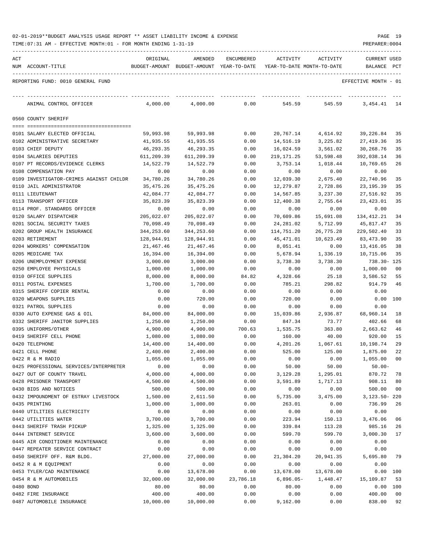| 02-01-2019**BUDGET ANALYSIS USAGE REPORT ** ASSET LIABILITY INCOME & EXPENSE |  |  |  |  | PAGE | 10 |
|------------------------------------------------------------------------------|--|--|--|--|------|----|
|                                                                              |  |  |  |  |      |    |

| ACT | NUM ACCOUNT-TITLE                                  | ORIGINAL                | AMENDED<br>BUDGET-AMOUNT BUDGET-AMOUNT YEAR-TO-DATE | ENCUMBERED   | ACTIVITY<br>YEAR-TO-DATE MONTH-TO-DATE | ACTIVITY             | CURRENT USED<br>BALANCE PCT |          |
|-----|----------------------------------------------------|-------------------------|-----------------------------------------------------|--------------|----------------------------------------|----------------------|-----------------------------|----------|
|     | REPORTING FUND: 0010 GENERAL FUND                  |                         |                                                     |              |                                        |                      | EFFECTIVE MONTH - 01        |          |
|     | ANIMAL CONTROL OFFICER                             | 4,000.00                | 4,000.00                                            | 0.00         | 545.59                                 | 545.59               | 3,454.41 14                 |          |
|     | 0560 COUNTY SHERIFF                                |                         |                                                     |              |                                        |                      |                             |          |
|     |                                                    |                         |                                                     |              |                                        |                      |                             |          |
|     | 0101 SALARY ELECTED OFFICIAL                       | 59,993.98               | 59,993.98                                           | 0.00         | 20,767.14                              | 4,614.92             | 39,226.84                   | -35      |
|     | 0102 ADMINISTRATIVE SECRETARY<br>0103 CHIEF DEPUTY | 41,935.55               | 41,935.55<br>46,293.35                              | 0.00         | 14,516.19                              | 3,225.82<br>3,561.02 | 27,419.36                   | 35<br>35 |
|     | 0104 SALARIES DEPUTIES                             | 46,293.35<br>611,209.39 | 611,209.39                                          | 0.00<br>0.00 | 16,024.59<br>219, 171. 25              | 53,598.48            | 30,268.76<br>392,038.14     | 36       |
|     | 0107 PT RECORDS/EVIDENCE CLERKS                    | 14,522.79               | 14,522.79                                           |              | 3,753.14                               |                      | 10,769.65                   | 26       |
|     | 0108 COMPENSATION PAY                              | 0.00                    | 0.00                                                | 0.00<br>0.00 | 0.00                                   | 1,018.44<br>0.00     | 0.00                        |          |
|     | 0109 INVESTIGATOR-CRIMES AGAINST CHILDR            | 34,780.26               | 34,780.26                                           | 0.00         | 12,039.30                              | 2,675.40             | 22,740.96                   | 35       |
|     | 0110 JAIL ADMINISTRATOR                            | 35,475.26               | 35,475.26                                           | 0.00         | 12,279.87                              | 2,728.86             | 23,195.39                   | 35       |
|     | 0111 LIEUTENANT                                    | 42,084.77               | 42,084.77                                           | 0.00         | 14,567.85                              | 3,237.30             | 27,516.92                   | 35       |
|     | 0113 TRANSPORT OFFICER                             | 35,823.39               | 35,823.39                                           | 0.00         | 12,400.38                              | 2,755.64             | 23,423.01                   | 35       |
|     | 0114 PROF. STANDARDS OFFICER                       | 0.00                    | 0.00                                                | 0.00         | 0.00                                   | 0.00                 | 0.00                        |          |
|     | 0120 SALARY DISPATCHER                             | 205,022.07              | 205,022.07                                          | 0.00         | 70,609.86                              | 15,691.08            | 134,412.21                  | 34       |
|     | 0201 SOCIAL SECURITY TAXES                         | 70,098.49               | 70,098.49                                           | 0.00         | 24,281.02                              | 5,712.99             | 45,817.47                   | 35       |
|     | 0202 GROUP HEALTH INSURANCE                        | 344,253.60              | 344, 253.60                                         | 0.00         | 114,751.20                             | 26,775.28            | 229,502.40                  | 33       |
|     | 0203 RETIREMENT                                    | 128,944.91              | 128,944.91                                          | 0.00         | 45,471.01                              | 10,623.49            | 83,473.90                   | 35       |
|     | 0204 WORKERS' COMPENSATION                         | 21,467.46               | 21,467.46                                           | 0.00         | 8,051.41                               | 0.00                 | 13,416.05                   | 38       |
|     | 0205 MEDICARE TAX                                  | 16,394.00               | 16,394.00                                           | 0.00         | 5,678.94                               | 1,336.19             | 10,715.06                   | 35       |
|     | 0206 UNEMPLOYMENT EXPENSE                          | 3,000.00                | 3,000.00                                            | 0.00         | 3,738.30                               | 3,738.30             | 738.30- 125                 |          |
|     | 0250 EMPLOYEE PHYSICALS                            | 1,000.00                | 1,000.00                                            | 0.00         | 0.00                                   | 0.00                 | 1,000.00                    | 00       |
|     | 0310 OFFICE SUPPLIES                               | 8,000.00                | 8,000.00                                            | 84.82        | 4,328.66                               | 25.18                | 3,586.52                    | 55       |
|     | 0311 POSTAL EXPENSES                               | 1,700.00                | 1,700.00                                            | 0.00         | 785.21                                 | 298.82               | 914.79                      | 46       |
|     | 0315 SHERIFF COPIER RENTAL                         | 0.00                    | 0.00                                                | 0.00         | 0.00                                   | 0.00                 | 0.00                        |          |
|     | 0320 WEAPONS SUPPLIES                              | 0.00                    | 720.00                                              | 0.00         | 720.00                                 | 0.00                 | $0.00$ 100                  |          |
|     | 0321 PATROL SUPPLIES                               | 0.00                    | 0.00                                                | 0.00         | 0.00                                   | 0.00                 | 0.00                        |          |
|     | 0330 AUTO EXPENSE GAS & OIL                        | 84,000.00               | 84,000.00                                           | 0.00         | 15,039.86                              | 2,936.87             | 68,960.14                   | 18       |
|     | 0332 SHERIFF JANITOR SUPPLIES                      | 1,250.00                | 1,250.00                                            | 0.00         | 847.34                                 | 73.77                | 402.66                      | 68       |
|     | 0395 UNIFORMS/OTHER                                | 4,900.00                | 4,900.00                                            | 700.63       | 1,535.75                               | 363.80               | 2,663.62                    | 46       |
|     | 0419 SHERIFF CELL PHONE                            | 1,080.00                | 1,080.00                                            | 0.00         | 160.00                                 | 40.00                | 920.00 15                   |          |
|     | 0420 TELEPHONE                                     | 14,400.00               | 14,400.00                                           | 0.00         | 4,201.26                               | 1,067.61             | 10,198.74                   | 29       |
|     | 0421 CELL PHONE                                    | 2,400.00                | 2,400.00                                            | 0.00         | 525.00                                 | 125.00               | 1,875.00                    | 22       |
|     | 0422 R & M RADIO                                   | 1,055.00                | 1,055.00                                            | 0.00         | 0.00                                   | 0.00                 | 1,055.00 00                 |          |
|     | 0425 PROFESSIONAL SERVICES/INTERPRETER             | 0.00                    | 0.00                                                | 0.00         | 50.00                                  | 50.00                | $50.00 -$                   |          |
|     | 0427 OUT OF COUNTY TRAVEL                          | 4,000.00                | 4,000.00                                            | 0.00         | 3,129.28                               | 1,295.01             | 870.72                      | 78       |
|     | 0428 PRISONER TRANSPORT                            | 4,500.00                | 4,500.00                                            | 0.00         | 3,591.89                               | 1,717.13             | 908.11                      | 80       |
|     | 0430 BIDS AND NOTICES                              | 500.00                  | 500.00                                              | 0.00         | 0.00                                   | 0.00                 | 500.00                      | 00       |
|     | 0432 IMPOUNDMENT OF ESTRAY LIVESTOCK               | 1,500.00                | 2,611.50                                            | 0.00         | 5,735.00                               | 3,475.00             | 3, 123. 50 - 220            |          |
|     | 0435 PRINTING                                      | 1,000.00                | 1,000.00                                            | 0.00         | 263.01                                 | 0.00                 | 736.99                      | 26       |
|     | 0440 UTILITIES ELECTRICITY                         | 0.00                    | 0.00                                                | 0.00         | 0.00                                   | 0.00                 | 0.00                        |          |
|     | 0442 UTILITIES WATER                               | 3,700.00                | 3,700.00                                            | 0.00         | 223.94                                 | 150.13               | 3,476.06                    | 06       |
|     | 0443 SHERIFF TRASH PICKUP                          | 1,325.00                | 1,325.00                                            | 0.00         | 339.84                                 | 113.28               | 985.16                      | 26       |
|     | 0444 INTERNET SERVICE                              | 3,600.00                | 3,600.00                                            | 0.00         | 599.70                                 | 599.70               | 3,000.30                    | 17       |
|     | 0445 AIR CONDITIONER MAINTENANCE                   | 0.00                    | 0.00                                                | 0.00         | 0.00                                   | 0.00                 | 0.00                        |          |
|     | 0447 REPEATER SERVICE CONTRACT                     | 0.00                    | 0.00                                                | 0.00         | 0.00                                   | 0.00                 | 0.00                        |          |
|     | 0450 SHERIFF OFF. R&M BLDG.                        | 27,000.00               | 27,000.00                                           | 0.00         | 21,304.20                              | 20,941.35            | 5,695.80                    | 79       |
|     | 0452 R & M EQUIPMENT                               | 0.00                    | 0.00                                                | 0.00         | 0.00                                   | 0.00                 | 0.00                        |          |
|     | 0453 TYLER/CAD MAINTENANCE                         | 0.00                    | 13,678.00                                           | 0.00         | 13,678.00                              | 13,678.00            | 0.00 100                    |          |
|     | 0454 R & M AUTOMOBILES                             | 32,000.00               | 32,000.00                                           | 23,786.18    | $6,896.05-$                            | 1,448.47             | 15,109.87                   | 53       |
|     | 0480 BOND                                          | 80.00                   | 80.00                                               | 0.00         | 80.00                                  | 0.00                 | 0.00                        | 100      |
|     | 0482 FIRE INSURANCE                                | 400.00                  | 400.00                                              | 0.00         | 0.00                                   | 0.00                 | 400.00                      | 00       |
|     | 0487 AUTOMOBILE INSURANCE                          | 10,000.00               | 10,000.00                                           | 0.00         | 9,162.00                               | 0.00                 | 838.00                      | 92       |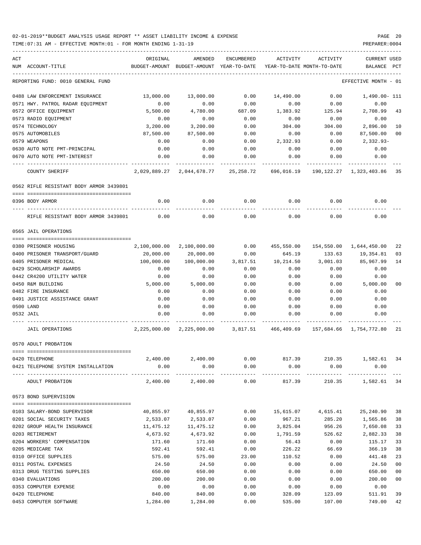TIME:07:31 AM - EFFECTIVE MONTH:01 - FOR MONTH ENDING 1-31-19 PREPARER:0004

| ACT |                                         | ORIGINAL              | AMENDED                                                                | ENCUMBERED | ACTIVITY                                  | ACTIVITY           | <b>CURRENT USED</b>  |                |
|-----|-----------------------------------------|-----------------------|------------------------------------------------------------------------|------------|-------------------------------------------|--------------------|----------------------|----------------|
|     | NUM ACCOUNT-TITLE                       |                       | BUDGET-AMOUNT BUDGET-AMOUNT YEAR-TO-DATE YEAR-TO-DATE MONTH-TO-DATE    |            |                                           |                    | BALANCE PCT          |                |
|     | REPORTING FUND: 0010 GENERAL FUND       |                       |                                                                        |            |                                           |                    | EFFECTIVE MONTH - 01 |                |
|     | 0488 LAW ENFORCEMENT INSURANCE          | 13,000.00             | 13,000.00                                                              | 0.00       | 14,490.00                                 | 0.00               | 1,490.00- 111        |                |
|     | 0571 HWY. PATROL RADAR EQUIPMENT        | 0.00                  | 0.00                                                                   | 0.00       | 0.00                                      | 0.00               | 0.00                 |                |
|     | 0572 OFFICE EQUIPMENT                   | 5,500.00              | 4,780.00                                                               |            | 687.09 1,383.92                           | 125.94             | 2,708.99             | 43             |
|     | 0573 RADIO EQUIPMENT                    | 0.00                  | 0.00                                                                   | 0.00       | 0.00                                      | 0.00               | 0.00                 |                |
|     | 0574 TECHNOLOGY                         | 3,200.00              | 3,200.00                                                               | 0.00       | 304.00                                    | 304.00             | 2,896.00             | 10             |
|     | 0575 AUTOMOBILES                        | 87,500.00             | 87,500.00                                                              | 0.00       | 0.00                                      | 0.00               | 87,500.00            | 00             |
|     | 0579 WEAPONS                            | 0.00                  | 0.00                                                                   | 0.00       | 2,332.93                                  | 0.00               | 2,332.93-            |                |
|     | 0630 AUTO NOTE PMT-PRINCIPAL            | 0.00                  | 0.00                                                                   | 0.00       | 0.00                                      | 0.00               | 0.00                 |                |
|     | 0670 AUTO NOTE PMT-INTEREST             | 0.00                  | 0.00                                                                   | 0.00       | 0.00                                      | 0.00               | 0.00                 |                |
|     |                                         |                       |                                                                        |            |                                           |                    |                      |                |
|     | COUNTY SHERIFF                          |                       | 2,029,889.27 2,044,678.77 25,258.72 696,016.19 190,122.27 1,323,403.86 |            |                                           |                    |                      | 35             |
|     | 0562 RIFLE RESISTANT BODY ARMOR 3439801 |                       |                                                                        |            |                                           |                    |                      |                |
|     | 0396 BODY ARMOR                         | 0.00                  | 0.00                                                                   | 0.00       | 0.00                                      | 0.00               | 0.00                 |                |
|     | RIFLE RESISTANT BODY ARMOR 3439801      | 0.00                  | 0.00                                                                   | 0.00       | 0.00                                      | 0.00               | 0.00                 |                |
|     | 0565 JAIL OPERATIONS                    |                       |                                                                        |            |                                           |                    |                      |                |
|     |                                         |                       |                                                                        |            |                                           |                    |                      |                |
|     | 0380 PRISONER HOUSING                   |                       | 2,100,000.00 2,100,000.00                                              |            | $0.00$ 455,550.00 154,550.00 1,644,450.00 |                    |                      | 22             |
|     | 0400 PRISONER TRANSPORT/GUARD           | 20,000.00             | 20,000.00                                                              | 0.00       | 645.19                                    | 133.63             | 19,354.81            | 03             |
|     | 0405 PRISONER MEDICAL                   | 100,000.00            | 100,000.00                                                             | 3,817.51   | 10,214.50                                 | 3,001.03           | 85,967.99            | 14             |
|     | 0429 SCHOLARSHIP AWARDS                 | 0.00                  | 0.00                                                                   | 0.00       | 0.00                                      | 0.00               | 0.00                 |                |
|     | 0442 CR4200 UTILITY WATER               | 0.00                  | 0.00                                                                   | 0.00       | 0.00                                      | 0.00               | 0.00                 |                |
|     | 0450 R&M BUILDING                       | 5,000.00              | 5,000.00                                                               | 0.00       | 0.00                                      | 0.00               | 5,000.00             | 0 <sub>0</sub> |
|     | 0482 FIRE INSURANCE                     | 0.00                  | 0.00                                                                   | 0.00       | 0.00                                      | 0.00               | 0.00                 |                |
|     | 0491 JUSTICE ASSISTANCE GRANT           | 0.00                  | 0.00                                                                   | 0.00       | 0.00                                      | 0.00               | 0.00                 |                |
|     | 0500 LAND                               | 0.00                  | 0.00                                                                   | 0.00       | 0.00                                      | 0.00               | 0.00                 |                |
|     | 0532 JAIL                               | 0.00                  | 0.00                                                                   | 0.00       | 0.00                                      | 0.00               | 0.00                 |                |
|     |                                         |                       |                                                                        |            |                                           |                    |                      |                |
|     | JAIL OPERATIONS                         |                       | 2,225,000.00 2,225,000.00 3,817.51 466,409.69 157,684.66 1,754,772.80  |            |                                           |                    |                      | 21             |
|     | 0570 ADULT PROBATION                    |                       |                                                                        |            |                                           |                    |                      |                |
|     |                                         |                       |                                                                        |            |                                           | 210.35             |                      |                |
|     | 0420 TELEPHONE                          | 2,400.00              | 2,400.00                                                               | 0.00       | 817.39                                    |                    | 1,582.61 34          |                |
|     | 0421 TELEPHONE SYSTEM INSTALLATION      | 0.00                  | 0.00                                                                   | 0.00       | 0.00                                      | 0.00<br>---------- | 0.00                 |                |
|     | ADULT PROBATION                         |                       | 2,400.00 2,400.00                                                      | 0.00       | 817.39                                    |                    | 210.35 1,582.61 34   |                |
|     | 0573 BOND SUPERVISION                   |                       |                                                                        |            |                                           |                    |                      |                |
|     | 0103 SALARY-BOND SUPERVISOR             |                       | 40,855.97 40,855.97                                                    | 0.00       |                                           | 15,615.07 4,615.41 | 25,240.90            | 38             |
|     | 0201 SOCIAL SECURITY TAXES              |                       |                                                                        | 0.00       |                                           | 285.20             | 1,565.86             | 38             |
|     | 0202 GROUP HEALTH INSURANCE             | 2,533.07<br>11,475.12 | 2,533.07<br>11,475.12                                                  | 0.00       | 967.21<br>3,825.04                        | 956.26             | 7,650.08             | 33             |
|     | 0203 RETIREMENT                         | 4,673.92              | 4,673.92                                                               | 0.00       | 1,791.59                                  | 526.62             | 2,882.33             | 38             |
|     | 0204 WORKERS' COMPENSATION              | 171.60                | 171.60                                                                 | 0.00       | 56.43                                     | 0.00               | 115.17               | 33             |
|     | 0205 MEDICARE TAX                       | 592.41                | 592.41                                                                 | 0.00       | 226.22                                    | 66.69              | 366.19               | 38             |
|     | 0310 OFFICE SUPPLIES                    | 575.00                | 575.00                                                                 | 23.00      | 110.52                                    | 0.00               | 441.48               | 23             |
|     | 0311 POSTAL EXPENSES                    | 24.50                 | 24.50                                                                  | 0.00       | 0.00                                      | 0.00               | 24.50                | 0 <sub>0</sub> |
|     | 0313 DRUG TESTING SUPPLIES              | 650.00                | 650.00                                                                 | 0.00       | 0.00                                      | 0.00               | 650.00               | 0 <sub>0</sub> |
|     | 0340 EVALUATIONS                        | 200.00                | 200.00                                                                 | 0.00       | 0.00                                      | 0.00               | 200.00               | 0 <sub>0</sub> |
|     | 0353 COMPUTER EXPENSE                   | 0.00                  | 0.00                                                                   | 0.00       | 0.00                                      | 0.00               | 0.00                 |                |
|     | 0420 TELEPHONE                          | 840.00                | 840.00                                                                 | 0.00       | 328.09                                    | 123.09             | 511.91               | 39             |

0453 COMPUTER SOFTWARE 1,284.00 1,284.00 0.00 535.00 107.00 749.00 42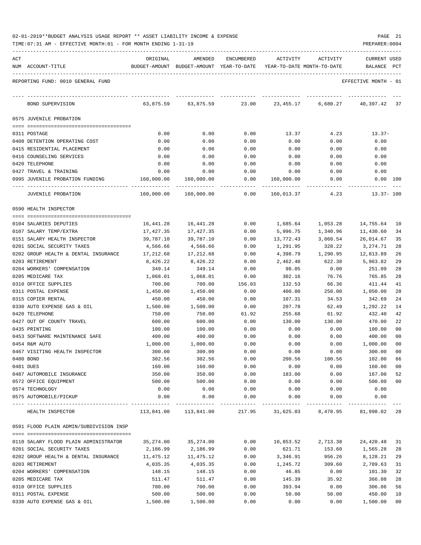|  |  |  | 02-01-2019**BUDGET ANALYSIS USAGE REPORT ** ASSET LIABILITY INCOME & EXPENSE | PAGE | 21 |
|--|--|--|------------------------------------------------------------------------------|------|----|
|--|--|--|------------------------------------------------------------------------------|------|----|

| ACT | NUM ACCOUNT-TITLE                                       | ORIGINAL           | AMENDED<br>BUDGET-AMOUNT BUDGET-AMOUNT YEAR-TO-DATE | ENCUMBERED   | ACTIVITY<br>YEAR-TO-DATE MONTH-TO-DATE | ACTIVITY           | <b>CURRENT USED</b><br>BALANCE | PCT      |
|-----|---------------------------------------------------------|--------------------|-----------------------------------------------------|--------------|----------------------------------------|--------------------|--------------------------------|----------|
|     |                                                         |                    |                                                     |              |                                        |                    |                                |          |
|     | REPORTING FUND: 0010 GENERAL FUND                       |                    |                                                     |              |                                        |                    | EFFECTIVE MONTH - 01           |          |
|     | BOND SUPERVISION                                        | 63,875.59          | 63,875.59                                           | 23.00        | 23,455.17                              | 6,680.27           | 40,397.42                      | 37       |
|     | 0575 JUVENILE PROBATION                                 |                    |                                                     |              |                                        |                    |                                |          |
|     | 0311 POSTAGE                                            | 0.00               | 0.00                                                | 0.00         | 13.37                                  | 4.23               | $13.37-$                       |          |
|     | 0408 DETENTION OPERATING COST                           | 0.00               | 0.00                                                | 0.00         | 0.00                                   | 0.00               | 0.00                           |          |
|     | 0415 RESIDENTIAL PLACEMENT                              | 0.00               | 0.00                                                | 0.00         | 0.00                                   | 0.00               | 0.00                           |          |
|     | 0416 COUNSELING SERVICES                                | 0.00               | 0.00                                                | 0.00         | 0.00                                   | 0.00               | 0.00                           |          |
|     | 0420 TELEPHONE                                          | 0.00               | 0.00                                                | 0.00         | 0.00                                   | 0.00               | 0.00                           |          |
|     | 0427 TRAVEL & TRAINING                                  | 0.00               | 0.00                                                | 0.00         | 0.00                                   | 0.00               | 0.00                           |          |
|     | 0995 JUVENILE PROBATION FUNDING                         | 160,000.00         | 160,000.00                                          | 0.00         | 160,000.00                             | 0.00               | 0.00 100                       |          |
|     | <b>JUVENILE PROBATION</b>                               | 160,000.00         | 160,000.00                                          | 0.00         | 160,013.37                             | 4.23               | $13.37 - 100$                  |          |
|     | 0590 HEALTH INSPECTOR                                   |                    |                                                     |              |                                        |                    |                                |          |
|     |                                                         |                    |                                                     |              |                                        |                    |                                |          |
|     | 0104 SALARIES DEPUTIES                                  | 16,441.28          | 16,441.28                                           | 0.00         | 1,685.64                               | 1,053.28           | 14,755.64                      | 10       |
|     | 0107 SALARY TEMP/EXTRA                                  | 17,427.35          | 17,427.35                                           | 0.00         | 5,996.75                               | 1,340.96           | 11,430.60                      | 34       |
|     | 0151 SALARY HEALTH INSPECTOR                            | 39,787.10          | 39,787.10                                           | 0.00         | 13,772.43                              | 3,060.54           | 26,014.67                      | 35       |
|     | 0201 SOCIAL SECURITY TAXES                              | 4,566.66           | 4,566.66                                            | 0.00         | 1,291.95                               | 328.22             | 3,274.71                       | 28<br>26 |
|     | 0202 GROUP HEALTH & DENTAL INSURANCE<br>0203 RETIREMENT | 17,212.68          | 17,212.68                                           | 0.00<br>0.00 | 4,398.79<br>2,462.40                   | 1,290.95<br>622.38 | 12,813.89                      | 29       |
|     | 0204 WORKERS' COMPENSATION                              | 8,426.22<br>349.14 | 8,426.22<br>349.14                                  | 0.00         | 98.05                                  | 0.00               | 5,963.82<br>251.09             | 28       |
|     | 0205 MEDICARE TAX                                       | 1,068.01           | 1,068.01                                            | 0.00         | 302.16                                 | 76.76              | 765.85                         | 28       |
|     | 0310 OFFICE SUPPLIES                                    | 700.00             | 700.00                                              | 156.03       | 132.53                                 | 66.36              | 411.44                         | 41       |
|     | 0311 POSTAL EXPENSE                                     | 1,450.00           | 1,450.00                                            | 0.00         | 400.00                                 | 250.00             | 1,050.00                       | 28       |
|     | 0315 COPIER RENTAL                                      | 450.00             | 450.00                                              | 0.00         | 107.31                                 | 34.53              | 342.69                         | 24       |
|     | 0330 AUTO EXPENSE GAS & OIL                             | 1,500.00           | 1,500.00                                            | 0.00         | 207.78                                 | 62.49              | 1,292.22                       | 14       |
|     | 0420 TELEPHONE                                          | 750.00             | 750.00                                              | 61.92        | 255.68                                 | 61.92              | 432.40                         | 42       |
|     | 0427 OUT OF COUNTY TRAVEL                               | 600.00             | 600.00                                              | 0.00         | 130.00                                 | 130.00             | 470.00                         | 22       |
|     | 0435 PRINTING                                           | 100.00             | 100.00                                              | 0.00         | 0.00                                   | 0.00               | 100.00                         | 00       |
|     | 0453 SOFTWARE MAINTENANCE SAFE                          | 400.00             | 400.00                                              | 0.00         | 0.00                                   | 0.00               | 400.00                         | 00       |
|     | 0454 R&M AUTO                                           | 1,000.00           | 1,000.00                                            | 0.00         | 0.00                                   | 0.00               | 1,000.00                       | 00       |
|     | 0467 VISITING HEALTH INSPECTOR                          | 300.00             | 300.00                                              | 0.00         | 0.00                                   | 0.00               | 300.00                         | 00       |
|     | 0480 BOND                                               | 302.56             | 302.56                                              | 0.00         | 200.56                                 | 100.56             | 102.00                         | 66       |
|     | 0481 DUES                                               | 160.00             | 160.00                                              | 0.00         | 0.00                                   | 0.00               | 160.00                         | 00       |
|     | 0487 AUTOMOBILE INSURANCE                               | 350.00             | 350.00                                              | 0.00         | 183.00                                 | 0.00               | 167.00                         | 52       |
|     | 0572 OFFICE EQUIPMENT                                   | 500.00             | 500.00                                              | 0.00         | 0.00                                   | 0.00               | 500.00                         | 00       |
|     | 0574 TECHNOLOGY                                         | 0.00               | 0.00                                                | 0.00         | 0.00                                   | 0.00               | 0.00                           |          |
|     | 0575 AUTOMOBILE/PICKUP<br>---- -------------            | 0.00               | 0.00                                                | 0.00         | 0.00                                   | 0.00               | 0.00                           |          |
|     | HEALTH INSPECTOR                                        | 113,841.00         | 113,841.00                                          | 217.95       | 31,625.03                              | 8,478.95           | 81,998.02 28                   |          |
|     | 0591 FLOOD PLAIN ADMIN/SUBDIVISION INSP                 |                    |                                                     |              |                                        |                    |                                |          |
|     | 0110 SALARY FLOOD PLAIN ADMINISTRATOR                   | 35,274.00          | 35, 274.00                                          | 0.00         | 10,853.52                              | 2,713.38           | 24,420.48                      | 31       |
|     | 0201 SOCIAL SECURITY TAXES                              | 2,186.99           | 2,186.99                                            | 0.00         | 621.71                                 | 153.60             | 1,565.28                       | 28       |
|     | 0202 GROUP HEALTH & DENTAL INSURANCE                    | 11,475.12          | 11,475.12                                           | 0.00         | 3,346.91                               | 956.26             | 8,128.21                       | 29       |
|     | 0203 RETIREMENT                                         | 4,035.35           | 4,035.35                                            | 0.00         | 1,245.72                               | 309.60             | 2,789.63                       | 31       |
|     | 0204 WORKERS' COMPENSATION                              | 148.15             | 148.15                                              | 0.00         | 46.85                                  | 0.00               | 101.30                         | 32       |
|     | 0205 MEDICARE TAX                                       | 511.47             | 511.47                                              | 0.00         | 145.39                                 | 35.92              | 366.08                         | 28       |
|     | 0310 OFFICE SUPPLIES                                    | 700.00             | 700.00                                              | 0.00         | 393.94                                 | 0.00               | 306.06                         | 56       |
|     | 0311 POSTAL EXPENSE                                     | 500.00             | 500.00                                              | 0.00         | 50.00                                  | 50.00              | 450.00                         | 10       |
|     | 0330 AUTO EXPENSE GAS & OIL                             | 1,500.00           | 1,500.00                                            | 0.00         | 0.00                                   | 0.00               | 1,500.00                       | 00       |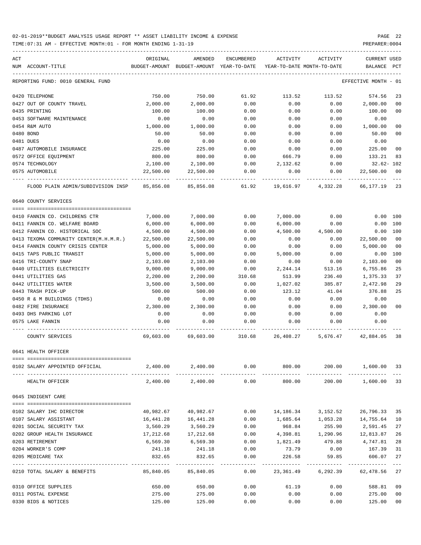TIME:07:31 AM - EFFECTIVE MONTH:01 - FOR MONTH ENDING 1-31-19 PREPARER:0004

| ACT |                                        | ORIGINAL                              | AMENDED                                                             | ENCUMBERED                 | ACTIVITY  | ACTIVITY           | CURRENT USED         |                |
|-----|----------------------------------------|---------------------------------------|---------------------------------------------------------------------|----------------------------|-----------|--------------------|----------------------|----------------|
|     | NUM ACCOUNT-TITLE                      |                                       | BUDGET-AMOUNT BUDGET-AMOUNT YEAR-TO-DATE YEAR-TO-DATE MONTH-TO-DATE |                            |           |                    | BALANCE PCT          |                |
|     | REPORTING FUND: 0010 GENERAL FUND      |                                       |                                                                     |                            |           |                    | EFFECTIVE MONTH - 01 |                |
|     | 0420 TELEPHONE                         | 750.00                                | 750.00                                                              | 61.92                      | 113.52    | 113.52             | 574.56               | 23             |
|     | 0427 OUT OF COUNTY TRAVEL              | 2,000.00                              | 2,000.00                                                            | 0.00                       | 0.00      | 0.00               | 2,000.00             | 00             |
|     | 0435 PRINTING                          | 100.00                                | 100.00                                                              | 0.00                       | 0.00      | 0.00               | 100.00               | 0 <sub>0</sub> |
|     | 0453 SOFTWARE MAINTENANCE              | 0.00                                  | 0.00                                                                | 0.00                       | 0.00      | 0.00               | 0.00                 |                |
|     | 0454 R&M AUTO                          | 1,000.00                              | 1,000.00                                                            | 0.00                       | 0.00      | 0.00               | 1,000.00             | 00             |
|     | 0480 BOND                              | 50.00                                 | 50.00                                                               | 0.00                       | 0.00      | 0.00               | 50.00                | 0 <sub>0</sub> |
|     | 0481 DUES                              | 0.00                                  | 0.00                                                                | 0.00                       | 0.00      | 0.00               | 0.00                 |                |
|     | 0487 AUTOMOBILE INSURANCE              | 225.00                                | 225.00                                                              | 0.00                       | 0.00      | 0.00               | 225.00               | 0 <sub>0</sub> |
|     | 0572 OFFICE EQUIPMENT                  | 800.00                                | 800.00                                                              | 0.00                       | 666.79    | 0.00               | 133.21               | 83             |
|     | 0574 TECHNOLOGY                        | 2,100.00                              | 2,100.00                                                            | 0.00                       | 2,132.62  | 0.00               | 32.62- 102           |                |
|     | 0575 AUTOMOBILE                        | 22,500.00                             | 22,500.00                                                           | 0.00                       | 0.00      | 0.00               | 22,500.00            | 00             |
|     | FLOOD PLAIN ADMIN/SUBDIVISION INSP     |                                       | 85,856.08 85,856.08 61.92                                           |                            |           | 19,616.97 4,332.28 | 66,177.19            | -23            |
|     | 0640 COUNTY SERVICES                   |                                       |                                                                     |                            |           |                    |                      |                |
|     |                                        |                                       |                                                                     |                            |           |                    |                      |                |
|     | 0410 FANNIN CO. CHILDRENS CTR          | 7,000.00                              | 7,000.00                                                            | 0.00                       | 7,000.00  | 0.00               | 0.00 100             |                |
|     | 0411 FANNIN CO. WELFARE BOARD          | 6,000.00                              | 6,000.00                                                            | 0.00                       | 6,000.00  | 0.00               | $0.00$ 100           |                |
|     | 0412 FANNIN CO. HISTORICAL SOC         | 4,500.00                              | 4,500.00                                                            | 0.00                       | 4,500.00  | 4,500.00           | 0.00 100             |                |
|     | 0413 TEXOMA COMMUNITY CENTER(M.H.M.R.) | 22,500.00                             | 22,500.00                                                           | 0.00                       | 0.00      | 0.00               | 22,500.00            | 0 <sub>0</sub> |
|     | 0414 FANNIN COUNTY CRISIS CENTER       | 5,000.00                              | 5,000.00                                                            | 0.00                       | 0.00      | 0.00               | 5,000.00             | 0 <sub>0</sub> |
|     | 0415 TAPS PUBLIC TRANSIT               | 5,000.00                              | 5,000.00                                                            | 0.00                       | 5,000.00  | 0.00               | 0.00                 | 100            |
|     | 0416 TRI-COUNTY SNAP                   | 2,103.00                              | 2,103.00                                                            | 0.00                       | 0.00      | 0.00               | 2,103.00             | 0 <sub>0</sub> |
|     | 0440 UTILITIES ELECTRICITY             | 9,000.00                              | 9,000.00                                                            | 0.00                       | 2,244.14  | 513.16             | 6,755.86             | 25             |
|     | 0441 UTILITIES GAS                     | 2,200.00                              | 2,200.00                                                            | 310.68                     | 513.99    | 236.40             | 1,375.33             | 37             |
|     | 0442 UTILITIES WATER                   | 3,500.00                              | 3,500.00                                                            | 0.00                       | 1,027.02  | 385.87             | 2,472.98             | 29             |
|     | 0443 TRASH PICK-UP                     | 500.00                                | 500.00                                                              | 0.00                       | 123.12    | 41.04              | 376.88               | 25             |
|     | 0450 R & M BUILDINGS (TDHS)            | 0.00                                  | 0.00                                                                | 0.00                       | 0.00      | 0.00               | 0.00                 |                |
|     | 0482 FIRE INSURANCE                    | 2,300.00                              | 2,300.00                                                            | 0.00                       | 0.00      | 0.00               | 2,300.00             | 0 <sub>0</sub> |
|     | 0493 DHS PARKING LOT                   | 0.00                                  | 0.00                                                                | 0.00                       | 0.00      | 0.00               | 0.00                 |                |
|     | 0575 LAKE FANNIN                       | 0.00                                  | 0.00                                                                | 0.00                       | 0.00      | 0.00               | 0.00                 |                |
|     | COUNTY SERVICES                        | 69,603.00                             |                                                                     | 69,603.00 310.68 26,408.27 |           |                    | 5,676.47 42,884.05   | 38             |
|     | 0641 HEALTH OFFICER                    |                                       |                                                                     |                            |           |                    |                      |                |
|     |                                        |                                       |                                                                     |                            |           |                    |                      |                |
|     | 0102 SALARY APPOINTED OFFICIAL         | 2,400.00                              | 2,400.00                                                            | 0.00                       | 800.00    | 200.00             | 1,600.00 33          |                |
|     | HEALTH OFFICER                         | 2,400.00                              | 2,400.00                                                            | 0.00                       | 800.00    | 200.00             | 1,600.00             | 33             |
|     | 0645 INDIGENT CARE                     |                                       |                                                                     |                            |           |                    |                      |                |
|     |                                        |                                       |                                                                     |                            |           |                    |                      |                |
|     | 0102 SALARY IHC DIRECTOR               | 40,982.67                             | 40,982.67                                                           | 0.00                       | 14,186.34 | 3,152.52           | 26,796.33            | 35             |
|     | 0107 SALARY ASSISTANT                  | 16,441.28                             | 16,441.28                                                           | 0.00                       | 1,685.64  |                    | 1,053.28 14,755.64   | 10             |
|     | 0201 SOCIAL SECURITY TAX               | 3,560.29                              | 3,560.29                                                            | 0.00                       | 968.84    | 255.90             | 2,591.45             | 27             |
|     | 0202 GROUP HEALTH INSURANCE            | 17,212.68                             | 17,212.68                                                           | 0.00                       | 4,398.81  | 1,290.96           | 12,813.87            | 26             |
|     | 0203 RETIREMENT                        | 6,569.30                              | 6,569.30                                                            | 0.00                       | 1,821.49  | 479.88             | 4,747.81             | 28             |
|     | 0204 WORKER'S COMP                     | 241.18                                | 241.18                                                              | 0.00                       | 73.79     | 0.00               | 167.39               | 31             |
|     | 0205 MEDICARE TAX                      | 832.65                                | 832.65                                                              | 0.00                       | 226.58    | 59.85              | 606.07               | 27             |
|     | 0210 TOTAL SALARY & BENEFITS           | ---------- -------------<br>85,840.05 | 85,840.05                                                           | -----------<br>0.00        | 23,361.49 | 6,292.39           | 62,478.56            | 27             |
|     |                                        |                                       |                                                                     |                            |           |                    |                      |                |
|     | 0310 OFFICE SUPPLIES                   | 650.00                                | 650.00                                                              | 0.00                       | 61.19     | 0.00               | 588.81               | 09             |

0311 POSTAL EXPENSE 275.00 275.00 0.00 0.00 0.00 275.00 00 0330 BIDS & NOTICES 125.00 125.00 0.00 0.00 0.00 125.00 00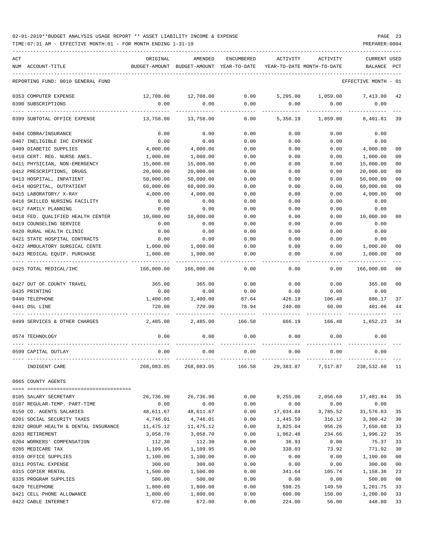TIME:07:31 AM - EFFECTIVE MONTH:01 - FOR MONTH ENDING 1-31-19 PREPARER:0004

| ACT                                                                | ORIGINAL               | AMENDED                                  | <b>ENCUMBERED</b> | ACTIVITY                   | ACTIVITY                         | <b>CURRENT USED</b>    |                                  |
|--------------------------------------------------------------------|------------------------|------------------------------------------|-------------------|----------------------------|----------------------------------|------------------------|----------------------------------|
| NUM ACCOUNT-TITLE                                                  |                        | BUDGET-AMOUNT BUDGET-AMOUNT YEAR-TO-DATE |                   | YEAR-TO-DATE MONTH-TO-DATE |                                  | BALANCE PCT            |                                  |
| REPORTING FUND: 0010 GENERAL FUND                                  |                        |                                          |                   |                            |                                  | EFFECTIVE MONTH - 01   |                                  |
| 0353 COMPUTER EXPENSE                                              | 12,708.00              | 12,708.00                                | 0.00              | 5,295.00                   | 1,059.00                         | 7,413.00               | 42                               |
| 0390 SUBSCRIPTIONS                                                 | 0.00                   | 0.00                                     | 0.00              | 0.00                       | 0.00                             | 0.00                   |                                  |
| 0399 SUBTOTAL OFFICE EXPENSE                                       | 13,758.00              | 13,758.00                                | 0.00              | 5,356.19                   | 1,059.00                         | 8,401.81               | 39                               |
| 0404 COBRA/INSURANCE                                               | 0.00                   | 0.00                                     | 0.00              | 0.00                       | 0.00                             | 0.00                   |                                  |
| 0407 INELIGIBLE IHC EXPENSE                                        | 0.00                   | 0.00                                     | 0.00              | 0.00                       | 0.00                             | 0.00                   |                                  |
| 0409 DIABETIC SUPPLIES                                             | 4,000.00               | 4,000.00                                 | 0.00              | 0.00                       | 0.00                             | 4,000.00               | 00                               |
| 0410 CERT. REG. NURSE ANES.                                        | 1,000.00               | 1,000.00                                 | 0.00              | 0.00                       | 0.00                             | 1,000.00               | 0 <sub>0</sub>                   |
| 0411 PHYSICIAN, NON-EMERGENCY                                      | 15,000.00              | 15,000.00                                | 0.00              | 0.00                       | 0.00                             | 15,000.00              | 0 <sub>0</sub>                   |
| 0412 PRESCRIPTIONS, DRUGS<br>0413 HOSPITAL, INPATIENT              | 20,000.00<br>50,000.00 | 20,000.00<br>50,000.00                   | 0.00<br>0.00      | 0.00<br>0.00               | 0.00<br>0.00                     | 20,000.00<br>50,000.00 | 0 <sub>0</sub><br>0 <sub>0</sub> |
| 0414 HOSPITAL, OUTPATIENT                                          | 60,000.00              | 60,000.00                                | 0.00              | 0.00                       | 0.00                             | 60,000.00              | 0 <sub>0</sub>                   |
| 0415 LABORATORY/ X-RAY                                             | 4,000.00               | 4,000.00                                 | 0.00              | 0.00                       | 0.00                             | 4,000.00               | 0 <sub>0</sub>                   |
| 0416 SKILLED NURSING FACILITY                                      | 0.00                   | 0.00                                     | 0.00              | 0.00                       | 0.00                             | 0.00                   |                                  |
| 0417 FAMILY PLANNING                                               | 0.00                   | 0.00                                     | 0.00              | 0.00                       | 0.00                             | 0.00                   |                                  |
| 0418 FED. QUALIFIED HEALTH CENTER                                  | 10,000.00              | 10,000.00                                | 0.00              | 0.00                       | 0.00                             | 10,000.00              | 00                               |
| 0419 COUNSELING SERVICE                                            | 0.00                   | 0.00                                     | 0.00              | 0.00                       | 0.00                             | 0.00                   |                                  |
| 0420 RURAL HEALTH CLINIC                                           | 0.00                   | 0.00                                     | 0.00              | 0.00                       | 0.00                             | 0.00                   |                                  |
| 0421 STATE HOSPITAL CONTRACTS                                      | 0.00                   | 0.00                                     | 0.00              | 0.00                       | 0.00                             | 0.00                   |                                  |
| 0422 AMBULATORY SURGICAL CENTE                                     | 1,000.00               | 1,000.00                                 | 0.00              | 0.00                       | 0.00                             | 1,000.00               | 0 <sub>0</sub>                   |
| 0423 MEDICAL EQUIP. PURCHASE                                       | 1,000.00               | 1,000.00                                 | 0.00              | 0.00                       | 0.00                             | 1,000.00               | 00                               |
| 0425 TOTAL MEDICAL/IHC                                             | 166,000.00             | 166,000.00                               | 0.00              | 0.00                       | 0.00                             | 166,000.00             | 0 <sub>0</sub>                   |
| 0427 OUT OF COUNTY TRAVEL                                          | 365.00                 | 365.00                                   | 0.00              | 0.00                       | 0.00                             | 365.00                 | 0 <sub>0</sub>                   |
| 0435 PRINTING                                                      | 0.00                   | 0.00                                     | 0.00              | 0.00                       | 0.00                             | 0.00                   |                                  |
| 0440 TELEPHONE                                                     | 1,400.00               | 1,400.00                                 | 87.64             | 426.19                     | 106.48                           | 886.17                 | 37                               |
| 0441 DSL LINE                                                      | 720.00                 | 720.00                                   | 78.94             | 240.00                     | 60.00                            | 401.06                 | 44                               |
| 0499 SERVICES & OTHER CHARGES                                      | 2,485.00               | 2,485.00                                 | 166.58            | 666.19                     | 166.48                           | 1,652.23               | 34                               |
| 0574 TECHNOLOGY                                                    | 0.00                   | 0.00                                     | 0.00              | 0.00                       | 0.00                             | 0.00                   |                                  |
| 0599 CAPITAL OUTLAY                                                | 0.00                   | 0.00<br>-------------                    | 0.00              | 0.00                       | 0.00                             | 0.00                   |                                  |
| INDIGENT CARE                                                      | 268,083.05             | 268,083.05                               | 166.58            |                            | 29,383.87 7,517.87 238,532.60 11 |                        |                                  |
| 0665 COUNTY AGENTS                                                 |                        |                                          |                   |                            |                                  |                        |                                  |
|                                                                    |                        |                                          |                   |                            |                                  |                        |                                  |
| 0105 SALARY SECRETARY                                              | 26,736.90              | 26,736.90                                | 0.00              | 9,255.06                   | 2,056.68                         | 17,481.84              | 35                               |
| 0107 REGULAR-TEMP. PART-TIME                                       | 0.00                   | 0.00                                     | 0.00              | 0.00                       | 0.00                             | 0.00                   |                                  |
| 0150 CO. AGENTS SALARIES                                           | 48,611.67              | 48,611.67                                | 0.00              | 17,034.84                  | 3,785.52                         | 31,576.83              | 35                               |
| 0201 SOCIAL SECURITY TAXES<br>0202 GROUP HEALTH & DENTAL INSURANCE | 4,746.01               | 4,746.01                                 | 0.00              | 1,445.59                   | 316.12                           | 3,300.42               | 30<br>33                         |
| 0203 RETIREMENT                                                    | 11,475.12<br>3,058.70  | 11,475.12<br>3,058.70                    | 0.00<br>0.00      | 3,825.04<br>1,062.48       | 956.26<br>234.66                 | 7,650.08<br>1,996.22   | 35                               |
| 0204 WORKERS' COMPENSATION                                         | 112.30                 | 112.30                                   | 0.00              | 36.93                      | 0.00                             | 75.37                  | 33                               |
| 0205 MEDICARE TAX                                                  | 1,109.95               | 1,109.95                                 | 0.00              | 338.03                     | 73.92                            | 771.92                 | 30                               |
| 0310 OFFICE SUPPLIES                                               | 1,100.00               | 1,100.00                                 | 0.00              | 0.00                       | 0.00                             | 1,100.00               | 0 <sub>0</sub>                   |
| 0311 POSTAL EXPENSE                                                | 300.00                 | 300.00                                   | 0.00              | 0.00                       | 0.00                             | 300.00                 | 0 <sub>0</sub>                   |
| 0315 COPIER RENTAL                                                 | 1,500.00               | 1,500.00                                 | 0.00              | 341.64                     | 105.74                           | 1,158.36               | 23                               |
| 0335 PROGRAM SUPPLIES                                              | 500.00                 | 500.00                                   | 0.00              | 0.00                       | 0.00                             | 500.00                 | 0 <sub>0</sub>                   |
| 0420 TELEPHONE                                                     | 1,800.00               | 1,800.00                                 | 0.00              | 598.25                     | 149.50                           | 1,201.75               | 33                               |
| 0421 CELL PHONE ALLOWANCE                                          | 1,800.00               | 1,800.00                                 | 0.00              | 600.00                     | 150.00                           | 1,200.00               | 33                               |

0422 CABLE INTERNET 672.00 672.00 0.00 224.00 56.00 448.00 33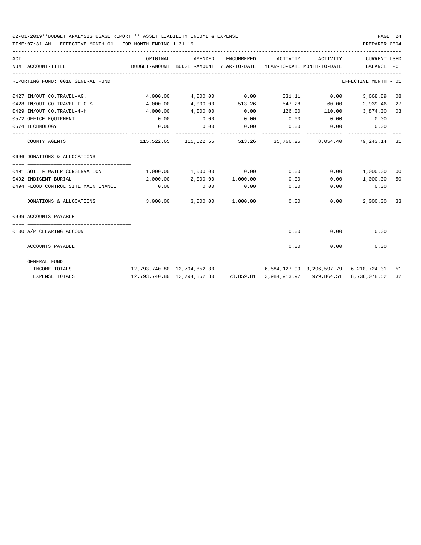| ACT | NUM ACCOUNT-TITLE                             | ORIGINAL                                                                        | AMENDED<br>BUDGET-AMOUNT BUDGET-AMOUNT YEAR-TO-DATE YEAR-TO-DATE MONTH-TO-DATE | ENCUMBERED      |      | ACTIVITY ACTIVITY                          | CURRENT USED<br>BALANCE PCT  |    |
|-----|-----------------------------------------------|---------------------------------------------------------------------------------|--------------------------------------------------------------------------------|-----------------|------|--------------------------------------------|------------------------------|----|
|     | ---------------------------------             |                                                                                 |                                                                                |                 |      |                                            |                              |    |
|     | REPORTING FUND: 0010 GENERAL FUND             |                                                                                 |                                                                                |                 |      |                                            | EFFECTIVE MONTH - 01         |    |
|     | 0427 IN/OUT CO.TRAVEL-AG.                     |                                                                                 | 4,000.00 4,000.00 0.00                                                         |                 |      | 331.11 0.00                                | 3,668.89 08                  |    |
|     | 0428 IN/OUT CO.TRAVEL-F.C.S.                  | 4,000.00                                                                        |                                                                                | 4,000.00 513.26 |      |                                            | 547.28 60.00 2,939.46        | 27 |
|     | 0429 IN/OUT CO.TRAVEL-4-H                     | 4,000.00                                                                        | 4,000.00                                                                       | 0.00            |      |                                            | $126.00$ $110.00$ $3,874.00$ | 03 |
|     | 0572 OFFICE EQUIPMENT                         | 0.00                                                                            | 0.00                                                                           | 0.00            |      | $0.00$ $0.00$ $0.00$ $0.00$                |                              |    |
|     | 0574 TECHNOLOGY                               | 0.00                                                                            | 0.00                                                                           | 0.00            |      | $0.00$ $0.00$ $0.00$ $0.00$<br>----------- |                              |    |
|     | COUNTY AGENTS                                 |                                                                                 | 115,522.65 115,522.65 513.26 35,766.25 8,054.40 79,243.14 31                   |                 |      |                                            |                              |    |
|     | 0696 DONATIONS & ALLOCATIONS                  |                                                                                 |                                                                                |                 |      |                                            |                              |    |
|     | 0491 SOIL & WATER CONSERVATION                | $1,000.00$ $1,000.00$ $0.00$ $0.00$ $0.00$ $0.00$ $1,000.00$                    |                                                                                |                 |      |                                            |                              | 00 |
|     | 0492 INDIGENT BURIAL                          |                                                                                 | $2,000.00$ $2,000.00$ $1,000.00$ $0.00$ $0.00$ $1,000.00$                      |                 |      |                                            |                              | 50 |
|     | 0.00 OA94 FLOOD CONTROL SITE MAINTENANCE 0.00 |                                                                                 | $0.00$ 0.00                                                                    |                 |      | $0.00$ $0.00$ $0.00$ $0.00$                |                              |    |
|     | DONATIONS & ALLOCATIONS                       |                                                                                 | $3,000.00$ $3,000.00$ $1,000.00$                                               |                 |      | $0.00$ 0.00                                | 2,000.00 33                  |    |
|     | 0999 ACCOUNTS PAYABLE                         |                                                                                 |                                                                                |                 |      |                                            |                              |    |
|     | 0100 A/P CLEARING ACCOUNT                     |                                                                                 |                                                                                |                 |      | $0.00$ $0.00$ $0.00$                       |                              |    |
|     | ACCOUNTS PAYABLE                              |                                                                                 |                                                                                |                 | 0.00 | ----------<br>0.00                         | 0.00                         |    |
|     | GENERAL FUND                                  |                                                                                 |                                                                                |                 |      |                                            |                              |    |
|     | INCOME TOTALS                                 | 12, 793, 740.80 12, 794, 852.30 6, 584, 127.99 3, 296, 597.79 6, 210, 724.31 51 |                                                                                |                 |      |                                            |                              |    |
|     | <b>EXPENSE TOTALS</b>                         |                                                                                 | 12,793,740.80 12,794,852.30 73,859.81 3,984,913.97 979,864.51 8,736,078.52     |                 |      |                                            |                              | 32 |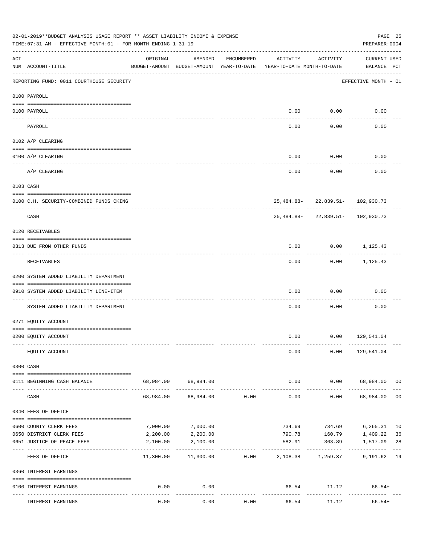|                    | 02-01-2019**BUDGET ANALYSIS USAGE REPORT ** ASSET LIABILITY INCOME & EXPENSE<br>TIME: 07:31 AM - EFFECTIVE MONTH: 01 - FOR MONTH ENDING 1-31-19 |           |                                                     |                |                                        |                                   | PREPARER: 0004              | PAGE 25        |
|--------------------|-------------------------------------------------------------------------------------------------------------------------------------------------|-----------|-----------------------------------------------------|----------------|----------------------------------------|-----------------------------------|-----------------------------|----------------|
| $\mathop{\rm ACT}$ | NUM ACCOUNT-TITLE                                                                                                                               | ORIGINAL  | AMENDED<br>BUDGET-AMOUNT BUDGET-AMOUNT YEAR-TO-DATE | ENCUMBERED     | ACTIVITY<br>YEAR-TO-DATE MONTH-TO-DATE | ACTIVITY                          | CURRENT USED<br>BALANCE PCT |                |
|                    | REPORTING FUND: 0011 COURTHOUSE SECURITY                                                                                                        |           |                                                     |                |                                        |                                   | EFFECTIVE MONTH - 01        |                |
|                    | 0100 PAYROLL                                                                                                                                    |           |                                                     |                |                                        |                                   |                             |                |
|                    | 0100 PAYROLL                                                                                                                                    |           |                                                     |                |                                        | $0.00$ $0.00$                     | 0.00                        |                |
| ---- ----          | PAYROLL                                                                                                                                         |           |                                                     |                | 0.00                                   | 0.00                              | 0.00                        |                |
|                    | 0102 A/P CLEARING                                                                                                                               |           |                                                     |                |                                        |                                   |                             |                |
|                    | 0100 A/P CLEARING                                                                                                                               |           |                                                     |                | 0.00                                   | 0.00                              | 0.00                        |                |
|                    | A/P CLEARING                                                                                                                                    |           |                                                     |                | 0.00                                   | 0.00                              | 0.00                        |                |
|                    | 0103 CASH                                                                                                                                       |           |                                                     |                |                                        |                                   |                             |                |
|                    | 0100 C.H. SECURITY-COMBINED FUNDS CKING                                                                                                         |           |                                                     |                |                                        | 25, 484.88-22, 839.51-102, 930.73 |                             |                |
|                    | -----------------------------<br>CASH                                                                                                           |           |                                                     |                |                                        | 25, 484.88-22, 839.51-102, 930.73 |                             |                |
|                    | 0120 RECEIVABLES                                                                                                                                |           |                                                     |                |                                        |                                   |                             |                |
|                    | 0313 DUE FROM OTHER FUNDS                                                                                                                       |           |                                                     |                | 0.00                                   |                                   | $0.00$ 1,125.43             |                |
|                    | RECEIVABLES                                                                                                                                     |           |                                                     |                | 0.00                                   |                                   | $0.00$ 1,125.43             |                |
|                    | 0200 SYSTEM ADDED LIABILITY DEPARTMENT                                                                                                          |           |                                                     |                |                                        |                                   |                             |                |
|                    | 0910 SYSTEM ADDED LIABILITY LINE-ITEM                                                                                                           |           |                                                     |                | 0.00                                   | 0.00                              | 0.00                        |                |
|                    | SYSTEM ADDED LIABILITY DEPARTMENT                                                                                                               |           |                                                     |                | 0.00                                   | 0.00                              | 0.00                        |                |
|                    | 0271 EQUITY ACCOUNT                                                                                                                             |           |                                                     |                |                                        |                                   |                             |                |
|                    | 0200 EQUITY ACCOUNT                                                                                                                             |           |                                                     |                |                                        | $0.00$ $0.00$ $129,541.04$        |                             |                |
|                    | EQUITY ACCOUNT                                                                                                                                  |           |                                                     |                | 0.00                                   |                                   | $0.00$ 129,541.04           |                |
|                    | 0300 CASH                                                                                                                                       |           |                                                     |                |                                        |                                   |                             |                |
|                    | 0111 BEGINNING CASH BALANCE                                                                                                                     |           | 68,984.00 68,984.00                                 |                | 0.00                                   |                                   | $0.00$ 68,984.00 00         |                |
|                    | CASH                                                                                                                                            | 68,984.00 |                                                     | 68,984.00 0.00 | -------------<br>0.00                  | ----------<br>0.00                | 68,984.00                   | 0 <sup>0</sup> |
|                    | 0340 FEES OF OFFICE                                                                                                                             |           |                                                     |                |                                        |                                   |                             |                |
|                    | 0600 COUNTY CLERK FEES                                                                                                                          | 7,000.00  | 7,000.00                                            |                | 734.69                                 |                                   | 734.69 6,265.31 10          |                |
|                    | 0650 DISTRICT CLERK FEES                                                                                                                        | 2,200.00  | 2,200.00                                            |                | 790.78                                 |                                   | 160.79 1,409.22             | 36             |
|                    | 0651 JUSTICE OF PEACE FEES                                                                                                                      | 2,100.00  | 2,100.00                                            |                | 582.91                                 | 363.89                            | 1,517.09                    | 28             |
|                    | ------------------ --<br>FEES OF OFFICE                                                                                                         | 11,300.00 |                                                     | 11,300.00 0.00 |                                        | -----------<br>2,108.38 1,259.37  | 9,191.62 19                 |                |
|                    | 0360 INTEREST EARNINGS                                                                                                                          |           |                                                     |                |                                        |                                   |                             |                |
|                    | 0100 INTEREST EARNINGS                                                                                                                          | 0.00      | 0.00                                                |                |                                        | . <u>.</u> .                      | 66.54 11.12 66.54+          |                |
|                    | INTEREST EARNINGS                                                                                                                               | 0.00      | 0.00                                                | 0.00           | 66.54                                  | 11.12                             | $66.54+$                    |                |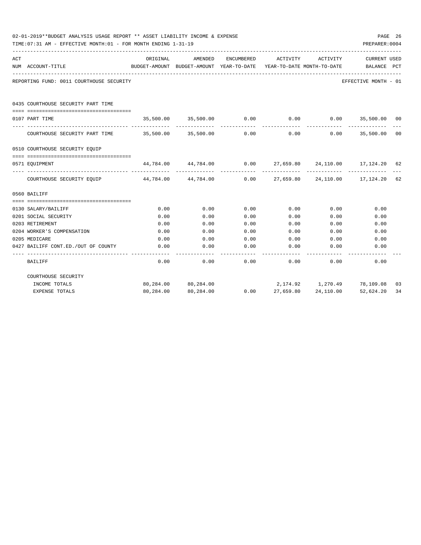|     | 02-01-2019**BUDGET ANALYSIS USAGE REPORT ** ASSET LIABILITY INCOME & EXPENSE<br>TIME: 07:31 AM - EFFECTIVE MONTH: 01 - FOR MONTH ENDING 1-31-19 |                            |                     |            |                                                                                             |                     | PREPARER: 0004                      | PAGE 26 |
|-----|-------------------------------------------------------------------------------------------------------------------------------------------------|----------------------------|---------------------|------------|---------------------------------------------------------------------------------------------|---------------------|-------------------------------------|---------|
| ACT | NUM ACCOUNT-TITLE                                                                                                                               | ORIGINAL                   | AMENDED             | ENCUMBERED | ACTIVITY<br>BUDGET-AMOUNT BUDGET-AMOUNT YEAR-TO-DATE YEAR-TO-DATE MONTH-TO-DATE BALANCE PCT | ACTIVITY            | CURRENT USED                        |         |
|     | REPORTING FUND: 0011 COURTHOUSE SECURITY                                                                                                        |                            |                     |            |                                                                                             |                     | EFFECTIVE MONTH - 01                |         |
|     | 0435 COURTHOUSE SECURITY PART TIME                                                                                                              |                            |                     |            |                                                                                             |                     |                                     |         |
|     | 0107 PART TIME                                                                                                                                  |                            | 35,500.00 35,500.00 | 0.00       | 0.00                                                                                        |                     | $0.00$ 35,500.00                    | $_{00}$ |
|     |                                                                                                                                                 |                            |                     |            | -------------                                                                               |                     | ------------- --------------        |         |
|     | COURTHOUSE SECURITY PART TIME 35,500.00 35,500.00                                                                                               |                            |                     | 0.00       | 0.00                                                                                        |                     | $0.00$ 35,500.00                    | 00      |
|     | 0510 COURTHOUSE SECURITY EQUIP                                                                                                                  |                            |                     |            |                                                                                             |                     |                                     |         |
|     |                                                                                                                                                 |                            |                     |            |                                                                                             |                     |                                     |         |
|     | 0571 EOUIPMENT                                                                                                                                  | 44,784.00  44,784.00  0.00 |                     | ---------- |                                                                                             |                     | 27,659.80  24,110.00  17,124.20  62 |         |
|     | COURTHOUSE SECURITY EOUIP 44,784.00 44,784.00                                                                                                   |                            |                     | 0.00       |                                                                                             |                     | 27,659.80 24,110.00 17,124.20 62    |         |
|     | 0560 BAILIFF                                                                                                                                    |                            |                     |            |                                                                                             |                     |                                     |         |
|     |                                                                                                                                                 |                            |                     |            |                                                                                             |                     |                                     |         |
|     | 0130 SALARY/BAILIFF                                                                                                                             | 0.00                       | 0.00                | 0.00       | 0.00                                                                                        | 0.00                | 0.00                                |         |
|     | 0201 SOCIAL SECURITY                                                                                                                            | 0.00                       | 0.00                | 0.00       | 0.00                                                                                        | 0.00                | 0.00                                |         |
|     | 0203 RETIREMENT                                                                                                                                 | 0.00                       | 0.00                | 0.00       | 0.00                                                                                        | 0.00                | 0.00                                |         |
|     | 0204 WORKER'S COMPENSATION                                                                                                                      | 0.00                       | 0.00                | 0.00       | 0.00                                                                                        | 0.00                | 0.00                                |         |
|     | 0205 MEDICARE                                                                                                                                   | 0.00                       | 0.00                | 0.00       | 0.00                                                                                        | 0.00                | 0.00                                |         |
|     | 0427 BAILIFF CONT.ED./OUT OF COUNTY                                                                                                             | 0.00                       | 0.00                | 0.00       | 0.00                                                                                        | 0.00                | 0.00                                |         |
|     | <b>BAILIFF</b>                                                                                                                                  | 0.00                       | 0.00                | 0.00       | 0.00                                                                                        | 0.00                | 0.00                                |         |
|     | COURTHOUSE SECURITY                                                                                                                             |                            |                     |            |                                                                                             |                     |                                     |         |
|     | INCOME TOTALS                                                                                                                                   |                            | 80,284.00 80,284.00 |            |                                                                                             |                     | 2,174.92  1,270.49  78,109.08  03   |         |
|     | <b>EXPENSE TOTALS</b>                                                                                                                           |                            | 80,284.00 80,284.00 | 0.00       |                                                                                             | 27,659.80 24,110.00 | 52,624.20 34                        |         |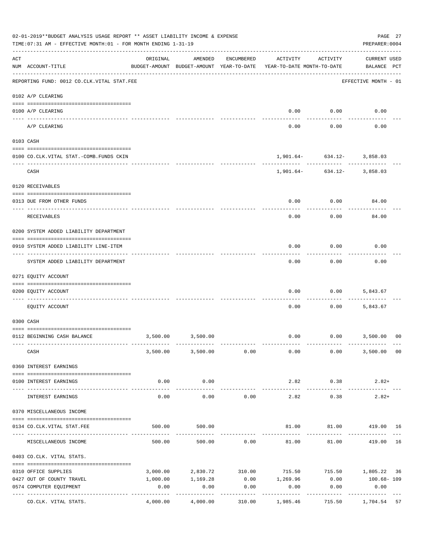|                | 02-01-2019**BUDGET ANALYSIS USAGE REPORT ** ASSET LIABILITY INCOME & EXPENSE<br>TIME:07:31 AM - EFFECTIVE MONTH:01 - FOR MONTH ENDING 1-31-19 |          |                                                     |            |                                                                |                                       | PAGE 27<br>PREPARER: 0004          |    |
|----------------|-----------------------------------------------------------------------------------------------------------------------------------------------|----------|-----------------------------------------------------|------------|----------------------------------------------------------------|---------------------------------------|------------------------------------|----|
| $\mathtt{ACT}$ | NUM ACCOUNT-TITLE                                                                                                                             | ORIGINAL | AMENDED<br>BUDGET-AMOUNT BUDGET-AMOUNT YEAR-TO-DATE | ENCUMBERED | ACTIVITY<br>YEAR-TO-DATE MONTH-TO-DATE                         | ACTIVITY                              | <b>CURRENT USED</b><br>BALANCE PCT |    |
|                | REPORTING FUND: 0012 CO.CLK.VITAL STAT.FEE                                                                                                    |          |                                                     |            |                                                                |                                       | EFFECTIVE MONTH - 01               |    |
|                | 0102 A/P CLEARING                                                                                                                             |          |                                                     |            |                                                                |                                       |                                    |    |
|                | 0100 A/P CLEARING                                                                                                                             |          |                                                     |            | 0.00                                                           | 0.00                                  | 0.00                               |    |
|                | ---- --------<br>A/P CLEARING                                                                                                                 |          |                                                     |            | 0.00                                                           | 0.00                                  | 0.00                               |    |
|                | 0103 CASH                                                                                                                                     |          |                                                     |            |                                                                |                                       |                                    |    |
|                | 0100 CO.CLK.VITAL STAT.-COMB.FUNDS CKIN                                                                                                       |          |                                                     |            |                                                                | $1,901.64 - 634.12 - 3,858.03$        |                                    |    |
|                | CASH                                                                                                                                          |          |                                                     |            |                                                                | ------------<br>$1,901.64 - 634.12 -$ | 3,858.03                           |    |
|                | 0120 RECEIVABLES                                                                                                                              |          |                                                     |            |                                                                |                                       |                                    |    |
|                | 0313 DUE FROM OTHER FUNDS                                                                                                                     |          |                                                     |            | 0.00                                                           | 0.00                                  | 84.00                              |    |
|                | RECEIVABLES                                                                                                                                   |          |                                                     |            | 0.00                                                           | 0.00                                  | 84.00                              |    |
|                | 0200 SYSTEM ADDED LIABILITY DEPARTMENT                                                                                                        |          |                                                     |            |                                                                |                                       |                                    |    |
|                | 0910 SYSTEM ADDED LIABILITY LINE-ITEM                                                                                                         |          |                                                     |            | 0.00                                                           | 0.00                                  | 0.00                               |    |
|                | SYSTEM ADDED LIABILITY DEPARTMENT                                                                                                             |          |                                                     |            | 0.00                                                           | 0.00                                  | 0.00                               |    |
|                | 0271 EQUITY ACCOUNT                                                                                                                           |          |                                                     |            |                                                                |                                       |                                    |    |
|                | 0200 EQUITY ACCOUNT                                                                                                                           |          |                                                     |            | 0.00                                                           | 0.00                                  | 5,843.67                           |    |
|                | EOUITY ACCOUNT                                                                                                                                |          |                                                     |            | 0.00                                                           | 0.00                                  | 5,843.67                           |    |
|                | 0300 CASH                                                                                                                                     |          |                                                     |            |                                                                |                                       |                                    |    |
|                | 0112 BEGINNING CASH BALANCE                                                                                                                   |          | 3,500.00 3,500.00                                   |            |                                                                | $0.00$ $0.00$ $3,500.00$              |                                    | 00 |
|                | CASH                                                                                                                                          |          | 3,500.00 3,500.00 0.00                              |            |                                                                | $0.00$ 0.00                           | 3,500.00 00                        |    |
|                | 0360 INTEREST EARNINGS                                                                                                                        |          |                                                     |            |                                                                |                                       |                                    |    |
|                | 0100 INTEREST EARNINGS                                                                                                                        | 0.00     | 0.00                                                |            |                                                                | 2.82 0.38                             | $2.82+$                            |    |
|                | INTEREST EARNINGS                                                                                                                             | 0.00     | -----------<br>0.00                                 | 0.00       | --------------<br>2.82                                         | -----------<br>0.38                   | $2.82+$                            |    |
|                | 0370 MISCELLANEOUS INCOME                                                                                                                     |          |                                                     |            |                                                                |                                       |                                    |    |
|                |                                                                                                                                               | 500.00   |                                                     |            |                                                                | 81.00   81.00   419.00   16           |                                    |    |
|                | 0134 CO. CLK. VITAL STAT. FEE                                                                                                                 |          | 500.00                                              |            |                                                                |                                       |                                    |    |
|                | MISCELLANEOUS INCOME                                                                                                                          |          | 500.00                                              |            | $500.00$ 0.00 81.00 81.00 419.00                               |                                       |                                    | 16 |
|                | 0403 CO.CLK. VITAL STATS.                                                                                                                     |          |                                                     |            |                                                                |                                       |                                    |    |
|                | 0310 OFFICE SUPPLIES                                                                                                                          |          |                                                     |            | $3,000.00$ $2,830.72$ $310.00$ $715.50$ $715.50$ $1,805.22$ 36 |                                       |                                    |    |
|                | 0427 OUT OF COUNTY TRAVEL                                                                                                                     | 1,000.00 |                                                     |            | $1,169.28$ $0.00$ $1,269.96$ $0.00$ $100.68 - 109$             |                                       |                                    |    |
|                | 0574 COMPUTER EQUIPMENT                                                                                                                       | 0.00     | 0.00                                                | 0.00       | 0.00                                                           | 0.00                                  | 0.00                               |    |
|                | CO.CLK. VITAL STATS.                                                                                                                          |          |                                                     |            | $4,000.00$ $4,000.00$ $310.00$ $1,985.46$                      | 715.50 1,704.54 57                    |                                    |    |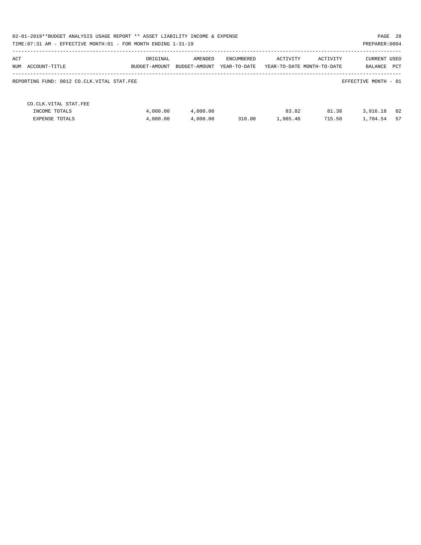| 02-01-2019**BUDGET ANALYSIS USAGE REPORT ** ASSET LIABILITY INCOME & EXPENSE<br>TIME: 07:31 AM - EFFECTIVE MONTH: 01 - FOR MONTH ENDING 1-31-19 |                           |                          |                            |                   |                                        | PAGE 28<br>PREPARER: 0004             |
|-------------------------------------------------------------------------------------------------------------------------------------------------|---------------------------|--------------------------|----------------------------|-------------------|----------------------------------------|---------------------------------------|
| ACT<br>NUM ACCOUNT-TITLE                                                                                                                        | ORIGINAL<br>BUDGET-AMOUNT | AMENDED<br>BUDGET-AMOUNT | ENCUMBERED<br>YEAR-TO-DATE | ACTIVITY          | ACTIVITY<br>YEAR-TO-DATE MONTH-TO-DATE | <b>CURRENT USED</b><br>PCT<br>BALANCE |
| REPORTING FUND: 0012 CO.CLK.VITAL STAT.FEE                                                                                                      |                           |                          |                            |                   |                                        | EFFECTIVE MONTH - 01                  |
| CO. CLK. VITAL STAT. FEE<br>INCOME TOTALS<br><b>EXPENSE TOTALS</b>                                                                              | 4,000.00<br>4,000.00      | 4,000.00<br>4,000.00     | 310.00                     | 83.82<br>1,985.46 | 81.38<br>715.50                        | 02<br>3,916.18<br>57<br>1,704.54      |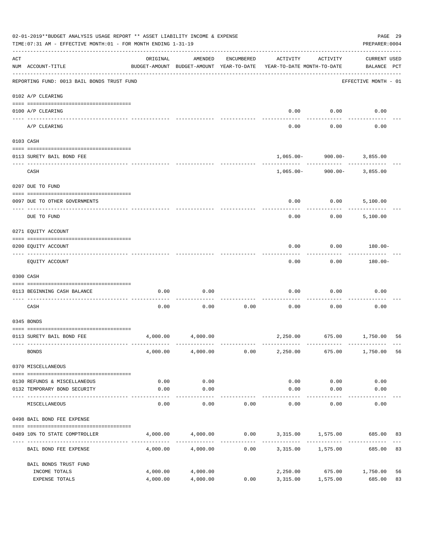|     | 02-01-2019**BUDGET ANALYSIS USAGE REPORT ** ASSET LIABILITY INCOME & EXPENSE<br>TIME: 07:31 AM - EFFECTIVE MONTH: 01 - FOR MONTH ENDING 1-31-19 |                                                      |                      |            |                                                             |                                      | PAGE 29<br>PREPARER: 0004          |          |
|-----|-------------------------------------------------------------------------------------------------------------------------------------------------|------------------------------------------------------|----------------------|------------|-------------------------------------------------------------|--------------------------------------|------------------------------------|----------|
| ACT | NUM ACCOUNT-TITLE                                                                                                                               | ORIGINAL<br>BUDGET-AMOUNT BUDGET-AMOUNT YEAR-TO-DATE | AMENDED              | ENCUMBERED | ACTIVITY<br>YEAR-TO-DATE MONTH-TO-DATE                      | ACTIVITY                             | <b>CURRENT USED</b><br>BALANCE PCT |          |
|     | REPORTING FUND: 0013 BAIL BONDS TRUST FUND                                                                                                      |                                                      |                      |            |                                                             |                                      | EFFECTIVE MONTH - 01               |          |
|     | 0102 A/P CLEARING                                                                                                                               |                                                      |                      |            |                                                             |                                      |                                    |          |
|     | 0100 A/P CLEARING<br>---- ---------                                                                                                             |                                                      |                      |            | 0.00                                                        | 0.00                                 | 0.00                               |          |
|     | A/P CLEARING                                                                                                                                    |                                                      |                      |            | 0.00                                                        | 0.00                                 | 0.00                               |          |
|     | 0103 CASH                                                                                                                                       |                                                      |                      |            |                                                             |                                      |                                    |          |
|     | 0113 SURETY BAIL BOND FEE                                                                                                                       |                                                      |                      |            |                                                             | $1,065.00 - 900.00 - 3,855.00$       |                                    |          |
|     | CASH                                                                                                                                            |                                                      |                      |            | 1,065.00-                                                   | 900.00-                              | 3,855.00                           |          |
|     | 0207 DUE TO FUND                                                                                                                                |                                                      |                      |            |                                                             |                                      |                                    |          |
|     | 0097 DUE TO OTHER GOVERNMENTS                                                                                                                   |                                                      |                      |            | 0.00                                                        | 0.00                                 | 5,100.00                           |          |
|     | DUE TO FUND                                                                                                                                     |                                                      |                      |            | 0.00                                                        | 0.00                                 | 5,100.00                           |          |
|     | 0271 EQUITY ACCOUNT                                                                                                                             |                                                      |                      |            |                                                             |                                      |                                    |          |
|     | 0200 EQUITY ACCOUNT                                                                                                                             |                                                      |                      |            | 0.00                                                        | 0.00                                 | 180.00-                            |          |
|     | EQUITY ACCOUNT                                                                                                                                  |                                                      |                      |            | 0.00                                                        | 0.00                                 | 180.00-                            |          |
|     | 0300 CASH                                                                                                                                       |                                                      |                      |            |                                                             |                                      |                                    |          |
|     | 0113 BEGINNING CASH BALANCE                                                                                                                     | 0.00                                                 | 0.00                 |            | 0.00                                                        | 0.00                                 | 0.00                               |          |
|     | CASH                                                                                                                                            | 0.00                                                 | 0.00                 | 0.00       | 0.00                                                        | 0.00                                 | 0.00                               |          |
|     | 0345 BONDS                                                                                                                                      |                                                      |                      |            |                                                             |                                      |                                    |          |
|     | 0113 SURETY BAIL BOND FEE                                                                                                                       | 4,000.00                                             | 4,000.00             |            |                                                             | 2,250.00 675.00 1,750.00             |                                    | 56       |
|     | <b>BONDS</b>                                                                                                                                    |                                                      | 4,000.00 4,000.00    | 0.00       | 2,250.00                                                    | 675.00                               | 1,750.00                           | 56       |
|     | 0370 MISCELLANEOUS                                                                                                                              |                                                      |                      |            |                                                             |                                      |                                    |          |
|     | 0130 REFUNDS & MISCELLANEOUS                                                                                                                    | 0.00                                                 | 0.00                 |            | 0.00                                                        | 0.00                                 | 0.00                               |          |
|     | 0132 TEMPORARY BOND SECURITY                                                                                                                    | 0.00<br>-------------                                | 0.00<br>----------   |            | 0.00                                                        | 0.00                                 | 0.00                               |          |
|     | MISCELLANEOUS                                                                                                                                   | 0.00                                                 | 0.00                 | 0.00       | 0.00                                                        | 0.00                                 | 0.00                               |          |
|     | 0498 BAIL BOND FEE EXPENSE                                                                                                                      |                                                      |                      |            |                                                             |                                      |                                    |          |
|     | 0489 10% TO STATE COMPTROLLER                                                                                                                   |                                                      |                      | . <u>.</u> | $4,000.00$ $4,000.00$ $0.00$ $3,315.00$ $1,575.00$ $685.00$ |                                      |                                    | 83       |
|     | BAIL BOND FEE EXPENSE                                                                                                                           | 4,000.00                                             | 4,000.00             | 0.00       |                                                             | 3,315.00 1,575.00                    | 685.00                             | 83       |
|     | BAIL BONDS TRUST FUND                                                                                                                           |                                                      |                      |            |                                                             |                                      |                                    |          |
|     | INCOME TOTALS<br>EXPENSE TOTALS                                                                                                                 | 4,000.00<br>4,000.00                                 | 4,000.00<br>4,000.00 | 0.00       | 3,315.00                                                    | 2,250.00 675.00 1,750.00<br>1,575.00 | 685.00                             | 56<br>83 |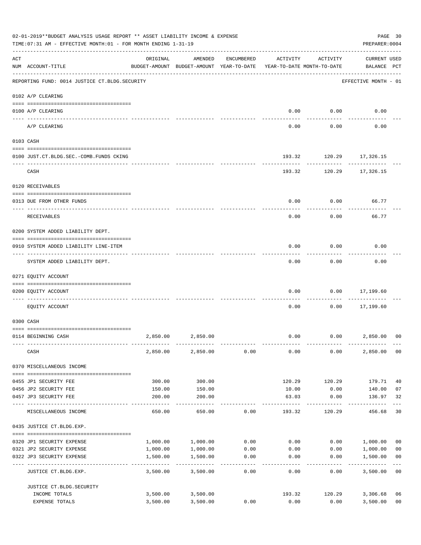|     | 02-01-2019**BUDGET ANALYSIS USAGE REPORT ** ASSET LIABILITY INCOME & EXPENSE<br>TIME:07:31 AM - EFFECTIVE MONTH:01 - FOR MONTH ENDING 1-31-19 |          |                                                     |                   |                                        |                      | PREPARER: 0004                     | PAGE 30                 |
|-----|-----------------------------------------------------------------------------------------------------------------------------------------------|----------|-----------------------------------------------------|-------------------|----------------------------------------|----------------------|------------------------------------|-------------------------|
| ACT | NUM ACCOUNT-TITLE                                                                                                                             | ORIGINAL | AMENDED<br>BUDGET-AMOUNT BUDGET-AMOUNT YEAR-TO-DATE | ENCUMBERED        | ACTIVITY<br>YEAR-TO-DATE MONTH-TO-DATE | ACTIVITY             | <b>CURRENT USED</b><br>BALANCE PCT |                         |
|     | REPORTING FUND: 0014 JUSTICE CT. BLDG. SECURITY                                                                                               |          |                                                     |                   |                                        |                      | EFFECTIVE MONTH - 01               |                         |
|     | 0102 A/P CLEARING                                                                                                                             |          |                                                     |                   |                                        |                      |                                    |                         |
|     | 0100 A/P CLEARING                                                                                                                             |          |                                                     |                   | 0.00                                   | 0.00                 | 0.00                               |                         |
|     | A/P CLEARING                                                                                                                                  |          |                                                     |                   | 0.00                                   | 0.00                 | 0.00                               |                         |
|     | 0103 CASH                                                                                                                                     |          |                                                     |                   |                                        |                      |                                    |                         |
|     | 0100 JUST.CT.BLDG.SEC.-COMB.FUNDS CKING                                                                                                       |          |                                                     |                   | 193.32                                 |                      | 120.29 17,326.15                   |                         |
|     | CASH                                                                                                                                          |          |                                                     |                   |                                        |                      | 193.32 120.29 17,326.15            |                         |
|     | 0120 RECEIVABLES                                                                                                                              |          |                                                     |                   |                                        |                      |                                    |                         |
|     | 0313 DUE FROM OTHER FUNDS                                                                                                                     |          |                                                     |                   | 0.00                                   | 0.00                 | 66.77                              |                         |
|     |                                                                                                                                               |          |                                                     |                   |                                        |                      |                                    |                         |
|     | RECEIVABLES                                                                                                                                   |          |                                                     |                   | 0.00                                   | 0.00                 | 66.77                              |                         |
|     | 0200 SYSTEM ADDED LIABILITY DEPT.                                                                                                             |          |                                                     |                   |                                        |                      |                                    |                         |
|     | 0910 SYSTEM ADDED LIABILITY LINE-ITEM                                                                                                         |          |                                                     |                   | 0.00                                   | 0.00                 | 0.00                               |                         |
|     | SYSTEM ADDED LIABILITY DEPT.                                                                                                                  |          |                                                     |                   | 0.00                                   | 0.00                 | 0.00                               |                         |
|     | 0271 EQUITY ACCOUNT                                                                                                                           |          |                                                     |                   |                                        |                      |                                    |                         |
|     | 0200 EQUITY ACCOUNT                                                                                                                           |          |                                                     |                   | 0.00                                   | 0.00                 | 17,199.60                          |                         |
|     | EQUITY ACCOUNT                                                                                                                                |          |                                                     |                   | 0.00                                   | 0.00                 | ---------<br>17,199.60             |                         |
|     | 0300 CASH                                                                                                                                     |          |                                                     |                   |                                        |                      |                                    |                         |
|     |                                                                                                                                               |          |                                                     |                   |                                        |                      |                                    |                         |
|     | 0114 BEGINNING CASH                                                                                                                           | 2,850.00 | 2,850.00                                            |                   | 0.00                                   |                      | 0.00<br>2,850.00                   | 0 <sup>0</sup>          |
|     | CASH                                                                                                                                          | 2,850.00 | 2,850.00                                            | 0.00              | 0.00                                   | 0.00                 | 2,850.00 00                        |                         |
|     | 0370 MISCELLANEOUS INCOME                                                                                                                     |          |                                                     |                   |                                        |                      |                                    |                         |
|     | 0455 JP1 SECURITY FEE                                                                                                                         | 300.00   | 300.00                                              |                   | 120.29                                 | 120.29               | 179.71                             | 40                      |
|     | 0456 JP2 SECURITY FEE                                                                                                                         | 150.00   | 150.00                                              |                   | 10.00                                  | 0.00                 | 140.00                             | 07                      |
|     | 0457 JP3 SECURITY FEE                                                                                                                         | 200.00   | 200.00<br>-----------                               |                   | 63.03<br>-------------                 | 0.00<br>------------ | 136.97<br>-----------              | 32<br>$---$             |
|     | MISCELLANEOUS INCOME                                                                                                                          | 650.00   | 650.00                                              | 0.00              | 193.32                                 | 120.29               | 456.68                             | 30                      |
|     | 0435 JUSTICE CT.BLDG.EXP.                                                                                                                     |          |                                                     |                   |                                        |                      |                                    |                         |
|     | 0320 JP1 SECURITY EXPENSE                                                                                                                     |          | 1,000.00 1,000.00                                   |                   | $0.00$ 0.00                            |                      | 0.00 1,000.00                      | 0 <sub>0</sub>          |
|     | 0321 JP2 SECURITY EXPENSE                                                                                                                     | 1,000.00 | 1,000.00                                            | 0.00              | 0.00                                   | 0.00                 | 1,000.00                           | 0 <sub>0</sub>          |
|     | 0322 JP3 SECURITY EXPENSE                                                                                                                     | 1,500.00 | 1,500.00<br>.                                       | 0.00<br>--------- | 0.00                                   | 0.00                 | 1,500.00                           | 0 <sub>0</sub><br>$---$ |
|     | JUSTICE CT.BLDG.EXP.                                                                                                                          | 3,500.00 | 3,500.00                                            | 0.00              | 0.00                                   | 0.00                 | 3,500.00 00                        |                         |
|     | JUSTICE CT. BLDG. SECURITY                                                                                                                    |          |                                                     |                   |                                        |                      |                                    |                         |
|     | INCOME TOTALS                                                                                                                                 |          | 3,500.00 3,500.00                                   |                   | 193.32                                 | 120.29               | 3,306.68                           | 06                      |
|     | EXPENSE TOTALS                                                                                                                                | 3,500.00 | 3,500.00                                            | 0.00              | 0.00                                   | 0.00                 | 3,500.00                           | 0 <sub>0</sub>          |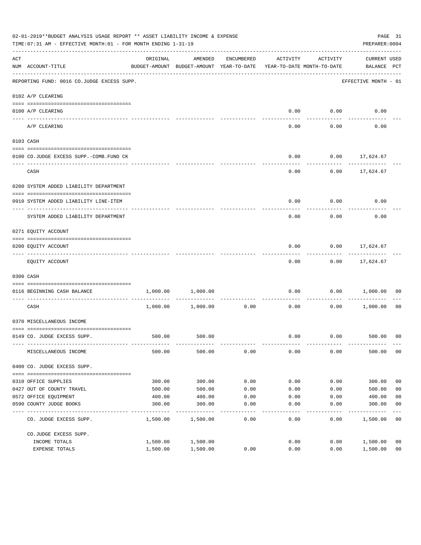|                    | 02-01-2019**BUDGET ANALYSIS USAGE REPORT ** ASSET LIABILITY INCOME & EXPENSE<br>TIME: 07:31 AM - EFFECTIVE MONTH: 01 - FOR MONTH ENDING 1-31-19 |          |                                                     |                      |                                        |          | PREPARER: 0004                     | PAGE 31        |
|--------------------|-------------------------------------------------------------------------------------------------------------------------------------------------|----------|-----------------------------------------------------|----------------------|----------------------------------------|----------|------------------------------------|----------------|
| $\mathop{\rm ACT}$ | NUM ACCOUNT-TITLE                                                                                                                               | ORIGINAL | AMENDED<br>BUDGET-AMOUNT BUDGET-AMOUNT YEAR-TO-DATE | ENCUMBERED           | ACTIVITY<br>YEAR-TO-DATE MONTH-TO-DATE | ACTIVITY | <b>CURRENT USED</b><br>BALANCE PCT |                |
|                    | REPORTING FUND: 0016 CO.JUDGE EXCESS SUPP.                                                                                                      |          |                                                     |                      |                                        |          | EFFECTIVE MONTH - 01               |                |
|                    | 0102 A/P CLEARING                                                                                                                               |          |                                                     |                      |                                        |          |                                    |                |
|                    | 0100 A/P CLEARING                                                                                                                               |          |                                                     |                      | 0.00                                   | 0.00     | 0.00                               |                |
|                    | ---- ---------<br>A/P CLEARING                                                                                                                  |          |                                                     |                      | 0.00                                   | 0.00     | 0.00                               |                |
|                    | 0103 CASH                                                                                                                                       |          |                                                     |                      |                                        |          |                                    |                |
|                    | 0100 CO.JUDGE EXCESS SUPP.-COMB.FUND CK                                                                                                         |          |                                                     |                      | 0.00                                   |          | $0.00$ 17,624.67                   |                |
|                    | CASH                                                                                                                                            |          |                                                     |                      | 0.00                                   |          | $0.00$ 17,624.67                   |                |
|                    | 0200 SYSTEM ADDED LIABILITY DEPARTMENT                                                                                                          |          |                                                     |                      |                                        |          |                                    |                |
|                    | 0910 SYSTEM ADDED LIABILITY LINE-ITEM                                                                                                           |          |                                                     |                      | 0.00                                   | 0.00     | 0.00                               |                |
|                    | SYSTEM ADDED LIABILITY DEPARTMENT                                                                                                               |          |                                                     |                      | 0.00                                   | 0.00     | 0.00                               |                |
|                    | 0271 EQUITY ACCOUNT                                                                                                                             |          |                                                     |                      |                                        |          |                                    |                |
|                    | 0200 EQUITY ACCOUNT                                                                                                                             |          |                                                     |                      | 0.00                                   |          | $0.00$ 17,624.67                   |                |
|                    | EQUITY ACCOUNT                                                                                                                                  |          |                                                     |                      | 0.00                                   |          | $0.00$ 17,624.67                   |                |
|                    | 0300 CASH                                                                                                                                       |          |                                                     |                      |                                        |          |                                    |                |
|                    | 0116 BEGINNING CASH BALANCE                                                                                                                     | 1,000.00 | 1,000.00                                            |                      | 0.00                                   | 0.00     | 1,000.00                           | 00             |
|                    | ---------------------------- ---<br>CASH                                                                                                        |          | 1,000.00 1,000.00                                   | . <u>.</u> .<br>0.00 | 0.00                                   | 0.00     | 1,000.00                           | 00             |
|                    | 0370 MISCELLANEOUS INCOME                                                                                                                       |          |                                                     |                      |                                        |          |                                    |                |
|                    | 0149 CO. JUDGE EXCESS SUPP.                                                                                                                     |          | 500.00 500.00                                       |                      |                                        |          | $0.00$ $0.00$ $500.00$ 00          |                |
|                    | MISCELLANEOUS INCOME                                                                                                                            | 500.00   | 500.00                                              | 0.00                 | 0.00                                   | 0.00     | 500.00                             | 0 <sub>0</sub> |
|                    | 0400 CO. JUDGE EXCESS SUPP.                                                                                                                     |          |                                                     |                      |                                        |          |                                    |                |
|                    | 0310 OFFICE SUPPLIES                                                                                                                            | 300.00   | 300.00                                              | 0.00                 | 0.00                                   | 0.00     | 300.00                             | 0 <sub>0</sub> |
|                    | 0427 OUT OF COUNTY TRAVEL                                                                                                                       | 500.00   | 500.00                                              | 0.00                 | 0.00                                   | 0.00     | 500.00                             | 0 <sub>0</sub> |
|                    | 0572 OFFICE EQUIPMENT                                                                                                                           | 400.00   | 400.00                                              | 0.00                 | 0.00                                   | 0.00     | 400.00                             | 0 <sub>0</sub> |
|                    | 0590 COUNTY JUDGE BOOKS                                                                                                                         | 300.00   | 300.00                                              | 0.00                 | 0.00                                   | 0.00     | 300.00                             | 0 <sub>0</sub> |
|                    | CO. JUDGE EXCESS SUPP.                                                                                                                          | 1,500.00 | 1,500.00                                            | 0.00                 | 0.00                                   | 0.00     | 1,500.00                           | 0 <sub>0</sub> |
|                    | CO.JUDGE EXCESS SUPP.                                                                                                                           |          |                                                     |                      |                                        |          |                                    |                |
|                    | INCOME TOTALS                                                                                                                                   | 1,500.00 | 1,500.00                                            |                      | 0.00                                   | 0.00     | 1,500.00                           | 0 <sub>0</sub> |
|                    | EXPENSE TOTALS                                                                                                                                  | 1,500.00 | 1,500.00                                            | 0.00                 | 0.00                                   | 0.00     | 1,500.00                           | 0 <sub>0</sub> |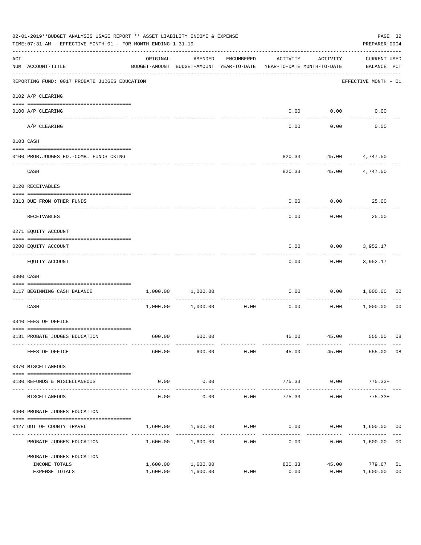| 02-01-2019**BUDGET ANALYSIS USAGE REPORT ** ASSET LIABILITY INCOME & EXPENSE<br>TIME: 07:31 AM - EFFECTIVE MONTH: 01 - FOR MONTH ENDING 1-31-19 |                                               |                                                                                 |                       |                      |          | PAGE 32<br>PREPARER: 0004 |                                    |                |
|-------------------------------------------------------------------------------------------------------------------------------------------------|-----------------------------------------------|---------------------------------------------------------------------------------|-----------------------|----------------------|----------|---------------------------|------------------------------------|----------------|
| ACT                                                                                                                                             | NUM ACCOUNT-TITLE                             | ORIGINAL<br>BUDGET-AMOUNT BUDGET-AMOUNT YEAR-TO-DATE YEAR-TO-DATE MONTH-TO-DATE | AMENDED               | ENCUMBERED           | ACTIVITY | ACTIVITY                  | <b>CURRENT USED</b><br>BALANCE PCT |                |
|                                                                                                                                                 | REPORTING FUND: 0017 PROBATE JUDGES EDUCATION |                                                                                 |                       |                      |          |                           | EFFECTIVE MONTH - 01               |                |
|                                                                                                                                                 | 0102 A/P CLEARING                             |                                                                                 |                       |                      |          |                           |                                    |                |
|                                                                                                                                                 | 0100 A/P CLEARING                             |                                                                                 |                       |                      | 0.00     | 0.00                      | 0.00                               |                |
|                                                                                                                                                 | ---- --------<br>A/P CLEARING                 |                                                                                 |                       |                      | 0.00     | 0.00                      | 0.00                               |                |
|                                                                                                                                                 | 0103 CASH                                     |                                                                                 |                       |                      |          |                           |                                    |                |
|                                                                                                                                                 | 0100 PROB.JUDGES ED.-COMB. FUNDS CKING        |                                                                                 |                       |                      | 820.33   |                           | 45.00 4,747.50                     |                |
|                                                                                                                                                 | CASH                                          |                                                                                 |                       |                      | 820.33   | ---------                 | 45.00 4,747.50                     |                |
|                                                                                                                                                 | 0120 RECEIVABLES                              |                                                                                 |                       |                      |          |                           |                                    |                |
|                                                                                                                                                 | 0313 DUE FROM OTHER FUNDS                     |                                                                                 |                       |                      | 0.00     | 0.00                      | 25.00                              |                |
|                                                                                                                                                 | RECEIVABLES                                   |                                                                                 |                       |                      | 0.00     | 0.00                      | 25.00                              |                |
|                                                                                                                                                 | 0271 EQUITY ACCOUNT                           |                                                                                 |                       |                      |          |                           |                                    |                |
|                                                                                                                                                 | 0200 EQUITY ACCOUNT                           |                                                                                 |                       |                      | 0.00     | 0.00                      | 3,952.17                           |                |
|                                                                                                                                                 | EQUITY ACCOUNT                                |                                                                                 |                       |                      | 0.00     | 0.00                      | 3,952.17                           |                |
|                                                                                                                                                 | 0300 CASH                                     |                                                                                 |                       |                      |          |                           |                                    |                |
|                                                                                                                                                 | 0117 BEGINNING CASH BALANCE                   |                                                                                 | 1,000.00 1,000.00     |                      | 0.00     | 0.00                      | 1,000.00                           | 00             |
|                                                                                                                                                 | CASH                                          |                                                                                 | $1,000.00$ $1,000.00$ | ------------<br>0.00 | 0.00     | ---------<br>0.00         | 1,000.00                           | 00             |
|                                                                                                                                                 | 0340 FEES OF OFFICE                           |                                                                                 |                       |                      |          |                           |                                    |                |
|                                                                                                                                                 | 0131 PROBATE JUDGES EDUCATION                 |                                                                                 | 600.00 600.00         |                      |          |                           | 45.00  45.00  555.00  08           |                |
|                                                                                                                                                 | FEES OF OFFICE                                | 600.00                                                                          | 600.00                | 0.00                 | 45.00    | 45.00                     | 555.00                             | 08             |
|                                                                                                                                                 | 0370 MISCELLANEOUS                            |                                                                                 |                       |                      |          |                           |                                    |                |
|                                                                                                                                                 | 0130 REFUNDS & MISCELLANEOUS                  | 0.00                                                                            | 0.00                  |                      | 775.33   | 0.00                      | $775.33+$                          |                |
|                                                                                                                                                 | MISCELLANEOUS                                 | 0.00                                                                            | -----------<br>0.00   | 0.00                 | 775.33   | 0.00                      | -------------<br>$775.33+$         |                |
|                                                                                                                                                 | 0400 PROBATE JUDGES EDUCATION                 |                                                                                 |                       |                      |          |                           |                                    |                |
|                                                                                                                                                 | 0427 OUT OF COUNTY TRAVEL                     | 1,600.00                                                                        | 1,600.00              | 0.00                 | 0.00     |                           | $0.00$ 1,600.00 00                 |                |
|                                                                                                                                                 | PROBATE JUDGES EDUCATION                      |                                                                                 | 1,600.00 1,600.00     | -----------<br>0.00  | 0.00     |                           | 0.00 1,600.00                      | 0 <sub>0</sub> |
|                                                                                                                                                 | PROBATE JUDGES EDUCATION                      |                                                                                 |                       |                      |          |                           |                                    |                |
|                                                                                                                                                 | INCOME TOTALS                                 | 1,600.00                                                                        | 1,600.00              |                      | 820.33   | 45.00                     | 779.67                             | 51             |
|                                                                                                                                                 | EXPENSE TOTALS                                | 1,600.00                                                                        | 1,600.00              | 0.00                 | 0.00     | 0.00                      | 1,600.00                           | 0 <sub>0</sub> |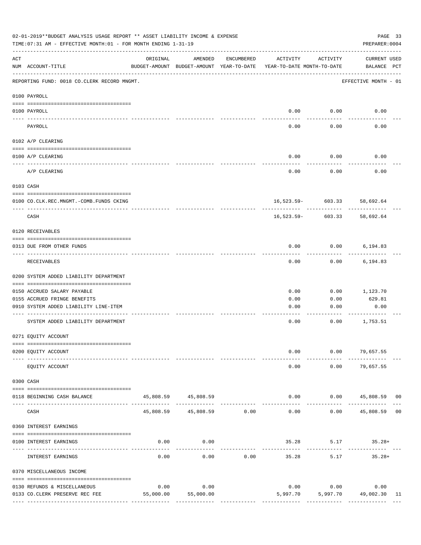|     | 02-01-2019**BUDGET ANALYSIS USAGE REPORT ** ASSET LIABILITY INCOME & EXPENSE<br>TIME: 07:31 AM - EFFECTIVE MONTH: 01 - FOR MONTH ENDING 1-31-19 |           |                                                     |               |                                        |                   | PAGE 33<br>PREPARER: 0004          |    |
|-----|-------------------------------------------------------------------------------------------------------------------------------------------------|-----------|-----------------------------------------------------|---------------|----------------------------------------|-------------------|------------------------------------|----|
| ACT | NUM ACCOUNT-TITLE                                                                                                                               | ORIGINAL  | AMENDED<br>BUDGET-AMOUNT BUDGET-AMOUNT YEAR-TO-DATE | ENCUMBERED    | ACTIVITY<br>YEAR-TO-DATE MONTH-TO-DATE | ACTIVITY          | <b>CURRENT USED</b><br>BALANCE PCT |    |
|     | REPORTING FUND: 0018 CO.CLERK RECORD MNGMT.                                                                                                     |           |                                                     |               |                                        |                   | EFFECTIVE MONTH - 01               |    |
|     | 0100 PAYROLL                                                                                                                                    |           |                                                     |               |                                        |                   |                                    |    |
|     | 0100 PAYROLL                                                                                                                                    |           |                                                     |               | 0.00                                   | 0.00              | 0.00                               |    |
|     | PAYROLL                                                                                                                                         |           |                                                     |               | 0.00                                   | 0.00              | 0.00                               |    |
|     | 0102 A/P CLEARING                                                                                                                               |           |                                                     |               |                                        |                   |                                    |    |
|     | 0100 A/P CLEARING                                                                                                                               |           |                                                     |               | 0.00                                   | 0.00              | 0.00                               |    |
|     | A/P CLEARING                                                                                                                                    |           |                                                     |               | 0.00                                   | 0.00              | 0.00                               |    |
|     | 0103 CASH                                                                                                                                       |           |                                                     |               |                                        |                   |                                    |    |
|     | 0100 CO.CLK.REC.MNGMT.-COMB.FUNDS CKING                                                                                                         |           |                                                     |               |                                        | 16,523.59- 603.33 | 58,692.64                          |    |
|     | --------------------------------<br>CASH                                                                                                        |           |                                                     |               | 16,523.59-                             | 603.33            | ----------<br>58,692.64            |    |
|     | 0120 RECEIVABLES                                                                                                                                |           |                                                     |               |                                        |                   |                                    |    |
|     | 0313 DUE FROM OTHER FUNDS                                                                                                                       |           |                                                     |               | 0.00                                   | 0.00              | 6,194.83                           |    |
|     | RECEIVABLES                                                                                                                                     |           |                                                     |               | 0.00                                   | 0.00              | 6,194.83                           |    |
|     | 0200 SYSTEM ADDED LIABILITY DEPARTMENT                                                                                                          |           |                                                     |               |                                        |                   |                                    |    |
|     | 0150 ACCRUED SALARY PAYABLE                                                                                                                     |           |                                                     |               | 0.00                                   | 0.00              | 1,123.70                           |    |
|     | 0155 ACCRUED FRINGE BENEFITS                                                                                                                    |           |                                                     |               | 0.00                                   | 0.00              | 629.81                             |    |
|     | 0910 SYSTEM ADDED LIABILITY LINE-ITEM                                                                                                           |           |                                                     |               | 0.00                                   | 0.00              | 0.00                               |    |
|     | SYSTEM ADDED LIABILITY DEPARTMENT                                                                                                               |           |                                                     |               | 0.00                                   | 0.00              | 1,753.51                           |    |
|     | 0271 EQUITY ACCOUNT                                                                                                                             |           |                                                     |               |                                        |                   |                                    |    |
|     | 0200 EQUITY ACCOUNT                                                                                                                             |           |                                                     |               | 0.00                                   |                   | $0.00$ 79,657.55                   |    |
|     | EQUITY ACCOUNT                                                                                                                                  |           |                                                     |               | 0.00                                   | 0.00              | 79,657.55                          |    |
|     | 0300 CASH                                                                                                                                       |           |                                                     |               |                                        |                   |                                    |    |
|     | 0118 BEGINNING CASH BALANCE                                                                                                                     |           | 45,808.59 45,808.59<br>--------------               | ------------- | 0.00<br>$- - - - -$                    | ----------        | $0.00$ 45,808.59 00                |    |
|     | CASH                                                                                                                                            |           | 45,808.59 45,808.59 0.00                            |               | 0.00                                   | 0.00              | 45,808.59 00                       |    |
|     | 0360 INTEREST EARNINGS                                                                                                                          |           |                                                     |               |                                        |                   |                                    |    |
|     | 0100 INTEREST EARNINGS                                                                                                                          | 0.00      | 0.00                                                |               | 35.28                                  | 5.17              | $35.28+$                           |    |
|     | INTEREST EARNINGS                                                                                                                               | 0.00      | 0.00                                                | 0.00          | 35.28                                  | 5.17              | $35.28+$                           |    |
|     | 0370 MISCELLANEOUS INCOME                                                                                                                       |           |                                                     |               |                                        |                   |                                    |    |
|     | 0130 REFUNDS & MISCELLANEOUS                                                                                                                    | 0.00      | 0.00                                                |               |                                        | 0.00 0.00         | 0.00                               |    |
|     | 0133 CO. CLERK PRESERVE REC FEE                                                                                                                 | 55,000.00 | 55,000.00                                           |               | 5,997.70                               |                   | 5,997.70 49,002.30                 | 11 |
|     |                                                                                                                                                 |           |                                                     |               |                                        |                   |                                    |    |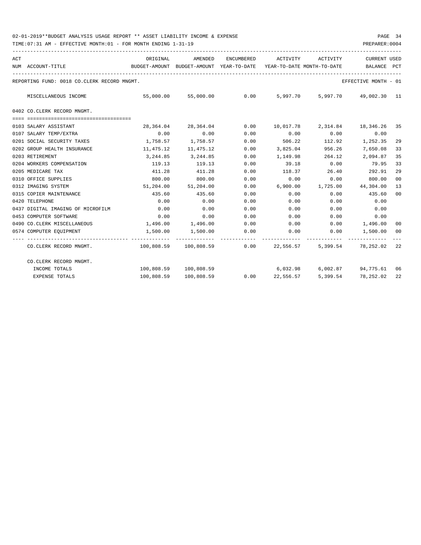| ACT | NUM ACCOUNT-TITLE                           | ORIGINAL              | AMENDED<br>BUDGET-AMOUNT BUDGET-AMOUNT YEAR-TO-DATE                         | ENCUMBERED           | ACTIVITY<br>YEAR-TO-DATE MONTH-TO-DATE | ACTIVITY | <b>CURRENT USED</b><br>BALANCE               | PCT             |
|-----|---------------------------------------------|-----------------------|-----------------------------------------------------------------------------|----------------------|----------------------------------------|----------|----------------------------------------------|-----------------|
|     | REPORTING FUND: 0018 CO.CLERK RECORD MNGMT. |                       |                                                                             |                      |                                        |          | EFFECTIVE MONTH - 01                         |                 |
|     | MISCELLANEOUS INCOME                        |                       | 55,000.00 55,000.00                                                         | 0.00                 |                                        |          | 5,997.70 5,997.70 49,002.30 11               |                 |
|     | 0402 CO.CLERK RECORD MNGMT.                 |                       |                                                                             |                      |                                        |          |                                              |                 |
|     | 0103 SALARY ASSISTANT                       | 28,364.04             | 28,364.04                                                                   |                      |                                        |          | $0.00$ $10,017.78$ $2,314.84$ $18,346.26$ 35 |                 |
|     | 0107 SALARY TEMP/EXTRA                      | 0.00                  | 0.00                                                                        | 0.00                 | 0.00                                   | 0.00     | 0.00                                         |                 |
|     | 0201 SOCIAL SECURITY TAXES                  |                       | 1,758.57 1,758.57                                                           | 0.00                 | 506.22                                 | 112.92   | 1,252.35                                     | 29              |
|     | 0202 GROUP HEALTH INSURANCE                 | 11,475.12             | 11,475.12                                                                   | 0.00                 | 3,825.04                               | 956.26   | 7,650.08                                     | 33              |
|     | 0203 RETIREMENT                             | 3,244.85              | 3,244.85                                                                    | 0.00                 | 1,149.98                               | 264.12   | 2,094.87                                     | 35              |
|     | 0204 WORKERS COMPENSATION                   | 119.13                | 119.13                                                                      | 0.00                 | 39.18                                  | 0.00     | 79.95                                        | 33              |
|     | 0205 MEDICARE TAX                           | 411.28                | 411.28                                                                      | 0.00                 | 118.37                                 | 26.40    | 292.91                                       | 29              |
|     | 0310 OFFICE SUPPLIES                        | 800.00                | 800.00                                                                      | 0.00                 | 0.00                                   | 0.00     | 800.00                                       | 00 <sup>o</sup> |
|     | 0312 IMAGING SYSTEM                         |                       | 51,204.00 51,204.00                                                         | 0.00                 | 6,900.00                               |          | 1,725.00 44,304.00                           | 13              |
|     | 0315 COPIER MAINTENANCE                     | 435.60                | 435.60                                                                      | 0.00                 | 0.00                                   | 0.00     | 435.60                                       | 00              |
|     | 0420 TELEPHONE                              | 0.00                  | 0.00                                                                        | 0.00                 | 0.00                                   | 0.00     | 0.00                                         |                 |
|     | 0437 DIGITAL IMAGING OF MICROFILM           | 0.00                  | 0.00                                                                        | 0.00                 | 0.00                                   | 0.00     | 0.00                                         |                 |
|     | 0453 COMPUTER SOFTWARE                      | 0.00                  | 0.00                                                                        | 0.00                 | 0.00                                   | 0.00     | 0.00                                         |                 |
|     | 0490 CO. CLERK MISCELLANEOUS                | $1,496.00$ $1,496.00$ |                                                                             | 0.00                 |                                        |          | $0.00$ $0.00$ $1,496.00$                     | 00              |
|     | 0574 COMPUTER EQUIPMENT                     |                       | 1,500.00 1,500.00                                                           | 0.00<br>------------ |                                        |          | $0.00$ $0.00$ $1,500.00$                     | 00              |
|     | CO.CLERK RECORD MNGMT.                      |                       | 100,808.59 100,808.59      0.00      22,556.57      5,399.54      78,252.02 |                      |                                        |          |                                              | 22              |
|     | CO.CLERK RECORD MNGMT.                      |                       |                                                                             |                      |                                        |          |                                              |                 |
|     | INCOME TOTALS                               |                       | 100,808.59 100,808.59                                                       |                      |                                        |          | 6,032.98 6,002.87 94,775.61 06               |                 |
|     | EXPENSE TOTALS                              |                       | 100,808.59 100,808.59                                                       |                      |                                        |          | $0.00$ $22,556.57$ $5,399.54$ $78,252.02$    | 22              |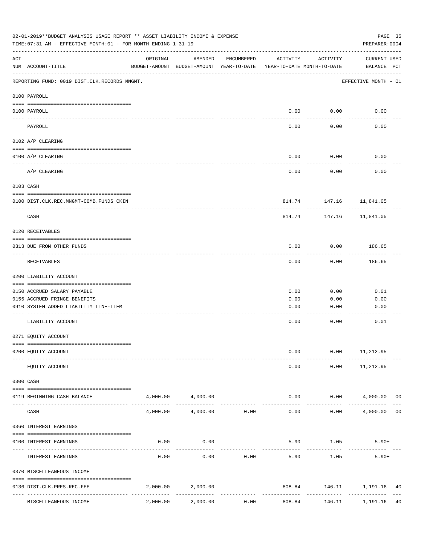| 02-01-2019**BUDGET ANALYSIS USAGE REPORT ** ASSET LIABILITY INCOME & EXPENSE<br>TIME: 07:31 AM - EFFECTIVE MONTH: 01 - FOR MONTH ENDING 1-31-19 |                                              |                                                      |                   |                     |                                        |                         | PAGE 35<br>PREPARER: 0004    |
|-------------------------------------------------------------------------------------------------------------------------------------------------|----------------------------------------------|------------------------------------------------------|-------------------|---------------------|----------------------------------------|-------------------------|------------------------------|
| ACT                                                                                                                                             | NUM ACCOUNT-TITLE                            | ORIGINAL<br>BUDGET-AMOUNT BUDGET-AMOUNT YEAR-TO-DATE | AMENDED           | ENCUMBERED          | ACTIVITY<br>YEAR-TO-DATE MONTH-TO-DATE | ACTIVITY                | CURRENT USED<br>BALANCE PCT  |
|                                                                                                                                                 | REPORTING FUND: 0019 DIST.CLK.RECORDS MNGMT. |                                                      |                   |                     |                                        |                         | EFFECTIVE MONTH - 01         |
|                                                                                                                                                 | 0100 PAYROLL                                 |                                                      |                   |                     |                                        |                         |                              |
|                                                                                                                                                 | 0100 PAYROLL                                 |                                                      |                   |                     | 0.00                                   | 0.00                    | 0.00                         |
|                                                                                                                                                 | ---- -------<br>PAYROLL                      |                                                      |                   |                     | 0.00                                   | -------<br>0.00         | 0.00                         |
|                                                                                                                                                 | 0102 A/P CLEARING                            |                                                      |                   |                     |                                        |                         |                              |
|                                                                                                                                                 | 0100 A/P CLEARING                            |                                                      |                   |                     | 0.00                                   | 0.00                    | 0.00                         |
|                                                                                                                                                 | A/P CLEARING                                 |                                                      |                   |                     | 0.00                                   | 0.00                    | 0.00                         |
|                                                                                                                                                 | 0103 CASH                                    |                                                      |                   |                     |                                        |                         |                              |
|                                                                                                                                                 | 0100 DIST.CLK.REC.MNGMT-COMB.FUNDS CKIN      |                                                      |                   |                     |                                        | 814.74 147.16 11,841.05 |                              |
|                                                                                                                                                 | CASH                                         |                                                      |                   |                     | 814.74                                 | ----------<br>147.16    | 11,841.05                    |
|                                                                                                                                                 | 0120 RECEIVABLES                             |                                                      |                   |                     |                                        |                         |                              |
|                                                                                                                                                 | 0313 DUE FROM OTHER FUNDS                    |                                                      |                   |                     | 0.00                                   | 0.00                    | 186.65                       |
|                                                                                                                                                 | RECEIVABLES                                  |                                                      |                   |                     | 0.00                                   | ---------<br>0.00       | ---------<br>186.65          |
|                                                                                                                                                 | 0200 LIABILITY ACCOUNT                       |                                                      |                   |                     |                                        |                         |                              |
|                                                                                                                                                 | 0150 ACCRUED SALARY PAYABLE                  |                                                      |                   |                     | 0.00                                   | 0.00                    | 0.01                         |
|                                                                                                                                                 | 0155 ACCRUED FRINGE BENEFITS                 |                                                      |                   |                     | 0.00                                   | 0.00                    | 0.00                         |
|                                                                                                                                                 | 0910 SYSTEM ADDED LIABILITY LINE-ITEM        |                                                      |                   |                     | 0.00                                   | 0.00                    | 0.00                         |
|                                                                                                                                                 | LIABILITY ACCOUNT                            |                                                      |                   |                     | 0.00                                   | 0.00                    | 0.01                         |
|                                                                                                                                                 |                                              |                                                      |                   |                     |                                        |                         |                              |
|                                                                                                                                                 | 0271 EQUITY ACCOUNT                          |                                                      |                   |                     |                                        |                         |                              |
|                                                                                                                                                 | 0200 EQUITY ACCOUNT                          |                                                      |                   |                     | 0.00                                   | 0.00                    | 11,212.95                    |
|                                                                                                                                                 | EQUITY ACCOUNT                               |                                                      |                   |                     | 0.00                                   | 0.00                    | 11,212.95                    |
|                                                                                                                                                 | 0300 CASH                                    |                                                      |                   |                     |                                        |                         |                              |
|                                                                                                                                                 | 0119 BEGINNING CASH BALANCE                  |                                                      | 4,000.00 4,000.00 |                     |                                        | 0.00                    | $0.00$ $4,000.00$ 00         |
|                                                                                                                                                 | CASH                                         | 4,000.00                                             | 4,000.00          | 0.00                | 0.00                                   | 0.00                    | 4,000.00<br>0 <sub>0</sub>   |
|                                                                                                                                                 | 0360 INTEREST EARNINGS                       |                                                      |                   |                     |                                        |                         |                              |
|                                                                                                                                                 |                                              |                                                      |                   |                     |                                        |                         |                              |
|                                                                                                                                                 | 0100 INTEREST EARNINGS                       | 0.00                                                 | 0.00              |                     |                                        | 5.90 1.05               | $5.90+$                      |
|                                                                                                                                                 | INTEREST EARNINGS                            | 0.00                                                 | 0.00              | 0.00                | 5.90                                   | 1.05                    | $5.90+$                      |
|                                                                                                                                                 | 0370 MISCELLEANEOUS INCOME                   |                                                      |                   |                     |                                        |                         |                              |
|                                                                                                                                                 | 0136 DIST.CLK.PRES.REC.FEE                   | 2,000.00                                             | 2,000.00          |                     |                                        |                         | 808.84 146.11 1,191.16<br>40 |
|                                                                                                                                                 | ---------------<br>MISCELLEANEOUS INCOME     | 2,000.00                                             | 2,000.00          | -----------<br>0.00 | 808.84                                 | 146.11                  | 40<br>1,191.16               |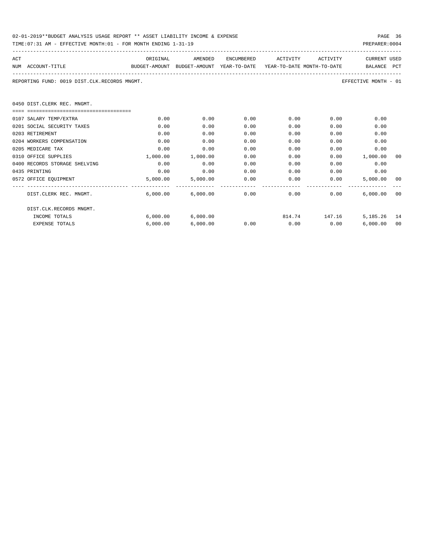| 02-01-2019**BUDGET ANALYSIS USAGE REPORT ** ASSET LIABILITY INCOME & EXPENSE | PAGE 36        |  |
|------------------------------------------------------------------------------|----------------|--|
| TIME:07:31 AM - EFFECTIVE MONTH:01 - FOR MONTH ENDING 1-31-19                | PREPARER: 0004 |  |

| ACT                                          | ORIGINAL | AMENDED                    | ENCUMBERED    | ACTIVITY                                                            | ACTIVITY      | <b>CURRENT USED</b>  |     |
|----------------------------------------------|----------|----------------------------|---------------|---------------------------------------------------------------------|---------------|----------------------|-----|
| NUM ACCOUNT-TITLE                            |          |                            |               | BUDGET-AMOUNT BUDGET-AMOUNT YEAR-TO-DATE YEAR-TO-DATE MONTH-TO-DATE |               | BALANCE              | PCT |
| REPORTING FUND: 0019 DIST.CLK.RECORDS MNGMT. |          |                            |               |                                                                     |               | EFFECTIVE MONTH - 01 |     |
| 0450 DIST.CLERK REC. MNGMT.                  |          |                            |               |                                                                     |               |                      |     |
|                                              |          |                            |               |                                                                     |               |                      |     |
| 0107 SALARY TEMP/EXTRA                       | 0.00     | 0.00                       | 0.00          | $0.00$ and $0.00$                                                   | 0.00          | 0.00                 |     |
| 0201 SOCIAL SECURITY TAXES                   | 0.00     | 0.00                       | 0.00          | 0.00                                                                | 0.00          | 0.00                 |     |
| 0203 RETIREMENT                              | 0.00     | 0.00                       | 0.00          | 0.00                                                                | 0.00          | 0.00                 |     |
| 0204 WORKERS COMPENSATION                    | 0.00     | 0.00                       | 0.00          | 0.00                                                                | 0.00          | 0.00                 |     |
| 0205 MEDICARE TAX                            | 0.00     | 0.00                       | 0.00          | 0.00                                                                | 0.00          | 0.00                 |     |
| 0310 OFFICE SUPPLIES                         | 1,000.00 | 1,000.00                   | 0.00          | 0.00                                                                | 0.00          | 1,000.00             | 00  |
| 0400 RECORDS STORAGE SHELVING                | 0.00     | 0.00                       | 0.00          | 0.00                                                                | 0.00          | 0.00                 |     |
| 0435 PRINTING                                | 0.00     | 0.00                       | 0.00          | 0.00                                                                | 0.00          | 0.00                 |     |
| 0572 OFFICE EQUIPMENT                        | 5,000.00 |                            | 5,000.00 0.00 | 0.00                                                                | 0.00          | 5,000.00 00          |     |
| DIST.CLERK REC. MNGMT.                       |          | $6,000.00$ $6,000.00$ 0.00 |               | $0.00$ and $0.00$                                                   | 0.00          | 6.000.00             | 00  |
| DIST.CLK.RECORDS MNGMT.                      |          |                            |               |                                                                     |               |                      |     |
| INCOME TOTALS                                | 6,000.00 | 6,000.00                   |               |                                                                     | 814.74 147.16 | 5,185.26 14          |     |
| <b>EXPENSE TOTALS</b>                        | 6.000.00 | 6.000.00                   | 0.00          | $0.00$ 0.00                                                         |               | 6.000.00             | 00  |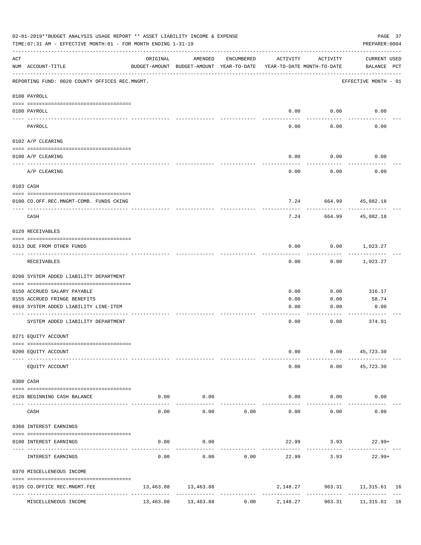|                    | 02-01-2019**BUDGET ANALYSIS USAGE REPORT ** ASSET LIABILITY INCOME & EXPENSE<br>TIME: 07:31 AM - EFFECTIVE MONTH: 01 - FOR MONTH ENDING 1-31-19 |           |                                                     |                                         |                                        |                    | PAGE 37<br>PREPARER: 0004    |  |
|--------------------|-------------------------------------------------------------------------------------------------------------------------------------------------|-----------|-----------------------------------------------------|-----------------------------------------|----------------------------------------|--------------------|------------------------------|--|
| $\mathop{\rm ACT}$ | NUM ACCOUNT-TITLE                                                                                                                               | ORIGINAL  | AMENDED<br>BUDGET-AMOUNT BUDGET-AMOUNT YEAR-TO-DATE | ENCUMBERED                              | ACTIVITY<br>YEAR-TO-DATE MONTH-TO-DATE | ACTIVITY           | CURRENT USED<br>BALANCE PCT  |  |
|                    | REPORTING FUND: 0020 COUNTY OFFICES REC.MNGMT.                                                                                                  |           |                                                     |                                         |                                        |                    | EFFECTIVE MONTH - 01         |  |
|                    | 0100 PAYROLL                                                                                                                                    |           |                                                     |                                         |                                        |                    |                              |  |
|                    | 0100 PAYROLL                                                                                                                                    |           |                                                     |                                         |                                        | $0.00$ 0.00        | 0.00                         |  |
|                    | PAYROLL                                                                                                                                         |           |                                                     |                                         | 0.00                                   | 0.00               | 0.00                         |  |
|                    | 0102 A/P CLEARING                                                                                                                               |           |                                                     |                                         |                                        |                    |                              |  |
|                    | 0100 A/P CLEARING                                                                                                                               |           |                                                     |                                         | 0.00                                   | 0.00               | 0.00                         |  |
|                    | A/P CLEARING                                                                                                                                    |           |                                                     |                                         | 0.00                                   | 0.00               | 0.00                         |  |
|                    | 0103 CASH                                                                                                                                       |           |                                                     |                                         |                                        |                    |                              |  |
|                    | 0100 CO.OFF.REC.MNGMT-COMB. FUNDS CKING                                                                                                         |           |                                                     |                                         |                                        |                    | 7.24 664.99 45,082.18        |  |
|                    | ______________________________<br>CASH                                                                                                          |           |                                                     |                                         | $- - - -$<br>7.24                      | 664.99             | $- - - - - -$<br>45,082.18   |  |
|                    | 0120 RECEIVABLES                                                                                                                                |           |                                                     |                                         |                                        |                    |                              |  |
|                    | 0313 DUE FROM OTHER FUNDS                                                                                                                       |           |                                                     |                                         | 0.00                                   |                    | $0.00$ 1,023.27              |  |
|                    | RECEIVABLES                                                                                                                                     |           |                                                     |                                         | 0.00                                   | 0.00               | 1,023.27                     |  |
|                    | 0200 SYSTEM ADDED LIABILITY DEPARTMENT                                                                                                          |           |                                                     |                                         |                                        |                    |                              |  |
|                    | 0150 ACCRUED SALARY PAYABLE                                                                                                                     |           |                                                     |                                         | 0.00                                   | 0.00               | 316.17                       |  |
|                    | 0155 ACCRUED FRINGE BENEFITS                                                                                                                    |           |                                                     |                                         | 0.00                                   | 0.00               | 58.74                        |  |
|                    | 0910 SYSTEM ADDED LIABILITY LINE-ITEM                                                                                                           |           |                                                     |                                         | 0.00                                   | 0.00               | 0.00                         |  |
|                    | SYSTEM ADDED LIABILITY DEPARTMENT                                                                                                               |           |                                                     |                                         | 0.00                                   | 0.00               | 374.91                       |  |
|                    | 0271 EQUITY ACCOUNT                                                                                                                             |           |                                                     |                                         |                                        |                    |                              |  |
|                    | 0200 EQUITY ACCOUNT                                                                                                                             |           |                                                     |                                         | 0.00                                   |                    | $0.00$ 45,723.30             |  |
|                    | EQUITY ACCOUNT                                                                                                                                  |           |                                                     |                                         | 0.00                                   |                    | $0.00$ 45,723.30             |  |
|                    | 0300 CASH                                                                                                                                       |           |                                                     |                                         |                                        |                    |                              |  |
|                    | 0120 BEGINNING CASH BALANCE                                                                                                                     | 0.00      | 0.00<br>----------                                  |                                         |                                        | $0.00$ $0.00$      | 0.00                         |  |
| $- - - - -$        | CASH                                                                                                                                            | 0.00      | 0.00                                                | 0.00                                    | $- - - - -$<br>0.00                    | ----------<br>0.00 | 0.00                         |  |
|                    | 0360 INTEREST EARNINGS                                                                                                                          |           |                                                     |                                         |                                        |                    |                              |  |
|                    | 0100 INTEREST EARNINGS                                                                                                                          | 0.00      | 0.00                                                |                                         |                                        |                    | $22.99$ $3.93$ $22.99+$      |  |
|                    | INTEREST EARNINGS                                                                                                                               | 0.00      | 0.00                                                | 0.00                                    | -------------<br>22.99                 | 3.93               | $22.99+$                     |  |
|                    | 0370 MISCELLENEOUS INCOME                                                                                                                       |           |                                                     |                                         |                                        |                    |                              |  |
|                    | 0135 CO.OFFICE REC.MNGMT.FEE                                                                                                                    |           | 13,463.88 13,463.88                                 |                                         |                                        |                    | 2,148.27 963.31 11,315.61 16 |  |
|                    | ---- --------------------<br>MISCELLENEOUS INCOME                                                                                               | 13,463.88 | 13,463.88                                           | -------------------------------<br>0.00 | 2,148.27                               |                    | 963.31 11,315.61 16          |  |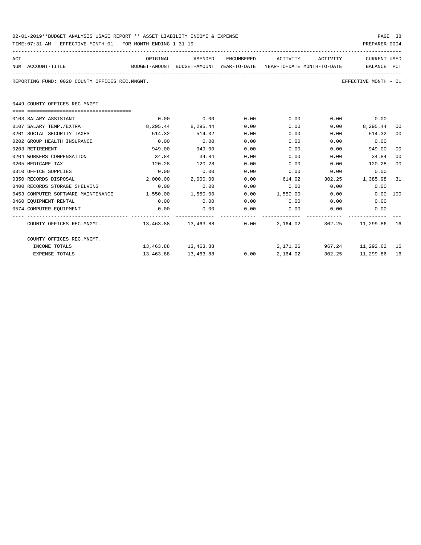| 02-01-2019**BUDGET ANALYSIS USAGE REPORT ** ASSET LIABILITY INCOME & EXPENSE | PAGE 38        |
|------------------------------------------------------------------------------|----------------|
| TIME:07:31 AM - EFFECTIVE MONTH:01 - FOR MONTH ENDING 1-31-19                | PREPARER: 0004 |

| ACT<br>NUM ACCOUNT-TITLE<br>BUDGET-AMOUNT BUDGET-AMOUNT YEAR-TO-DATE YEAR-TO-DATE MONTH-TO-DATE |          | ORIGINAL AMENDED    |      | ENCUMBERED ACTIVITY ACTIVITY |        | CURRENT USED<br>BALANCE PCT |                |
|-------------------------------------------------------------------------------------------------|----------|---------------------|------|------------------------------|--------|-----------------------------|----------------|
| REPORTING FUND: 0020 COUNTY OFFICES REC.MNGMT.                                                  |          |                     |      |                              |        | EFFECTIVE MONTH - 01        |                |
| 0449 COUNTY OFFICES REC.MNGMT.                                                                  |          |                     |      |                              |        |                             |                |
|                                                                                                 |          |                     |      |                              |        |                             |                |
| 0103 SALARY ASSISTANT                                                                           | 0.00     | 0.00                | 0.00 | $0.00$ $0.00$ $0.00$ $0.00$  |        |                             |                |
| 0107 SALARY TEMP./EXTRA                                                                         | 8,295.44 | 8,295.44            | 0.00 | 0.00                         |        | $0.00$ 8,295.44             | 00             |
| 0201 SOCIAL SECURITY TAXES                                                                      | 514.32   | 514.32              | 0.00 | 0.00                         |        | $0.00$ $514.32$             | 00             |
| 0202 GROUP HEALTH INSURANCE                                                                     | 0.00     | 0.00                | 0.00 | 0.00                         | 0.00   | 0.00                        |                |
| 0203 RETIREMENT                                                                                 | 949.00   | 949.00              | 0.00 | 0.00                         | 0.00   | 949.00                      | 00             |
| 0204 WORKERS COMPENSATION                                                                       | 34.84    | 34.84               | 0.00 | 0.00                         | 0.00   | 34.84                       | 0 <sup>0</sup> |
| 0205 MEDICARE TAX                                                                               | 120.28   | 120.28              | 0.00 | 0.00                         | 0.00   | 120.28                      | 00             |
| 0310 OFFICE SUPPLIES                                                                            | 0.00     | 0.00                | 0.00 | 0.00                         | 0.00   | 0.00                        |                |
| 0350 RECORDS DISPOSAL                                                                           | 2,000.00 | 2,000.00            | 0.00 | 614.02                       |        | 302.25 1,385.98             | -31            |
| 0400 RECORDS STORAGE SHELVING                                                                   | 0.00     | 0.00                | 0.00 | $0.00$ 0.00                  |        | 0.00                        |                |
| 0453 COMPUTER SOFTWARE MAINTENANCE 1,550.00 1,550.00                                            |          |                     |      | $0.00$ 1,550.00 0.00         |        | 0.00 100                    |                |
| 0460 EOUIPMENT RENTAL                                                                           | 0.00     | 0.00                | 0.00 | $0.00$ 0.00                  |        | 0.00                        |                |
| 0574 COMPUTER EQUIPMENT                                                                         | 0.00     | 0.00                | 0.00 | $0.00$ 0.00                  |        | 0.00                        |                |
| COUNTY OFFICES REC.MNGMT. 463.88 13,463.88 0.00 2,164.02 302.25 11,299.86 16                    |          |                     |      |                              |        |                             |                |
| COUNTY OFFICES REC.MNGMT.                                                                       |          |                     |      |                              |        |                             |                |
| INCOME TOTALS                                                                                   |          | 13,463.88 13,463.88 |      | 2,171.26 967.24 11,292.62 16 |        |                             |                |
| <b>EXPENSE TOTALS</b>                                                                           |          | 13,463.88 13,463.88 |      | $0.00$ 2,164.02              | 302.25 | 11,299.86 16                |                |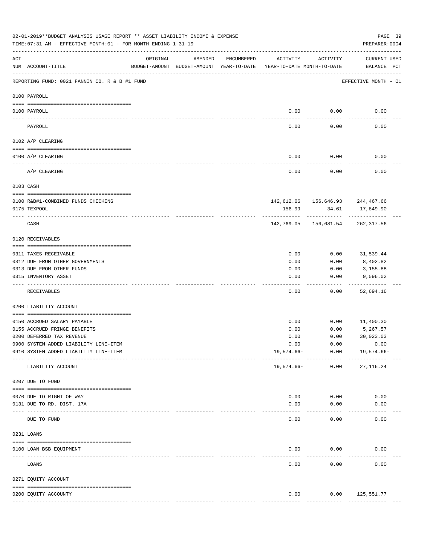|     | 02-01-2019**BUDGET ANALYSIS USAGE REPORT ** ASSET LIABILITY INCOME & EXPENSE<br>TIME: 07:31 AM - EFFECTIVE MONTH: 01 - FOR MONTH ENDING 1-31-19 |               |                                                     |            |                                        |                                                | PAGE 39<br>PREPARER: 0004          |
|-----|-------------------------------------------------------------------------------------------------------------------------------------------------|---------------|-----------------------------------------------------|------------|----------------------------------------|------------------------------------------------|------------------------------------|
| ACT | NUM ACCOUNT-TITLE                                                                                                                               | ORIGINAL      | AMENDED<br>BUDGET-AMOUNT BUDGET-AMOUNT YEAR-TO-DATE | ENCUMBERED | ACTIVITY<br>YEAR-TO-DATE MONTH-TO-DATE | ACTIVITY                                       | <b>CURRENT USED</b><br>BALANCE PCT |
|     | REPORTING FUND: 0021 FANNIN CO. R & B #1 FUND                                                                                                   |               |                                                     |            |                                        |                                                | EFFECTIVE MONTH - 01               |
|     | 0100 PAYROLL                                                                                                                                    |               |                                                     |            |                                        |                                                |                                    |
|     | 0100 PAYROLL<br>----- ----                                                                                                                      |               |                                                     |            | 0.00                                   | 0.00                                           | 0.00                               |
|     | PAYROLL                                                                                                                                         |               |                                                     |            | 0.00                                   | 0.00                                           | 0.00                               |
|     | 0102 A/P CLEARING                                                                                                                               |               |                                                     |            |                                        |                                                |                                    |
|     | 0100 A/P CLEARING                                                                                                                               |               |                                                     |            | 0.00                                   | 0.00                                           | 0.00                               |
|     | A/P CLEARING                                                                                                                                    |               |                                                     |            | 0.00                                   | 0.00                                           | 0.00                               |
|     | 0103 CASH                                                                                                                                       |               |                                                     |            |                                        |                                                |                                    |
|     | 0100 R&B#1-COMBINED FUNDS CHECKING                                                                                                              |               |                                                     |            |                                        | $142,612.06$ $156,646.93$ $244,467.66$         |                                    |
|     | 0175 TEXPOOL                                                                                                                                    |               |                                                     |            | 156.99                                 | 34.61                                          | 17,849.90                          |
|     | CASH                                                                                                                                            |               |                                                     |            |                                        | ----------<br>142,769.05 156,681.54 262,317.56 |                                    |
|     | 0120 RECEIVABLES                                                                                                                                |               |                                                     |            |                                        |                                                |                                    |
|     | 0311 TAXES RECEIVABLE                                                                                                                           |               |                                                     |            | 0.00                                   | 0.00                                           | 31,539.44                          |
|     | 0312 DUE FROM OTHER GOVERNMENTS                                                                                                                 |               |                                                     |            | 0.00                                   | 0.00                                           | 8,402.82                           |
|     | 0313 DUE FROM OTHER FUNDS                                                                                                                       |               |                                                     |            | 0.00                                   | 0.00                                           | 3,155.88                           |
|     | 0315 INVENTORY ASSET                                                                                                                            |               |                                                     |            | 0.00                                   | 0.00                                           | 9,596.02                           |
|     | RECEIVABLES                                                                                                                                     |               |                                                     |            | 0.00                                   | 0.00                                           | 52,694.16                          |
|     | 0200 LIABILITY ACCOUNT                                                                                                                          |               |                                                     |            |                                        |                                                |                                    |
|     | 0150 ACCRUED SALARY PAYABLE                                                                                                                     |               |                                                     |            | 0.00                                   | 0.00                                           | 11,400.30                          |
|     | 0155 ACCRUED FRINGE BENEFITS                                                                                                                    |               |                                                     |            | 0.00                                   | 0.00                                           | 5,267.57                           |
|     | 0200 DEFERRED TAX REVENUE                                                                                                                       |               |                                                     |            | 0.00                                   | 0.00                                           | 30,023.03                          |
|     | 0900 SYSTEM ADDED LIABILITY LINE-ITEM                                                                                                           |               |                                                     |            | 0.00                                   | 0.00                                           | 0.00                               |
|     | 0910 SYSTEM ADDED LIABILITY LINE-ITEM                                                                                                           | ------------- |                                                     |            | 19,574.66-                             | 0.00<br>------------                           | 19,574.66-                         |
|     | LIABILITY ACCOUNT                                                                                                                               |               |                                                     |            | 19,574.66-                             | 0.00                                           | 27, 116.24                         |
|     | 0207 DUE TO FUND                                                                                                                                |               |                                                     |            |                                        |                                                |                                    |
|     | 0070 DUE TO RIGHT OF WAY                                                                                                                        |               |                                                     |            | 0.00                                   | 0.00                                           | 0.00                               |
|     | 0131 DUE TO RD. DIST. 17A                                                                                                                       |               |                                                     |            | 0.00                                   | 0.00                                           | 0.00                               |
|     | ---------------------- -----------<br>DUE TO FUND                                                                                               |               |                                                     |            | 0.00                                   | 0.00                                           | 0.00                               |
|     | 0231 LOANS                                                                                                                                      |               |                                                     |            |                                        |                                                |                                    |
|     | 0100 LOAN BSB EQUIPMENT                                                                                                                         |               |                                                     |            | 0.00                                   | 0.00                                           | 0.00                               |
|     | LOANS                                                                                                                                           |               |                                                     |            | 0.00                                   | 0.00                                           | 0.00                               |
|     | 0271 EQUITY ACCOUNT                                                                                                                             |               |                                                     |            |                                        |                                                |                                    |
|     |                                                                                                                                                 |               |                                                     |            |                                        |                                                |                                    |
|     | 0200 EQUITY ACCOUNTY                                                                                                                            |               |                                                     |            | 0.00                                   | 0.00                                           | 125,551.77                         |
|     |                                                                                                                                                 |               |                                                     |            | --------------                         | ------------                                   | -------------                      |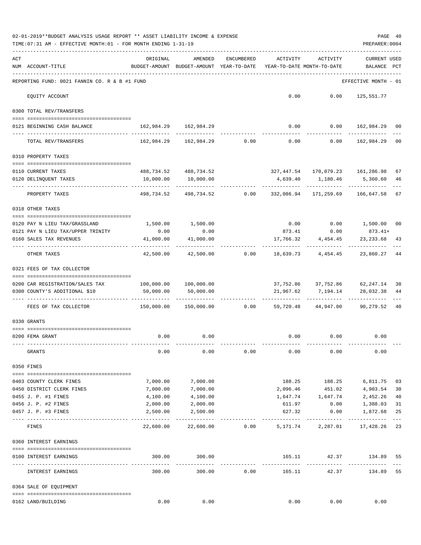|     | 02-01-2019**BUDGET ANALYSIS USAGE REPORT ** ASSET LIABILITY INCOME & EXPENSE<br>TIME: 07:31 AM - EFFECTIVE MONTH: 01 - FOR MONTH ENDING 1-31-19 |                                                                        |                                                                            |                                                       |                                        |                            | PREPARER: 0004                                  | PAGE 40     |
|-----|-------------------------------------------------------------------------------------------------------------------------------------------------|------------------------------------------------------------------------|----------------------------------------------------------------------------|-------------------------------------------------------|----------------------------------------|----------------------------|-------------------------------------------------|-------------|
| ACT | NUM ACCOUNT-TITLE                                                                                                                               | ORIGINAL<br>BUDGET-AMOUNT BUDGET-AMOUNT YEAR-TO-DATE                   | AMENDED                                                                    | ENCUMBERED                                            | ACTIVITY<br>YEAR-TO-DATE MONTH-TO-DATE | ACTIVITY                   | <b>CURRENT USED</b><br>BALANCE PCT              |             |
|     | REPORTING FUND: 0021 FANNIN CO. R & B #1 FUND                                                                                                   |                                                                        |                                                                            |                                                       |                                        |                            | EFFECTIVE MONTH - 01                            |             |
|     | EQUITY ACCOUNT                                                                                                                                  |                                                                        |                                                                            |                                                       |                                        | $0.00$ $0.00$ $125,551.77$ |                                                 |             |
|     | 0300 TOTAL REV/TRANSFERS                                                                                                                        |                                                                        |                                                                            |                                                       |                                        |                            |                                                 |             |
|     | 0121 BEGINNING CASH BALANCE                                                                                                                     | 162,984.29 162,984.29                                                  |                                                                            |                                                       |                                        |                            | $0.00$ $0.00$ $162,984.29$ 00                   |             |
|     | TOTAL REV/TRANSFERS                                                                                                                             |                                                                        | $162,984.29$ $162,984.29$ $0.00$ $0.00$ $0.00$ $162,984.29$                |                                                       |                                        |                            |                                                 | 00          |
|     | 0310 PROPERTY TAXES                                                                                                                             |                                                                        |                                                                            |                                                       |                                        |                            |                                                 |             |
|     |                                                                                                                                                 |                                                                        |                                                                            |                                                       |                                        |                            |                                                 |             |
|     | 0110 CURRENT TAXES<br>0120 DELINQUENT TAXES                                                                                                     | 10,000.00                                                              | 488,734.52 488,734.52<br>10,000.00                                         |                                                       |                                        | 4,639.40 1,180.46          | 327,447.54 170,079.23 161,286.98<br>5,360.60    | 67<br>46    |
|     | PROPERTY TAXES                                                                                                                                  |                                                                        | -----------<br>498,734.52 498,734.52 0.00 332,086.94 171,259.69 166,647.58 |                                                       |                                        |                            |                                                 | 67          |
|     | 0318 OTHER TAXES                                                                                                                                |                                                                        |                                                                            |                                                       |                                        |                            |                                                 |             |
|     |                                                                                                                                                 |                                                                        |                                                                            |                                                       |                                        |                            |                                                 |             |
|     | 0120 PAY N LIEU TAX/GRASSLAND<br>0121 PAY N LIEU TAX/UPPER TRINITY                                                                              | 0.00                                                                   | 1,500.00 1,500.00<br>0.00                                                  |                                                       |                                        |                            | $0.00$ $0.00$ $1,500.00$<br>873.41 0.00 873.41+ | 00          |
|     | 0160 SALES TAX REVENUES                                                                                                                         | 41,000.00                                                              | 41,000.00                                                                  |                                                       |                                        | 17,766.32 4,454.45         | 23, 233.68                                      | 43          |
|     | OTHER TAXES                                                                                                                                     | -----------<br>42,500.00                                               |                                                                            | $42,500.00$ $0.00$ $18,639.73$ $4,454.45$ $23,860.27$ |                                        | -----------                |                                                 | 44          |
|     | 0321 FEES OF TAX COLLECTOR                                                                                                                      |                                                                        |                                                                            |                                                       |                                        |                            |                                                 |             |
|     | 0200 CAR REGISTRATION/SALES TAX                                                                                                                 | 100,000.00    100,000.00                                               |                                                                            |                                                       |                                        |                            | 37, 752.86 37, 752.86 62, 247.14 38             |             |
|     | 0300 COUNTY'S ADDITIONAL \$10                                                                                                                   | 50,000.00                                                              | 50,000.00                                                                  |                                                       | 21,967.62                              | 7,194.14                   | 28,032.38                                       | 44          |
|     | FEES OF TAX COLLECTOR                                                                                                                           | 150,000.00   150,000.00      0.00    59,720.48   44,947.00   90,279.52 |                                                                            |                                                       |                                        | -------------              |                                                 | 40          |
|     | 0330 GRANTS                                                                                                                                     |                                                                        |                                                                            |                                                       |                                        |                            |                                                 |             |
|     |                                                                                                                                                 |                                                                        |                                                                            |                                                       |                                        |                            |                                                 |             |
|     | 0200 FEMA GRANT                                                                                                                                 | 0.00                                                                   | 0.00                                                                       |                                                       |                                        | $0.00$ $0.00$ $0.00$       |                                                 |             |
|     | GRANTS                                                                                                                                          | 0.00                                                                   | 0.00                                                                       | 0.00                                                  | 0.00                                   | 0.00                       | 0.00                                            |             |
|     | 0350 FINES                                                                                                                                      |                                                                        |                                                                            |                                                       |                                        |                            |                                                 |             |
|     |                                                                                                                                                 |                                                                        |                                                                            |                                                       |                                        | 188.25 188.25              |                                                 |             |
|     | 0403 COUNTY CLERK FINES<br>0450 DISTRICT CLERK FINES                                                                                            | 7,000.00<br>7,000.00                                                   | 7,000.00<br>7,000.00                                                       |                                                       |                                        | 2,096.46 451.02            | 6,811.75<br>4,903.54                            | 03<br>30    |
|     | 0455 J. P. #1 FINES                                                                                                                             | 4,100.00                                                               | 4,100.00                                                                   |                                                       |                                        | 1,647.74 1,647.74          | 2,452.26                                        | 40          |
|     | 0456 J. P. #2 FINES                                                                                                                             | 2,000.00                                                               | 2,000.00                                                                   |                                                       | 611.97                                 | 0.00                       | 1,388.03                                        | 31          |
|     | 0457 J. P. #3 FINES                                                                                                                             | 2,500.00                                                               | 2,500.00                                                                   |                                                       | 627.32                                 | 0.00                       | 1,872.68                                        | 25          |
|     | FINES                                                                                                                                           | 22,600.00                                                              | 22,600.00                                                                  | 0.00                                                  |                                        | 5,171.74 2,287.01          | 17,428.26                                       | $---$<br>23 |
|     | 0360 INTEREST EARNINGS                                                                                                                          |                                                                        |                                                                            |                                                       |                                        |                            |                                                 |             |
|     | 0100 INTEREST EARNINGS                                                                                                                          | 300.00                                                                 | 300.00                                                                     |                                                       | 165.11                                 | 42.37                      | 134.89                                          | 55          |
|     | INTEREST EARNINGS                                                                                                                               | ------------------------------<br>300.00                               | -------------<br>300.00                                                    | 0.00                                                  | --------------<br>165.11               | ____________<br>42.37      | 134.89                                          | 55          |
|     | 0364 SALE OF EQUIPMENT                                                                                                                          |                                                                        |                                                                            |                                                       |                                        |                            |                                                 |             |
|     | 0162 LAND/BUILDING                                                                                                                              | 0.00                                                                   | 0.00                                                                       |                                                       | 0.00                                   | 0.00                       | 0.00                                            |             |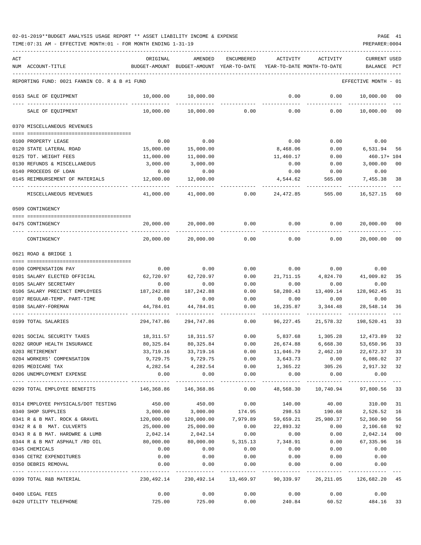| ACT |                                               | ORIGINAL      | AMENDED                                         | <b>ENCUMBERED</b>    | ACTIVITY                     | ACTIVITY                   | CURRENT USED             |                |
|-----|-----------------------------------------------|---------------|-------------------------------------------------|----------------------|------------------------------|----------------------------|--------------------------|----------------|
|     | NUM ACCOUNT-TITLE                             | BUDGET-AMOUNT | BUDGET-AMOUNT                                   | YEAR-TO-DATE         |                              | YEAR-TO-DATE MONTH-TO-DATE | BALANCE                  | PCT            |
|     |                                               |               |                                                 |                      |                              |                            |                          |                |
|     | REPORTING FUND: 0021 FANNIN CO. R & B #1 FUND |               |                                                 |                      |                              |                            | EFFECTIVE MONTH          | - 01           |
|     | 0163 SALE OF EQUIPMENT                        | 10,000.00     | 10,000.00                                       |                      | 0.00                         | 0.00                       | 10,000.00                | 00             |
|     | SALE OF EQUIPMENT                             | 10,000.00     | 10,000.00                                       | 0.00                 | 0.00                         | 0.00                       | 10,000.00                | 00             |
|     | 0370 MISCELLANEOUS REVENUES                   |               |                                                 |                      |                              |                            |                          |                |
|     |                                               |               |                                                 |                      |                              |                            |                          |                |
|     | 0100 PROPERTY LEASE                           | 0.00          | 0.00                                            |                      | 0.00                         | 0.00                       | 0.00                     |                |
|     | 0120 STATE LATERAL ROAD                       | 15,000.00     | 15,000.00                                       |                      | 8,468.06                     | 0.00                       | 6,531.94                 | 56             |
|     | 0125 TDT. WEIGHT FEES                         | 11,000.00     | 11,000.00                                       |                      | 11,460.17                    | 0.00                       | 460.17+ 104              |                |
|     | 0130 REFUNDS & MISCELLANEOUS                  | 3,000.00      | 3,000.00                                        |                      | 0.00                         | 0.00                       | 3,000.00                 | 0 <sub>0</sub> |
|     | 0140 PROCEEDS OF LOAN                         | 0.00          | 0.00                                            |                      | 0.00                         | 0.00                       | 0.00                     |                |
|     | 0145 REIMBURSEMENT OF MATERIALS               | 12,000.00     | 12,000.00                                       |                      | 4,544.62                     | 565.00                     | 7,455.38                 | 38             |
|     | MISCELLANEOUS REVENUES                        | 41,000.00     | 41,000.00                                       | 0.00                 | 24,472.85                    | 565.00                     | 16,527.15                | 60             |
|     | 0509 CONTINGENCY                              |               |                                                 |                      |                              |                            |                          |                |
|     |                                               |               |                                                 |                      |                              |                            |                          |                |
|     | 0475 CONTINGENCY                              | 20,000.00     | 20,000.00                                       | 0.00                 | 0.00                         | 0.00                       | 20,000.00                | 00             |
|     | CONTINGENCY                                   | 20,000.00     | 20,000.00                                       | 0.00                 | 0.00                         | 0.00                       | 20,000.00                | 00             |
|     | 0621 ROAD & BRIDGE 1                          |               |                                                 |                      |                              |                            |                          |                |
|     |                                               |               |                                                 |                      |                              |                            |                          |                |
|     | 0100 COMPENSATION PAY                         | 0.00          | 0.00                                            | 0.00                 | 0.00                         | 0.00                       | 0.00                     |                |
|     | 0101 SALARY ELECTED OFFICIAL                  | 62,720.97     | 62,720.97                                       | 0.00                 | 21,711.15                    | 4,824.70                   | 41,009.82                | 35             |
|     | 0105 SALARY SECRETARY                         | 0.00          | 0.00                                            | 0.00                 | 0.00                         | 0.00                       | 0.00                     |                |
|     | 0106 SALARY PRECINCT EMPLOYEES                | 187,242.88    | 187,242.88                                      | 0.00                 | 58,280.43                    | 13,409.14                  | 128,962.45               | 31             |
|     | 0107 REGULAR-TEMP. PART-TIME                  | 0.00          | 0.00                                            | 0.00                 | 0.00                         | 0.00                       | 0.00                     |                |
|     | 0108 SALARY-FOREMAN                           | 44,784.01     | 44,784.01                                       | 0.00                 | 16,235.87                    | 3,344.48                   | 28,548.14                | 36             |
|     | 0199 TOTAL SALARIES                           | 294,747.86    | 294,747.86                                      | 0.00                 | 96,227.45                    | 21,578.32                  | 198,520.41               | 33             |
|     | 0201 SOCIAL SECURITY TAXES                    | 18,311.57     | 18,311.57                                       | 0.00                 | 5,837.68                     | 1,305.28                   | 12,473.89                | 32             |
|     | 0202 GROUP HEALTH INSURANCE                   | 80,325.84     | 80,325.84                                       | 0.00                 | 26,674.88                    | 6,668.30                   | 53,650.96                | 33             |
|     | 0203 RETIREMENT                               | 33,719.16     | 33,719.16                                       | 0.00                 | 11,046.79                    | 2,462.10                   | 22,672.37                | 33             |
|     | 0204 WORKERS' COMPENSATION                    |               | 9,729.75 9,729.75                               | 0.00                 | 3,643.73                     | 0.00                       | 6,086.02 37              |                |
|     | 0205 MEDICARE TAX                             |               | 4, 282.54 4, 282.54                             | 0.00                 |                              | 1,365.22 305.26 2,917.32   |                          | 32             |
|     | 0206 UNEMPLOYMENT EXPENSE                     | 0.00          | 0.00                                            | 0.00                 | 0.00                         | 0.00                       | 0.00                     |                |
|     | 0299 TOTAL EMPLOYEE BENEFITS                  | 146,368.86    | _____________<br>146,368.86                     | ------------<br>0.00 | 48,568.30                    | 10,740.94                  | -----------<br>97,800.56 | 33             |
|     | 0314 EMPLOYEE PHYSICALS/DOT TESTING           | 450.00        | 450.00                                          | 0.00                 | 140.00                       | 40.00                      | 310.00                   | 31             |
|     | 0340 SHOP SUPPLIES                            | 3,000.00      | 3,000.00                                        | 174.95               | 298.53                       | 190.68                     | 2,526.52                 | 16             |
|     | 0341 R & B MAT. ROCK & GRAVEL                 | 120,000.00    | 120,000.00                                      |                      | 7,979.89 59,659.21 25,980.37 |                            | 52,360.90                | 56             |
|     | 0342 R & B MAT. CULVERTS                      | 25,000.00     | 25,000.00                                       | 0.00                 | 22,893.32                    | 0.00                       | 2,106.68                 | 92             |
|     | 0343 R & B MAT. HARDWRE & LUMB                | 2,042.14      | 2,042.14                                        | 0.00                 | 0.00                         | 0.00                       | 2,042.14                 | 00             |
|     | 0344 R & B MAT ASPHALT /RD OIL                | 80,000.00     | 80,000.00                                       |                      | 5, 315.13 7, 348.91          | 0.00                       | 67,335.96                | 16             |
|     | 0345 CHEMICALS                                | 0.00          | 0.00                                            | 0.00                 | 0.00                         | 0.00                       | 0.00                     |                |
|     | 0346 CETRZ EXPENDITURES                       | 0.00          | 0.00                                            | 0.00                 | 0.00                         | 0.00                       | 0.00                     |                |
|     | 0350 DEBRIS REMOVAL                           | 0.00          | 0.00                                            | 0.00                 | 0.00                         | 0.00                       | 0.00                     |                |
|     | 0399 TOTAL R&B MATERIAL                       |               | . <u>.</u> .<br>230,492.14 230,492.14 13,469.97 | -------------        | .<br>90,339.97               | 26,211.05                  | 126,682.20 45            |                |
|     | 0400 LEGAL FEES                               | 0.00          | 0.00                                            | 0.00                 | 0.00                         | 0.00                       | 0.00                     |                |
|     | 0420 UTILITY TELEPHONE                        | 725.00        | 725.00                                          | 0.00                 | 240.84                       | 60.52                      | 484.16 33                |                |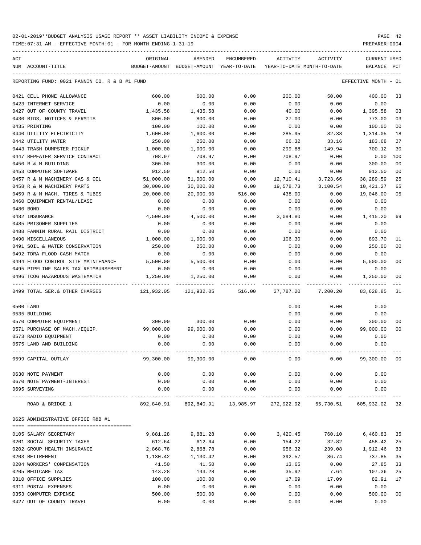TIME:07:31 AM - EFFECTIVE MONTH:01 - FOR MONTH ENDING 1-31-19 PREPARER:0004

| ACT |                                                     | ORIGINAL      | AMENDED<br>BUDGET-AMOUNT YEAR-TO-DATE | ENCUMBERED | ACTIVITY<br>YEAR-TO-DATE MONTH-TO-DATE | ACTIVITY                           | <b>CURRENT USED</b>  |                |
|-----|-----------------------------------------------------|---------------|---------------------------------------|------------|----------------------------------------|------------------------------------|----------------------|----------------|
|     | NUM ACCOUNT-TITLE                                   | BUDGET-AMOUNT |                                       |            |                                        |                                    | BALANCE              | PCT            |
|     | REPORTING FUND: 0021 FANNIN CO. R & B #1 FUND       |               |                                       |            |                                        |                                    | EFFECTIVE MONTH - 01 |                |
|     | 0421 CELL PHONE ALLOWANCE                           | 600.00        | 600.00                                | 0.00       | 200.00                                 | 50.00                              | 400.00               | 33             |
|     | 0423 INTERNET SERVICE                               | 0.00          | 0.00                                  | 0.00       | 0.00                                   | 0.00                               | 0.00                 |                |
|     | 0427 OUT OF COUNTY TRAVEL                           | 1,435.58      | 1,435.58                              | 0.00       | 40.00                                  | 0.00                               | 1,395.58             | 03             |
|     | 0430 BIDS, NOTICES & PERMITS                        | 800.00        | 800.00                                | 0.00       | 27.00                                  | 0.00                               | 773.00               | 03             |
|     | 0435 PRINTING                                       | 100.00        | 100.00                                | 0.00       | 0.00                                   | 0.00                               | 100.00               | 0 <sub>0</sub> |
|     | 0440 UTILITY ELECTRICITY                            | 1,600.00      | 1,600.00                              | 0.00       | 285.95                                 | 82.38                              | 1,314.05             | 18             |
|     | 0442 UTILITY WATER                                  | 250.00        | 250.00                                | 0.00       | 66.32                                  | 33.16                              | 183.68               | 27             |
|     | 0443 TRASH DUMPSTER PICKUP                          | 1,000.00      | 1,000.00                              | 0.00       | 299.88                                 | 149.94                             | 700.12               | 30             |
|     | 0447 REPEATER SERVICE CONTRACT                      | 708.97        | 708.97                                | 0.00       | 708.97                                 | 0.00                               | 0.00                 | 100            |
|     | 0450 R & M BUILDING                                 | 300.00        | 300.00                                | 0.00       | 0.00                                   | 0.00                               | 300.00               | 0 <sub>0</sub> |
|     | 0453 COMPUTER SOFTWARE                              | 912.50        | 912.50                                | 0.00       | 0.00                                   | 0.00                               | 912.50               | 0 <sub>0</sub> |
|     | 0457 R & M MACHINERY GAS & OIL                      | 51,000.00     | 51,000.00                             | 0.00       | 12,710.41                              | 3,723.66                           | 38,289.59            | 25             |
|     | 0458 R & M MACHINERY PARTS                          | 30,000.00     | 30,000.00                             | 0.00       | 19,578.73                              | 3,100.54                           | 10,421.27            | 65             |
|     | 0459 R & M MACH. TIRES & TUBES                      | 20,000.00     | 20,000.00                             | 516.00     | 438.00                                 | 0.00                               | 19,046.00            | 05             |
|     | 0460 EQUIPMENT RENTAL/LEASE                         | 0.00          | 0.00                                  | 0.00       | 0.00                                   | 0.00                               | 0.00                 |                |
|     | 0480 BOND                                           | 0.00          | 0.00                                  | 0.00       | 0.00                                   | 0.00                               | 0.00                 |                |
|     | 0482 INSURANCE                                      | 4,500.00      | 4,500.00                              | 0.00       | 3,084.80                               | 0.00                               | 1,415.20             | 69             |
|     | 0485 PRISONER SUPPLIES                              | 0.00          | 0.00                                  | 0.00       | 0.00                                   | 0.00                               | 0.00                 |                |
|     | 0488 FANNIN RURAL RAIL DISTRICT                     | 0.00          | 0.00                                  | 0.00       | 0.00                                   | 0.00                               | 0.00                 |                |
|     | 0490 MISCELLANEOUS                                  | 1,000.00      | 1,000.00                              | 0.00       | 106.30                                 | 0.00                               | 893.70               | 11             |
|     | 0491 SOIL & WATER CONSERVATION                      | 250.00        | 250.00                                | 0.00       | 0.00                                   | 0.00                               | 250.00               | 0 <sub>0</sub> |
|     | 0492 TDRA FLOOD CASH MATCH                          | 0.00          | 0.00                                  | 0.00       | 0.00                                   | 0.00                               | 0.00                 |                |
|     | 0494 FLOOD CONTROL SITE MAINTENANCE                 | 5,500.00      | 5,500.00                              | 0.00       | 0.00                                   | 0.00                               | 5,500.00             | 0 <sup>0</sup> |
|     | 0495 PIPELINE SALES TAX REIMBURSEMENT               | 0.00          | 0.00                                  | 0.00       | 0.00                                   | 0.00                               | 0.00                 |                |
|     | 0496 TCOG HAZARDOUS WASTEMATCH<br>----------------- | 1,250.00      | 1,250.00                              | 0.00       | 0.00                                   | 0.00                               | 1,250.00             | 0 <sub>0</sub> |
|     | 0499 TOTAL SER. & OTHER CHARGES                     | 121,932.05    | 121,932.05                            | 516.00     | 37,787.20                              | 7,200.20                           | 83,628.85            | 31             |
|     | 0500 LAND                                           |               |                                       |            | 0.00                                   | 0.00                               | 0.00                 |                |
|     | 0535 BUILDING                                       |               |                                       |            | 0.00                                   | 0.00                               | 0.00                 |                |
|     | 0570 COMPUTER EQUIPMENT                             | 300.00        | 300.00                                | 0.00       | 0.00                                   | 0.00                               | 300.00               | 00             |
|     | 0571 PURCHASE OF MACH./EQUIP.                       | 99,000.00     | 99,000.00                             | 0.00       | 0.00                                   | 0.00                               | 99,000.00            | 0 <sub>0</sub> |
|     | 0573 RADIO EQUIPMENT                                | 0.00          | 0.00                                  | 0.00       | 0.00                                   | 0.00                               | 0.00                 |                |
|     | 0575 LAND AND BUILDING                              | 0.00          | 0.00                                  | 0.00       | 0.00                                   | 0.00                               | 0.00                 |                |
|     | 0599 CAPITAL OUTLAY                                 | 99,300.00     | 99,300.00                             | 0.00       | 0.00                                   | 0.00                               | 99,300.00            | 0 <sub>0</sub> |
|     | 0630 NOTE PAYMENT                                   | 0.00          | 0.00                                  | 0.00       | 0.00                                   | 0.00                               | 0.00                 |                |
|     | 0670 NOTE PAYMENT-INTEREST                          | 0.00          | 0.00                                  | 0.00       | 0.00                                   | 0.00                               | 0.00                 |                |
|     | 0695 SURVEYING                                      | 0.00          | 0.00                                  | 0.00       | 0.00<br>--------------                 | 0.00                               | 0.00                 |                |
|     | ROAD & BRIDGE 1                                     |               | 892,840.91 892,840.91 13,985.97       |            |                                        | 272,922.92 65,730.51 605,932.02 32 |                      |                |
|     | 0625 ADMINISTRATIVE OFFICE R&B #1                   |               |                                       |            |                                        |                                    |                      |                |
|     |                                                     |               |                                       |            |                                        |                                    |                      |                |
|     | 0105 SALARY SECRETARY                               | 9,881.28      | 9,881.28                              | 0.00       | 3,420.45                               | 760.10                             | 6,460.83             | 35             |
|     | 0201 SOCIAL SECURITY TAXES                          | 612.64        | 612.64                                | 0.00       | 154.22                                 | 32.82                              | 458.42               | 25             |
|     | 0202 GROUP HEALTH INSURANCE                         | 2,868.78      | 2,868.78                              | 0.00       | 956.32                                 | 239.08                             | 1,912.46             | 33             |
|     | 0203 RETIREMENT                                     | 1,130.42      | 1,130.42                              | 0.00       | 392.57                                 | 86.74                              | 737.85               | 35             |
|     | 0204 WORKERS' COMPENSATION                          | 41.50         | 41.50                                 | 0.00       | 13.65                                  | 0.00                               | 27.85                | 33             |
|     | 0205 MEDICARE TAX                                   | 143.28        | 143.28                                | 0.00       | 35.92                                  | 7.64                               | 107.36               | 25             |
|     | 0310 OFFICE SUPPLIES                                | 100.00        | 100.00                                | 0.00       | 17.09                                  | 17.09                              | 82.91                | 17             |
|     | 0311 POSTAL EXPENSES                                | 0.00          | 0.00                                  | 0.00       | 0.00                                   | 0.00                               | 0.00                 |                |
|     | 0353 COMPUTER EXPENSE                               | 500.00        | 500.00                                | 0.00       | 0.00                                   | 0.00                               | 500.00               | 0 <sub>0</sub> |

0427 OUT OF COUNTY TRAVEL 0.00 0.00 0.00 0.00 0.00 0.00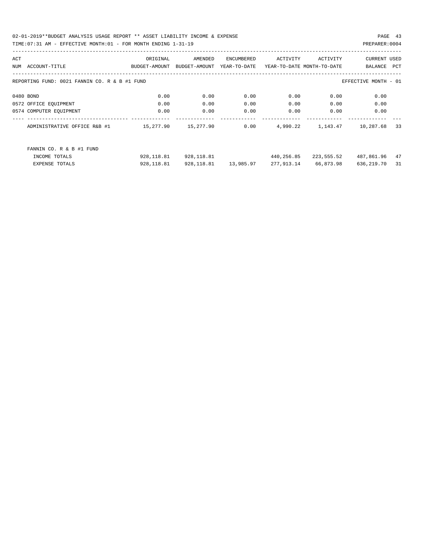02-01-2019\*\*BUDGET ANALYSIS USAGE REPORT \*\* ASSET LIABILITY INCOME & EXPENSE PAGE 43 TIME:07:31 AM - EFFECTIVE MONTH:01 - FOR MONTH ENDING 1-31-19 PREPARER:0004

| ACT |                                                                       | ORIGINAL      | AMENDED       | ENCUMBERED   | ACTIVITY                   | ACTIVITY   | <b>CURRENT USED</b> |     |  |  |
|-----|-----------------------------------------------------------------------|---------------|---------------|--------------|----------------------------|------------|---------------------|-----|--|--|
| NUM | ACCOUNT-TITLE                                                         | BUDGET-AMOUNT | BUDGET-AMOUNT | YEAR-TO-DATE | YEAR-TO-DATE MONTH-TO-DATE |            | BALANCE             | PCT |  |  |
|     |                                                                       |               |               |              |                            |            |                     |     |  |  |
|     | REPORTING FUND: 0021 FANNIN CO. R & B #1 FUND<br>EFFECTIVE MONTH - 01 |               |               |              |                            |            |                     |     |  |  |
|     |                                                                       |               |               |              |                            |            |                     |     |  |  |
|     | 0480 BOND                                                             | 0.00          | 0.00          | 0.00         | 0.00                       | 0.00       | 0.00                |     |  |  |
|     | 0572 OFFICE EQUIPMENT                                                 | 0.00          | 0.00          | 0.00         | 0.00                       | 0.00       | 0.00                |     |  |  |
|     | 0574 COMPUTER EQUIPMENT                                               | 0.00          | 0.00          | 0.00         | 0.00                       | 0.00       | 0.00                |     |  |  |
|     | ADMINISTRATIVE OFFICE R&B #1                                          | 15,277.90     | 15,277.90     | 0.00         | 4,990.22                   | 1,143.47   | 10,287.68           | 33  |  |  |
|     | FANNIN CO. R & B #1 FUND                                              |               |               |              |                            |            |                     |     |  |  |
|     | INCOME TOTALS                                                         | 928,118.81    | 928,118.81    |              | 440,256.85                 | 223,555.52 | 487,861.96          | 47  |  |  |
|     | <b>EXPENSE TOTALS</b>                                                 | 928, 118.81   | 928,118.81    | 13,985.97    | 277,913.14                 | 66,873.98  | 636,219.70          | 31  |  |  |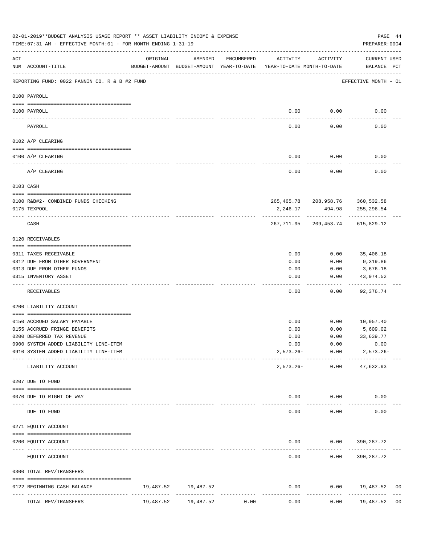|           | 02-01-2019**BUDGET ANALYSIS USAGE REPORT ** ASSET LIABILITY INCOME & EXPENSE<br>PAGE 44<br>PREPARER: 0004<br>TIME: 07:31 AM - EFFECTIVE MONTH: 01 - FOR MONTH ENDING 1-31-19 |           |                                                     |            |                                        |                                   |                                                   |                |  |  |  |  |
|-----------|------------------------------------------------------------------------------------------------------------------------------------------------------------------------------|-----------|-----------------------------------------------------|------------|----------------------------------------|-----------------------------------|---------------------------------------------------|----------------|--|--|--|--|
| ACT       | NUM ACCOUNT-TITLE                                                                                                                                                            | ORIGINAL  | AMENDED<br>BUDGET-AMOUNT BUDGET-AMOUNT YEAR-TO-DATE | ENCUMBERED | ACTIVITY<br>YEAR-TO-DATE MONTH-TO-DATE | ACTIVITY                          | CURRENT USED<br>BALANCE PCT                       |                |  |  |  |  |
|           | REPORTING FUND: 0022 FANNIN CO. R & B #2 FUND                                                                                                                                |           |                                                     |            |                                        |                                   | EFFECTIVE MONTH - 01                              |                |  |  |  |  |
|           | 0100 PAYROLL                                                                                                                                                                 |           |                                                     |            |                                        |                                   |                                                   |                |  |  |  |  |
|           | 0100 PAYROLL                                                                                                                                                                 |           |                                                     |            | 0.00                                   | 0.00                              | 0.00                                              |                |  |  |  |  |
|           | PAYROLL                                                                                                                                                                      |           |                                                     |            | 0.00                                   | 0.00                              | 0.00                                              |                |  |  |  |  |
|           | 0102 A/P CLEARING                                                                                                                                                            |           |                                                     |            |                                        |                                   |                                                   |                |  |  |  |  |
|           | 0100 A/P CLEARING                                                                                                                                                            |           |                                                     |            | 0.00                                   | 0.00                              | 0.00                                              |                |  |  |  |  |
|           | A/P CLEARING                                                                                                                                                                 |           |                                                     |            | 0.00                                   | 0.00                              | 0.00                                              |                |  |  |  |  |
|           | 0103 CASH                                                                                                                                                                    |           |                                                     |            |                                        |                                   |                                                   |                |  |  |  |  |
|           |                                                                                                                                                                              |           |                                                     |            |                                        |                                   |                                                   |                |  |  |  |  |
|           | 0100 R&B#2- COMBINED FUNDS CHECKING<br>0175 TEXPOOL                                                                                                                          |           |                                                     |            | 2,246.17                               | 494.98                            | 265, 465.78 208, 958.76 360, 532.58<br>255,296.54 |                |  |  |  |  |
|           | CASH                                                                                                                                                                         |           |                                                     |            |                                        | -------------                     | 267, 711.95 209, 453.74 615, 829.12               |                |  |  |  |  |
|           | 0120 RECEIVABLES                                                                                                                                                             |           |                                                     |            |                                        |                                   |                                                   |                |  |  |  |  |
|           | 0311 TAXES RECEIVABLE                                                                                                                                                        |           |                                                     |            | 0.00                                   | 0.00                              | 35,406.18                                         |                |  |  |  |  |
|           | 0312 DUE FROM OTHER GOVERNMENT                                                                                                                                               |           |                                                     |            | 0.00                                   | 0.00                              | 9,319.86                                          |                |  |  |  |  |
|           | 0313 DUE FROM OTHER FUNDS                                                                                                                                                    |           |                                                     |            | 0.00                                   | 0.00                              | 3,676.18                                          |                |  |  |  |  |
|           | 0315 INVENTORY ASSET                                                                                                                                                         |           |                                                     |            | 0.00                                   | 0.00<br>-----                     | 43,974.52<br>----------                           |                |  |  |  |  |
|           | RECEIVABLES                                                                                                                                                                  |           |                                                     |            | 0.00                                   | 0.00                              | 92,376.74                                         |                |  |  |  |  |
|           | 0200 LIABILITY ACCOUNT                                                                                                                                                       |           |                                                     |            |                                        |                                   |                                                   |                |  |  |  |  |
|           | 0150 ACCRUED SALARY PAYABLE                                                                                                                                                  |           |                                                     |            | 0.00                                   | 0.00                              | 10,957.40                                         |                |  |  |  |  |
|           | 0155 ACCRUED FRINGE BENEFITS                                                                                                                                                 |           |                                                     |            | 0.00                                   | 0.00                              | 5,609.02                                          |                |  |  |  |  |
|           | 0200 DEFERRED TAX REVENUE                                                                                                                                                    |           |                                                     |            | 0.00                                   | 0.00                              | 33,639.77                                         |                |  |  |  |  |
|           | 0900 SYSTEM ADDED LIABILITY LINE-ITEM                                                                                                                                        |           |                                                     |            | 0.00                                   | 0.00                              | 0.00                                              |                |  |  |  |  |
|           | 0910 SYSTEM ADDED LIABILITY LINE-ITEM                                                                                                                                        |           |                                                     |            |                                        | $2,573.26 - 0.00$<br>------------ | $2,573.26 -$                                      |                |  |  |  |  |
|           | LIABILITY ACCOUNT                                                                                                                                                            |           |                                                     |            | $2,573.26-$                            |                                   | $0.00$ $47,632.93$                                |                |  |  |  |  |
|           | 0207 DUE TO FUND                                                                                                                                                             |           |                                                     |            |                                        |                                   |                                                   |                |  |  |  |  |
|           | 0070 DUE TO RIGHT OF WAY                                                                                                                                                     |           |                                                     |            |                                        | $0.00$ $0.00$                     | 0.00                                              |                |  |  |  |  |
| $- - - -$ | DUE TO FUND                                                                                                                                                                  |           |                                                     |            | -----<br>0.00                          | ----------<br>0.00                | 0.00                                              |                |  |  |  |  |
|           | 0271 EQUITY ACCOUNT                                                                                                                                                          |           |                                                     |            |                                        |                                   |                                                   |                |  |  |  |  |
|           | 0200 EQUITY ACCOUNT                                                                                                                                                          |           |                                                     |            |                                        |                                   | $0.00$ $0.00$ $390,287.72$                        |                |  |  |  |  |
|           | EQUITY ACCOUNT                                                                                                                                                               |           |                                                     |            | -----<br>0.00                          | ---------                         | $0.00$ 390, 287.72                                |                |  |  |  |  |
|           | 0300 TOTAL REV/TRANSFERS                                                                                                                                                     |           |                                                     |            |                                        |                                   |                                                   |                |  |  |  |  |
|           | 0122 BEGINNING CASH BALANCE                                                                                                                                                  |           | 19,487.52 19,487.52                                 |            | 0.00                                   |                                   | $0.00$ 19,487.52                                  | 00             |  |  |  |  |
|           | TOTAL REV/TRANSFERS                                                                                                                                                          | 19,487.52 | 19,487.52                                           | 0.00       | 0.00                                   | 0.00                              | 19,487.52                                         | 0 <sub>0</sub> |  |  |  |  |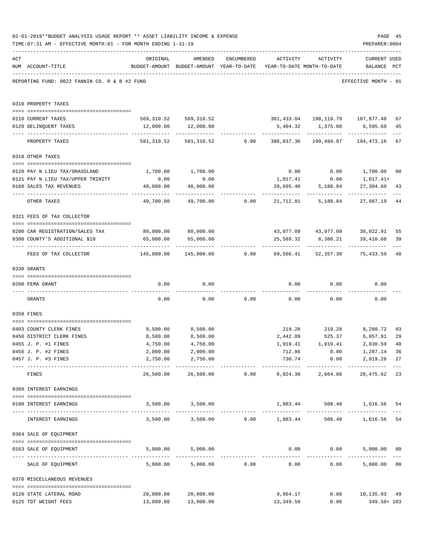|     | 02-01-2019**BUDGET ANALYSIS USAGE REPORT ** ASSET LIABILITY INCOME & EXPENSE<br>TIME: 07:31 AM - EFFECTIVE MONTH: 01 - FOR MONTH ENDING 1-31-19 |                      |                                                                                |                |                                           |                    | PAGE 45<br>PREPARER: 0004                                                |                |
|-----|-------------------------------------------------------------------------------------------------------------------------------------------------|----------------------|--------------------------------------------------------------------------------|----------------|-------------------------------------------|--------------------|--------------------------------------------------------------------------|----------------|
| ACT | NUM ACCOUNT-TITLE                                                                                                                               | ORIGINAL             | AMENDED<br>BUDGET-AMOUNT BUDGET-AMOUNT YEAR-TO-DATE YEAR-TO-DATE MONTH-TO-DATE | ENCUMBERED     |                                           | ACTIVITY ACTIVITY  | <b>CURRENT USED</b><br>BALANCE PCT                                       |                |
|     | REPORTING FUND: 0022 FANNIN CO. R & B #2 FUND                                                                                                   |                      |                                                                                |                |                                           |                    | EFFECTIVE MONTH - 01                                                     |                |
|     | 0310 PROPERTY TAXES                                                                                                                             |                      |                                                                                |                |                                           |                    |                                                                          |                |
|     | 0110 CURRENT TAXES                                                                                                                              |                      | 569,310.52 569,310.52 381,433.04 198,119.79 187,877.48                         |                |                                           |                    |                                                                          | 67             |
|     | 0120 DELINQUENT TAXES                                                                                                                           |                      | 12,000.00   12,000.00                                                          |                |                                           |                    | 5,404.32 1,375.08 6,595.68                                               | 45             |
|     | PROPERTY TAXES                                                                                                                                  | 581,310.52           |                                                                                |                |                                           |                    | 581, 310.52 0.00 386, 837.36 199, 494.87 194, 473.16                     | $- - -$<br>67  |
|     | 0318 OTHER TAXES                                                                                                                                |                      |                                                                                |                |                                           |                    |                                                                          |                |
|     |                                                                                                                                                 |                      |                                                                                |                |                                           |                    |                                                                          |                |
|     | 0120 PAY N LIEU TAX/GRASSLAND                                                                                                                   | 1,700.00             | 1,700.00                                                                       |                |                                           |                    | $0.00$ $0.00$ $1,700.00$                                                 | 00             |
|     | 0121 PAY N LIEU TAX/UPPER TRINITY                                                                                                               | 0.00                 | 0.00                                                                           |                | 1,017.41                                  | 0.00               | 1,017.41+                                                                |                |
|     | 0160 SALES TAX REVENUES                                                                                                                         | 48,000.00            | 48,000.00                                                                      |                | 20,695.40                                 | 5,188.84           | 27,304.60                                                                | 43             |
|     | OTHER TAXES                                                                                                                                     | 49,700.00            |                                                                                |                | $49,700.00$ $0.00$ $21,712.81$ $5,188.84$ |                    | 27,987.19                                                                | 44             |
|     | 0321 FEES OF TAX COLLECTOR                                                                                                                      |                      |                                                                                |                |                                           |                    |                                                                          |                |
|     |                                                                                                                                                 | 80,000.00 80,000.00  |                                                                                |                |                                           |                    |                                                                          |                |
|     | 0200 CAR REGISTRATION/SALES TAX<br>0300 COUNTY'S ADDITIONAL \$10                                                                                | 65,000.00            | 65,000.00                                                                      |                | 25,589.32                                 | 8,380.21           | 43,977.09  43,977.09  36,022.91<br>39,410.68                             | 55<br>39       |
|     | FEES OF TAX COLLECTOR                                                                                                                           | 145,000.00           |                                                                                |                |                                           |                    | _____________<br>$145,000.00$ $0.00$ $69,566.41$ $52,357.30$ $75,433.59$ | 48             |
|     | 0330 GRANTS                                                                                                                                     |                      |                                                                                |                |                                           |                    |                                                                          |                |
|     | 0200 FEMA GRANT                                                                                                                                 | 0.00                 | 0.00                                                                           |                |                                           | $0.00$ 0.00        | 0.00                                                                     |                |
|     | GRANTS                                                                                                                                          | 0.00                 |                                                                                |                | $0.00$ $0.00$ $0.00$ $0.00$ $0.00$        |                    | 0.00                                                                     |                |
|     | 0350 FINES                                                                                                                                      |                      |                                                                                |                |                                           |                    |                                                                          |                |
|     |                                                                                                                                                 |                      |                                                                                |                |                                           |                    |                                                                          |                |
|     | 0403 COUNTY CLERK FINES                                                                                                                         | 8,500.00             | 8,500.00                                                                       |                |                                           |                    | 219.28 219.28 8,280.72                                                   | 03<br>29       |
|     | 0450 DISTRICT CLERK FINES<br>0455 J. P. #1 FINES                                                                                                | 8,500.00<br>4,750.00 | 8,500.00<br>4,750.00                                                           |                | 2,442.09<br>1,919.41                      | 525.37<br>1,919.41 | 6,057.91<br>2,830.59 40                                                  |                |
|     | 0456 J. P. #2 FINES                                                                                                                             | 2,000.00             | 2,000.00                                                                       |                | 712.86                                    | 0.00               | 1,287.14                                                                 | 36             |
|     | 0457 J. P. #3 FINES                                                                                                                             | 2,750.00             | 2,750.00<br>------------                                                       |                | 730.74<br>-------------                   | ------------       | 0.00<br>2,019.26<br>-------------                                        | 27             |
|     | FINES                                                                                                                                           | 26,500.00            |                                                                                | 26,500.00 0.00 |                                           | 6,024.38 2,664.06  | 20,475.62                                                                | 23             |
|     | 0360 INTEREST EARNINGS                                                                                                                          |                      |                                                                                |                |                                           |                    |                                                                          |                |
|     | 0100 INTEREST EARNINGS                                                                                                                          |                      | 3,500.00 3,500.00                                                              |                |                                           |                    | 1,883.44 508.40 1,616.56                                                 | 54             |
|     | INTEREST EARNINGS                                                                                                                               |                      | $3,500.00$ $3,500.00$ $0.00$ $1,883.44$                                        |                |                                           |                    | 508.40 1,616.56                                                          | 54             |
|     | 0364 SALE OF EQUIPMENT                                                                                                                          |                      |                                                                                |                |                                           |                    |                                                                          |                |
|     | --------------------------------------<br>0163 SALE OF EQUIPMENT                                                                                |                      | 5,000.00 5,000.00                                                              |                |                                           | $0.00$ $0.00$      | 5,000.00 00                                                              |                |
|     | SALE OF EQUIPMENT                                                                                                                               | 5,000.00             |                                                                                | 5,000.00 0.00  | 0.00                                      |                    | _____________<br>0.00<br>5,000.00                                        | 0 <sub>0</sub> |
|     | 0370 MISCELLANEOUS REVENUES                                                                                                                     |                      |                                                                                |                |                                           |                    |                                                                          |                |
|     | 0120 STATE LATERAL ROAD                                                                                                                         | 20,000.00            | 20,000.00                                                                      |                | 9,864.17                                  |                    | $0.00$ 10,135.83 49                                                      |                |
|     | 0125 TDT WEIGHT FEES                                                                                                                            | 13,000.00            | 13,000.00                                                                      |                | 13,349.58                                 | 0.00               | 349.58+ 103                                                              |                |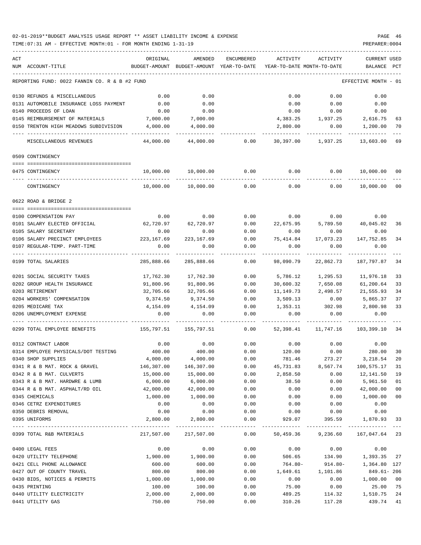| ACT |                                               | ORIGINAL      | AMENDED       | ENCUMBERED   | ACTIVITY   | ACTIVITY                         | <b>CURRENT USED</b>  |        |
|-----|-----------------------------------------------|---------------|---------------|--------------|------------|----------------------------------|----------------------|--------|
|     | NUM ACCOUNT-TITLE                             | BUDGET-AMOUNT | BUDGET-AMOUNT | YEAR-TO-DATE |            | YEAR-TO-DATE MONTH-TO-DATE       | BALANCE              | PCT    |
|     | REPORTING FUND: 0022 FANNIN CO. R & B #2 FUND |               |               |              |            |                                  | EFFECTIVE MONTH - 01 |        |
|     | 0130 REFUNDS & MISCELLANEOUS                  | 0.00          | 0.00          |              | 0.00       | 0.00                             | 0.00                 |        |
|     | 0131 AUTOMOBILE INSURANCE LOSS PAYMENT        | 0.00          | 0.00          |              | 0.00       | 0.00                             | 0.00                 |        |
|     | 0140 PROCEEDS OF LOAN                         | 0.00          | 0.00          |              | 0.00       | 0.00                             | 0.00                 |        |
|     | 0145 REIMBURSEMENT OF MATERIALS               | 7,000.00      | 7,000.00      |              | 4,383.25   | 1,937.25                         | 2,616.75             | 63     |
|     | 0150 TRENTON HIGH MEADOWS SUBDIVISION         | 4,000.00      | 4,000.00      |              | 2,800.00   | 0.00                             | 1,200.00             | 70     |
|     | MISCELLANEOUS REVENUES                        | 44,000.00     | 44,000.00     | 0.00         | 30,397.00  | 1,937.25                         | 13,603.00            | 69     |
|     | 0509 CONTINGENCY                              |               |               |              |            |                                  |                      |        |
|     |                                               |               |               |              |            |                                  |                      |        |
|     | 0475 CONTINGENCY                              | 10,000.00     | 10,000.00     | 0.00         | 0.00       | 0.00                             | 10,000.00            | 00     |
|     | CONTINGENCY                                   | 10,000.00     | 10,000.00     | 0.00         | 0.00       | 0.00                             | 10,000.00            | 00     |
|     | 0622 ROAD & BRIDGE 2                          |               |               |              |            |                                  |                      |        |
|     | 0100 COMPENSATION PAY                         | 0.00          | 0.00          | 0.00         | 0.00       | 0.00                             | 0.00                 |        |
|     | 0101 SALARY ELECTED OFFICIAL                  | 62,720.97     | 62,720.97     | 0.00         | 22,675.95  | 5,789.50                         | 40,045.02            | 36     |
|     | 0105 SALARY SECRETARY                         | 0.00          | 0.00          | 0.00         | 0.00       | 0.00                             | 0.00                 |        |
|     | 0106 SALARY PRECINCT EMPLOYEES                | 223,167.69    | 223, 167.69   | 0.00         | 75,414.84  | 17,073.23                        | 147,752.85           | 34     |
|     | 0107 REGULAR-TEMP. PART-TIME                  | 0.00          | 0.00          | 0.00         | 0.00       | 0.00                             | 0.00                 |        |
|     | 0199 TOTAL SALARIES                           | 285,888.66    | 285,888.66    | 0.00         | 98,090.79  | 22,862.73                        | 187,797.87           | 34     |
|     |                                               |               |               |              |            |                                  |                      |        |
|     | 0201 SOCIAL SECURITY TAXES                    | 17,762.30     | 17,762.30     | 0.00         | 5,786.12   | 1,295.53                         | 11,976.18            | 33     |
|     | 0202 GROUP HEALTH INSURANCE                   | 91,800.96     | 91,800.96     | 0.00         | 30,600.32  | 7,650.08                         | 61,200.64            | 33     |
|     | 0203 RETIREMENT                               | 32,705.66     | 32,705.66     | 0.00         | 11,149.73  | 2,498.57                         | 21,555.93            | 34     |
|     | 0204 WORKERS' COMPENSATION                    | 9,374.50      | 9,374.50      | 0.00         | 3,509.13   | 0.00                             | 5,865.37             | 37     |
|     | 0205 MEDICARE TAX                             | 4,154.09      | 4,154.09      | 0.00         | 1,353.11   | 302.98                           | 2,800.98             | 33     |
|     | 0206 UNEMPLOYMENT EXPENSE                     | 0.00          | 0.00          | 0.00         | 0.00       | 0.00                             | 0.00                 |        |
|     | 0299 TOTAL EMPLOYEE BENEFITS                  | 155,797.51    | 155,797.51    | 0.00         | 52,398.41  | 11,747.16                        | 103,399.10           | 34     |
|     | 0312 CONTRACT LABOR                           | 0.00          | 0.00          | 0.00         | 0.00       | 0.00                             | 0.00                 |        |
|     | 0314 EMPLOYEE PHYSICALS/DOT TESTING           | 400.00        | 400.00        | 0.00         | 120.00     | 0.00                             | 280.00               | 30     |
|     | 0340 SHOP SUPPLIES                            | 4,000.00      | 4,000.00      | 0.00         | 781.46     | 273.27                           | 3,218.54             | 20     |
|     | 0341 R & B MAT. ROCK & GRAVEL                 | 146,307.00    | 146,307.00    | 0.00         | 45,731.83  | 8,567.74                         | 100,575.17           | 31     |
|     | 0342 R & B MAT. CULVERTS                      | 15,000.00     | 15,000.00     | 0.00         | 2,858.50   | 0.00                             | 12,141.50            | 19     |
|     | 0343 R & B MAT. HARDWRE & LUMB                | 6,000.00      | 6,000.00      | 0.00         | 38.50      | 0.00                             | 5,961.50             | 01     |
|     | 0344 R & B MAT. ASPHALT/RD OIL                | 42,000.00     | 42,000.00     | 0.00         | 0.00       | 0.00                             | 42,000.00            | $00\,$ |
|     | 0345 CHEMICALS                                | 1,000.00      | 1,000.00      | 0.00         | 0.00       | 0.00                             | 1,000.00             | $00\,$ |
|     | 0346 CETRZ EXPENDITURES                       | 0.00          | 0.00          | 0.00         | 0.00       | 0.00                             | 0.00                 |        |
|     | 0350 DEBRIS REMOVAL                           | 0.00          | 0.00          | 0.00         | 0.00       | 0.00                             | 0.00                 |        |
|     | 0395 UNIFORMS                                 | 2,800.00      | 2,800.00      | 0.00         | 929.07     | 395.59                           | 1,870.93             | 33     |
|     | 0399 TOTAL R&B MATERIALS                      | 217,507.00    | 217,507.00    | 0.00         |            | 50,459.36 9,236.60 167,047.64 23 |                      |        |
|     |                                               |               |               |              |            |                                  |                      |        |
|     | 0400 LEGAL FEES                               | 0.00          | 0.00          | 0.00         | 0.00       | 0.00                             | 0.00                 |        |
|     | 0420 UTILITY TELEPHONE                        | 1,900.00      | 1,900.00      | 0.00         | 506.65     | 134.90                           | 1,393.35             | 27     |
|     | 0421 CELL PHONE ALLOWANCE                     | 600.00        | 600.00        | 0.00         | $764.80 -$ | $914.80 -$                       | 1,364.80 127         |        |
|     | 0427 OUT OF COUNTY TRAVEL                     | 800.00        | 800.00        | 0.00         | 1,649.61   | 1,101.86                         | $849.61 - 206$       |        |
|     | 0430 BIDS, NOTICES & PERMITS                  | 1,000.00      | 1,000.00      | 0.00         | 0.00       | 0.00                             | 1,000.00             | 00     |
|     | 0435 PRINTING                                 | 100.00        | 100.00        | 0.00         | 75.00      | 0.00                             | 25.00                | 75     |
|     | 0440 UTILITY ELECTRICITY                      | 2,000.00      | 2,000.00      | 0.00         | 489.25     | 114.32                           | 1,510.75             | 24     |
|     | 0441 UTILITY GAS                              | 750.00        | 750.00        | 0.00         | 310.26     | 117.28                           | 439.74               | 41     |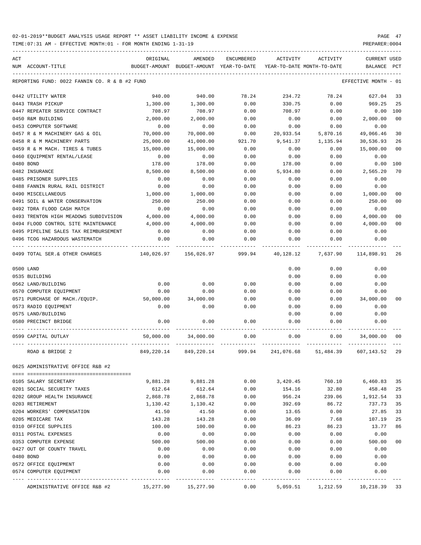TIME:07:31 AM - EFFECTIVE MONTH:01 - FOR MONTH ENDING 1-31-19 PREPARER:0004

| ACT |                                               | ORIGINAL   | AMENDED                                  | ENCUMBERED | ACTIVITY   | ACTIVITY                   | <b>CURRENT USED</b>  |                |
|-----|-----------------------------------------------|------------|------------------------------------------|------------|------------|----------------------------|----------------------|----------------|
|     | NUM ACCOUNT-TITLE                             |            | BUDGET-AMOUNT BUDGET-AMOUNT YEAR-TO-DATE |            |            | YEAR-TO-DATE MONTH-TO-DATE | BALANCE PCT          |                |
|     | REPORTING FUND: 0022 FANNIN CO. R & B #2 FUND |            |                                          |            |            |                            | EFFECTIVE MONTH - 01 |                |
|     | 0442 UTILITY WATER                            | 940.00     | 940.00                                   | 78.24      | 234.72     | 78.24                      | 627.04               | 33             |
|     | 0443 TRASH PICKUP                             | 1,300.00   | 1,300.00                                 | 0.00       | 330.75     | 0.00                       | 969.25               | 25             |
|     | 0447 REPEATER SERVICE CONTRACT                | 708.97     | 708.97                                   | 0.00       | 708.97     | 0.00                       | 0.00                 | 100            |
|     | 0450 R&M BUILDING                             | 2,000.00   | 2,000.00                                 | 0.00       | 0.00       | 0.00                       | 2,000.00             | 0 <sub>0</sub> |
|     | 0453 COMPUTER SOFTWARE                        | 0.00       | 0.00                                     | 0.00       | 0.00       | 0.00                       | 0.00                 |                |
|     | 0457 R & M MACHINERY GAS & OIL                | 70,000.00  | 70,000.00                                | 0.00       | 20,933.54  | 5,870.16                   | 49,066.46            | 30             |
|     | 0458 R & M MACHINERY PARTS                    | 25,000.00  | 41,000.00                                | 921.70     | 9,541.37   | 1,135.94                   | 30,536.93            | 26             |
|     | 0459 R & M MACH. TIRES & TUBES                | 15,000.00  | 15,000.00                                | 0.00       | 0.00       | 0.00                       | 15,000.00            | 0 <sub>0</sub> |
|     | 0460 EQUIPMENT RENTAL/LEASE                   | 0.00       | 0.00                                     | 0.00       | 0.00       | 0.00                       | 0.00                 |                |
|     | 0480 BOND                                     | 178.00     | 178.00                                   | 0.00       | 178.00     | 0.00                       | 0.00                 | 100            |
|     | 0482 INSURANCE                                | 8,500.00   | 8,500.00                                 | 0.00       | 5,934.80   | 0.00                       | 2,565.20             | 70             |
|     | 0485 PRISONER SUPPLIES                        | 0.00       | 0.00                                     | 0.00       | 0.00       | 0.00                       | 0.00                 |                |
|     | 0488 FANNIN RURAL RAIL DISTRICT               | 0.00       | 0.00                                     | 0.00       | 0.00       | 0.00                       | 0.00                 |                |
|     | 0490 MISCELLANEOUS                            | 1,000.00   | 1,000.00                                 | 0.00       | 0.00       | 0.00                       | 1,000.00             | 0 <sub>0</sub> |
|     | 0491 SOIL & WATER CONSERVATION                | 250.00     | 250.00                                   | 0.00       | 0.00       | 0.00                       | 250.00               | 0 <sub>0</sub> |
|     | 0492 TDRA FLOOD CASH MATCH                    | 0.00       | 0.00                                     | 0.00       | 0.00       | 0.00                       | 0.00                 |                |
|     | 0493 TRENTON HIGH MEADOWS SUBDIVISION         | 4,000.00   | 4,000.00                                 | 0.00       | 0.00       | 0.00                       | 4,000.00             | 0 <sub>0</sub> |
|     | 0494 FLOOD CONTROL SITE MAINTENANCE           | 4,000.00   | 4,000.00                                 | 0.00       | 0.00       | 0.00                       | 4,000.00             | 0 <sub>0</sub> |
|     | 0495 PIPELINE SALES TAX REIMBURSEMENT         | 0.00       | 0.00                                     | 0.00       | 0.00       | 0.00                       | 0.00                 |                |
|     | 0496 TCOG HAZARDOUS WASTEMATCH                | 0.00       | 0.00                                     | 0.00       | 0.00       | 0.00                       | 0.00                 |                |
|     | 0499 TOTAL SER.& OTHER CHARGES                | 140,026.97 | 156,026.97                               | 999.94     | 40,128.12  | 7,637.90                   | 114,898.91           | 26             |
|     | 0500 LAND                                     |            |                                          |            | 0.00       | 0.00                       | 0.00                 |                |
|     | 0535 BUILDING                                 |            |                                          |            | 0.00       | 0.00                       | 0.00                 |                |
|     | 0562 LAND/BUILDING                            | 0.00       | 0.00                                     | 0.00       | 0.00       | 0.00                       | 0.00                 |                |
|     | 0570 COMPUTER EQUIPMENT                       | 0.00       | 0.00                                     | 0.00       | 0.00       | 0.00                       | 0.00                 |                |
|     | 0571 PURCHASE OF MACH./EQUIP.                 | 50,000.00  | 34,000.00                                | 0.00       | 0.00       | 0.00                       | 34,000.00            | 00             |
|     | 0573 RADIO EQUIPMENT                          | 0.00       | 0.00                                     | 0.00       | 0.00       | 0.00                       | 0.00                 |                |
|     | 0575 LAND/BUILDING                            |            |                                          |            | 0.00       | 0.00                       | 0.00                 |                |
|     | 0580 PRECINCT BRIDGE                          | 0.00       | 0.00                                     | 0.00       | 0.00       | 0.00                       | 0.00                 |                |
|     | 0599 CAPITAL OUTLAY                           | 50,000.00  | 34,000.00                                | 0.00       | 0.00       | 0.00                       | 34,000.00            | 00             |
|     | ROAD & BRIDGE 2                               | 849,220.14 | 849,220.14                               | 999.94     | 241,076.68 | 51,484.39                  | 607,143.52           | 29             |
|     | 0625 ADMINISTRATIVE OFFICE R&B #2             |            |                                          |            |            |                            |                      |                |
|     | 0105 SALARY SECRETARY                         | 9,881.28   | 9,881.28                                 | 0.00       | 3,420.45   | 760.10                     | 6,460.83             | 35             |
|     | 0201 SOCIAL SECURITY TAXES                    | 612.64     | 612.64                                   | 0.00       | 154.16     | 32.80                      | 458.48               | 25             |
|     | 0202 GROUP HEALTH INSURANCE                   | 2,868.78   | 2,868.78                                 | 0.00       | 956.24     | 239.06                     | 1,912.54             | 33             |
|     | 0203 RETIREMENT                               | 1,130.42   | 1,130.42                                 | 0.00       | 392.69     | 86.72                      | 737.73               | 35             |
|     | 0204 WORKERS' COMPENSATION                    | 41.50      | 41.50                                    | 0.00       | 13.65      | 0.00                       | 27.85                | 33             |
|     | 0205 MEDICARE TAX                             | 143.28     | 143.28                                   | 0.00       | 36.09      | 7.68                       | 107.19               | 25             |
|     | 0310 OFFICE SUPPLIES                          | 100.00     | 100.00                                   | 0.00       | 86.23      | 86.23                      | 13.77                | 86             |
|     | 0311 POSTAL EXPENSES                          | 0.00       | 0.00                                     | 0.00       | 0.00       | 0.00                       | 0.00                 |                |
|     | 0353 COMPUTER EXPENSE                         | 500.00     | 500.00                                   | 0.00       | 0.00       | 0.00                       | 500.00               | 00             |
|     | 0427 OUT OF COUNTY TRAVEL                     | 0.00       | 0.00                                     | 0.00       | 0.00       | 0.00                       | 0.00                 |                |
|     | 0480 BOND                                     | 0.00       | 0.00                                     | 0.00       | 0.00       | 0.00                       | 0.00                 |                |
|     | 0572 OFFICE EQUIPMENT                         | 0.00       | 0.00                                     | 0.00       | 0.00       | 0.00                       | 0.00                 |                |
|     | 0574 COMPUTER EQUIPMENT                       | 0.00       | 0.00                                     | 0.00       | 0.00       | 0.00                       | 0.00                 |                |
|     |                                               |            |                                          |            |            |                            |                      |                |

ADMINISTRATIVE OFFICE R&B #2 15,277.90 15,277.90 0.00 5,059.51 1,212.59 10,218.39 33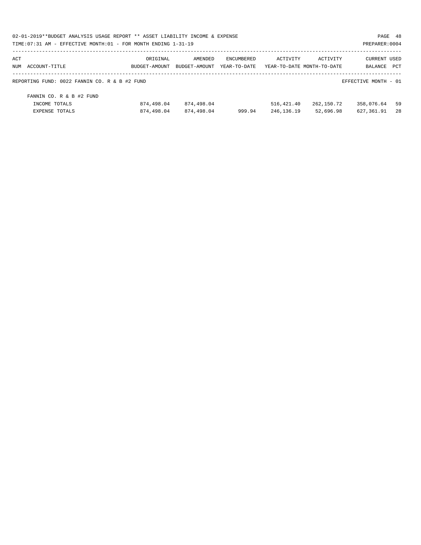| 02-01-2019**BUDGET ANALYSIS USAGE REPORT ** ASSET LIABILITY INCOME & EXPENSE<br>PAGE 48 |               |               |                   |            |                            |                      |     |  |  |
|-----------------------------------------------------------------------------------------|---------------|---------------|-------------------|------------|----------------------------|----------------------|-----|--|--|
| TIME: 07:31 AM - EFFECTIVE MONTH: 01 - FOR MONTH ENDING 1-31-19                         |               |               |                   |            |                            | PREPARER: 0004       |     |  |  |
| ACT                                                                                     | ORIGINAL      | AMENDED       | <b>ENCUMBERED</b> | ACTIVITY   | ACTIVITY                   | <b>CURRENT USED</b>  |     |  |  |
| NUM ACCOUNT-TITLE                                                                       | BUDGET-AMOUNT | BUDGET-AMOUNT | YEAR-TO-DATE      |            | YEAR-TO-DATE MONTH-TO-DATE | BALANCE              | PCT |  |  |
| REPORTING FUND: 0022 FANNIN CO. R & B #2 FUND                                           |               |               |                   |            |                            | EFFECTIVE MONTH - 01 |     |  |  |
| FANNIN CO. R & B #2 FUND                                                                |               |               |                   |            |                            |                      |     |  |  |
| INCOME TOTALS                                                                           | 874,498.04    | 874,498.04    |                   | 516,421.40 | 262,150.72                 | 358,076.64           | 59  |  |  |
| EXPENSE TOTALS                                                                          | 874,498.04    | 874,498.04    | 999.94            | 246,136.19 | 52,696.98                  | 627,361.91           | 28  |  |  |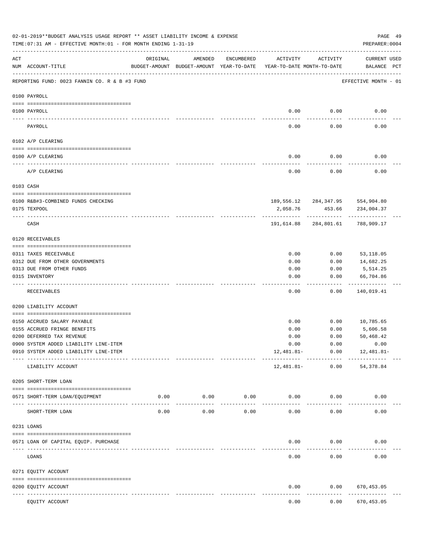|     | 02-01-2019**BUDGET ANALYSIS USAGE REPORT ** ASSET LIABILITY INCOME & EXPENSE<br>TIME: 07:31 AM - EFFECTIVE MONTH: 01 - FOR MONTH ENDING 1-31-19 |          |                                                                                |                     |              |                                 | PAGE 49<br>PREPARER: 0004                      |  |
|-----|-------------------------------------------------------------------------------------------------------------------------------------------------|----------|--------------------------------------------------------------------------------|---------------------|--------------|---------------------------------|------------------------------------------------|--|
| ACT | NUM ACCOUNT-TITLE                                                                                                                               | ORIGINAL | AMENDED<br>BUDGET-AMOUNT BUDGET-AMOUNT YEAR-TO-DATE YEAR-TO-DATE MONTH-TO-DATE | ENCUMBERED          | ACTIVITY     | ACTIVITY                        | <b>CURRENT USED</b><br>BALANCE PCT             |  |
|     | REPORTING FUND: 0023 FANNIN CO. R & B #3 FUND                                                                                                   |          |                                                                                |                     |              |                                 | EFFECTIVE MONTH - 01                           |  |
|     | 0100 PAYROLL                                                                                                                                    |          |                                                                                |                     |              |                                 |                                                |  |
|     | 0100 PAYROLL                                                                                                                                    |          |                                                                                |                     | 0.00         | 0.00                            | 0.00                                           |  |
|     | PAYROLL                                                                                                                                         |          |                                                                                |                     | 0.00         | 0.00                            | 0.00                                           |  |
|     | 0102 A/P CLEARING                                                                                                                               |          |                                                                                |                     |              |                                 |                                                |  |
|     | 0100 A/P CLEARING                                                                                                                               |          |                                                                                |                     | 0.00         | 0.00                            | 0.00                                           |  |
|     | A/P CLEARING                                                                                                                                    |          |                                                                                |                     | 0.00         | 0.00                            | 0.00                                           |  |
|     | 0103 CASH                                                                                                                                       |          |                                                                                |                     |              |                                 |                                                |  |
|     |                                                                                                                                                 |          |                                                                                |                     |              |                                 |                                                |  |
|     | 0100 R&B#3-COMBINED FUNDS CHECKING<br>0175 TEXPOOL                                                                                              |          |                                                                                |                     | 2,058.76     | 453.66                          | 189,556.12 284,347.95 554,904.80<br>234,004.37 |  |
|     |                                                                                                                                                 |          |                                                                                |                     |              |                                 |                                                |  |
|     | CASH                                                                                                                                            |          |                                                                                |                     | 191,614.88   | 284,801.61                      | 788,909.17                                     |  |
|     | 0120 RECEIVABLES                                                                                                                                |          |                                                                                |                     |              |                                 |                                                |  |
|     | 0311 TAXES RECEIVABLE                                                                                                                           |          |                                                                                |                     | 0.00         | 0.00                            | 53,118.05                                      |  |
|     | 0312 DUE FROM OTHER GOVERNMENTS                                                                                                                 |          |                                                                                |                     | 0.00         | 0.00                            | 14,682.25                                      |  |
|     | 0313 DUE FROM OTHER FUNDS                                                                                                                       |          |                                                                                |                     | 0.00         | 0.00                            | 5,514.25                                       |  |
|     | 0315 INVENTORY                                                                                                                                  |          |                                                                                |                     | 0.00         | 0.00                            | 66,704.86<br>.                                 |  |
|     | RECEIVABLES                                                                                                                                     |          |                                                                                |                     | 0.00         | 0.00                            | 140,019.41                                     |  |
|     | 0200 LIABILITY ACCOUNT                                                                                                                          |          |                                                                                |                     |              |                                 |                                                |  |
|     |                                                                                                                                                 |          |                                                                                |                     |              |                                 |                                                |  |
|     | 0150 ACCRUED SALARY PAYABLE                                                                                                                     |          |                                                                                |                     | 0.00         | 0.00                            | 10,785.65                                      |  |
|     | 0155 ACCRUED FRINGE BENEFITS<br>0200 DEFERRED TAX REVENUE                                                                                       |          |                                                                                |                     | 0.00         | 0.00<br>0.00                    | 5,606.58                                       |  |
|     | 0900 SYSTEM ADDED LIABILITY LINE-ITEM                                                                                                           |          |                                                                                |                     | 0.00<br>0.00 | 0.00                            | 50,468.42<br>0.00                              |  |
|     | 0910 SYSTEM ADDED LIABILITY LINE-ITEM                                                                                                           |          |                                                                                |                     | 12,481.81-   | 0.00                            | 12,481.81-                                     |  |
|     | LIABILITY ACCOUNT                                                                                                                               |          |                                                                                |                     | 12,481.81-   | ---------- ------------<br>0.00 | -------------<br>54,378.84                     |  |
|     | 0205 SHORT-TERM LOAN                                                                                                                            |          |                                                                                |                     |              |                                 |                                                |  |
|     | 0571 SHORT-TERM LOAN/EQUIPMENT                                                                                                                  | 0.00     | 0.00<br>-----------                                                            | 0.00<br>----------- | 0.00         | 0.00                            | 0.00                                           |  |
|     | SHORT-TERM LOAN                                                                                                                                 | 0.00     | 0.00                                                                           | 0.00                | 0.00         | 0.00                            | 0.00                                           |  |
|     | 0231 LOANS                                                                                                                                      |          |                                                                                |                     |              |                                 |                                                |  |
|     |                                                                                                                                                 |          |                                                                                |                     |              |                                 |                                                |  |
|     | 0571 LOAN OF CAPITAL EQUIP. PURCHASE                                                                                                            |          |                                                                                |                     | 0.00         | 0.00                            | 0.00                                           |  |
|     | LOANS                                                                                                                                           |          |                                                                                |                     | 0.00         | 0.00                            | 0.00                                           |  |
|     | 0271 EQUITY ACCOUNT                                                                                                                             |          |                                                                                |                     |              |                                 |                                                |  |
|     | 0200 EQUITY ACCOUNT<br>---- -----------<br>----------------------- -----------                                                                  |          | -------------                                                                  |                     | 0.00         | 0.00                            | 670,453.05<br>----------                       |  |
|     | EQUITY ACCOUNT                                                                                                                                  |          |                                                                                |                     | 0.00         | 0.00                            | 670,453.05                                     |  |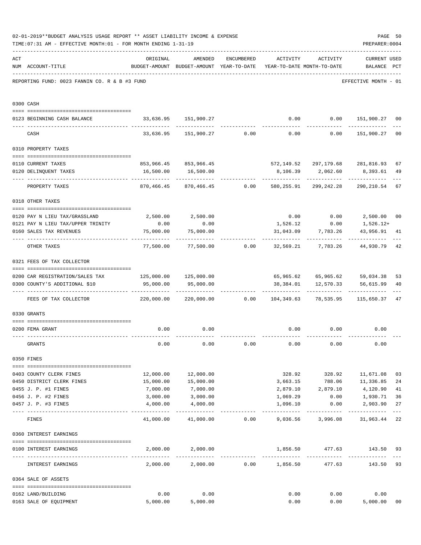|     | 02-01-2019**BUDGET ANALYSIS USAGE REPORT ** ASSET LIABILITY INCOME & EXPENSE<br>TIME: 07:31 AM - EFFECTIVE MONTH: 01 - FOR MONTH ENDING 1-31-19 |                                                                         |                                                                                |                 |                            |                       | PREPARER: 0004                                            | PAGE 50        |
|-----|-------------------------------------------------------------------------------------------------------------------------------------------------|-------------------------------------------------------------------------|--------------------------------------------------------------------------------|-----------------|----------------------------|-----------------------|-----------------------------------------------------------|----------------|
| ACT | NUM ACCOUNT-TITLE                                                                                                                               | ORIGINAL                                                                | AMENDED<br>BUDGET-AMOUNT BUDGET-AMOUNT YEAR-TO-DATE YEAR-TO-DATE MONTH-TO-DATE | ENCUMBERED      | ACTIVITY ACTIVITY          |                       | <b>CURRENT USED</b><br>BALANCE PCT                        |                |
|     | REPORTING FUND: 0023 FANNIN CO. R & B #3 FUND                                                                                                   |                                                                         |                                                                                |                 |                            |                       | EFFECTIVE MONTH - 01                                      |                |
|     | 0300 CASH                                                                                                                                       |                                                                         |                                                                                |                 |                            |                       |                                                           |                |
|     | 0123 BEGINNING CASH BALANCE                                                                                                                     |                                                                         | 33,636.95 151,900.27                                                           |                 |                            |                       | $0.00$ $0.00$ $151,900.27$ 00                             |                |
|     | CASH                                                                                                                                            |                                                                         |                                                                                |                 |                            |                       | $33,636.95$ 151,900.27 0.00 0.00 0.00 151,900.27          | 0 <sub>0</sub> |
|     | 0310 PROPERTY TAXES                                                                                                                             |                                                                         |                                                                                |                 |                            |                       |                                                           |                |
|     |                                                                                                                                                 |                                                                         |                                                                                |                 |                            |                       |                                                           |                |
|     | 0110 CURRENT TAXES                                                                                                                              |                                                                         | 853,966.45 853,966.45                                                          |                 |                            |                       | 572,149.52 297,179.68 281,816.93                          | 67             |
|     | 0120 DELINQUENT TAXES<br>--------------------- --------------                                                                                   |                                                                         | 16,500.00   16,500.00<br><u>. Bergera Bergera</u>                              |                 |                            | -------------         | 8,106.39 2,062.60 8,393.61<br>------------                | 49             |
|     | PROPERTY TAXES                                                                                                                                  | 870,466.45                                                              |                                                                                | 870,466.45 0.00 |                            | 580,255.91 299,242.28 | 290,210.54                                                | 67             |
|     | 0318 OTHER TAXES                                                                                                                                |                                                                         |                                                                                |                 |                            |                       |                                                           |                |
|     | 0120 PAY N LIEU TAX/GRASSLAND                                                                                                                   |                                                                         |                                                                                |                 |                            |                       | $0.00$ $0.00$ $2,500.00$                                  | 00             |
|     | 0121 PAY N LIEU TAX/UPPER TRINITY                                                                                                               | 0.00                                                                    | 2,500.00 2,500.00<br>0.00                                                      |                 |                            |                       |                                                           |                |
|     | 0160 SALES TAX REVENUES                                                                                                                         | 75,000.00                                                               | 75,000.00                                                                      |                 |                            |                       | $1,526.12$ 0.00 1,526.12+<br>43,956.91                    | 41             |
|     |                                                                                                                                                 |                                                                         |                                                                                |                 |                            | 31,043.09 7,783.26    |                                                           |                |
|     | OTHER TAXES                                                                                                                                     |                                                                         |                                                                                |                 |                            |                       | $77,500.00$ $77,500.00$ 0.00 32,569.21 7,783.26 44,930.79 | 42             |
|     | 0321 FEES OF TAX COLLECTOR                                                                                                                      |                                                                         |                                                                                |                 |                            |                       |                                                           |                |
|     |                                                                                                                                                 |                                                                         |                                                                                |                 |                            |                       |                                                           |                |
|     | 0200 CAR REGISTRATION/SALES TAX                                                                                                                 |                                                                         |                                                                                |                 |                            |                       | 65,965.62 65,965.62 59,034.38                             | 53             |
|     | 0300 COUNTY'S ADDITIONAL \$10                                                                                                                   | 95,000.00                                                               | 95,000.00                                                                      |                 |                            | 38,384.01 12,570.33   | 56,615.99                                                 | 40             |
|     | FEES OF TAX COLLECTOR                                                                                                                           | 220,000.00   220,000.00      0.00   104,349.63   78,535.95   115,650.37 |                                                                                |                 |                            |                       |                                                           | 47             |
|     | 0330 GRANTS                                                                                                                                     |                                                                         |                                                                                |                 |                            |                       |                                                           |                |
|     |                                                                                                                                                 |                                                                         |                                                                                |                 |                            |                       |                                                           |                |
|     | 0200 FEMA GRANT                                                                                                                                 | 0.00                                                                    | 0.00                                                                           |                 | 0.00                       | 0.00                  | 0.00                                                      |                |
|     | GRANTS                                                                                                                                          | 0.00                                                                    | 0.00                                                                           | 0.00            | 0.00                       | 0.00                  | 0.00                                                      |                |
|     | 0350 FINES                                                                                                                                      |                                                                         |                                                                                |                 |                            |                       |                                                           |                |
|     | 0403 COUNTY CLERK FINES                                                                                                                         | 12,000.00                                                               | 12,000.00                                                                      |                 |                            |                       | 328.92 328.92 11,671.08                                   | 03             |
|     | 0450 DISTRICT CLERK FINES                                                                                                                       | 15,000.00                                                               | 15,000.00                                                                      |                 |                            |                       | 3,663.15 788.06 11,336.85                                 | 24             |
|     | 0455 J. P. #1 FINES                                                                                                                             | 7,000.00                                                                | 7,000.00                                                                       |                 |                            | 2,879.10 2,879.10     | 4,120.90                                                  | 41             |
|     | 0456 J. P. #2 FINES                                                                                                                             | 3,000.00                                                                | 3,000.00                                                                       |                 | 1,069.29                   | 0.00                  | 1,930.71                                                  | 36             |
|     | 0457 J. P. #3 FINES                                                                                                                             | 4,000.00                                                                | 4,000.00                                                                       |                 | 1,096.10                   | 0.00                  | 2,903.90                                                  | 27             |
|     | FINES                                                                                                                                           |                                                                         | 41,000.00 41,000.00 0.00 9,036.56 3,996.08                                     |                 |                            |                       | 31,963.44                                                 | $---$<br>22    |
|     | 0360 INTEREST EARNINGS                                                                                                                          |                                                                         |                                                                                |                 |                            |                       |                                                           |                |
|     |                                                                                                                                                 |                                                                         | 2,000.00 2,000.00                                                              |                 |                            | 1,856.50 477.63       | 143.50 93                                                 |                |
|     | 0100 INTEREST EARNINGS                                                                                                                          |                                                                         |                                                                                |                 | ----------- -------------- | ------------          | ------------                                              |                |
|     | INTEREST EARNINGS                                                                                                                               |                                                                         | 2,000.00 2,000.00 0.00 1,856.50                                                |                 |                            | 477.63                | 143.50                                                    | 93             |
|     | 0364 SALE OF ASSETS                                                                                                                             |                                                                         |                                                                                |                 |                            |                       |                                                           |                |
|     | 0162 LAND/BUILDING                                                                                                                              | 0.00                                                                    | 0.00                                                                           |                 | 0.00                       | 0.00                  | 0.00                                                      |                |
|     | 0163 SALE OF EQUIPMENT                                                                                                                          | 5,000.00                                                                | 5,000.00                                                                       |                 | 0.00                       |                       | 0.00<br>5,000.00                                          | 00             |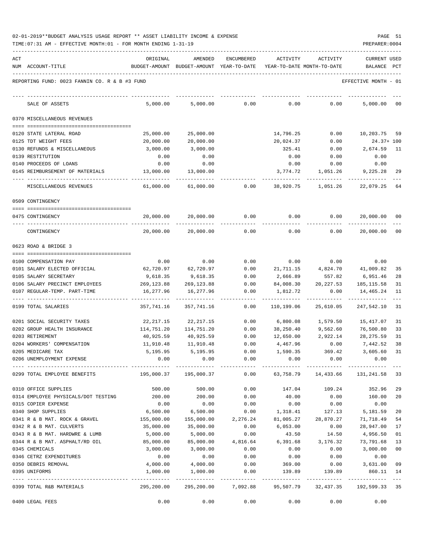| ACT | NUM ACCOUNT-TITLE                                     | ORIGINAL   | AMENDED<br>BUDGET-AMOUNT BUDGET-AMOUNT YEAR-TO-DATE | ENCUMBERED | ACTIVITY<br>YEAR-TO-DATE MONTH-TO-DATE | ACTIVITY   | <b>CURRENT USED</b><br>BALANCE                             | $_{\rm PCT}$   |
|-----|-------------------------------------------------------|------------|-----------------------------------------------------|------------|----------------------------------------|------------|------------------------------------------------------------|----------------|
|     | REPORTING FUND: 0023 FANNIN CO. R & B #3 FUND         |            |                                                     |            |                                        |            | EFFECTIVE MONTH - 01                                       |                |
|     | SALE OF ASSETS                                        | 5,000.00   | 5,000.00                                            | 0.00       | 0.00                                   | 0.00       | 5,000.00                                                   | 00             |
|     | 0370 MISCELLANEOUS REVENUES                           |            |                                                     |            |                                        |            |                                                            |                |
|     |                                                       |            |                                                     |            |                                        |            |                                                            |                |
|     | 0120 STATE LATERAL ROAD                               | 25,000.00  | 25,000.00                                           |            | 14,796.25                              | 0.00       | 10,203.75                                                  | 59             |
|     | 0125 TDT WEIGHT FEES                                  | 20,000.00  | 20,000.00                                           |            | 20,024.37                              | 0.00       | $24.37 + 100$                                              |                |
|     | 0130 REFUNDS & MISCELLANEOUS                          | 3,000.00   | 3,000.00                                            |            | 325.41                                 | 0.00       | 2,674.59                                                   | 11             |
|     | 0139 RESTITUTION                                      | 0.00       | 0.00                                                |            | 0.00                                   | 0.00       | 0.00                                                       |                |
|     | 0140 PROCEEDS OF LOANS                                | 0.00       | 0.00                                                |            | 0.00                                   | 0.00       | 0.00                                                       |                |
|     | 0145 REIMBURSEMENT OF MATERIALS                       | 13,000.00  | 13,000.00                                           |            | 3,774.72                               | 1,051.26   | 9,225.28                                                   | 29             |
|     | MISCELLANEOUS REVENUES                                | 61,000.00  | 61,000.00                                           | 0.00       | 38,920.75                              | 1,051.26   | 22,079.25                                                  | 64             |
|     | 0509 CONTINGENCY                                      |            |                                                     |            |                                        |            |                                                            |                |
|     | 0475 CONTINGENCY                                      | 20,000.00  | 20,000.00                                           | 0.00       | 0.00                                   | 0.00       | 20,000.00                                                  | 00             |
|     | CONTINGENCY                                           | 20,000.00  | 20,000.00                                           | 0.00       | 0.00                                   | 0.00       | 20,000.00                                                  | 0 <sub>0</sub> |
|     | 0623 ROAD & BRIDGE 3                                  |            |                                                     |            |                                        |            |                                                            |                |
|     |                                                       | 0.00       | 0.00                                                | 0.00       | 0.00                                   | 0.00       | 0.00                                                       |                |
|     | 0100 COMPENSATION PAY<br>0101 SALARY ELECTED OFFICIAL | 62,720.97  | 62,720.97                                           | 0.00       | 21,711.15                              | 4,824.70   | 41,009.82                                                  | 35             |
|     | 0105 SALARY SECRETARY                                 | 9,618.35   | 9,618.35                                            | 0.00       | 2,666.89                               | 557.82     | 6,951.46                                                   | 28             |
|     | 0106 SALARY PRECINCT EMPLOYEES                        | 269,123.88 | 269,123.88                                          | 0.00       | 84,008.30                              | 20, 227.53 | 185,115.58                                                 | 31             |
|     | 0107 REGULAR-TEMP. PART-TIME                          | 16,277.96  | 16,277.96                                           | 0.00       | 1,812.72                               | 0.00       | 14,465.24                                                  | 11             |
|     | 0199 TOTAL SALARIES                                   | 357,741.16 | 357,741.16                                          | 0.00       | 110,199.06                             | 25,610.05  | 247,542.10                                                 | 31             |
|     | 0201 SOCIAL SECURITY TAXES                            | 22,217.15  | 22,217.15                                           | 0.00       | 6,800.08                               | 1,579.50   | 15,417.07                                                  | 31             |
|     | 0202 GROUP HEALTH INSURANCE                           | 114,751.20 | 114,751.20                                          | 0.00       | 38,250.40                              | 9,562.60   | 76,500.80                                                  | 33             |
|     | 0203 RETIREMENT                                       | 40,925.59  | 40,925.59                                           | 0.00       | 12,650.00                              | 2,922.14   | 28, 275.59                                                 | 31             |
|     | 0204 WORKERS' COMPENSATION                            | 11,910.48  | 11,910.48                                           | 0.00       | 4,467.96                               | 0.00       | 7,442.52                                                   | 38             |
|     | 0205 MEDICARE TAX                                     | 5,195.95   | 5,195.95                                            | 0.00       | 1,590.35                               | 369.42     | 3,605.60                                                   | 31             |
|     | 0206 UNEMPLOYMENT EXPENSE                             | 0.00       | 0.00                                                | 0.00       | 0.00                                   | 0.00       | 0.00                                                       |                |
|     | 0299 TOTAL EMPLOYEE BENEFITS                          |            |                                                     | 0.00       | 63,758.79                              | 14,433.66  | 131,241.58                                                 | 33             |
|     | 0310 OFFICE SUPPLIES                                  | 500.00     | 500.00                                              | 0.00       | 147.04                                 | 109.24     | 352.96                                                     | 29             |
|     | 0314 EMPLOYEE PHYSICALS/DOT TESTING                   | 200.00     | 200.00                                              | 0.00       | 40.00                                  | 0.00       | 160.00                                                     | 20             |
|     | 0315 COPIER EXPENSE                                   | 0.00       | 0.00                                                | 0.00       | 0.00                                   | 0.00       | 0.00                                                       |                |
|     | 0340 SHOP SUPPLIES                                    | 6,500.00   | 6,500.00                                            | 0.00       | 1,318.41                               | 127.13     | 5,181.59                                                   | 20             |
|     | 0341 R & B MAT. ROCK & GRAVEL                         | 155,000.00 | 155,000.00                                          | 2,276.24   | 81,005.27                              | 28,870.27  | 71,718.49                                                  | 54             |
|     | 0342 R & B MAT. CULVERTS                              | 35,000.00  | 35,000.00                                           | 0.00       | 6,053.00                               | 0.00       | 28,947.00                                                  | 17             |
|     | 0343 R & B MAT. HARDWRE & LUMB                        | 5,000.00   | 5,000.00                                            | 0.00       | 43.50                                  | 14.50      | 4,956.50                                                   | 01             |
|     | 0344 R & B MAT. ASPHALT/RD OIL                        | 85,000.00  |                                                     |            | 85,000.00  4,816.64  6,391.68          | 3,176.32   | 73,791.68                                                  | 13             |
|     | 0345 CHEMICALS                                        | 3,000.00   | 3,000.00                                            | 0.00       | 0.00                                   | 0.00       | 3,000.00                                                   | 00             |
|     | 0346 CETRZ EXPENDITURES                               | 0.00       | 0.00                                                | 0.00       | 0.00                                   | 0.00       | 0.00                                                       |                |
|     | 0350 DEBRIS REMOVAL                                   | 4,000.00   | 4,000.00                                            | 0.00       | 369.00                                 | 0.00       | 3,631.00                                                   | 09             |
|     | 0395 UNIFORMS                                         | 1,000.00   | 1,000.00                                            | 0.00       | 139.89                                 | 139.89     | 860.11 14                                                  |                |
|     | 0399 TOTAL R&B MATERIALS                              | 295,200.00 |                                                     |            |                                        |            | 295, 200.00 7, 092.88 95, 507.79 32, 437.35 192, 599.33 35 |                |
|     | 0400 LEGAL FEES                                       | 0.00       | 0.00                                                | 0.00       | 0.00                                   | 0.00       | 0.00                                                       |                |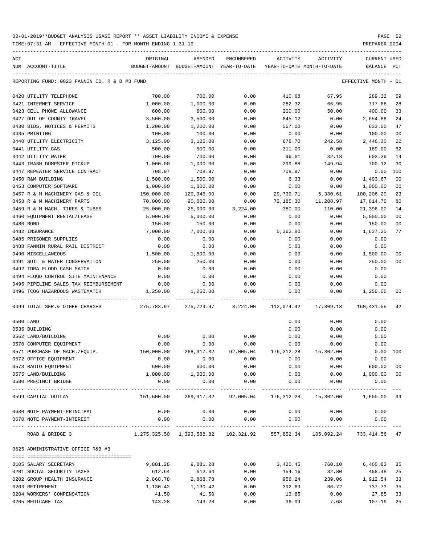TIME:07:31 AM - EFFECTIVE MONTH:01 - FOR MONTH ENDING 1-31-19 PREPARER:0004

| ACT |                                               | ORIGINAL                                                            | AMENDED            | ENCUMBERED         | ACTIVITY   | ACTIVITY  | <b>CURRENT USED</b>   |                |
|-----|-----------------------------------------------|---------------------------------------------------------------------|--------------------|--------------------|------------|-----------|-----------------------|----------------|
|     | NUM ACCOUNT-TITLE                             | BUDGET-AMOUNT BUDGET-AMOUNT YEAR-TO-DATE YEAR-TO-DATE MONTH-TO-DATE |                    |                    |            |           | BALANCE PCT           |                |
|     | REPORTING FUND: 0023 FANNIN CO. R & B #3 FUND |                                                                     |                    |                    |            |           | EFFECTIVE MONTH - 01  |                |
|     | 0420 UTILITY TELEPHONE                        | 700.00                                                              | 700.00             | 0.00               | 410.68     | 67.95     | 289.32                | 59             |
|     | 0421 INTERNET SERVICE                         | 1,000.00                                                            | 1,000.00           | 0.00               | 282.32     | 66.95     | 717.68                | 28             |
|     | 0423 CELL PHONE ALLOWANCE                     | 600.00                                                              | 600.00             | 0.00               | 200.00     | 50.00     | 400.00                | 33             |
|     | 0427 OUT OF COUNTY TRAVEL                     | 3,500.00                                                            | 3,500.00           | 0.00               | 845.12     | 0.00      | 2,654.88              | 24             |
|     | 0430 BIDS, NOTICES & PERMITS                  | 1,200.00                                                            | 1,200.00           | 0.00               | 567.00     | 0.00      | 633.00                | 47             |
|     | 0435 PRINTING                                 | 100.00                                                              | 100.00             | 0.00               | 0.00       | 0.00      | 100.00                | 0 <sub>0</sub> |
|     | 0440 UTILITY ELECTRICITY                      | 3,125.00                                                            | 3,125.00           | 0.00               | 678.70     | 242.58    | 2,446.30              | 22             |
|     | 0441 UTILITY GAS                              | 500.00                                                              | 500.00             | 0.00               | 311.00     | 0.00      | 189.00                | 62             |
|     | 0442 UTILITY WATER                            | 700.00                                                              | 700.00             | 0.00               | 96.61      | 32.18     | 603.39                | 14             |
|     | 0443 TRASH DUMPSTER PICKUP                    | 1,000.00                                                            | 1,000.00           | 0.00               | 299.88     | 149.94    | 700.12                | 30             |
|     | 0447 REPEATER SERVICE CONTRACT                | 708.97                                                              | 708.97             | 0.00               | 708.97     | 0.00      | 0.00                  | 100            |
|     | 0450 R&M BUILDING                             | 1,500.00                                                            | 1,500.00           | 0.00               | 6.33       | 0.00      | 1,493.67              | 0 <sub>0</sub> |
|     | 0453 COMPUTER SOFTWARE                        | 1,000.00                                                            | 1,000.00           | 0.00               | 0.00       | 0.00      | 1,000.00              | 0 <sub>0</sub> |
|     | 0457 R & M MACHINERY GAS & OIL                | 150,000.00                                                          | 129,946.00         | 0.00               | 29,739.71  | 5,380.61  | 100,206.29            | 23             |
|     | 0458 R & M MACHINERY PARTS                    | 70,000.00                                                           | 90,000.00          | 0.00               | 72,185.30  | 11,208.97 | 17,814.70             | 80             |
|     | 0459 R & M MACH. TIRES & TUBES                | 25,000.00                                                           | 25,000.00          | 3,224.00           | 380.00     | 110.00    | 21,396.00             | 14             |
|     | 0460 EQUIPMENT RENTAL/LEASE                   | 5,000.00                                                            | 5,000.00           | 0.00               | 0.00       | 0.00      | 5,000.00              | 0 <sub>0</sub> |
|     | 0480 BOND                                     | 150.00                                                              | 150.00             | 0.00               | 0.00       | 0.00      | 150.00                | 0 <sub>0</sub> |
|     | 0482 INSURANCE                                | 7,000.00                                                            | 7,000.00           | 0.00               | 5,362.80   | 0.00      | 1,637.20              | 77             |
|     | 0485 PRISONER SUPPLIES                        | 0.00                                                                | 0.00               | 0.00               | 0.00       | 0.00      | 0.00                  |                |
|     | 0488 FANNIN RURAL RAIL DISTRICT               | 0.00                                                                | 0.00               | 0.00               | 0.00       | 0.00      | 0.00                  |                |
|     | 0490 MISCELLANEOUS                            | 1,500.00                                                            | 1,500.00           | 0.00               | 0.00       | 0.00      | 1,500.00              | 0 <sub>0</sub> |
|     | 0491 SOIL & WATER CONSERVATION                | 250.00                                                              | 250.00             | 0.00               | 0.00       | 0.00      | 250.00                | 0 <sub>0</sub> |
|     | 0492 TDRA FLOOD CASH MATCH                    | 0.00                                                                | 0.00               | 0.00               | 0.00       | 0.00      | 0.00                  |                |
|     | 0494 FLOOD CONTROL SITE MAINTENANCE           | 0.00                                                                | 0.00               | 0.00               | 0.00       | 0.00      | 0.00                  |                |
|     | 0495 PIPELINE SALES TAX REIMBURSEMENT         | 0.00                                                                | 0.00               | 0.00               | 0.00       | 0.00      | 0.00                  |                |
|     | 0496 TCOG HAZARDOUS WASTEMATCH                | 1,250.00                                                            | 1,250.00           | 0.00               | 0.00       | 0.00      | 1,250.00              | 00             |
|     | 0499 TOTAL SER.& OTHER CHARGES                |                                                                     |                    |                    |            | 17,309.18 | 160,431.55            | 42             |
|     | 0500 LAND                                     |                                                                     |                    |                    | 0.00       | 0.00      | 0.00                  |                |
|     | 0535 BUILDING                                 |                                                                     |                    |                    | 0.00       | 0.00      | 0.00                  |                |
|     | 0562 LAND/BUILDING                            | 0.00                                                                | 0.00               | 0.00               | 0.00       | 0.00      | 0.00                  |                |
|     | 0570 COMPUTER EQUIPMENT                       | 0.00                                                                | 0.00               | 0.00               | 0.00       | 0.00      | 0.00                  |                |
|     | 0571 PURCHASE OF MACH./EOUIP.                 | 150,000.00                                                          | 268, 317.32        | 92,005.04          | 176,312.28 | 15,302.00 |                       | 0.00 100       |
|     | 0572 OFFICE EQUIPMENT                         | 0.00                                                                | 0.00               | 0.00               | 0.00       | 0.00      | 0.00                  |                |
|     | 0573 RADIO EQUIPMENT                          | 600.00                                                              | 600.00             | 0.00               | 0.00       | 0.00      | 600.00                | 00             |
|     | 0575 LAND/BUILDING                            | 1,000.00                                                            | 1,000.00           | 0.00               | 0.00       | 0.00      | 1,000.00              | 0 <sub>0</sub> |
|     | 0580 PRECINCT BRIDGE<br>---- --------------   | 0.00<br>----------                                                  | 0.00<br>---------- | 0.00<br>---------- | 0.00       | 0.00      | 0.00<br>----------    |                |
|     | 0599 CAPITAL OUTLAY                           | 151,600.00                                                          | 269,917.32         | 92,005.04          | 176,312.28 | 15,302.00 | 1,600.00 99           |                |
|     | 0630 NOTE PAYMENT-PRINCIPAL                   | 0.00                                                                | 0.00               | 0.00               | 0.00       | 0.00      | 0.00                  |                |
|     | 0670 NOTE PAYMENT-INTEREST                    | 0.00                                                                | 0.00               | 0.00               | 0.00       | 0.00      | 0.00                  |                |
|     | ROAD & BRIDGE 3                               | 1,275,325.50 1,393,588.82 102,321.92 557,852.34                     |                    |                    |            |           | 105,092.24 733,414.56 | 47             |
|     | 0625 ADMINISTRATIVE OFFICE R&B #3             |                                                                     |                    |                    |            |           |                       |                |
|     | 0105 SALARY SECRETARY                         | 9,881.28                                                            | 9,881.28           | 0.00               | 3,420.45   | 760.10    | 6,460.83              | 35             |
|     | 0201 SOCIAL SECURITY TAXES                    | 612.64                                                              | 612.64             | 0.00               | 154.16     | 32.80     | 458.48                | 25             |
|     | 0202 GROUP HEALTH INSURANCE                   | 2,868.78                                                            | 2,868.78           | 0.00               | 956.24     | 239.06    | 1,912.54              | 33             |
|     | 0203 RETIREMENT                               | 1,130.42                                                            | 1,130.42           | 0.00               | 392.69     | 86.72     | 737.73                | 35             |
|     | 0204 WORKERS' COMPENSATION                    | 41.50                                                               | 41.50              | 0.00               | 13.65      | 0.00      | 27.85                 | 33             |

0205 MEDICARE TAX 143.28 143.28 0.00 36.09 7.68 107.19 25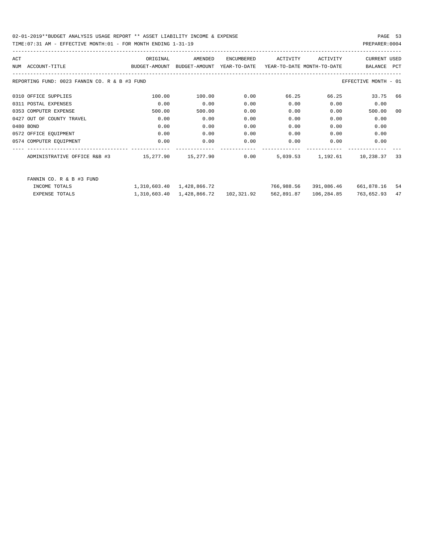| ACT                       |                                               | ORIGINAL<br>BUDGET-AMOUNT | AMENDED                                               | ENCUMBERED | ACTIVITY   |          |                             |                |
|---------------------------|-----------------------------------------------|---------------------------|-------------------------------------------------------|------------|------------|----------|-----------------------------|----------------|
|                           |                                               |                           |                                                       |            |            | ACTIVITY | <b>CURRENT USED</b>         |                |
| ACCOUNT-TITLE<br>NUM      |                                               |                           | BUDGET-AMOUNT YEAR-TO-DATE YEAR-TO-DATE MONTH-TO-DATE |            |            |          | BALANCE PCT                 |                |
|                           | REPORTING FUND: 0023 FANNIN CO. R & B #3 FUND |                           |                                                       |            |            |          | EFFECTIVE MONTH - 01        |                |
| 0310 OFFICE SUPPLIES      |                                               | 100.00                    | 100.00                                                | 0.00       | 66.25      | 66.25    | 33.75                       | 66             |
| 0311 POSTAL EXPENSES      |                                               | 0.00                      | 0.00                                                  | 0.00       | 0.00       | 0.00     | 0.00                        |                |
| 0353 COMPUTER EXPENSE     |                                               | 500.00                    | 500.00                                                | 0.00       | 0.00       | 0.00     | 500.00                      | 0 <sup>0</sup> |
| 0427 OUT OF COUNTY TRAVEL |                                               | 0.00                      | 0.00                                                  | 0.00       | 0.00       | 0.00     | 0.00                        |                |
| 0480 BOND                 |                                               | 0.00                      | 0.00                                                  | 0.00       | 0.00       | 0.00     | 0.00                        |                |
| 0572 OFFICE EQUIPMENT     |                                               | 0.00                      | 0.00                                                  | 0.00       | 0.00       | 0.00     | 0.00                        |                |
| 0574 COMPUTER EQUIPMENT   |                                               | 0.00                      | 0.00                                                  | 0.00       | 0.00       | 0.00     | 0.00                        |                |
|                           |                                               |                           |                                                       |            |            |          | 5,039.53 1,192.61 10,238.37 | 33             |
| TNCOME TOTALS             | FANNIN CO. R & B #3 FUND                      |                           | 1 310 603 40 1 428 866 72                             |            | 766 988 56 |          | 391 086 46 661 878 16       | 54             |

| INCOME TOTALS  | 1,310,603.40 1,428,866.72              | 766,988.56 391,086.46 |            | 661,878.16 54 |  |
|----------------|----------------------------------------|-----------------------|------------|---------------|--|
| EXPENSE TOTALS | 1,310,603.40  1,428,866.72  102,321.92 | 562,891.87            | 106,284.85 | 763,652.93 47 |  |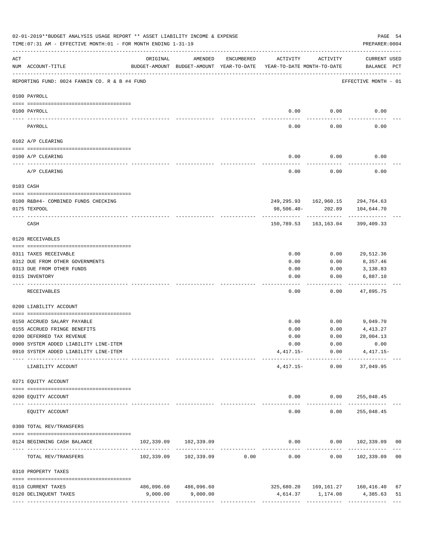|                 | 02-01-2019**BUDGET ANALYSIS USAGE REPORT ** ASSET LIABILITY INCOME & EXPENSE<br>TIME: 07:31 AM - EFFECTIVE MONTH: 01 - FOR MONTH ENDING 1-31-19 |          |                                                     |                               |                                        |                                        | PAGE 54<br>PREPARER: 0004                          |                |
|-----------------|-------------------------------------------------------------------------------------------------------------------------------------------------|----------|-----------------------------------------------------|-------------------------------|----------------------------------------|----------------------------------------|----------------------------------------------------|----------------|
| ACT             | NUM ACCOUNT-TITLE                                                                                                                               | ORIGINAL | AMENDED<br>BUDGET-AMOUNT BUDGET-AMOUNT YEAR-TO-DATE | ENCUMBERED                    | ACTIVITY<br>YEAR-TO-DATE MONTH-TO-DATE | ACTIVITY                               | CURRENT USED<br>BALANCE PCT                        |                |
|                 | REPORTING FUND: 0024 FANNIN CO. R & B #4 FUND                                                                                                   |          |                                                     |                               |                                        |                                        | EFFECTIVE MONTH - 01                               |                |
|                 | 0100 PAYROLL                                                                                                                                    |          |                                                     |                               |                                        |                                        |                                                    |                |
|                 |                                                                                                                                                 |          |                                                     |                               |                                        |                                        |                                                    |                |
| $- - - - - - -$ | 0100 PAYROLL                                                                                                                                    |          |                                                     |                               | 0.00                                   | 0.00                                   | 0.00                                               |                |
|                 | PAYROLL                                                                                                                                         |          |                                                     |                               | 0.00                                   | 0.00                                   | 0.00                                               |                |
|                 | 0102 A/P CLEARING                                                                                                                               |          |                                                     |                               |                                        |                                        |                                                    |                |
|                 | 0100 A/P CLEARING                                                                                                                               |          |                                                     |                               | 0.00                                   | 0.00                                   | 0.00                                               |                |
|                 | A/P CLEARING                                                                                                                                    |          |                                                     |                               | 0.00                                   | 0.00                                   | 0.00                                               |                |
|                 | 0103 CASH                                                                                                                                       |          |                                                     |                               |                                        |                                        |                                                    |                |
|                 | 0100 R&B#4- COMBINED FUNDS CHECKING                                                                                                             |          |                                                     |                               |                                        |                                        | 249, 295.93 162, 960.15 294, 764.63                |                |
|                 | 0175 TEXPOOL                                                                                                                                    |          |                                                     |                               | 98,506.40-                             | 202.89                                 | 104,644.70                                         |                |
|                 | CASH                                                                                                                                            |          |                                                     |                               |                                        | -------------<br>150,789.53 163,163.04 | 399,409.33                                         |                |
|                 | 0120 RECEIVABLES                                                                                                                                |          |                                                     |                               |                                        |                                        |                                                    |                |
|                 | 0311 TAXES RECEIVABLE                                                                                                                           |          |                                                     |                               | 0.00                                   | 0.00                                   | 29,512.36                                          |                |
|                 | 0312 DUE FROM OTHER GOVERNMENTS                                                                                                                 |          |                                                     |                               | 0.00                                   | 0.00                                   | 8,357.46                                           |                |
|                 | 0313 DUE FROM OTHER FUNDS                                                                                                                       |          |                                                     |                               | 0.00                                   | 0.00                                   | 3,138.83                                           |                |
|                 | 0315 INVENTORY                                                                                                                                  |          |                                                     |                               | 0.00                                   | 0.00                                   | 6,887.10                                           |                |
|                 | RECEIVABLES                                                                                                                                     |          |                                                     |                               | 0.00                                   | 0.00                                   | 47,895.75                                          |                |
|                 | 0200 LIABILITY ACCOUNT                                                                                                                          |          |                                                     |                               |                                        |                                        |                                                    |                |
|                 | 0150 ACCRUED SALARY PAYABLE                                                                                                                     |          |                                                     |                               | 0.00                                   | 0.00                                   | 9,049.70                                           |                |
|                 | 0155 ACCRUED FRINGE BENEFITS                                                                                                                    |          |                                                     |                               | 0.00                                   | 0.00                                   | 4,413.27                                           |                |
|                 | 0200 DEFERRED TAX REVENUE                                                                                                                       |          |                                                     |                               | 0.00                                   | 0.00                                   | 28,004.13                                          |                |
|                 | 0900 SYSTEM ADDED LIABILITY LINE-ITEM                                                                                                           |          |                                                     |                               |                                        | $0.00$ $0.00$                          | 0.00                                               |                |
|                 | 0910 SYSTEM ADDED LIABILITY LINE-ITEM                                                                                                           |          |                                                     |                               |                                        | $4,417.15 - 0.00$                      | $4,417.15-$<br>--------- ------------ ------------ |                |
|                 | LIABILITY ACCOUNT                                                                                                                               |          |                                                     |                               |                                        | $4,417.15-$ 0.00                       | 37,049.95                                          |                |
|                 | 0271 EQUITY ACCOUNT                                                                                                                             |          |                                                     |                               |                                        |                                        |                                                    |                |
|                 | 0200 EQUITY ACCOUNT                                                                                                                             |          |                                                     |                               |                                        |                                        | $0.00$ $0.00$ $255,048.45$                         |                |
|                 | ____________________<br>--------------------- --------------<br>EQUITY ACCOUNT                                                                  |          |                                                     |                               | -----<br>0.00                          | ------------<br>0.00                   | _____________<br>255,048.45                        |                |
|                 | 0300 TOTAL REV/TRANSFERS                                                                                                                        |          |                                                     |                               |                                        |                                        |                                                    |                |
|                 | 0124 BEGINNING CASH BALANCE                                                                                                                     |          | 102,339.09 102,339.09                               |                               |                                        |                                        | $0.00$ $0.00$ $102,339.09$                         | 0 <sub>0</sub> |
|                 | TOTAL REV/TRANSFERS                                                                                                                             |          |                                                     | ----------------------------- | 0.00                                   | -----------                            | $0.00$ $102,339.09$ 00                             |                |
|                 | 0310 PROPERTY TAXES                                                                                                                             |          |                                                     |                               |                                        |                                        |                                                    |                |
|                 | 0110 CURRENT TAXES                                                                                                                              |          | 486,096.60 486,096.60                               |                               |                                        |                                        | 325,680.20    169,161.27    160,416.40             | 67             |
|                 | 0120 DELINQUENT TAXES                                                                                                                           | 9,000.00 | 9,000.00                                            |                               |                                        | 4,614.37 1,174.08                      | 4,385.63                                           | 51             |
|                 |                                                                                                                                                 |          |                                                     |                               |                                        |                                        |                                                    |                |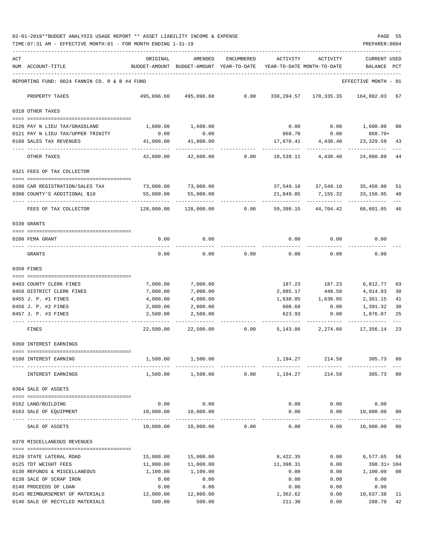02-01-2019\*\*BUDGET ANALYSIS USAGE REPORT \*\* ASSET LIABILITY INCOME & EXPENSE PAGE 55 TIME:07:31 AM - EFFECTIVE MONTH:01 - FOR MONTH ENDING 1-31-19 PREPARER:0004

| ACT |                                                  | ORIGINAL                                        | AMENDED                                  | <b>ENCUMBERED</b> | ACTIVITY                   | ACTIVITY           | <b>CURRENT USED</b>           |          |
|-----|--------------------------------------------------|-------------------------------------------------|------------------------------------------|-------------------|----------------------------|--------------------|-------------------------------|----------|
|     | NUM ACCOUNT-TITLE                                |                                                 | BUDGET-AMOUNT BUDGET-AMOUNT YEAR-TO-DATE |                   | YEAR-TO-DATE MONTH-TO-DATE |                    | BALANCE                       | PCT      |
|     |                                                  |                                                 |                                          |                   |                            |                    |                               |          |
|     | REPORTING FUND: 0024 FANNIN CO. R & B #4 FUND    |                                                 |                                          |                   |                            |                    | EFFECTIVE MONTH - 01          |          |
|     | PROPERTY TAXES                                   | 495,096.60                                      | 495,096.60                               | 0.00              | 330,294.57                 | 170,335.35         | 164,802.03 67                 |          |
|     | 0318 OTHER TAXES                                 |                                                 |                                          |                   |                            |                    |                               |          |
|     |                                                  |                                                 |                                          |                   |                            |                    |                               |          |
|     | 0120 PAY N LIEU TAX/GRASSLAND                    | 1,600.00                                        | 1,600.00                                 |                   | 0.00                       | 0.00               | 1,600.00                      | 00       |
|     | 0121 PAY N LIEU TAX/UPPER TRINITY                | 0.00                                            | 0.00                                     |                   | 868.70                     | 0.00               | 868.70+                       |          |
|     | 0160 SALES TAX REVENUES                          | 41,000.00                                       | 41,000.00                                |                   | 17,670.41                  | 4,430.40           | 23,329.59                     | 43       |
|     | OTHER TAXES                                      | 42,600.00                                       | 42,600.00                                | 0.00              | 18,539.11                  | 4,430.40           | 24,060.89 44                  |          |
|     | 0321 FEES OF TAX COLLECTOR                       |                                                 |                                          |                   |                            |                    |                               |          |
|     |                                                  |                                                 |                                          |                   |                            |                    |                               |          |
|     | 0200 CAR REGISTRATION/SALES TAX                  | 73,000.00                                       | 73,000.00                                |                   |                            |                    | 37,549.10 37,549.10 35,450.90 | 51       |
|     | 0300 COUNTY'S ADDITIONAL \$10                    | 55,000.00                                       | 55,000.00                                |                   | 21,849.05                  | 7,155.32           | 33,150.95                     | 40       |
|     | FEES OF TAX COLLECTOR                            | 128,000.00                                      | 128,000.00                               | 0.00              | 59,398.15                  | 44,704.42          | 68,601.85                     | 46       |
|     | 0330 GRANTS                                      |                                                 |                                          |                   |                            |                    |                               |          |
|     |                                                  |                                                 |                                          |                   |                            |                    |                               |          |
|     | 0200 FEMA GRANT                                  | 0.00                                            | 0.00                                     |                   | 0.00                       | 0.00               | 0.00                          |          |
|     | GRANTS                                           | 0.00                                            | 0.00                                     | 0.00              | 0.00                       | 0.00               | 0.00                          |          |
|     | 0350 FINES                                       |                                                 |                                          |                   |                            |                    |                               |          |
|     |                                                  |                                                 |                                          |                   |                            |                    |                               |          |
|     | 0403 COUNTY CLERK FINES                          | 7,000.00                                        | 7,000.00                                 |                   | 187.23                     | 187.23             | 6,812.77                      | 03       |
|     | 0450 DISTRICT CLERK FINES<br>0455 J. P. #1 FINES | 7,000.00<br>4,000.00                            | 7,000.00<br>4,000.00                     |                   | 2,085.17<br>1,638.85       | 448.58<br>1,638.85 | 4,914.83<br>2,361.15          | 30<br>41 |
|     | 0456 J. P. #2 FINES                              | 2,000.00                                        | 2,000.00                                 |                   | 608.68                     | 0.00               | 1,391.32                      | 30       |
|     | 0457 J. P. #3 FINES                              | 2,500.00                                        | 2,500.00                                 |                   | 623.93                     | 0.00               | 1,876.07                      | 25       |
|     |                                                  |                                                 |                                          |                   |                            |                    |                               |          |
|     | FINES                                            | 22,500.00                                       | 22,500.00                                | 0.00              | 5,143.86                   | 2,274.66           | 17,356.14 23                  |          |
|     | 0360 INTEREST EARNINGS                           |                                                 |                                          |                   |                            |                    |                               |          |
|     | 0100 INTEREST EARNING                            | 1,500.00                                        | 1,500.00                                 |                   | 1,194.27                   | 214.58             | 305.73                        | 80       |
|     | INTEREST EARNINGS                                |                                                 | 1,500.00 1,500.00                        | 0.00              | 1,194.27                   | 214.58             | 305.73 80                     |          |
|     | 0364 SALE OF ASSETS                              |                                                 |                                          |                   |                            |                    |                               |          |
|     |                                                  |                                                 |                                          |                   |                            |                    |                               |          |
|     | 0162 LAND/BUILDING                               | 0.00                                            | 0.00                                     |                   | 0.00                       | 0.00               | 0.00                          |          |
|     | 0163 SALE OF EQUIPMENT                           | 10,000.00<br>------------------- -------------- | 10,000.00<br>-------------               |                   | 0.00                       | 0.00<br>-----      | 10,000.00<br>----------       | 00       |
|     | SALE OF ASSETS                                   | 10,000.00                                       | 10,000.00                                | 0.00              | 0.00                       | 0.00               | 10,000.00                     | 00       |
|     | 0370 MISCELLANEOUS REVENUES                      |                                                 |                                          |                   |                            |                    |                               |          |
|     |                                                  |                                                 |                                          |                   |                            |                    |                               |          |
|     | 0120 STATE LATERAL ROAD<br>0125 TDT WEIGHT FEES  | 15,000.00<br>11,000.00                          | 15,000.00<br>11,000.00                   |                   | 8,422.35<br>11,398.31      | 0.00<br>0.00       | 6,577.65<br>$398.31 + 104$    | 56       |
|     | 0130 REFUNDS & MISCELLANEOUS                     | 1,100.00                                        | 1,100.00                                 |                   | 0.00                       | 0.00               | 1,100.00                      | 00       |
|     | 0138 SALE OF SCRAP IRON                          | 0.00                                            | 0.00                                     |                   | 0.00                       | 0.00               | 0.00                          |          |
|     | 0140 PROCEEDS OF LOAN                            | 0.00                                            | 0.00                                     |                   | 0.00                       | 0.00               | 0.00                          |          |
|     | 0145 REIMBURSEMENT OF MATERIALS                  | 12,000.00                                       | 12,000.00                                |                   | 1,362.62                   | 0.00               | 10,637.38                     | 11       |
|     | 0146 SALE OF RECYCLED MATERIALS                  | 500.00                                          | 500.00                                   |                   | 211.30                     | 0.00               | 288.70                        | 42       |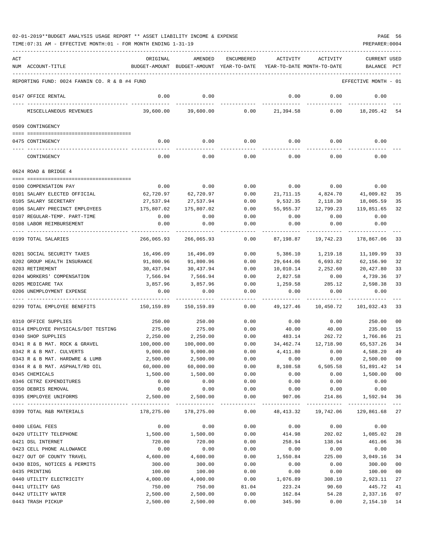| ACT |                                                       | ORIGINAL          | AMENDED                                                             | ENCUMBERED    | ACTIVITY          | ACTIVITY               | <b>CURRENT USED</b>  |                |
|-----|-------------------------------------------------------|-------------------|---------------------------------------------------------------------|---------------|-------------------|------------------------|----------------------|----------------|
|     | NUM ACCOUNT-TITLE                                     |                   | BUDGET-AMOUNT BUDGET-AMOUNT YEAR-TO-DATE YEAR-TO-DATE MONTH-TO-DATE |               |                   |                        | BALANCE PCT          |                |
|     |                                                       |                   |                                                                     |               |                   |                        |                      |                |
|     | REPORTING FUND: 0024 FANNIN CO. R & B #4 FUND         |                   |                                                                     |               |                   |                        | EFFECTIVE MONTH - 01 |                |
|     | 0147 OFFICE RENTAL                                    | 0.00              | 0.00                                                                |               | 0.00              | 0.00                   | 0.00                 |                |
|     | MISCELLANEOUS REVENUES                                | 39,600.00         | 39,600.00                                                           | 0.00          | 21,394.58         | 0.00                   | 18,205.42            | 54             |
|     | 0509 CONTINGENCY                                      |                   |                                                                     |               |                   |                        |                      |                |
|     | 0475 CONTINGENCY                                      | 0.00              | 0.00                                                                | 0.00          |                   | $0.00$ 0.00            | 0.00                 |                |
|     | CONTINGENCY                                           | 0.00              | 0.00                                                                | 0.00          | 0.00              | 0.00                   | 0.00                 |                |
|     | 0624 ROAD & BRIDGE 4                                  |                   |                                                                     |               |                   |                        |                      |                |
|     |                                                       |                   |                                                                     |               |                   |                        |                      |                |
|     | 0100 COMPENSATION PAY<br>0101 SALARY ELECTED OFFICIAL | 0.00<br>62,720.97 | 0.00<br>62,720.97                                                   | 0.00<br>0.00  | 0.00<br>21,711.15 | 0.00<br>4,824.70       | 0.00<br>41,009.82    | 35             |
|     | 0105 SALARY SECRETARY                                 | 27,537.94         | 27,537.94                                                           | 0.00          | 9,532.35          | 2,118.30               | 18,005.59            | 35             |
|     | 0106 SALARY PRECINCT EMPLOYEES                        | 175,807.02        | 175,807.02                                                          | 0.00          | 55,955.37         | 12,799.23              | 119,851.65           | 32             |
|     | 0107 REGULAR-TEMP. PART-TIME                          | 0.00              | 0.00                                                                | 0.00          | 0.00              | 0.00                   | 0.00                 |                |
|     | 0108 LABOR REIMBURSEMENT                              | 0.00              | 0.00                                                                | 0.00          | 0.00              | 0.00                   | 0.00                 |                |
|     |                                                       |                   |                                                                     |               |                   |                        |                      |                |
|     | 0199 TOTAL SALARIES                                   | 266,065.93        | 266,065.93                                                          | 0.00          | 87,198.87         | 19,742.23              | 178,867.06           | 33             |
|     | 0201 SOCIAL SECURITY TAXES                            | 16,496.09         | 16,496.09                                                           | 0.00          | 5,386.10          | 1,219.18               | 11,109.99            | 33             |
|     | 0202 GROUP HEALTH INSURANCE                           | 91,800.96         | 91,800.96                                                           | 0.00          | 29,644.06         | 6,693.82               | 62,156.90            | 32             |
|     | 0203 RETIREMENT                                       | 30,437.94         | 30,437.94                                                           | 0.00          | 10,010.14         | 2,252.60               | 20,427.80            | 33             |
|     | 0204 WORKERS' COMPENSATION                            | 7,566.94          | 7,566.94                                                            | 0.00          | 2,827.58          | 0.00                   | 4,739.36             | 37             |
|     | 0205 MEDICARE TAX                                     | 3,857.96          | 3,857.96                                                            | 0.00          | 1,259.58          | 285.12                 | 2,598.38             | 33             |
|     | 0206 UNEMPLOYMENT EXPENSE                             | 0.00              | 0.00                                                                | 0.00          | 0.00              | 0.00                   | 0.00                 |                |
|     | 0299 TOTAL EMPLOYEE BENEFITS                          | 150,159.89        | 150,159.89                                                          | 0.00          | 49,127.46         | 10,450.72              | 101,032.43           | 33             |
|     | 0310 OFFICE SUPPLIES                                  | 250.00            | 250.00                                                              | 0.00          | 0.00              | 0.00                   | 250.00               | 00             |
|     | 0314 EMPLOYEE PHYSICALS/DOT TESTING                   | 275.00            | 275.00                                                              | 0.00          | 40.00             | 40.00                  | 235.00               | 15             |
|     | 0340 SHOP SUPPLIES                                    | 2,250.00          | 2,250.00                                                            | 0.00          | 483.14            | 262.72                 | 1,766.86             | 21             |
|     | 0341 R & B MAT. ROCK & GRAVEL                         | 100,000.00        | 100,000.00                                                          | 0.00          |                   | 34,462.74 12,718.90    | 65,537.26            | 34             |
|     | 0342 R & B MAT. CULVERTS                              | 9,000.00          | 9,000.00                                                            | 0.00          | 4,411.80          | 0.00                   | 4,588.20             | 49             |
|     | 0343 R & B MAT. HARDWRE & LUMB                        | 2,500.00          | 2,500.00                                                            | 0.00          | 0.00              | 0.00                   | 2,500.00             | 00             |
|     | 0344 R & B MAT. ASPHALT/RD OIL                        | 60,000.00         | 60,000.00                                                           | 0.00          | 8,108.58          | 6,505.58               | 51,891.42            | 14             |
|     | 0345 CHEMICALS                                        | 1,500.00          | 1,500.00                                                            | 0.00          | 0.00              | 0.00                   | 1,500.00             | 0 <sub>0</sub> |
|     | 0346 CETRZ EXPENDITURES                               | 0.00              | 0.00                                                                | 0.00          | 0.00              | 0.00                   | 0.00                 |                |
|     | 0350 DEBRIS REMOVAL                                   | 0.00              | 0.00                                                                | 0.00          | 0.00              | 0.00                   | 0.00                 |                |
|     | 0395 EMPLOYEE UNIFORMS                                | 2,500.00          | 2,500.00<br>-------------                                           | 0.00<br>----- | 907.06<br>.       | 214.86<br>------------ | 1,592.94 36          |                |
|     | 0399 TOTAL R&B MATERIALS                              | 178,275.00        | 178,275.00                                                          | 0.00          | 48, 413.32        | 19,742.06              | 129,861.68 27        |                |
|     | 0400 LEGAL FEES                                       | 0.00              | 0.00                                                                | 0.00          | 0.00              | 0.00                   | 0.00                 |                |
|     | 0420 UTILITY TELEPHONE                                | 1,500.00          | 1,500.00                                                            | 0.00          | 414.98            | 202.02                 | 1,085.02             | 28             |
|     | 0421 DSL INTERNET                                     | 720.00            | 720.00                                                              | 0.00          | 258.94            | 138.94                 | 461.06               | 36             |
|     | 0423 CELL PHONE ALLOWANCE                             | 0.00              | 0.00                                                                | 0.00          | 0.00              | 0.00                   | 0.00                 |                |
|     | 0427 OUT OF COUNTY TRAVEL                             | 4,600.00          | 4,600.00                                                            | 0.00          | 1,550.84          | 225.00                 | 3,049.16             | 34             |
|     | 0430 BIDS, NOTICES & PERMITS                          | 300.00            | 300.00                                                              | 0.00          | 0.00              | 0.00                   | 300.00               | 0 <sub>0</sub> |
|     | 0435 PRINTING                                         | 100.00            | 100.00                                                              | 0.00          | 0.00              | 0.00                   | 100.00               | 0 <sub>0</sub> |
|     | 0440 UTILITY ELECTRICITY                              | 4,000.00          | 4,000.00                                                            | 0.00          | 1,076.89          | 308.10                 | 2,923.11             | 27             |
|     | 0441 UTILITY GAS                                      | 750.00            | 750.00                                                              | 81.04         | 223.24            | 90.60                  | 445.72               | 41             |
|     | 0442 UTILITY WATER                                    | 2,500.00          | 2,500.00                                                            | 0.00          | 162.84            | 54.28                  | 2,337.16             | 07             |
|     | 0443 TRASH PICKUP                                     | 2,500.00          | 2,500.00                                                            | 0.00          | 345.90            | 0.00                   | 2, 154. 10 14        |                |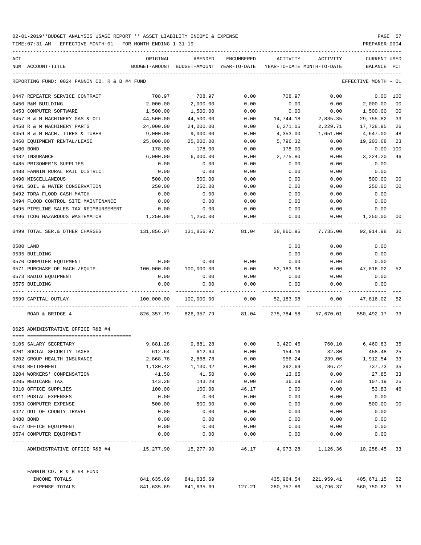| ACT |                                               | ORIGINAL   | AMENDED                                  | <b>ENCUMBERED</b>  | ACTIVITY   | ACTIVITY                   | <b>CURRENT USED</b>  |                |
|-----|-----------------------------------------------|------------|------------------------------------------|--------------------|------------|----------------------------|----------------------|----------------|
|     | NUM ACCOUNT-TITLE                             |            | BUDGET-AMOUNT BUDGET-AMOUNT YEAR-TO-DATE |                    |            | YEAR-TO-DATE MONTH-TO-DATE | <b>BALANCE</b>       | PCT            |
|     | REPORTING FUND: 0024 FANNIN CO. R & B #4 FUND |            |                                          |                    |            |                            | EFFECTIVE MONTH - 01 |                |
|     | 0447 REPEATER SERVICE CONTRACT                | 708.97     | 708.97                                   | 0.00               | 708.97     | 0.00                       | 0.00                 | 100            |
|     | 0450 R&M BUILDING                             | 2,000.00   | 2,000.00                                 | 0.00               | 0.00       | 0.00                       | 2,000.00             | 0 <sub>0</sub> |
|     | 0453 COMPUTER SOFTWARE                        | 1,500.00   | 1,500.00                                 | 0.00               | 0.00       | 0.00                       | 1,500.00             | 0 <sub>0</sub> |
|     | 0457 R & M MACHINERY GAS & OIL                | 44,500.00  | 44,500.00                                | 0.00               | 14,744.18  | 2,835.35                   | 29,755.82            | 33             |
|     | 0458 R & M MACHINERY PARTS                    | 24,000.00  | 24,000.00                                | 0.00               | 6,271.05   | 2,229.71                   | 17,728.95            | 26             |
|     | 0459 R & M MACH. TIRES & TUBES                | 9,000.00   | 9.000.00                                 | 0.00               | 4,353.00   | 1,651.00                   | 4,647.00             | 48             |
|     | 0460 EQUIPMENT RENTAL/LEASE                   | 25,000.00  | 25,000.00                                | 0.00               | 5,796.32   | 0.00                       | 19,203.68            | 23             |
|     | 0480 BOND                                     | 178.00     | 178.00                                   | 0.00               | 178.00     | 0.00                       | 0.00                 | 100            |
|     | 0482 INSURANCE                                | 6,000.00   | 6,000.00                                 | 0.00               | 2,775.80   | 0.00                       | 3,224.20             | 46             |
|     | 0485 PRISONER'S SUPPLIES                      | 0.00       | 0.00                                     | 0.00               | 0.00       | 0.00                       | 0.00                 |                |
|     | 0488 FANNIN RURAL RAIL DISTRICT               | 0.00       | 0.00                                     | 0.00               | 0.00       | 0.00                       | 0.00                 |                |
|     | 0490 MISCELLANEOUS                            | 500.00     | 500.00                                   | 0.00               | 0.00       | 0.00                       | 500.00               | 00             |
|     | 0491 SOIL & WATER CONSERVATION                | 250.00     | 250.00                                   | 0.00               | 0.00       | 0.00                       | 250.00               | 00             |
|     | 0492 TDRA FLOOD CASH MATCH                    | 0.00       | 0.00                                     | 0.00               | 0.00       | 0.00                       | 0.00                 |                |
|     | 0494 FLOOD CONTROL SITE MAINTENANCE           | 0.00       | 0.00                                     | 0.00               | 0.00       | 0.00                       | 0.00                 |                |
|     | 0495 PIPELINE SALES TAX REIMBURSEMENT         | 0.00       | 0.00                                     | 0.00               | 0.00       | 0.00                       | 0.00                 |                |
|     | 0496 TCOG HAZARDOUS WASTEMATCH                | 1,250.00   | 1,250.00                                 | 0.00               | 0.00       | 0.00                       | 1,250.00             | 00             |
|     | 0499 TOTAL SER. & OTHER CHARGES               | 131,856.97 | 131,856.97                               | 81.04              | 38,860.95  | 7,735.00                   | 92,914.98            | 30             |
|     | 0500 LAND                                     |            |                                          |                    | 0.00       | 0.00                       | 0.00                 |                |
|     | 0535 BUILDING                                 |            |                                          |                    | 0.00       | 0.00                       | 0.00                 |                |
|     | 0570 COMPUTER EQUIPMENT                       | 0.00       | 0.00                                     | 0.00               | 0.00       | 0.00                       | 0.00                 |                |
|     | 0571 PURCHASE OF MACH./EQUIP.                 | 100,000.00 | 100,000.00                               | 0.00               | 52,183.98  | 0.00                       | 47,816.02            | 52             |
|     | 0573 RADIO EQUIPMENT                          | 0.00       | 0.00                                     | 0.00               | 0.00       | 0.00                       | 0.00                 |                |
|     | 0575 BUILDING                                 | 0.00       | 0.00                                     | 0.00               | 0.00       | 0.00                       | 0.00                 |                |
|     | 0599 CAPITAL OUTLAY                           | 100,000.00 | 100,000.00                               | ----------<br>0.00 | 52,183.98  | 0.00                       | 47,816.02            | 52             |
|     | ROAD & BRIDGE 4                               | 826,357.79 | 826, 357. 79                             | ---------<br>81.04 | 275,784.58 | 57,670.01                  | 550,492.17           | 33             |
|     | 0625 ADMINISTRATIVE OFFICE R&B #4             |            |                                          |                    |            |                            |                      |                |
|     | --------------------------------------        |            |                                          |                    |            |                            |                      |                |
|     | 0105 SALARY SECRETARY                         | 9,881.28   | 9,881.28                                 | 0.00               | 3,420.45   | 760.10                     | 6,460.83             | 35             |
|     | 0201 SOCIAL SECURITY TAXES                    | 612.64     | 612.64                                   | 0.00               | 154.16     | 32.80                      | 458.48               | 25             |
|     | 0202 GROUP HEALTH INSURANCE                   | 2,868.78   | 2,868.78                                 | 0.00               | 956.24     | 239.06                     | 1,912.54             | 33             |
|     | 0203 RETIREMENT                               | 1,130.42   | 1,130.42                                 | 0.00               | 392.69     | 86.72                      | 737.73               | 35             |
|     | 0204 WORKERS' COMPENSATION                    | 41.50      | 41.50                                    | 0.00               | 13.65      | 0.00                       | 27.85                | 33             |
|     | 0205 MEDICARE TAX                             | 143.28     | 143.28                                   | 0.00               | 36.09      | 7.68                       | 107.19               | 25             |
|     | 0310 OFFICE SUPPLIES                          | 100.00     | 100.00                                   | 46.17              | 0.00       | 0.00                       | 53.83                | 46             |
|     | 0311 POSTAL EXPENSES                          | 0.00       | 0.00                                     | 0.00               | 0.00       | 0.00                       | 0.00                 |                |
|     | 0353 COMPUTER EXPENSE                         | 500.00     | 500.00                                   | 0.00               | 0.00       | 0.00                       | 500.00               | 00             |
|     | 0427 OUT OF COUNTY TRAVEL                     | 0.00       | 0.00                                     | 0.00               | 0.00       | 0.00                       | 0.00                 |                |
|     | 0480 BOND                                     | 0.00       | 0.00                                     | 0.00               | 0.00       | 0.00                       | 0.00                 |                |
|     | 0572 OFFICE EQUIPMENT                         | 0.00       | 0.00                                     | 0.00               | 0.00       | 0.00                       | 0.00                 |                |
|     | 0574 COMPUTER EQUIPMENT                       | 0.00       | 0.00                                     | 0.00               | 0.00       | 0.00                       | 0.00                 |                |
|     | ADMINISTRATIVE OFFICE R&B #4                  |            | 15,277.90 15,277.90                      | 46.17              | 4,973.28   | 1,126.36 10,258.45 33      |                      |                |
|     | FANNIN CO. R & B #4 FUND                      |            |                                          |                    |            |                            |                      |                |
|     | INCOME TOTALS                                 | 841,635.69 | 841,635.69                               |                    | 435,964.54 | 221,959.41                 | 405,671.15 52        |                |
|     | EXPENSE TOTALS                                | 841,635.69 | 841,635.69                               | 127.21             | 280,757.86 | 58,796.37                  | 560,750.62           | 33             |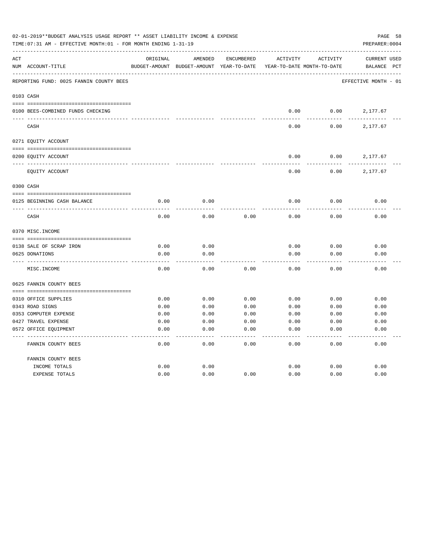|     | 02-01-2019**BUDGET ANALYSIS USAGE REPORT ** ASSET LIABILITY INCOME & EXPENSE<br>TIME: 07:31 AM - EFFECTIVE MONTH: 01 - FOR MONTH ENDING 1-31-19 |               |               |                   |                            |                 | PAGE 58<br>PREPARER: 0004 |
|-----|-------------------------------------------------------------------------------------------------------------------------------------------------|---------------|---------------|-------------------|----------------------------|-----------------|---------------------------|
| ACT |                                                                                                                                                 | ORIGINAL      | AMENDED       | <b>ENCUMBERED</b> | ACTIVITY                   | <b>ACTIVITY</b> | <b>CURRENT USED</b>       |
|     | NUM ACCOUNT-TITLE                                                                                                                               | BUDGET-AMOUNT | BUDGET-AMOUNT | YEAR-TO-DATE      | YEAR-TO-DATE MONTH-TO-DATE |                 | BALANCE<br>PCT            |
|     | REPORTING FUND: 0025 FANNIN COUNTY BEES                                                                                                         |               |               |                   |                            |                 | EFFECTIVE MONTH - 01      |
|     | 0103 CASH                                                                                                                                       |               |               |                   |                            |                 |                           |
|     | 0100 BEES-COMBINED FUNDS CHECKING                                                                                                               |               |               |                   | 0.00                       | 0.00            | 2,177.67                  |
|     | CASH                                                                                                                                            |               |               |                   | 0.00                       | 0.00            | 2,177.67                  |
|     | 0271 EQUITY ACCOUNT                                                                                                                             |               |               |                   |                            |                 |                           |
|     | 0200 EQUITY ACCOUNT                                                                                                                             |               |               |                   | 0.00                       | 0.00            | 2,177.67                  |
|     | EQUITY ACCOUNT                                                                                                                                  |               |               |                   | 0.00                       | 0.00            | 2,177.67                  |
|     | 0300 CASH                                                                                                                                       |               |               |                   |                            |                 |                           |
|     | 0125 BEGINNING CASH BALANCE                                                                                                                     | 0.00          | 0.00          |                   | 0.00                       | 0.00            | 0.00                      |
|     | CASH                                                                                                                                            | 0.00          | 0.00          | 0.00              | 0.00                       | 0.00            | 0.00                      |
|     | 0370 MISC. INCOME                                                                                                                               |               |               |                   |                            |                 |                           |
|     | 0138 SALE OF SCRAP IRON                                                                                                                         | 0.00          | 0.00          |                   | 0.00                       | 0.00            | 0.00                      |
|     | 0625 DONATIONS                                                                                                                                  | 0.00          | 0.00          |                   | 0.00                       | 0.00            | 0.00                      |
|     | MISC. INCOME                                                                                                                                    | 0.00          | 0.00          | 0.00              | 0.00                       | 0.00            | 0.00                      |
|     | 0625 FANNIN COUNTY BEES                                                                                                                         |               |               |                   |                            |                 |                           |
|     |                                                                                                                                                 |               |               |                   |                            |                 |                           |
|     | 0310 OFFICE SUPPLIES<br>0343 ROAD SIGNS                                                                                                         | 0.00<br>0.00  | 0.00<br>0.00  | 0.00<br>0.00      | 0.00<br>0.00               | 0.00<br>0.00    | 0.00<br>0.00              |
|     | 0353 COMPUTER EXPENSE                                                                                                                           | 0.00          | 0.00          | 0.00              | 0.00                       | 0.00            | 0.00                      |
|     | 0427 TRAVEL EXPENSE                                                                                                                             | 0.00          | 0.00          | 0.00              | 0.00                       | 0.00            | 0.00                      |
|     | 0572 OFFICE EQUIPMENT                                                                                                                           | 0.00          | 0.00          | 0.00              | 0.00                       | 0.00            | 0.00                      |
|     | FANNIN COUNTY BEES                                                                                                                              | 0.00          | 0.00          | 0.00              | 0.00                       | 0.00            | 0.00                      |
|     | FANNIN COUNTY BEES                                                                                                                              |               |               |                   |                            |                 |                           |
|     | INCOME TOTALS                                                                                                                                   | 0.00          | 0.00          |                   | 0.00                       | 0.00            | 0.00                      |
|     | <b>EXPENSE TOTALS</b>                                                                                                                           | 0.00          | 0.00          | 0.00              | 0.00                       | 0.00            | 0.00                      |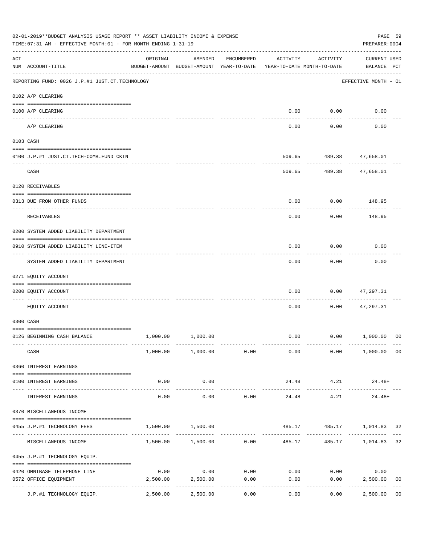|                    | 02-01-2019**BUDGET ANALYSIS USAGE REPORT ** ASSET LIABILITY INCOME & EXPENSE<br>TIME:07:31 AM - EFFECTIVE MONTH:01 - FOR MONTH ENDING 1-31-19                                                                                                                                                                                                                                                                                                                                                                        |                                                      |                                       |             |                                        |                             | PAGE 59<br>PREPARER: 0004          |                |
|--------------------|----------------------------------------------------------------------------------------------------------------------------------------------------------------------------------------------------------------------------------------------------------------------------------------------------------------------------------------------------------------------------------------------------------------------------------------------------------------------------------------------------------------------|------------------------------------------------------|---------------------------------------|-------------|----------------------------------------|-----------------------------|------------------------------------|----------------|
| $\mathop{\rm ACT}$ | NUM ACCOUNT-TITLE                                                                                                                                                                                                                                                                                                                                                                                                                                                                                                    | ORIGINAL<br>BUDGET-AMOUNT BUDGET-AMOUNT YEAR-TO-DATE | AMENDED                               | ENCUMBERED  | ACTIVITY<br>YEAR-TO-DATE MONTH-TO-DATE | ACTIVITY                    | <b>CURRENT USED</b><br>BALANCE PCT |                |
|                    | ------------------------------------<br>REPORTING FUND: 0026 J.P.#1 JUST.CT.TECHNOLOGY                                                                                                                                                                                                                                                                                                                                                                                                                               |                                                      |                                       |             |                                        |                             | EFFECTIVE MONTH - 01               |                |
|                    | 0102 A/P CLEARING                                                                                                                                                                                                                                                                                                                                                                                                                                                                                                    |                                                      |                                       |             |                                        |                             |                                    |                |
|                    | 0100 A/P CLEARING<br>---- -------                                                                                                                                                                                                                                                                                                                                                                                                                                                                                    |                                                      |                                       |             | 0.00                                   | 0.00                        | 0.00                               |                |
|                    | A/P CLEARING                                                                                                                                                                                                                                                                                                                                                                                                                                                                                                         |                                                      |                                       |             | 0.00                                   | 0.00                        | 0.00                               |                |
|                    | 0103 CASH                                                                                                                                                                                                                                                                                                                                                                                                                                                                                                            |                                                      |                                       |             |                                        |                             |                                    |                |
|                    | 0100 J.P.#1 JUST.CT.TECH-COMB.FUND CKIN                                                                                                                                                                                                                                                                                                                                                                                                                                                                              |                                                      |                                       |             | 509.65                                 |                             | 489.38 47,658.01                   |                |
|                    | CASH                                                                                                                                                                                                                                                                                                                                                                                                                                                                                                                 |                                                      |                                       |             | 509.65                                 |                             | 489.38 47,658.01                   |                |
|                    | 0120 RECEIVABLES                                                                                                                                                                                                                                                                                                                                                                                                                                                                                                     |                                                      |                                       |             |                                        |                             |                                    |                |
|                    | 0313 DUE FROM OTHER FUNDS                                                                                                                                                                                                                                                                                                                                                                                                                                                                                            |                                                      |                                       |             | 0.00                                   |                             | $0.00$ 148.95                      |                |
|                    | RECEIVABLES                                                                                                                                                                                                                                                                                                                                                                                                                                                                                                          |                                                      |                                       |             | 0.00                                   | 0.00                        | 148.95                             |                |
|                    | 0200 SYSTEM ADDED LIABILITY DEPARTMENT                                                                                                                                                                                                                                                                                                                                                                                                                                                                               |                                                      |                                       |             |                                        |                             |                                    |                |
|                    | 0910 SYSTEM ADDED LIABILITY LINE-ITEM                                                                                                                                                                                                                                                                                                                                                                                                                                                                                |                                                      |                                       |             | 0.00                                   | 0.00                        | 0.00                               |                |
|                    | SYSTEM ADDED LIABILITY DEPARTMENT                                                                                                                                                                                                                                                                                                                                                                                                                                                                                    |                                                      |                                       |             | 0.00                                   | 0.00                        | 0.00                               |                |
|                    | 0271 EQUITY ACCOUNT                                                                                                                                                                                                                                                                                                                                                                                                                                                                                                  |                                                      |                                       |             |                                        |                             |                                    |                |
|                    | 0200 EQUITY ACCOUNT                                                                                                                                                                                                                                                                                                                                                                                                                                                                                                  |                                                      |                                       |             | 0.00                                   | 0.00                        | 47,297.31                          |                |
|                    | EQUITY ACCOUNT                                                                                                                                                                                                                                                                                                                                                                                                                                                                                                       |                                                      |                                       |             | 0.00                                   | 0.00                        | 47,297.31                          |                |
|                    | 0300 CASH                                                                                                                                                                                                                                                                                                                                                                                                                                                                                                            |                                                      |                                       |             |                                        |                             |                                    |                |
|                    | 0126 BEGINNING CASH BALANCE                                                                                                                                                                                                                                                                                                                                                                                                                                                                                          |                                                      | 1,000.00 1,000.00                     |             | 0.00                                   |                             | 0.00 1,000.00                      | 00             |
|                    | CASH                                                                                                                                                                                                                                                                                                                                                                                                                                                                                                                 |                                                      | $1,000.00$ $1,000.00$ $0.00$          |             | 0.00                                   |                             | $0.00$ 1,000.00 00                 |                |
|                    | 0360 INTEREST EARNINGS                                                                                                                                                                                                                                                                                                                                                                                                                                                                                               |                                                      |                                       |             |                                        |                             |                                    |                |
|                    | 0100 INTEREST EARNINGS                                                                                                                                                                                                                                                                                                                                                                                                                                                                                               | 0.00                                                 | 0.00                                  |             | ---------------                        | 24.48 4.21<br>------------- | $24.48+$<br>-------------          |                |
|                    | INTEREST EARNINGS                                                                                                                                                                                                                                                                                                                                                                                                                                                                                                    | 0.00                                                 | 0.00                                  | 0.00        | 24.48                                  | 4.21                        | $24.48+$                           |                |
|                    | 0370 MISCELLANEOUS INCOME                                                                                                                                                                                                                                                                                                                                                                                                                                                                                            |                                                      |                                       |             |                                        |                             |                                    |                |
|                    | 0455 J.P.#1 TECHNOLOGY FEES                                                                                                                                                                                                                                                                                                                                                                                                                                                                                          |                                                      | 1,500.00 1,500.00                     |             |                                        |                             | 485.17 485.17 1,014.83 32          |                |
|                    | MISCELLANEOUS INCOME                                                                                                                                                                                                                                                                                                                                                                                                                                                                                                 |                                                      | $1,500.00$ $1,500.00$ $0.00$ $485.17$ | ----------- |                                        |                             | 485.17 1,014.83                    | 32             |
|                    | 0455 J.P.#1 TECHNOLOGY EQUIP.                                                                                                                                                                                                                                                                                                                                                                                                                                                                                        |                                                      |                                       |             |                                        |                             |                                    |                |
|                    | $\begin{minipage}{0.03\textwidth} \centering \begin{tabular}{ l l l } \hline \texttt{0.03}\end{tabular} \end{minipage} \end{minipage} \begin{minipage}{0.03\textwidth} \centering \begin{tabular}{ l l l } \hline \texttt{0.03}\end{tabular} \end{minipage} \end{minipage} \begin{minipage}{0.03\textwidth} \centering \begin{tabular}{ l l l l } \hline \texttt{0.03}\end{tabular} \end{minipage} \end{minipage} \begin{minipage}{0.03\textwidth} \centering \begin{tabular}{ l l $<br>0420 OMNIBASE TELEPHONE LINE | 0.00                                                 |                                       | $0.00$ 0.00 |                                        | $0.00$ $0.00$               | 0.00                               |                |
|                    | 0572 OFFICE EQUIPMENT<br>--------------------- --------------                                                                                                                                                                                                                                                                                                                                                                                                                                                        | 2,500.00                                             | 2,500.00<br>-----------               | 0.00<br>.   | 0.00                                   | ----------                  | 0.00<br>2,500.00<br>------------   | 0 <sub>0</sub> |
|                    | J.P.#1 TECHNOLOGY EQUIP.                                                                                                                                                                                                                                                                                                                                                                                                                                                                                             | 2,500.00                                             | 2,500.00                              | 0.00        | 0.00                                   | 0.00                        | 2,500.00                           | 0 <sub>0</sub> |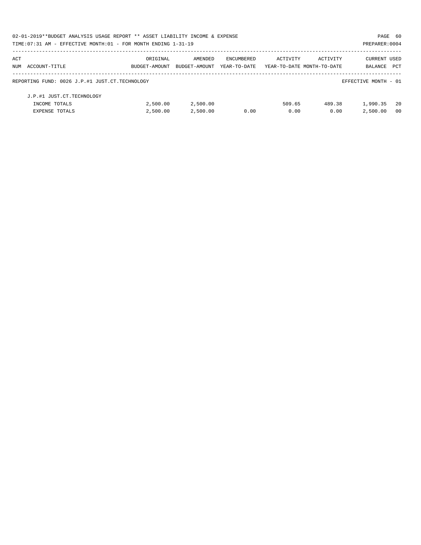|     | 02-01-2019**BUDGET ANALYSIS USAGE REPORT ** ASSET LIABILITY INCOME & EXPENSE<br>PAGE 60 |               |               |              |                            |          |                      |            |  |  |
|-----|-----------------------------------------------------------------------------------------|---------------|---------------|--------------|----------------------------|----------|----------------------|------------|--|--|
|     | TIME: 07:31 AM - EFFECTIVE MONTH: 01 - FOR MONTH ENDING 1-31-19                         |               |               |              |                            |          | PREPARER: 0004       |            |  |  |
| ACT |                                                                                         | ORIGINAL      | AMENDED       | ENCUMBERED   | ACTIVITY                   | ACTIVITY | <b>CURRENT USED</b>  |            |  |  |
|     | NUM ACCOUNT-TITLE                                                                       | BUDGET-AMOUNT | BUDGET-AMOUNT | YEAR-TO-DATE | YEAR-TO-DATE MONTH-TO-DATE |          | BALANCE              | <b>PCT</b> |  |  |
|     | REPORTING FUND: 0026 J.P.#1 JUST.CT.TECHNOLOGY                                          |               |               |              |                            |          | EFFECTIVE MONTH - 01 |            |  |  |
|     | J.P.#1 JUST.CT.TECHNOLOGY                                                               |               |               |              |                            |          |                      |            |  |  |
|     | INCOME TOTALS                                                                           | 2,500.00      | 2,500.00      |              | 509.65                     | 489.38   | 1,990.35             | - 20       |  |  |
|     | <b>EXPENSE TOTALS</b>                                                                   | 2.500.00      | 2,500.00      | 0.00         | 0.00                       | 0.00     | 2,500.00             | - 00       |  |  |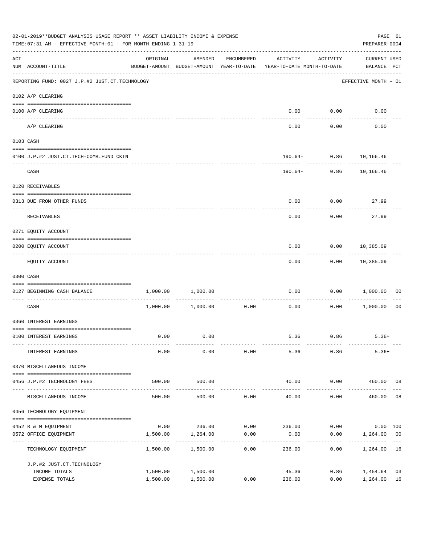|                    | 02-01-2019**BUDGET ANALYSIS USAGE REPORT ** ASSET LIABILITY INCOME & EXPENSE<br>TIME:07:31 AM - EFFECTIVE MONTH:01 - FOR MONTH ENDING 1-31-19 |                                                                                 |                           |                     |                                    |                     |                                       |                |  |  |
|--------------------|-----------------------------------------------------------------------------------------------------------------------------------------------|---------------------------------------------------------------------------------|---------------------------|---------------------|------------------------------------|---------------------|---------------------------------------|----------------|--|--|
| $\mathop{\rm ACT}$ | NUM ACCOUNT-TITLE                                                                                                                             | ORIGINAL<br>BUDGET-AMOUNT BUDGET-AMOUNT YEAR-TO-DATE YEAR-TO-DATE MONTH-TO-DATE | AMENDED                   | ENCUMBERED          | ACTIVITY                           | ACTIVITY            | <b>CURRENT USED</b><br>BALANCE PCT    |                |  |  |
|                    | ------------------------------------<br>REPORTING FUND: 0027 J.P.#2 JUST.CT.TECHNOLOGY                                                        |                                                                                 |                           |                     |                                    |                     | EFFECTIVE MONTH - 01                  |                |  |  |
|                    | 0102 A/P CLEARING                                                                                                                             |                                                                                 |                           |                     |                                    |                     |                                       |                |  |  |
|                    | 0100 A/P CLEARING                                                                                                                             |                                                                                 |                           |                     | 0.00                               | 0.00                | 0.00                                  |                |  |  |
|                    | ---- -------<br>A/P CLEARING                                                                                                                  |                                                                                 |                           |                     | 0.00                               | 0.00                | 0.00                                  |                |  |  |
|                    | 0103 CASH                                                                                                                                     |                                                                                 |                           |                     |                                    |                     |                                       |                |  |  |
|                    |                                                                                                                                               |                                                                                 |                           |                     |                                    |                     |                                       |                |  |  |
|                    | 0100 J.P.#2 JUST.CT.TECH-COMB.FUND CKIN                                                                                                       |                                                                                 |                           |                     |                                    | ------------        | 190.64- 0.86 10,166.46<br>----------- |                |  |  |
|                    | CASH                                                                                                                                          |                                                                                 |                           |                     | 190.64-                            |                     | $0.86$ 10,166.46                      |                |  |  |
|                    | 0120 RECEIVABLES                                                                                                                              |                                                                                 |                           |                     |                                    |                     |                                       |                |  |  |
|                    | 0313 DUE FROM OTHER FUNDS                                                                                                                     |                                                                                 |                           |                     | 0.00                               |                     | 0.00<br>27.99                         |                |  |  |
|                    | RECEIVABLES                                                                                                                                   |                                                                                 |                           |                     | 0.00                               | 0.00                | 27.99                                 |                |  |  |
|                    | 0271 EQUITY ACCOUNT                                                                                                                           |                                                                                 |                           |                     |                                    |                     |                                       |                |  |  |
|                    | 0200 EQUITY ACCOUNT                                                                                                                           |                                                                                 |                           |                     | 0.00                               |                     | $0.00$ 10,385.09                      |                |  |  |
|                    | EQUITY ACCOUNT                                                                                                                                |                                                                                 |                           |                     | 0.00                               |                     | -----------<br>$0.00$ 10,385.09       |                |  |  |
|                    | 0300 CASH                                                                                                                                     |                                                                                 |                           |                     |                                    |                     |                                       |                |  |  |
|                    | 0127 BEGINNING CASH BALANCE                                                                                                                   | 1,000.00                                                                        | 1,000.00                  |                     | 0.00                               | 0.00                | 1,000.00                              | 00             |  |  |
|                    | CASH                                                                                                                                          |                                                                                 | 1,000.00 1,000.00         | 0.00                | ------------ -------------<br>0.00 | .<br>0.00           | 1,000.00                              | 0 <sub>0</sub> |  |  |
|                    | 0360 INTEREST EARNINGS                                                                                                                        |                                                                                 |                           |                     |                                    |                     |                                       |                |  |  |
|                    | 0100 INTEREST EARNINGS                                                                                                                        | 0.00                                                                            | 0.00                      |                     |                                    | 5.36 0.86           | $5.36+$                               |                |  |  |
|                    | INTEREST EARNINGS                                                                                                                             | 0.00                                                                            | 0.00                      | 0.00                | 5.36                               | 0.86                | $5.36+$                               |                |  |  |
|                    | 0370 MISCELLANEOUS INCOME                                                                                                                     |                                                                                 |                           |                     |                                    |                     |                                       |                |  |  |
|                    | 0456 J.P.#2 TECHNOLOGY FEES                                                                                                                   | 500.00                                                                          | 500.00                    |                     | 40.00                              | 0.00                | 460.00 08                             |                |  |  |
|                    | MISCELLANEOUS INCOME                                                                                                                          | 500.00                                                                          | -------------<br>500.00   | 0.00                | --------------<br>40.00            | -----------<br>0.00 | 460.00                                | 08             |  |  |
|                    | 0456 TECHNOLOGY EQUIPMENT                                                                                                                     |                                                                                 |                           |                     |                                    |                     |                                       |                |  |  |
|                    | 0452 R & M EQUIPMENT                                                                                                                          |                                                                                 | $0.00$ 236.00 0.00 236.00 |                     |                                    |                     | $0.00$ $0.00$ $100$                   |                |  |  |
|                    | 0572 OFFICE EQUIPMENT                                                                                                                         | 1,500.00                                                                        | 1,264.00                  | 0.00                | 0.00                               | 0.00                | 1,264.00 00                           |                |  |  |
|                    | ---------------------<br>TECHNOLOGY EQUIPMENT                                                                                                 | 1,500.00                                                                        | 1,500.00                  | -----------<br>0.00 | 236.00                             | 0.00                | 1,264.00                              | 16             |  |  |
|                    | J.P.#2 JUST.CT.TECHNOLOGY                                                                                                                     |                                                                                 |                           |                     |                                    |                     |                                       |                |  |  |
|                    | INCOME TOTALS<br>EXPENSE TOTALS                                                                                                               | 1,500.00<br>1,500.00                                                            | 1,500.00<br>1,500.00      | 0.00                | 45.36<br>236.00                    | 0.86<br>0.00        | 1,454.64<br>1,264.00                  | 03<br>16       |  |  |
|                    |                                                                                                                                               |                                                                                 |                           |                     |                                    |                     |                                       |                |  |  |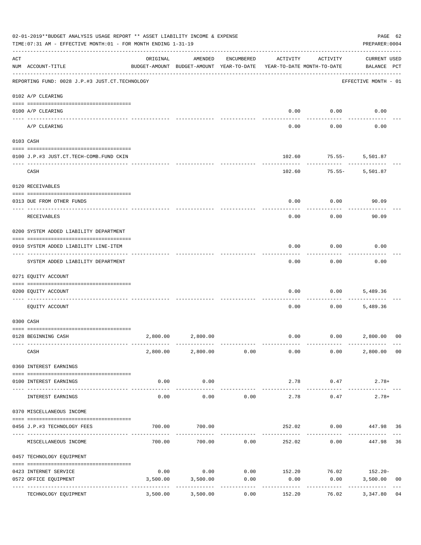|                    | 02-01-2019**BUDGET ANALYSIS USAGE REPORT ** ASSET LIABILITY INCOME & EXPENSE<br>TIME:07:31 AM - EFFECTIVE MONTH:01 - FOR MONTH ENDING 1-31-19 |                                                      |                        |                    |                                        |                    | PAGE 62<br>PREPARER: 0004               |                |
|--------------------|-----------------------------------------------------------------------------------------------------------------------------------------------|------------------------------------------------------|------------------------|--------------------|----------------------------------------|--------------------|-----------------------------------------|----------------|
| $\mathop{\rm ACT}$ | NUM ACCOUNT-TITLE                                                                                                                             | ORIGINAL<br>BUDGET-AMOUNT BUDGET-AMOUNT YEAR-TO-DATE | AMENDED                | ENCUMBERED         | ACTIVITY<br>YEAR-TO-DATE MONTH-TO-DATE | ACTIVITY           | <b>CURRENT USED</b><br>BALANCE PCT      |                |
|                    | REPORTING FUND: 0028 J.P.#3 JUST.CT.TECHNOLOGY                                                                                                |                                                      |                        |                    |                                        |                    | EFFECTIVE MONTH - 01                    |                |
|                    | 0102 A/P CLEARING                                                                                                                             |                                                      |                        |                    |                                        |                    |                                         |                |
|                    | 0100 A/P CLEARING<br>---- --------                                                                                                            |                                                      |                        |                    | 0.00                                   | 0.00               | 0.00                                    |                |
|                    | A/P CLEARING                                                                                                                                  |                                                      |                        |                    | 0.00                                   | 0.00               | 0.00                                    |                |
|                    | 0103 CASH                                                                                                                                     |                                                      |                        |                    |                                        |                    |                                         |                |
|                    | 0100 J.P.#3 JUST.CT.TECH-COMB.FUND CKIN                                                                                                       |                                                      |                        |                    | 102.60                                 | $75.55 -$          | 5,501.87                                |                |
|                    | CASH                                                                                                                                          |                                                      |                        |                    | 102.60                                 | $75.55 -$          | 5,501.87                                |                |
|                    | 0120 RECEIVABLES                                                                                                                              |                                                      |                        |                    |                                        |                    |                                         |                |
|                    | 0313 DUE FROM OTHER FUNDS                                                                                                                     |                                                      |                        |                    | 0.00                                   | 0.00               | 90.09                                   |                |
|                    | RECEIVABLES                                                                                                                                   |                                                      |                        |                    | 0.00                                   | 0.00               | 90.09                                   |                |
|                    | 0200 SYSTEM ADDED LIABILITY DEPARTMENT                                                                                                        |                                                      |                        |                    |                                        |                    |                                         |                |
|                    | 0910 SYSTEM ADDED LIABILITY LINE-ITEM                                                                                                         |                                                      |                        |                    | 0.00                                   | 0.00               | 0.00                                    |                |
|                    | SYSTEM ADDED LIABILITY DEPARTMENT                                                                                                             |                                                      |                        |                    | 0.00                                   | 0.00               | 0.00                                    |                |
|                    | 0271 EQUITY ACCOUNT                                                                                                                           |                                                      |                        |                    |                                        |                    |                                         |                |
|                    | 0200 EQUITY ACCOUNT                                                                                                                           |                                                      |                        |                    | 0.00                                   | 0.00               | 5,489.36                                |                |
|                    | EQUITY ACCOUNT                                                                                                                                |                                                      |                        |                    | 0.00                                   | 0.00               | 5,489.36                                |                |
|                    | 0300 CASH                                                                                                                                     |                                                      |                        |                    |                                        |                    |                                         |                |
|                    | 0128 BEGINNING CASH                                                                                                                           |                                                      | 2,800.00 2,800.00      |                    | 0.00                                   |                    | 0.00 2,800.00                           | 00             |
|                    | CASH                                                                                                                                          |                                                      | 2,800.00 2,800.00 0.00 |                    | 0.00                                   |                    | 2,800.00 00<br>0.00                     |                |
|                    | 0360 INTEREST EARNINGS                                                                                                                        |                                                      |                        |                    |                                        |                    |                                         |                |
|                    | 0100 INTEREST EARNINGS<br>------------------- --------------                                                                                  | 0.00                                                 | 0.00<br>-----------    |                    | 2.78<br>-------------                  | 0.47<br>---------- | $2.78+$                                 |                |
|                    | INTEREST EARNINGS                                                                                                                             | 0.00                                                 | 0.00                   | 0.00               | 2.78                                   | 0.47               | $2.78+$                                 |                |
|                    | 0370 MISCELLANEOUS INCOME                                                                                                                     |                                                      |                        |                    |                                        |                    |                                         |                |
|                    | 0456 J.P.#3 TECHNOLOGY FEES                                                                                                                   | 700.00                                               | 700.00                 |                    | 252.02                                 |                    | $0.00$ 447.98 36                        |                |
|                    | MISCELLANEOUS INCOME                                                                                                                          |                                                      | 700.00 700.00 0.00     |                    |                                        | 252.02<br>0.00     | 447.98                                  | 36             |
|                    | 0457 TECHNOLOGY EQUIPMENT                                                                                                                     |                                                      |                        |                    |                                        |                    |                                         |                |
|                    | 0423 INTERNET SERVICE                                                                                                                         | 0.00                                                 |                        |                    |                                        |                    | $0.00$ $0.00$ $152.20$ $76.02$ $152.20$ |                |
|                    | 0572 OFFICE EQUIPMENT                                                                                                                         | 3,500.00<br>----------------- -------------          | 3,500.00               | 0.00<br>---------- | 0.00                                   | 0.00<br>---------- | 3,500.00                                | 0 <sub>0</sub> |
|                    | TECHNOLOGY EQUIPMENT                                                                                                                          | 3,500.00                                             | 3,500.00               | 0.00               | 152.20                                 | 76.02              | 3,347.80                                | 04             |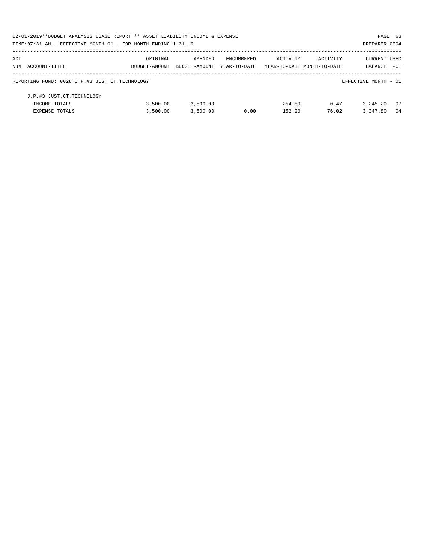| 02-01-2019**BUDGET ANALYSIS USAGE REPORT ** ASSET LIABILITY INCOME & EXPENSE |               |               |              |                            |          | PAGE 63              |      |
|------------------------------------------------------------------------------|---------------|---------------|--------------|----------------------------|----------|----------------------|------|
| TIME: 07:31 AM - EFFECTIVE MONTH: 01 - FOR MONTH ENDING 1-31-19              |               |               |              |                            |          | PREPARER: 0004       |      |
| ACT                                                                          | ORIGINAL      | AMENDED       | ENCUMBERED   | ACTIVITY                   | ACTIVITY | CURRENT USED         |      |
| NUM ACCOUNT-TITLE                                                            | BUDGET-AMOUNT | BUDGET-AMOUNT | YEAR-TO-DATE | YEAR-TO-DATE MONTH-TO-DATE |          | BALANCE              | PCT  |
| REPORTING FUND: 0028 J.P.#3 JUST.CT.TECHNOLOGY                               |               |               |              |                            |          | EFFECTIVE MONTH - 01 |      |
| J.P.#3 JUST.CT.TECHNOLOGY                                                    |               |               |              |                            |          |                      |      |
| INCOME TOTALS                                                                | 3,500.00      | 3,500.00      |              | 254.80                     | 0.47     | 3, 245, 20           | - 07 |
| <b>EXPENSE TOTALS</b>                                                        | 3,500.00      | 3,500.00      | 0.00         | 152.20                     | 76.02    | 3,347.80             | 04   |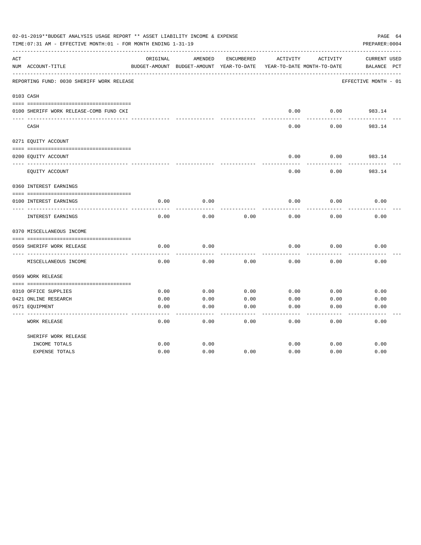|     | 02-01-2019**BUDGET ANALYSIS USAGE REPORT ** ASSET LIABILITY INCOME & EXPENSE<br>TIME:07:31 AM - EFFECTIVE MONTH:01 - FOR MONTH ENDING 1-31-19 |          |                                          |            |                            |          | PAGE 64<br>PREPARER: 0004 |
|-----|-----------------------------------------------------------------------------------------------------------------------------------------------|----------|------------------------------------------|------------|----------------------------|----------|---------------------------|
| ACT |                                                                                                                                               | ORIGINAL | AMENDED                                  | ENCUMBERED | ACTIVITY                   | ACTIVITY | CURRENT USED              |
|     | NUM ACCOUNT-TITLE                                                                                                                             |          | BUDGET-AMOUNT BUDGET-AMOUNT YEAR-TO-DATE |            | YEAR-TO-DATE MONTH-TO-DATE |          | BALANCE PCT               |
|     | REPORTING FUND: 0030 SHERIFF WORK RELEASE                                                                                                     |          |                                          |            |                            |          | EFFECTIVE MONTH - 01      |
|     | 0103 CASH                                                                                                                                     |          |                                          |            |                            |          |                           |
|     |                                                                                                                                               |          |                                          |            |                            |          |                           |
|     | 0100 SHERIFF WORK RELEASE-COMB FUND CKI                                                                                                       |          |                                          |            | 0.00                       | 0.00     | 983.14                    |
|     | CASH                                                                                                                                          |          |                                          |            | 0.00                       | 0.00     | -------<br>983.14         |
|     | 0271 EQUITY ACCOUNT                                                                                                                           |          |                                          |            |                            |          |                           |
|     | 0200 EQUITY ACCOUNT                                                                                                                           |          |                                          |            | 0.00                       | 0.00     | 983.14                    |
|     | EQUITY ACCOUNT                                                                                                                                |          |                                          |            | 0.00                       | 0.00     | 983.14                    |
|     | 0360 INTEREST EARNINGS                                                                                                                        |          |                                          |            |                            |          |                           |
|     |                                                                                                                                               |          |                                          |            |                            |          |                           |
|     | 0100 INTEREST EARNINGS                                                                                                                        | 0.00     | 0.00                                     |            | 0.00                       | 0.00     | 0.00                      |
|     | INTEREST EARNINGS                                                                                                                             | 0.00     | 0.00                                     | 0.00       | 0.00                       | 0.00     | 0.00                      |
|     | 0370 MISCELLANEOUS INCOME                                                                                                                     |          |                                          |            |                            |          |                           |
|     |                                                                                                                                               |          |                                          |            |                            |          |                           |
|     | 0569 SHERIFF WORK RELEASE                                                                                                                     | 0.00     | 0.00                                     |            | 0.00                       | 0.00     | 0.00                      |
|     | MISCELLANEOUS INCOME                                                                                                                          | 0.00     | 0.00                                     | 0.00       | 0.00                       | 0.00     | 0.00                      |
|     | 0569 WORK RELEASE                                                                                                                             |          |                                          |            |                            |          |                           |
|     |                                                                                                                                               |          |                                          |            |                            |          |                           |
|     | 0310 OFFICE SUPPLIES                                                                                                                          | 0.00     | 0.00                                     | 0.00       | 0.00                       | 0.00     | 0.00                      |
|     | 0421 ONLINE RESEARCH                                                                                                                          | 0.00     | 0.00                                     | 0.00       | 0.00                       | 0.00     | 0.00                      |
|     | 0571 EQUIPMENT                                                                                                                                | 0.00     | 0.00                                     | 0.00       | 0.00                       | 0.00     | 0.00                      |
|     | WORK RELEASE                                                                                                                                  | 0.00     | 0.00                                     | 0.00       | 0.00                       | 0.00     | 0.00                      |
|     | SHERIFF WORK RELEASE                                                                                                                          |          |                                          |            |                            |          |                           |
|     | INCOME TOTALS                                                                                                                                 | 0.00     | 0.00                                     |            | 0.00                       | 0.00     | 0.00                      |
|     | <b>EXPENSE TOTALS</b>                                                                                                                         | 0.00     | 0.00                                     | 0.00       | 0.00                       | 0.00     | 0.00                      |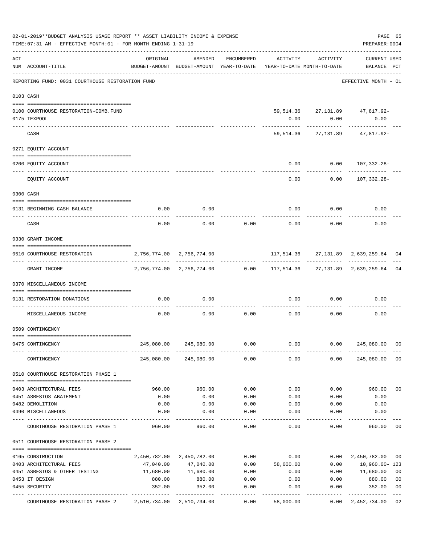|                | 02-01-2019**BUDGET ANALYSIS USAGE REPORT ** ASSET LIABILITY INCOME & EXPENSE<br>TIME: 07:31 AM - EFFECTIVE MONTH: 01 - FOR MONTH ENDING 1-31-19 |                                                                                 |                           |                    |                                   |            | PAGE 65<br>PREPARER: 0004              |                |
|----------------|-------------------------------------------------------------------------------------------------------------------------------------------------|---------------------------------------------------------------------------------|---------------------------|--------------------|-----------------------------------|------------|----------------------------------------|----------------|
| $\mathtt{ACT}$ | NUM ACCOUNT-TITLE                                                                                                                               | ORIGINAL<br>BUDGET-AMOUNT BUDGET-AMOUNT YEAR-TO-DATE YEAR-TO-DATE MONTH-TO-DATE | AMENDED                   | ENCUMBERED         | ACTIVITY                          | ACTIVITY   | <b>CURRENT USED</b><br>BALANCE PCT     |                |
|                | REPORTING FUND: 0031 COURTHOUSE RESTORATION FUND                                                                                                |                                                                                 |                           |                    |                                   |            | EFFECTIVE MONTH - 01                   |                |
|                | 0103 CASH                                                                                                                                       |                                                                                 |                           |                    |                                   |            |                                        |                |
|                | 0100 COURTHOUSE RESTORATION-COMB.FUND<br>0175 TEXPOOL                                                                                           |                                                                                 |                           |                    | 0.00                              | 0.00       | 59,514.36 27,131.89 47,817.92-<br>0.00 |                |
|                | CASH                                                                                                                                            |                                                                                 |                           |                    |                                   | ---------- | 59,514.36 27,131.89 47,817.92-         |                |
|                | 0271 EQUITY ACCOUNT                                                                                                                             |                                                                                 |                           |                    |                                   |            |                                        |                |
|                | 0200 EQUITY ACCOUNT                                                                                                                             |                                                                                 |                           |                    | 0.00                              |            | $0.00 107,332.28-$                     |                |
|                | EQUITY ACCOUNT                                                                                                                                  |                                                                                 |                           |                    | 0.00                              |            | $0.00 107,332.28-$                     |                |
|                | 0300 CASH                                                                                                                                       |                                                                                 |                           |                    |                                   |            |                                        |                |
|                | 0131 BEGINNING CASH BALANCE                                                                                                                     | 0.00                                                                            | 0.00                      |                    | 0.00                              | 0.00       | 0.00                                   |                |
|                | CASH                                                                                                                                            | 0.00                                                                            | 0.00                      | 0.00               | 0.00                              | 0.00       | 0.00                                   |                |
|                | 0330 GRANT INCOME                                                                                                                               |                                                                                 |                           |                    |                                   |            |                                        |                |
|                | 0510 COURTHOUSE RESTORATION                                                                                                                     | 2,756,774.00 2,756,774.00                                                       |                           |                    | 117,514.36 27,131.89 2,639,259.64 |            |                                        | 04             |
|                | GRANT INCOME                                                                                                                                    |                                                                                 |                           |                    |                                   |            |                                        | 04             |
|                | 0370 MISCELLANEOUS INCOME                                                                                                                       |                                                                                 |                           |                    |                                   |            |                                        |                |
|                | 0131 RESTORATION DONATIONS<br>------------ ---                                                                                                  | 0.00                                                                            | 0.00                      |                    | 0.00                              | 0.00       | 0.00                                   |                |
|                | MISCELLANEOUS INCOME                                                                                                                            | 0.00                                                                            | 0.00                      | 0.00               | 0.00                              | 0.00       | 0.00                                   |                |
|                | 0509 CONTINGENCY                                                                                                                                |                                                                                 |                           |                    |                                   |            |                                        |                |
|                | 0475 CONTINGENCY                                                                                                                                |                                                                                 | 245,080.00 245,080.00     | 0.00               | 0.00                              | 0.00       | 245,080.00                             | 00             |
|                | CONTINGENCY                                                                                                                                     |                                                                                 | 245,080.00 245,080.00     | 0.00               | 0.00                              | 0.00       | 245,080.00                             | 0 <sub>0</sub> |
|                | 0510 COURTHOUSE RESTORATION PHASE 1                                                                                                             |                                                                                 |                           |                    |                                   |            |                                        |                |
|                | 0403 ARCHITECTURAL FEES                                                                                                                         | 960.00                                                                          | 960.00                    | 0.00               | 0.00                              | 0.00       | 960.00                                 | 0 <sub>0</sub> |
|                | 0451 ASBESTOS ABATEMENT                                                                                                                         | 0.00                                                                            | 0.00                      | 0.00               | 0.00                              | 0.00       | 0.00                                   |                |
|                | 0482 DEMOLITION                                                                                                                                 | 0.00                                                                            | 0.00                      | 0.00               | 0.00                              | 0.00       | 0.00                                   |                |
|                | 0490 MISCELLANEOUS                                                                                                                              | 0.00                                                                            | 0.00                      | 0.00               | 0.00                              | 0.00       | 0.00                                   |                |
|                | COURTHOUSE RESTORATION PHASE 1                                                                                                                  | 960.00                                                                          | 960.00                    | 0.00               | 0.00                              | 0.00       | 960.00                                 | 00             |
|                | 0511 COURTHOUSE RESTORATION PHASE 2                                                                                                             |                                                                                 |                           |                    |                                   |            |                                        |                |
|                | 0165 CONSTRUCTION                                                                                                                               |                                                                                 | 2,450,782.00 2,450,782.00 | 0.00               | 0.00                              | 0.00       | 2,450,782.00                           | 00             |
|                | 0403 ARCHITECTURAL FEES                                                                                                                         | 47,040.00                                                                       | 47,040.00                 | 0.00               | 58,000.00                         | 0.00       | 10,960.00-123                          |                |
|                | 0451 ASBESTOS & OTHER TESTING                                                                                                                   | 11,680.00                                                                       | 11,680.00                 | 0.00               | 0.00                              | 0.00       | 11,680.00                              | 0 <sub>0</sub> |
|                | 0453 IT DESIGN                                                                                                                                  | 880.00                                                                          | 880.00                    | 0.00               | 0.00                              | 0.00       | 880.00                                 | 00             |
|                | 0455 SECURITY                                                                                                                                   | 352.00                                                                          | 352.00                    | 0.00               | 0.00                              | 0.00       | 352.00                                 | 0 <sub>0</sub> |
|                | COURTHOUSE RESTORATION PHASE 2                                                                                                                  | ----- --------------<br>2,510,734.00 2,510,734.00                               | -----------               | ----------<br>0.00 | 58,000.00                         | 0.00       | -----------<br>2,452,734.00            | 02             |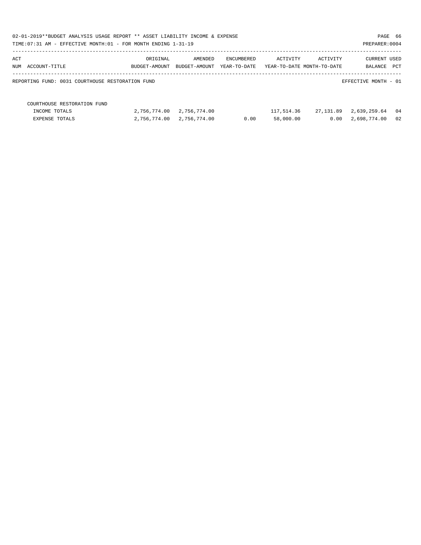| 02-01-2019**BUDGET ANALYSIS USAGE REPORT ** ASSET LIABILITY INCOME & EXPENSE<br>TIME: 07:31 AM - EFFECTIVE MONTH: 01 - FOR MONTH ENDING 1-31-19 |               |               |              |                            |           | PAGE 66<br>PREPARER: 0004 |     |
|-------------------------------------------------------------------------------------------------------------------------------------------------|---------------|---------------|--------------|----------------------------|-----------|---------------------------|-----|
| ACT                                                                                                                                             | ORIGINAL      | AMENDED       | ENCUMBERED   | ACTIVITY                   | ACTIVITY  | <b>CURRENT USED</b>       |     |
| NUM ACCOUNT-TITLE                                                                                                                               | BUDGET-AMOUNT | BUDGET-AMOUNT | YEAR-TO-DATE | YEAR-TO-DATE MONTH-TO-DATE |           | BALANCE                   | PCT |
| REPORTING FUND: 0031 COURTHOUSE RESTORATION FUND                                                                                                |               |               |              |                            |           | EFFECTIVE MONTH - 01      |     |
| COURTHOUSE RESTORATION FUND                                                                                                                     |               |               |              |                            |           |                           |     |
| INCOME TOTALS                                                                                                                                   | 2,756,774.00  | 2,756,774.00  |              | 117,514.36                 | 27,131.89 | 2,639,259.64              | 04  |
| <b>EXPENSE TOTALS</b>                                                                                                                           | 2,756,774.00  | 2,756,774.00  | 0.00         | 58,000.00                  | 0.00      | 2,698,774.00              | 02  |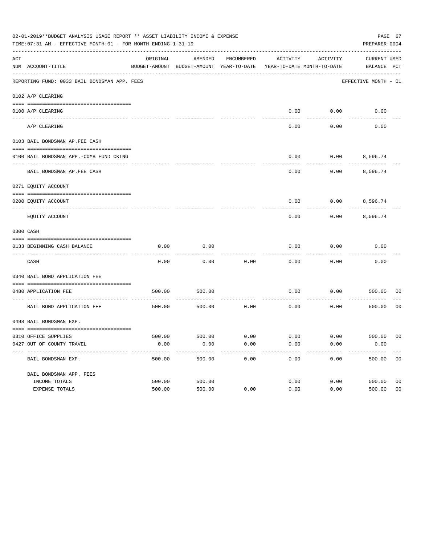|     | 02-01-2019**BUDGET ANALYSIS USAGE REPORT ** ASSET LIABILITY INCOME & EXPENSE<br>TIME: 07:31 AM - EFFECTIVE MONTH: 01 - FOR MONTH ENDING 1-31-19 |          |                                                     |            |                                        |          | PAGE 67<br>PREPARER: 0004          |                |
|-----|-------------------------------------------------------------------------------------------------------------------------------------------------|----------|-----------------------------------------------------|------------|----------------------------------------|----------|------------------------------------|----------------|
| ACT | NUM ACCOUNT-TITLE                                                                                                                               | ORIGINAL | AMENDED<br>BUDGET-AMOUNT BUDGET-AMOUNT YEAR-TO-DATE | ENCUMBERED | ACTIVITY<br>YEAR-TO-DATE MONTH-TO-DATE | ACTIVITY | <b>CURRENT USED</b><br>BALANCE PCT |                |
|     | REPORTING FUND: 0033 BAIL BONDSMAN APP. FEES                                                                                                    |          |                                                     |            |                                        |          | EFFECTIVE MONTH - 01               |                |
|     | 0102 A/P CLEARING                                                                                                                               |          |                                                     |            |                                        |          |                                    |                |
|     | 0100 A/P CLEARING                                                                                                                               |          |                                                     |            | 0.00                                   | 0.00     | 0.00                               |                |
|     | ---- --------<br>A/P CLEARING                                                                                                                   |          |                                                     |            | 0.00                                   | 0.00     | 0.00                               |                |
|     | 0103 BAIL BONDSMAN AP.FEE CASH                                                                                                                  |          |                                                     |            |                                        |          |                                    |                |
|     | 0100 BAIL BONDSMAN APP.-COMB FUND CKING                                                                                                         |          |                                                     |            | 0.00                                   | 0.00     | 8,596.74                           |                |
|     | BAIL BONDSMAN AP.FEE CASH                                                                                                                       |          |                                                     |            | 0.00                                   | 0.00     | 8,596.74                           |                |
|     | 0271 EQUITY ACCOUNT                                                                                                                             |          |                                                     |            |                                        |          |                                    |                |
|     | 0200 EQUITY ACCOUNT                                                                                                                             |          |                                                     |            | 0.00                                   |          | $0.00$ 8,596.74                    |                |
|     | EQUITY ACCOUNT                                                                                                                                  |          |                                                     |            | 0.00                                   | 0.00     | 8,596.74                           |                |
|     | 0300 CASH                                                                                                                                       |          |                                                     |            |                                        |          |                                    |                |
|     | 0133 BEGINNING CASH BALANCE                                                                                                                     | 0.00     | 0.00                                                |            | 0.00                                   | 0.00     | 0.00                               |                |
|     | CASH                                                                                                                                            | 0.00     | 0.00                                                | 0.00       | 0.00                                   | 0.00     | 0.00                               |                |
|     | 0340 BAIL BOND APPLICATION FEE                                                                                                                  |          |                                                     |            |                                        |          |                                    |                |
|     | 0480 APPLICATION FEE                                                                                                                            | 500.00   | 500.00                                              |            | 0.00                                   | 0.00     | 500.00                             | 00             |
|     | BAIL BOND APPLICATION FEE                                                                                                                       | 500.00   | 500.00                                              | 0.00       | 0.00                                   | 0.00     | 500.00                             | 0 <sub>0</sub> |
|     | 0498 BAIL BONDSMAN EXP.                                                                                                                         |          |                                                     |            |                                        |          |                                    |                |
|     | 0310 OFFICE SUPPLIES                                                                                                                            | 500.00   | 500.00 0.00                                         |            | $0.00$ $0.00$ $500.00$                 |          |                                    | 00             |
|     | 0427 OUT OF COUNTY TRAVEL                                                                                                                       | 0.00     | 0.00                                                | 0.00       | 0.00                                   | 0.00     | 0.00                               |                |
|     | BAIL BONDSMAN EXP.                                                                                                                              | 500.00   | 500.00                                              | 0.00       | 0.00                                   | 0.00     | 500.00                             | 0 <sub>0</sub> |
|     | BAIL BONDSMAN APP. FEES                                                                                                                         |          |                                                     |            |                                        |          |                                    |                |
|     | INCOME TOTALS                                                                                                                                   | 500.00   | 500.00                                              |            | 0.00                                   | 0.00     | 500.00                             | 0 <sub>0</sub> |
|     | EXPENSE TOTALS                                                                                                                                  | 500.00   | 500.00                                              | 0.00       | 0.00                                   | 0.00     | 500.00                             | 0 <sub>0</sub> |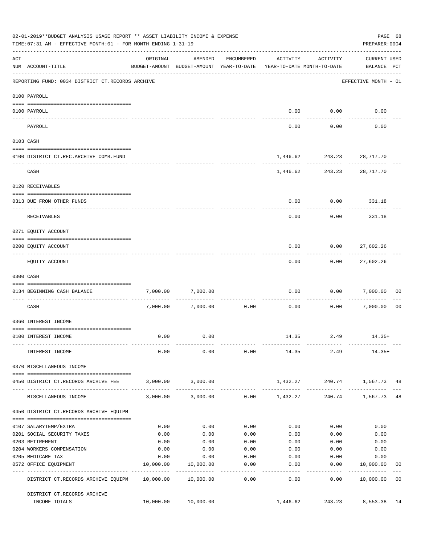|          | 02-01-2019**BUDGET ANALYSIS USAGE REPORT ** ASSET LIABILITY INCOME & EXPENSE<br>TIME: 07:31 AM - EFFECTIVE MONTH: 01 - FOR MONTH ENDING 1-31-19 |              |                                                     |                    |                                        |                           | PREPARER: 0004                     | PAGE 68        |
|----------|-------------------------------------------------------------------------------------------------------------------------------------------------|--------------|-----------------------------------------------------|--------------------|----------------------------------------|---------------------------|------------------------------------|----------------|
| ACT      | NUM ACCOUNT-TITLE                                                                                                                               | ORIGINAL     | AMENDED<br>BUDGET-AMOUNT BUDGET-AMOUNT YEAR-TO-DATE | ENCUMBERED         | ACTIVITY<br>YEAR-TO-DATE MONTH-TO-DATE | ACTIVITY                  | <b>CURRENT USED</b><br>BALANCE PCT |                |
|          | -------------------------------------<br>REPORTING FUND: 0034 DISTRICT CT.RECORDS ARCHIVE                                                       |              |                                                     |                    |                                        |                           | EFFECTIVE MONTH - 01               |                |
|          | 0100 PAYROLL                                                                                                                                    |              |                                                     |                    |                                        |                           |                                    |                |
|          | 0100 PAYROLL                                                                                                                                    |              |                                                     |                    | 0.00                                   | 0.00                      | 0.00                               |                |
| -------- | PAYROLL                                                                                                                                         |              |                                                     |                    | 0.00                                   | 0.00                      | 0.00                               |                |
|          | 0103 CASH                                                                                                                                       |              |                                                     |                    |                                        |                           |                                    |                |
|          | 0100 DISTRICT CT.REC.ARCHIVE COMB.FUND                                                                                                          |              |                                                     |                    |                                        | 1,446.62 243.23 28,717.70 |                                    |                |
|          | CASH                                                                                                                                            |              |                                                     |                    |                                        | 1,446.62 243.23 28,717.70 |                                    |                |
|          | 0120 RECEIVABLES                                                                                                                                |              |                                                     |                    |                                        |                           |                                    |                |
|          | 0313 DUE FROM OTHER FUNDS                                                                                                                       |              |                                                     |                    | 0.00                                   | 0.00                      | 331.18                             |                |
|          | RECEIVABLES                                                                                                                                     |              |                                                     |                    | 0.00                                   | 0.00                      | 331.18                             |                |
|          | 0271 EQUITY ACCOUNT                                                                                                                             |              |                                                     |                    |                                        |                           |                                    |                |
|          | 0200 EQUITY ACCOUNT                                                                                                                             |              |                                                     |                    | 0.00                                   | 0.00                      | 27,602.26                          |                |
|          | EQUITY ACCOUNT                                                                                                                                  |              |                                                     |                    | 0.00                                   | 0.00                      | -----------<br>27,602.26           |                |
|          | 0300 CASH                                                                                                                                       |              |                                                     |                    |                                        |                           |                                    |                |
|          | 0134 BEGINNING CASH BALANCE                                                                                                                     | 7,000.00     | 7,000.00                                            |                    | 0.00                                   | 0.00                      | 7,000.00                           | 00             |
|          | -----------------------------<br>CASH                                                                                                           |              | 7,000.00 7,000.00                                   | 0.00               | 0.00                                   | 0.00                      | 7,000.00                           | 0 <sub>0</sub> |
|          | 0360 INTEREST INCOME                                                                                                                            |              |                                                     |                    |                                        |                           |                                    |                |
|          | 0100 INTEREST INCOME                                                                                                                            | 0.00         | 0.00                                                |                    |                                        | 14.35 2.49                | $14.35+$                           |                |
|          | INTEREST INCOME                                                                                                                                 | 0.00         | 0.00                                                |                    | $0.00$ 14.35 2.49                      |                           | $14.35+$                           |                |
|          | 0370 MISCELLANEOUS INCOME                                                                                                                       |              |                                                     |                    |                                        |                           |                                    |                |
|          | 0450 DISTRICT CT.RECORDS ARCHIVE FEE                                                                                                            |              | 3,000.00 3,000.00                                   |                    |                                        |                           | 1,432.27 240.74 1,567.73 48        |                |
|          | MISCELLANEOUS INCOME                                                                                                                            |              | 3,000.00 3,000.00                                   |                    | $0.00$ 1,432.27                        |                           | 240.74 1,567.73 48                 |                |
|          | 0450 DISTRICT CT.RECORDS ARCHIVE EQUIPM                                                                                                         |              |                                                     |                    |                                        |                           |                                    |                |
|          |                                                                                                                                                 |              |                                                     |                    |                                        |                           |                                    |                |
|          | 0107 SALARYTEMP/EXTRA<br>0201 SOCIAL SECURITY TAXES                                                                                             | 0.00<br>0.00 | 0.00<br>0.00                                        | 0.00<br>0.00       | 0.00<br>0.00                           | 0.00<br>0.00              | 0.00<br>0.00                       |                |
|          | 0203 RETIREMENT                                                                                                                                 | 0.00         | 0.00                                                | 0.00               | 0.00                                   | 0.00                      | 0.00                               |                |
|          | 0204 WORKERS COMPENSATION                                                                                                                       | 0.00         | 0.00                                                | 0.00               | 0.00                                   | 0.00                      | 0.00                               |                |
|          | 0205 MEDICARE TAX                                                                                                                               | 0.00         | 0.00                                                | 0.00               | 0.00                                   | 0.00                      | 0.00                               |                |
|          | 0572 OFFICE EQUIPMENT                                                                                                                           | 10,000.00    | 10,000.00                                           | 0.00<br>---------- | 0.00<br>--------                       | 0.00<br>---------         | 10,000.00<br>-----------           | 00             |
|          | DISTRICT CT.RECORDS ARCHIVE EQUIPM 10,000.00 10,000.00                                                                                          |              |                                                     | 0.00               | 0.00                                   | 0.00                      | 10,000.00                          | 0 <sub>0</sub> |
|          | DISTRICT CT.RECORDS ARCHIVE<br>INCOME TOTALS                                                                                                    |              | 10,000.00 10,000.00                                 |                    | 1,446.62                               |                           | 243.23 8,553.38 14                 |                |
|          |                                                                                                                                                 |              |                                                     |                    |                                        |                           |                                    |                |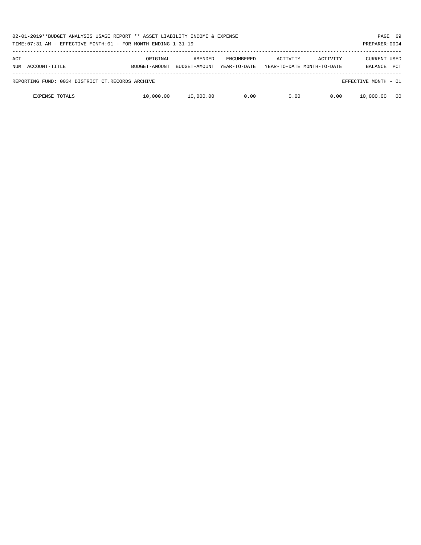| 02-01-2019**BUDGET ANALYSIS USAGE REPORT ** ASSET LIABILITY INCOME & EXPENSE<br>TIME: 07:31 AM - EFFECTIVE MONTH: 01 - FOR MONTH ENDING 1-31-19 |                           |                          |                                   |                                        |          |                                       | PAGE 69<br>PREPARER: 0004 |
|-------------------------------------------------------------------------------------------------------------------------------------------------|---------------------------|--------------------------|-----------------------------------|----------------------------------------|----------|---------------------------------------|---------------------------|
| ACT<br>NUM ACCOUNT-TITLE                                                                                                                        | ORIGINAL<br>BUDGET-AMOUNT | AMENDED<br>BUDGET-AMOUNT | <b>ENCUMBERED</b><br>YEAR-TO-DATE | ACTIVITY<br>YEAR-TO-DATE MONTH-TO-DATE | ACTIVITY | <b>CURRENT USED</b><br><b>BALANCE</b> | <b>PCT</b>                |
|                                                                                                                                                 |                           |                          |                                   |                                        |          |                                       |                           |
| REPORTING FUND: 0034 DISTRICT CT.RECORDS ARCHIVE                                                                                                |                           |                          |                                   |                                        |          | EFFECTIVE MONTH - 01                  |                           |
| <b>EXPENSE TOTALS</b>                                                                                                                           | 10,000.00                 | 10,000.00                | 0.00                              | 0.00                                   | 0.00     | 10,000.00                             | 00                        |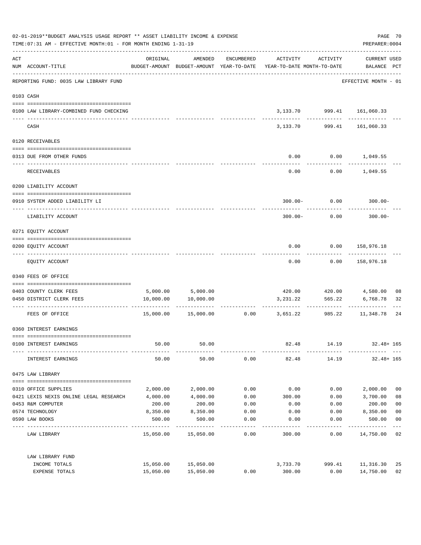| 02-01-2019**BUDGET ANALYSIS USAGE REPORT ** ASSET LIABILITY INCOME & EXPENSE<br>TIME: 07:31 AM - EFFECTIVE MONTH: 01 - FOR MONTH ENDING 1-31-19 |                                                          |           |                                |            |                                                                                 | PAGE 70<br>PREPARER: 0004 |                                              |                |
|-------------------------------------------------------------------------------------------------------------------------------------------------|----------------------------------------------------------|-----------|--------------------------------|------------|---------------------------------------------------------------------------------|---------------------------|----------------------------------------------|----------------|
| $\mathtt{ACT}$                                                                                                                                  | NUM ACCOUNT-TITLE<br>----------------------------------- | ORIGINAL  | AMENDED                        | ENCUMBERED | ACTIVITY<br>BUDGET-AMOUNT BUDGET-AMOUNT YEAR-TO-DATE YEAR-TO-DATE MONTH-TO-DATE | ACTIVITY                  | <b>CURRENT USED</b><br>BALANCE PCT           |                |
|                                                                                                                                                 | REPORTING FUND: 0035 LAW LIBRARY FUND                    |           |                                |            |                                                                                 |                           | EFFECTIVE MONTH - 01                         |                |
|                                                                                                                                                 | 0103 CASH                                                |           |                                |            |                                                                                 |                           |                                              |                |
|                                                                                                                                                 | 0100 LAW LIBRARY-COMBINED FUND CHECKING                  |           |                                |            |                                                                                 |                           | 3, 133.70 999.41 161, 060.33<br>------------ |                |
|                                                                                                                                                 | CASH                                                     |           |                                |            | 3,133.70                                                                        | ------------<br>999.41    | 161,060.33                                   |                |
|                                                                                                                                                 | 0120 RECEIVABLES                                         |           |                                |            |                                                                                 |                           |                                              |                |
|                                                                                                                                                 | 0313 DUE FROM OTHER FUNDS                                |           |                                |            | 0.00                                                                            |                           | $0.00$ 1,049.55                              |                |
|                                                                                                                                                 | <b>RECEIVABLES</b>                                       |           |                                |            | 0.00                                                                            |                           | $0.00$ 1,049.55                              |                |
|                                                                                                                                                 | 0200 LIABILITY ACCOUNT                                   |           |                                |            |                                                                                 |                           |                                              |                |
|                                                                                                                                                 | 0910 SYSTEM ADDED LIABILITY LI                           |           |                                |            | $300.00 -$                                                                      | 0.00                      | $300.00 -$                                   |                |
|                                                                                                                                                 | LIABILITY ACCOUNT                                        |           |                                |            | $300.00 -$                                                                      | 0.00                      | $300.00 -$                                   |                |
|                                                                                                                                                 | 0271 EQUITY ACCOUNT                                      |           |                                |            |                                                                                 |                           |                                              |                |
|                                                                                                                                                 | 0200 EQUITY ACCOUNT                                      |           |                                |            | 0.00                                                                            |                           | 0.00 158,976.18                              |                |
|                                                                                                                                                 | EQUITY ACCOUNT                                           |           |                                |            | 0.00                                                                            | 0.00                      | 158,976.18                                   |                |
|                                                                                                                                                 | 0340 FEES OF OFFICE                                      |           |                                |            |                                                                                 |                           |                                              |                |
|                                                                                                                                                 | 0403 COUNTY CLERK FEES                                   |           |                                |            |                                                                                 |                           | 420.00  420.00  4,580.00                     | 08             |
|                                                                                                                                                 | 0450 DISTRICT CLERK FEES                                 | 10,000.00 | 5,000.00 5,000.00<br>10,000.00 |            | 3,231.22                                                                        | 565.22                    | 6,768.78                                     | 32             |
|                                                                                                                                                 |                                                          |           |                                |            |                                                                                 | ---------                 |                                              |                |
|                                                                                                                                                 | FEES OF OFFICE                                           | 15,000.00 | 15,000.00                      |            | $0.00$ 3,651.22                                                                 | 985.22                    | 11,348.78                                    | 24             |
|                                                                                                                                                 | 0360 INTEREST EARNINGS                                   |           |                                |            |                                                                                 |                           |                                              |                |
|                                                                                                                                                 | 0100 INTEREST EARNINGS                                   | 50.00     | 50.00                          |            | 82.48                                                                           | 14.19                     | $32.48 + 165$                                |                |
|                                                                                                                                                 | INTEREST EARNINGS                                        | 50.00     | 50.00                          | 0.00       | 82.48                                                                           | 14.19                     | $32.48 + 165$                                |                |
|                                                                                                                                                 | 0475 LAW LIBRARY                                         |           |                                |            |                                                                                 |                           |                                              |                |
|                                                                                                                                                 | 0310 OFFICE SUPPLIES                                     | 2,000.00  | 2,000.00                       | 0.00       | 0.00                                                                            | 0.00                      | 2,000.00                                     | 0 <sub>0</sub> |
|                                                                                                                                                 | 0421 LEXIS NEXIS ONLINE LEGAL RESEARCH                   | 4,000.00  | 4,000.00                       | 0.00       | 300.00                                                                          | 0.00                      | 3,700.00                                     | 08             |
|                                                                                                                                                 | 0453 R&M COMPUTER                                        | 200.00    | 200.00                         | 0.00       | 0.00                                                                            | 0.00                      | 200.00                                       | 0 <sub>0</sub> |
|                                                                                                                                                 | 0574 TECHNOLOGY                                          | 8,350.00  | 8,350.00                       | 0.00       | 0.00                                                                            | 0.00                      | 8,350.00                                     | 0 <sub>0</sub> |
|                                                                                                                                                 | 0590 LAW BOOKS                                           | 500.00    | 500.00                         | 0.00       | 0.00                                                                            | 0.00                      | 500.00                                       | 0 <sub>0</sub> |
|                                                                                                                                                 | LAW LIBRARY                                              |           | 15,050.00 15,050.00            | 0.00       | 300.00                                                                          | 0.00                      | 14,750.00                                    | 02             |
|                                                                                                                                                 | LAW LIBRARY FUND                                         |           |                                |            |                                                                                 |                           |                                              |                |
|                                                                                                                                                 | INCOME TOTALS                                            | 15,050.00 | 15,050.00                      |            | 3,733.70                                                                        | 999.41                    | 11,316.30                                    | 25             |
|                                                                                                                                                 | EXPENSE TOTALS                                           | 15,050.00 | 15,050.00                      | 0.00       | 300.00                                                                          | 0.00                      | 14,750.00                                    | 02             |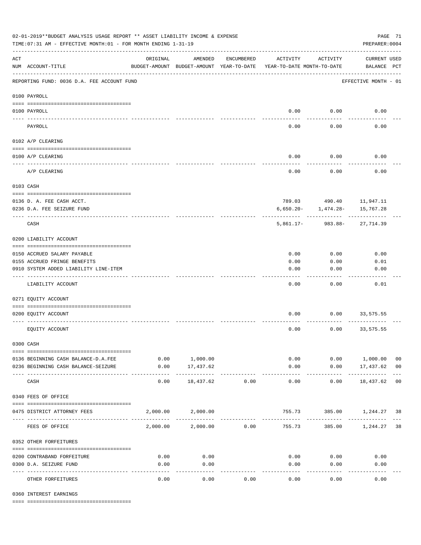| 02-01-2019**BUDGET ANALYSIS USAGE REPORT ** ASSET LIABILITY INCOME & EXPENSE<br>TIME: 07:31 AM - EFFECTIVE MONTH: 01 - FOR MONTH ENDING 1-31-19 |                                                         |                                                      |                          |             |                                        |                         |                                      | PAGE 71<br>PREPARER: 0004 |  |
|-------------------------------------------------------------------------------------------------------------------------------------------------|---------------------------------------------------------|------------------------------------------------------|--------------------------|-------------|----------------------------------------|-------------------------|--------------------------------------|---------------------------|--|
| $\mathop{\rm ACT}$                                                                                                                              | NUM ACCOUNT-TITLE                                       | ORIGINAL<br>BUDGET-AMOUNT BUDGET-AMOUNT YEAR-TO-DATE | AMENDED                  | ENCUMBERED  | ACTIVITY<br>YEAR-TO-DATE MONTH-TO-DATE | ACTIVITY                | <b>CURRENT USED</b><br>BALANCE PCT   |                           |  |
|                                                                                                                                                 | REPORTING FUND: 0036 D.A. FEE ACCOUNT FUND              |                                                      |                          |             |                                        |                         | EFFECTIVE MONTH - 01                 |                           |  |
|                                                                                                                                                 | 0100 PAYROLL                                            |                                                      |                          |             |                                        |                         |                                      |                           |  |
|                                                                                                                                                 | 0100 PAYROLL                                            |                                                      |                          |             |                                        | $0.00$ 0.00             | 0.00                                 |                           |  |
| ---- ---                                                                                                                                        | PAYROLL                                                 |                                                      |                          |             | 0.00                                   | 0.00                    | 0.00                                 |                           |  |
|                                                                                                                                                 | 0102 A/P CLEARING                                       |                                                      |                          |             |                                        |                         |                                      |                           |  |
|                                                                                                                                                 |                                                         |                                                      |                          |             |                                        |                         |                                      |                           |  |
|                                                                                                                                                 | 0100 A/P CLEARING                                       |                                                      |                          |             | 0.00                                   | 0.00                    | 0.00                                 |                           |  |
|                                                                                                                                                 | A/P CLEARING                                            |                                                      |                          |             | 0.00                                   | 0.00                    | 0.00                                 |                           |  |
|                                                                                                                                                 | 0103 CASH                                               |                                                      |                          |             |                                        |                         |                                      |                           |  |
|                                                                                                                                                 |                                                         |                                                      |                          |             |                                        |                         |                                      |                           |  |
|                                                                                                                                                 | 0136 D. A. FEE CASH ACCT.<br>0236 D.A. FEE SEIZURE FUND |                                                      |                          |             |                                        | $6,650.20 - 1,474.28 -$ | 789.03 490.40 11,947.11<br>15,767.28 |                           |  |
|                                                                                                                                                 | CASH                                                    |                                                      |                          |             |                                        |                         | 5,861.17- 983.88- 27,714.39          |                           |  |
|                                                                                                                                                 |                                                         |                                                      |                          |             |                                        |                         |                                      |                           |  |
|                                                                                                                                                 | 0200 LIABILITY ACCOUNT                                  |                                                      |                          |             |                                        |                         |                                      |                           |  |
|                                                                                                                                                 | 0150 ACCRUED SALARY PAYABLE                             |                                                      |                          |             | 0.00                                   | 0.00                    | 0.00                                 |                           |  |
|                                                                                                                                                 | 0155 ACCRUED FRINGE BENEFITS                            |                                                      |                          |             | 0.00                                   | 0.00                    | 0.01                                 |                           |  |
|                                                                                                                                                 | 0910 SYSTEM ADDED LIABILITY LINE-ITEM                   |                                                      |                          |             | 0.00                                   | 0.00                    | 0.00                                 |                           |  |
|                                                                                                                                                 | LIABILITY ACCOUNT                                       |                                                      |                          |             | 0.00                                   | 0.00                    | 0.01                                 |                           |  |
|                                                                                                                                                 | 0271 EQUITY ACCOUNT                                     |                                                      |                          |             |                                        |                         |                                      |                           |  |
|                                                                                                                                                 | 0200 EQUITY ACCOUNT                                     |                                                      |                          |             | 0.00                                   | 0.00                    | 33,575.55                            |                           |  |
|                                                                                                                                                 | EQUITY ACCOUNT                                          |                                                      |                          |             | 0.00                                   | 0.00                    | 33,575.55                            |                           |  |
|                                                                                                                                                 | 0300 CASH                                               |                                                      |                          |             |                                        |                         |                                      |                           |  |
|                                                                                                                                                 | 0136 BEGINNING CASH BALANCE-D.A.FEE                     |                                                      | 0.00 1,000.00            |             |                                        | 0.00                    | 0.00 1,000.00                        | 0 <sub>0</sub>            |  |
|                                                                                                                                                 | 0236 BEGINNING CASH BALANCE-SEIZURE                     | 0.00                                                 | 17,437.62                |             | 0.00                                   |                         | $0.00$ 17,437.62 00                  |                           |  |
|                                                                                                                                                 | CASH                                                    | 0.00                                                 | -----------<br>18,437.62 | 0.00        | -------------<br>0.00                  | ----------<br>0.00      | . <u>.</u><br>18,437.62 00           |                           |  |
|                                                                                                                                                 | 0340 FEES OF OFFICE                                     |                                                      |                          |             |                                        |                         |                                      |                           |  |
|                                                                                                                                                 |                                                         |                                                      |                          |             |                                        |                         |                                      |                           |  |
|                                                                                                                                                 | 0475 DISTRICT ATTORNEY FEES                             |                                                      | 2,000.00 2,000.00        | ----------- |                                        |                         | 755.73 385.00 1,244.27 38            |                           |  |
|                                                                                                                                                 | FEES OF OFFICE                                          |                                                      | 2,000.00 2,000.00        | 0.00        | 755.73                                 | 385.00                  | 1,244.27 38                          |                           |  |
|                                                                                                                                                 | 0352 OTHER FORFEITURES                                  |                                                      |                          |             |                                        |                         |                                      |                           |  |
|                                                                                                                                                 | 0200 CONTRABAND FORFEITURE                              | 0.00                                                 | 0.00                     |             | 0.00                                   | 0.00                    | 0.00                                 |                           |  |
|                                                                                                                                                 | 0300 D.A. SEIZURE FUND                                  | 0.00                                                 | 0.00                     |             | 0.00                                   | 0.00                    | 0.00                                 |                           |  |
|                                                                                                                                                 | OTHER FORFEITURES                                       | 0.00                                                 | -----<br>0.00            | 0.00        | 0.00                                   | 0.00                    | 0.00                                 |                           |  |

0360 INTEREST EARNINGS

==== ===================================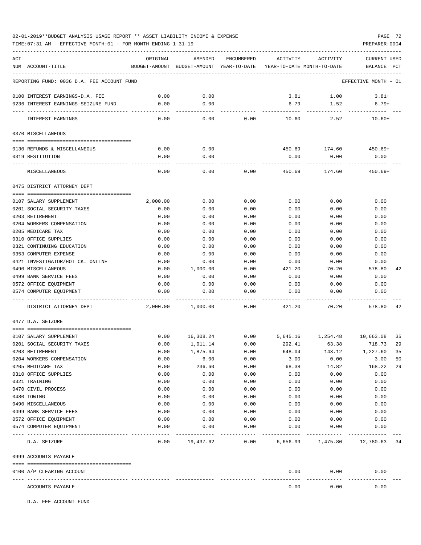# 02-01-2019\*\*BUDGET ANALYSIS USAGE REPORT \*\* ASSET LIABILITY INCOME & EXPENSE PAGE 72

TIME:07:31 AM - EFFECTIVE MONTH:01 - FOR MONTH ENDING 1-31-19 PREPARER:0004

| ACT                                        | ORIGINAL         | AMENDED                                                             | ENCUMBERED | ACTIVITY | ACTIVITY                    | CURRENT USED         |    |
|--------------------------------------------|------------------|---------------------------------------------------------------------|------------|----------|-----------------------------|----------------------|----|
| NUM ACCOUNT-TITLE                          |                  | BUDGET-AMOUNT BUDGET-AMOUNT YEAR-TO-DATE YEAR-TO-DATE MONTH-TO-DATE |            |          |                             | BALANCE PCT          |    |
| REPORTING FUND: 0036 D.A. FEE ACCOUNT FUND |                  |                                                                     |            |          |                             | EFFECTIVE MONTH - 01 |    |
| 0100 INTEREST EARNINGS-D.A. FEE            | 0.00             | 0.00                                                                |            | 3.81     | 1.00                        | $3.81+$              |    |
| 0236 INTEREST EARNINGS-SEIZURE FUND        | 0.00             | 0.00                                                                |            | 6.79     | 1.52                        | $6.79+$              |    |
|                                            |                  | $- - - -$                                                           |            |          |                             |                      |    |
| INTEREST EARNINGS                          | 0.00             | 0.00                                                                | 0.00       | 10.60    | 2.52                        | $10.60+$             |    |
| 0370 MISCELLANEOUS                         |                  |                                                                     |            |          |                             |                      |    |
|                                            |                  |                                                                     |            |          |                             |                      |    |
| 0130 REFUNDS & MISCELLANEOUS               | 0.00<br>0.00     | 0.00<br>0.00                                                        |            | 450.69   | 174.60                      | 450.69+              |    |
| 0319 RESTITUTION                           |                  |                                                                     |            | 0.00     | 0.00                        | 0.00                 |    |
| MISCELLANEOUS                              | 0.00             | 0.00                                                                | 0.00       | 450.69   | 174.60                      | $450.69+$            |    |
| 0475 DISTRICT ATTORNEY DEPT                |                  |                                                                     |            |          |                             |                      |    |
| 0107 SALARY SUPPLEMENT                     |                  | 0.00                                                                | 0.00       | 0.00     | 0.00                        | 0.00                 |    |
| 0201 SOCIAL SECURITY TAXES                 | 2,000.00<br>0.00 | 0.00                                                                | 0.00       | 0.00     | 0.00                        | 0.00                 |    |
| 0203 RETIREMENT                            | 0.00             | 0.00                                                                | 0.00       | 0.00     | 0.00                        | 0.00                 |    |
| 0204 WORKERS COMPENSATION                  | 0.00             | 0.00                                                                | 0.00       | 0.00     | 0.00                        | 0.00                 |    |
| 0205 MEDICARE TAX                          | 0.00             | 0.00                                                                | 0.00       | 0.00     | 0.00                        | 0.00                 |    |
| 0310 OFFICE SUPPLIES                       | 0.00             | 0.00                                                                | 0.00       | 0.00     | 0.00                        | 0.00                 |    |
| 0321 CONTINUING EDUCATION                  | 0.00             | 0.00                                                                | 0.00       | 0.00     | 0.00                        | 0.00                 |    |
| 0353 COMPUTER EXPENSE                      | 0.00             | 0.00                                                                | 0.00       | 0.00     | 0.00                        | 0.00                 |    |
| 0421 INVESTIGATOR/HOT CK. ONLINE           | 0.00             | 0.00                                                                | 0.00       | 0.00     | 0.00                        | 0.00                 |    |
| 0490 MISCELLANEOUS                         | 0.00             | 1,000.00                                                            | 0.00       | 421.20   | 70.20                       | 578.80               | 42 |
| 0499 BANK SERVICE FEES                     | 0.00             | 0.00                                                                | 0.00       | 0.00     | 0.00                        | 0.00                 |    |
| 0572 OFFICE EQUIPMENT                      | 0.00             | 0.00                                                                | 0.00       | 0.00     | 0.00                        | 0.00                 |    |
| 0574 COMPUTER EQUIPMENT                    | 0.00             | 0.00                                                                | 0.00       | 0.00     | 0.00                        | 0.00                 |    |
|                                            |                  |                                                                     |            |          |                             |                      |    |
| DISTRICT ATTORNEY DEPT                     | 2,000.00         | 1,000.00                                                            | 0.00       | 421.20   | 70.20                       | 578.80               | 42 |
| 0477 D.A. SEIZURE                          |                  |                                                                     |            |          |                             |                      |    |
| 0107 SALARY SUPPLEMENT                     | 0.00             | 16,308.24                                                           | 0.00       |          | 5,645.16 1,254.48 10,663.08 |                      | 35 |
| 0201 SOCIAL SECURITY TAXES                 | 0.00             | 1,011.14                                                            | 0.00       | 292.41   | 63.38                       | 718.73               | 29 |
| 0203 RETIREMENT                            | 0.00             | 1,875.64                                                            | 0.00       | 648.04   | 143.12                      | 1,227.60             | 35 |
| 0204 WORKERS COMPENSATION                  | 0.00             | 6.00                                                                | 0.00       | 3.00     | 0.00                        | 3.00                 | 50 |
| 0205 MEDICARE TAX                          | 0.00             | 236.60                                                              | 0.00       | 68.38    | 14.82                       | 168.22               | 29 |
| 0310 OFFICE SUPPLIES                       | 0.00             | 0.00                                                                | 0.00       | 0.00     | 0.00                        | 0.00                 |    |
| 0321 TRAINING                              | 0.00             | 0.00                                                                | 0.00       | 0.00     | 0.00                        | 0.00                 |    |
| 0470 CIVIL PROCESS                         | 0.00             | 0.00                                                                | 0.00       | 0.00     | 0.00                        | 0.00                 |    |
| 0480 TOWING                                | 0.00             | 0.00                                                                | 0.00       | 0.00     | 0.00                        | 0.00                 |    |
| 0490 MISCELLANEOUS                         | 0.00             | 0.00                                                                | 0.00       | 0.00     | 0.00                        | 0.00                 |    |
| 0499 BANK SERVICE FEES                     | 0.00             | 0.00                                                                | 0.00       | 0.00     | 0.00                        | 0.00                 |    |
| 0572 OFFICE EQUIPMENT                      | 0.00             | 0.00                                                                | 0.00       | 0.00     | 0.00                        | 0.00                 |    |
| 0574 COMPUTER EQUIPMENT                    | 0.00             | 0.00                                                                | 0.00       | 0.00     | 0.00                        | 0.00                 |    |
| D.A. SEIZURE                               | 0.00             | 19,437.62                                                           | 0.00       |          | 6,656.99 1,475.80           | 12,780.63 34         |    |
| 0999 ACCOUNTS PAYABLE                      |                  |                                                                     |            |          |                             |                      |    |
|                                            |                  |                                                                     |            |          |                             |                      |    |
| 0100 A/P CLEARING ACCOUNT                  |                  |                                                                     |            | 0.00     | 0.00                        | 0.00                 |    |
| ACCOUNTS PAYABLE                           |                  |                                                                     |            | 0.00     | 0.00                        | 0.00                 |    |

D.A. FEE ACCOUNT FUND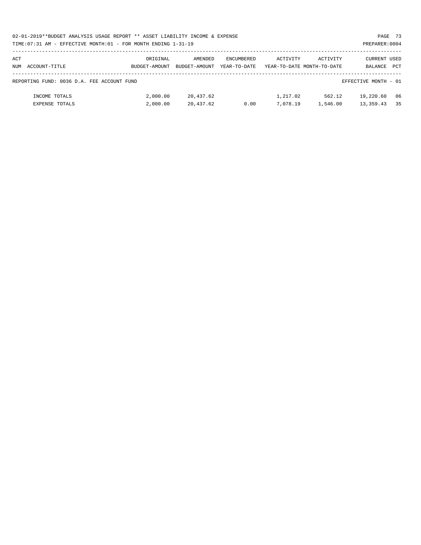| 02-01-2019**BUDGET ANALYSIS USAGE REPORT ** ASSET LIABILITY INCOME & EXPENSE | PAGE 73        |
|------------------------------------------------------------------------------|----------------|
| TIME: 07:31 AM - EFFECTIVE MONTH: 01 - FOR MONTH ENDING 1-31-19              | PREPARER: 0004 |

| ACT<br>ACCOUNT-TITLE<br>NUM                | ORIGINAL<br>BUDGET-AMOUNT | AMENDED<br>BUDGET-AMOUNT | ENCUMBERED<br>YEAR-TO-DATE | ACTIVITY             | ACTIVITY<br>YEAR-TO-DATE MONTH-TO-DATE | CURRENT USED<br>BALANCE  | <b>PCT</b> |
|--------------------------------------------|---------------------------|--------------------------|----------------------------|----------------------|----------------------------------------|--------------------------|------------|
| REPORTING FUND: 0036 D.A. FEE ACCOUNT FUND |                           |                          |                            |                      |                                        | EFFECTIVE MONTH - 01     |            |
| INCOME TOTALS<br><b>EXPENSE TOTALS</b>     | 2,000.00<br>2,000.00      | 20,437.62<br>20,437.62   | 0.00                       | 1,217.02<br>7,078.19 | 562.12<br>1,546.00                     | 19,220.60<br>13, 359. 43 | 06<br>35   |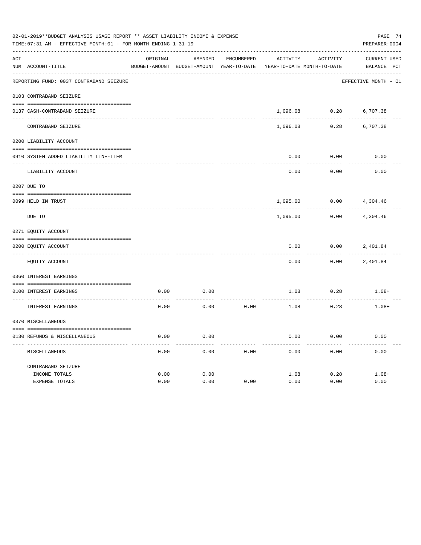|     | 02-01-2019**BUDGET ANALYSIS USAGE REPORT ** ASSET LIABILITY INCOME & EXPENSE<br>PREPARER: 0004<br>TIME: 07:31 AM - EFFECTIVE MONTH: 01 - FOR MONTH ENDING 1-31-19 |          |                                                     |            |          |                                        |                                    |  |  |  |
|-----|-------------------------------------------------------------------------------------------------------------------------------------------------------------------|----------|-----------------------------------------------------|------------|----------|----------------------------------------|------------------------------------|--|--|--|
| ACT | NUM ACCOUNT-TITLE                                                                                                                                                 | ORIGINAL | AMENDED<br>BUDGET-AMOUNT BUDGET-AMOUNT YEAR-TO-DATE | ENCUMBERED | ACTIVITY | ACTIVITY<br>YEAR-TO-DATE MONTH-TO-DATE | <b>CURRENT USED</b><br>BALANCE PCT |  |  |  |
|     | REPORTING FUND: 0037 CONTRABAND SEIZURE                                                                                                                           |          |                                                     |            |          |                                        | EFFECTIVE MONTH - 01               |  |  |  |
|     |                                                                                                                                                                   |          |                                                     |            |          |                                        |                                    |  |  |  |
|     | 0103 CONTRABAND SEIZURE                                                                                                                                           |          |                                                     |            |          |                                        |                                    |  |  |  |
|     | 0137 CASH-CONTRABAND SEIZURE                                                                                                                                      |          |                                                     |            | 1,096.08 | 0.28                                   | 6,707.38                           |  |  |  |
|     | CONTRABAND SEIZURE                                                                                                                                                |          |                                                     |            | 1,096.08 | 0.28                                   | 6,707.38                           |  |  |  |
|     | 0200 LIABILITY ACCOUNT                                                                                                                                            |          |                                                     |            |          |                                        |                                    |  |  |  |
|     | 0910 SYSTEM ADDED LIABILITY LINE-ITEM                                                                                                                             |          |                                                     |            | 0.00     | 0.00                                   | 0.00                               |  |  |  |
|     | LIABILITY ACCOUNT                                                                                                                                                 |          |                                                     |            | 0.00     | 0.00                                   | 0.00                               |  |  |  |
|     | 0207 DUE TO                                                                                                                                                       |          |                                                     |            |          |                                        |                                    |  |  |  |
|     | 0099 HELD IN TRUST                                                                                                                                                |          |                                                     |            | 1,095.00 | 0.00                                   | 4,304.46                           |  |  |  |
|     | DUE TO                                                                                                                                                            |          |                                                     |            | 1,095.00 | 0.00                                   | 4,304.46                           |  |  |  |
|     | 0271 EQUITY ACCOUNT                                                                                                                                               |          |                                                     |            |          |                                        |                                    |  |  |  |
|     | 0200 EOUITY ACCOUNT                                                                                                                                               |          |                                                     |            | 0.00     | 0.00                                   | 2,401.84                           |  |  |  |
|     | EQUITY ACCOUNT                                                                                                                                                    |          |                                                     |            | 0.00     | 0.00                                   | 2,401.84                           |  |  |  |
|     | 0360 INTEREST EARNINGS                                                                                                                                            |          |                                                     |            |          |                                        |                                    |  |  |  |
|     | 0100 INTEREST EARNINGS                                                                                                                                            | 0.00     | 0.00                                                |            | 1.08     | 0.28                                   | $1.08+$                            |  |  |  |
|     | INTEREST EARNINGS                                                                                                                                                 | 0.00     | 0.00                                                | 0.00       | 1.08     | 0.28                                   | $1.08+$                            |  |  |  |
|     | 0370 MISCELLANEOUS                                                                                                                                                |          |                                                     |            |          |                                        |                                    |  |  |  |
|     | 0130 REFUNDS & MISCELLANEOUS                                                                                                                                      | 0.00     | 0.00                                                |            | 0.00     | 0.00                                   | 0.00                               |  |  |  |
|     | MISCELLANEOUS                                                                                                                                                     | 0.00     | 0.00                                                | 0.00       | 0.00     | 0.00                                   | 0.00                               |  |  |  |
|     | CONTRABAND SEIZURE                                                                                                                                                |          |                                                     |            |          |                                        |                                    |  |  |  |
|     | INCOME TOTALS                                                                                                                                                     | 0.00     | 0.00                                                |            | 1.08     | 0.28                                   | $1.08+$                            |  |  |  |
|     | EXPENSE TOTALS                                                                                                                                                    | 0.00     | 0.00                                                | 0.00       | 0.00     | 0.00                                   | 0.00                               |  |  |  |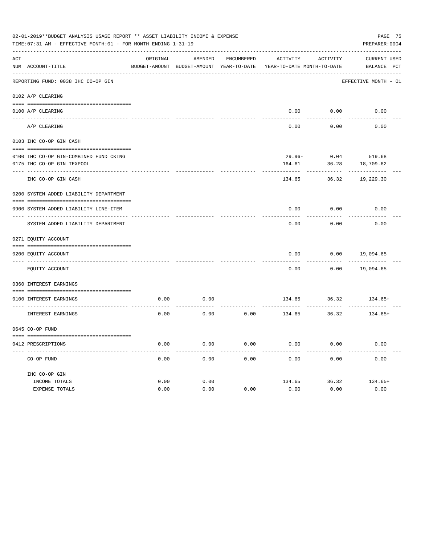| PAGE 75<br>02-01-2019**BUDGET ANALYSIS USAGE REPORT ** ASSET LIABILITY INCOME & EXPENSE<br>PREPARER: 0004<br>TIME: 07:31 AM - EFFECTIVE MONTH: 01 - FOR MONTH ENDING 1-31-19 |                                               |          |                                                     |                   |                                        |          |                                    |  |  |
|------------------------------------------------------------------------------------------------------------------------------------------------------------------------------|-----------------------------------------------|----------|-----------------------------------------------------|-------------------|----------------------------------------|----------|------------------------------------|--|--|
| ACT                                                                                                                                                                          | NUM ACCOUNT-TITLE                             | ORIGINAL | AMENDED<br>BUDGET-AMOUNT BUDGET-AMOUNT YEAR-TO-DATE | <b>ENCUMBERED</b> | ACTIVITY<br>YEAR-TO-DATE MONTH-TO-DATE | ACTIVITY | <b>CURRENT USED</b><br>BALANCE PCT |  |  |
|                                                                                                                                                                              | REPORTING FUND: 0038 IHC CO-OP GIN            |          |                                                     |                   |                                        |          | EFFECTIVE MONTH - 01               |  |  |
|                                                                                                                                                                              | 0102 A/P CLEARING                             |          |                                                     |                   |                                        |          |                                    |  |  |
|                                                                                                                                                                              | 0100 A/P CLEARING                             |          |                                                     |                   | 0.00                                   | 0.00     | 0.00                               |  |  |
|                                                                                                                                                                              | A/P CLEARING                                  |          |                                                     |                   | 0.00                                   | 0.00     | 0.00                               |  |  |
|                                                                                                                                                                              | 0103 IHC CO-OP GIN CASH                       |          |                                                     |                   |                                        |          |                                    |  |  |
|                                                                                                                                                                              | 0100 IHC CO-OP GIN-COMBINED FUND CKING        |          |                                                     |                   | $29.96 -$                              | 0.04     | 519.68                             |  |  |
|                                                                                                                                                                              | 0175 IHC CO-OP GIN TEXPOOL                    |          |                                                     |                   | 164.61                                 | 36.28    | 18,709.62                          |  |  |
|                                                                                                                                                                              | IHC CO-OP GIN CASH                            |          |                                                     |                   | 134.65                                 | 36.32    | 19,229.30                          |  |  |
|                                                                                                                                                                              | 0200 SYSTEM ADDED LIABILITY DEPARTMENT        |          |                                                     |                   |                                        |          |                                    |  |  |
|                                                                                                                                                                              |                                               |          |                                                     |                   |                                        |          |                                    |  |  |
|                                                                                                                                                                              | 0900 SYSTEM ADDED LIABILITY LINE-ITEM         |          |                                                     |                   | 0.00                                   | 0.00     | 0.00                               |  |  |
|                                                                                                                                                                              | SYSTEM ADDED LIABILITY DEPARTMENT             |          |                                                     |                   | 0.00                                   | 0.00     | 0.00                               |  |  |
|                                                                                                                                                                              | 0271 EQUITY ACCOUNT                           |          |                                                     |                   |                                        |          |                                    |  |  |
|                                                                                                                                                                              |                                               |          |                                                     |                   |                                        |          |                                    |  |  |
|                                                                                                                                                                              | 0200 EQUITY ACCOUNT<br>---- ----------------- |          |                                                     |                   | 0.00                                   | 0.00     | 19,094.65                          |  |  |
|                                                                                                                                                                              | EQUITY ACCOUNT                                |          |                                                     |                   | 0.00                                   | 0.00     | 19,094.65                          |  |  |
|                                                                                                                                                                              | 0360 INTEREST EARNINGS                        |          |                                                     |                   |                                        |          |                                    |  |  |
|                                                                                                                                                                              | 0100 INTEREST EARNINGS                        | 0.00     | 0.00                                                |                   | 134.65                                 | 36.32    | $134.65+$                          |  |  |
|                                                                                                                                                                              | INTEREST EARNINGS                             | 0.00     | 0.00                                                | 0.00              | 134.65                                 | 36.32    | $134.65+$                          |  |  |
|                                                                                                                                                                              | 0645 CO-OP FUND                               |          |                                                     |                   |                                        |          |                                    |  |  |
|                                                                                                                                                                              | 0412 PRESCRIPTIONS                            | 0.00     | 0.00                                                | 0.00              | 0.00                                   | 0.00     | 0.00                               |  |  |
|                                                                                                                                                                              | CO-OP FUND                                    | 0.00     | 0.00                                                | 0.00              | 0.00                                   | 0.00     | 0.00                               |  |  |
|                                                                                                                                                                              | IHC CO-OP GIN                                 |          |                                                     |                   |                                        |          |                                    |  |  |
|                                                                                                                                                                              | INCOME TOTALS                                 | 0.00     | 0.00                                                |                   | 134.65                                 | 36.32    | $134.65+$                          |  |  |
|                                                                                                                                                                              | <b>EXPENSE TOTALS</b>                         | 0.00     | 0.00                                                | 0.00              | 0.00                                   | 0.00     | 0.00                               |  |  |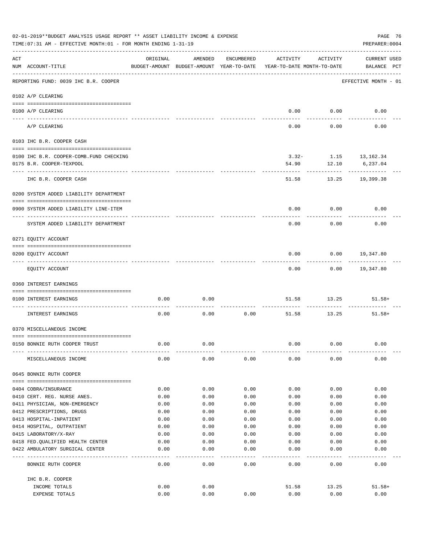| 02-01-2019**BUDGET ANALYSIS USAGE REPORT ** ASSET LIABILITY INCOME & EXPENSE<br>TIME: 07:31 AM - EFFECTIVE MONTH: 01 - FOR MONTH ENDING 1-31-19<br>PREPARER: 0004 |                                                                      |          |                                                     |            |                                        |                          |                                    |  |
|-------------------------------------------------------------------------------------------------------------------------------------------------------------------|----------------------------------------------------------------------|----------|-----------------------------------------------------|------------|----------------------------------------|--------------------------|------------------------------------|--|
| ACT                                                                                                                                                               | NUM ACCOUNT-TITLE                                                    | ORIGINAL | AMENDED<br>BUDGET-AMOUNT BUDGET-AMOUNT YEAR-TO-DATE | ENCUMBERED | ACTIVITY<br>YEAR-TO-DATE MONTH-TO-DATE | ACTIVITY                 | <b>CURRENT USED</b><br>BALANCE PCT |  |
|                                                                                                                                                                   | REPORTING FUND: 0039 IHC B.R. COOPER                                 |          |                                                     |            |                                        |                          | EFFECTIVE MONTH - 01               |  |
|                                                                                                                                                                   | 0102 A/P CLEARING                                                    |          |                                                     |            |                                        |                          |                                    |  |
|                                                                                                                                                                   | 0100 A/P CLEARING<br>---- ---------                                  |          |                                                     |            |                                        | $0.00$ 0.00              | 0.00                               |  |
|                                                                                                                                                                   | A/P CLEARING                                                         |          |                                                     |            | 0.00                                   | 0.00                     | 0.00                               |  |
|                                                                                                                                                                   | 0103 IHC B.R. COOPER CASH                                            |          |                                                     |            |                                        |                          |                                    |  |
|                                                                                                                                                                   | 0100 IHC B.R. COOPER-COMB.FUND CHECKING                              |          |                                                     |            |                                        | $3.32 - 1.15$ 13, 162.34 |                                    |  |
|                                                                                                                                                                   | 0175 B.R. COOPER-TEXPOOL                                             |          |                                                     |            | 54.90                                  |                          |                                    |  |
|                                                                                                                                                                   |                                                                      |          |                                                     |            |                                        | 12.10                    | 6,237.04                           |  |
|                                                                                                                                                                   | IHC B.R. COOPER CASH                                                 |          |                                                     |            | 51.58                                  | 13.25                    | 19,399.38                          |  |
|                                                                                                                                                                   | 0200 SYSTEM ADDED LIABILITY DEPARTMENT                               |          |                                                     |            |                                        |                          |                                    |  |
|                                                                                                                                                                   | 0900 SYSTEM ADDED LIABILITY LINE-ITEM                                |          |                                                     |            | 0.00                                   | 0.00                     | 0.00                               |  |
|                                                                                                                                                                   | SYSTEM ADDED LIABILITY DEPARTMENT                                    |          |                                                     |            | 0.00                                   | 0.00                     | 0.00                               |  |
|                                                                                                                                                                   | 0271 EQUITY ACCOUNT                                                  |          |                                                     |            |                                        |                          |                                    |  |
|                                                                                                                                                                   |                                                                      |          |                                                     |            |                                        |                          |                                    |  |
|                                                                                                                                                                   | 0200 EQUITY ACCOUNT                                                  |          |                                                     |            | 0.00                                   | 0.00                     | 19,347.80                          |  |
|                                                                                                                                                                   | EQUITY ACCOUNT                                                       |          |                                                     |            | 0.00                                   |                          | 0.00 19,347.80                     |  |
|                                                                                                                                                                   | 0360 INTEREST EARNINGS                                               |          |                                                     |            |                                        |                          |                                    |  |
|                                                                                                                                                                   | 0100 INTEREST EARNINGS                                               | 0.00     | 0.00                                                |            | 51.58                                  | 13.25                    | $51.58+$                           |  |
|                                                                                                                                                                   | INTEREST EARNINGS                                                    | 0.00     | 0.00                                                | 0.00       | 51.58                                  | 13.25                    | $51.58+$                           |  |
|                                                                                                                                                                   | 0370 MISCELLANEOUS INCOME                                            |          |                                                     |            |                                        |                          |                                    |  |
|                                                                                                                                                                   |                                                                      |          |                                                     |            |                                        |                          |                                    |  |
|                                                                                                                                                                   | 0150 BONNIE RUTH COOPER TRUST                                        | 0.00     | 0.00                                                |            | 0.00                                   | 0.00                     | 0.00                               |  |
|                                                                                                                                                                   | MISCELLANEOUS INCOME                                                 | 0.00     | 0.00                                                | 0.00       | 0.00                                   | 0.00                     | 0.00                               |  |
|                                                                                                                                                                   | 0645 BONNIE RUTH COOPER                                              |          |                                                     |            |                                        |                          |                                    |  |
|                                                                                                                                                                   | 0404 COBRA/INSURANCE                                                 | 0.00     | 0.00                                                | 0.00       | 0.00                                   | 0.00                     | 0.00                               |  |
|                                                                                                                                                                   | 0410 CERT. REG. NURSE ANES.                                          | 0.00     | 0.00                                                | 0.00       | 0.00                                   | 0.00                     | 0.00                               |  |
|                                                                                                                                                                   | 0411 PHYSICIAN, NON-EMERGENCY                                        | 0.00     | 0.00                                                | 0.00       | 0.00                                   | 0.00                     | 0.00                               |  |
|                                                                                                                                                                   | 0412 PRESCRIPTIONS, DRUGS                                            | 0.00     | 0.00                                                | 0.00       | 0.00                                   | 0.00                     | 0.00                               |  |
|                                                                                                                                                                   | 0413 HOSPITAL-INPATIENT                                              | 0.00     | 0.00                                                | 0.00       | 0.00                                   | 0.00                     | 0.00                               |  |
|                                                                                                                                                                   | 0414 HOSPITAL, OUTPATIENT                                            | 0.00     | 0.00                                                | 0.00       | 0.00                                   | 0.00                     | 0.00                               |  |
|                                                                                                                                                                   | 0415 LABORATORY/X-RAY                                                | 0.00     | 0.00                                                | 0.00       | 0.00                                   | 0.00                     | 0.00                               |  |
|                                                                                                                                                                   | 0418 FED. QUALIFIED HEALTH CENTER                                    | 0.00     | 0.00                                                | 0.00       | 0.00                                   | 0.00                     | 0.00                               |  |
|                                                                                                                                                                   | 0422 AMBULATORY SURGICAL CENTER<br>--------------------------------- | 0.00     | 0.00                                                | 0.00       | 0.00                                   | 0.00                     | 0.00<br>-----                      |  |
|                                                                                                                                                                   | BONNIE RUTH COOPER                                                   | 0.00     | 0.00                                                | 0.00       | 0.00                                   | 0.00                     | 0.00                               |  |
|                                                                                                                                                                   | IHC B.R. COOPER                                                      |          |                                                     |            |                                        |                          |                                    |  |
|                                                                                                                                                                   | INCOME TOTALS                                                        | 0.00     | 0.00                                                |            | 51.58                                  | 13.25                    | $51.58+$                           |  |
|                                                                                                                                                                   | EXPENSE TOTALS                                                       | 0.00     | 0.00                                                | 0.00       | 0.00                                   | 0.00                     | 0.00                               |  |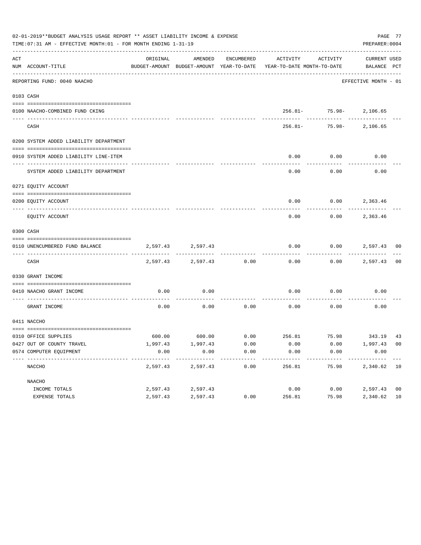|     | 02-01-2019**BUDGET ANALYSIS USAGE REPORT ** ASSET LIABILITY INCOME & EXPENSE<br>TIME: 07:31 AM - EFFECTIVE MONTH: 01 - FOR MONTH ENDING 1-31-19 |          |                   |               |                                                                                             |                             | PAGE 77<br>PREPARER: 0004 |                |
|-----|-------------------------------------------------------------------------------------------------------------------------------------------------|----------|-------------------|---------------|---------------------------------------------------------------------------------------------|-----------------------------|---------------------------|----------------|
| ACT | NUM ACCOUNT-TITLE                                                                                                                               | ORIGINAL | AMENDED           | ENCUMBERED    | ACTIVITY<br>BUDGET-AMOUNT BUDGET-AMOUNT YEAR-TO-DATE YEAR-TO-DATE MONTH-TO-DATE BALANCE PCT | ACTIVITY                    | CURRENT USED              |                |
|     | REPORTING FUND: 0040 NAACHO                                                                                                                     |          |                   |               |                                                                                             |                             | EFFECTIVE MONTH - 01      |                |
|     | 0103 CASH                                                                                                                                       |          |                   |               |                                                                                             |                             |                           |                |
|     | 0100 NAACHO-COMBINED FUND CKING                                                                                                                 |          |                   |               |                                                                                             | 256.81- 75.98- 2,106.65     |                           |                |
|     | CASH                                                                                                                                            |          |                   |               |                                                                                             | $256.81 - 75.98 - 2,106.65$ |                           |                |
|     | 0200 SYSTEM ADDED LIABILITY DEPARTMENT                                                                                                          |          |                   |               |                                                                                             |                             |                           |                |
|     | 0910 SYSTEM ADDED LIABILITY LINE-ITEM                                                                                                           |          |                   |               | 0.00                                                                                        | 0.00                        | 0.00                      |                |
|     | SYSTEM ADDED LIABILITY DEPARTMENT                                                                                                               |          |                   |               | 0.00                                                                                        | 0.00                        | 0.00                      |                |
|     | 0271 EQUITY ACCOUNT                                                                                                                             |          |                   |               |                                                                                             |                             |                           |                |
|     | 0200 EQUITY ACCOUNT                                                                                                                             |          |                   |               | 0.00                                                                                        | $0.00$ 2,363.46             |                           |                |
|     | EQUITY ACCOUNT                                                                                                                                  |          |                   |               | 0.00                                                                                        | 0.00                        | 2,363.46                  |                |
|     | 0300 CASH                                                                                                                                       |          |                   |               |                                                                                             |                             |                           |                |
|     | 0110 UNENCUMBERED FUND BALANCE                                                                                                                  |          | 2,597.43 2,597.43 |               | 0.00                                                                                        | $0.00$ 2,597.43 00          |                           |                |
|     | CASH                                                                                                                                            | 2,597.43 |                   | 2,597.43 0.00 | 0.00                                                                                        |                             | $0.00$ 2,597.43 00        |                |
|     | 0330 GRANT INCOME                                                                                                                               |          |                   |               |                                                                                             |                             |                           |                |
|     | 0410 NAACHO GRANT INCOME                                                                                                                        | 0.00     | 0.00              |               | 0.00                                                                                        | 0.00                        | 0.00                      |                |
|     | ---------------- ---<br>GRANT INCOME                                                                                                            | 0.00     | 0.00              | 0.00          | 0.00                                                                                        | 0.00                        | 0.00                      |                |
|     | 0411 NACCHO                                                                                                                                     |          |                   |               |                                                                                             |                             |                           |                |
|     | 0310 OFFICE SUPPLIES                                                                                                                            |          |                   |               | $600.00$ $600.00$ $0.00$ $256.81$ $75.98$ $343.19$ $43$                                     |                             |                           |                |
|     | 0427 OUT OF COUNTY TRAVEL                                                                                                                       | 1,997.43 | 1,997.43          | 0.00          | 0.00                                                                                        | 0.00                        | 1,997.43 00               |                |
|     | 0574 COMPUTER EQUIPMENT                                                                                                                         | 0.00     | 0.00              | 0.00          | 0.00                                                                                        | 0.00                        | 0.00                      |                |
|     | NACCHO                                                                                                                                          | 2,597.43 | 2,597.43          | 0.00          | 256.81                                                                                      | 75.98                       | 2,340.62                  | 10             |
|     | NAACHO                                                                                                                                          |          |                   |               |                                                                                             |                             |                           |                |
|     | INCOME TOTALS                                                                                                                                   | 2,597.43 | 2,597.43          |               | 0.00                                                                                        | 0.00                        | 2,597.43                  | 0 <sub>0</sub> |
|     | EXPENSE TOTALS                                                                                                                                  | 2,597.43 | 2,597.43          | 0.00          | 256.81                                                                                      | 75.98                       | 2,340.62                  | 10             |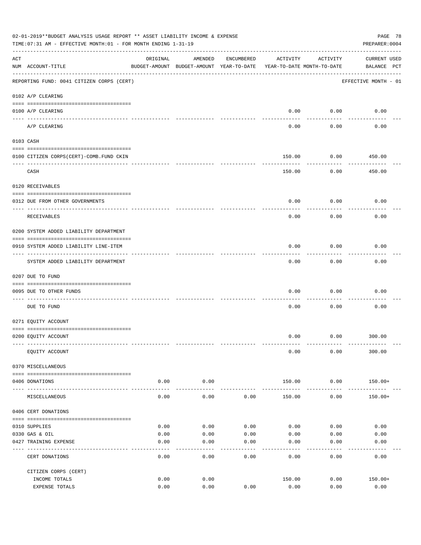|     | 02-01-2019**BUDGET ANALYSIS USAGE REPORT ** ASSET LIABILITY INCOME & EXPENSE<br>PAGE 78<br>PREPARER: 0004<br>TIME:07:31 AM - EFFECTIVE MONTH:01 - FOR MONTH ENDING 1-31-19 |                                                                                 |                     |            |                |                           |                                    |  |  |  |
|-----|----------------------------------------------------------------------------------------------------------------------------------------------------------------------------|---------------------------------------------------------------------------------|---------------------|------------|----------------|---------------------------|------------------------------------|--|--|--|
| ACT | NUM ACCOUNT-TITLE                                                                                                                                                          | ORIGINAL<br>BUDGET-AMOUNT BUDGET-AMOUNT YEAR-TO-DATE YEAR-TO-DATE MONTH-TO-DATE | AMENDED             | ENCUMBERED | ACTIVITY       | ACTIVITY                  | <b>CURRENT USED</b><br>BALANCE PCT |  |  |  |
|     | REPORTING FUND: 0041 CITIZEN CORPS (CERT)                                                                                                                                  |                                                                                 |                     |            |                |                           | EFFECTIVE MONTH - 01               |  |  |  |
|     | 0102 A/P CLEARING                                                                                                                                                          |                                                                                 |                     |            |                |                           |                                    |  |  |  |
|     | 0100 A/P CLEARING                                                                                                                                                          |                                                                                 |                     |            | 0.00           | 0.00                      | 0.00                               |  |  |  |
|     | A/P CLEARING                                                                                                                                                               |                                                                                 |                     |            | 0.00           | ----------<br>0.00        | 0.00                               |  |  |  |
|     | 0103 CASH                                                                                                                                                                  |                                                                                 |                     |            |                |                           |                                    |  |  |  |
|     | 0100 CITIZEN CORPS (CERT)-COMB. FUND CKIN                                                                                                                                  |                                                                                 |                     |            | 150.00         | 0.00                      | 450.00                             |  |  |  |
|     | CASH                                                                                                                                                                       |                                                                                 |                     |            | 150.00         | ----------<br>0.00        | . <u>.</u><br>450.00               |  |  |  |
|     | 0120 RECEIVABLES                                                                                                                                                           |                                                                                 |                     |            |                |                           |                                    |  |  |  |
|     | 0312 DUE FROM OTHER GOVERNMENTS                                                                                                                                            |                                                                                 |                     |            | 0.00           | 0.00                      | 0.00                               |  |  |  |
|     | RECEIVABLES                                                                                                                                                                |                                                                                 |                     |            | 0.00           | 0.00                      | 0.00                               |  |  |  |
|     | 0200 SYSTEM ADDED LIABILITY DEPARTMENT                                                                                                                                     |                                                                                 |                     |            |                |                           |                                    |  |  |  |
|     | 0910 SYSTEM ADDED LIABILITY LINE-ITEM                                                                                                                                      |                                                                                 |                     |            | 0.00           | 0.00                      | 0.00                               |  |  |  |
|     | SYSTEM ADDED LIABILITY DEPARTMENT                                                                                                                                          |                                                                                 |                     |            | 0.00           | - - - - - - - - -<br>0.00 | 0.00                               |  |  |  |
|     | 0207 DUE TO FUND                                                                                                                                                           |                                                                                 |                     |            |                |                           |                                    |  |  |  |
|     | 0095 DUE TO OTHER FUNDS                                                                                                                                                    |                                                                                 |                     |            | 0.00           | 0.00                      | 0.00                               |  |  |  |
|     | DUE TO FUND                                                                                                                                                                |                                                                                 |                     |            | 0.00           | 0.00                      | 0.00                               |  |  |  |
|     | 0271 EQUITY ACCOUNT                                                                                                                                                        |                                                                                 |                     |            |                |                           |                                    |  |  |  |
|     | 0200 EQUITY ACCOUNT                                                                                                                                                        |                                                                                 |                     |            |                |                           | $0.00$ $0.00$ $300.00$             |  |  |  |
|     | EQUITY ACCOUNT                                                                                                                                                             |                                                                                 |                     |            | 0.00           | 0.00                      | 300.00                             |  |  |  |
|     | 0370 MISCELLANEOUS                                                                                                                                                         |                                                                                 |                     |            |                |                           |                                    |  |  |  |
|     | 0406 DONATIONS                                                                                                                                                             | 0.00                                                                            | 0.00                |            | 150.00         | 0.00                      | 150.00+                            |  |  |  |
|     | MISCELLANEOUS                                                                                                                                                              | ------------<br>0.00                                                            | -----------<br>0.00 | 0.00       | 150.00         | ----------<br>0.00        | $150.00+$                          |  |  |  |
|     | 0406 CERT DONATIONS                                                                                                                                                        |                                                                                 |                     |            |                |                           |                                    |  |  |  |
|     | 0310 SUPPLIES                                                                                                                                                              | 0.00                                                                            | 0.00                | 0.00       | 0.00           | 0.00                      | 0.00                               |  |  |  |
|     | 0330 GAS & OIL                                                                                                                                                             | 0.00                                                                            | 0.00                | 0.00       | 0.00           | 0.00                      | 0.00                               |  |  |  |
|     | 0427 TRAINING EXPENSE                                                                                                                                                      | 0.00                                                                            | 0.00                | 0.00       | 0.00           | 0.00                      | 0.00                               |  |  |  |
|     | CERT DONATIONS                                                                                                                                                             | 0.00                                                                            | 0.00                | 0.00       | 0.00           | 0.00                      | 0.00                               |  |  |  |
|     | CITIZEN CORPS (CERT)                                                                                                                                                       |                                                                                 |                     |            |                |                           |                                    |  |  |  |
|     | INCOME TOTALS<br>EXPENSE TOTALS                                                                                                                                            | 0.00<br>0.00                                                                    | 0.00<br>0.00        | 0.00       | 150.00<br>0.00 | 0.00<br>0.00              | $150.00+$<br>0.00                  |  |  |  |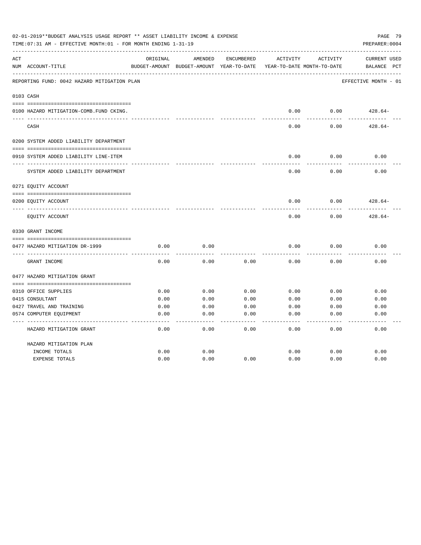|     | 02-01-2019**BUDGET ANALYSIS USAGE REPORT ** ASSET LIABILITY INCOME & EXPENSE<br>PAGE 79<br>TIME: 07:31 AM - EFFECTIVE MONTH: 01 - FOR MONTH ENDING 1-31-19<br>PREPARER: 0004 |          |                                                     |            |          |                                        |                                                |  |  |  |
|-----|------------------------------------------------------------------------------------------------------------------------------------------------------------------------------|----------|-----------------------------------------------------|------------|----------|----------------------------------------|------------------------------------------------|--|--|--|
| ACT | NUM ACCOUNT-TITLE                                                                                                                                                            | ORIGINAL | AMENDED<br>BUDGET-AMOUNT BUDGET-AMOUNT YEAR-TO-DATE | ENCUMBERED | ACTIVITY | ACTIVITY<br>YEAR-TO-DATE MONTH-TO-DATE | <b>CURRENT USED</b><br>BALANCE<br>$_{\rm PCT}$ |  |  |  |
|     | REPORTING FUND: 0042 HAZARD MITIGATION PLAN                                                                                                                                  |          |                                                     |            |          |                                        | EFFECTIVE MONTH - 01                           |  |  |  |
|     | 0103 CASH                                                                                                                                                                    |          |                                                     |            |          |                                        |                                                |  |  |  |
|     | 0100 HAZARD MITIGATION-COMB.FUND CKING.                                                                                                                                      |          |                                                     |            | 0.00     | 0.00                                   | $428.64-$                                      |  |  |  |
|     | CASH                                                                                                                                                                         |          |                                                     |            | 0.00     | 0.00                                   | $428.64-$                                      |  |  |  |
|     | 0200 SYSTEM ADDED LIABILITY DEPARTMENT                                                                                                                                       |          |                                                     |            |          |                                        |                                                |  |  |  |
|     | 0910 SYSTEM ADDED LIABILITY LINE-ITEM                                                                                                                                        |          |                                                     |            | 0.00     | 0.00                                   | 0.00                                           |  |  |  |
|     | SYSTEM ADDED LIABILITY DEPARTMENT                                                                                                                                            |          |                                                     |            | 0.00     | 0.00                                   | 0.00                                           |  |  |  |
|     | 0271 EQUITY ACCOUNT                                                                                                                                                          |          |                                                     |            |          |                                        |                                                |  |  |  |
|     | 0200 EQUITY ACCOUNT                                                                                                                                                          |          |                                                     |            | 0.00     | 0.00                                   | $428.64-$                                      |  |  |  |
|     | EQUITY ACCOUNT                                                                                                                                                               |          |                                                     |            | 0.00     | 0.00                                   | $428.64-$                                      |  |  |  |
|     | 0330 GRANT INCOME                                                                                                                                                            |          |                                                     |            |          |                                        |                                                |  |  |  |
|     | 0477 HAZARD MITIGATION DR-1999                                                                                                                                               | 0.00     | 0.00                                                |            | 0.00     | 0.00                                   | 0.00                                           |  |  |  |
|     | GRANT INCOME                                                                                                                                                                 | 0.00     | 0.00                                                | 0.00       | 0.00     | 0.00                                   | 0.00                                           |  |  |  |
|     | 0477 HAZARD MITIGATION GRANT                                                                                                                                                 |          |                                                     |            |          |                                        |                                                |  |  |  |
|     |                                                                                                                                                                              |          |                                                     |            |          |                                        |                                                |  |  |  |
|     | 0310 OFFICE SUPPLIES                                                                                                                                                         | 0.00     | 0.00                                                | 0.00       | 0.00     | 0.00                                   | 0.00                                           |  |  |  |
|     | 0415 CONSULTANT                                                                                                                                                              | 0.00     | 0.00                                                | 0.00       | 0.00     | 0.00                                   | 0.00                                           |  |  |  |
|     | 0427 TRAVEL AND TRAINING                                                                                                                                                     | 0.00     | 0.00                                                | 0.00       | 0.00     | 0.00                                   | 0.00                                           |  |  |  |
|     | 0574 COMPUTER EQUIPMENT                                                                                                                                                      | 0.00     | 0.00                                                | 0.00       | 0.00     | 0.00                                   | 0.00                                           |  |  |  |
|     | HAZARD MITIGATION GRANT                                                                                                                                                      | 0.00     | 0.00                                                | 0.00       | 0.00     | 0.00                                   | 0.00                                           |  |  |  |
|     | HAZARD MITIGATION PLAN                                                                                                                                                       |          |                                                     |            |          |                                        |                                                |  |  |  |
|     | INCOME TOTALS                                                                                                                                                                | 0.00     | 0.00                                                |            | 0.00     | 0.00                                   | 0.00                                           |  |  |  |
|     | <b>EXPENSE TOTALS</b>                                                                                                                                                        | 0.00     | 0.00                                                | 0.00       | 0.00     | 0.00                                   | 0.00                                           |  |  |  |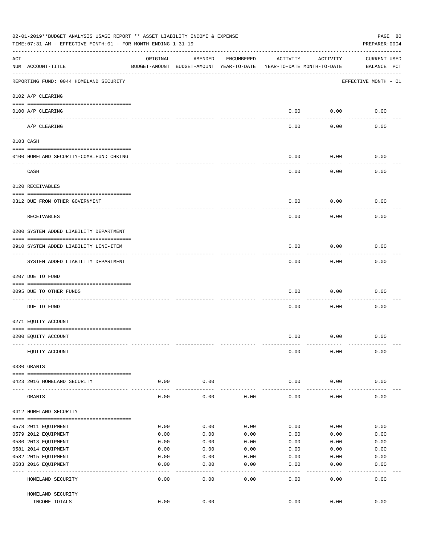|     | 02-01-2019**BUDGET ANALYSIS USAGE REPORT ** ASSET LIABILITY INCOME & EXPENSE<br>PAGE 80<br>PREPARER: 0004<br>TIME:07:31 AM - EFFECTIVE MONTH:01 - FOR MONTH ENDING 1-31-19 |          |                                                     |              |                                        |           |                                    |  |  |  |  |
|-----|----------------------------------------------------------------------------------------------------------------------------------------------------------------------------|----------|-----------------------------------------------------|--------------|----------------------------------------|-----------|------------------------------------|--|--|--|--|
| ACT | NUM ACCOUNT-TITLE                                                                                                                                                          | ORIGINAL | AMENDED<br>BUDGET-AMOUNT BUDGET-AMOUNT YEAR-TO-DATE | ENCUMBERED   | ACTIVITY<br>YEAR-TO-DATE MONTH-TO-DATE | ACTIVITY  | <b>CURRENT USED</b><br>BALANCE PCT |  |  |  |  |
|     | REPORTING FUND: 0044 HOMELAND SECURITY                                                                                                                                     |          |                                                     |              |                                        |           | EFFECTIVE MONTH - 01               |  |  |  |  |
|     | 0102 A/P CLEARING                                                                                                                                                          |          |                                                     |              |                                        |           |                                    |  |  |  |  |
|     | 0100 A/P CLEARING<br>---- ----------                                                                                                                                       |          |                                                     |              | 0.00                                   | 0.00      | 0.00                               |  |  |  |  |
|     | A/P CLEARING                                                                                                                                                               |          |                                                     |              | 0.00                                   | 0.00      | 0.00                               |  |  |  |  |
|     | 0103 CASH                                                                                                                                                                  |          |                                                     |              |                                        |           |                                    |  |  |  |  |
|     | 0100 HOMELAND SECURITY-COMB.FUND CHKING                                                                                                                                    |          |                                                     |              | 0.00                                   | 0.00      | 0.00                               |  |  |  |  |
|     | CASH                                                                                                                                                                       |          |                                                     |              | 0.00                                   | 0.00      | 0.00                               |  |  |  |  |
|     | 0120 RECEIVABLES                                                                                                                                                           |          |                                                     |              |                                        |           |                                    |  |  |  |  |
|     | 0312 DUE FROM OTHER GOVERNMENT                                                                                                                                             |          |                                                     |              | 0.00                                   | 0.00      | 0.00                               |  |  |  |  |
|     |                                                                                                                                                                            |          |                                                     |              |                                        |           |                                    |  |  |  |  |
|     | RECEIVABLES                                                                                                                                                                |          |                                                     |              | 0.00                                   | 0.00      | 0.00                               |  |  |  |  |
|     | 0200 SYSTEM ADDED LIABILITY DEPARTMENT                                                                                                                                     |          |                                                     |              |                                        |           |                                    |  |  |  |  |
|     | 0910 SYSTEM ADDED LIABILITY LINE-ITEM                                                                                                                                      |          |                                                     |              | 0.00                                   | 0.00      | 0.00                               |  |  |  |  |
|     | SYSTEM ADDED LIABILITY DEPARTMENT                                                                                                                                          |          |                                                     |              | 0.00                                   | 0.00      | 0.00                               |  |  |  |  |
|     | 0207 DUE TO FUND                                                                                                                                                           |          |                                                     |              |                                        |           |                                    |  |  |  |  |
|     | 0095 DUE TO OTHER FUNDS                                                                                                                                                    |          |                                                     |              | 0.00                                   | 0.00      | 0.00                               |  |  |  |  |
|     | DUE TO FUND                                                                                                                                                                |          |                                                     |              | 0.00                                   | 0.00      | 0.00                               |  |  |  |  |
|     | 0271 EQUITY ACCOUNT                                                                                                                                                        |          |                                                     |              |                                        |           |                                    |  |  |  |  |
|     | 0200 EQUITY ACCOUNT                                                                                                                                                        |          |                                                     |              | 0.00                                   | 0.00      | 0.00                               |  |  |  |  |
|     |                                                                                                                                                                            |          |                                                     |              |                                        |           |                                    |  |  |  |  |
|     | EQUITY ACCOUNT                                                                                                                                                             |          |                                                     |              | 0.00                                   | 0.00      | 0.00                               |  |  |  |  |
|     | 0330 GRANTS                                                                                                                                                                |          |                                                     |              |                                        |           |                                    |  |  |  |  |
|     | 0423 2016 HOMELAND SECURITY                                                                                                                                                | 0.00     | 0.00                                                |              | 0.00                                   | 0.00      | 0.00                               |  |  |  |  |
|     |                                                                                                                                                                            |          |                                                     |              |                                        |           |                                    |  |  |  |  |
|     | GRANTS                                                                                                                                                                     | 0.00     | 0.00                                                | 0.00         | 0.00                                   | 0.00      | 0.00                               |  |  |  |  |
|     | 0412 HOMELAND SECURITY                                                                                                                                                     |          |                                                     |              |                                        |           |                                    |  |  |  |  |
|     |                                                                                                                                                                            |          |                                                     |              |                                        |           |                                    |  |  |  |  |
|     | 0578 2011 EQUIPMENT                                                                                                                                                        | 0.00     | 0.00                                                | 0.00         | 0.00                                   | 0.00      | 0.00                               |  |  |  |  |
|     | 0579 2012 EQUIPMENT                                                                                                                                                        | 0.00     | 0.00                                                | 0.00         | 0.00                                   | 0.00      | 0.00                               |  |  |  |  |
|     | 0580 2013 EQUIPMENT                                                                                                                                                        | 0.00     | 0.00                                                | 0.00         | 0.00                                   | 0.00      | 0.00                               |  |  |  |  |
|     | 0581 2014 EQUIPMENT                                                                                                                                                        | 0.00     | 0.00                                                | 0.00         | 0.00                                   | 0.00      | 0.00                               |  |  |  |  |
|     | 0582 2015 EQUIPMENT                                                                                                                                                        | 0.00     | 0.00                                                | 0.00         | 0.00                                   | 0.00      | 0.00                               |  |  |  |  |
|     | 0583 2016 EQUIPMENT                                                                                                                                                        | 0.00     | 0.00<br>- - - -                                     | 0.00<br>---- | 0.00<br>$---$                          | 0.00<br>. | 0.00<br>-----                      |  |  |  |  |
|     | HOMELAND SECURITY                                                                                                                                                          | 0.00     | 0.00                                                | 0.00         | 0.00                                   | 0.00      | 0.00                               |  |  |  |  |
|     | HOMELAND SECURITY                                                                                                                                                          |          |                                                     |              |                                        |           |                                    |  |  |  |  |
|     | INCOME TOTALS                                                                                                                                                              | 0.00     | 0.00                                                |              | 0.00                                   | 0.00      | 0.00                               |  |  |  |  |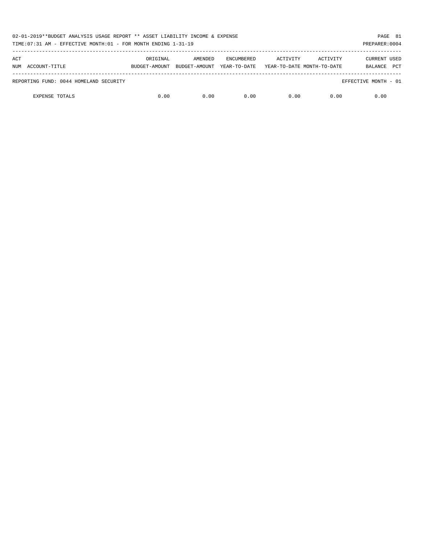| 02-01-2019**BUDGET ANALYSIS USAGE REPORT ** ASSET LIABILITY INCOME & EXPENSE<br>TIME: 07:31 AM - EFFECTIVE MONTH: 01 - FOR MONTH ENDING 1-31-19 |                           |                          |                                   |                                        |          | PAGE 81<br>PREPARER: 0004 |            |
|-------------------------------------------------------------------------------------------------------------------------------------------------|---------------------------|--------------------------|-----------------------------------|----------------------------------------|----------|---------------------------|------------|
| ACT<br>NUM ACCOUNT-TITLE                                                                                                                        | ORIGINAL<br>BUDGET-AMOUNT | AMENDED<br>BUDGET-AMOUNT | <b>ENCUMBERED</b><br>YEAR-TO-DATE | ACTIVITY<br>YEAR-TO-DATE MONTH-TO-DATE | ACTIVITY | CURRENT USED<br>BALANCE   | <b>PCT</b> |
|                                                                                                                                                 |                           |                          |                                   |                                        |          |                           |            |
| REPORTING FUND: 0044 HOMELAND SECURITY                                                                                                          |                           |                          |                                   |                                        |          | EFFECTIVE MONTH - 01      |            |
| <b>EXPENSE TOTALS</b>                                                                                                                           | 0.00                      | 0.00                     | 0.00                              | 0.00                                   | 0.00     | 0.00                      |            |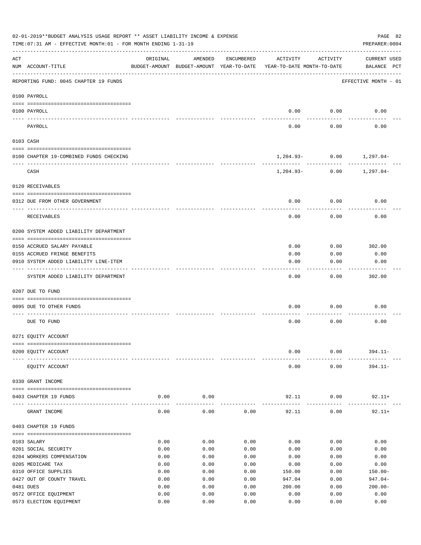|     | 02-01-2019**BUDGET ANALYSIS USAGE REPORT ** ASSET LIABILITY INCOME & EXPENSE<br>TIME: 07:31 AM - EFFECTIVE MONTH: 01 - FOR MONTH ENDING 1-31-19 |              |                                                     |              |                                        |                     | PAGE 82<br>PREPARER: 0004          |
|-----|-------------------------------------------------------------------------------------------------------------------------------------------------|--------------|-----------------------------------------------------|--------------|----------------------------------------|---------------------|------------------------------------|
| ACT | NUM ACCOUNT-TITLE                                                                                                                               | ORIGINAL     | AMENDED<br>BUDGET-AMOUNT BUDGET-AMOUNT YEAR-TO-DATE | ENCUMBERED   | ACTIVITY<br>YEAR-TO-DATE MONTH-TO-DATE | ACTIVITY            | <b>CURRENT USED</b><br>BALANCE PCT |
|     | REPORTING FUND: 0045 CHAPTER 19 FUNDS                                                                                                           |              |                                                     |              |                                        |                     | EFFECTIVE MONTH - 01               |
|     | 0100 PAYROLL                                                                                                                                    |              |                                                     |              |                                        |                     |                                    |
|     | 0100 PAYROLL                                                                                                                                    |              |                                                     |              | 0.00                                   | 0.00                | 0.00                               |
|     | PAYROLL                                                                                                                                         |              |                                                     |              | 0.00                                   | 0.00                | 0.00                               |
|     | 0103 CASH                                                                                                                                       |              |                                                     |              |                                        |                     |                                    |
|     | 0100 CHAPTER 19-COMBINED FUNDS CHECKING                                                                                                         |              |                                                     |              | $1,204.93 - 0.00$ $1,297.04 -$         |                     |                                    |
|     | CASH                                                                                                                                            |              |                                                     |              | $1,204.93-$                            | -----------<br>0.00 | 1,297.04-                          |
|     | 0120 RECEIVABLES                                                                                                                                |              |                                                     |              |                                        |                     |                                    |
|     | 0312 DUE FROM OTHER GOVERNMENT                                                                                                                  |              |                                                     |              | 0.00                                   | 0.00                | 0.00                               |
|     | RECEIVABLES                                                                                                                                     |              |                                                     |              | 0.00                                   | 0.00                | 0.00                               |
|     | 0200 SYSTEM ADDED LIABILITY DEPARTMENT                                                                                                          |              |                                                     |              |                                        |                     |                                    |
|     | 0150 ACCRUED SALARY PAYABLE                                                                                                                     |              |                                                     |              | 0.00                                   | 0.00                | 302.00                             |
|     | 0155 ACCRUED FRINGE BENEFITS                                                                                                                    |              |                                                     |              | 0.00                                   | 0.00                | 0.00                               |
|     | 0910 SYSTEM ADDED LIABILITY LINE-ITEM                                                                                                           |              |                                                     |              | 0.00                                   | 0.00                | 0.00                               |
|     | SYSTEM ADDED LIABILITY DEPARTMENT                                                                                                               |              |                                                     |              | 0.00                                   | 0.00                | 302.00                             |
|     | 0207 DUE TO FUND                                                                                                                                |              |                                                     |              |                                        |                     |                                    |
|     | 0095 DUE TO OTHER FUNDS                                                                                                                         |              |                                                     |              | 0.00                                   | 0.00                | 0.00                               |
|     |                                                                                                                                                 |              |                                                     |              |                                        |                     |                                    |
|     | DUE TO FUND                                                                                                                                     |              |                                                     |              | 0.00                                   | 0.00                | 0.00                               |
|     | 0271 EQUITY ACCOUNT                                                                                                                             |              |                                                     |              |                                        |                     |                                    |
|     | 0200 EQUITY ACCOUNT                                                                                                                             |              |                                                     |              | 0.00                                   | 0.00                | $394.11 -$                         |
|     |                                                                                                                                                 |              |                                                     |              |                                        |                     |                                    |
|     | EQUITY ACCOUNT                                                                                                                                  |              |                                                     |              | 0.00                                   | 0.00                | $394.11 -$                         |
|     | 0330 GRANT INCOME                                                                                                                               |              |                                                     |              |                                        |                     |                                    |
|     | 0403 CHAPTER 19 FUNDS<br>---- -------------                                                                                                     | 0.00         | 0.00                                                |              | 92.11                                  | 0.00                | $92.11+$                           |
|     | GRANT INCOME                                                                                                                                    | 0.00         | 0.00                                                | 0.00         | 92.11                                  | 0.00                | $92.11+$                           |
|     | 0403 CHAPTER 19 FUNDS                                                                                                                           |              |                                                     |              |                                        |                     |                                    |
|     | 0103 SALARY                                                                                                                                     | 0.00         | 0.00                                                | 0.00         | 0.00                                   | 0.00                | 0.00                               |
|     | 0201 SOCIAL SECURITY                                                                                                                            | 0.00         | 0.00                                                | 0.00         | 0.00                                   | 0.00                | 0.00                               |
|     | 0204 WORKERS COMPENSATION                                                                                                                       | 0.00         | 0.00                                                | 0.00         | 0.00                                   | 0.00                | 0.00                               |
|     | 0205 MEDICARE TAX                                                                                                                               | 0.00         | 0.00                                                | 0.00         | 0.00                                   | 0.00                | 0.00                               |
|     | 0310 OFFICE SUPPLIES                                                                                                                            | 0.00         | 0.00                                                | 0.00         | 150.00                                 | 0.00                | $150.00 -$                         |
|     | 0427 OUT OF COUNTY TRAVEL                                                                                                                       | 0.00         | 0.00                                                | 0.00         | 947.04                                 | 0.00                | $947.04-$                          |
|     | 0481 DUES                                                                                                                                       | 0.00         | 0.00                                                | 0.00         | 200.00                                 | 0.00                | $200.00 -$                         |
|     | 0572 OFFICE EQUIPMENT<br>0573 ELECTION EQUIPMENT                                                                                                | 0.00<br>0.00 | 0.00<br>0.00                                        | 0.00<br>0.00 | 0.00<br>0.00                           | 0.00<br>0.00        | 0.00<br>0.00                       |
|     |                                                                                                                                                 |              |                                                     |              |                                        |                     |                                    |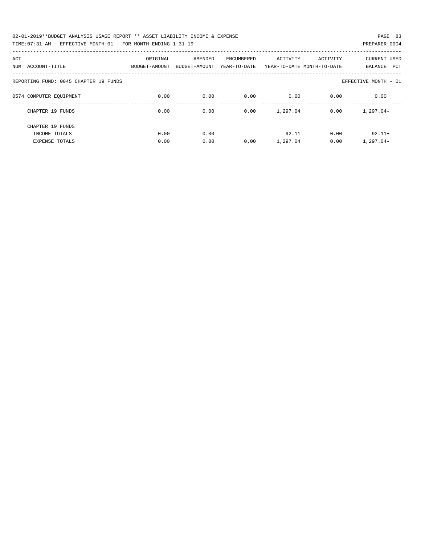| 02-01-2019**BUDGET ANALYSIS USAGE REPORT ** ASSET LIABILITY INCOME & EXPENSE | PAGE 83        |  |
|------------------------------------------------------------------------------|----------------|--|
| TIME: 07:31 AM - EFFECTIVE MONTH: 01 - FOR MONTH ENDING 1-31-19              | PREPARER: 0004 |  |

| ACT<br>ACCOUNT-TITLE<br>NUM           | ORIGINAL<br>BUDGET-AMOUNT | AMENDED<br>BUDGET-AMOUNT | <b>ENCUMBERED</b><br>YEAR-TO-DATE | ACTIVITY | ACTIVITY<br>YEAR-TO-DATE MONTH-TO-DATE | <b>CURRENT USED</b><br>PCT<br>BALANCE |
|---------------------------------------|---------------------------|--------------------------|-----------------------------------|----------|----------------------------------------|---------------------------------------|
| REPORTING FUND: 0045 CHAPTER 19 FUNDS |                           |                          |                                   |          |                                        | EFFECTIVE MONTH - 01                  |
| 0574 COMPUTER EQUIPMENT               | 0.00                      | 0.00                     | 0.00                              | 0.00     | 0.00                                   | 0.00                                  |
| CHAPTER 19 FUNDS                      | 0.00                      | 0.00                     | 0.00                              | 1,297.04 | 0.00                                   | $1,297.04-$                           |
| CHAPTER 19 FUNDS                      |                           |                          |                                   |          |                                        |                                       |
| INCOME TOTALS                         | 0.00                      | 0.00                     |                                   | 92.11    | 0.00                                   | $92.11+$                              |
| <b>EXPENSE TOTALS</b>                 | 0.00                      | 0.00                     | 0.00                              | 1,297.04 | 0.00                                   | $1,297.04-$                           |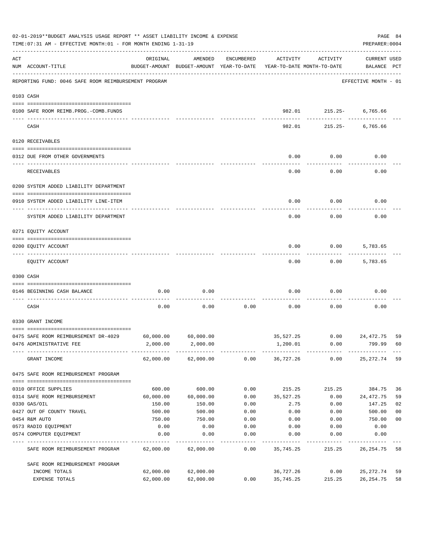|     | 02-01-2019**BUDGET ANALYSIS USAGE REPORT ** ASSET LIABILITY INCOME & EXPENSE<br>TIME: 07:31 AM - EFFECTIVE MONTH: 01 - FOR MONTH ENDING 1-31-19 |                                                                                 |                     |            |                  |                          | PREPARER: 0004              | PAGE 84        |
|-----|-------------------------------------------------------------------------------------------------------------------------------------------------|---------------------------------------------------------------------------------|---------------------|------------|------------------|--------------------------|-----------------------------|----------------|
| ACT | NUM ACCOUNT-TITLE                                                                                                                               | ORIGINAL<br>BUDGET-AMOUNT BUDGET-AMOUNT YEAR-TO-DATE YEAR-TO-DATE MONTH-TO-DATE | AMENDED             | ENCUMBERED | ACTIVITY         | ACTIVITY                 | CURRENT USED<br>BALANCE PCT |                |
|     | REPORTING FUND: 0046 SAFE ROOM REIMBURSEMENT PROGRAM                                                                                            |                                                                                 |                     |            |                  |                          | EFFECTIVE MONTH - 01        |                |
|     | 0103 CASH                                                                                                                                       |                                                                                 |                     |            |                  |                          |                             |                |
|     | 0100 SAFE ROOM REIMB. PROG. - COMB. FUNDS                                                                                                       |                                                                                 |                     |            |                  | 982.01 215.25-           | 6,765.66                    |                |
|     | CASH                                                                                                                                            |                                                                                 |                     |            | 982.01           | ------------ ---------   | 215.25- 6,765.66            |                |
|     | 0120 RECEIVABLES                                                                                                                                |                                                                                 |                     |            |                  |                          |                             |                |
|     | 0312 DUE FROM OTHER GOVERNMENTS                                                                                                                 |                                                                                 |                     |            | 0.00             | 0.00                     | 0.00                        |                |
|     | RECEIVABLES                                                                                                                                     |                                                                                 |                     |            | 0.00             | 0.00                     | 0.00                        |                |
|     | 0200 SYSTEM ADDED LIABILITY DEPARTMENT                                                                                                          |                                                                                 |                     |            |                  |                          |                             |                |
|     | 0910 SYSTEM ADDED LIABILITY LINE-ITEM                                                                                                           |                                                                                 |                     |            | 0.00             | 0.00                     | 0.00                        |                |
|     | SYSTEM ADDED LIABILITY DEPARTMENT                                                                                                               |                                                                                 |                     |            | 0.00             | 0.00                     | 0.00                        |                |
|     | 0271 EQUITY ACCOUNT                                                                                                                             |                                                                                 |                     |            |                  |                          |                             |                |
|     | 0200 EQUITY ACCOUNT                                                                                                                             |                                                                                 |                     |            | 0.00             | 0.00                     | 5,783.65                    |                |
|     | EQUITY ACCOUNT                                                                                                                                  |                                                                                 |                     |            | 0.00             | 0.00                     | 5,783.65                    |                |
|     | 0300 CASH                                                                                                                                       |                                                                                 |                     |            |                  |                          |                             |                |
|     | 0146 BEGINNING CASH BALANCE                                                                                                                     | 0.00                                                                            | 0.00                |            | 0.00             | 0.00                     | 0.00                        |                |
|     | CASH                                                                                                                                            | 0.00                                                                            | 0.00                | 0.00       | 0.00             | 0.00                     | 0.00                        |                |
|     | 0330 GRANT INCOME                                                                                                                               |                                                                                 |                     |            |                  |                          |                             |                |
|     | 0475 SAFE ROOM REIMBURSEMENT DR-4029                                                                                                            | 60,000.00                                                                       | 60,000.00           |            |                  | 35,527.25 0.00 24,472.75 |                             | 59             |
|     | 0476 ADMINISTRATIVE FEE                                                                                                                         |                                                                                 | 2,000.00 2,000.00   |            | 1,200.01         | 0.00                     | 799.99                      | 60             |
|     | GRANT INCOME                                                                                                                                    |                                                                                 | 62,000.00 62,000.00 |            | $0.00$ 36,727.26 | 0.00                     | 25,272.74                   | 59             |
|     | 0475 SAFE ROOM REIMBURSEMENT PROGRAM                                                                                                            |                                                                                 |                     |            |                  |                          |                             |                |
|     | 0310 OFFICE SUPPLIES                                                                                                                            | 600.00                                                                          | 600.00              | 0.00       | 215.25           | 215.25                   | 384.75                      | 36             |
|     | 0314 SAFE ROOM REIMBURSEMENT                                                                                                                    | 60,000.00                                                                       | 60,000.00           | 0.00       | 35,527.25        | 0.00                     | 24,472.75                   | 59             |
|     | 0330 GAS/OIL                                                                                                                                    | 150.00                                                                          | 150.00              | 0.00       | 2.75             | 0.00                     | 147.25                      | 02             |
|     | 0427 OUT OF COUNTY TRAVEL                                                                                                                       | 500.00                                                                          | 500.00              | 0.00       | 0.00             | 0.00                     | 500.00                      | 0 <sub>0</sub> |
|     | 0454 R&M AUTO                                                                                                                                   | 750.00                                                                          | 750.00              | 0.00       | 0.00             | 0.00                     | 750.00                      | 0 <sub>0</sub> |
|     | 0573 RADIO EQUIPMENT                                                                                                                            | 0.00                                                                            | 0.00                | 0.00       | 0.00             | 0.00                     | 0.00                        |                |
|     | 0574 COMPUTER EQUIPMENT                                                                                                                         | 0.00                                                                            | 0.00                | 0.00       | 0.00             | 0.00                     | 0.00                        |                |
|     | SAFE ROOM REIMBURSEMENT PROGRAM                                                                                                                 | 62,000.00                                                                       | 62,000.00           | 0.00       | 35,745.25        | 215.25                   | 26,254.75                   | 58             |
|     | SAFE ROOM REIMBURSEMENT PROGRAM                                                                                                                 |                                                                                 |                     |            |                  |                          |                             |                |
|     | INCOME TOTALS                                                                                                                                   | 62,000.00                                                                       | 62,000.00           |            | 36,727.26        | 0.00                     | 25,272.74                   | 59             |
|     | EXPENSE TOTALS                                                                                                                                  | 62,000.00                                                                       | 62,000.00           | 0.00       | 35,745.25        | 215.25                   | 26, 254.75                  | 58             |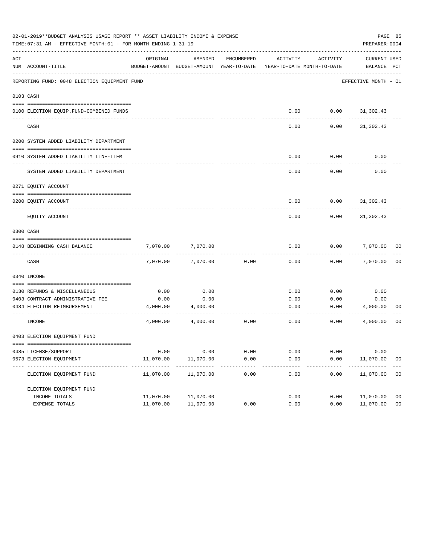|     | 02-01-2019**BUDGET ANALYSIS USAGE REPORT ** ASSET LIABILITY INCOME & EXPENSE<br>PAGE 85<br>PREPARER: 0004<br>TIME: 07:31 AM - EFFECTIVE MONTH: 01 - FOR MONTH ENDING 1-31-19 |                         |                                                     |                |                                        |                    |                             |                |  |  |  |  |
|-----|------------------------------------------------------------------------------------------------------------------------------------------------------------------------------|-------------------------|-----------------------------------------------------|----------------|----------------------------------------|--------------------|-----------------------------|----------------|--|--|--|--|
| ACT | NUM ACCOUNT-TITLE                                                                                                                                                            | ORIGINAL                | AMENDED<br>BUDGET-AMOUNT BUDGET-AMOUNT YEAR-TO-DATE | ENCUMBERED     | ACTIVITY<br>YEAR-TO-DATE MONTH-TO-DATE | ACTIVITY           | CURRENT USED<br>BALANCE PCT |                |  |  |  |  |
|     | REPORTING FUND: 0048 ELECTION EQUIPMENT FUND                                                                                                                                 |                         |                                                     |                |                                        |                    | EFFECTIVE MONTH - 01        |                |  |  |  |  |
|     | 0103 CASH                                                                                                                                                                    |                         |                                                     |                |                                        |                    |                             |                |  |  |  |  |
|     |                                                                                                                                                                              |                         |                                                     |                |                                        |                    |                             |                |  |  |  |  |
|     | 0100 ELECTION EQUIP.FUND-COMBINED FUNDS                                                                                                                                      |                         |                                                     |                | 0.00                                   | $0.00$ $31,302.43$ |                             |                |  |  |  |  |
|     | CASH                                                                                                                                                                         |                         |                                                     |                | 0.00                                   | 0.00               | 31,302.43                   |                |  |  |  |  |
|     | 0200 SYSTEM ADDED LIABILITY DEPARTMENT                                                                                                                                       |                         |                                                     |                |                                        |                    |                             |                |  |  |  |  |
|     | 0910 SYSTEM ADDED LIABILITY LINE-ITEM                                                                                                                                        |                         |                                                     |                | 0.00                                   | 0.00               | 0.00                        |                |  |  |  |  |
|     | SYSTEM ADDED LIABILITY DEPARTMENT                                                                                                                                            |                         |                                                     |                | 0.00                                   | 0.00               | 0.00                        |                |  |  |  |  |
|     | 0271 EQUITY ACCOUNT                                                                                                                                                          |                         |                                                     |                |                                        |                    |                             |                |  |  |  |  |
|     |                                                                                                                                                                              |                         |                                                     |                |                                        |                    |                             |                |  |  |  |  |
|     | 0200 EQUITY ACCOUNT                                                                                                                                                          |                         |                                                     |                | 0.00                                   |                    | $0.00$ $31,302.43$          |                |  |  |  |  |
|     | EQUITY ACCOUNT                                                                                                                                                               |                         |                                                     |                | 0.00                                   | 0.00               | 31,302.43                   |                |  |  |  |  |
|     | 0300 CASH                                                                                                                                                                    |                         |                                                     |                |                                        |                    |                             |                |  |  |  |  |
|     | 0148 BEGINNING CASH BALANCE                                                                                                                                                  | 7,070.00                | 7,070.00                                            |                | 0.00                                   | 0.00               | 7,070.00                    | 00             |  |  |  |  |
|     | CASH                                                                                                                                                                         | 7,070.00                | 7,070.00                                            | 0.00           | 0.00                                   | 0.00               | 7,070.00                    | 0 <sub>0</sub> |  |  |  |  |
|     | 0340 INCOME                                                                                                                                                                  |                         |                                                     |                |                                        |                    |                             |                |  |  |  |  |
|     |                                                                                                                                                                              |                         |                                                     |                |                                        |                    |                             |                |  |  |  |  |
|     | 0130 REFUNDS & MISCELLANEOUS                                                                                                                                                 | 0.00                    | 0.00<br>0.00                                        |                | 0.00                                   | 0.00               | 0.00                        |                |  |  |  |  |
|     | 0403 CONTRACT ADMINISTRATIVE FEE<br>0484 ELECTION REIMBURSEMENT                                                                                                              | 0.00<br>4,000.00        | 4,000.00                                            |                | 0.00<br>0.00                           | 0.00<br>0.00       | 0.00<br>4,000.00            | 00             |  |  |  |  |
|     |                                                                                                                                                                              |                         |                                                     |                |                                        |                    |                             |                |  |  |  |  |
|     | INCOME                                                                                                                                                                       | 4,000.00                | 4,000.00                                            | 0.00           | 0.00                                   | 0.00               | 4,000.00                    | 00             |  |  |  |  |
|     | 0403 ELECTION EQUIPMENT FUND                                                                                                                                                 |                         |                                                     |                |                                        |                    |                             |                |  |  |  |  |
|     |                                                                                                                                                                              |                         |                                                     |                |                                        |                    |                             |                |  |  |  |  |
|     | 0485 LICENSE/SUPPORT                                                                                                                                                         | 0.00                    | 0.00                                                | 0.00           | 0.00                                   | 0.00               | 0.00                        |                |  |  |  |  |
|     | 0573 ELECTION EQUIPMENT<br>----------------------------                                                                                                                      | 11,070.00<br>---------- | 11,070.00<br>-----------                            | 0.00<br>------ | 0.00<br>$- - - - -$                    | 0.00<br>-----      | 11,070.00<br>----------     | 0 <sub>0</sub> |  |  |  |  |
|     | ELECTION EQUIPMENT FUND                                                                                                                                                      | 11,070.00               | 11,070.00                                           | 0.00           | 0.00                                   | 0.00               | 11,070.00                   | 00             |  |  |  |  |
|     | ELECTION EQUIPMENT FUND                                                                                                                                                      |                         |                                                     |                |                                        |                    |                             |                |  |  |  |  |
|     | INCOME TOTALS                                                                                                                                                                | 11,070.00               | 11,070.00                                           |                | 0.00                                   | 0.00               | 11,070.00                   | 0 <sub>0</sub> |  |  |  |  |
|     | EXPENSE TOTALS                                                                                                                                                               | 11,070.00               | 11,070.00                                           | 0.00           | 0.00                                   | 0.00               | 11,070.00                   | 0 <sub>0</sub> |  |  |  |  |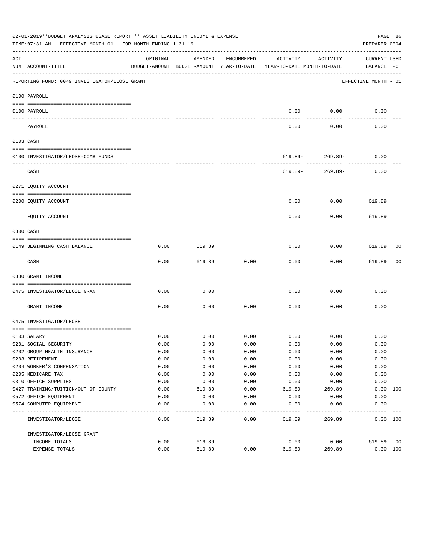|     | 02-01-2019**BUDGET ANALYSIS USAGE REPORT ** ASSET LIABILITY INCOME & EXPENSE<br>TIME: 07:31 AM - EFFECTIVE MONTH: 01 - FOR MONTH ENDING 1-31-19 |              |         |            |                                                                                 |                                  | PREPARER: 0004              | PAGE 86 |
|-----|-------------------------------------------------------------------------------------------------------------------------------------------------|--------------|---------|------------|---------------------------------------------------------------------------------|----------------------------------|-----------------------------|---------|
| ACT | NUM ACCOUNT-TITLE                                                                                                                               | ORIGINAL     | AMENDED | ENCUMBERED | ACTIVITY<br>BUDGET-AMOUNT BUDGET-AMOUNT YEAR-TO-DATE YEAR-TO-DATE MONTH-TO-DATE | ACTIVITY                         | CURRENT USED<br>BALANCE PCT |         |
|     | REPORTING FUND: 0049 INVESTIGATOR/LEOSE GRANT                                                                                                   |              |         |            |                                                                                 |                                  | EFFECTIVE MONTH - 01        |         |
|     | 0100 PAYROLL                                                                                                                                    |              |         |            |                                                                                 |                                  |                             |         |
|     | 0100 PAYROLL                                                                                                                                    |              |         |            | 0.00                                                                            | 0.00                             | 0.00                        |         |
|     | -------------------------- ---------                                                                                                            |              |         |            |                                                                                 |                                  |                             |         |
|     | PAYROLL                                                                                                                                         |              |         |            | 0.00                                                                            | 0.00                             | 0.00                        |         |
|     | 0103 CASH                                                                                                                                       |              |         |            |                                                                                 |                                  |                             |         |
|     |                                                                                                                                                 |              |         |            |                                                                                 |                                  |                             |         |
|     | 0100 INVESTIGATOR/LEOSE-COMB.FUNDS                                                                                                              |              |         |            |                                                                                 | $619.89 - 269.89 -$<br>--------- | 0.00                        |         |
|     | CASH                                                                                                                                            |              |         |            | 619.89-                                                                         | 269.89-                          | 0.00                        |         |
|     | 0271 EQUITY ACCOUNT                                                                                                                             |              |         |            |                                                                                 |                                  |                             |         |
|     | 0200 EQUITY ACCOUNT                                                                                                                             |              |         |            | 0.00                                                                            |                                  | $0.00$ 619.89               |         |
|     | -------------------- -------<br>EQUITY ACCOUNT                                                                                                  |              |         |            | 0.00                                                                            | 0.00                             | 619.89                      |         |
|     | 0300 CASH                                                                                                                                       |              |         |            |                                                                                 |                                  |                             |         |
|     | 0149 BEGINNING CASH BALANCE                                                                                                                     | 0.00         | 619.89  |            | 0.00                                                                            | 0.00                             | 619.89 00                   |         |
|     | CASH                                                                                                                                            | 0.00         | 619.89  | 0.00       | 0.00                                                                            | 0.00                             | 619.89                      | 00      |
|     | 0330 GRANT INCOME                                                                                                                               |              |         |            |                                                                                 |                                  |                             |         |
|     | 0475 INVESTIGATOR/LEOSE GRANT                                                                                                                   | 0.00         | 0.00    |            | 0.00                                                                            | 0.00                             | 0.00                        |         |
|     | GRANT INCOME                                                                                                                                    | 0.00         | 0.00    | 0.00       | 0.00                                                                            | 0.00                             | 0.00                        |         |
|     | 0475 INVESTIGATOR/LEOSE                                                                                                                         |              |         |            |                                                                                 |                                  |                             |         |
|     |                                                                                                                                                 |              |         |            |                                                                                 |                                  |                             |         |
|     | 0103 SALARY<br>0201 SOCIAL SECURITY                                                                                                             | 0.00<br>0.00 | 0.00    | 0.00       | $0.00$ $0.00$ $0.00$ $0.00$ $0.00$<br>0.00                                      | 0.00                             | 0.00<br>0.00                |         |
|     | 0202 GROUP HEALTH INSURANCE                                                                                                                     | 0.00         | 0.00    | 0.00       | 0.00                                                                            | 0.00                             | 0.00                        |         |
|     | 0203 RETIREMENT                                                                                                                                 | 0.00         | 0.00    | 0.00       | 0.00                                                                            | 0.00                             | 0.00                        |         |
|     | 0204 WORKER'S COMPENSATION                                                                                                                      | 0.00         | 0.00    | 0.00       | 0.00                                                                            | 0.00                             | 0.00                        |         |
|     | 0205 MEDICARE TAX                                                                                                                               | 0.00         | 0.00    | 0.00       | 0.00                                                                            | 0.00                             | 0.00                        |         |
|     | 0310 OFFICE SUPPLIES                                                                                                                            | 0.00         | 0.00    | 0.00       | 0.00                                                                            | 0.00                             | 0.00                        |         |
|     | 0427 TRAINING/TUITION/OUT OF COUNTY                                                                                                             | 0.00         | 619.89  | 0.00       | 619.89                                                                          | 269.89                           | 0.00                        | 100     |
|     | 0572 OFFICE EQUIPMENT                                                                                                                           | 0.00         | 0.00    | 0.00       | 0.00                                                                            | 0.00                             | 0.00                        |         |
|     | 0574 COMPUTER EQUIPMENT                                                                                                                         | 0.00         | 0.00    | 0.00       | 0.00                                                                            | 0.00                             | 0.00                        |         |
|     |                                                                                                                                                 |              |         |            |                                                                                 |                                  |                             |         |
|     | INVESTIGATOR/LEOSE                                                                                                                              | 0.00         | 619.89  | 0.00       | 619.89                                                                          | 269.89                           | 0.00 100                    |         |
|     | INVESTIGATOR/LEOSE GRANT                                                                                                                        |              |         |            |                                                                                 |                                  |                             |         |
|     | INCOME TOTALS                                                                                                                                   | 0.00         | 619.89  |            | 0.00                                                                            | 0.00                             | 619.89                      | 00      |
|     | <b>EXPENSE TOTALS</b>                                                                                                                           | 0.00         | 619.89  | 0.00       | 619.89                                                                          | 269.89                           | 0.00 100                    |         |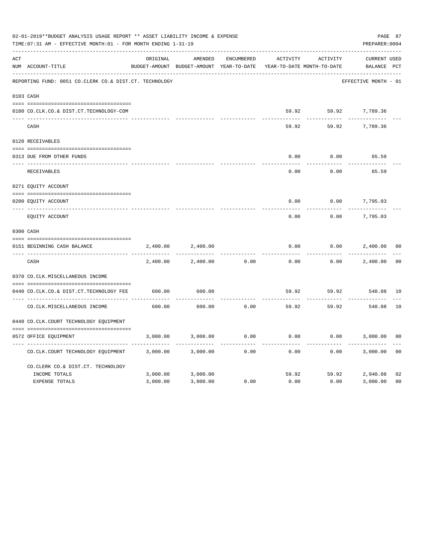|     | 02-01-2019**BUDGET ANALYSIS USAGE REPORT ** ASSET LIABILITY INCOME & EXPENSE<br>TIME: 07:31 AM - EFFECTIVE MONTH: 01 - FOR MONTH ENDING 1-31-19 |          |                                                     |                   |                                        |          |                                    |                |  |  |
|-----|-------------------------------------------------------------------------------------------------------------------------------------------------|----------|-----------------------------------------------------|-------------------|----------------------------------------|----------|------------------------------------|----------------|--|--|
| ACT | NUM ACCOUNT-TITLE                                                                                                                               | ORIGINAL | AMENDED<br>BUDGET-AMOUNT BUDGET-AMOUNT YEAR-TO-DATE | <b>ENCUMBERED</b> | ACTIVITY<br>YEAR-TO-DATE MONTH-TO-DATE | ACTIVITY | <b>CURRENT USED</b><br>BALANCE PCT |                |  |  |
|     | REPORTING FUND: 0051 CO.CLERK CO.& DIST.CT. TECHNOLOGY                                                                                          |          |                                                     |                   |                                        |          | EFFECTIVE MONTH - 01               |                |  |  |
|     | 0103 CASH                                                                                                                                       |          |                                                     |                   |                                        |          |                                    |                |  |  |
|     | 0100 CO.CLK.CO.& DIST.CT.TECHNOLOGY-COM                                                                                                         |          |                                                     |                   |                                        |          | 59.92 59.92 7,789.36               |                |  |  |
|     | CASH                                                                                                                                            |          |                                                     |                   | 59.92                                  | 59.92    | 7,789.36                           |                |  |  |
|     | 0120 RECEIVABLES                                                                                                                                |          |                                                     |                   |                                        |          |                                    |                |  |  |
|     | 0313 DUE FROM OTHER FUNDS                                                                                                                       |          |                                                     |                   | 0.00                                   | 0.00     | 65.59                              |                |  |  |
|     | RECEIVABLES                                                                                                                                     |          |                                                     |                   | 0.00                                   | 0.00     | 65.59                              |                |  |  |
|     | 0271 EQUITY ACCOUNT                                                                                                                             |          |                                                     |                   |                                        |          |                                    |                |  |  |
|     | 0200 EQUITY ACCOUNT                                                                                                                             |          |                                                     |                   | 0.00                                   | 0.00     | 7,795.03                           |                |  |  |
|     | ---- ------------<br>EQUITY ACCOUNT                                                                                                             |          |                                                     |                   | 0.00                                   | 0.00     | 7,795.03                           |                |  |  |
|     | 0300 CASH                                                                                                                                       |          |                                                     |                   |                                        |          |                                    |                |  |  |
|     | 0151 BEGINNING CASH BALANCE                                                                                                                     | 2,400.00 | 2,400.00                                            |                   | 0.00                                   | 0.00     | 2,400.00                           | 0 <sub>0</sub> |  |  |
|     | CASH                                                                                                                                            | 2,400.00 | 2,400.00                                            | 0.00              | 0.00                                   | 0.00     | 2,400.00                           | 0 <sup>0</sup> |  |  |
|     | 0370 CO.CLK.MISCELLANEOUS INCOME                                                                                                                |          |                                                     |                   |                                        |          |                                    |                |  |  |
|     | 0440 CO.CLK.CO.& DIST.CT.TECHNOLOGY FEE                                                                                                         | 600.00   | 600.00                                              |                   | 59.92                                  | 59.92    | 540.08                             | 10             |  |  |
|     | CO. CLK. MISCELLANEOUS INCOME                                                                                                                   | 600.00   | 600.00                                              | 0.00              | 59.92                                  | 59.92    | 540.08                             | 10             |  |  |
|     | 0440 CO.CLK.COURT TECHNOLOGY EQUIPMENT                                                                                                          |          |                                                     |                   |                                        |          |                                    |                |  |  |
|     | 0572 OFFICE EOUIPMENT                                                                                                                           | 3,000.00 | 3,000.00                                            | 0.00              | 0.00                                   | 0.00     | 3,000.00                           | 0 <sub>0</sub> |  |  |
|     | CO.CLK.COURT TECHNOLOGY EQUIPMENT                                                                                                               | 3,000.00 | 3,000.00                                            | 0.00              | 0.00                                   | 0.00     | 3,000.00                           | 0 <sub>0</sub> |  |  |
|     | CO.CLERK CO.& DIST.CT. TECHNOLOGY                                                                                                               |          |                                                     |                   |                                        |          |                                    |                |  |  |
|     | INCOME TOTALS                                                                                                                                   | 3,000.00 | 3,000.00                                            |                   | 59.92                                  | 59.92    | 2,940.08                           | 02             |  |  |
|     | <b>EXPENSE TOTALS</b>                                                                                                                           | 3,000.00 | 3,000.00                                            | 0.00              | 0.00                                   | 0.00     | 3,000.00                           | 0 <sub>0</sub> |  |  |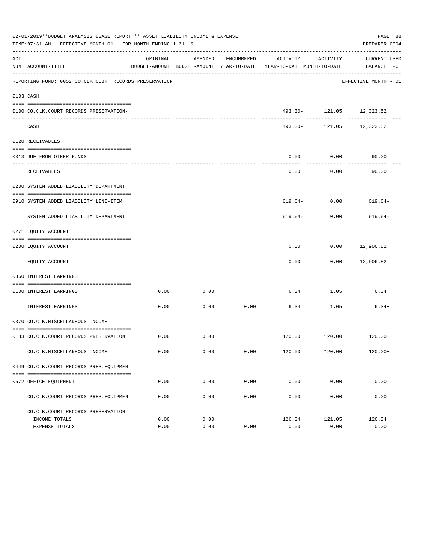|     | 02-01-2019**BUDGET ANALYSIS USAGE REPORT ** ASSET LIABILITY INCOME & EXPENSE<br>TIME: 07:31 AM - EFFECTIVE MONTH: 01 - FOR MONTH ENDING 1-31-19 |          |         |            |                                                                                 |                                           | PAGE 88<br>PREPARER: 0004   |
|-----|-------------------------------------------------------------------------------------------------------------------------------------------------|----------|---------|------------|---------------------------------------------------------------------------------|-------------------------------------------|-----------------------------|
| ACT | NUM ACCOUNT-TITLE                                                                                                                               | ORIGINAL | AMENDED | ENCUMBERED | ACTIVITY<br>BUDGET-AMOUNT BUDGET-AMOUNT YEAR-TO-DATE YEAR-TO-DATE MONTH-TO-DATE | ACTIVITY                                  | CURRENT USED<br>BALANCE PCT |
|     | REPORTING FUND: 0052 CO.CLK.COURT RECORDS PRESERVATION                                                                                          |          |         |            |                                                                                 |                                           | EFFECTIVE MONTH - 01        |
|     | 0103 CASH                                                                                                                                       |          |         |            |                                                                                 |                                           |                             |
|     | 0100 CO.CLK.COURT RECORDS PRESERVATION-                                                                                                         |          |         |            |                                                                                 | 493.30- 121.05 12,323.52                  |                             |
|     | CASH                                                                                                                                            |          |         |            |                                                                                 | -------------<br>493.30- 121.05 12,323.52 | ---------                   |
|     | 0120 RECEIVABLES                                                                                                                                |          |         |            |                                                                                 |                                           |                             |
|     | 0313 DUE FROM OTHER FUNDS                                                                                                                       |          |         |            | 0.00                                                                            | 0.00                                      | 90.00                       |
|     | <b>RECEIVABLES</b>                                                                                                                              |          |         |            | 0.00                                                                            | ---------<br>0.00                         | 90.00                       |
|     | 0200 SYSTEM ADDED LIABILITY DEPARTMENT                                                                                                          |          |         |            |                                                                                 |                                           |                             |
|     | 0910 SYSTEM ADDED LIABILITY LINE-ITEM                                                                                                           |          |         |            |                                                                                 |                                           | $619.64 - 0.00$ $619.64 -$  |
|     | SYSTEM ADDED LIABILITY DEPARTMENT                                                                                                               |          |         |            | 619.64-                                                                         | 0.00                                      | 619.64-                     |
|     | 0271 EQUITY ACCOUNT                                                                                                                             |          |         |            |                                                                                 |                                           |                             |
|     | 0200 EQUITY ACCOUNT                                                                                                                             |          |         |            | 0.00                                                                            | $0.00$ 12,906.82                          |                             |
|     | EQUITY ACCOUNT                                                                                                                                  |          |         |            | 0.00                                                                            |                                           | $0.00$ 12,906.82            |
|     | 0360 INTEREST EARNINGS                                                                                                                          |          |         |            |                                                                                 |                                           |                             |
|     | 0100 INTEREST EARNINGS                                                                                                                          | 0.00     | 0.00    |            | 6.34                                                                            | 1.05                                      | $6.34+$                     |
|     | ------------------ ---<br>INTEREST EARNINGS                                                                                                     | 0.00     | 0.00    | 0.00       | 6.34                                                                            | 1.05                                      | $6.34+$                     |
|     | 0370 CO.CLK.MISCELLANEOUS INCOME                                                                                                                |          |         |            |                                                                                 |                                           |                             |
|     | 0133 CO.CLK.COURT RECORDS PRESERVATION                                                                                                          | 0.00     | 0.00    |            |                                                                                 |                                           | $120.00$ $120.00$ $120.00+$ |
|     | CO. CLK. MISCELLANEOUS INCOME                                                                                                                   | 0.00     | 0.00    | 0.00       | 120.00                                                                          | 120.00                                    | $120.00+$                   |
|     | 0449 CO.CLK.COURT RECORDS PRES.EOUIPMEN                                                                                                         |          |         |            |                                                                                 |                                           |                             |
|     | 0572 OFFICE EQUIPMENT                                                                                                                           | 0.00     | 0.00    | 0.00       | $0.00$ 0.00                                                                     |                                           | 0.00                        |
|     | CO. CLK. COURT RECORDS PRES. EQUIPMEN                                                                                                           | 0.00     | 0.00    | 0.00       | 0.00                                                                            | 0.00                                      | 0.00                        |
|     | CO. CLK. COURT RECORDS PRESERVATION                                                                                                             |          |         |            |                                                                                 |                                           |                             |
|     | INCOME TOTALS                                                                                                                                   | 0.00     | 0.00    |            | 126.34                                                                          | 121.05                                    | $126.34+$                   |
|     | EXPENSE TOTALS                                                                                                                                  | 0.00     | 0.00    | 0.00       | 0.00                                                                            | 0.00                                      | 0.00                        |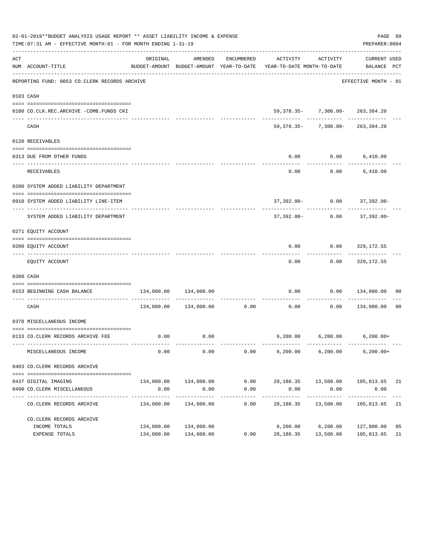|     | 02-01-2019**BUDGET ANALYSIS USAGE REPORT ** ASSET LIABILITY INCOME & EXPENSE<br>TIME: 07:31 AM - EFFECTIVE MONTH: 01 - FOR MONTH ENDING 1-31-19 |                       |                       |                    |                                                                                             |                                                                        | PAGE 89<br>PREPARER: 0004 |    |
|-----|-------------------------------------------------------------------------------------------------------------------------------------------------|-----------------------|-----------------------|--------------------|---------------------------------------------------------------------------------------------|------------------------------------------------------------------------|---------------------------|----|
| ACT | NUM ACCOUNT-TITLE                                                                                                                               | ORIGINAL              | AMENDED               | ENCUMBERED         | ACTIVITY<br>BUDGET-AMOUNT BUDGET-AMOUNT YEAR-TO-DATE YEAR-TO-DATE MONTH-TO-DATE BALANCE PCT | ACTIVITY                                                               | <b>CURRENT USED</b>       |    |
|     | REPORTING FUND: 0053 CO.CLERK RECORDS ARCHIVE                                                                                                   |                       |                       |                    |                                                                                             |                                                                        | EFFECTIVE MONTH - 01      |    |
|     | 0103 CASH                                                                                                                                       |                       |                       |                    |                                                                                             |                                                                        |                           |    |
|     | 0100 CO.CLK.REC.ARCHIVE -COMB.FUNDS CKI                                                                                                         |                       |                       |                    |                                                                                             | 59, 378, 35- 7, 300, 00- 263, 384, 20                                  |                           |    |
|     | CASH                                                                                                                                            |                       |                       |                    |                                                                                             | -------- ------------ ---------<br>$59,378.35 - 7,300.00 - 263,384.20$ |                           |    |
|     | 0120 RECEIVABLES                                                                                                                                |                       |                       |                    |                                                                                             |                                                                        |                           |    |
|     |                                                                                                                                                 |                       |                       |                    |                                                                                             |                                                                        |                           |    |
|     | 0313 DUE FROM OTHER FUNDS                                                                                                                       |                       |                       |                    | 0.00                                                                                        |                                                                        | $0.00$ 6,410.00           |    |
|     | RECEIVABLES                                                                                                                                     |                       |                       |                    | 0.00                                                                                        |                                                                        | $0.00$ 6,410.00           |    |
|     | 0200 SYSTEM ADDED LIABILITY DEPARTMENT                                                                                                          |                       |                       |                    |                                                                                             |                                                                        |                           |    |
|     |                                                                                                                                                 |                       |                       |                    |                                                                                             |                                                                        |                           |    |
|     | 0910 SYSTEM ADDED LIABILITY LINE-ITEM                                                                                                           |                       |                       |                    |                                                                                             | 37,392.00- 0.00 37,392.00-                                             |                           |    |
|     | SYSTEM ADDED LIABILITY DEPARTMENT                                                                                                               |                       |                       |                    | 37,392.00-                                                                                  | 0.00                                                                   | 37,392.00-                |    |
|     | 0271 EQUITY ACCOUNT                                                                                                                             |                       |                       |                    |                                                                                             |                                                                        |                           |    |
|     |                                                                                                                                                 |                       |                       |                    |                                                                                             |                                                                        |                           |    |
|     | 0200 EQUITY ACCOUNT                                                                                                                             |                       |                       |                    | 0.00                                                                                        | 0.00                                                                   | 329,172.55                |    |
|     | EQUITY ACCOUNT                                                                                                                                  |                       |                       |                    | 0.00                                                                                        |                                                                        | $0.00$ 329,172.55         |    |
|     | 0300 CASH                                                                                                                                       |                       |                       |                    |                                                                                             |                                                                        |                           |    |
|     | 0153 BEGINNING CASH BALANCE                                                                                                                     | 134,000.00            | 134,000.00            |                    | 0.00                                                                                        | 0.00                                                                   | 134,000.00 00             |    |
|     | CASH                                                                                                                                            |                       |                       |                    | -----------------------------<br>$134,000.00$ $134,000.00$ 0.00 0.00 0.00                   |                                                                        | 0.00 134,000.00           | 00 |
|     | 0370 MISCELLANEOUS INCOME                                                                                                                       |                       |                       |                    |                                                                                             |                                                                        |                           |    |
|     | 0133 CO.CLERK RECORDS ARCHIVE FEE                                                                                                               |                       | $0.00$ 0.00           |                    |                                                                                             | $6,200.00$ $6,200.00$ $6,200.00+$                                      |                           |    |
|     | MISCELLANEOUS INCOME                                                                                                                            | 0.00                  | 0.00                  | 0.00               | 6,200.00                                                                                    | 6,200.00                                                               | $6, 200.00+$              |    |
|     |                                                                                                                                                 |                       |                       |                    |                                                                                             |                                                                        |                           |    |
|     | 0403 CO. CLERK RECORDS ARCHIVE                                                                                                                  |                       |                       |                    |                                                                                             |                                                                        |                           |    |
|     |                                                                                                                                                 |                       |                       |                    |                                                                                             |                                                                        |                           |    |
|     | 0437 DIGITAL IMAGING                                                                                                                            |                       | 134,000.00 134,000.00 | 0.00               |                                                                                             | 28,186.35 13,500.00                                                    | 105,813.65 21             |    |
|     | 0490 CO. CLERK MISCELLANEOUS<br>-----------                                                                                                     | 0.00<br>------------- | 0.00<br>------------- | 0.00<br>---------- | 0.00<br>-----------                                                                         | 0.00<br>------------                                                   | 0.00<br>-----------       |    |
|     | CO. CLERK RECORDS ARCHIVE                                                                                                                       | 134,000.00            | 134,000.00            | 0.00               | 28,186.35                                                                                   | 13,500.00                                                              | 105,813.65                | 21 |
|     | CO. CLERK RECORDS ARCHIVE                                                                                                                       |                       |                       |                    |                                                                                             |                                                                        |                           |    |
|     | INCOME TOTALS                                                                                                                                   | 134,000.00            | 134,000.00            |                    |                                                                                             | 6,200.00 6,200.00                                                      | 127,800.00                | 05 |
|     | EXPENSE TOTALS                                                                                                                                  | 134,000.00            | 134,000.00            | 0.00               | 28,186.35                                                                                   | 13,500.00                                                              | 105,813.65                | 21 |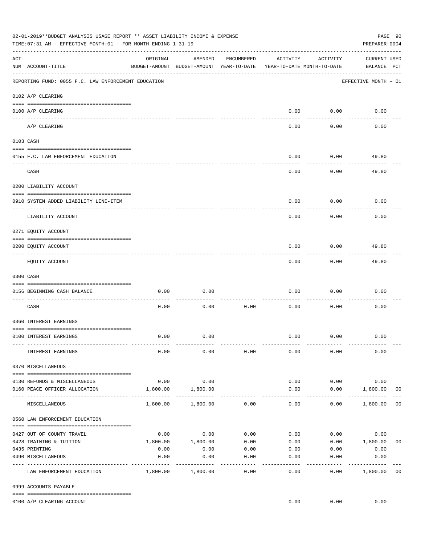|     | 02-01-2019**BUDGET ANALYSIS USAGE REPORT ** ASSET LIABILITY INCOME & EXPENSE<br>TIME:07:31 AM - EFFECTIVE MONTH:01 - FOR MONTH ENDING 1-31-19 |                     |                                                     |                 |                                        |                    | PAGE 90<br>PREPARER: 0004          |                |
|-----|-----------------------------------------------------------------------------------------------------------------------------------------------|---------------------|-----------------------------------------------------|-----------------|----------------------------------------|--------------------|------------------------------------|----------------|
| ACT | NUM ACCOUNT-TITLE                                                                                                                             | ORIGINAL            | AMENDED<br>BUDGET-AMOUNT BUDGET-AMOUNT YEAR-TO-DATE | ENCUMBERED      | ACTIVITY<br>YEAR-TO-DATE MONTH-TO-DATE | ACTIVITY           | <b>CURRENT USED</b><br>BALANCE PCT |                |
|     | REPORTING FUND: 0055 F.C. LAW ENFORCEMENT EDUCATION                                                                                           |                     |                                                     |                 |                                        |                    | EFFECTIVE MONTH - 01               |                |
|     | 0102 A/P CLEARING                                                                                                                             |                     |                                                     |                 |                                        |                    |                                    |                |
|     | 0100 A/P CLEARING                                                                                                                             |                     |                                                     |                 | 0.00                                   | 0.00               | 0.00                               |                |
|     | A/P CLEARING                                                                                                                                  |                     |                                                     |                 | 0.00                                   | 0.00               | 0.00                               |                |
|     | 0103 CASH                                                                                                                                     |                     |                                                     |                 |                                        |                    |                                    |                |
|     | 0155 F.C. LAW ENFORCEMENT EDUCATION                                                                                                           |                     |                                                     |                 | 0.00                                   | 0.00               | 49.80                              |                |
|     | CASH                                                                                                                                          |                     |                                                     |                 | 0.00                                   | 0.00               | 49.80                              |                |
|     | 0200 LIABILITY ACCOUNT                                                                                                                        |                     |                                                     |                 |                                        |                    |                                    |                |
|     | 0910 SYSTEM ADDED LIABILITY LINE-ITEM                                                                                                         |                     |                                                     |                 | 0.00                                   | 0.00               | 0.00                               |                |
|     | LIABILITY ACCOUNT                                                                                                                             |                     |                                                     |                 | 0.00                                   | 0.00               | 0.00                               |                |
|     | 0271 EQUITY ACCOUNT                                                                                                                           |                     |                                                     |                 |                                        |                    |                                    |                |
|     | 0200 EQUITY ACCOUNT                                                                                                                           |                     |                                                     |                 | 0.00                                   | 0.00               | 49.80                              |                |
|     | EQUITY ACCOUNT                                                                                                                                |                     |                                                     |                 | 0.00                                   | --------<br>0.00   | 49.80                              |                |
|     | 0300 CASH                                                                                                                                     |                     |                                                     |                 |                                        |                    |                                    |                |
|     | 0156 BEGINNING CASH BALANCE                                                                                                                   | 0.00                | 0.00                                                |                 | 0.00                                   | 0.00               | 0.00                               |                |
|     | CASH                                                                                                                                          | 0.00                | 0.00                                                | 0.00            | 0.00                                   | 0.00               | 0.00                               |                |
|     | 0360 INTEREST EARNINGS                                                                                                                        |                     |                                                     |                 |                                        |                    |                                    |                |
|     | 0100 INTEREST EARNINGS                                                                                                                        | 0.00                | 0.00                                                |                 | 0.00                                   | 0.00               | 0.00                               |                |
|     | INTEREST EARNINGS                                                                                                                             | 0.00                | 0.00                                                | 0.00            | 0.00                                   | 0.00               | 0.00                               |                |
|     | 0370 MISCELLANEOUS                                                                                                                            |                     |                                                     |                 |                                        |                    |                                    |                |
|     | 0130 REFUNDS & MISCELLANEOUS                                                                                                                  | 0.00                | 0.00                                                |                 | 0.00                                   | 0.00               | 0.00                               |                |
|     | 0160 PEACE OFFICER ALLOCATION                                                                                                                 | 1,800.00            | 1,800.00                                            |                 | 0.00                                   | 0.00               | 1,800.00<br>_____________          | 0 <sub>0</sub> |
|     | MISCELLANEOUS                                                                                                                                 | 1,800.00            | 1,800.00                                            | 0.00            | $\cdots$<br>0.00                       | ----------<br>0.00 | 1,800.00                           | 0 <sub>0</sub> |
|     | 0560 LAW ENFORCEMENT EDUCATION                                                                                                                |                     |                                                     |                 |                                        |                    |                                    |                |
|     | 0427 OUT OF COUNTY TRAVEL                                                                                                                     |                     | $0.00$ 0.00                                         | 0.00            | 0.00                                   |                    | 0.00<br>0.00                       |                |
|     | 0428 TRAINING & TUITION                                                                                                                       |                     | 1,800.00    1,800.00                                | 0.00            | 0.00                                   |                    | $0.00$ 1,800.00                    | 0 <sub>0</sub> |
|     | 0435 PRINTING                                                                                                                                 | 0.00                | 0.00                                                | 0.00            |                                        | $0.00$ 0.00        | 0.00                               |                |
|     | 0490 MISCELLANEOUS                                                                                                                            | 0.00<br>----------- | 0.00                                                | 0.00<br>------- | 0.00                                   | 0.00               | 0.00                               |                |
|     | LAW ENFORCEMENT EDUCATION                                                                                                                     |                     | 1,800.00 1,800.00                                   | 0.00            | 0.00                                   | 0.00               | 1,800.00                           | 0 <sub>0</sub> |
|     | 0999 ACCOUNTS PAYABLE                                                                                                                         |                     |                                                     |                 |                                        |                    |                                    |                |
|     | 0100 A/P CLEARING ACCOUNT                                                                                                                     |                     |                                                     |                 | 0.00                                   | 0.00               | 0.00                               |                |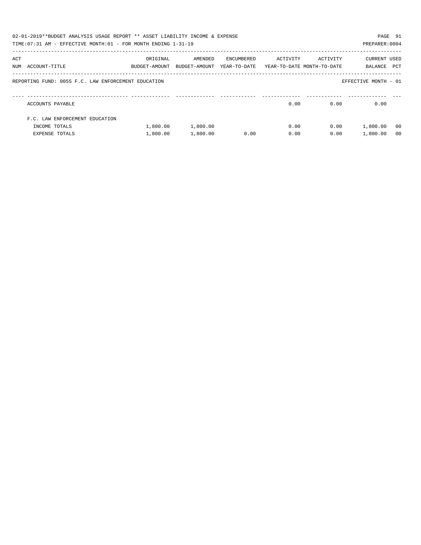|     | 02-01-2019**BUDGET ANALYSIS USAGE REPORT ** ASSET LIABILITY INCOME & EXPENSE |               |               |              |                            |          | PAGE 91              |
|-----|------------------------------------------------------------------------------|---------------|---------------|--------------|----------------------------|----------|----------------------|
|     | TIME:07:31 AM - EFFECTIVE MONTH:01 - FOR MONTH ENDING 1-31-19                |               |               |              |                            |          | PREPARER: 0004       |
|     |                                                                              |               |               |              |                            |          |                      |
| ACT |                                                                              | ORIGINAL      | AMENDED       | ENCUMBERED   | ACTIVITY                   | ACTIVITY | CURRENT USED         |
|     | NUM ACCOUNT-TITLE                                                            | BUDGET-AMOUNT | BUDGET-AMOUNT | YEAR-TO-DATE | YEAR-TO-DATE MONTH-TO-DATE |          | PCT<br>BALANCE       |
|     |                                                                              |               |               |              |                            |          |                      |
|     | REPORTING FUND: 0055 F.C. LAW ENFORCEMENT EDUCATION                          |               |               |              |                            |          | EFFECTIVE MONTH - 01 |
|     |                                                                              |               |               |              |                            |          |                      |
|     |                                                                              |               |               |              |                            |          |                      |
|     | ACCOUNTS PAYABLE                                                             |               |               |              | 0.00                       | 0.00     | 0.00                 |
|     | F.C. LAW ENFORCEMENT EDUCATION                                               |               |               |              |                            |          |                      |
|     |                                                                              |               |               |              |                            |          |                      |
|     | INCOME TOTALS                                                                | 1,800.00      | 1,800.00      |              | 0.00                       | 0.00     | 1,800.00<br>- 00     |
|     | <b>EXPENSE TOTALS</b>                                                        | 1,800.00      | 1,800.00      | 0.00         | 0.00                       | 0.00     | 1,800.00<br>- 0.0    |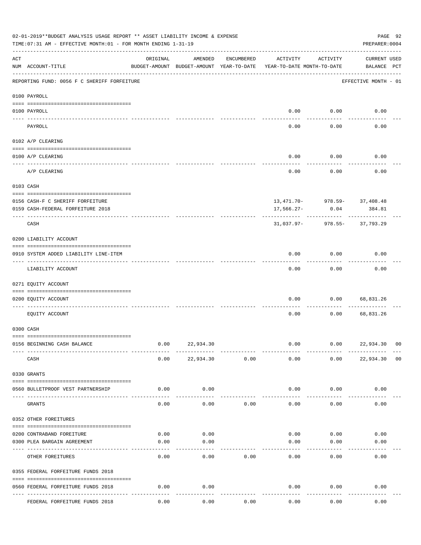|           | 02-01-2019**BUDGET ANALYSIS USAGE REPORT ** ASSET LIABILITY INCOME & EXPENSE<br>TIME: 07:31 AM - EFFECTIVE MONTH: 01 - FOR MONTH ENDING 1-31-19 |          |                                                     |            |                                        |          | PREPARER: 0004                     | PAGE 92        |
|-----------|-------------------------------------------------------------------------------------------------------------------------------------------------|----------|-----------------------------------------------------|------------|----------------------------------------|----------|------------------------------------|----------------|
| ACT       | NUM ACCOUNT-TITLE                                                                                                                               | ORIGINAL | AMENDED<br>BUDGET-AMOUNT BUDGET-AMOUNT YEAR-TO-DATE | ENCUMBERED | ACTIVITY<br>YEAR-TO-DATE MONTH-TO-DATE | ACTIVITY | <b>CURRENT USED</b><br>BALANCE PCT |                |
|           | REPORTING FUND: 0056 F C SHERIFF FORFEITURE                                                                                                     |          |                                                     |            |                                        |          | EFFECTIVE MONTH - 01               |                |
|           | 0100 PAYROLL                                                                                                                                    |          |                                                     |            |                                        |          |                                    |                |
|           | 0100 PAYROLL                                                                                                                                    |          |                                                     |            | 0.00                                   | 0.00     | 0.00                               |                |
| ---- ---- | ------------------------- --------<br>PAYROLL                                                                                                   |          |                                                     |            | 0.00                                   | 0.00     | 0.00                               |                |
|           | 0102 A/P CLEARING                                                                                                                               |          |                                                     |            |                                        |          |                                    |                |
|           | 0100 A/P CLEARING                                                                                                                               |          |                                                     |            | 0.00                                   | 0.00     | 0.00                               |                |
|           | A/P CLEARING                                                                                                                                    |          |                                                     |            | 0.00                                   | 0.00     | 0.00                               |                |
|           | 0103 CASH                                                                                                                                       |          |                                                     |            |                                        |          |                                    |                |
|           | 0156 CASH-F C SHERIFF FORFEITURE                                                                                                                |          |                                                     |            |                                        |          | $13,471.70 - 978.59 - 37,408.48$   |                |
|           | 0159 CASH-FEDERAL FORFEITURE 2018                                                                                                               |          |                                                     |            | 17,566.27-                             | 0.04     | 384.81                             |                |
|           | CASH                                                                                                                                            |          |                                                     |            | 31,037.97-                             |          | 978.55- 37,793.29                  |                |
|           | 0200 LIABILITY ACCOUNT                                                                                                                          |          |                                                     |            |                                        |          |                                    |                |
|           | 0910 SYSTEM ADDED LIABILITY LINE-ITEM                                                                                                           |          |                                                     |            | 0.00                                   | 0.00     | 0.00                               |                |
|           | LIABILITY ACCOUNT                                                                                                                               |          |                                                     |            | 0.00                                   | 0.00     | 0.00                               |                |
|           | 0271 EQUITY ACCOUNT                                                                                                                             |          |                                                     |            |                                        |          |                                    |                |
|           | 0200 EQUITY ACCOUNT                                                                                                                             |          |                                                     |            | 0.00                                   | 0.00     | 68,831.26                          |                |
|           | EQUITY ACCOUNT                                                                                                                                  |          |                                                     |            | 0.00                                   | 0.00     | 68,831.26                          |                |
|           | 0300 CASH                                                                                                                                       |          |                                                     |            |                                        |          |                                    |                |
|           | 0156 BEGINNING CASH BALANCE                                                                                                                     | 0.00     | 22,934.30                                           |            | 0.00                                   | 0.00     | 22,934.30 00                       |                |
|           | CASH                                                                                                                                            | 0.00     | 22,934.30                                           | 0.00       | 0.00                                   | 0.00     | 22,934.30                          | 0 <sub>0</sub> |
|           | 0330 GRANTS                                                                                                                                     |          |                                                     |            |                                        |          |                                    |                |
| $---$     | 0560 BULLETPROOF VEST PARTNERSHIP                                                                                                               | 0.00     | 0.00                                                |            | 0.00                                   | 0.00     | 0.00                               |                |
|           | GRANTS                                                                                                                                          | 0.00     | 0.00                                                | 0.00       | 0.00                                   | 0.00     | 0.00                               |                |
|           | 0352 OTHER FOREITURES                                                                                                                           |          |                                                     |            |                                        |          |                                    |                |
|           | 0200 CONTRABAND FOREITURE                                                                                                                       | 0.00     | 0.00                                                |            | 0.00                                   | 0.00     | 0.00                               |                |
|           | 0300 PLEA BARGAIN AGREEMENT                                                                                                                     | 0.00     | 0.00                                                |            | 0.00                                   | 0.00     | 0.00                               |                |
|           | OTHER FOREITURES                                                                                                                                | 0.00     | 0.00                                                | 0.00       | 0.00                                   | 0.00     | 0.00                               |                |
|           | 0355 FEDERAL FORFEITURE FUNDS 2018                                                                                                              |          |                                                     |            |                                        |          |                                    |                |
|           | 0560 FEDERAL FORFEITURE FUNDS 2018                                                                                                              | 0.00     | 0.00                                                |            | 0.00                                   | 0.00     | 0.00                               |                |
|           | FEDERAL FORFEITURE FUNDS 2018                                                                                                                   | 0.00     | 0.00                                                | 0.00       | 0.00                                   | 0.00     | 0.00                               |                |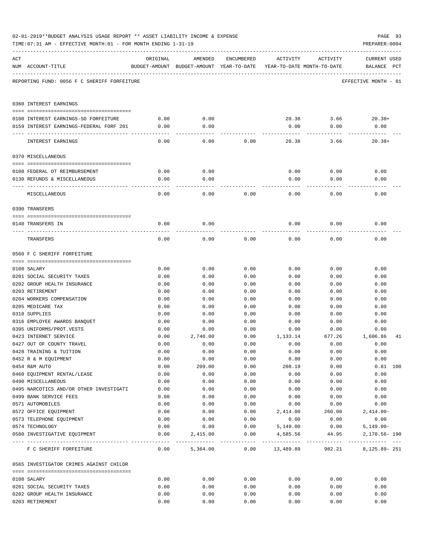|     | TIME: 07:31 AM - EFFECTIVE MONTH: 01 - FOR MONTH ENDING 1-31-19 |              |                                                                                |              |                  |                | PREPARER: 0004                     |
|-----|-----------------------------------------------------------------|--------------|--------------------------------------------------------------------------------|--------------|------------------|----------------|------------------------------------|
| ACT | NUM ACCOUNT-TITLE                                               | ORIGINAL     | AMENDED<br>BUDGET-AMOUNT BUDGET-AMOUNT YEAR-TO-DATE YEAR-TO-DATE MONTH-TO-DATE | ENCUMBERED   | ACTIVITY         | ACTIVITY       | <b>CURRENT USED</b><br>BALANCE PCT |
|     | REPORTING FUND: 0056 F C SHERIFF FORFEITURE                     |              |                                                                                |              |                  |                | EFFECTIVE MONTH - 01               |
|     | 0360 INTEREST EARNINGS                                          |              |                                                                                |              |                  |                |                                    |
|     | 0100 INTEREST EARNINGS-SO FORFEITURE                            | 0.00         | 0.00                                                                           |              |                  | 20.38 3.66     | $20.38+$                           |
|     | 0159 INTEREST EARNINGS-FEDERAL FORF 201                         | 0.00         | 0.00                                                                           |              | 0.00             | 0.00           | 0.00                               |
|     |                                                                 |              |                                                                                |              |                  |                |                                    |
|     | INTEREST EARNINGS                                               | 0.00         | 0.00                                                                           | 0.00         | 20.38            | 3.66           | $20.38+$                           |
|     | 0370 MISCELLANEOUS                                              |              |                                                                                |              |                  |                |                                    |
|     |                                                                 |              |                                                                                |              |                  |                |                                    |
|     | 0108 FEDERAL OT REIMBURSEMENT                                   | 0.00         | 0.00                                                                           |              | 0.00             | 0.00           | 0.00                               |
|     | 0130 REFUNDS & MISCELLANEOUS                                    | 0.00         | 0.00                                                                           |              | 0.00             | 0.00           | 0.00                               |
|     | MISCELLANEOUS                                                   | 0.00         | 0.00                                                                           | 0.00         | 0.00             | 0.00           | 0.00                               |
|     | 0390 TRANSFERS                                                  |              |                                                                                |              |                  |                |                                    |
|     |                                                                 |              |                                                                                |              |                  |                |                                    |
|     | 0140 TRANSFERS IN                                               | 0.00         | 0.00                                                                           |              | 0.00             | 0.00           | 0.00                               |
|     | TRANSFERS                                                       | 0.00         | 0.00                                                                           | 0.00         | 0.00             | 0.00           | 0.00                               |
|     | 0560 F C SHERIFF FORFEITURE                                     |              |                                                                                |              |                  |                |                                    |
|     |                                                                 |              |                                                                                |              |                  |                |                                    |
|     | 0108 SALARY                                                     | 0.00         | 0.00                                                                           | 0.00         | 0.00             | 0.00           | 0.00                               |
|     | 0201 SOCIAL SECURITY TAXES                                      | 0.00         | 0.00                                                                           | 0.00         | 0.00             | 0.00           | 0.00                               |
|     | 0202 GROUP HEALTH INSURANCE                                     | 0.00         | 0.00                                                                           | 0.00         | 0.00             | 0.00           | 0.00                               |
|     | 0203 RETIREMENT                                                 | 0.00         | 0.00                                                                           | 0.00         | 0.00             | 0.00           | 0.00                               |
|     | 0204 WORKERS COMPENSATION                                       | 0.00         | 0.00                                                                           | 0.00         | 0.00             | 0.00           | 0.00                               |
|     | 0205 MEDICARE TAX                                               | 0.00         | 0.00                                                                           | 0.00         | 0.00             | 0.00           | 0.00                               |
|     | 0310 SUPPLIES                                                   | 0.00         | 0.00                                                                           | 0.00         | 0.00             | 0.00           | 0.00                               |
|     | 0316 EMPLOYEE AWARDS BANQUET                                    | 0.00<br>0.00 | 0.00                                                                           | 0.00         | 0.00             | 0.00           | 0.00                               |
|     | 0395 UNIFORMS/PROT.VESTS<br>0423 INTERNET SERVICE               | 0.00         | 0.00<br>2,740.00                                                               | 0.00<br>0.00 | 0.00<br>1,133.14 | 0.00<br>677.26 | 0.00<br>1,606.86<br>41             |
|     | 0427 OUT OF COUNTY TRAVEL                                       | 0.00         | 0.00                                                                           | 0.00         | 0.00             | 0.00           | 0.00                               |
|     | 0428 TRAINING & TUITION                                         | 0.00         | 0.00                                                                           | 0.00         | 0.00             | 0.00           | 0.00                               |
|     | 0452 R & M EQUIPMENT                                            | 0.00         | 0.00                                                                           | 0.00         | 0.00             | 0.00           | 0.00                               |
|     | 0454 R&M AUTO                                                   | 0.00         | 209.00                                                                         | 0.00         | 208.19           | 0.00           | $0.81$ 100                         |
|     | 0460 EQUIPMENT RENTAL/LEASE                                     | 0.00         | 0.00                                                                           | 0.00         | 0.00             | 0.00           | 0.00                               |
|     | 0490 MISCELLANEOUS                                              | 0.00         | 0.00                                                                           | 0.00         | 0.00             | 0.00           | 0.00                               |
|     | 0495 NARCOTICS AND/OR OTHER INVESTIGATI                         | 0.00         | 0.00                                                                           | 0.00         | 0.00             | 0.00           | 0.00                               |
|     | 0499 BANK SERVICE FEES                                          | 0.00         | 0.00                                                                           | 0.00         | 0.00             | 0.00           | 0.00                               |
|     | 0571 AUTOMOBILES                                                | 0.00         | 0.00                                                                           | 0.00         | 0.00             | 0.00           | 0.00                               |
|     | 0572 OFFICE EQUIPMENT                                           | 0.00         | 0.00                                                                           | 0.00         | 2,414.00         | 260.00         | $2,414.00-$                        |
|     | 0573 TELEPHONE EQUIPMENT                                        | 0.00         | 0.00                                                                           | 0.00         | 0.00             | 0.00           | 0.00                               |
|     | 0574 TECHNOLOGY                                                 | 0.00         | 0.00                                                                           | 0.00         | 5,149.00         | 0.00           | $5,149.00 -$                       |
|     | 0580 INVESTIGATIVE EQUIPMENT                                    | 0.00         | 2,415.00                                                                       | 0.00         | 4,585.56         | 44.95          | 2,170.56-190                       |
|     | F C SHERIFF FORFEITURE                                          | 0.00         | 5,364.00                                                                       | 0.00         | 13,489.89        | 982.21         | 8, 125.89-251                      |
|     | 0565 INVESTIGATOR CRIMES AGAINST CHILDR                         |              |                                                                                |              |                  |                |                                    |
|     |                                                                 |              |                                                                                |              |                  |                |                                    |
|     | 0108 SALARY<br>0201 SOCIAL SECURITY TAXES                       | 0.00<br>0.00 | 0.00<br>0.00                                                                   | 0.00<br>0.00 | 0.00<br>0.00     | 0.00<br>0.00   | 0.00<br>0.00                       |
|     | 0202 GROUP HEALTH INSURANCE                                     | 0.00         | 0.00                                                                           | 0.00         | 0.00             | 0.00           | 0.00                               |
|     | 0203 RETIREMENT                                                 | 0.00         | 0.00                                                                           | 0.00         | 0.00             | 0.00           | 0.00                               |
|     |                                                                 |              |                                                                                |              |                  |                |                                    |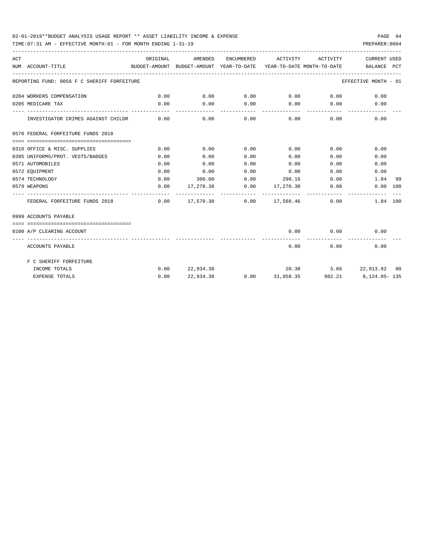### 02-01-2019\*\*BUDGET ANALYSIS USAGE REPORT \*\* ASSET LIABILITY INCOME & EXPENSE PAGE 94

TIME:07:31 AM - EFFECTIVE MONTH:01 - FOR MONTH ENDING 1-31-19 PREPARER:0004

| ACT | BUDGET-AMOUNT BUDGET-AMOUNT YEAR-TO-DATE YEAR-TO-DATE MONTH-TO-DATE BALANCE PCT<br>NUM ACCOUNT-TITLE | ORIGINAL | AMENDED                                          |             | ENCUMBERED ACTIVITY ACTIVITY          |               | CURRENT USED                                     |    |
|-----|------------------------------------------------------------------------------------------------------|----------|--------------------------------------------------|-------------|---------------------------------------|---------------|--------------------------------------------------|----|
|     | ------------------------------------<br>REPORTING FUND: 0056 F C SHERIFF FORFEITURE                  |          |                                                  |             |                                       |               | EFFECTIVE MONTH - 01                             |    |
|     |                                                                                                      |          |                                                  |             |                                       |               |                                                  |    |
|     | 0204 WORKERS COMPENSATION                                                                            | 0.00     |                                                  |             |                                       |               | $0.00$ $0.00$ $0.00$ $0.00$ $0.00$ $0.00$ $0.00$ |    |
|     | 0205 MEDICARE TAX                                                                                    | 0.00     | 0.00                                             |             | $0.00$ $0.00$ $0.00$ $0.00$           |               | 0.00                                             |    |
|     | INVESTIGATOR CRIMES AGAINST CHILDR 0.00                                                              |          |                                                  |             | $0.00$ $0.00$ $0.00$ $0.00$ $0.00$    |               | 0.00                                             |    |
|     | 0570 FEDERAL FORFEITURE FUNDS 2018                                                                   |          |                                                  |             |                                       |               |                                                  |    |
|     |                                                                                                      |          |                                                  |             |                                       |               |                                                  |    |
|     | 0310 OFFICE & MISC. SUPPLIES                                                                         | 0.00     | 0.00                                             | 0.00        | $0.00$ 0.00                           |               | 0.00                                             |    |
|     | 0395 UNIFORMS/PROT. VESTS/BADGES                                                                     | 0.00     | 0.00                                             | 0.00        | $0.00$ 0.00                           |               | 0.00                                             |    |
|     | 0571 AUTOMOBILES                                                                                     | 0.00     | 0.00                                             | 0.00        | 0.00                                  |               | 0.00<br>0.00                                     |    |
|     | 0572 EQUIPMENT                                                                                       | 0.00     |                                                  | $0.00$ 0.00 | 0.00                                  |               | 0.00<br>0.00                                     |    |
|     | 0574 TECHNOLOGY                                                                                      | 0.00     |                                                  |             | $300.00$ 0.00 298.16 0.00             |               | 1.84                                             | 99 |
|     | 0579 WEAPONS                                                                                         | 0.00     |                                                  |             | $17,270.30$ $0.00$ $17,270.30$ $0.00$ |               | 0.00 100                                         |    |
|     | FEDERAL FORFEITURE FUNDS 2018                                                                        |          | $0.00 \t 17,570.30 \t 0.00 \t 17,568.46 \t 0.00$ |             |                                       |               | 1.84 100                                         |    |
|     | 0999 ACCOUNTS PAYABLE                                                                                |          |                                                  |             |                                       |               |                                                  |    |
|     |                                                                                                      |          |                                                  |             |                                       |               |                                                  |    |
|     | 0100 A/P CLEARING ACCOUNT                                                                            |          |                                                  |             | --------------                        | ------------- | $0.00$ $0.00$ $0.00$ $0.00$<br>-------------     |    |
|     | ACCOUNTS PAYABLE                                                                                     |          |                                                  |             | 0.00                                  | 0.00          | 0.00                                             |    |
|     | F C SHERIFF FORFEITURE                                                                               |          |                                                  |             |                                       |               |                                                  |    |
|     | INCOME TOTALS                                                                                        |          |                                                  |             |                                       |               | $0.00$ $22.934.30$ $20.38$ $3.66$ $22.913.92$ 00 |    |
|     | EXPENSE TOTALS                                                                                       | 0.00     | 22,934.30                                        |             |                                       |               | $0.00$ $31,058.35$ $982.21$ $8,124.05 - 135$     |    |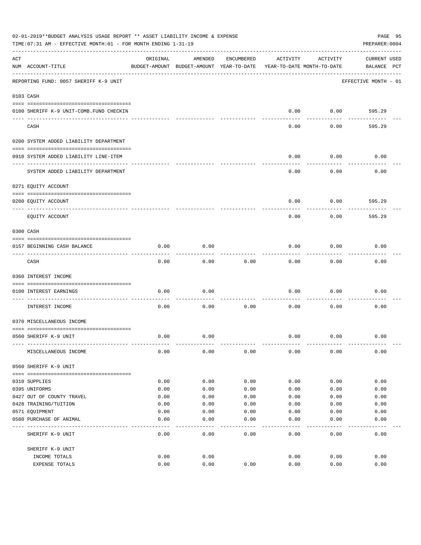|     | 02-01-2019**BUDGET ANALYSIS USAGE REPORT ** ASSET LIABILITY INCOME & EXPENSE<br>PAGE 95<br>TIME:07:31 AM - EFFECTIVE MONTH:01 - FOR MONTH ENDING 1-31-19<br>PREPARER: 0004 |          |                                                     |            |                                        |          |                                    |  |  |  |
|-----|----------------------------------------------------------------------------------------------------------------------------------------------------------------------------|----------|-----------------------------------------------------|------------|----------------------------------------|----------|------------------------------------|--|--|--|
| ACT | NUM ACCOUNT-TITLE                                                                                                                                                          | ORIGINAL | AMENDED<br>BUDGET-AMOUNT BUDGET-AMOUNT YEAR-TO-DATE | ENCUMBERED | ACTIVITY<br>YEAR-TO-DATE MONTH-TO-DATE | ACTIVITY | <b>CURRENT USED</b><br>BALANCE PCT |  |  |  |
|     | REPORTING FUND: 0057 SHERIFF K-9 UNIT                                                                                                                                      |          |                                                     |            |                                        |          | EFFECTIVE MONTH - 01               |  |  |  |
|     | 0103 CASH                                                                                                                                                                  |          |                                                     |            |                                        |          |                                    |  |  |  |
|     | 0100 SHERIFF K-9 UNIT-COMB. FUND CHECKIN                                                                                                                                   |          |                                                     |            | 0.00                                   | 0.00     | 595.29                             |  |  |  |
|     | CASH                                                                                                                                                                       |          |                                                     |            | 0.00                                   | 0.00     | 595.29                             |  |  |  |
|     | 0200 SYSTEM ADDED LIABILITY DEPARTMENT                                                                                                                                     |          |                                                     |            |                                        |          |                                    |  |  |  |
|     | 0910 SYSTEM ADDED LIABILITY LINE-ITEM                                                                                                                                      |          |                                                     |            | 0.00                                   | 0.00     | 0.00                               |  |  |  |
|     | SYSTEM ADDED LIABILITY DEPARTMENT                                                                                                                                          |          |                                                     |            | 0.00                                   | 0.00     | 0.00                               |  |  |  |
|     | 0271 EQUITY ACCOUNT                                                                                                                                                        |          |                                                     |            |                                        |          |                                    |  |  |  |
|     | 0200 EQUITY ACCOUNT                                                                                                                                                        |          |                                                     |            | 0.00                                   | 0.00     | 595.29                             |  |  |  |
|     | ---- -----------<br>EQUITY ACCOUNT                                                                                                                                         |          |                                                     |            | 0.00                                   | 0.00     | 595.29                             |  |  |  |
|     | 0300 CASH                                                                                                                                                                  |          |                                                     |            |                                        |          |                                    |  |  |  |
|     | 0157 BEGINNING CASH BALANCE                                                                                                                                                | 0.00     | 0.00                                                |            | 0.00                                   | 0.00     | 0.00                               |  |  |  |
|     | CASH                                                                                                                                                                       | 0.00     | 0.00                                                | 0.00       | 0.00                                   | 0.00     | 0.00                               |  |  |  |
|     | 0360 INTEREST INCOME                                                                                                                                                       |          |                                                     |            |                                        |          |                                    |  |  |  |
|     | 0100 INTEREST EARNINGS                                                                                                                                                     | 0.00     | 0.00                                                |            | 0.00                                   | 0.00     | 0.00                               |  |  |  |
|     | INTEREST INCOME                                                                                                                                                            | 0.00     | 0.00                                                | 0.00       | 0.00                                   | 0.00     | 0.00                               |  |  |  |
|     | 0370 MISCELLANEOUS INCOME                                                                                                                                                  |          |                                                     |            |                                        |          |                                    |  |  |  |
|     | 0560 SHERIFF K-9 UNIT                                                                                                                                                      | 0.00     | 0.00                                                |            | 0.00                                   | 0.00     | 0.00                               |  |  |  |
|     | MISCELLANEOUS INCOME                                                                                                                                                       | 0.00     | 0.00                                                | 0.00       | 0.00                                   | 0.00     | 0.00                               |  |  |  |
|     | 0560 SHERIFF K-9 UNIT                                                                                                                                                      |          |                                                     |            |                                        |          |                                    |  |  |  |
|     | 0310 SUPPLIES                                                                                                                                                              | 0.00     | 0.00                                                | 0.00       | 0.00                                   | 0.00     | 0.00                               |  |  |  |
|     | 0395 UNIFORMS                                                                                                                                                              | 0.00     | 0.00                                                | 0.00       | 0.00                                   | 0.00     | 0.00                               |  |  |  |
|     | 0427 OUT OF COUNTY TRAVEL                                                                                                                                                  | 0.00     | 0.00                                                | 0.00       | 0.00                                   | 0.00     | 0.00                               |  |  |  |
|     | 0428 TRAINING/TUITION                                                                                                                                                      | 0.00     | 0.00                                                | 0.00       | 0.00                                   | 0.00     | 0.00                               |  |  |  |
|     | 0571 EQUIPMENT                                                                                                                                                             | 0.00     | 0.00                                                | 0.00       | 0.00                                   | 0.00     | 0.00                               |  |  |  |
|     | 0580 PURCHASE OF ANIMAL                                                                                                                                                    | 0.00     | 0.00                                                | 0.00       | 0.00                                   | 0.00     | 0.00                               |  |  |  |
|     | SHERIFF K-9 UNIT                                                                                                                                                           | 0.00     | 0.00                                                | 0.00       | 0.00                                   | 0.00     | 0.00                               |  |  |  |
|     | SHERIFF K-9 UNIT                                                                                                                                                           |          |                                                     |            |                                        |          |                                    |  |  |  |
|     | INCOME TOTALS                                                                                                                                                              | 0.00     | 0.00                                                |            | 0.00                                   | 0.00     | 0.00                               |  |  |  |
|     | EXPENSE TOTALS                                                                                                                                                             | 0.00     | 0.00                                                | 0.00       | 0.00                                   | 0.00     | 0.00                               |  |  |  |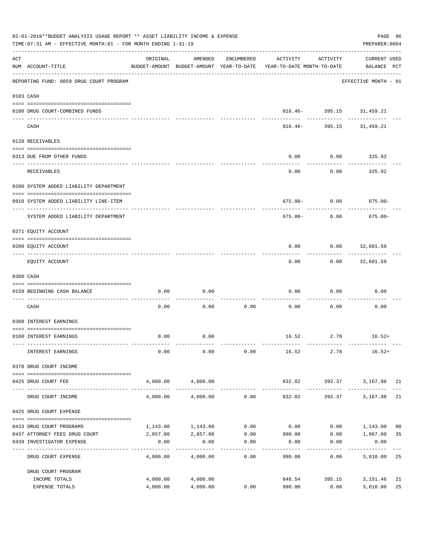|     | 02-01-2019**BUDGET ANALYSIS USAGE REPORT ** ASSET LIABILITY INCOME & EXPENSE<br>TIME: 07:31 AM - EFFECTIVE MONTH: 01 - FOR MONTH ENDING 1-31-19 |          |                           |                     |                                                                                 |                                          |                                    |                |  |  |
|-----|-------------------------------------------------------------------------------------------------------------------------------------------------|----------|---------------------------|---------------------|---------------------------------------------------------------------------------|------------------------------------------|------------------------------------|----------------|--|--|
| ACT | NUM ACCOUNT-TITLE                                                                                                                               | ORIGINAL | AMENDED                   | ENCUMBERED          | ACTIVITY<br>BUDGET-AMOUNT BUDGET-AMOUNT YEAR-TO-DATE YEAR-TO-DATE MONTH-TO-DATE | ACTIVITY                                 | <b>CURRENT USED</b><br>BALANCE PCT |                |  |  |
|     | REPORTING FUND: 0059 DRUG COURT PROGRAM                                                                                                         |          |                           |                     |                                                                                 |                                          | EFFECTIVE MONTH - 01               |                |  |  |
|     | 0103 CASH                                                                                                                                       |          |                           |                     |                                                                                 |                                          |                                    |                |  |  |
|     | 0100 DRUG COURT-COMBINED FUNDS                                                                                                                  |          |                           |                     |                                                                                 | 816.46- 395.15 31,459.21                 |                                    |                |  |  |
|     | CASH                                                                                                                                            |          |                           |                     |                                                                                 | ------------<br>816.46- 395.15 31,459.21 |                                    |                |  |  |
|     | 0120 RECEIVABLES                                                                                                                                |          |                           |                     |                                                                                 |                                          |                                    |                |  |  |
|     | 0313 DUE FROM OTHER FUNDS                                                                                                                       |          |                           |                     | 0.00                                                                            | 0.00                                     | 325.92                             |                |  |  |
|     | RECEIVABLES                                                                                                                                     |          |                           |                     | 0.00                                                                            | 0.00                                     | 325.92                             |                |  |  |
|     | 0200 SYSTEM ADDED LIABILITY DEPARTMENT                                                                                                          |          |                           |                     |                                                                                 |                                          |                                    |                |  |  |
|     | 0910 SYSTEM ADDED LIABILITY LINE-ITEM                                                                                                           |          |                           |                     |                                                                                 | $675.00 - 0.00$                          | $675.00 -$                         |                |  |  |
|     | SYSTEM ADDED LIABILITY DEPARTMENT                                                                                                               |          |                           |                     | 675.00-                                                                         | 0.00                                     | $675.00 -$                         |                |  |  |
|     | 0271 EQUITY ACCOUNT                                                                                                                             |          |                           |                     |                                                                                 |                                          |                                    |                |  |  |
|     | 0200 EQUITY ACCOUNT                                                                                                                             |          |                           |                     | 0.00                                                                            | $0.00$ 32,601.59                         |                                    |                |  |  |
|     | EQUITY ACCOUNT                                                                                                                                  |          |                           |                     | 0.00                                                                            |                                          | $0.00$ 32,601.59                   |                |  |  |
|     | 0300 CASH                                                                                                                                       |          |                           |                     |                                                                                 |                                          |                                    |                |  |  |
|     | 0159 BEGINNING CASH BALANCE                                                                                                                     | 0.00     | 0.00                      |                     | 0.00                                                                            | 0.00                                     | 0.00                               |                |  |  |
|     | CASH                                                                                                                                            | 0.00     | 0.00                      | 0.00                | 0.00                                                                            | 0.00                                     | 0.00                               |                |  |  |
|     | 0360 INTEREST EARNINGS                                                                                                                          |          |                           |                     |                                                                                 |                                          |                                    |                |  |  |
|     | 0100 INTEREST EARNINGS                                                                                                                          | 0.00     | 0.00                      |                     |                                                                                 |                                          | $16.52$ $2.78$ $16.52+$            |                |  |  |
|     | INTEREST EARNINGS                                                                                                                               | 0.00     | 0.00                      | 0.00                | 16.52                                                                           | 2.78                                     | $16.52+$                           |                |  |  |
|     | 0370 DRUG COURT INCOME                                                                                                                          |          |                           |                     |                                                                                 |                                          |                                    |                |  |  |
|     | --------------------------------------<br>0425 DRUG COURT FEE                                                                                   |          | 4,000.00 4,000.00         |                     | 832.02<br>_______________                                                       |                                          | 392.37 3,167.98 21                 |                |  |  |
|     | DRUG COURT INCOME                                                                                                                               | 4,000.00 | 4,000.00                  | 0.00                | 832.02                                                                          | 392.37                                   | 3,167.98                           | 21             |  |  |
|     | 0425 DRUG COURT EXPENSE                                                                                                                         |          |                           |                     |                                                                                 |                                          |                                    |                |  |  |
|     | 0433 DRUG COURT PROGRAMS                                                                                                                        |          | 1,143.00 1,143.00         | 0.00                | 0.00                                                                            |                                          | $0.00$ 1,143.00                    | 0 <sub>0</sub> |  |  |
|     | 0437 ATTORNEY FEES DRUG COURT<br>0439 INVESTIGATOR EXPENSE                                                                                      | 0.00     | 2,857.00 2,857.00<br>0.00 | 0.00                | $0.00$ 990.00<br>0.00                                                           | 0.00                                     | $0.00$ 1,867.00<br>0.00            | 35             |  |  |
|     | DRUG COURT EXPENSE                                                                                                                              | 4,000.00 | 4,000.00                  | -----------<br>0.00 | 990.00                                                                          | 0.00                                     | 3,010.00                           | 25             |  |  |
|     | DRUG COURT PROGRAM                                                                                                                              |          |                           |                     |                                                                                 |                                          |                                    |                |  |  |
|     | INCOME TOTALS                                                                                                                                   |          | 4,000.00 4,000.00         |                     |                                                                                 | 848.54 395.15                            | 3,151.46                           | 21             |  |  |
|     | EXPENSE TOTALS                                                                                                                                  | 4,000.00 | 4,000.00                  | 0.00                | 990.00                                                                          | 0.00                                     | 3,010.00                           | 25             |  |  |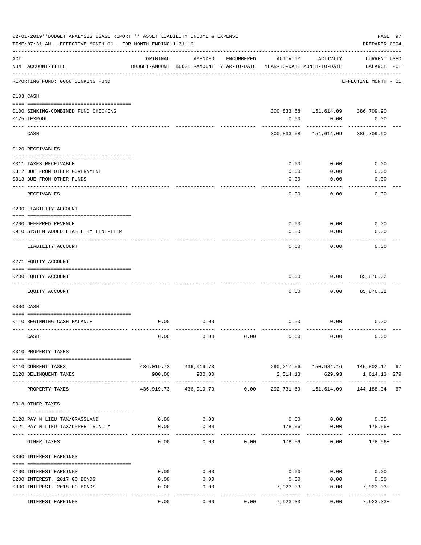|     | 02-01-2019**BUDGET ANALYSIS USAGE REPORT ** ASSET LIABILITY INCOME & EXPENSE<br>TIME: 07:31 AM - EFFECTIVE MONTH: 01 - FOR MONTH ENDING 1-31-19 |                                    |                                                     |            |                                        |                                        | PREPARER: 0004                     | PAGE 97 |
|-----|-------------------------------------------------------------------------------------------------------------------------------------------------|------------------------------------|-----------------------------------------------------|------------|----------------------------------------|----------------------------------------|------------------------------------|---------|
| ACT | NUM ACCOUNT-TITLE                                                                                                                               | ORIGINAL<br>______________________ | AMENDED<br>BUDGET-AMOUNT BUDGET-AMOUNT YEAR-TO-DATE | ENCUMBERED | ACTIVITY<br>YEAR-TO-DATE MONTH-TO-DATE | ACTIVITY                               | <b>CURRENT USED</b><br>BALANCE PCT |         |
|     | REPORTING FUND: 0060 SINKING FUND                                                                                                               |                                    |                                                     |            |                                        |                                        | EFFECTIVE MONTH - 01               |         |
|     | 0103 CASH                                                                                                                                       |                                    |                                                     |            |                                        |                                        |                                    |         |
|     | 0100 SINKING-COMBINED FUND CHECKING                                                                                                             |                                    |                                                     |            |                                        | 300,833.58    151,614.09    386,709.90 |                                    |         |
|     | 0175 TEXPOOL                                                                                                                                    |                                    |                                                     |            | 0.00                                   | 0.00                                   | 0.00                               |         |
|     | CASH                                                                                                                                            |                                    |                                                     |            |                                        | 300,833.58 151,614.09                  | 386,709.90                         |         |
|     | 0120 RECEIVABLES                                                                                                                                |                                    |                                                     |            |                                        |                                        |                                    |         |
|     |                                                                                                                                                 |                                    |                                                     |            |                                        |                                        |                                    |         |
|     | 0311 TAXES RECEIVABLE                                                                                                                           |                                    |                                                     |            | 0.00                                   | 0.00                                   | 0.00                               |         |
|     | 0312 DUE FROM OTHER GOVERNMENT<br>0313 DUE FROM OTHER FUNDS                                                                                     |                                    |                                                     |            | 0.00<br>0.00                           | 0.00<br>0.00                           | 0.00<br>0.00                       |         |
|     | RECEIVABLES                                                                                                                                     |                                    |                                                     |            | 0.00                                   | 0.00                                   | 0.00                               |         |
|     | 0200 LIABILITY ACCOUNT                                                                                                                          |                                    |                                                     |            |                                        |                                        |                                    |         |
|     |                                                                                                                                                 |                                    |                                                     |            |                                        |                                        |                                    |         |
|     | 0200 DEFERRED REVENUE                                                                                                                           |                                    |                                                     |            | 0.00                                   | 0.00                                   | 0.00                               |         |
|     | 0910 SYSTEM ADDED LIABILITY LINE-ITEM<br>.                                                                                                      |                                    |                                                     |            | 0.00                                   | 0.00                                   | 0.00                               |         |
|     | LIABILITY ACCOUNT                                                                                                                               |                                    |                                                     |            | 0.00                                   | 0.00                                   | 0.00                               |         |
|     | 0271 EQUITY ACCOUNT                                                                                                                             |                                    |                                                     |            |                                        |                                        |                                    |         |
|     |                                                                                                                                                 |                                    |                                                     |            |                                        |                                        |                                    |         |
|     | 0200 EQUITY ACCOUNT                                                                                                                             |                                    |                                                     |            | 0.00                                   | 0.00                                   | 85,876.32                          |         |
|     | EQUITY ACCOUNT                                                                                                                                  |                                    |                                                     |            | 0.00                                   | 0.00                                   | 85,876.32                          |         |
|     | 0300 CASH                                                                                                                                       |                                    |                                                     |            |                                        |                                        |                                    |         |
|     |                                                                                                                                                 |                                    |                                                     |            |                                        |                                        |                                    |         |
|     | 0110 BEGINNING CASH BALANCE                                                                                                                     | 0.00                               | 0.00                                                |            | 0.00                                   | 0.00                                   | 0.00                               |         |
|     | CASH                                                                                                                                            | 0.00                               | 0.00                                                | 0.00       | 0.00                                   | 0.00                                   | 0.00                               |         |
|     | 0310 PROPERTY TAXES                                                                                                                             |                                    |                                                     |            |                                        |                                        |                                    |         |
|     | 0110 CURRENT TAXES                                                                                                                              |                                    | 436,019.73 436,019.73                               |            |                                        | 290, 217.56 150, 984.16 145, 802.17 67 |                                    |         |
|     | 0120 DELINQUENT TAXES                                                                                                                           | 900.00                             | 900.00                                              |            |                                        | 2,514.13 629.93                        | 1,614.13+ 279                      |         |
|     | PROPERTY TAXES                                                                                                                                  |                                    | 436,919.73 436,919.73 0.00                          |            | --------------<br>292,731.69           |                                        | 151,614.09  144,188.04  67         |         |
|     | 0318 OTHER TAXES                                                                                                                                |                                    |                                                     |            |                                        |                                        |                                    |         |
|     |                                                                                                                                                 |                                    |                                                     |            |                                        |                                        |                                    |         |
|     | 0120 PAY N LIEU TAX/GRASSLAND                                                                                                                   | 0.00                               | 0.00                                                |            |                                        | $0.00$ $0.00$ $0.00$                   |                                    |         |
|     | 0121 PAY N LIEU TAX/UPPER TRINITY                                                                                                               | 0.00                               | 0.00                                                |            |                                        | 178.56 0.00                            | $178.56+$                          |         |
|     | OTHER TAXES                                                                                                                                     | 0.00                               | 0.00                                                | 0.00       | 178.56                                 | 0.00                                   | $178.56+$                          |         |
|     | 0360 INTEREST EARNINGS                                                                                                                          |                                    |                                                     |            |                                        |                                        |                                    |         |
|     | 0100 INTEREST EARNINGS                                                                                                                          | 0.00                               | 0.00                                                |            |                                        | $0.00$ $0.00$ $0.00$                   |                                    |         |
|     | 0200 INTEREST, 2017 GO BONDS                                                                                                                    | 0.00                               | 0.00                                                |            | 0.00                                   | 0.00                                   | 0.00                               |         |
|     | 0300 INTEREST, 2018 GO BONDS                                                                                                                    | 0.00                               | 0.00                                                |            | 7,923.33                               | 0.00                                   | 7,923.33+                          |         |
|     | INTEREST EARNINGS                                                                                                                               | 0.00                               | 0.00                                                | 0.00       | 7,923.33                               | 0.00                                   | $7,923.33+$                        |         |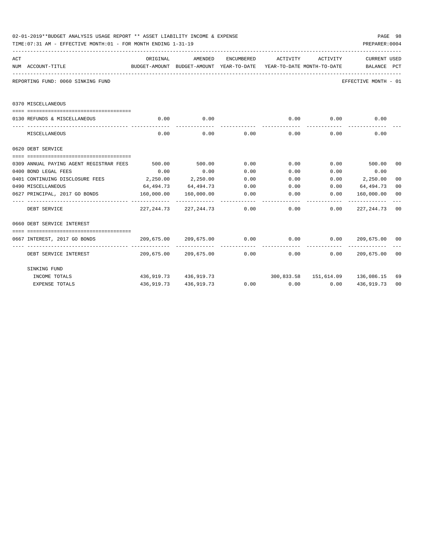|     | 02-01-2019**BUDGET ANALYSIS USAGE REPORT ** ASSET LIABILITY INCOME & EXPENSE<br>TIME: 07:31 AM - EFFECTIVE MONTH: 01 - FOR MONTH ENDING 1-31-19 |            |                       |             |                                                          |                             | PAGE 98<br>PREPARER: 0004                                                                 |                |
|-----|-------------------------------------------------------------------------------------------------------------------------------------------------|------------|-----------------------|-------------|----------------------------------------------------------|-----------------------------|-------------------------------------------------------------------------------------------|----------------|
| ACT |                                                                                                                                                 | ORIGINAL   | AMENDED               | ENCUMBERED  | ACTIVITY                                                 | ACTIVITY                    | <b>CURRENT USED</b>                                                                       |                |
|     | NUM ACCOUNT-TITLE                                                                                                                               |            |                       |             |                                                          |                             | BUDGET-AMOUNT BUDGET-AMOUNT YEAR-TO-DATE YEAR-TO-DATE MONTH-TO-DATE BALANCE PCT           |                |
|     | REPORTING FUND: 0060 SINKING FUND                                                                                                               |            |                       |             |                                                          |                             | EFFECTIVE MONTH - 01                                                                      |                |
|     | 0370 MISCELLANEOUS                                                                                                                              |            |                       |             |                                                          |                             |                                                                                           |                |
|     |                                                                                                                                                 |            |                       |             |                                                          |                             |                                                                                           |                |
|     | 0130 REFUNDS & MISCELLANEOUS                                                                                                                    | 0.00       | 0.00<br>-----------   |             | ------------                                             | $0.00$ 0.00<br>------------ | 0.00                                                                                      |                |
|     | MISCELLANEOUS                                                                                                                                   | 0.00       |                       | $0.00$ 0.00 |                                                          | $0.00$ 0.00                 | 0.00                                                                                      |                |
|     | 0620 DEBT SERVICE                                                                                                                               |            |                       |             |                                                          |                             |                                                                                           |                |
|     |                                                                                                                                                 |            |                       |             |                                                          |                             |                                                                                           |                |
|     | 0309 ANNUAL PAYING AGENT REGISTRAR FEES 500.00 500.00 0.00 0.00 0.00 0.00 500.00 00                                                             |            |                       |             |                                                          |                             |                                                                                           |                |
|     | 0400 BOND LEGAL FEES                                                                                                                            | 0.00       | 0.00                  | 0.00        | 0.00                                                     | 0.00                        | 0.00                                                                                      |                |
|     | 0401 CONTINUING DISCLOSURE FEES 2,250.00 2,250.00                                                                                               |            |                       | 0.00        | $0.00$ $0.00$ $2,250.00$                                 |                             |                                                                                           | 0 <sub>0</sub> |
|     | 0490 MISCELLANEOUS                                                                                                                              |            |                       |             | $64,494.73$ $64,494.73$ $0.00$ $0.00$ $0.00$ $64,494.73$ |                             |                                                                                           | 0 <sub>0</sub> |
|     | 0627 PRINCIPAL, 2017 GO BONDS 160,000.00 160,000.00                                                                                             |            |                       | 0.00        | 0.00                                                     | 0.00                        | 160,000.00                                                                                | 0 <sub>0</sub> |
|     | DEBT SERVICE                                                                                                                                    |            |                       |             |                                                          |                             | $227,244.73$ $227,244.73$ $0.00$ $0.00$ $0.00$ $227,244.73$ 00                            |                |
|     | 0660 DEBT SERVICE INTEREST                                                                                                                      |            |                       |             |                                                          |                             |                                                                                           |                |
|     |                                                                                                                                                 |            |                       |             |                                                          |                             |                                                                                           |                |
|     | 0667 INTEREST, 2017 GO BONDS                                                                                                                    |            |                       |             |                                                          | -------------               | $209,675.00$ $209,675.00$ $0.00$ $0.00$ $0.00$ $0.00$ $209,675.00$ $00$<br>______________ |                |
|     | DEBT SERVICE INTEREST $209,675.00$ $209,675.00$ 0.00 0.00 0.00 0.00 209,675.00 00                                                               |            |                       |             |                                                          |                             |                                                                                           |                |
|     | SINKING FUND                                                                                                                                    |            |                       |             |                                                          |                             |                                                                                           |                |
|     | INCOME TOTALS                                                                                                                                   |            | 436,919.73 436,919.73 |             |                                                          |                             | 300,833.58  151,614.09  136,086.15                                                        | 69             |
|     | <b>EXPENSE TOTALS</b>                                                                                                                           | 436,919.73 | 436,919.73            |             | $0.00$ $0.00$ $0.00$ $0.00$                              |                             | 436,919.73                                                                                | 0 <sub>0</sub> |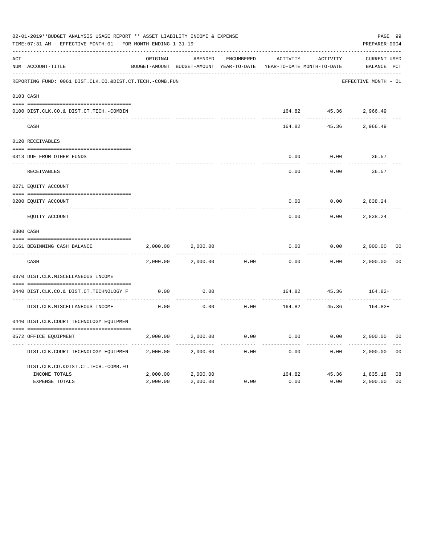|     | 02-01-2019**BUDGET ANALYSIS USAGE REPORT ** ASSET LIABILITY INCOME & EXPENSE<br>TIME: 07:31 AM - EFFECTIVE MONTH: 01 - FOR MONTH ENDING 1-31-19<br>PREPARER: 0004 |          |                                                     |                   |          |                                        |                                    |                |  |  |  |
|-----|-------------------------------------------------------------------------------------------------------------------------------------------------------------------|----------|-----------------------------------------------------|-------------------|----------|----------------------------------------|------------------------------------|----------------|--|--|--|
| ACT | NUM ACCOUNT-TITLE                                                                                                                                                 | ORIGINAL | AMENDED<br>BUDGET-AMOUNT BUDGET-AMOUNT YEAR-TO-DATE | <b>ENCUMBERED</b> | ACTIVITY | ACTIVITY<br>YEAR-TO-DATE MONTH-TO-DATE | <b>CURRENT USED</b><br>BALANCE PCT |                |  |  |  |
|     | REPORTING FUND: 0061 DIST.CLK.CO.&DIST.CT.TECH.-COMB.FUN                                                                                                          |          |                                                     |                   |          |                                        | EFFECTIVE MONTH - 01               |                |  |  |  |
|     | 0103 CASH                                                                                                                                                         |          |                                                     |                   |          |                                        |                                    |                |  |  |  |
|     | 0100 DIST.CLK.CO.& DIST.CT.TECH.-COMBIN                                                                                                                           |          |                                                     |                   |          |                                        | 164.82 45.36 2,966.49              |                |  |  |  |
|     | CASH                                                                                                                                                              |          |                                                     |                   | 164.82   | 45.36                                  | 2,966.49                           |                |  |  |  |
|     | 0120 RECEIVABLES                                                                                                                                                  |          |                                                     |                   |          |                                        |                                    |                |  |  |  |
|     | 0313 DUE FROM OTHER FUNDS                                                                                                                                         |          |                                                     |                   | 0.00     | 0.00                                   | 36.57                              |                |  |  |  |
|     | RECEIVABLES                                                                                                                                                       |          |                                                     |                   | 0.00     | 0.00                                   | 36.57                              |                |  |  |  |
|     | 0271 EQUITY ACCOUNT                                                                                                                                               |          |                                                     |                   |          |                                        |                                    |                |  |  |  |
|     | 0200 EQUITY ACCOUNT                                                                                                                                               |          |                                                     |                   | 0.00     | 0.00                                   | 2,838.24                           |                |  |  |  |
|     | ---- -----------<br>EQUITY ACCOUNT                                                                                                                                |          |                                                     |                   | 0.00     | 0.00                                   | 2,838.24                           |                |  |  |  |
|     | 0300 CASH                                                                                                                                                         |          |                                                     |                   |          |                                        |                                    |                |  |  |  |
|     | 0161 BEGINNING CASH BALANCE                                                                                                                                       | 2,000.00 | 2,000.00                                            |                   | 0.00     | 0.00                                   | 2,000.00                           | 0 <sub>0</sub> |  |  |  |
|     | CASH                                                                                                                                                              | 2,000.00 | 2,000.00                                            | 0.00              | 0.00     | 0.00                                   | 2,000.00                           | 0 <sup>0</sup> |  |  |  |
|     | 0370 DIST.CLK.MISCELLANEOUS INCOME                                                                                                                                |          |                                                     |                   |          |                                        |                                    |                |  |  |  |
|     | 0440 DIST.CLK.CO.& DIST.CT.TECHNOLOGY F                                                                                                                           | 0.00     | 0.00                                                |                   | 164.82   | 45.36                                  | 164.82+                            |                |  |  |  |
|     | DIST.CLK.MISCELLANEOUS INCOME                                                                                                                                     | 0.00     | 0.00                                                | 0.00              | 164.82   | 45.36                                  | 164.82+                            |                |  |  |  |
|     | 0440 DIST.CLK.COURT TECHNOLOGY EQUIPMEN                                                                                                                           |          |                                                     |                   |          |                                        |                                    |                |  |  |  |
|     | 0572 OFFICE EOUIPMENT                                                                                                                                             | 2,000.00 | 2,000.00                                            | 0.00              | 0.00     | 0.00                                   | 2,000.00                           | 0 <sub>0</sub> |  |  |  |
|     | DIST.CLK.COURT TECHNOLOGY EQUIPMEN                                                                                                                                | 2,000.00 | 2,000.00                                            | 0.00              | 0.00     | 0.00                                   | 2,000.00                           | 0 <sub>0</sub> |  |  |  |
|     | DIST.CLK.CO.&DIST.CT.TECH.-COMB.FU                                                                                                                                |          |                                                     |                   |          |                                        |                                    |                |  |  |  |
|     | INCOME TOTALS                                                                                                                                                     | 2,000.00 | 2,000.00                                            |                   | 164.82   |                                        | 45.36 1,835.18                     | 08             |  |  |  |
|     | <b>EXPENSE TOTALS</b>                                                                                                                                             | 2,000.00 | 2,000.00                                            | 0.00              | 0.00     | 0.00                                   | 2,000.00                           | 0 <sub>0</sub> |  |  |  |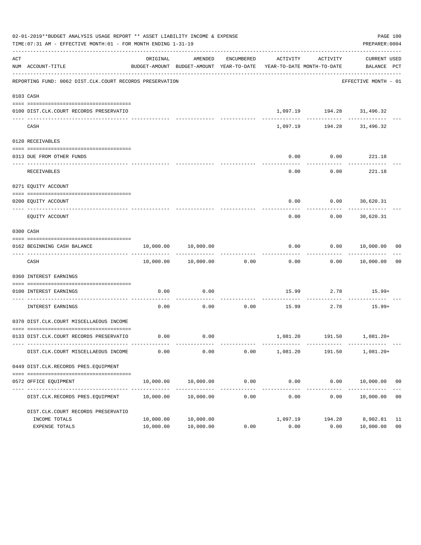|     | 02-01-2019**BUDGET ANALYSIS USAGE REPORT ** ASSET LIABILITY INCOME & EXPENSE<br>TIME: 07:31 AM - EFFECTIVE MONTH: 01 - FOR MONTH ENDING 1-31-19 |                        |                            |            |                                                                                 |                                 | PAGE 100<br>PREPARER: 0004       |                |
|-----|-------------------------------------------------------------------------------------------------------------------------------------------------|------------------------|----------------------------|------------|---------------------------------------------------------------------------------|---------------------------------|----------------------------------|----------------|
| ACT | NUM ACCOUNT-TITLE                                                                                                                               | ORIGINAL               | AMENDED                    | ENCUMBERED | ACTIVITY<br>BUDGET-AMOUNT BUDGET-AMOUNT YEAR-TO-DATE YEAR-TO-DATE MONTH-TO-DATE | ACTIVITY                        | CURRENT USED<br>BALANCE PCT      |                |
|     | --------------------------------------<br>REPORTING FUND: 0062 DIST.CLK.COURT RECORDS PRESERVATION                                              |                        |                            |            |                                                                                 |                                 | EFFECTIVE MONTH - 01             |                |
|     | 0103 CASH                                                                                                                                       |                        |                            |            |                                                                                 |                                 |                                  |                |
|     | 0100 DIST.CLK.COURT RECORDS PRESERVATIO                                                                                                         |                        |                            |            |                                                                                 | 1,097.19    194.28    31,496.32 |                                  |                |
|     | CASH                                                                                                                                            |                        | -------------              |            | 1,097.19                                                                        | ------------                    | ------------<br>194.28 31,496.32 |                |
|     | 0120 RECEIVABLES                                                                                                                                |                        |                            |            |                                                                                 |                                 |                                  |                |
|     | 0313 DUE FROM OTHER FUNDS                                                                                                                       |                        |                            |            | 0.00                                                                            | 0.00                            | 221.18                           |                |
|     | <b>RECEIVABLES</b>                                                                                                                              |                        |                            |            | 0.00                                                                            | ---------<br>0.00               | ----------<br>221.18             |                |
|     | 0271 EQUITY ACCOUNT                                                                                                                             |                        |                            |            |                                                                                 |                                 |                                  |                |
|     | 0200 EOUITY ACCOUNT                                                                                                                             |                        |                            |            | 0.00                                                                            | $0.00$ 30,620.31                |                                  |                |
|     | -------------------- --------<br>EQUITY ACCOUNT                                                                                                 |                        |                            |            | 0.00                                                                            | 0.00                            | 30,620.31                        |                |
|     | 0300 CASH                                                                                                                                       |                        |                            |            |                                                                                 |                                 |                                  |                |
|     | 0162 BEGINNING CASH BALANCE                                                                                                                     |                        | 10,000.00 10,000.00        |            | 0.00                                                                            |                                 | $0.00$ $10,000.00$ 00            |                |
|     | CASH                                                                                                                                            |                        | 10,000.00  10,000.00  0.00 |            | 0.00                                                                            |                                 | $0.00$ 10,000.00 00              |                |
|     | 0360 INTEREST EARNINGS                                                                                                                          |                        |                            |            |                                                                                 |                                 |                                  |                |
|     | 0100 INTEREST EARNINGS                                                                                                                          | 0.00                   | 0.00                       |            |                                                                                 | 15.99 2.78                      | $15.99+$                         |                |
|     | ______________________<br>INTEREST EARNINGS                                                                                                     | 0.00                   | 0.00                       | 0.00       | 15.99                                                                           | 2.78                            | 15.99+                           |                |
|     | 0370 DIST.CLK.COURT MISCELLAEOUS INCOME                                                                                                         |                        |                            |            |                                                                                 |                                 |                                  |                |
|     | 0133 DIST.CLK.COURT RECORDS PRESERVATIO                                                                                                         | 0.00                   | 0.00                       |            |                                                                                 |                                 | 1,081.20   191.50   1,081.20+    |                |
|     | DIST.CLK.COURT MISCELLAEOUS INCOME                                                                                                              | 0.00                   | 0.00                       | 0.00       | 1,081.20                                                                        | 191.50                          | $1,081.20+$                      |                |
|     | 0449 DIST.CLK.RECORDS PRES.EQUIPMENT                                                                                                            |                        |                            |            |                                                                                 |                                 |                                  |                |
|     | 0572 OFFICE EQUIPMENT                                                                                                                           | 10,000.00              | 10,000.00                  | 0.00       | 0.00                                                                            |                                 | $0.00$ 10,000.00 00              |                |
|     | DIST.CLK.RECORDS PRES.EQUIPMENT                                                                                                                 | 10,000.00              | 10,000.00                  | 0.00       | ______________<br>0.00                                                          | 0.00                            | 10,000.00                        | 0 <sub>0</sub> |
|     | DIST.CLK.COURT RECORDS PRESERVATIO                                                                                                              |                        |                            |            |                                                                                 |                                 |                                  |                |
|     | INCOME TOTALS<br>EXPENSE TOTALS                                                                                                                 | 10,000.00<br>10,000.00 | 10,000.00<br>10,000.00     | 0.00       | 1,097.19<br>0.00                                                                | 194.28<br>0.00                  | 8,902.81 11<br>10,000.00         | 0 <sub>0</sub> |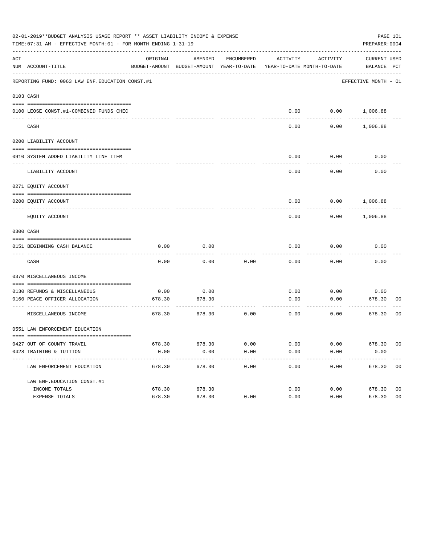|     | 02-01-2019**BUDGET ANALYSIS USAGE REPORT ** ASSET LIABILITY INCOME & EXPENSE<br>PAGE 101<br>TIME: 07:31 AM - EFFECTIVE MONTH: 01 - FOR MONTH ENDING 1-31-19<br>PREPARER: 0004 |          |                                                     |                      |                                        |                           |                             |                |  |  |  |
|-----|-------------------------------------------------------------------------------------------------------------------------------------------------------------------------------|----------|-----------------------------------------------------|----------------------|----------------------------------------|---------------------------|-----------------------------|----------------|--|--|--|
| ACT | NUM ACCOUNT-TITLE                                                                                                                                                             | ORIGINAL | AMENDED<br>BUDGET-AMOUNT BUDGET-AMOUNT YEAR-TO-DATE | ENCUMBERED           | ACTIVITY<br>YEAR-TO-DATE MONTH-TO-DATE | ACTIVITY                  | CURRENT USED<br>BALANCE PCT |                |  |  |  |
|     | REPORTING FUND: 0063 LAW ENF. EDUCATION CONST.#1                                                                                                                              |          |                                                     |                      |                                        |                           | EFFECTIVE MONTH - 01        |                |  |  |  |
|     | 0103 CASH                                                                                                                                                                     |          |                                                     |                      |                                        |                           |                             |                |  |  |  |
|     | 0100 LEOSE CONST.#1-COMBINED FUNDS CHEC                                                                                                                                       |          |                                                     |                      |                                        |                           | $0.00$ $0.00$ $1,006.88$    |                |  |  |  |
|     | CASH                                                                                                                                                                          |          |                                                     |                      | 0.00                                   | 0.00                      | 1,006.88                    |                |  |  |  |
|     | 0200 LIABILITY ACCOUNT                                                                                                                                                        |          |                                                     |                      |                                        |                           |                             |                |  |  |  |
|     | 0910 SYSTEM ADDED LIABILITY LINE ITEM                                                                                                                                         |          |                                                     |                      | 0.00                                   | 0.00                      | 0.00                        |                |  |  |  |
|     | LIABILITY ACCOUNT                                                                                                                                                             |          |                                                     |                      | 0.00                                   | 0.00                      | 0.00                        |                |  |  |  |
|     | 0271 EQUITY ACCOUNT                                                                                                                                                           |          |                                                     |                      |                                        |                           |                             |                |  |  |  |
|     | 0200 EQUITY ACCOUNT                                                                                                                                                           |          |                                                     |                      |                                        |                           | $0.00$ $0.00$ $1,006.88$    |                |  |  |  |
|     | EQUITY ACCOUNT                                                                                                                                                                |          |                                                     |                      | 0.00                                   |                           | $0.00$ 1,006.88             |                |  |  |  |
|     | 0300 CASH                                                                                                                                                                     |          |                                                     |                      |                                        |                           |                             |                |  |  |  |
|     | 0151 BEGINNING CASH BALANCE                                                                                                                                                   | 0.00     | 0.00                                                |                      | 0.00                                   | 0.00                      | 0.00                        |                |  |  |  |
|     |                                                                                                                                                                               |          |                                                     |                      |                                        |                           |                             |                |  |  |  |
|     | CASH                                                                                                                                                                          | 0.00     | 0.00                                                | 0.00                 | 0.00                                   | 0.00                      | 0.00                        |                |  |  |  |
|     | 0370 MISCELLANEOUS INCOME                                                                                                                                                     |          |                                                     |                      |                                        |                           |                             |                |  |  |  |
|     | 0130 REFUNDS & MISCELLANEOUS                                                                                                                                                  | 0.00     | 0.00                                                |                      | 0.00                                   |                           | $0.00$ 0.00                 |                |  |  |  |
|     | 0160 PEACE OFFICER ALLOCATION<br>----------------------------------                                                                                                           | 678.30   | 678.30                                              |                      | 0.00                                   | 0.00<br>$- - - - - - - -$ | 678.30<br>---------         | 00             |  |  |  |
|     | MISCELLANEOUS INCOME                                                                                                                                                          | 678.30   | 678.30                                              | 0.00                 | 0.00                                   | 0.00                      | 678.30                      | 00             |  |  |  |
|     | 0551 LAW ENFORCEMENT EDUCATION                                                                                                                                                |          |                                                     |                      |                                        |                           |                             |                |  |  |  |
|     | 0427 OUT OF COUNTY TRAVEL                                                                                                                                                     |          | 678.30 678.30                                       | 0.00                 | 0.00                                   |                           | $0.00$ 678.30 00            |                |  |  |  |
|     | 0428 TRAINING & TUITION                                                                                                                                                       | 0.00     | 0.00<br>-------------                               | 0.00<br>------------ | 0.00<br>-------------                  | 0.00<br>------------      | 0.00<br>-------------       |                |  |  |  |
|     | LAW ENFORCEMENT EDUCATION                                                                                                                                                     | 678.30   | 678.30                                              | 0.00                 | 0.00                                   | 0.00                      | 678.30 00                   |                |  |  |  |
|     | LAW ENF. EDUCATION CONST. #1                                                                                                                                                  |          |                                                     |                      |                                        |                           |                             |                |  |  |  |
|     | INCOME TOTALS                                                                                                                                                                 | 678.30   | 678.30                                              |                      | 0.00                                   |                           | 0.00<br>678.30              | 0 <sub>0</sub> |  |  |  |
|     | EXPENSE TOTALS                                                                                                                                                                | 678.30   | 678.30                                              | 0.00                 | 0.00                                   | 0.00                      | 678.30                      | 0 <sub>0</sub> |  |  |  |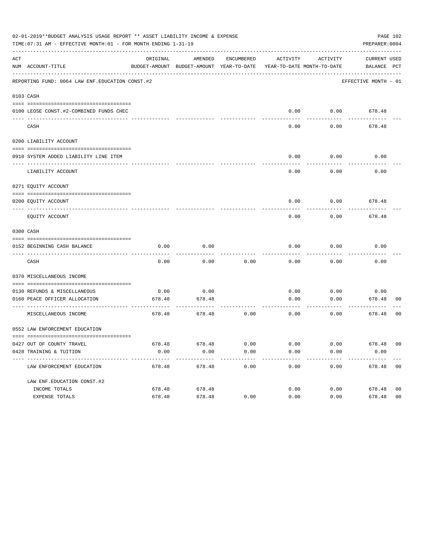|     |                                                            | 02-01-2019**BUDGET ANALYSIS USAGE REPORT ** ASSET LIABILITY INCOME & EXPENSE<br>PAGE 102<br>TIME: 07:31 AM - EFFECTIVE MONTH: 01 - FOR MONTH ENDING 1-31-19<br>PREPARER: 0004 |                                                                                |              |              |              |                             |                |  |  |  |  |
|-----|------------------------------------------------------------|-------------------------------------------------------------------------------------------------------------------------------------------------------------------------------|--------------------------------------------------------------------------------|--------------|--------------|--------------|-----------------------------|----------------|--|--|--|--|
| ACT | NUM ACCOUNT-TITLE                                          | ORIGINAL                                                                                                                                                                      | AMENDED<br>BUDGET-AMOUNT BUDGET-AMOUNT YEAR-TO-DATE YEAR-TO-DATE MONTH-TO-DATE | ENCUMBERED   | ACTIVITY     | ACTIVITY     | CURRENT USED<br>BALANCE PCT |                |  |  |  |  |
|     | REPORTING FUND: 0064 LAW ENF. EDUCATION CONST. #2          |                                                                                                                                                                               |                                                                                |              |              |              | EFFECTIVE MONTH - 01        |                |  |  |  |  |
|     | 0103 CASH                                                  |                                                                                                                                                                               |                                                                                |              |              |              |                             |                |  |  |  |  |
|     | 0100 LEOSE CONST.#2-COMBINED FUNDS CHEC                    |                                                                                                                                                                               |                                                                                |              | 0.00         | 0.00         | 678.48                      |                |  |  |  |  |
|     | CASH                                                       |                                                                                                                                                                               |                                                                                |              | 0.00         | 0.00         | 678.48                      |                |  |  |  |  |
|     | 0200 LIABILITY ACCOUNT                                     |                                                                                                                                                                               |                                                                                |              |              |              |                             |                |  |  |  |  |
|     | 0910 SYSTEM ADDED LIABILITY LINE ITEM                      |                                                                                                                                                                               |                                                                                |              | 0.00         | 0.00         | 0.00                        |                |  |  |  |  |
|     | LIABILITY ACCOUNT                                          |                                                                                                                                                                               |                                                                                |              | 0.00         | 0.00         | 0.00                        |                |  |  |  |  |
|     | 0271 EQUITY ACCOUNT                                        |                                                                                                                                                                               |                                                                                |              |              |              |                             |                |  |  |  |  |
|     | 0200 EOUITY ACCOUNT                                        |                                                                                                                                                                               |                                                                                |              | 0.00         | 0.00         | 678.48                      |                |  |  |  |  |
|     | EQUITY ACCOUNT                                             |                                                                                                                                                                               |                                                                                |              | 0.00         | 0.00         | 678.48                      |                |  |  |  |  |
|     | 0300 CASH                                                  |                                                                                                                                                                               |                                                                                |              |              |              |                             |                |  |  |  |  |
|     | 0152 BEGINNING CASH BALANCE                                | 0.00                                                                                                                                                                          | 0.00                                                                           |              | 0.00         | 0.00         | 0.00                        |                |  |  |  |  |
|     | CASH                                                       | 0.00                                                                                                                                                                          | 0.00                                                                           | 0.00         | 0.00         | 0.00         | 0.00                        |                |  |  |  |  |
|     | 0370 MISCELLANEOUS INCOME                                  |                                                                                                                                                                               |                                                                                |              |              |              |                             |                |  |  |  |  |
|     | 0130 REFUNDS & MISCELLANEOUS                               | 0.00                                                                                                                                                                          | 0.00                                                                           |              | 0.00         | 0.00         | 0.00                        |                |  |  |  |  |
|     | 0160 PEACE OFFICER ALLOCATION<br>____________________      | 678.48                                                                                                                                                                        | 678.48<br>---------                                                            |              | 0.00         | 0.00         | 678.48<br>---------         | 00             |  |  |  |  |
|     | MISCELLANEOUS INCOME                                       | 678.48                                                                                                                                                                        | 678.48                                                                         | 0.00         | 0.00         | 0.00         | 678.48                      | 00             |  |  |  |  |
|     | 0552 LAW ENFORCEMENT EDUCATION                             |                                                                                                                                                                               |                                                                                |              |              |              |                             |                |  |  |  |  |
|     |                                                            |                                                                                                                                                                               |                                                                                |              |              |              |                             |                |  |  |  |  |
|     | 0427 OUT OF COUNTY TRAVEL<br>0428 TRAINING & TUITION       | 678.48<br>0.00                                                                                                                                                                | 678.48<br>0.00                                                                 | 0.00<br>0.00 | 0.00<br>0.00 | 0.00<br>0.00 | 678.48 00<br>0.00           |                |  |  |  |  |
|     | -----------------------------<br>LAW ENFORCEMENT EDUCATION | 678.48                                                                                                                                                                        | $- - - - - - - -$<br>678.48                                                    | 0.00         | 0.00         | 0.00         | 678.48 00                   |                |  |  |  |  |
|     | LAW ENF. EDUCATION CONST. #2                               |                                                                                                                                                                               |                                                                                |              |              |              |                             |                |  |  |  |  |
|     | INCOME TOTALS                                              | 678.48                                                                                                                                                                        | 678.48                                                                         |              | 0.00         | 0.00         | 678.48                      | 0 <sub>0</sub> |  |  |  |  |
|     | EXPENSE TOTALS                                             | 678.48                                                                                                                                                                        | 678.48                                                                         | 0.00         | 0.00         | 0.00         | 678.48                      | 0 <sub>0</sub> |  |  |  |  |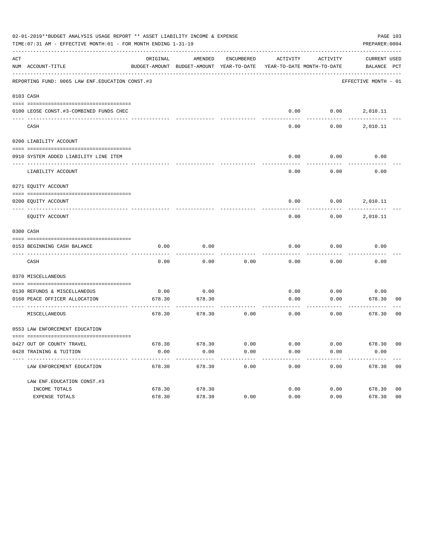|     | 02-01-2019**BUDGET ANALYSIS USAGE REPORT ** ASSET LIABILITY INCOME & EXPENSE<br>PAGE 103<br>TIME: 07:31 AM - EFFECTIVE MONTH: 01 - FOR MONTH ENDING 1-31-19<br>PREPARER: 0004 |          |                                                     |            |                                        |                          |                             |                |  |  |  |
|-----|-------------------------------------------------------------------------------------------------------------------------------------------------------------------------------|----------|-----------------------------------------------------|------------|----------------------------------------|--------------------------|-----------------------------|----------------|--|--|--|
| ACT | NUM ACCOUNT-TITLE                                                                                                                                                             | ORIGINAL | AMENDED<br>BUDGET-AMOUNT BUDGET-AMOUNT YEAR-TO-DATE | ENCUMBERED | ACTIVITY<br>YEAR-TO-DATE MONTH-TO-DATE | ACTIVITY                 | CURRENT USED<br>BALANCE PCT |                |  |  |  |
|     | REPORTING FUND: 0065 LAW ENF. EDUCATION CONST.#3                                                                                                                              |          |                                                     |            |                                        |                          | EFFECTIVE MONTH - 01        |                |  |  |  |
|     | 0103 CASH                                                                                                                                                                     |          |                                                     |            |                                        |                          |                             |                |  |  |  |
|     | 0100 LEOSE CONST.#3-COMBINED FUNDS CHEC                                                                                                                                       |          |                                                     |            |                                        | $0.00$ $0.00$ $2,010.11$ |                             |                |  |  |  |
|     | CASH                                                                                                                                                                          |          |                                                     |            | 0.00                                   | 0.00                     | 2,010.11                    |                |  |  |  |
|     | 0200 LIABILITY ACCOUNT                                                                                                                                                        |          |                                                     |            |                                        |                          |                             |                |  |  |  |
|     | 0910 SYSTEM ADDED LIABILITY LINE ITEM                                                                                                                                         |          |                                                     |            | 0.00                                   | 0.00                     | 0.00                        |                |  |  |  |
|     | LIABILITY ACCOUNT                                                                                                                                                             |          |                                                     |            | 0.00                                   | 0.00                     | 0.00                        |                |  |  |  |
|     | 0271 EQUITY ACCOUNT                                                                                                                                                           |          |                                                     |            |                                        |                          |                             |                |  |  |  |
|     | 0200 EQUITY ACCOUNT                                                                                                                                                           |          |                                                     |            |                                        | $0.00$ $0.00$ $2,010.11$ |                             |                |  |  |  |
|     | EQUITY ACCOUNT                                                                                                                                                                |          |                                                     |            | 0.00                                   |                          | $0.00$ 2,010.11             |                |  |  |  |
|     | 0300 CASH                                                                                                                                                                     |          |                                                     |            |                                        |                          |                             |                |  |  |  |
|     | 0153 BEGINNING CASH BALANCE                                                                                                                                                   | 0.00     | 0.00                                                |            | 0.00                                   | 0.00                     | 0.00                        |                |  |  |  |
|     | CASH                                                                                                                                                                          | 0.00     | 0.00                                                | 0.00       | 0.00                                   | 0.00                     | 0.00                        |                |  |  |  |
|     | 0370 MISCELLANEOUS                                                                                                                                                            |          |                                                     |            |                                        |                          |                             |                |  |  |  |
|     | 0130 REFUNDS & MISCELLANEOUS                                                                                                                                                  | 0.00     | 0.00                                                |            | 0.00                                   | 0.00                     | 0.00                        |                |  |  |  |
|     | 0160 PEACE OFFICER ALLOCATION<br>-----------------------------------                                                                                                          | 678.30   | 678.30                                              |            | 0.00<br>-------------                  | 0.00<br>--------         | 678.30<br>---------         | 00             |  |  |  |
|     | MISCELLANEOUS                                                                                                                                                                 | 678.30   | 678.30                                              | 0.00       | 0.00                                   | 0.00                     | 678.30                      | 0 <sub>0</sub> |  |  |  |
|     | 0553 LAW ENFORCEMENT EDUCATION                                                                                                                                                |          |                                                     |            |                                        |                          |                             |                |  |  |  |
|     | 0427 OUT OF COUNTY TRAVEL                                                                                                                                                     | 678.30   | 678.30                                              | 0.00       | 0.00                                   | 0.00                     | 678.30 00                   |                |  |  |  |
|     | 0428 TRAINING & TUITION                                                                                                                                                       | 0.00     | 0.00                                                | 0.00       | 0.00                                   | 0.00                     | 0.00                        |                |  |  |  |
|     | ----------------------------<br>LAW ENFORCEMENT EDUCATION                                                                                                                     | 678.30   | 678.30                                              | 0.00       | 0.00                                   | 0.00                     | 678.30 00                   |                |  |  |  |
|     | LAW ENF. EDUCATION CONST. #3                                                                                                                                                  |          |                                                     |            |                                        |                          |                             |                |  |  |  |
|     | INCOME TOTALS                                                                                                                                                                 | 678.30   | 678.30                                              |            | 0.00                                   | 0.00                     | 678.30                      | 0 <sub>0</sub> |  |  |  |
|     | EXPENSE TOTALS                                                                                                                                                                | 678.30   | 678.30                                              | 0.00       | 0.00                                   | 0.00                     | 678.30                      | 0 <sub>0</sub> |  |  |  |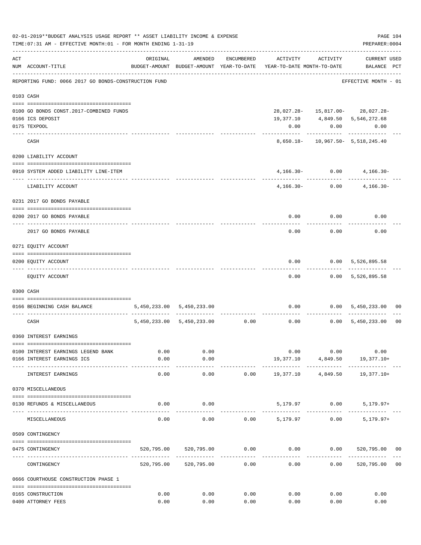|     | 02-01-2019**BUDGET ANALYSIS USAGE REPORT ** ASSET LIABILITY INCOME & EXPENSE<br>TIME: 07:31 AM - EFFECTIVE MONTH: 01 - FOR MONTH ENDING 1-31-19 |                       |                                |                                 |                                                                     |                          | PAGE 104<br>PREPARER: 0004          |                |
|-----|-------------------------------------------------------------------------------------------------------------------------------------------------|-----------------------|--------------------------------|---------------------------------|---------------------------------------------------------------------|--------------------------|-------------------------------------|----------------|
| ACT | NUM ACCOUNT-TITLE                                                                                                                               | ORIGINAL              | AMENDED                        | ENCUMBERED                      | BUDGET-AMOUNT BUDGET-AMOUNT YEAR-TO-DATE YEAR-TO-DATE MONTH-TO-DATE | ACTIVITY ACTIVITY        | CURRENT USED<br>BALANCE PCT         |                |
|     | REPORTING FUND: 0066 2017 GO BONDS-CONSTRUCTION FUND                                                                                            |                       |                                |                                 |                                                                     |                          | EFFECTIVE MONTH - 01                |                |
|     | 0103 CASH                                                                                                                                       |                       |                                |                                 |                                                                     |                          |                                     |                |
|     | 0100 GO BONDS CONST. 2017-COMBINED FUNDS                                                                                                        |                       |                                |                                 |                                                                     |                          | 28,027.28- 15,817.00- 28,027.28-    |                |
|     | 0166 ICS DEPOSIT                                                                                                                                |                       |                                |                                 |                                                                     |                          | 19,377.10 4,849.50 5,546,272.68     |                |
|     | 0175 TEXPOOL                                                                                                                                    |                       |                                |                                 | 0.00                                                                | 0.00                     | 0.00                                |                |
|     | CASH                                                                                                                                            |                       |                                |                                 |                                                                     |                          | 8,650.18- 10,967.50- 5,518,245.40   |                |
|     | 0200 LIABILITY ACCOUNT                                                                                                                          |                       |                                |                                 |                                                                     |                          |                                     |                |
|     | 0910 SYSTEM ADDED LIABILITY LINE-ITEM                                                                                                           |                       |                                |                                 |                                                                     | $4,166.30 - 0.00$        | $4,166.30-$                         |                |
|     | LIABILITY ACCOUNT                                                                                                                               |                       |                                |                                 | ----------- -------------                                           | $4,166.30 - 0.00$        | $4,166.30-$                         |                |
|     | 0231 2017 GO BONDS PAYABLE                                                                                                                      |                       |                                |                                 |                                                                     |                          |                                     |                |
|     | 0200 2017 GO BONDS PAYABLE                                                                                                                      |                       |                                |                                 |                                                                     |                          | $0.00$ $0.00$ $0.00$                |                |
|     | 2017 GO BONDS PAYABLE                                                                                                                           |                       |                                |                                 |                                                                     | $0.00$ 0.00              | 0.00                                |                |
|     | 0271 EQUITY ACCOUNT                                                                                                                             |                       |                                |                                 |                                                                     |                          |                                     |                |
|     | 0200 EQUITY ACCOUNT                                                                                                                             |                       |                                |                                 | 0.00                                                                |                          | 0.00 5,526,895.58                   |                |
|     | EQUITY ACCOUNT                                                                                                                                  |                       |                                |                                 | 0.00                                                                |                          | ------------<br>$0.00$ 5,526,895.58 |                |
|     | 0300 CASH                                                                                                                                       |                       |                                |                                 |                                                                     |                          |                                     |                |
|     | 0166 BEGINNING CASH BALANCE                                                                                                                     |                       | 5,450,233.00 5,450,233.00      |                                 |                                                                     |                          | $0.00$ $0.00$ $5,450,233.00$        | 00             |
|     | CASH                                                                                                                                            |                       | 5,450,233.00 5,450,233.00 0.00 |                                 |                                                                     | ----------               | $0.00$ $0.00$ $5,450,233.00$        | 0 <sub>0</sub> |
|     | 0360 INTEREST EARNINGS                                                                                                                          |                       |                                |                                 |                                                                     |                          |                                     |                |
|     | 0100 INTEREST EARNINGS LEGEND BANK                                                                                                              | 0.00                  | 0.00                           |                                 |                                                                     | 0.00<br>0.00             | 0.00                                |                |
|     | 0166 INTEREST EARNINGS ICS                                                                                                                      | 0.00                  | 0.00                           |                                 |                                                                     | 19,377.10 4,849.50       | 19,377.10+                          |                |
|     | INTEREST EARNINGS                                                                                                                               | $- - - - - -$<br>0.00 | ----------<br>0.00             | 0.00                            | . <u>.</u> .<br>19,377.10                                           | ------------<br>4,849.50 | 19,377.10+                          |                |
|     | 0370 MISCELLANEOUS                                                                                                                              |                       |                                |                                 |                                                                     |                          |                                     |                |
|     | 0130 REFUNDS & MISCELLANEOUS                                                                                                                    | 0.00                  | 0.00                           |                                 |                                                                     | 5,179.97 0.00            | $5,179.97+$                         |                |
|     | MISCELLANEOUS                                                                                                                                   | 0.00                  | 0.00                           | 0.00                            | 5,179.97                                                            | 0.00                     | $5,179.97+$                         |                |
|     | 0509 CONTINGENCY                                                                                                                                |                       |                                |                                 |                                                                     |                          |                                     |                |
|     | 0475 CONTINGENCY                                                                                                                                |                       | 520,795.00 520,795.00          | 0.00                            |                                                                     |                          | $0.00$ $0.00$ $520,795.00$ $00$     |                |
|     | CONTINGENCY                                                                                                                                     |                       | 520,795.00 520,795.00          | . _ _ _ _ _ _ _ _ _ _ _<br>0.00 | -----------<br>0.00                                                 | 0.00                     | 520,795.00                          | 0 <sub>0</sub> |
|     | 0666 COURTHOUSE CONSTRUCTION PHASE 1                                                                                                            |                       |                                |                                 |                                                                     |                          |                                     |                |
|     | 0165 CONSTRUCTION                                                                                                                               | 0.00                  | 0.00                           | 0.00                            | 0.00                                                                | 0.00                     | 0.00                                |                |
|     | 0400 ATTORNEY FEES                                                                                                                              | 0.00                  | 0.00                           | 0.00                            | 0.00                                                                | 0.00                     | 0.00                                |                |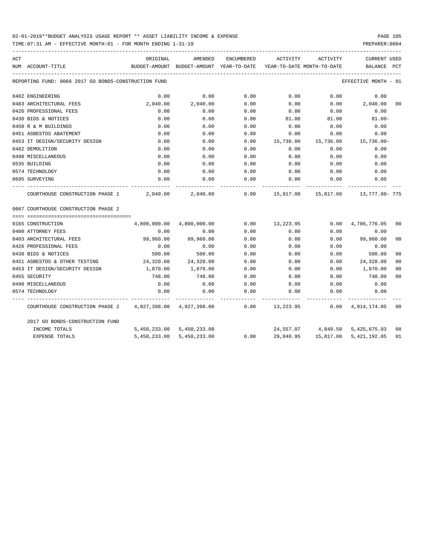## 02-01-2019\*\*BUDGET ANALYSIS USAGE REPORT \*\* ASSET LIABILITY INCOME & EXPENSE PAGE 105

TIME:07:31 AM - EFFECTIVE MONTH:01 - FOR MONTH ENDING 1-31-19 PREPARER:0004

| ACT |                                                           | ORIGINAL                                                            | AMENDED                   |      | ENCUMBERED ACTIVITY ACTIVITY                     |           | <b>CURRENT USED</b>             |                |
|-----|-----------------------------------------------------------|---------------------------------------------------------------------|---------------------------|------|--------------------------------------------------|-----------|---------------------------------|----------------|
|     | NUM ACCOUNT-TITLE                                         | BUDGET-AMOUNT BUDGET-AMOUNT YEAR-TO-DATE YEAR-TO-DATE MONTH-TO-DATE |                           |      |                                                  |           | BALANCE                         | PCT            |
|     | REPORTING FUND: 0066 2017 GO BONDS-CONSTRUCTION FUND      |                                                                     |                           |      |                                                  |           | EFFECTIVE MONTH - 01            |                |
|     | 0402 ENGINEERING                                          | 0.00                                                                | 0.00                      | 0.00 | 0.00                                             | 0.00      | 0.00                            |                |
|     | 0403 ARCHITECTURAL FEES                                   | 2,040.00                                                            | 2,040.00                  | 0.00 | 0.00                                             | 0.00      | 2,040.00                        | 00             |
|     | 0426 PROFESSIONAL FEES                                    | 0.00                                                                | 0.00                      | 0.00 | 0.00                                             | 0.00      | 0.00                            |                |
|     | 0430 BIDS & NOTICES                                       | 0.00                                                                | 0.00                      | 0.00 | 81.00                                            | 81.00     | $81.00 -$                       |                |
|     | 0450 R & M BUILDINGS                                      | 0.00                                                                | 0.00                      | 0.00 | 0.00                                             | 0.00      | 0.00                            |                |
|     | 0451 ASBESTOS ABATEMENT                                   | 0.00                                                                | 0.00                      | 0.00 | 0.00                                             | 0.00      | 0.00                            |                |
|     | 0453 IT DESIGN/SECURITY DESIGN                            | 0.00                                                                | 0.00                      | 0.00 | 15,736.00                                        | 15,736.00 | 15,736.00-                      |                |
|     | 0482 DEMOLITION                                           | 0.00                                                                | 0.00                      | 0.00 | 0.00                                             | 0.00      | 0.00                            |                |
|     | 0490 MISCELLANEOUS                                        | 0.00                                                                | 0.00                      | 0.00 | 0.00                                             | 0.00      | 0.00                            |                |
|     | 0535 BUILDING                                             | 0.00                                                                | 0.00                      | 0.00 | 0.00                                             | 0.00      | 0.00                            |                |
|     | 0574 TECHNOLOGY                                           | 0.00                                                                | 0.00                      | 0.00 | 0.00                                             | 0.00      | 0.00                            |                |
|     | 0695 SURVEYING                                            | 0.00                                                                | 0.00                      | 0.00 | 0.00                                             | 0.00      | 0.00                            |                |
|     | COURTHOUSE CONSTRUCTION PHASE 1                           |                                                                     | 2,040.00 2,040.00         |      | $0.00$ $15,817.00$ $15,817.00$ $13,777.00$ $775$ |           |                                 |                |
|     | 0667 COURTHOUSE CONSTRUCTION PHASE 2                      |                                                                     |                           |      |                                                  |           |                                 |                |
|     |                                                           |                                                                     |                           |      |                                                  |           |                                 |                |
|     | 0165 CONSTRUCTION                                         |                                                                     | 4,800,000.00 4,800,000.00 | 0.00 | 13,223.95                                        |           | $0.00 \qquad 4,786,776.05$      | 00             |
|     | 0400 ATTORNEY FEES                                        | 0.00                                                                | 0.00                      | 0.00 | 0.00                                             | 0.00      | 0.00                            |                |
|     | 0403 ARCHITECTURAL FEES                                   | 99,960.00                                                           | 99,960.00                 | 0.00 | 0.00                                             | 0.00      | 99,960.00                       | 00             |
|     | 0426 PROFESSIONAL FEES                                    | 0.00                                                                | 0.00                      | 0.00 | 0.00                                             | 0.00      | 0.00                            |                |
|     | 0430 BIDS & NOTICES                                       | 500.00                                                              | 500.00                    | 0.00 | 0.00                                             | 0.00      | 500.00                          | 0 <sup>0</sup> |
|     | 0451 ASBESTOS & OTHER TESTING                             | 24,320.00                                                           | 24,320.00                 | 0.00 | 0.00                                             | 0.00      | 24,320.00                       | 00             |
|     | 0453 IT DESIGN/SECURITY DESIGN                            | 1,870.00                                                            | 1,870.00                  | 0.00 | 0.00                                             | 0.00      | 1,870.00                        | 0 <sup>0</sup> |
|     | 0455 SECURITY                                             | 748.00                                                              | 748.00                    | 0.00 | 0.00                                             | 0.00      | 748.00                          | 0 <sub>0</sub> |
|     | 0490 MISCELLANEOUS                                        | 0.00                                                                | 0.00                      | 0.00 | 0.00                                             | 0.00      | 0.00                            |                |
|     | 0574 TECHNOLOGY                                           | 0.00                                                                | 0.00                      | 0.00 | 0.00                                             | 0.00      | 0.00                            |                |
|     | COURTHOUSE CONSTRUCTION PHASE 2 4,927,398.00 4,927,398.00 |                                                                     |                           |      | $0.00$ 13,223.95                                 |           | $0.00 \quad 4,914,174.05$       | 00             |
|     | 2017 GO BONDS-CONSTRUCTION FUND                           |                                                                     |                           |      |                                                  |           |                                 |                |
|     | INCOME TOTALS                                             |                                                                     | 5,450,233.00 5,450,233.00 |      |                                                  |           | 24,557.07 4,849.50 5,425,675.93 | 00             |
|     | EXPENSE TOTALS                                            | 5,450,233.00                                                        | 5,450,233.00              | 0.00 | 29,040.95                                        | 15,817.00 | 5,421,192.05                    | 01             |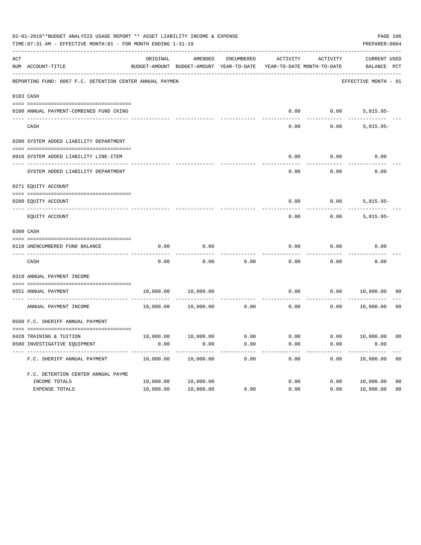| 02-01-2019**BUDGET ANALYSIS USAGE REPORT ** ASSET LIABILITY INCOME & EXPENSE<br>TIME: 07:31 AM - EFFECTIVE MONTH: 01 - FOR MONTH ENDING 1-31-19 |                                                          |           |                                                                                |                                |          |          |                                    |                |  |
|-------------------------------------------------------------------------------------------------------------------------------------------------|----------------------------------------------------------|-----------|--------------------------------------------------------------------------------|--------------------------------|----------|----------|------------------------------------|----------------|--|
| ACT                                                                                                                                             | NUM ACCOUNT-TITLE                                        | ORIGINAL  | AMENDED<br>BUDGET-AMOUNT BUDGET-AMOUNT YEAR-TO-DATE YEAR-TO-DATE MONTH-TO-DATE | ENCUMBERED                     | ACTIVITY | ACTIVITY | <b>CURRENT USED</b><br>BALANCE PCT |                |  |
|                                                                                                                                                 | REPORTING FUND: 0067 F.C. DETENTION CENTER ANNUAL PAYMEN |           |                                                                                |                                |          |          | EFFECTIVE MONTH - 01               |                |  |
| 0103 CASH                                                                                                                                       |                                                          |           |                                                                                |                                |          |          |                                    |                |  |
|                                                                                                                                                 | 0100 ANNUAL PAYMENT-COMBINED FUND CKING                  |           |                                                                                |                                | 0.00     |          | 0.00<br>$5,815.95-$                |                |  |
|                                                                                                                                                 | CASH                                                     |           |                                                                                |                                | 0.00     |          | 0.00<br>$5,815.95-$                |                |  |
|                                                                                                                                                 | 0200 SYSTEM ADDED LIABILITY DEPARTMENT                   |           |                                                                                |                                |          |          |                                    |                |  |
|                                                                                                                                                 | 0910 SYSTEM ADDED LIABILITY LINE-ITEM                    |           |                                                                                |                                | 0.00     | 0.00     | 0.00                               |                |  |
|                                                                                                                                                 | SYSTEM ADDED LIABILITY DEPARTMENT                        |           |                                                                                |                                | 0.00     | 0.00     | 0.00                               |                |  |
|                                                                                                                                                 | 0271 EQUITY ACCOUNT                                      |           |                                                                                |                                |          |          |                                    |                |  |
|                                                                                                                                                 | 0200 EQUITY ACCOUNT<br>--------------------- ------      |           |                                                                                |                                | 0.00     | 0.00     | $5,815.95-$                        |                |  |
|                                                                                                                                                 | EQUITY ACCOUNT                                           |           |                                                                                |                                | 0.00     | 0.00     | $5,815.95-$                        |                |  |
| 0300 CASH                                                                                                                                       |                                                          |           |                                                                                |                                |          |          |                                    |                |  |
|                                                                                                                                                 | 0110 UNENCUMBERED FUND BALANCE                           | 0.00      | 0.00                                                                           |                                | 0.00     | 0.00     | 0.00                               |                |  |
|                                                                                                                                                 | CASH                                                     | 0.00      | 0.00                                                                           | 0.00                           | 0.00     | 0.00     | 0.00                               |                |  |
|                                                                                                                                                 | 0319 ANNUAL PAYMENT INCOME                               |           |                                                                                |                                |          |          |                                    |                |  |
|                                                                                                                                                 | 0551 ANNUAL PAYMENT                                      |           | 10,000.00 10,000.00                                                            | ------------------------------ | 0.00     | 0.00     | 10,000.00                          | 00             |  |
|                                                                                                                                                 | ANNUAL PAYMENT INCOME                                    |           | 10,000.00   10,000.00                                                          | 0.00                           | 0.00     | 0.00     | 10,000.00                          | 0 <sub>0</sub> |  |
|                                                                                                                                                 | 0560 F.C. SHERIFF ANNUAL PAYMENT                         |           |                                                                                |                                |          |          |                                    |                |  |
|                                                                                                                                                 | 0428 TRAINING & TUITION                                  |           | $10,000.00$ $10,000.00$ $0.00$ $0.00$ $0.00$ $0.00$ $10,000.00$ $00$           |                                |          |          |                                    |                |  |
|                                                                                                                                                 | 0580 INVESTIGATIVE EQUIPMENT                             | 0.00      | 0.00                                                                           | 0.00                           | 0.00     | 0.00     | 0.00                               |                |  |
|                                                                                                                                                 | F.C. SHERIFF ANNUAL PAYMENT                              | 10,000.00 | 10,000.00                                                                      | 0.00                           | 0.00     | 0.00     | 10,000.00                          | 0 <sub>0</sub> |  |
|                                                                                                                                                 | F.C. DETENTION CENTER ANNUAL PAYME                       |           |                                                                                |                                |          |          |                                    |                |  |
|                                                                                                                                                 | INCOME TOTALS                                            | 10,000.00 | 10,000.00                                                                      |                                | 0.00     | 0.00     | 10,000.00                          | 0 <sub>0</sub> |  |
|                                                                                                                                                 | EXPENSE TOTALS                                           | 10,000.00 | 10,000.00                                                                      | 0.00                           | 0.00     | 0.00     | 10,000.00                          | 0 <sub>0</sub> |  |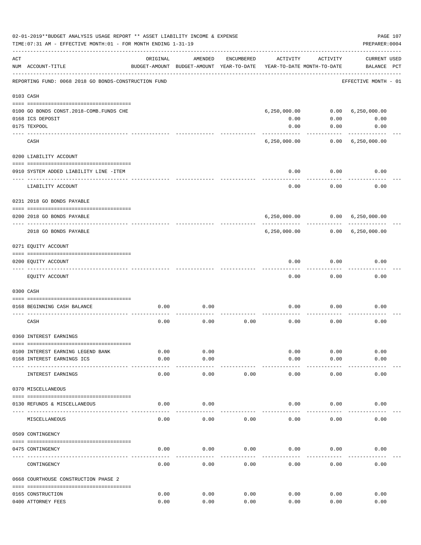|     | 02-01-2019**BUDGET ANALYSIS USAGE REPORT ** ASSET LIABILITY INCOME & EXPENSE<br>PAGE 107<br>TIME: 07:31 AM - EFFECTIVE MONTH: 01 - FOR MONTH ENDING 1-31-19<br>PREPARER: 0004 |              |                                                     |            |                                        |              |                                    |  |  |  |  |
|-----|-------------------------------------------------------------------------------------------------------------------------------------------------------------------------------|--------------|-----------------------------------------------------|------------|----------------------------------------|--------------|------------------------------------|--|--|--|--|
| ACT | NUM ACCOUNT-TITLE                                                                                                                                                             | ORIGINAL     | AMENDED<br>BUDGET-AMOUNT BUDGET-AMOUNT YEAR-TO-DATE | ENCUMBERED | ACTIVITY<br>YEAR-TO-DATE MONTH-TO-DATE | ACTIVITY     | <b>CURRENT USED</b><br>BALANCE PCT |  |  |  |  |
|     | REPORTING FUND: 0068 2018 GO BONDS-CONSTRUCTION FUND                                                                                                                          |              |                                                     |            |                                        |              | EFFECTIVE MONTH - 01               |  |  |  |  |
|     | 0103 CASH                                                                                                                                                                     |              |                                                     |            |                                        |              |                                    |  |  |  |  |
|     | 0100 GO BONDS CONST. 2018-COMB. FUNDS CHE                                                                                                                                     |              |                                                     |            | 6, 250, 000.00                         |              | 0.00 6,250,000.00                  |  |  |  |  |
|     | 0168 ICS DEPOSIT                                                                                                                                                              |              |                                                     |            | 0.00                                   | 0.00         | 0.00                               |  |  |  |  |
|     | 0175 TEXPOOL                                                                                                                                                                  |              |                                                     |            | 0.00                                   | 0.00         | 0.00                               |  |  |  |  |
|     | -------------------- -------<br>CASH                                                                                                                                          |              |                                                     |            | 6,250,000.00                           |              | $0.00 \quad 6,250,000.00$          |  |  |  |  |
|     | 0200 LIABILITY ACCOUNT                                                                                                                                                        |              |                                                     |            |                                        |              |                                    |  |  |  |  |
|     |                                                                                                                                                                               |              |                                                     |            |                                        |              |                                    |  |  |  |  |
|     | 0910 SYSTEM ADDED LIABILITY LINE -ITEM<br>------------                                                                                                                        |              |                                                     |            | 0.00                                   | 0.00<br>.    | 0.00                               |  |  |  |  |
|     | LIABILITY ACCOUNT                                                                                                                                                             |              |                                                     |            | 0.00                                   | 0.00         | 0.00                               |  |  |  |  |
|     | 0231 2018 GO BONDS PAYABLE                                                                                                                                                    |              |                                                     |            |                                        |              |                                    |  |  |  |  |
|     | 0200 2018 GO BONDS PAYABLE                                                                                                                                                    |              |                                                     |            |                                        |              | 6,250,000.00   0.00   6,250,000.00 |  |  |  |  |
|     | 2018 GO BONDS PAYABLE                                                                                                                                                         |              |                                                     |            |                                        | -----------  | 6,250,000.00   0.00   6,250,000.00 |  |  |  |  |
|     | 0271 EQUITY ACCOUNT                                                                                                                                                           |              |                                                     |            |                                        |              |                                    |  |  |  |  |
|     | 0200 EQUITY ACCOUNT                                                                                                                                                           |              |                                                     |            | 0.00                                   | 0.00         | 0.00                               |  |  |  |  |
|     | EQUITY ACCOUNT                                                                                                                                                                |              |                                                     |            | 0.00                                   | 0.00         | 0.00                               |  |  |  |  |
|     | 0300 CASH                                                                                                                                                                     |              |                                                     |            |                                        |              |                                    |  |  |  |  |
|     | 0168 BEGINNING CASH BALANCE                                                                                                                                                   | 0.00         | 0.00                                                |            | 0.00                                   | 0.00         | 0.00                               |  |  |  |  |
|     | CASH                                                                                                                                                                          | 0.00         | 0.00                                                | 0.00       | 0.00                                   | 0.00         | 0.00                               |  |  |  |  |
|     | 0360 INTEREST EARNINGS                                                                                                                                                        |              |                                                     |            |                                        |              |                                    |  |  |  |  |
|     |                                                                                                                                                                               |              |                                                     |            |                                        |              |                                    |  |  |  |  |
|     | 0100 INTEREST EARNING LEGEND BANK<br>0168 INTEREST EARNINGS ICS                                                                                                               | 0.00<br>0.00 | 0.00<br>0.00                                        |            | 0.00<br>0.00                           | 0.00<br>0.00 | 0.00<br>0.00                       |  |  |  |  |
|     |                                                                                                                                                                               |              |                                                     |            |                                        |              |                                    |  |  |  |  |
|     | INTEREST EARNINGS                                                                                                                                                             | 0.00         | 0.00                                                | 0.00       | 0.00                                   | 0.00         | 0.00                               |  |  |  |  |
|     | 0370 MISCELLANEOUS                                                                                                                                                            |              |                                                     |            |                                        |              |                                    |  |  |  |  |
|     | 0130 REFUNDS & MISCELLANEOUS                                                                                                                                                  | 0.00         | 0.00                                                |            | 0.00                                   | 0.00         | 0.00                               |  |  |  |  |
|     | MISCELLANEOUS                                                                                                                                                                 | 0.00         | 0.00                                                | 0.00       | 0.00                                   | 0.00         | 0.00                               |  |  |  |  |
|     | 0509 CONTINGENCY                                                                                                                                                              |              |                                                     |            |                                        |              |                                    |  |  |  |  |
|     |                                                                                                                                                                               |              |                                                     |            |                                        |              |                                    |  |  |  |  |
|     | 0475 CONTINGENCY                                                                                                                                                              | 0.00         | 0.00                                                | 0.00       | 0.00                                   | 0.00         | 0.00                               |  |  |  |  |
|     | CONTINGENCY                                                                                                                                                                   | 0.00         | 0.00                                                | 0.00       | 0.00                                   | 0.00         | 0.00                               |  |  |  |  |
|     | 0668 COURTHOUSE CONSTRUCTION PHASE 2                                                                                                                                          |              |                                                     |            |                                        |              |                                    |  |  |  |  |
|     | 0165 CONSTRUCTION                                                                                                                                                             | 0.00         | 0.00                                                | 0.00       | 0.00                                   | 0.00         | 0.00                               |  |  |  |  |
|     | 0400 ATTORNEY FEES                                                                                                                                                            | 0.00         | 0.00                                                | 0.00       | 0.00                                   | 0.00         | 0.00                               |  |  |  |  |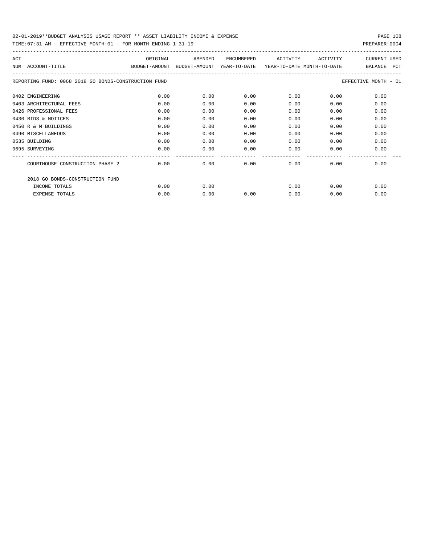TIME:07:31 AM - EFFECTIVE MONTH:01 - FOR MONTH ENDING 1-31-19 PREPARER:0004

| ACT                                                  | ORIGINAL                    | AMENDED | <b>ENCUMBERED</b> | ACTIVITY                   | ACTIVITY | <b>CURRENT USED</b>   |
|------------------------------------------------------|-----------------------------|---------|-------------------|----------------------------|----------|-----------------------|
| ACCOUNT-TITLE<br>NUM                                 | BUDGET-AMOUNT BUDGET-AMOUNT |         | YEAR-TO-DATE      | YEAR-TO-DATE MONTH-TO-DATE |          | BALANCE<br><b>PCT</b> |
| REPORTING FUND: 0068 2018 GO BONDS-CONSTRUCTION FUND |                             |         |                   |                            |          | EFFECTIVE MONTH - 01  |
| 0402 ENGINEERING                                     | 0.00                        | 0.00    | 0.00              | 0.00                       | 0.00     | 0.00                  |
| 0403 ARCHITECTURAL FEES                              | 0.00                        | 0.00    | 0.00              | 0.00                       | 0.00     | 0.00                  |
| 0426 PROFESSIONAL FEES                               | 0.00                        | 0.00    | 0.00              | 0.00                       | 0.00     | 0.00                  |
| 0430 BIDS & NOTICES                                  | 0.00                        | 0.00    | 0.00              | 0.00                       | 0.00     | 0.00                  |
| 0450 R & M BUILDINGS                                 | 0.00                        | 0.00    | 0.00              | 0.00                       | 0.00     | 0.00                  |
| 0490 MISCELLANEOUS                                   | 0.00                        | 0.00    | 0.00              | 0.00                       | 0.00     | 0.00                  |
| 0535 BUILDING                                        | 0.00                        | 0.00    | 0.00              | 0.00                       | 0.00     | 0.00                  |
| 0695 SURVEYING                                       | 0.00                        | 0.00    | 0.00              | 0.00                       | 0.00     | 0.00                  |
|                                                      |                             |         |                   |                            |          |                       |
| COURTHOUSE CONSTRUCTION PHASE 2                      | 0.00                        | 0.00    | 0.00              | 0.00                       | 0.00     | 0.00                  |
| 2018 GO BONDS-CONSTRUCTION FUND                      |                             |         |                   |                            |          |                       |
| INCOME TOTALS                                        | 0.00                        | 0.00    |                   | 0.00                       | 0.00     | 0.00                  |
| <b>EXPENSE TOTALS</b>                                | 0.00                        | 0.00    | 0.00              | 0.00                       | 0.00     | 0.00                  |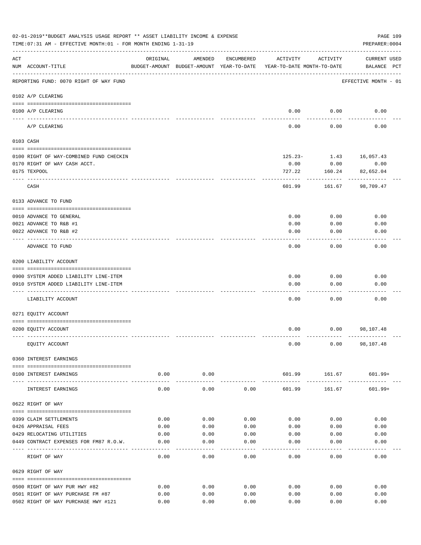|                    | 02-01-2019**BUDGET ANALYSIS USAGE REPORT ** ASSET LIABILITY INCOME & EXPENSE<br>TIME: 07:31 AM - EFFECTIVE MONTH: 01 - FOR MONTH ENDING 1-31-19 |                    |                    |              |                                                                                 |                      | PAGE 109<br>PREPARER: 0004         |
|--------------------|-------------------------------------------------------------------------------------------------------------------------------------------------|--------------------|--------------------|--------------|---------------------------------------------------------------------------------|----------------------|------------------------------------|
| $\mathop{\rm ACT}$ | NUM ACCOUNT-TITLE                                                                                                                               | ORIGINAL           | AMENDED            | ENCUMBERED   | ACTIVITY<br>BUDGET-AMOUNT BUDGET-AMOUNT YEAR-TO-DATE YEAR-TO-DATE MONTH-TO-DATE | ACTIVITY             | <b>CURRENT USED</b><br>BALANCE PCT |
|                    | REPORTING FUND: 0070 RIGHT OF WAY FUND                                                                                                          |                    |                    |              |                                                                                 |                      | EFFECTIVE MONTH - 01               |
|                    | 0102 A/P CLEARING                                                                                                                               |                    |                    |              |                                                                                 |                      |                                    |
|                    | 0100 A/P CLEARING<br>---- --------                                                                                                              |                    |                    |              |                                                                                 | $0.00$ 0.00          | 0.00                               |
|                    | A/P CLEARING                                                                                                                                    |                    |                    |              | 0.00                                                                            | 0.00                 | 0.00                               |
|                    | 0103 CASH                                                                                                                                       |                    |                    |              |                                                                                 |                      |                                    |
|                    | 0100 RIGHT OF WAY-COMBINED FUND CHECKIN                                                                                                         |                    |                    |              |                                                                                 |                      | $125.23 - 1.43$ 16,057.43          |
|                    | 0170 RIGHT OF WAY CASH ACCT.                                                                                                                    |                    |                    |              | 0.00                                                                            | 0.00                 | 0.00                               |
|                    | 0175 TEXPOOL                                                                                                                                    |                    |                    |              | 727.22                                                                          | 160.24               | 82,652.04                          |
|                    | CASH                                                                                                                                            |                    |                    |              | 601.99                                                                          | .<br>161.67          | 98,709.47                          |
|                    | 0133 ADVANCE TO FUND                                                                                                                            |                    |                    |              |                                                                                 |                      |                                    |
|                    | 0010 ADVANCE TO GENERAL                                                                                                                         |                    |                    |              | 0.00                                                                            | 0.00                 | 0.00                               |
|                    | 0021 ADVANCE TO R&B #1                                                                                                                          |                    |                    |              | 0.00                                                                            | 0.00                 | 0.00                               |
|                    | 0022 ADVANCE TO R&B #2                                                                                                                          |                    |                    |              | 0.00                                                                            | 0.00                 | 0.00                               |
|                    |                                                                                                                                                 |                    |                    |              |                                                                                 |                      |                                    |
|                    | ADVANCE TO FUND                                                                                                                                 |                    |                    |              | 0.00                                                                            | 0.00                 | 0.00                               |
|                    | 0200 LIABILITY ACCOUNT                                                                                                                          |                    |                    |              |                                                                                 |                      |                                    |
|                    | 0900 SYSTEM ADDED LIABILITY LINE-ITEM                                                                                                           |                    |                    |              | 0.00                                                                            | 0.00                 | 0.00                               |
|                    | 0910 SYSTEM ADDED LIABILITY LINE-ITEM                                                                                                           |                    |                    |              | 0.00                                                                            | 0.00                 | 0.00                               |
|                    |                                                                                                                                                 |                    |                    |              |                                                                                 |                      |                                    |
|                    | LIABILITY ACCOUNT                                                                                                                               |                    |                    |              | 0.00                                                                            | 0.00                 | 0.00                               |
|                    | 0271 EQUITY ACCOUNT                                                                                                                             |                    |                    |              |                                                                                 |                      |                                    |
|                    | 0200 EQUITY ACCOUNT                                                                                                                             |                    |                    |              | 0.00                                                                            |                      | $0.00$ 98,107.48                   |
|                    | EQUITY ACCOUNT                                                                                                                                  |                    |                    |              | 0.00                                                                            |                      | $0.00$ 98,107.48                   |
|                    | 0360 INTEREST EARNINGS                                                                                                                          |                    |                    |              |                                                                                 |                      |                                    |
|                    | 0100 INTEREST EARNINGS                                                                                                                          | 0.00               | 0.00               |              | ------------                                                                    |                      | 601.99 161.67 601.99+              |
|                    | -------------------------------------<br>INTEREST EARNINGS                                                                                      | ----------<br>0.00 | ----------<br>0.00 | 0.00         | 601.99                                                                          | ----------<br>161.67 | 601.99+                            |
|                    | 0622 RIGHT OF WAY                                                                                                                               |                    |                    |              |                                                                                 |                      |                                    |
|                    |                                                                                                                                                 |                    |                    |              |                                                                                 |                      |                                    |
|                    | 0399 CLAIM SETTLEMENTS<br>0426 APPRAISAL FEES                                                                                                   | 0.00<br>0.00       | 0.00<br>0.00       | 0.00<br>0.00 | 0.00<br>0.00                                                                    | 0.00<br>0.00         | 0.00<br>0.00                       |
|                    | 0429 RELOCATING UTILITIES                                                                                                                       | 0.00               | 0.00               | 0.00         | 0.00                                                                            | 0.00                 | 0.00                               |
|                    | 0449 CONTRACT EXPENSES FOR FM87 R.O.W.                                                                                                          | 0.00               | 0.00               | 0.00         | 0.00                                                                            | 0.00                 | 0.00                               |
|                    |                                                                                                                                                 |                    |                    |              |                                                                                 |                      |                                    |
|                    | RIGHT OF WAY                                                                                                                                    | 0.00               | 0.00               | 0.00         | 0.00                                                                            | 0.00                 | 0.00                               |
|                    | 0629 RIGHT OF WAY                                                                                                                               |                    |                    |              |                                                                                 |                      |                                    |
|                    | 0500 RIGHT OF WAY PUR HWY #82                                                                                                                   | 0.00               | 0.00               | 0.00         | 0.00                                                                            | 0.00                 | 0.00                               |
|                    | 0501 RIGHT OF WAY PURCHASE FM #87                                                                                                               | 0.00               | 0.00               | 0.00         | 0.00                                                                            | 0.00                 | 0.00                               |
|                    | 0502 RIGHT OF WAY PURCHASE HWY #121                                                                                                             | 0.00               | 0.00               | 0.00         | 0.00                                                                            | 0.00                 | 0.00                               |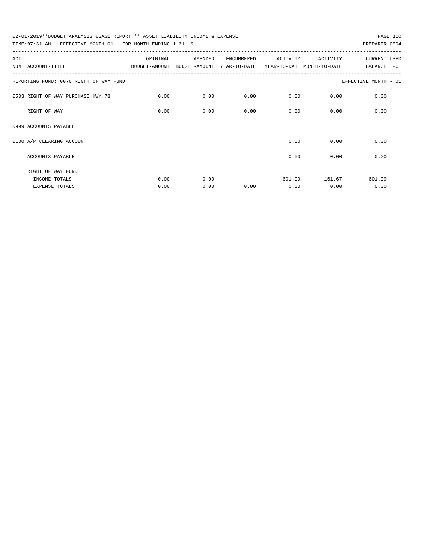| 02-01-2019**BUDGET ANALYSIS USAGE REPORT ** ASSET LIABILITY INCOME & EXPENSE             |          |         |            |                                    |               | PAGE 110             |
|------------------------------------------------------------------------------------------|----------|---------|------------|------------------------------------|---------------|----------------------|
| TIME: 07:31 AM - EFFECTIVE MONTH: 01 - FOR MONTH ENDING 1-31-19                          |          |         |            |                                    |               | PREPARER: 0004       |
| ACT                                                                                      | ORIGINAL | AMENDED | ENCUMBERED | ACTIVITY                           | ACTIVITY      | <b>CURRENT USED</b>  |
| NUM ACCOUNT-TITLE<br>BUDGET-AMOUNT BUDGET-AMOUNT YEAR-TO-DATE YEAR-TO-DATE MONTH-TO-DATE |          |         |            |                                    |               | BALANCE PCT          |
| REPORTING FUND: 0070 RIGHT OF WAY FUND                                                   |          |         |            |                                    |               | EFFECTIVE MONTH - 01 |
| 0503 RIGHT OF WAY PURCHASE HWY. 78                                                       | 0.00     | 0.00    |            | $0.00$ $0.00$ $0.00$ $0.00$ $0.00$ |               |                      |
| RIGHT OF WAY                                                                             | 0.00     | 0.00    | 0.00       |                                    | 0.00          | 0.00<br>0.00         |
| 0999 ACCOUNTS PAYABLE                                                                    |          |         |            |                                    |               |                      |
| _________________________________<br>0100 A/P CLEARING ACCOUNT                           |          |         |            |                                    | $0.00$ 0.00   | 0.00                 |
| ACCOUNTS PAYABLE                                                                         |          |         |            | 0.00                               | 0.00          | 0.00                 |
| RIGHT OF WAY FUND                                                                        |          |         |            |                                    |               |                      |
| INCOME TOTALS                                                                            | 0.00     | 0.00    |            |                                    | 601.99 161.67 | $601.99+$            |
| <b>EXPENSE TOTALS</b>                                                                    | 0.00     | 0.00    | 0.00       | 0.00                               | 0.00          | 0.00                 |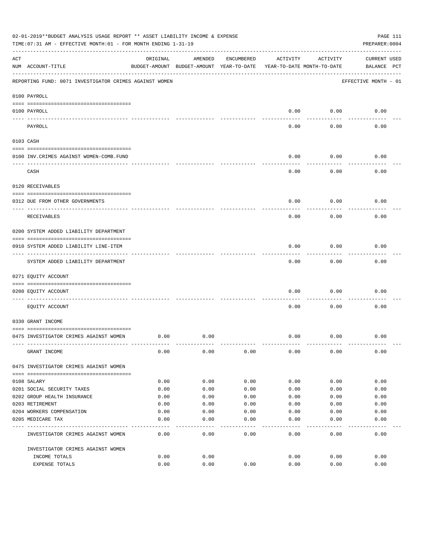|     | 02-01-2019**BUDGET ANALYSIS USAGE REPORT ** ASSET LIABILITY INCOME & EXPENSE<br>TIME: 07:31 AM - EFFECTIVE MONTH: 01 - FOR MONTH ENDING 1-31-19 |                                                      |         |            |          |                                        | PAGE 111<br>PREPARER: 0004         |
|-----|-------------------------------------------------------------------------------------------------------------------------------------------------|------------------------------------------------------|---------|------------|----------|----------------------------------------|------------------------------------|
| ACT | NUM ACCOUNT-TITLE                                                                                                                               | ORIGINAL<br>BUDGET-AMOUNT BUDGET-AMOUNT YEAR-TO-DATE | AMENDED | ENCUMBERED | ACTIVITY | ACTIVITY<br>YEAR-TO-DATE MONTH-TO-DATE | <b>CURRENT USED</b><br>BALANCE PCT |
|     | REPORTING FUND: 0071 INVESTIGATOR CRIMES AGAINST WOMEN                                                                                          |                                                      |         |            |          |                                        | EFFECTIVE MONTH - 01               |
|     | 0100 PAYROLL                                                                                                                                    |                                                      |         |            |          |                                        |                                    |
|     | 0100 PAYROLL                                                                                                                                    |                                                      |         |            | 0.00     | 0.00                                   | 0.00                               |
|     | ---- ----<br>PAYROLL                                                                                                                            |                                                      |         |            | 0.00     | 0.00                                   | 0.00                               |
|     | 0103 CASH                                                                                                                                       |                                                      |         |            |          |                                        |                                    |
|     | 0100 INV. CRIMES AGAINST WOMEN-COMB. FUND                                                                                                       |                                                      |         |            | 0.00     | 0.00                                   | 0.00                               |
|     | CASH                                                                                                                                            |                                                      |         |            | 0.00     | 0.00                                   | 0.00                               |
|     | 0120 RECEIVABLES                                                                                                                                |                                                      |         |            |          |                                        |                                    |
|     | 0312 DUE FROM OTHER GOVERNMENTS                                                                                                                 |                                                      |         |            | 0.00     | 0.00                                   | 0.00                               |
|     | RECEIVABLES                                                                                                                                     |                                                      |         |            | 0.00     | 0.00                                   | 0.00                               |
|     | 0200 SYSTEM ADDED LIABILITY DEPARTMENT                                                                                                          |                                                      |         |            |          |                                        |                                    |
|     | 0910 SYSTEM ADDED LIABILITY LINE-ITEM                                                                                                           |                                                      |         |            | 0.00     | 0.00                                   | 0.00                               |
|     | SYSTEM ADDED LIABILITY DEPARTMENT                                                                                                               |                                                      |         |            | 0.00     | 0.00                                   | 0.00                               |
|     | 0271 EQUITY ACCOUNT                                                                                                                             |                                                      |         |            |          |                                        |                                    |
|     | 0200 EQUITY ACCOUNT                                                                                                                             |                                                      |         |            | 0.00     | 0.00                                   | 0.00                               |
|     | EQUITY ACCOUNT                                                                                                                                  |                                                      |         |            | 0.00     | 0.00                                   | 0.00                               |
|     | 0330 GRANT INCOME                                                                                                                               |                                                      |         |            |          |                                        |                                    |
|     | 0475 INVESTIGATOR CRIMES AGAINST WOMEN                                                                                                          | 0.00                                                 | 0.00    |            | 0.00     | 0.00                                   | 0.00                               |
|     | GRANT INCOME                                                                                                                                    | 0.00                                                 | 0.00    | 0.00       | 0.00     | 0.00                                   | 0.00                               |
|     | 0475 INVESTIGATOR CRIMES AGAINST WOMEN                                                                                                          |                                                      |         |            |          |                                        |                                    |
|     | 0108 SALARY                                                                                                                                     | 0.00                                                 | 0.00    | 0.00       | 0.00     | 0.00                                   | 0.00                               |
|     | 0201 SOCIAL SECURITY TAXES                                                                                                                      | 0.00                                                 | 0.00    | 0.00       | 0.00     | 0.00                                   | 0.00                               |
|     | 0202 GROUP HEALTH INSURANCE                                                                                                                     | 0.00                                                 | 0.00    | 0.00       | 0.00     | 0.00                                   | 0.00                               |
|     | 0203 RETIREMENT                                                                                                                                 | 0.00                                                 | 0.00    | 0.00       | 0.00     | 0.00                                   | 0.00                               |
|     | 0204 WORKERS COMPENSATION                                                                                                                       | 0.00                                                 | 0.00    | 0.00       | 0.00     | 0.00                                   | 0.00                               |
|     | 0205 MEDICARE TAX                                                                                                                               | 0.00                                                 | 0.00    | 0.00       | 0.00     | 0.00                                   | 0.00                               |
|     | INVESTIGATOR CRIMES AGAINST WOMEN                                                                                                               | 0.00                                                 | 0.00    | 0.00       | 0.00     | 0.00                                   | 0.00                               |
|     | INVESTIGATOR CRIMES AGAINST WOMEN                                                                                                               |                                                      |         |            |          |                                        |                                    |
|     | INCOME TOTALS                                                                                                                                   | 0.00                                                 | 0.00    |            | 0.00     | 0.00                                   | 0.00                               |
|     | EXPENSE TOTALS                                                                                                                                  | 0.00                                                 | 0.00    | 0.00       | 0.00     | 0.00                                   | 0.00                               |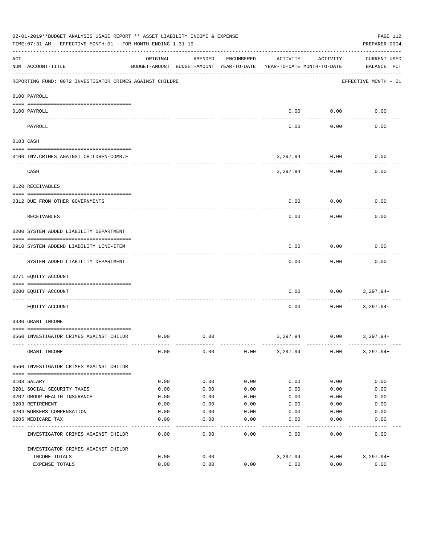|          | 02-01-2019**BUDGET ANALYSIS USAGE REPORT ** ASSET LIABILITY INCOME & EXPENSE<br>TIME: 07:31 AM - EFFECTIVE MONTH: 01 - FOR MONTH ENDING 1-31-19 |          |                                                     |            |                                        |           | PAGE 112<br>PREPARER: 0004         |
|----------|-------------------------------------------------------------------------------------------------------------------------------------------------|----------|-----------------------------------------------------|------------|----------------------------------------|-----------|------------------------------------|
| ACT      | NUM ACCOUNT-TITLE                                                                                                                               | ORIGINAL | AMENDED<br>BUDGET-AMOUNT BUDGET-AMOUNT YEAR-TO-DATE | ENCUMBERED | ACTIVITY<br>YEAR-TO-DATE MONTH-TO-DATE | ACTIVITY  | <b>CURRENT USED</b><br>BALANCE PCT |
|          | REPORTING FUND: 0072 INVESTIGATOR CRIMES AGAINST CHILDRE                                                                                        |          |                                                     |            |                                        |           | EFFECTIVE MONTH - 01               |
|          | 0100 PAYROLL                                                                                                                                    |          |                                                     |            |                                        |           |                                    |
| ---- --- | 0100 PAYROLL                                                                                                                                    |          |                                                     |            | 0.00                                   | 0.00      | 0.00                               |
|          | PAYROLL                                                                                                                                         |          |                                                     |            | 0.00                                   | 0.00      | 0.00                               |
|          | 0103 CASH                                                                                                                                       |          |                                                     |            |                                        |           |                                    |
|          | 0100 INV. CRIMES AGAINST CHILDREN-COMB.F                                                                                                        |          |                                                     |            | 3,297.94                               | 0.00      | 0.00                               |
|          | CASH                                                                                                                                            |          |                                                     |            | 3,297.94                               | .<br>0.00 | 0.00                               |
|          | 0120 RECEIVABLES                                                                                                                                |          |                                                     |            |                                        |           |                                    |
|          | 0312 DUE FROM OTHER GOVERNMENTS                                                                                                                 |          |                                                     |            | 0.00                                   | 0.00      | 0.00                               |
|          | RECEIVABLES                                                                                                                                     |          |                                                     |            | 0.00                                   | 0.00      | 0.00                               |
|          | 0200 SYSTEM ADDED LIABILITY DEPARTMENT                                                                                                          |          |                                                     |            |                                        |           |                                    |
|          | 0910 SYSTEM ADDEND LIABILITY LINE-ITEM                                                                                                          |          |                                                     |            | 0.00                                   | 0.00      | 0.00                               |
|          | SYSTEM ADDED LIABILITY DEPARTMENT                                                                                                               |          |                                                     |            | 0.00                                   | 0.00      | 0.00                               |
|          | 0271 EQUITY ACCOUNT                                                                                                                             |          |                                                     |            |                                        |           |                                    |
|          | 0200 EQUITY ACCOUNT                                                                                                                             |          |                                                     |            | 0.00                                   | 0.00      | 3,297.94-                          |
|          | EQUITY ACCOUNT                                                                                                                                  |          |                                                     |            | 0.00                                   | 0.00      | $3,297.94-$                        |
|          | 0330 GRANT INCOME                                                                                                                               |          |                                                     |            |                                        |           |                                    |
|          | 0560 INVESTIGATOR CRIMES AGAINST CHILDR                                                                                                         | 0.00     | 0.00                                                |            | 3,297.94                               | 0.00      | 3,297.94+                          |
|          | GRANT INCOME                                                                                                                                    | 0.00     | 0.00                                                | 0.00       | 3,297.94                               | 0.00      | $3,297.94+$                        |
|          | 0560 INVESTIGATOR CRIMES AGAINST CHILDR                                                                                                         |          |                                                     |            |                                        |           |                                    |
|          | 0108 SALARY                                                                                                                                     | 0.00     | 0.00                                                | 0.00       | 0.00                                   | 0.00      | 0.00                               |
|          | 0201 SOCIAL SECURITY TAXES                                                                                                                      | 0.00     | 0.00                                                | 0.00       | 0.00                                   | 0.00      | 0.00                               |
|          | 0202 GROUP HEALTH INSURANCE                                                                                                                     | 0.00     | 0.00                                                | 0.00       | 0.00                                   | 0.00      | 0.00                               |
|          | 0203 RETIREMENT                                                                                                                                 | 0.00     | 0.00                                                | 0.00       | 0.00                                   | 0.00      | 0.00                               |
|          | 0204 WORKERS COMPENSATION                                                                                                                       | 0.00     | 0.00                                                | 0.00       | 0.00                                   | 0.00      | 0.00                               |
|          | 0205 MEDICARE TAX                                                                                                                               | 0.00     | 0.00                                                | 0.00       | 0.00                                   | 0.00      | 0.00                               |
|          | INVESTIGATOR CRIMES AGAINST CHILDR                                                                                                              | 0.00     | 0.00                                                | 0.00       | 0.00                                   | 0.00      | 0.00                               |
|          | INVESTIGATOR CRIMES AGAINST CHILDR                                                                                                              |          |                                                     |            |                                        |           |                                    |
|          | INCOME TOTALS                                                                                                                                   | 0.00     | 0.00                                                |            | 3,297.94                               | 0.00      | $3,297.94+$                        |
|          | EXPENSE TOTALS                                                                                                                                  | 0.00     | 0.00                                                | 0.00       | 0.00                                   | 0.00      | 0.00                               |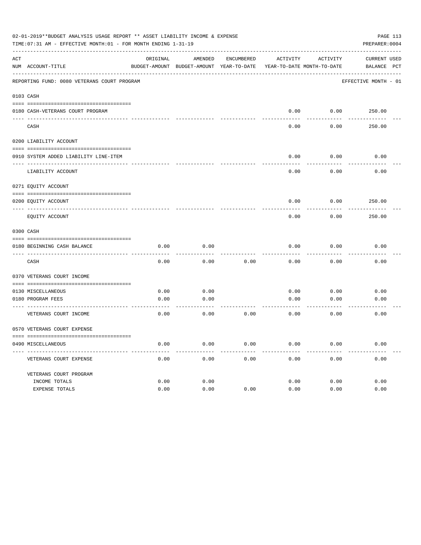|     | 02-01-2019**BUDGET ANALYSIS USAGE REPORT ** ASSET LIABILITY INCOME & EXPENSE<br>TIME: 07:31 AM - EFFECTIVE MONTH: 01 - FOR MONTH ENDING 1-31-19 |                                                                     |                 |            |              |              | PAGE 113<br>PREPARER: 0004 |
|-----|-------------------------------------------------------------------------------------------------------------------------------------------------|---------------------------------------------------------------------|-----------------|------------|--------------|--------------|----------------------------|
| ACT |                                                                                                                                                 | ORIGINAL                                                            | AMENDED         | ENCUMBERED | ACTIVITY     | ACTIVITY     | CURRENT USED               |
|     | NUM ACCOUNT-TITLE                                                                                                                               | BUDGET-AMOUNT BUDGET-AMOUNT YEAR-TO-DATE YEAR-TO-DATE MONTH-TO-DATE |                 |            |              |              | BALANCE PCT                |
|     | REPORTING FUND: 0080 VETERANS COURT PROGRAM                                                                                                     |                                                                     |                 |            |              |              | EFFECTIVE MONTH - 01       |
|     | 0103 CASH                                                                                                                                       |                                                                     |                 |            |              |              |                            |
|     | 0180 CASH-VETERANS COURT PROGRAM                                                                                                                |                                                                     |                 |            | 0.00         |              | $0.00$ 250.00              |
|     | CASH                                                                                                                                            |                                                                     |                 |            | 0.00         | 0.00         | 250.00                     |
|     | 0200 LIABILITY ACCOUNT                                                                                                                          |                                                                     |                 |            |              |              |                            |
|     | 0910 SYSTEM ADDED LIABILITY LINE-ITEM                                                                                                           |                                                                     |                 |            | 0.00         | 0.00         | 0.00                       |
|     | LIABILITY ACCOUNT                                                                                                                               |                                                                     |                 |            | 0.00         | 0.00         | 0.00                       |
|     | 0271 EQUITY ACCOUNT                                                                                                                             |                                                                     |                 |            |              |              |                            |
|     | 0200 EQUITY ACCOUNT                                                                                                                             |                                                                     |                 |            | 0.00         | 0.00         | 250.00                     |
|     | EOUITY ACCOUNT                                                                                                                                  |                                                                     |                 |            | 0.00         | 0.00         | 250.00                     |
|     | 0300 CASH                                                                                                                                       |                                                                     |                 |            |              |              |                            |
|     | 0180 BEGINNING CASH BALANCE                                                                                                                     | 0.00                                                                | 0.00            |            | 0.00         | 0.00         | 0.00                       |
|     | CASH                                                                                                                                            | 0.00                                                                | 0.00            | 0.00       | 0.00         | 0.00         | 0.00                       |
|     | 0370 VETERANS COURT INCOME                                                                                                                      |                                                                     |                 |            |              |              |                            |
|     | 0130 MISCELLANEOUS                                                                                                                              | 0.00                                                                | 0.00            |            | 0.00         | 0.00         | 0.00                       |
|     | 0180 PROGRAM FEES                                                                                                                               | 0.00                                                                | 0.00            |            | 0.00         | 0.00         | 0.00                       |
|     | ------------------------ ----<br>VETERANS COURT INCOME                                                                                          | 0.00                                                                | -------<br>0.00 | 0.00       | 0.00         | 0.00         | 0.00                       |
|     | 0570 VETERANS COURT EXPENSE                                                                                                                     |                                                                     |                 |            |              |              |                            |
|     | 0490 MISCELLANEOUS                                                                                                                              | 0.00                                                                | 0.00            | 0.00       | 0.00         | 0.00         | 0.00                       |
|     | VETERANS COURT EXPENSE                                                                                                                          | 0.00                                                                | 0.00            | 0.00       | 0.00         | 0.00         | 0.00                       |
|     | VETERANS COURT PROGRAM                                                                                                                          |                                                                     |                 |            |              |              |                            |
|     | INCOME TOTALS<br>EXPENSE TOTALS                                                                                                                 | 0.00<br>0.00                                                        | 0.00<br>0.00    | 0.00       | 0.00<br>0.00 | 0.00<br>0.00 | 0.00<br>0.00               |
|     |                                                                                                                                                 |                                                                     |                 |            |              |              |                            |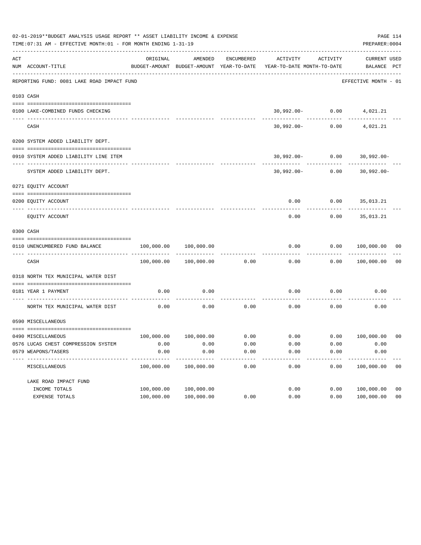|     | 02-01-2019**BUDGET ANALYSIS USAGE REPORT ** ASSET LIABILITY INCOME & EXPENSE<br>TIME: 07:31 AM - EFFECTIVE MONTH: 01 - FOR MONTH ENDING 1-31-19 |            |                       |            |                                                                     |                                     | PAGE 114<br>PREPARER: 0004       |                |
|-----|-------------------------------------------------------------------------------------------------------------------------------------------------|------------|-----------------------|------------|---------------------------------------------------------------------|-------------------------------------|----------------------------------|----------------|
| ACT | NUM ACCOUNT-TITLE                                                                                                                               | ORIGINAL   | AMENDED               | ENCUMBERED | BUDGET-AMOUNT BUDGET-AMOUNT YEAR-TO-DATE YEAR-TO-DATE MONTH-TO-DATE | ACTIVITY ACTIVITY                   | CURRENT USED<br>BALANCE PCT      |                |
|     | REPORTING FUND: 0081 LAKE ROAD IMPACT FUND                                                                                                      |            |                       |            |                                                                     |                                     | EFFECTIVE MONTH - 01             |                |
|     | 0103 CASH                                                                                                                                       |            |                       |            |                                                                     |                                     |                                  |                |
|     |                                                                                                                                                 |            |                       |            |                                                                     |                                     |                                  |                |
|     | 0100 LAKE-COMBINED FUNDS CHECKING                                                                                                               |            |                       |            |                                                                     |                                     | 30,992.00- 0.00 4,021.21         |                |
|     | CASH                                                                                                                                            |            |                       |            |                                                                     | -------------<br>$30,992.00 - 0.00$ | 4,021.21                         |                |
|     | 0200 SYSTEM ADDED LIABILITY DEPT.                                                                                                               |            |                       |            |                                                                     |                                     |                                  |                |
|     |                                                                                                                                                 |            |                       |            |                                                                     |                                     |                                  |                |
|     | 0910 SYSTEM ADDED LIABILITY LINE ITEM                                                                                                           |            |                       |            |                                                                     |                                     | $30,992.00 - 0.00$ 30,992.00-    |                |
|     | SYSTEM ADDED LIABILITY DEPT.                                                                                                                    |            |                       |            |                                                                     |                                     | $30,992.00 - 0.00$ $30,992.00 -$ |                |
|     | 0271 EQUITY ACCOUNT                                                                                                                             |            |                       |            |                                                                     |                                     |                                  |                |
|     | 0200 EQUITY ACCOUNT                                                                                                                             |            |                       |            |                                                                     |                                     | $0.00$ $0.00$ $35,013.21$        |                |
|     | EQUITY ACCOUNT                                                                                                                                  |            |                       |            | 0.00                                                                | 0.00                                | 35,013.21                        |                |
|     | 0300 CASH                                                                                                                                       |            |                       |            |                                                                     |                                     |                                  |                |
|     | 0110 UNENCUMBERED FUND BALANCE                                                                                                                  | 100,000.00 | 100,000.00            |            | 0.00                                                                |                                     | 0.00 100,000.00 00               |                |
|     | CASH                                                                                                                                            |            | 100,000.00 100,000.00 | 0.00       | 0.00                                                                |                                     | 0.00 100,000.00                  | 0 <sub>0</sub> |
|     | 0318 NORTH TEX MUNICIPAL WATER DIST                                                                                                             |            |                       |            |                                                                     |                                     |                                  |                |
|     | 0181 YEAR 1 PAYMENT                                                                                                                             | 0.00       | 0.00                  |            | 0.00                                                                | 0.00                                | 0.00                             |                |
|     | NORTH TEX MUNICIPAL WATER DIST                                                                                                                  | 0.00       | 0.00                  | 0.00       | 0.00                                                                | 0.00                                | 0.00                             |                |
|     | 0590 MISCELLANEOUS                                                                                                                              |            |                       |            |                                                                     |                                     |                                  |                |
|     | 0490 MISCELLANEOUS                                                                                                                              |            |                       |            | $100,000.00$ $100,000.00$ 0.00 0.00 0.00 0.00 100,000.00 00         |                                     |                                  |                |
|     | 0576 LUCAS CHEST COMPRESSION SYSTEM                                                                                                             | 0.00       | 0.00                  | 0.00       | 0.00                                                                | 0.00                                | 0.00                             |                |
|     | 0579 WEAPONS/TASERS                                                                                                                             | 0.00       | 0.00                  | 0.00       | 0.00                                                                | 0.00                                | 0.00                             |                |
|     | MISCELLANEOUS                                                                                                                                   | 100,000.00 | 100,000.00            | 0.00       | 0.00                                                                | 0.00                                | 100,000.00                       | 0 <sub>0</sub> |
|     | LAKE ROAD IMPACT FUND                                                                                                                           |            |                       |            |                                                                     |                                     |                                  |                |
|     | INCOME TOTALS                                                                                                                                   | 100,000.00 | 100,000.00            |            | 0.00                                                                | 0.00                                | 100,000.00                       | 0 <sub>0</sub> |
|     | EXPENSE TOTALS                                                                                                                                  | 100,000.00 | 100,000.00            | 0.00       | 0.00                                                                | 0.00                                | 100,000.00                       | 0 <sub>0</sub> |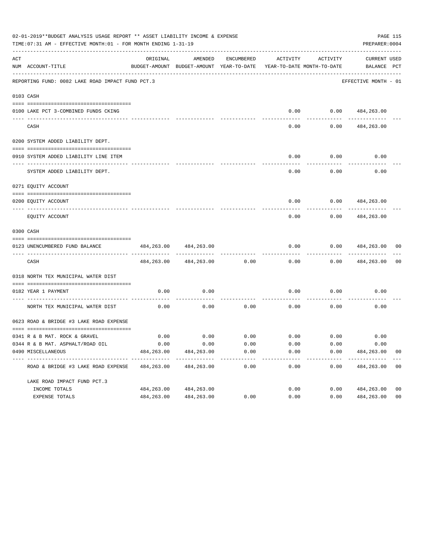|     | 02-01-2019**BUDGET ANALYSIS USAGE REPORT ** ASSET LIABILITY INCOME & EXPENSE<br>PAGE 115<br>TIME: 07:31 AM - EFFECTIVE MONTH: 01 - FOR MONTH ENDING 1-31-19<br>PREPARER: 0004 |            |                                                     |                       |                                        |                                    |                                    |                                 |  |  |  |
|-----|-------------------------------------------------------------------------------------------------------------------------------------------------------------------------------|------------|-----------------------------------------------------|-----------------------|----------------------------------------|------------------------------------|------------------------------------|---------------------------------|--|--|--|
| ACT | NUM ACCOUNT-TITLE                                                                                                                                                             | ORIGINAL   | AMENDED<br>BUDGET-AMOUNT BUDGET-AMOUNT YEAR-TO-DATE | ENCUMBERED            | ACTIVITY<br>YEAR-TO-DATE MONTH-TO-DATE | ACTIVITY                           | <b>CURRENT USED</b><br>BALANCE PCT |                                 |  |  |  |
|     | REPORTING FUND: 0082 LAKE ROAD IMPACT FUND PCT.3                                                                                                                              |            |                                                     |                       |                                        |                                    | EFFECTIVE MONTH - 01               |                                 |  |  |  |
|     | 0103 CASH                                                                                                                                                                     |            |                                                     |                       |                                        |                                    |                                    |                                 |  |  |  |
|     | 0100 LAKE PCT 3-COMBINED FUNDS CKING                                                                                                                                          |            |                                                     |                       |                                        | $0.00$ $0.00$ $484,263.00$         |                                    |                                 |  |  |  |
|     | CASH                                                                                                                                                                          |            |                                                     |                       | 0.00                                   | 0.00                               | 484,263.00                         |                                 |  |  |  |
|     | 0200 SYSTEM ADDED LIABILITY DEPT.                                                                                                                                             |            |                                                     |                       |                                        |                                    |                                    |                                 |  |  |  |
|     | 0910 SYSTEM ADDED LIABILITY LINE ITEM                                                                                                                                         |            |                                                     |                       | 0.00                                   | 0.00                               | 0.00                               |                                 |  |  |  |
|     | SYSTEM ADDED LIABILITY DEPT.                                                                                                                                                  |            |                                                     |                       | 0.00                                   | . <u>.</u><br>0.00                 | 0.00                               |                                 |  |  |  |
|     | 0271 EQUITY ACCOUNT                                                                                                                                                           |            |                                                     |                       |                                        |                                    |                                    |                                 |  |  |  |
|     | 0200 EQUITY ACCOUNT                                                                                                                                                           |            |                                                     |                       | 0.00                                   |                                    | $0.00$ $484,263.00$                |                                 |  |  |  |
|     | EQUITY ACCOUNT                                                                                                                                                                |            |                                                     |                       | 0.00                                   | 0.00                               | 484,263.00                         |                                 |  |  |  |
|     | 0300 CASH                                                                                                                                                                     |            |                                                     |                       |                                        |                                    |                                    |                                 |  |  |  |
|     | 0123 UNENCUMBERED FUND BALANCE                                                                                                                                                | 484,263.00 | 484,263.00                                          |                       | 0.00                                   | 0.00                               | 484,263.00                         | 00                              |  |  |  |
|     | CASH                                                                                                                                                                          |            | 484, 263.00 484, 263.00                             | 0.00                  | 0.00                                   | 0.00                               | 484,263.00                         | 0 <sub>0</sub>                  |  |  |  |
|     | 0318 NORTH TEX MUNICIPAL WATER DIST                                                                                                                                           |            |                                                     |                       |                                        |                                    |                                    |                                 |  |  |  |
|     | 0182 YEAR 1 PAYMENT                                                                                                                                                           | 0.00       | 0.00                                                |                       | 0.00                                   | 0.00                               | 0.00                               |                                 |  |  |  |
|     | NORTH TEX MUNICIPAL WATER DIST                                                                                                                                                | 0.00       | 0.00                                                | 0.00                  | 0.00                                   | 0.00                               | 0.00                               |                                 |  |  |  |
|     | 0623 ROAD & BRIDGE #3 LAKE ROAD EXPENSE                                                                                                                                       |            |                                                     |                       |                                        |                                    |                                    |                                 |  |  |  |
|     | 0341 R & B MAT. ROCK & GRAVEL                                                                                                                                                 | 0.00       |                                                     |                       |                                        | $0.00$ $0.00$ $0.00$ $0.00$ $0.00$ | 0.00                               |                                 |  |  |  |
|     | 0344 R & B MAT. ASPHALT/ROAD OIL                                                                                                                                              | 0.00       | 0.00                                                | 0.00                  | 0.00                                   | 0.00                               | 0.00                               |                                 |  |  |  |
|     | 0490 MISCELLANEOUS                                                                                                                                                            | 484,263.00 | 484,263.00<br>--------------                        | 0.00<br>------------- | 0.00<br>___________                    | 0.00<br>-----------                | 484,263.00<br>--------------       | 0 <sub>0</sub><br>$\frac{1}{2}$ |  |  |  |
|     | ROAD & BRIDGE #3 LAKE ROAD EXPENSE                                                                                                                                            | 484,263.00 | 484, 263.00                                         | 0.00                  | 0.00                                   | 0.00                               | 484,263.00                         | 0 <sub>0</sub>                  |  |  |  |
|     | LAKE ROAD IMPACT FUND PCT.3                                                                                                                                                   |            |                                                     |                       |                                        |                                    |                                    |                                 |  |  |  |
|     | INCOME TOTALS                                                                                                                                                                 | 484,263.00 | 484,263.00                                          |                       | 0.00                                   | 0.00                               | 484,263.00                         | 0 <sub>0</sub>                  |  |  |  |
|     | EXPENSE TOTALS                                                                                                                                                                | 484,263.00 | 484, 263.00                                         | 0.00                  | 0.00                                   | 0.00                               | 484,263.00                         | 0 <sub>0</sub>                  |  |  |  |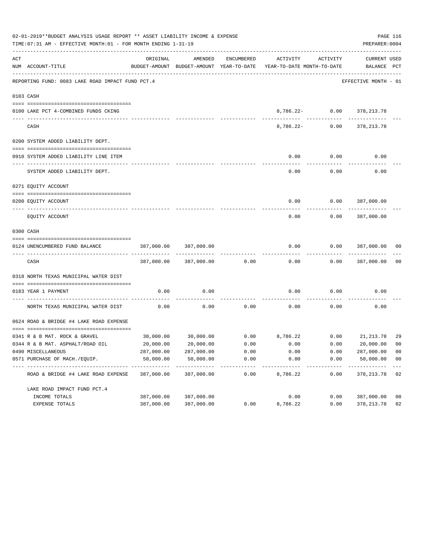|     | 02-01-2019**BUDGET ANALYSIS USAGE REPORT ** ASSET LIABILITY INCOME & EXPENSE<br>PAGE 116<br>TIME: 07:31 AM - EFFECTIVE MONTH: 01 - FOR MONTH ENDING 1-31-19<br>PREPARER: 0004 |                            |                       |            |                                                                     |                                              |                                    |                           |  |  |
|-----|-------------------------------------------------------------------------------------------------------------------------------------------------------------------------------|----------------------------|-----------------------|------------|---------------------------------------------------------------------|----------------------------------------------|------------------------------------|---------------------------|--|--|
| ACT | NUM ACCOUNT-TITLE                                                                                                                                                             | ORIGINAL                   | AMENDED               | ENCUMBERED | BUDGET-AMOUNT BUDGET-AMOUNT YEAR-TO-DATE YEAR-TO-DATE MONTH-TO-DATE | ACTIVITY ACTIVITY                            | <b>CURRENT USED</b><br>BALANCE PCT |                           |  |  |
|     | REPORTING FUND: 0083 LAKE ROAD IMPACT FUND PCT.4                                                                                                                              |                            |                       |            |                                                                     |                                              | EFFECTIVE MONTH - 01               |                           |  |  |
|     | 0103 CASH                                                                                                                                                                     |                            |                       |            |                                                                     |                                              |                                    |                           |  |  |
|     | 0100 LAKE PCT 4-COMBINED FUNDS CKING                                                                                                                                          |                            |                       |            |                                                                     |                                              | 8,786.22- 0.00 378,213.78          |                           |  |  |
|     | CASH                                                                                                                                                                          |                            |                       |            |                                                                     | -----------------------<br>$8,786.22 - 0.00$ | -------------<br>378,213.78        |                           |  |  |
|     | 0200 SYSTEM ADDED LIABILITY DEPT.                                                                                                                                             |                            |                       |            |                                                                     |                                              |                                    |                           |  |  |
|     | 0910 SYSTEM ADDED LIABILITY LINE ITEM                                                                                                                                         |                            |                       |            | 0.00                                                                | 0.00                                         | 0.00                               |                           |  |  |
|     | SYSTEM ADDED LIABILITY DEPT.                                                                                                                                                  |                            |                       |            | 0.00                                                                | ---------<br>0.00                            | ----------<br>0.00                 |                           |  |  |
|     | 0271 EQUITY ACCOUNT                                                                                                                                                           |                            |                       |            |                                                                     |                                              |                                    |                           |  |  |
|     | 0200 EOUITY ACCOUNT                                                                                                                                                           |                            |                       |            | 0.00                                                                |                                              | 0.0000387,000.00                   |                           |  |  |
|     | EQUITY ACCOUNT                                                                                                                                                                |                            |                       |            | 0.00                                                                | 0.00                                         | 387,000.00                         |                           |  |  |
|     | 0300 CASH                                                                                                                                                                     |                            |                       |            |                                                                     |                                              |                                    |                           |  |  |
|     | 0124 UNENCUMBERED FUND BALANCE                                                                                                                                                | 387,000.00                 | 387,000.00            |            | 0.00                                                                |                                              | 0.0000387,000.00                   | 00                        |  |  |
|     | CASH                                                                                                                                                                          |                            | 387,000.00 387,000.00 | 0.00       | -------<br>0.00                                                     |                                              | $0.00$ 387,000.00                  | 0 <sub>0</sub>            |  |  |
|     | 0318 NORTH TEXAS MUNICIPAL WATER DIST                                                                                                                                         |                            |                       |            |                                                                     |                                              |                                    |                           |  |  |
|     | 0183 YEAR 1 PAYMENT                                                                                                                                                           | 0.00                       | 0.00                  |            | 0.00                                                                | 0.00                                         | 0.00                               |                           |  |  |
|     | NORTH TEXAS MUNICIPAL WATER DIST                                                                                                                                              | 0.00                       | 0.00                  | 0.00       | 0.00                                                                | 0.00                                         | 0.00                               |                           |  |  |
|     | 0624 ROAD & BRIDGE #4 LAKE ROAD EXPENSE                                                                                                                                       |                            |                       |            |                                                                     |                                              |                                    |                           |  |  |
|     | 0341 R & B MAT. ROCK & GRAVEL                                                                                                                                                 |                            |                       |            | $30,000.00$ $30,000.00$ $0.00$ $8,786.22$ $0.00$ $21,213.78$        |                                              |                                    | -29                       |  |  |
|     | 0344 R & B MAT. ASPHALT/ROAD OIL                                                                                                                                              | 20,000.00                  | 20,000.00             | 0.00       | 0.00                                                                | 0.00                                         | 20,000.00                          | 00                        |  |  |
|     | 0490 MISCELLANEOUS                                                                                                                                                            | 287,000.00                 | 287,000.00            | 0.00       | 0.00                                                                | 0.00                                         | 287,000.00                         | 0 <sub>0</sub>            |  |  |
|     | 0571 PURCHASE OF MACH./EOUIP.                                                                                                                                                 | 50,000.00<br>------------- | 50,000.00             | 0.00       | 0.00                                                                | 0.00                                         | 50,000.00<br>----------            | 0 <sub>0</sub><br>$- - -$ |  |  |
|     | ROAD & BRIDGE #4 LAKE ROAD EXPENSE                                                                                                                                            | 387,000.00                 | 387,000.00            | 0.00       | 8,786.22                                                            | 0.00                                         | 378, 213.78                        | 02                        |  |  |
|     | LAKE ROAD IMPACT FUND PCT. 4                                                                                                                                                  |                            |                       |            |                                                                     |                                              |                                    |                           |  |  |
|     | INCOME TOTALS                                                                                                                                                                 | 387,000.00                 | 387,000.00            |            | 0.00                                                                | 0.00                                         | 387,000.00                         | 0 <sub>0</sub>            |  |  |
|     | EXPENSE TOTALS                                                                                                                                                                | 387,000.00                 | 387,000.00            | 0.00       | 8,786.22                                                            | 0.00                                         | 378, 213.78                        | 02                        |  |  |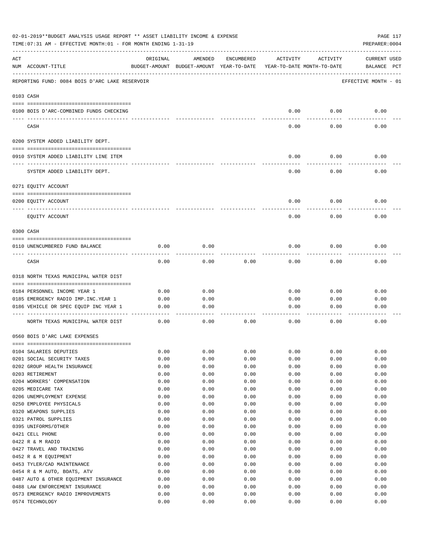|     | 02-01-2019**BUDGET ANALYSIS USAGE REPORT ** ASSET LIABILITY INCOME & EXPENSE<br>TIME: 07:31 AM - EFFECTIVE MONTH: 01 - FOR MONTH ENDING 1-31-19 |              |                                                     |              |                                        |              | PAGE 117<br>PREPARER: 0004         |
|-----|-------------------------------------------------------------------------------------------------------------------------------------------------|--------------|-----------------------------------------------------|--------------|----------------------------------------|--------------|------------------------------------|
| ACT | NUM ACCOUNT-TITLE                                                                                                                               | ORIGINAL     | AMENDED<br>BUDGET-AMOUNT BUDGET-AMOUNT YEAR-TO-DATE | ENCUMBERED   | ACTIVITY<br>YEAR-TO-DATE MONTH-TO-DATE | ACTIVITY     | <b>CURRENT USED</b><br>BALANCE PCT |
|     | REPORTING FUND: 0084 BOIS D'ARC LAKE RESERVOIR                                                                                                  |              |                                                     |              |                                        |              | EFFECTIVE MONTH - 01               |
|     | 0103 CASH                                                                                                                                       |              |                                                     |              |                                        |              |                                    |
|     | 0100 BOIS D'ARC-COMBINED FUNDS CHECKING                                                                                                         |              |                                                     |              | 0.00                                   | 0.00         | 0.00                               |
|     | CASH                                                                                                                                            |              |                                                     |              | 0.00                                   | 0.00         | 0.00                               |
|     | 0200 SYSTEM ADDED LIABILITY DEPT.                                                                                                               |              |                                                     |              |                                        |              |                                    |
|     | 0910 SYSTEM ADDED LIABILITY LINE ITEM                                                                                                           |              |                                                     |              | 0.00                                   | 0.00         | 0.00                               |
|     | SYSTEM ADDED LIABILITY DEPT.                                                                                                                    |              |                                                     |              | 0.00                                   | 0.00         | 0.00                               |
|     | 0271 EOUITY ACCOUNT                                                                                                                             |              |                                                     |              |                                        |              |                                    |
|     | 0200 EQUITY ACCOUNT                                                                                                                             |              |                                                     |              | 0.00                                   | 0.00         | 0.00                               |
|     | EQUITY ACCOUNT                                                                                                                                  |              |                                                     |              | 0.00                                   | 0.00         | 0.00                               |
|     | 0300 CASH                                                                                                                                       |              |                                                     |              |                                        |              |                                    |
|     | 0110 UNENCUMBERED FUND BALANCE                                                                                                                  | 0.00         | 0.00                                                |              | 0.00                                   | 0.00         | 0.00                               |
|     | CASH                                                                                                                                            | 0.00         | 0.00                                                | 0.00         | 0.00                                   | 0.00         | 0.00                               |
|     | 0318 NORTH TEXAS MUNICIPAL WATER DIST                                                                                                           |              |                                                     |              |                                        |              |                                    |
|     | 0184 PERSONNEL INCOME YEAR 1                                                                                                                    | 0.00         | 0.00                                                |              | 0.00                                   | 0.00         | 0.00                               |
|     | 0185 EMERGENCY RADIO IMP.INC.YEAR 1                                                                                                             | 0.00         | 0.00                                                |              | 0.00                                   | 0.00         | 0.00                               |
|     | 0186 VEHICLE OR SPEC EQUIP INC YEAR 1                                                                                                           | 0.00         | 0.00                                                |              | 0.00                                   | 0.00         | 0.00                               |
|     | NORTH TEXAS MUNICIPAL WATER DIST                                                                                                                | 0.00         | 0.00                                                | 0.00         | 0.00                                   | 0.00         | 0.00                               |
|     | 0560 BOIS D'ARC LAKE EXPENSES                                                                                                                   |              |                                                     |              |                                        |              |                                    |
|     |                                                                                                                                                 |              |                                                     |              |                                        |              |                                    |
|     | 0104 SALARIES DEPUTIES                                                                                                                          | 0.00         | 0.00                                                | 0.00         | 0.00                                   | 0.00         | 0.00                               |
|     | 0201 SOCIAL SECURITY TAXES                                                                                                                      | 0.00         | 0.00                                                | 0.00         | 0.00                                   | 0.00         | 0.00                               |
|     | 0202 GROUP HEALTH INSURANCE                                                                                                                     | 0.00         | 0.00                                                | 0.00         | 0.00                                   | 0.00         | 0.00                               |
|     | 0203 RETIREMENT                                                                                                                                 | 0.00         | 0.00                                                | 0.00         | 0.00                                   | 0.00         | 0.00                               |
|     | 0204 WORKERS' COMPENSATION                                                                                                                      | 0.00         | 0.00                                                | 0.00         | 0.00                                   | 0.00         | 0.00                               |
|     | 0205 MEDICARE TAX                                                                                                                               | 0.00         | 0.00                                                | 0.00         | 0.00                                   | 0.00         | 0.00                               |
|     | 0206 UNEMPLOYMENT EXPENSE                                                                                                                       | 0.00<br>0.00 | 0.00<br>0.00                                        | 0.00         | 0.00                                   | 0.00         | 0.00<br>0.00                       |
|     | 0250 EMPLOYEE PHYSICALS<br>0320 WEAPONS SUPPLIES                                                                                                | 0.00         | 0.00                                                | 0.00<br>0.00 | 0.00<br>0.00                           | 0.00<br>0.00 | 0.00                               |
|     | 0321 PATROL SUPPLIES                                                                                                                            | 0.00         | 0.00                                                | 0.00         | 0.00                                   | 0.00         | 0.00                               |
|     | 0395 UNIFORMS/OTHER                                                                                                                             | 0.00         | 0.00                                                | 0.00         | 0.00                                   | 0.00         | 0.00                               |
|     | 0421 CELL PHONE                                                                                                                                 | 0.00         | 0.00                                                | 0.00         | 0.00                                   | 0.00         | 0.00                               |
|     | 0422 R & M RADIO                                                                                                                                | 0.00         | 0.00                                                | 0.00         | 0.00                                   | 0.00         | 0.00                               |
|     | 0427 TRAVEL AND TRAINING                                                                                                                        | 0.00         | 0.00                                                | 0.00         | 0.00                                   | 0.00         | 0.00                               |
|     | 0452 R & M EQUIPMENT                                                                                                                            | 0.00         | 0.00                                                | 0.00         | 0.00                                   | 0.00         | 0.00                               |
|     | 0453 TYLER/CAD MAINTENANCE                                                                                                                      | 0.00         | 0.00                                                | 0.00         | 0.00                                   | 0.00         | 0.00                               |
|     | 0454 R & M AUTO, BOATS, ATV                                                                                                                     | 0.00         | 0.00                                                | 0.00         | 0.00                                   | 0.00         | 0.00                               |
|     | 0487 AUTO & OTHER EQUIPMENT INSURANCE                                                                                                           | 0.00         | 0.00                                                | 0.00         | 0.00                                   | 0.00         | 0.00                               |
|     | 0488 LAW ENFORCEMENT INSURANCE                                                                                                                  | 0.00         | 0.00                                                | 0.00         | 0.00                                   | 0.00         | 0.00                               |
|     | 0573 EMERGENCY RADIO IMPROVEMENTS                                                                                                               | 0.00         | 0.00                                                | 0.00         | 0.00                                   | 0.00         | 0.00                               |
|     | 0574 TECHNOLOGY                                                                                                                                 | 0.00         | 0.00                                                | 0.00         | 0.00                                   | 0.00         | 0.00                               |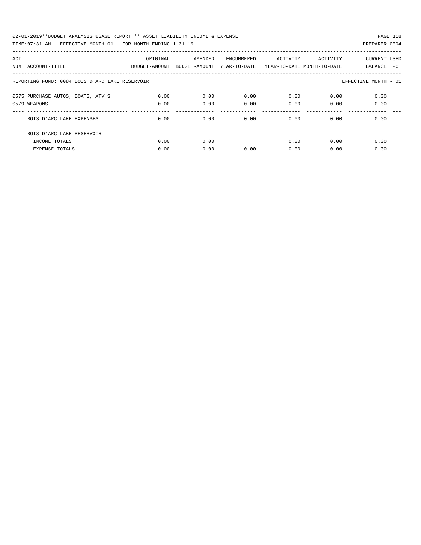02-01-2019\*\*BUDGET ANALYSIS USAGE REPORT \*\* ASSET LIABILITY INCOME & EXPENSE PAGE 118 TIME:07:31 AM - EFFECTIVE MONTH:01 - FOR MONTH ENDING 1-31-19 PREPARER:0004

|  | $1.011$ FIOITING MITRONAL AND THE STATE STATE OF THE STATE STATE STATE STATE STATE STATE STATE STATE STATE STATE STATE STATE STATE STATE STATE STATE STATE STATE STATE STATE STATE STATE STATE STATE STATE STATE STATE STATE |  |
|--|------------------------------------------------------------------------------------------------------------------------------------------------------------------------------------------------------------------------------|--|
|  |                                                                                                                                                                                                                              |  |
|  |                                                                                                                                                                                                                              |  |
|  |                                                                                                                                                                                                                              |  |

| ACT | NUM ACCOUNT-TITLE                                                   | ORIGINAL<br>BUDGET-AMOUNT | AMENDED<br>BUDGET-AMOUNT | ENCUMBERED<br>YEAR-TO-DATE | ACTIVITY     | ACTIVITY<br>YEAR-TO-DATE MONTH-TO-DATE | CURRENT USED<br>BALANCE PCT |  |
|-----|---------------------------------------------------------------------|---------------------------|--------------------------|----------------------------|--------------|----------------------------------------|-----------------------------|--|
|     | REPORTING FUND: 0084 BOIS D'ARC LAKE RESERVOIR                      |                           |                          |                            |              |                                        | EFFECTIVE MONTH - 01        |  |
|     | 0575 PURCHASE AUTOS, BOATS, ATV'S<br>0579 WEAPONS                   | 0.00<br>0.00              | 0.00<br>0.00             | 0.00<br>0.00               | 0.00<br>0.00 | 0.00<br>0.00                           | 0.00<br>0.00                |  |
|     | BOIS D'ARC LAKE EXPENSES                                            | 0.00                      | 0.00                     | 0.00                       | 0.00         | 0.00                                   | 0.00                        |  |
|     | BOIS D'ARC LAKE RESERVOIR<br>INCOME TOTALS<br><b>EXPENSE TOTALS</b> | 0.00<br>0.00              | 0.00<br>0.00             | 0.00                       | 0.00<br>0.00 | 0.00<br>0.00                           | 0.00<br>0.00                |  |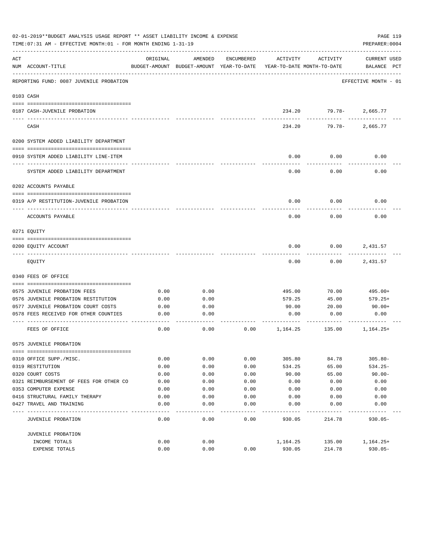|     | 02-01-2019**BUDGET ANALYSIS USAGE REPORT ** ASSET LIABILITY INCOME & EXPENSE<br>TIME: 07:31 AM - EFFECTIVE MONTH: 01 - FOR MONTH ENDING 1-31-19 |              |                                                     |              |                                        |                        | PAGE 119<br>PREPARER: 0004         |
|-----|-------------------------------------------------------------------------------------------------------------------------------------------------|--------------|-----------------------------------------------------|--------------|----------------------------------------|------------------------|------------------------------------|
| ACT | NUM ACCOUNT-TITLE                                                                                                                               | ORIGINAL     | AMENDED<br>BUDGET-AMOUNT BUDGET-AMOUNT YEAR-TO-DATE | ENCUMBERED   | ACTIVITY<br>YEAR-TO-DATE MONTH-TO-DATE | ACTIVITY               | <b>CURRENT USED</b><br>BALANCE PCT |
|     | REPORTING FUND: 0087 JUVENILE PROBATION                                                                                                         |              |                                                     |              |                                        |                        | EFFECTIVE MONTH - 01               |
|     | 0103 CASH                                                                                                                                       |              |                                                     |              |                                        |                        |                                    |
|     | 0187 CASH-JUVENILE PROBATION                                                                                                                    |              |                                                     |              |                                        | 234.20 79.78- 2,665.77 |                                    |
|     | CASH                                                                                                                                            |              |                                                     |              | 234.20                                 | -----------            | .<br>79.78-2,665.77                |
|     | 0200 SYSTEM ADDED LIABILITY DEPARTMENT                                                                                                          |              |                                                     |              |                                        |                        |                                    |
|     | 0910 SYSTEM ADDED LIABILITY LINE-ITEM                                                                                                           |              |                                                     |              | 0.00                                   | 0.00                   | 0.00                               |
|     | SYSTEM ADDED LIABILITY DEPARTMENT                                                                                                               |              |                                                     |              | 0.00                                   | 0.00                   | 0.00                               |
|     | 0202 ACCOUNTS PAYABLE                                                                                                                           |              |                                                     |              |                                        |                        |                                    |
|     | 0319 A/P RESTITUTION-JUVENILE PROBATION                                                                                                         |              |                                                     |              | 0.00                                   | 0.00                   | 0.00                               |
|     | ACCOUNTS PAYABLE                                                                                                                                |              |                                                     |              | 0.00                                   | 0.00                   | 0.00                               |
|     | 0271 EQUITY                                                                                                                                     |              |                                                     |              |                                        |                        |                                    |
|     | 0200 EQUITY ACCOUNT                                                                                                                             |              |                                                     |              | 0.00                                   | 0.00                   | 2,431.57                           |
|     | EQUITY                                                                                                                                          |              |                                                     |              | 0.00                                   | 0.00                   | 2,431.57                           |
|     | 0340 FEES OF OFFICE                                                                                                                             |              |                                                     |              |                                        |                        |                                    |
|     | 0575 JUVENILE PROBATION FEES                                                                                                                    | 0.00         | 0.00                                                |              | 495.00                                 | 70.00                  | 495.00+                            |
|     | 0576 JUVENILE PROBATION RESTITUTION                                                                                                             | 0.00         | 0.00                                                |              | 579.25                                 | 45.00                  | 579.25+                            |
|     | 0577 JUVENILE PROBATION COURT COSTS                                                                                                             | 0.00         | 0.00                                                |              | 90.00                                  | 20.00                  | 90.00+                             |
|     | 0578 FEES RECEIVED FOR OTHER COUNTIES                                                                                                           | 0.00         | 0.00                                                |              | 0.00                                   | 0.00                   | 0.00                               |
|     | FEES OF OFFICE                                                                                                                                  | 0.00         | 0.00                                                | 0.00         | 1,164.25                               | 135.00                 | $1,164.25+$                        |
|     | 0575 JUVENILE PROBATION                                                                                                                         |              |                                                     |              |                                        |                        |                                    |
|     | 0310 OFFICE SUPP./MISC.                                                                                                                         | 0.00         | 0.00                                                | 0.00         | 305.80                                 | 84.78                  | $305.80 -$                         |
|     | 0319 RESTITUTION                                                                                                                                | 0.00         | 0.00                                                | 0.00         | 534.25                                 | 65.00                  | $534.25 -$                         |
|     | 0320 COURT COSTS                                                                                                                                | 0.00         | 0.00                                                |              | 90.00                                  | 65.00                  | $90.00 -$                          |
|     |                                                                                                                                                 |              |                                                     | 0.00         |                                        |                        |                                    |
|     | 0321 REIMBURSEMENT OF FEES FOR OTHER CO<br>0353 COMPUTER EXPENSE                                                                                | 0.00<br>0.00 | 0.00<br>0.00                                        | 0.00<br>0.00 | 0.00<br>0.00                           | 0.00<br>0.00           | 0.00<br>0.00                       |
|     |                                                                                                                                                 |              |                                                     |              |                                        |                        |                                    |
|     | 0416 STRUCTURAL FAMILY THERAPY                                                                                                                  | 0.00         | 0.00                                                | 0.00         | 0.00                                   | 0.00                   | 0.00                               |
|     | 0427 TRAVEL AND TRAINING                                                                                                                        | 0.00         | 0.00                                                | 0.00         | 0.00                                   | 0.00                   | 0.00                               |
|     | JUVENILE PROBATION                                                                                                                              | 0.00         | 0.00                                                | 0.00         | 930.05                                 | 214.78                 | $930.05 -$                         |
|     | JUVENILE PROBATION                                                                                                                              |              |                                                     |              |                                        |                        |                                    |
|     | INCOME TOTALS                                                                                                                                   | 0.00         | 0.00                                                |              | 1,164.25                               | 135.00                 | $1,164.25+$                        |
|     | EXPENSE TOTALS                                                                                                                                  | 0.00         | 0.00                                                | 0.00         | 930.05                                 | 214.78                 | $930.05 -$                         |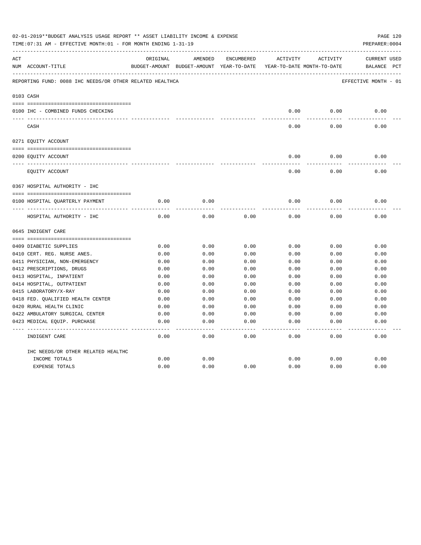|     | 02-01-2019**BUDGET ANALYSIS USAGE REPORT ** ASSET LIABILITY INCOME & EXPENSE<br>TIME: 07:31 AM - EFFECTIVE MONTH: 01 - FOR MONTH ENDING 1-31-19 |          |                                                                     |                   |          |          | PAGE 120<br>PREPARER: 0004 |
|-----|-------------------------------------------------------------------------------------------------------------------------------------------------|----------|---------------------------------------------------------------------|-------------------|----------|----------|----------------------------|
| ACT |                                                                                                                                                 | ORIGINAL | AMENDED                                                             | ENCUMBERED        | ACTIVITY | ACTIVITY | <b>CURRENT USED</b>        |
|     | NUM ACCOUNT-TITLE                                                                                                                               |          | BUDGET-AMOUNT BUDGET-AMOUNT YEAR-TO-DATE YEAR-TO-DATE MONTH-TO-DATE |                   |          |          | BALANCE PCT                |
|     | REPORTING FUND: 0088 IHC NEEDS/OR OTHER RELATED HEALTHCA                                                                                        |          |                                                                     |                   |          |          | EFFECTIVE MONTH - 01       |
|     | 0103 CASH                                                                                                                                       |          |                                                                     |                   |          |          |                            |
|     |                                                                                                                                                 |          |                                                                     |                   |          |          |                            |
|     | 0100 IHC - COMBINED FUNDS CHECKING                                                                                                              |          |                                                                     |                   | 0.00     | 0.00     | 0.00                       |
|     | CASH                                                                                                                                            |          |                                                                     |                   | 0.00     | 0.00     | 0.00                       |
|     | 0271 EQUITY ACCOUNT                                                                                                                             |          |                                                                     |                   |          |          |                            |
|     | 0200 EQUITY ACCOUNT                                                                                                                             |          |                                                                     |                   | 0.00     | 0.00     | 0.00                       |
|     | EQUITY ACCOUNT                                                                                                                                  |          |                                                                     |                   | 0.00     | 0.00     | 0.00                       |
|     | 0367 HOSPITAL AUTHORITY - IHC                                                                                                                   |          |                                                                     |                   |          |          |                            |
|     |                                                                                                                                                 |          |                                                                     |                   |          |          |                            |
|     | 0100 HOSPITAL QUARTERLY PAYMENT                                                                                                                 | 0.00     | 0.00                                                                |                   | 0.00     | 0.00     | 0.00                       |
|     | -------------------------------<br>HOSPITAL AUTHORITY - IHC                                                                                     | 0.00     | 0.00                                                                | 0.00              | 0.00     | 0.00     | 0.00                       |
|     | 0645 INDIGENT CARE                                                                                                                              |          |                                                                     |                   |          |          |                            |
|     |                                                                                                                                                 |          |                                                                     |                   |          |          |                            |
|     | 0409 DIABETIC SUPPLIES                                                                                                                          | 0.00     | 0.00                                                                | 0.00              | 0.00     | 0.00     | 0.00                       |
|     | 0410 CERT. REG. NURSE ANES.                                                                                                                     | 0.00     | 0.00                                                                | 0.00              | 0.00     | 0.00     | 0.00                       |
|     | 0411 PHYSICIAN, NON-EMERGENCY                                                                                                                   | 0.00     | 0.00                                                                | 0.00              | 0.00     | 0.00     | 0.00                       |
|     | 0412 PRESCRIPTIONS, DRUGS                                                                                                                       | 0.00     | 0.00                                                                | 0.00              | 0.00     | 0.00     | 0.00                       |
|     | 0413 HOSPITAL, INPATIENT                                                                                                                        | 0.00     | 0.00                                                                | 0.00              | 0.00     | 0.00     | 0.00                       |
|     | 0414 HOSPITAL, OUTPATIENT                                                                                                                       | 0.00     | 0.00                                                                | 0.00              | 0.00     | 0.00     | 0.00                       |
|     | 0415 LABORATORY/X-RAY                                                                                                                           | 0.00     | 0.00                                                                | 0.00              | 0.00     | 0.00     | 0.00                       |
|     | 0418 FED. OUALIFIED HEALTH CENTER                                                                                                               | 0.00     | 0.00                                                                | 0.00              | 0.00     | 0.00     | 0.00                       |
|     | 0420 RURAL HEALTH CLINIC                                                                                                                        | 0.00     | 0.00                                                                | 0.00              | 0.00     | 0.00     | 0.00                       |
|     | 0422 AMBULATORY SURGICAL CENTER                                                                                                                 | 0.00     | 0.00                                                                | 0.00              | 0.00     | 0.00     | 0.00                       |
|     | 0423 MEDICAL EQUIP. PURCHASE                                                                                                                    | 0.00     | 0.00                                                                | 0.00              | 0.00     | 0.00     | 0.00                       |
|     | INDIGENT CARE                                                                                                                                   | 0.00     | 0.00                                                                | $- - - -$<br>0.00 | 0.00     | 0.00     | -----<br>0.00              |
|     | IHC NEEDS/OR OTHER RELATED HEALTHC                                                                                                              |          |                                                                     |                   |          |          |                            |
|     | INCOME TOTALS                                                                                                                                   | 0.00     | 0.00                                                                |                   | 0.00     | 0.00     | 0.00                       |
|     | <b>EXPENSE TOTALS</b>                                                                                                                           | 0.00     | 0.00                                                                | 0.00              | 0.00     | 0.00     | 0.00                       |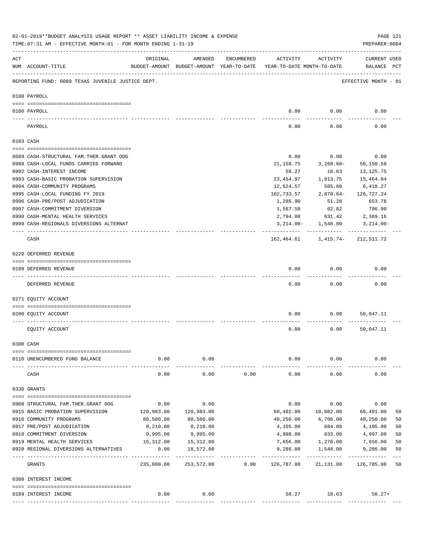|     | 02-01-2019**BUDGET ANALYSIS USAGE REPORT ** ASSET LIABILITY INCOME & EXPENSE<br>TIME: 07:31 AM - EFFECTIVE MONTH: 01 - FOR MONTH ENDING 1-31-19 |                          |                                                     |            |            |                                                          | PREPARER: 0004              | PAGE 121 |
|-----|-------------------------------------------------------------------------------------------------------------------------------------------------|--------------------------|-----------------------------------------------------|------------|------------|----------------------------------------------------------|-----------------------------|----------|
| ACT | NUM ACCOUNT-TITLE                                                                                                                               | ORIGINAL                 | AMENDED<br>BUDGET-AMOUNT BUDGET-AMOUNT YEAR-TO-DATE | ENCUMBERED | ACTIVITY   | ACTIVITY<br>YEAR-TO-DATE MONTH-TO-DATE                   | CURRENT USED<br>BALANCE PCT |          |
|     | REPORTING FUND: 0089 TEXAS JUVENILE JUSTICE DEPT.                                                                                               |                          |                                                     |            |            |                                                          | EFFECTIVE MONTH - 01        |          |
|     | 0100 PAYROLL                                                                                                                                    |                          |                                                     |            |            |                                                          |                             |          |
|     | 0100 PAYROLL                                                                                                                                    |                          |                                                     |            |            | $0.00$ 0.00                                              | 0.00                        |          |
|     | PAYROLL                                                                                                                                         |                          |                                                     |            | 0.00       | 0.00                                                     | 0.00                        |          |
|     | 0103 CASH                                                                                                                                       |                          |                                                     |            |            |                                                          |                             |          |
|     | 0689 CASH-STRUCTURAL FAM. THER. GRANT OOG                                                                                                       |                          |                                                     |            | 0.00       | 0.00                                                     | 0.00                        |          |
|     | 0988 CASH-LOCAL FUNDS CARRIED FORWARD                                                                                                           |                          |                                                     |            | 21, 158.75 | $3,268.60-$                                              | 50,150.58                   |          |
|     | 0992 CASH-INTEREST INCOME                                                                                                                       |                          |                                                     |            | 58.27      | 18.63                                                    | 13, 125. 75                 |          |
|     | 0993 CASH-BASIC PROBATION SUPERVISION                                                                                                           |                          |                                                     |            | 23,454.97  | 1,913.75                                                 | 15,464.04                   |          |
|     | 0994 CASH-COMMUNITY PROGRAMS                                                                                                                    |                          |                                                     |            | 12,624.57  | 505.60                                                   | 6,418.27                    |          |
|     | 0995 CASH-LOCAL FUNDING FY 2019                                                                                                                 |                          |                                                     |            | 102,733.57 | $2,878.64-$                                              | 126,727.24                  |          |
|     | 0996 CASH-PRE/POST ADJUDICATION                                                                                                                 |                          |                                                     |            | 1,286.90   | 51.28                                                    | 653.78                      |          |
|     | 0997 CASH-COMMITMENT DIVERSION                                                                                                                  |                          |                                                     |            | 1,567.58   | 62.82                                                    | 796.90                      |          |
|     | 0998 CASH-MENTAL HEALTH SERVICES                                                                                                                |                          |                                                     |            | 2,794.00   | 631.42                                                   | 2,389.16                    |          |
|     | 0999 CASH-REGIONALS DIVERSIONS ALTERNAT                                                                                                         |                          |                                                     |            |            | $3,214.00 - 1,548.00$                                    | 3,214.00-                   |          |
|     | CASH                                                                                                                                            |                          |                                                     |            | ---------- | ------------<br>162, 464.61    1, 415.74-    212, 511.72 | ------------                |          |
|     | 0220 DEFERRED REVENUE                                                                                                                           |                          |                                                     |            |            |                                                          |                             |          |
|     |                                                                                                                                                 |                          |                                                     |            |            |                                                          |                             |          |
|     | 0189 DEFERRED REVENUE                                                                                                                           |                          |                                                     |            | 0.00       | 0.00                                                     | 0.00                        |          |
|     | DEFERRED REVENUE                                                                                                                                |                          |                                                     |            | 0.00       | 0.00                                                     | 0.00                        |          |
|     | 0271 EQUITY ACCOUNT                                                                                                                             |                          |                                                     |            |            |                                                          |                             |          |
|     | 0200 EQUITY ACCOUNT                                                                                                                             |                          |                                                     |            | 0.00       | 0.00                                                     | 50,047.11                   |          |
|     | EQUITY ACCOUNT                                                                                                                                  |                          |                                                     |            | 0.00       | 0.00                                                     | 50,047.11                   |          |
|     | 0300 CASH                                                                                                                                       |                          |                                                     |            |            |                                                          |                             |          |
|     | 0110 UNENCUMBERED FUND BALANCE                                                                                                                  | 0.00                     | 0.00                                                |            | 0.00       | 0.00                                                     | 0.00                        |          |
|     | CASH                                                                                                                                            | -----------<br>0.00      | -----<br>0.00                                       | 0.00       | 0.00       | 0.00                                                     | 0.00                        |          |
|     | 0330 GRANTS                                                                                                                                     |                          |                                                     |            |            |                                                          |                             |          |
|     | 0908 STRUCTURAL FAM. THER. GRANT OOG                                                                                                            | 0.00                     | 0.00                                                |            | 0.00       | 0.00                                                     | 0.00                        |          |
|     | 0915 BASIC PROBATION SUPERVISION                                                                                                                | 120,983.00               | 120,983.00                                          |            | 60,492.00  | 10,082.00                                                | 60,491.00                   | 50       |
|     | 0916 COMMUNITY PROGRAMS                                                                                                                         | 80,500.00                | 80,500.00                                           |            | 40,250.00  | 6,708.00                                                 | 40,250.00                   | 50       |
|     | 0917 PRE/POST ADJUDICATION                                                                                                                      | 8,210.00                 | 8,210.00                                            |            | 4,105.00   | 684.00                                                   | 4,105.00                    | 50       |
|     | 0918 COMMITMENT DIVERSION                                                                                                                       | 9,995.00                 | 9,995.00                                            |            | 4,998.00   | 833.00                                                   | 4,997.00                    | 50       |
|     | 0919 MENTAL HEALTH SERVICES                                                                                                                     | 15,312.00                | 15,312.00                                           |            | 7,656.00   | 1,276.00                                                 | 7,656.00                    | 50       |
|     | 0920 REGIONAL DIVERSIONS ALTERNATIVES                                                                                                           | 0.00                     | 18,572.00                                           |            | 9,286.00   | 1,548.00                                                 | 9,286.00                    | 50       |
|     | GRANTS                                                                                                                                          | __________<br>235,000.00 | -----------<br>253,572.00                           | 0.00       | 126,787.00 | 21,131.00                                                | 126,785.00                  | 50       |
|     | 0360 INTEREST INCOME                                                                                                                            |                          |                                                     |            |            |                                                          |                             |          |
|     |                                                                                                                                                 |                          |                                                     |            |            |                                                          |                             |          |
|     | 0189 INTEREST INCOME                                                                                                                            | 0.00                     | 0.00                                                |            |            | 58.27 18.63                                              | $58.27+$                    |          |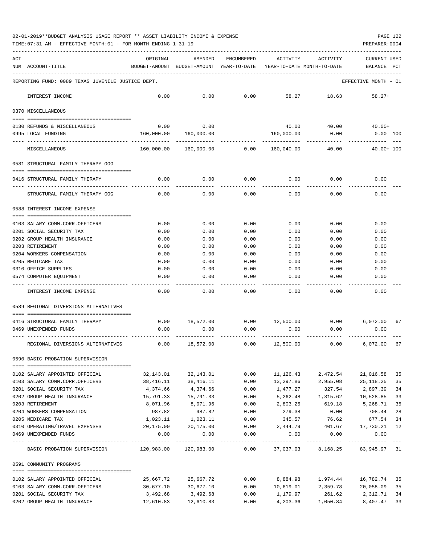| 02-01-2019**BUDGET ANALYSIS USAGE REPORT ** ASSET LIABILITY INCOME & EXPENSE |  |  |  | PAGE 122 |  |
|------------------------------------------------------------------------------|--|--|--|----------|--|
|                                                                              |  |  |  |          |  |

TIME:07:31 AM - EFFECTIVE MONTH:01 - FOR MONTH ENDING 1-31-19 PREPARER:0004

| ACT | NUM ACCOUNT-TITLE                                 | ORIGINAL   | AMENDED<br>BUDGET-AMOUNT BUDGET-AMOUNT YEAR-TO-DATE | ENCUMBERED      | ACTIVITY           | ACTIVITY<br>YEAR-TO-DATE MONTH-TO-DATE | CURRENT USED<br>BALANCE         | PCT |
|-----|---------------------------------------------------|------------|-----------------------------------------------------|-----------------|--------------------|----------------------------------------|---------------------------------|-----|
|     | REPORTING FUND: 0089 TEXAS JUVENILE JUSTICE DEPT. |            |                                                     |                 |                    |                                        | EFFECTIVE MONTH - 01            |     |
|     | INTEREST INCOME                                   | 0.00       | 0.00                                                | 0.00            | 58.27              | 18.63                                  | $58.27+$                        |     |
|     | 0370 MISCELLANEOUS                                |            |                                                     |                 |                    |                                        |                                 |     |
|     |                                                   |            |                                                     |                 |                    |                                        |                                 |     |
|     | 0130 REFUNDS & MISCELLANEOUS                      | 0.00       | 0.00                                                |                 | 40.00              |                                        | $40.00$ $40.00+$                |     |
|     | 0995 LOCAL FUNDING                                |            | 160,000.00 160,000.00                               |                 | 160,000.00         | 0.00                                   | $0.00$ 100                      |     |
|     | MISCELLANEOUS                                     | 160,000.00 | 160,000.00                                          | 0.00 160,040.00 |                    | 40.00                                  | $40.00 + 100$                   |     |
|     | 0581 STRUCTURAL FAMILY THERAPY OOG                |            |                                                     |                 |                    |                                        |                                 |     |
|     | 0416 STRUCTURAL FAMILY THERAPY                    | 0.00       | 0.00                                                | 0.00            | 0.00               | 0.00                                   | 0.00                            |     |
|     | STRUCTURAL FAMILY THERAPY OOG                     | 0.00       | 0.00                                                | 0.00            | 0.00               | 0.00                                   | 0.00                            |     |
|     | 0588 INTEREST INCOME EXPENSE                      |            |                                                     |                 |                    |                                        |                                 |     |
|     | 0103 SALARY COMM.CORR.OFFICERS                    | 0.00       | 0.00                                                | 0.00            | 0.00               | 0.00                                   | 0.00                            |     |
|     | 0201 SOCIAL SECURITY TAX                          | 0.00       | 0.00                                                | 0.00            | 0.00               | 0.00                                   | 0.00                            |     |
|     | 0202 GROUP HEALTH INSURANCE                       | 0.00       | 0.00                                                | 0.00            | 0.00               | 0.00                                   | 0.00                            |     |
|     | 0203 RETIREMENT                                   | 0.00       | 0.00                                                | 0.00            | 0.00               | 0.00                                   | 0.00                            |     |
|     | 0204 WORKERS COMPENSATION                         | 0.00       | 0.00                                                | 0.00            | 0.00               | 0.00                                   | 0.00                            |     |
|     | 0205 MEDICARE TAX                                 | 0.00       | 0.00                                                | 0.00            | 0.00               | 0.00                                   | 0.00                            |     |
|     | 0310 OFFICE SUPPLIES                              | 0.00       | 0.00                                                | 0.00            | 0.00               | 0.00                                   | 0.00                            |     |
|     | 0574 COMPUTER EQUIPMENT                           | 0.00       | 0.00                                                | 0.00            | 0.00               | 0.00                                   | 0.00                            |     |
|     | INTEREST INCOME EXPENSE                           | 0.00       | 0.00                                                | 0.00            | 0.00               | 0.00                                   | 0.00                            |     |
|     | 0589 REGIONAL DIVERSIONS ALTERNATIVES             |            |                                                     |                 |                    |                                        |                                 |     |
|     | 0416 STRUCTURAL FAMILY THERAPY                    | 0.00       | 18,572.00                                           |                 | $0.00$ 12,500.00   |                                        | $0.00$ 6,072.00                 | 67  |
|     | 0469 UNEXPENDED FUNDS                             | 0.00       | 0.00                                                | 0.00            | 0.00               | 0.00                                   | 0.00                            |     |
|     | REGIONAL DIVERSIONS ALTERNATIVES                  | 0.00       | 18,572.00                                           |                 | $0.00$ $12,500.00$ | 0.00                                   | 6,072.00                        | 67  |
|     | 0590 BASIC PROBATION SUPERVISION                  |            |                                                     |                 |                    |                                        |                                 |     |
|     |                                                   |            |                                                     |                 |                    |                                        |                                 |     |
|     | 0102 SALARY APPOINTED OFFICIAL                    | 32,143.01  | 32,143.01                                           | 0.00            | 11,126.43          | 2,472.54                               | 21,016.58                       | 35  |
|     | 0103 SALARY COMM.CORR.OFFICERS                    | 38,416.11  | 38,416.11                                           | 0.00            | 13,297.86          | 2,955.08                               | 25,118.25                       | 35  |
|     | 0201 SOCIAL SECURITY TAX                          | 4,374.66   | 4,374.66                                            | 0.00            | 1,477.27           | 327.54                                 | 2,897.39                        | 34  |
|     | 0202 GROUP HEALTH INSURANCE                       | 15,791.33  | 15,791.33                                           | 0.00            | 5,262.48           | 1,315.62                               | 10,528.85                       | 33  |
|     | 0203 RETIREMENT                                   | 8,071.96   | 8,071.96                                            | 0.00            | 2,803.25           | 619.18                                 | 5,268.71                        | 35  |
|     | 0204 WORKERS COMPENSATION                         | 987.82     | 987.82                                              | 0.00            | 279.38             | 0.00                                   | 708.44                          | 28  |
|     | 0205 MEDICARE TAX                                 | 1,023.11   | 1,023.11                                            | 0.00            | 345.57             | 76.62                                  | 677.54                          | 34  |
|     | 0310 OPERATING/TRAVEL EXPENSES 20,175.00          |            | 20,175.00                                           | 0.00            | 2,444.79           | 401.67                                 | 17,730.21                       | 12  |
|     | 0469 UNEXPENDED FUNDS                             | 0.00       | 0.00                                                | 0.00            | 0.00               | 0.00                                   | 0.00                            |     |
|     | BASIC PROBATION SUPERVISION 120,983.00 120,983.00 |            |                                                     | 0.00            |                    |                                        | 37,037.03 8,168.25 83,945.97 31 |     |
|     | 0591 COMMUNITY PROGRAMS                           |            |                                                     |                 |                    |                                        |                                 |     |
|     | 0102 SALARY APPOINTED OFFICIAL                    | 25,667.72  | 25,667.72                                           | 0.00            | 8,884.98           | 1,974.44                               | 16,782.74                       | 35  |
|     | 0103 SALARY COMM.CORR.OFFICERS                    | 30,677.10  | 30,677.10                                           | 0.00            | 10,619.01          | 2,359.78                               | 20,058.09                       | 35  |
|     | 0201 SOCIAL SECURITY TAX                          | 3,492.68   | 3,492.68                                            | 0.00            | 1,179.97           | 261.62                                 | 2,312.71                        | 34  |
|     | 0202 GROUP HEALTH INSURANCE                       |            | 12,610.83    12,610.83                              | 0.00            |                    | 4,203.36 1,050.84                      | 8,407.47                        | 33  |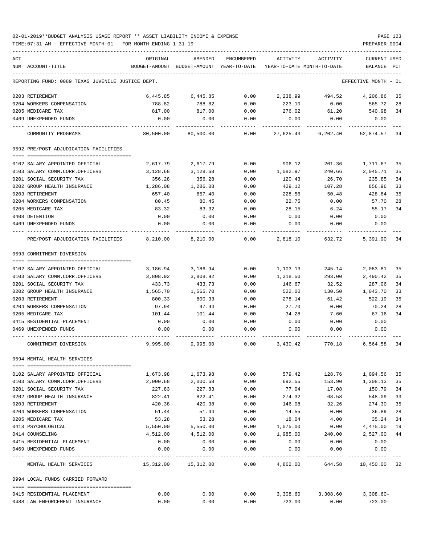TIME:07:31 AM - EFFECTIVE MONTH:01 - FOR MONTH ENDING 1-31-19 PREPARER:0004

| ACT<br>NUM ACCOUNT-TITLE                          | ORIGINAL                       | AMENDED<br>BUDGET-AMOUNT BUDGET-AMOUNT YEAR-TO-DATE YEAR-TO-DATE MONTH-TO-DATE | ENCUMBERED        | ACTIVITY        | ACTIVITY        | <b>CURRENT USED</b><br>BALANCE PCT |    |
|---------------------------------------------------|--------------------------------|--------------------------------------------------------------------------------|-------------------|-----------------|-----------------|------------------------------------|----|
| REPORTING FUND: 0089 TEXAS JUVENILE JUSTICE DEPT. |                                |                                                                                |                   |                 |                 | EFFECTIVE MONTH - 01               |    |
|                                                   |                                |                                                                                |                   |                 |                 |                                    |    |
| 0203 RETIREMENT                                   | 6,445.85                       | 6,445.85                                                                       | 0.00              | 2,238.99        | 494.52          | 4,206.86                           | 35 |
| 0204 WORKERS COMPENSATION                         | 788.82                         | 788.82                                                                         | 0.00              | 223.10          | 0.00            | 565.72                             | 28 |
| 0205 MEDICARE TAX                                 | 817.00                         | 817.00                                                                         | 0.00              | 276.02          | 61.20           | 540.98                             | 34 |
| 0469 UNEXPENDED FUNDS                             | 0.00                           | 0.00                                                                           | 0.00              | 0.00            | 0.00            | 0.00                               |    |
| COMMUNITY PROGRAMS                                | 80,500.00                      | 80,500.00                                                                      | 0.00              | 27,625.43       | 6,202.40        | 52,874.57 34                       |    |
| 0592 PRE/POST ADJUDICATION FACILITIES             |                                |                                                                                |                   |                 |                 |                                    |    |
|                                                   |                                |                                                                                |                   |                 |                 |                                    |    |
| 0102 SALARY APPOINTED OFFICIAL                    | 2,617.79                       | 2,617.79                                                                       | 0.00              | 906.12          | 201.36          | 1,711.67                           | 35 |
| 0103 SALARY COMM.CORR.OFFICERS                    | 3,128.68                       | 3,128.68                                                                       | 0.00              | 1,082.97        | 240.66          | 2,045.71                           | 35 |
| 0201 SOCIAL SECURITY TAX                          | 356.28                         | 356.28                                                                         | 0.00              | 120.43          | 26.70           | 235.85                             | 34 |
| 0202 GROUP HEALTH INSURANCE                       | 1,286.08                       | 1,286.08                                                                       | 0.00              | 429.12          | 107.28          | 856.96                             | 33 |
| 0203 RETIREMENT                                   | 657.40                         | 657.40                                                                         | 0.00              | 228.56          | 50.48           | 428.84                             | 35 |
| 0204 WORKERS COMPENSATION                         | 80.45                          | 80.45                                                                          | 0.00              | 22.75           | 0.00            | 57.70                              | 28 |
| 0205 MEDICARE TAX                                 | 83.32                          | 83.32                                                                          | 0.00              | 28.15           | 6.24            | 55.17                              | 34 |
| 0408 DETENTION<br>0469 UNEXPENDED FUNDS           | 0.00<br>0.00                   | 0.00<br>0.00                                                                   | 0.00<br>0.00      | 0.00<br>0.00    | 0.00<br>0.00    | 0.00<br>0.00                       |    |
|                                                   |                                |                                                                                |                   |                 |                 |                                    |    |
| PRE/POST ADJUDICATION FACILITIES 8,210.00         |                                | 8,210.00                                                                       | 0.00              |                 | 2,818.10 632.72 | 5,391.90                           | 34 |
| 0593 COMMITMENT DIVERSION                         |                                |                                                                                |                   |                 |                 |                                    |    |
|                                                   |                                |                                                                                |                   |                 |                 |                                    |    |
| 0102 SALARY APPOINTED OFFICIAL                    | 3,186.94                       | 3,186.94                                                                       | 0.00              | 1,103.13        | 245.14          | 2,083.81                           | 35 |
| 0103 SALARY COMM.CORR.OFFICERS                    | 3,808.92                       | 3,808.92                                                                       | 0.00              | 1,318.50        | 293.00          | 2,490.42                           | 35 |
| 0201 SOCIAL SECURITY TAX                          | 433.73                         | 433.73                                                                         | 0.00              | 146.67          | 32.52           | 287.06                             | 34 |
| 0202 GROUP HEALTH INSURANCE                       | 1,565.70                       | 1,565.70                                                                       | 0.00              | 522.00          | 130.50          | 1,043.70                           | 33 |
| 0203 RETIREMENT                                   | 800.33                         | 800.33                                                                         | 0.00              | 278.14          | 61.42           | 522.19                             | 35 |
| 0204 WORKERS COMPENSATION                         | 97.94                          | 97.94                                                                          | 0.00              | 27.70           | 0.00            | 70.24                              | 28 |
| 0205 MEDICARE TAX                                 | 101.44                         | 101.44                                                                         | 0.00              | 34.28           | 7.60            | 67.16                              | 34 |
| 0415 RESIDENTIAL PLACEMENT                        | 0.00                           | 0.00                                                                           | 0.00              | 0.00            | 0.00            | 0.00                               |    |
| 0469 UNEXPENDED FUNDS                             | 0.00                           | 0.00                                                                           | 0.00              | 0.00            | 0.00            | 0.00                               |    |
| COMMITMENT DIVERSION                              | 9,995.00                       | 9,995.00                                                                       | 0.00              | 3,430.42        | 770.18          | 6,564.58                           | 34 |
| 0594 MENTAL HEALTH SERVICES                       |                                |                                                                                |                   |                 |                 |                                    |    |
| 0102 SALARY APPOINTED OFFICIAL                    | 1,673.98                       | 1,673.98                                                                       | 0.00              | 579.42          | 128.76          | 1,094.56                           | 35 |
| 0103 SALARY COMM.CORR.OFFICERS                    | 2,000.68                       | 2,000.68                                                                       | 0.00              | 692.55          | 153.90          | 1,308.13                           | 35 |
| 0201 SOCIAL SECURITY TAX                          | 227.83                         | 227.83                                                                         | 0.00              | 77.04           | 17.08           | 150.79                             | 34 |
| 0202 GROUP HEALTH INSURANCE                       | 822.41                         | 822.41                                                                         | 0.00              | 274.32          | 68.58           | 548.09                             | 33 |
| 0203 RETIREMENT                                   | 420.38                         | 420.38                                                                         | 0.00              | 146.08          | 32.26           | 274.30                             | 35 |
| 0204 WORKERS COMPENSATION                         | 51.44                          | 51.44                                                                          | 0.00              | 14.55           | 0.00            | 36.89                              | 28 |
| 0205 MEDICARE TAX                                 | 53.28                          | 53.28                                                                          | 0.00              | 18.04           | 4.00            | 35.24                              | 34 |
| 0413 PSYCHOLOGICAL                                | 5,550.00                       | 5,550.00                                                                       | 0.00              | 1,075.00        | 0.00            | 4,475.00                           | 19 |
| 0414 COUNSELING                                   | 4,512.00                       | 4,512.00                                                                       | 0.00              | 1,985.00 240.00 |                 | 2,527.00                           | 44 |
| 0415 RESIDENTIAL PLACEMENT                        | 0.00                           | 0.00                                                                           | 0.00              | 0.00            | 0.00            | 0.00                               |    |
| 0469 UNEXPENDED FUNDS                             | 0.00                           | 0.00                                                                           | 0.00              | 0.00            | 0.00            | 0.00                               |    |
| MENTAL HEALTH SERVICES                            | ------------------------------ | 15,312.00    15,312.00                                                         | ---------<br>0.00 | ----------      |                 | 4,862.00 644.58 10,450.00 32       |    |
| 0994 LOCAL FUNDS CARRIED FORWARD                  |                                |                                                                                |                   |                 |                 |                                    |    |
|                                                   |                                |                                                                                |                   |                 |                 |                                    |    |
| 0415 RESIDENTIAL PLACEMENT                        | 0.00                           | 0.00                                                                           | 0.00              | 3,308.60        | 3,308.60        | 3,308.60-                          |    |

0488 LAW ENFORCEMENT INSURANCE 0.00 0.00 0.00 723.00 0.00 723.00-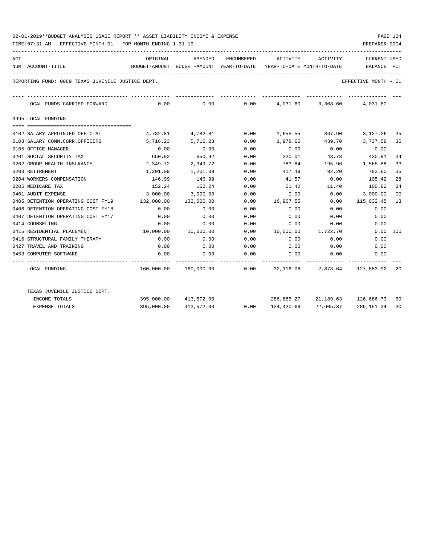TIME:07:31 AM - EFFECTIVE MONTH:01 - FOR MONTH ENDING 1-31-19 PREPARER:0004

| ACT |                                                                          | ORIGINAL     | AMENDED                                                             | ENCUMBERED   | ACTIVITY ACTIVITY               |              | <b>CURRENT USED</b>                                                   |     |
|-----|--------------------------------------------------------------------------|--------------|---------------------------------------------------------------------|--------------|---------------------------------|--------------|-----------------------------------------------------------------------|-----|
|     | NUM ACCOUNT-TITLE                                                        |              | BUDGET-AMOUNT BUDGET-AMOUNT YEAR-TO-DATE YEAR-TO-DATE MONTH-TO-DATE |              |                                 |              | BALANCE                                                               | PCT |
|     | REPORTING FUND: 0089 TEXAS JUVENILE JUSTICE DEPT.                        |              |                                                                     |              |                                 |              | EFFECTIVE MONTH - 01                                                  |     |
|     | LOCAL FUNDS CARRIED FORWARD                                              |              |                                                                     |              |                                 |              | $0.00$ $0.00$ $0.00$ $0.00$ $0.01.60$ $0.3,308.60$ $0.031.60$ $0.00$  |     |
|     | 0995 LOCAL FUNDING                                                       |              |                                                                     |              |                                 |              |                                                                       |     |
|     |                                                                          |              |                                                                     |              |                                 |              |                                                                       |     |
|     | 0102 SALARY APPOINTED OFFICIAL                                           |              |                                                                     |              |                                 |              | $4,782.81$ $4,782.81$ $0.00$ $1,655.55$ $367.90$ $3,127.26$           | -35 |
|     | 0103 SALARY COMM.CORR.OFFICERS                                           | 5,716.23     | 5,716.23                                                            | 0.00         | 1,978.65                        | 439.70       | 3,737.58                                                              | 35  |
|     | 0105 OFFICE MANAGER                                                      | 0.00         | 0.00                                                                | 0.00         | 0.00                            | 0.00         | 0.00                                                                  |     |
|     | 0201 SOCIAL SECURITY TAX                                                 | 650.92       | 650.92                                                              | 0.00         | 220.01                          | 48.78        | 430.91                                                                | 34  |
|     | 0202 GROUP HEALTH INSURANCE                                              | 2,349.72     | 2,349.72                                                            | 0.00         | 783.84                          |              | 195.96 1,565.88                                                       | 33  |
|     | 0203 RETIREMENT                                                          | 1,201.09     | 1,201.09                                                            | 0.00         | 417.49                          | 92.20        | 783.60                                                                | 35  |
|     | 0204 WORKERS COMPENSATION                                                | 146.99       | 146.99                                                              | 0.00         | 41.57                           | 0.00         | 105.42                                                                | 28  |
|     | 0205 MEDICARE TAX                                                        | 152.24       | 152.24<br>3,000.00 3,000.00                                         | 0.00         | 51.42                           | 11.40        | 100.82                                                                | 34  |
|     | 0401 AUDIT EXPENSE                                                       | 132,000.00   |                                                                     | 0.00         |                                 | $0.00$ 0.00  | 3,000.00                                                              | 00  |
|     | 0405 DETENTION OPERATING COST FY19                                       |              | 132,000.00                                                          | 0.00         | 16,967.55                       | 0.00<br>0.00 | 115,032.45                                                            | 13  |
|     | 0406 DETENTION OPERATING COST FY18<br>0407 DETENTION OPERATING COST FY17 | 0.00<br>0.00 | 0.00<br>0.00                                                        | 0.00<br>0.00 | 0.00                            | 0.00         | 0.00<br>0.00                                                          |     |
|     | 0414 COUNSELING                                                          |              |                                                                     |              | 0.00                            | 0.00         |                                                                       |     |
|     |                                                                          | 0.00         | 0.00<br>10,000.00 10,000.00                                         | 0.00         | 0.00                            |              | 0.00                                                                  |     |
|     | 0415 RESIDENTIAL PLACEMENT<br>0416 STRUCTURAL FAMILY THERAPY             | 0.00         | 0.00                                                                | 0.00<br>0.00 |                                 |              | $0.00$ 100<br>0.00                                                    |     |
|     |                                                                          |              |                                                                     |              | 0.00                            | 0.00         |                                                                       |     |
|     | 0427 TRAVEL AND TRAINING                                                 | 0.00         | 0.00                                                                | 0.00<br>0.00 |                                 |              | $0.00$ $0.00$ $0.00$ $0.00$                                           |     |
|     | 0453 COMPUTER SOFTWARE                                                   | 0.00         | 0.00                                                                |              |                                 | $0.00$ 0.00  | 0.00                                                                  |     |
|     | LOCAL FUNDING                                                            |              |                                                                     |              |                                 |              | $160,000.00$ $160,000.00$ 0.00 $32,116.08$ $2,878.64$ $127,883.92$ 20 |     |
|     | TEXAS JUVENILE JUSTICE DEPT.                                             |              |                                                                     |              |                                 |              |                                                                       |     |
|     | INCOME TOTALS                                                            |              | 395,000.00 413,572.00                                               |              |                                 |              | 286,885.27 21,189.63 126,686.73                                       | 69  |
|     | <b>EXPENSE TOTALS</b>                                                    |              | 395,000.00 413,572.00                                               |              | $0.00$ $124,420.66$ $22,605.37$ |              | 289,151.34                                                            | 30  |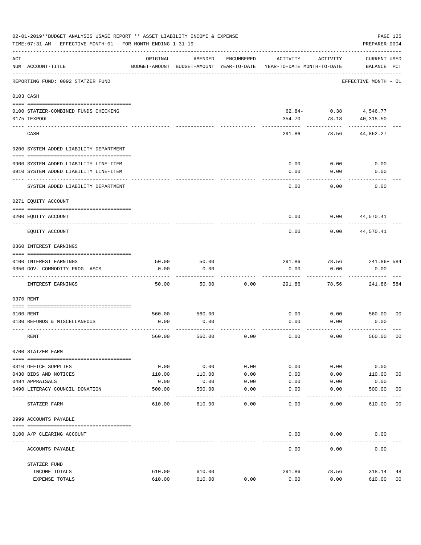|     | 02-01-2019**BUDGET ANALYSIS USAGE REPORT ** ASSET LIABILITY INCOME & EXPENSE<br>TIME: 07:31 AM - EFFECTIVE MONTH: 01 - FOR MONTH ENDING 1-31-19 |          |                                                     |                   |                                        |          | PAGE 125<br>PREPARER: 0004         |                |
|-----|-------------------------------------------------------------------------------------------------------------------------------------------------|----------|-----------------------------------------------------|-------------------|----------------------------------------|----------|------------------------------------|----------------|
| ACT | NUM ACCOUNT-TITLE                                                                                                                               | ORIGINAL | AMENDED<br>BUDGET-AMOUNT BUDGET-AMOUNT YEAR-TO-DATE | ENCUMBERED        | ACTIVITY<br>YEAR-TO-DATE MONTH-TO-DATE | ACTIVITY | <b>CURRENT USED</b><br>BALANCE PCT |                |
|     | REPORTING FUND: 0092 STATZER FUND                                                                                                               |          |                                                     |                   |                                        |          | EFFECTIVE MONTH - 01               |                |
|     | 0103 CASH                                                                                                                                       |          |                                                     |                   |                                        |          |                                    |                |
|     | 0100 STATZER-COMBINED FUNDS CHECKING                                                                                                            |          |                                                     |                   | $62.84-$                               | 0.38     | 4,546.77                           |                |
|     | 0175 TEXPOOL                                                                                                                                    |          |                                                     |                   | 354.70                                 | 78.18    | 40,315.50                          |                |
|     | CASH                                                                                                                                            |          |                                                     |                   | 291.86                                 | 78.56    | 44,862.27                          |                |
|     | 0200 SYSTEM ADDED LIABILITY DEPARTMENT                                                                                                          |          |                                                     |                   |                                        |          |                                    |                |
|     |                                                                                                                                                 |          |                                                     |                   |                                        |          |                                    |                |
|     | 0900 SYSTEM ADDED LIABILITY LINE-ITEM                                                                                                           |          |                                                     |                   | 0.00                                   | 0.00     | 0.00                               |                |
|     | 0910 SYSTEM ADDED LIABILITY LINE-ITEM                                                                                                           |          |                                                     |                   | 0.00                                   | 0.00     | 0.00                               |                |
|     | SYSTEM ADDED LIABILITY DEPARTMENT                                                                                                               |          |                                                     |                   | 0.00                                   | 0.00     | 0.00                               |                |
|     | 0271 EQUITY ACCOUNT                                                                                                                             |          |                                                     |                   |                                        |          |                                    |                |
|     | 0200 EQUITY ACCOUNT                                                                                                                             |          |                                                     |                   | 0.00                                   | 0.00     | 44,570.41                          |                |
|     | EQUITY ACCOUNT                                                                                                                                  |          |                                                     |                   | 0.00                                   | 0.00     | 44,570.41                          |                |
|     | 0360 INTEREST EARNINGS                                                                                                                          |          |                                                     |                   |                                        |          |                                    |                |
|     | 0100 INTEREST EARNINGS                                                                                                                          | 50.00    | 50.00                                               |                   | 291.86                                 | 78.56    | 241.86+ 584                        |                |
|     | 0350 GOV. COMMODITY PROG. ASCS                                                                                                                  | 0.00     | 0.00                                                |                   | 0.00                                   | 0.00     | 0.00                               |                |
|     | INTEREST EARNINGS                                                                                                                               | 50.00    | 50.00                                               | 0.00              | 291.86                                 | 78.56    | 241.86+ 584                        |                |
|     | 0370 RENT                                                                                                                                       |          |                                                     |                   |                                        |          |                                    |                |
|     |                                                                                                                                                 |          |                                                     |                   |                                        |          |                                    |                |
|     | 0100 RENT                                                                                                                                       | 560.00   | 560.00                                              |                   | 0.00                                   | 0.00     | 560.00 00                          |                |
|     | 0130 REFUNDS & MISCELLANEOUS                                                                                                                    | 0.00     | 0.00                                                |                   | 0.00                                   | 0.00     | 0.00                               |                |
|     | RENT                                                                                                                                            | 560.00   | 560.00                                              | 0.00              | 0.00                                   | 0.00     | 560.00                             | 0 <sub>0</sub> |
|     | 0700 STATZER FARM                                                                                                                               |          |                                                     |                   |                                        |          |                                    |                |
|     | 0310 OFFICE SUPPLIES                                                                                                                            | 0.00     | 0.00                                                | 0.00              | 0.00                                   | 0.00     | 0.00                               |                |
|     | 0430 BIDS AND NOTICES                                                                                                                           | 110.00   | 110.00                                              | 0.00              | 0.00                                   | 0.00     | 110.00                             | 00             |
|     | 0484 APPRAISALS                                                                                                                                 | 0.00     | 0.00                                                | 0.00              | 0.00                                   | 0.00     | 0.00                               |                |
|     | 0490 LITERACY COUNCIL DONATION                                                                                                                  | 500.00   | 500.00                                              | 0.00<br>$- - - -$ | 0.00                                   | 0.00     | 500.00                             | 0 <sub>0</sub> |
|     | STATZER FARM                                                                                                                                    | 610.00   | 610.00                                              | 0.00              | 0.00                                   | 0.00     | 610.00                             | 00             |
|     | 0999 ACCOUNTS PAYABLE                                                                                                                           |          |                                                     |                   |                                        |          |                                    |                |
|     | 0100 A/P CLEARING ACCOUNT                                                                                                                       |          |                                                     |                   | 0.00                                   | 0.00     | 0.00                               |                |
|     | ACCOUNTS PAYABLE                                                                                                                                |          |                                                     |                   | 0.00                                   | 0.00     | 0.00                               |                |
|     | STATZER FUND                                                                                                                                    |          |                                                     |                   |                                        |          |                                    |                |
|     | INCOME TOTALS                                                                                                                                   | 610.00   | 610.00                                              |                   | 291.86                                 | 78.56    | 318.14                             | 48             |
|     | EXPENSE TOTALS                                                                                                                                  | 610.00   | 610.00                                              | 0.00              | 0.00                                   | 0.00     | 610.00                             | 00             |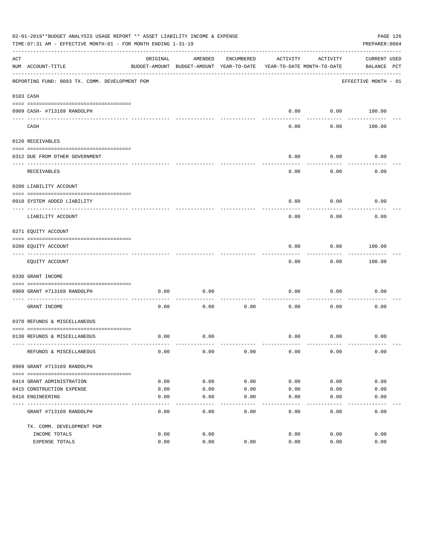|     | 02-01-2019**BUDGET ANALYSIS USAGE REPORT ** ASSET LIABILITY INCOME & EXPENSE<br>TIME: 07:31 AM - EFFECTIVE MONTH: 01 - FOR MONTH ENDING 1-31-19 |          |                                          |            |                            |                  | PAGE 126<br>PREPARER: 0004 |  |
|-----|-------------------------------------------------------------------------------------------------------------------------------------------------|----------|------------------------------------------|------------|----------------------------|------------------|----------------------------|--|
| ACT |                                                                                                                                                 | ORIGINAL | AMENDED                                  | ENCUMBERED | ACTIVITY                   | ACTIVITY         | CURRENT USED               |  |
|     | NUM ACCOUNT-TITLE                                                                                                                               |          | BUDGET-AMOUNT BUDGET-AMOUNT YEAR-TO-DATE |            | YEAR-TO-DATE MONTH-TO-DATE |                  | BALANCE PCT                |  |
|     | REPORTING FUND: 0093 TX. COMM. DEVELOPMENT PGM                                                                                                  |          |                                          |            |                            |                  | EFFECTIVE MONTH - 01       |  |
|     | 0103 CASH                                                                                                                                       |          |                                          |            |                            |                  |                            |  |
|     |                                                                                                                                                 |          |                                          |            |                            |                  |                            |  |
|     | 0909 CASH- #713169 RANDOLPH                                                                                                                     |          |                                          |            | 0.00                       | ---------        | $0.00$ 100.00              |  |
|     | CASH                                                                                                                                            |          |                                          |            | 0.00                       | 0.00             | 100.00                     |  |
|     | 0120 RECEIVABLES                                                                                                                                |          |                                          |            |                            |                  |                            |  |
|     |                                                                                                                                                 |          |                                          |            | 0.00                       |                  | 0.00                       |  |
|     | 0312 DUE FROM OTHER GOVERNMENT                                                                                                                  |          |                                          |            |                            | 0.00<br>-------- |                            |  |
|     | RECEIVABLES                                                                                                                                     |          |                                          |            | 0.00                       | 0.00             | 0.00                       |  |
|     | 0200 LIABILITY ACCOUNT                                                                                                                          |          |                                          |            |                            |                  |                            |  |
|     | 0910 SYSTEM ADDED LIABILITY                                                                                                                     |          |                                          |            | 0.00                       | 0.00             | 0.00                       |  |
|     | LIABILITY ACCOUNT                                                                                                                               |          |                                          |            | 0.00                       | 0.00             | 0.00                       |  |
|     | 0271 EQUITY ACCOUNT                                                                                                                             |          |                                          |            |                            |                  |                            |  |
|     | 0200 EQUITY ACCOUNT                                                                                                                             |          |                                          |            | 0.00                       | 0.00             | 100.00                     |  |
|     | EQUITY ACCOUNT                                                                                                                                  |          |                                          |            | 0.00                       | 0.00             | 100.00                     |  |
|     | 0330 GRANT INCOME                                                                                                                               |          |                                          |            |                            |                  |                            |  |
|     |                                                                                                                                                 |          |                                          |            |                            |                  |                            |  |
|     | 0909 GRANT #713169 RANDOLPH<br>---------------------- -----                                                                                     | 0.00     | 0.00                                     |            | 0.00                       | 0.00             | 0.00                       |  |
|     | GRANT INCOME                                                                                                                                    | 0.00     | 0.00                                     | 0.00       | 0.00                       | 0.00             | 0.00                       |  |
|     | 0370 REFUNDS & MISCELLANEOUS                                                                                                                    |          |                                          |            |                            |                  |                            |  |
|     |                                                                                                                                                 |          |                                          |            |                            |                  |                            |  |
|     | 0130 REFUNDS & MISCELLANEOUS                                                                                                                    | 0.00     | 0.00                                     |            | 0.00                       | 0.00             | 0.00                       |  |
|     | REFUNDS & MISCELLANEOUS                                                                                                                         | 0.00     | 0.00                                     | 0.00       | 0.00                       | 0.00             | 0.00                       |  |
|     | 0909 GRANT #713169 RANDOLPH                                                                                                                     |          |                                          |            |                            |                  |                            |  |
|     |                                                                                                                                                 |          |                                          |            |                            |                  |                            |  |
|     | 0414 GRANT ADMINISTRATION                                                                                                                       | 0.00     | 0.00                                     | 0.00       | 0.00                       | 0.00             | 0.00                       |  |
|     | 0415 CONSTRUCTION EXPENSE                                                                                                                       | 0.00     | 0.00                                     | 0.00       | 0.00                       | 0.00             | 0.00                       |  |
|     | 0416 ENGINEERING                                                                                                                                | 0.00     | 0.00                                     | 0.00       | 0.00                       | 0.00             | 0.00                       |  |
|     | GRANT #713169 RANDOLPH                                                                                                                          | 0.00     | 0.00                                     | 0.00       | 0.00                       | 0.00             | 0.00                       |  |
|     | TX. COMM. DEVELOPMENT PGM                                                                                                                       |          |                                          |            |                            |                  |                            |  |
|     | INCOME TOTALS                                                                                                                                   | 0.00     | 0.00                                     |            | 0.00                       | 0.00             | 0.00                       |  |
|     | EXPENSE TOTALS                                                                                                                                  | 0.00     | 0.00                                     | 0.00       | 0.00                       | 0.00             | 0.00                       |  |
|     |                                                                                                                                                 |          |                                          |            |                            |                  |                            |  |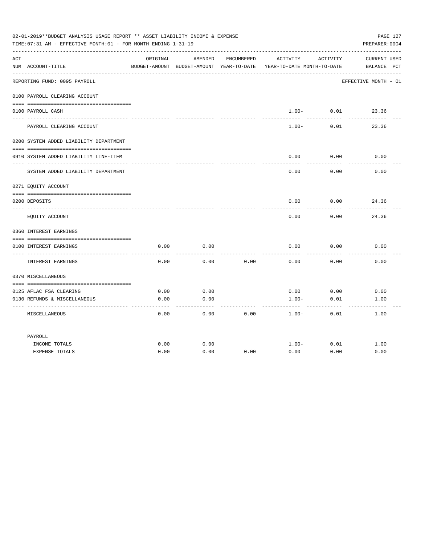|     | 02-01-2019**BUDGET ANALYSIS USAGE REPORT ** ASSET LIABILITY INCOME & EXPENSE<br>TIME: 07:31 AM - EFFECTIVE MONTH: 01 - FOR MONTH ENDING 1-31-19 |          |         |            |                                                                                          |                            | PAGE 127<br>PREPARER: 0004         |
|-----|-------------------------------------------------------------------------------------------------------------------------------------------------|----------|---------|------------|------------------------------------------------------------------------------------------|----------------------------|------------------------------------|
| ACT | NUM ACCOUNT-TITLE                                                                                                                               | ORIGINAL | AMENDED | ENCUMBERED | ACTIVITY ACTIVITY<br>BUDGET-AMOUNT BUDGET-AMOUNT YEAR-TO-DATE YEAR-TO-DATE MONTH-TO-DATE |                            | <b>CURRENT USED</b><br>BALANCE PCT |
|     | REPORTING FUND: 0095 PAYROLL                                                                                                                    |          |         |            |                                                                                          |                            | EFFECTIVE MONTH - 01               |
|     | 0100 PAYROLL CLEARING ACCOUNT                                                                                                                   |          |         |            |                                                                                          |                            |                                    |
|     | 0100 PAYROLL CASH                                                                                                                               |          |         |            | ------                                                                                   | $1.00 - 0.01$<br>--------- | 23.36                              |
|     | PAYROLL CLEARING ACCOUNT                                                                                                                        |          |         |            | $1.00 -$                                                                                 | 0.01                       | 23.36                              |
|     | 0200 SYSTEM ADDED LIABILITY DEPARTMENT                                                                                                          |          |         |            |                                                                                          |                            |                                    |
|     | 0910 SYSTEM ADDED LIABILITY LINE-ITEM                                                                                                           |          |         |            | 0.00                                                                                     | 0.00                       | 0.00                               |
|     | SYSTEM ADDED LIABILITY DEPARTMENT                                                                                                               |          |         |            | 0.00                                                                                     | 0.00                       | 0.00                               |
|     | 0271 EQUITY ACCOUNT                                                                                                                             |          |         |            |                                                                                          |                            |                                    |
|     | 0200 DEPOSITS                                                                                                                                   |          |         |            | 0.00                                                                                     | $0.00$ 24.36               |                                    |
|     | EQUITY ACCOUNT                                                                                                                                  |          |         |            | 0.00                                                                                     | 0.00                       | 24.36                              |
|     | 0360 INTEREST EARNINGS                                                                                                                          |          |         |            |                                                                                          |                            |                                    |
|     | 0100 INTEREST EARNINGS                                                                                                                          | 0.00     | 0.00    |            | 0.00                                                                                     | 0.00                       | 0.00                               |
|     | INTEREST EARNINGS                                                                                                                               | 0.00     | 0.00    | 0.00       | 0.00                                                                                     | 0.00                       | 0.00                               |
|     | 0370 MISCELLANEOUS                                                                                                                              |          |         |            |                                                                                          |                            |                                    |
|     | 0125 AFLAC FSA CLEARING                                                                                                                         | 0.00     | 0.00    |            | 0.00                                                                                     | 0.00                       | 0.00                               |
|     | 0130 REFUNDS & MISCELLANEOUS                                                                                                                    | 0.00     | 0.00    |            | $1.00 -$                                                                                 | 0.01                       | 1.00                               |
|     | MISCELLANEOUS                                                                                                                                   | 0.00     | 0.00    | 0.00       | $1.00 -$                                                                                 | 0.01                       | 1.00                               |
|     | PAYROLL                                                                                                                                         |          |         |            |                                                                                          |                            |                                    |
|     | INCOME TOTALS                                                                                                                                   | 0.00     | 0.00    |            | $1.00-$                                                                                  | 0.01                       | 1.00                               |
|     | <b>EXPENSE TOTALS</b>                                                                                                                           | 0.00     | 0.00    | 0.00       | 0.00                                                                                     | 0.00                       | 0.00                               |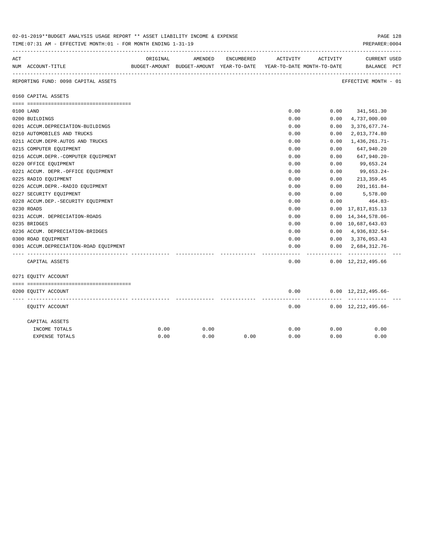|     | 0Z-0I-Z0I9''BUDGET ANALYSIS USAGE REPORT '' ASSET LIABILITY INCOME & EXPENSE<br>TIME: 07:31 AM - EFFECTIVE MONTH: 01 - FOR MONTH ENDING 1-31-19 |          |         |            |                                                                     |          | PAGE 128<br>PREPARER: 0004                    |
|-----|-------------------------------------------------------------------------------------------------------------------------------------------------|----------|---------|------------|---------------------------------------------------------------------|----------|-----------------------------------------------|
| ACT |                                                                                                                                                 | ORIGINAL | AMENDED | ENCUMBERED | ACTIVITY                                                            | ACTIVITY | <b>CURRENT USED</b>                           |
|     | NUM ACCOUNT-TITLE                                                                                                                               |          |         |            | BUDGET-AMOUNT BUDGET-AMOUNT YEAR-TO-DATE YEAR-TO-DATE MONTH-TO-DATE |          | BALANCE PCT                                   |
|     | REPORTING FUND: 0098 CAPITAL ASSETS                                                                                                             |          |         |            |                                                                     |          | EFFECTIVE MONTH - 01                          |
|     | 0160 CAPITAL ASSETS                                                                                                                             |          |         |            |                                                                     |          |                                               |
|     |                                                                                                                                                 |          |         |            |                                                                     |          |                                               |
|     | 0100 LAND                                                                                                                                       |          |         |            | 0.00                                                                |          | $0.00$ $341,561.30$                           |
|     | 0200 BUILDINGS                                                                                                                                  |          |         |            | 0.00                                                                | 0.00     | 4,737,000.00                                  |
|     | 0201 ACCUM.DEPRECIATION-BUILDINGS                                                                                                               |          |         |            | 0.00                                                                | 0.00     | $3,376,677.74-$                               |
|     | 0210 AUTOMOBILES AND TRUCKS                                                                                                                     |          |         |            | 0.00                                                                | 0.00     | 2,013,774.80                                  |
|     | 0211 ACCUM.DEPR.AUTOS AND TRUCKS                                                                                                                |          |         |            | 0.00                                                                | 0.00     | $1,436,261.71-$                               |
|     | 0215 COMPUTER EQUIPMENT                                                                                                                         |          |         |            | 0.00                                                                | 0.00     | 647,940.20                                    |
|     | 0216 ACCUM.DEPR.-COMPUTER EQUIPMENT                                                                                                             |          |         |            | 0.00                                                                | 0.00     | 647,940.20-                                   |
|     | 0220 OFFICE EQUIPMENT                                                                                                                           |          |         |            | 0.00                                                                | 0.00     | 99,653.24                                     |
|     | 0221 ACCUM. DEPR. - OFFICE EQUIPMENT                                                                                                            |          |         |            | 0.00                                                                | 0.00     | 99,653.24-                                    |
|     | 0225 RADIO EQUIPMENT                                                                                                                            |          |         |            | 0.00                                                                | 0.00     | 213,359.45                                    |
|     | 0226 ACCUM.DEPR.-RADIO EQUIPMENT                                                                                                                |          |         |            | 0.00                                                                | 0.00     | 201,161.84-                                   |
|     | 0227 SECURITY EQUIPMENT                                                                                                                         |          |         |            | 0.00                                                                | 0.00     | 5,578.00                                      |
|     | 0228 ACCUM.DEP. - SECURITY EQUIPMENT                                                                                                            |          |         |            | 0.00                                                                | 0.00     | 464.83-                                       |
|     | 0230 ROADS                                                                                                                                      |          |         |            | 0.00                                                                | 0.00     | 17,817,815.13                                 |
|     | 0231 ACCUM. DEPRECIATION-ROADS                                                                                                                  |          |         |            | 0.00                                                                | 0.00     | 14, 344, 578.06-                              |
|     | 0235 BRIDGES                                                                                                                                    |          |         |            | 0.00                                                                |          | 0.00 10,687,643.03                            |
|     | 0236 ACCUM. DEPRECIATION-BRIDGES                                                                                                                |          |         |            | 0.00                                                                |          | $0.00 \quad 4,936,832.54-$                    |
|     | 0300 ROAD EQUIPMENT                                                                                                                             |          |         |            | 0.00                                                                |          | $0.00 \quad 3,376,053.43$                     |
|     | 0301 ACCUM.DEPRECIATION-ROAD EOUIPMENT                                                                                                          |          |         |            | 0.00<br>-----                                                       | .        | $0.00 \quad 2.684.312.76 -$<br>-------------- |
|     | CAPITAL ASSETS                                                                                                                                  |          |         |            | 0.00                                                                |          | $0.00 \quad 12,212,495.66$                    |
|     | 0271 EQUITY ACCOUNT                                                                                                                             |          |         |            |                                                                     |          |                                               |
|     |                                                                                                                                                 |          |         |            |                                                                     |          |                                               |
|     | 0200 EQUITY ACCOUNT                                                                                                                             |          |         |            | 0.00                                                                |          | $0.00 \quad 12,212,495.66-$                   |
|     | EQUITY ACCOUNT                                                                                                                                  |          |         |            | 0.00                                                                |          | $0.00 \quad 12,212,495.66-$                   |
|     | CAPITAL ASSETS                                                                                                                                  |          |         |            |                                                                     |          |                                               |
|     | INCOME TOTALS                                                                                                                                   | 0.00     | 0.00    |            | 0.00                                                                | 0.00     | 0.00                                          |
|     | EXPENSE TOTALS                                                                                                                                  | 0.00     | 0.00    | 0.00       | 0.00                                                                | 0.00     | 0.00                                          |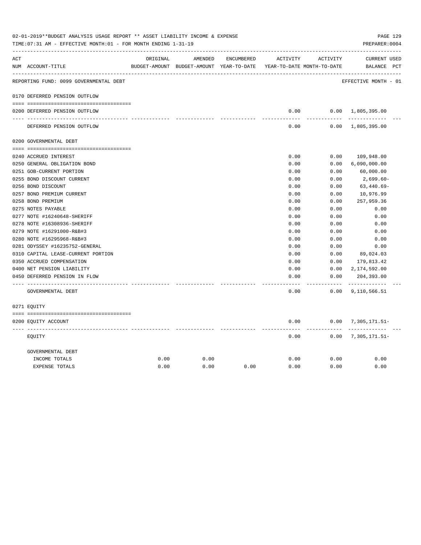|     | 02-01-2019**BUDGET ANALYSIS USAGE REPORT ** ASSET LIABILITY INCOME & EXPENSE<br>TIME: 07:31 AM - EFFECTIVE MONTH: 01 - FOR MONTH ENDING 1-31-19 |          |                                                                     |            |               |                       | PREPARER: 0004              | PAGE 129 |
|-----|-------------------------------------------------------------------------------------------------------------------------------------------------|----------|---------------------------------------------------------------------|------------|---------------|-----------------------|-----------------------------|----------|
| ACT |                                                                                                                                                 | ORIGINAL | AMENDED                                                             | ENCUMBERED | ACTIVITY      | ACTIVITY              | CURRENT USED                |          |
|     | NUM ACCOUNT-TITLE                                                                                                                               |          | BUDGET-AMOUNT BUDGET-AMOUNT YEAR-TO-DATE YEAR-TO-DATE MONTH-TO-DATE |            |               |                       | BALANCE PCT                 |          |
|     | REPORTING FUND: 0099 GOVERNMENTAL DEBT                                                                                                          |          |                                                                     |            |               |                       | EFFECTIVE MONTH - 01        |          |
|     | 0170 DEFERRED PENSION OUTFLOW                                                                                                                   |          |                                                                     |            |               |                       |                             |          |
|     | 0200 DEFERRED PENSION OUTFLOW                                                                                                                   |          |                                                                     |            | 0.00          |                       | $0.00 \quad 1,805,395.00$   |          |
|     | DEFERRED PENSION OUTFLOW                                                                                                                        |          |                                                                     |            | 0.00          |                       | $0.00 \quad 1,805,395.00$   |          |
|     | 0200 GOVERNMENTAL DEBT                                                                                                                          |          |                                                                     |            |               |                       |                             |          |
|     | 0240 ACCRUED INTEREST                                                                                                                           |          |                                                                     |            | 0.00          | 0.00                  | 109,948.00                  |          |
|     | 0250 GENERAL OBLIGATION BOND                                                                                                                    |          |                                                                     |            | 0.00          | 0.00                  | 6,090,000.00                |          |
|     | 0251 GOB-CURRENT PORTION                                                                                                                        |          |                                                                     |            | 0.00          | 0.00                  | 60,000.00                   |          |
|     | 0255 BOND DISCOUNT CURRENT                                                                                                                      |          |                                                                     |            | 0.00          | 0.00                  | 2,699.60-                   |          |
|     | 0256 BOND DISCOUNT                                                                                                                              |          |                                                                     |            | 0.00          | 0.00                  | $63,440.69-$                |          |
|     | 0257 BOND PREMIUM CURRENT                                                                                                                       |          |                                                                     |            | 0.00          | 0.00                  | 10,976.99                   |          |
|     | 0258 BOND PREMIUM                                                                                                                               |          |                                                                     |            | 0.00          | 0.00                  | 257,959.36                  |          |
|     | 0275 NOTES PAYABLE                                                                                                                              |          |                                                                     |            | 0.00          | 0.00                  | 0.00                        |          |
|     | 0277 NOTE #16240648-SHERIFF                                                                                                                     |          |                                                                     |            | 0.00          | 0.00                  | 0.00                        |          |
|     | 0278 NOTE #16308936-SHERIFF                                                                                                                     |          |                                                                     |            | 0.00          | 0.00                  | 0.00                        |          |
|     | 0279 NOTE #16291000-R&B#3                                                                                                                       |          |                                                                     |            | 0.00          | 0.00                  | 0.00                        |          |
|     | 0280 NOTE #16295968-R&B#3                                                                                                                       |          |                                                                     |            | 0.00          | 0.00                  | 0.00                        |          |
|     | 0281 ODYSSEY #16235752-GENERAL                                                                                                                  |          |                                                                     |            | 0.00          | 0.00                  | 0.00                        |          |
|     | 0310 CAPITAL LEASE-CURRENT PORTION                                                                                                              |          |                                                                     |            | 0.00          | 0.00                  | 89,024.03                   |          |
|     | 0350 ACCRUED COMPENSATION                                                                                                                       |          |                                                                     |            | 0.00          | 0.00                  | 179,813.42                  |          |
|     | 0400 NET PENSION LIABILITY                                                                                                                      |          |                                                                     |            | 0.00          | 0.00                  | 2,174,592.00                |          |
|     | 0450 DEFERRED PENSION IN FLOW                                                                                                                   |          |                                                                     |            | 0.00<br>----- | 0.00<br>$- - - - - -$ | 204,393.00<br>------------- |          |
|     | GOVERNMENTAL DEBT                                                                                                                               |          |                                                                     |            | 0.00          |                       | $0.00$ 9, 110, 566.51       |          |
|     | 0271 EQUITY                                                                                                                                     |          |                                                                     |            |               |                       |                             |          |
|     | 0200 EQUITY ACCOUNT                                                                                                                             |          |                                                                     |            | 0.00          |                       | $0.00$ 7, 305, 171.51-      |          |
|     | EOUITY                                                                                                                                          |          |                                                                     |            | 0.00          |                       | $0.00$ 7, 305, 171.51-      |          |
|     | GOVERNMENTAL DEBT                                                                                                                               |          |                                                                     |            |               |                       |                             |          |
|     | INCOME TOTALS                                                                                                                                   | 0.00     | 0.00                                                                |            | 0.00          | 0.00                  | 0.00                        |          |
|     | <b>EXPENSE TOTALS</b>                                                                                                                           | 0.00     | 0.00                                                                | 0.00       | 0.00          | 0.00                  | 0.00                        |          |